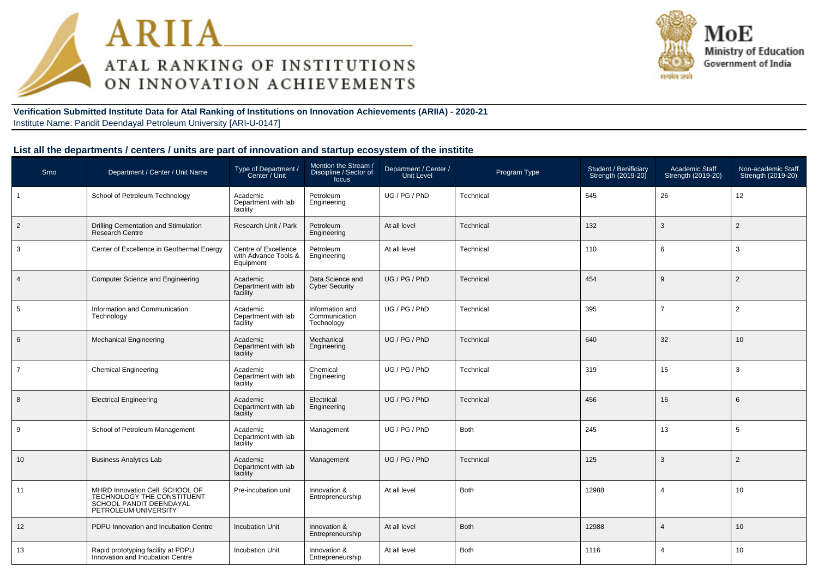



**Verification Submitted Institute Data for Atal Ranking of Institutions on Innovation Achievements (ARIIA) - 2020-21**Institute Name: Pandit Deendayal Petroleum University [ARI-U-0147]

#### **List all the departments / centers / units are part of innovation and startup ecosystem of the institite**

| Srno           | Department / Center / Unit Name                                                                                 | Type of Department /<br>Center / Unit                     | Mention the Stream<br>Discipline / Sector of<br>focus | Department / Center /<br>Unit Level | Program Type | Student / Benificiary<br>Strength (2019-20) | Academic Staff<br>Strength (2019-20) | Non-academic Staff<br>Strength (2019-20) |
|----------------|-----------------------------------------------------------------------------------------------------------------|-----------------------------------------------------------|-------------------------------------------------------|-------------------------------------|--------------|---------------------------------------------|--------------------------------------|------------------------------------------|
| $\mathbf{1}$   | School of Petroleum Technology                                                                                  | Academic<br>Department with lab<br>facility               | Petroleum<br>Engineering                              | UG / PG / PhD                       | Technical    | 545                                         | 26                                   | 12 <sup>2</sup>                          |
| $\overline{2}$ | Drilling Cementation and Stimulation<br>Research Centre                                                         | Research Unit / Park                                      | Petroleum<br>Engineering                              | At all level                        | Technical    | 132                                         | 3                                    | 2                                        |
| 3              | Center of Excellence in Geothermal Energy                                                                       | Centre of Excellence<br>with Advance Tools &<br>Equipment | Petroleum<br>Engineering                              | At all level                        | Technical    | 110                                         | 6                                    | 3                                        |
| $\overline{4}$ | <b>Computer Science and Engineering</b>                                                                         | Academic<br>Department with lab<br>facility               | Data Science and<br><b>Cyber Security</b>             | UG / PG / PhD                       | Technical    | 454                                         | 9                                    | 2                                        |
| 5              | Information and Communication<br>Technology                                                                     | Academic<br>Department with lab<br>facility               | Information and<br>Communication<br>Technology        | UG / PG / PhD                       | Technical    | 395                                         | $\overline{7}$                       | $\overline{2}$                           |
| 6              | <b>Mechanical Engineering</b>                                                                                   | Academic<br>Department with lab<br>facility               | Mechanical<br>Engineering                             | UG / PG / PhD                       | Technical    | 640                                         | 32                                   | 10 <sup>°</sup>                          |
| $\overline{7}$ | <b>Chemical Engineering</b>                                                                                     | Academic<br>Department with lab<br>facility               | Chemical<br>Engineering                               | UG / PG / PhD                       | Technical    | 319                                         | 15                                   | 3                                        |
| 8              | <b>Electrical Engineering</b>                                                                                   | Academic<br>Department with lab<br>facility               | Electrical<br>Engineering                             | UG / PG / PhD                       | Technical    | 456                                         | 16                                   | 6                                        |
| 9              | School of Petroleum Management                                                                                  | Academic<br>Department with lab<br>facility               | Management                                            | UG / PG / PhD                       | <b>Both</b>  | 245                                         | 13                                   | 5                                        |
| 10             | <b>Business Analytics Lab</b>                                                                                   | Academic<br>Department with lab<br>facility               | Management                                            | UG / PG / PhD                       | Technical    | 125                                         | 3                                    | 2                                        |
| 11             | MHRD Innovation Cell SCHOOL OF<br>TECHNOLOGY THE CONSTITUENT<br>SCHOOL PANDIT DEENDAYAL<br>PETROLEUM UNIVERSITY | Pre-incubation unit                                       | Innovation &<br>Entrepreneurship                      | At all level                        | <b>Both</b>  | 12988                                       | $\overline{4}$                       | 10                                       |
| 12             | PDPU Innovation and Incubation Centre                                                                           | <b>Incubation Unit</b>                                    | Innovation &<br>Entrepreneurship                      | At all level                        | <b>Both</b>  | 12988                                       | $\overline{4}$                       | 10 <sup>1</sup>                          |
| 13             | Rapid prototyping facility at PDPU<br>Innovation and Incubation Centre                                          | <b>Incubation Unit</b>                                    | Innovation &<br>Entrepreneurship                      | At all level                        | <b>Both</b>  | 1116                                        | 4                                    | 10                                       |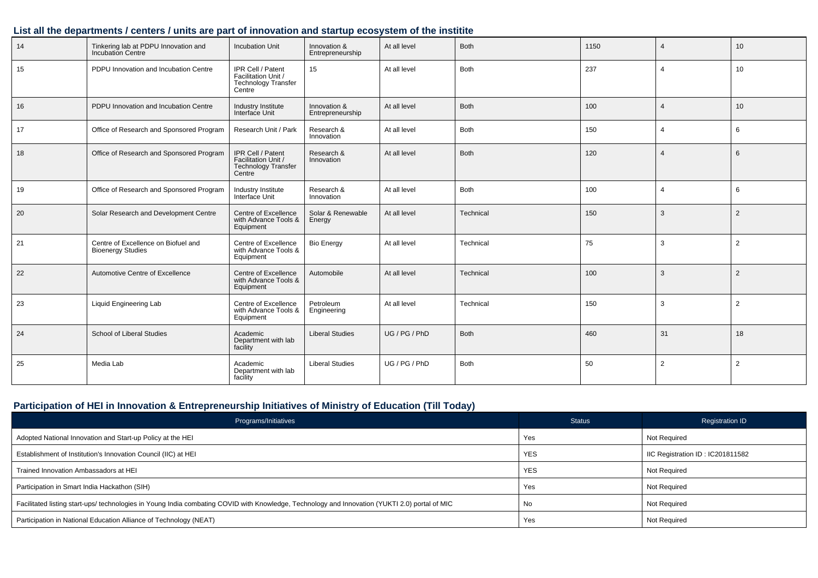#### **List all the departments / centers / units are part of innovation and startup ecosystem of the institite**

| 14 | Tinkering lab at PDPU Innovation and<br>Incubation Centre       | <b>Incubation Unit</b>                                                           | Innovation &<br>Entrepreneurship | At all level  | Both        | 1150 |                          | 10 |
|----|-----------------------------------------------------------------|----------------------------------------------------------------------------------|----------------------------------|---------------|-------------|------|--------------------------|----|
| 15 | PDPU Innovation and Incubation Centre                           | IPR Cell / Patent<br>Facilitation Unit /<br>Technology Transfer<br>Centre        | 15                               | At all level  | Both        | 237  | $\boldsymbol{\varDelta}$ | 10 |
| 16 | PDPU Innovation and Incubation Centre                           | Industry Institute<br>Interface Unit                                             | Innovation &<br>Entrepreneurship | At all level  | Both        | 100  |                          | 10 |
| 17 | Office of Research and Sponsored Program                        | Research Unit / Park                                                             | Research &<br>Innovation         | At all level  | Both        | 150  | $\overline{4}$           | 6  |
| 18 | Office of Research and Sponsored Program                        | IPR Cell / Patent<br>Facilitation Unit /<br><b>Technology Transfer</b><br>Centre | Research &<br>Innovation         | At all level  | <b>Both</b> | 120  |                          | 6  |
| 19 | Office of Research and Sponsored Program                        | Industry Institute<br>Interface Unit                                             | Research &<br>Innovation         | At all level  | Both        | 100  |                          | 6  |
| 20 | Solar Research and Development Centre                           | Centre of Excellence<br>with Advance Tools &<br>Equipment                        | Solar & Renewable<br>Energy      | At all level  | Technical   | 150  | 3                        | 2  |
| 21 | Centre of Excellence on Biofuel and<br><b>Bioenergy Studies</b> | Centre of Excellence<br>with Advance Tools &<br>Equipment                        | <b>Bio Energy</b>                | At all level  | Technical   | 75   | 3                        | 2  |
| 22 | Automotive Centre of Excellence                                 | Centre of Excellence<br>with Advance Tools &<br>Equipment                        | Automobile                       | At all level  | Technical   | 100  | 3                        | 2  |
| 23 | <b>Liquid Engineering Lab</b>                                   | Centre of Excellence<br>with Advance Tools &<br>Equipment                        | Petroleum<br>Engineering         | At all level  | Technical   | 150  | 3                        | 2  |
| 24 | School of Liberal Studies                                       | Academic<br>Department with lab<br>facility                                      | <b>Liberal Studies</b>           | UG / PG / PhD | <b>Both</b> | 460  | 31                       | 18 |
| 25 | Media Lab                                                       | Academic<br>Department with lab<br>facility                                      | <b>Liberal Studies</b>           | UG / PG / PhD | Both        | 50   | $\overline{2}$           | 2  |

#### **Participation of HEI in Innovation & Entrepreneurship Initiatives of Ministry of Education (Till Today)**

| Programs/Initiatives                                                                                                                           | Status     | Registration ID                  |
|------------------------------------------------------------------------------------------------------------------------------------------------|------------|----------------------------------|
| Adopted National Innovation and Start-up Policy at the HEI                                                                                     | Yes        | Not Required                     |
| Establishment of Institution's Innovation Council (IIC) at HEI                                                                                 | <b>YES</b> | IIC Registration ID: IC201811582 |
| Trained Innovation Ambassadors at HEI                                                                                                          | <b>YES</b> | Not Required                     |
| Participation in Smart India Hackathon (SIH)                                                                                                   | Yes        | <b>Not Required</b>              |
| Facilitated listing start-ups/ technologies in Young India combating COVID with Knowledge, Technology and Innovation (YUKTI 2.0) portal of MIC | No         | Not Required                     |
| Participation in National Education Alliance of Technology (NEAT)                                                                              | Yes        | Not Required                     |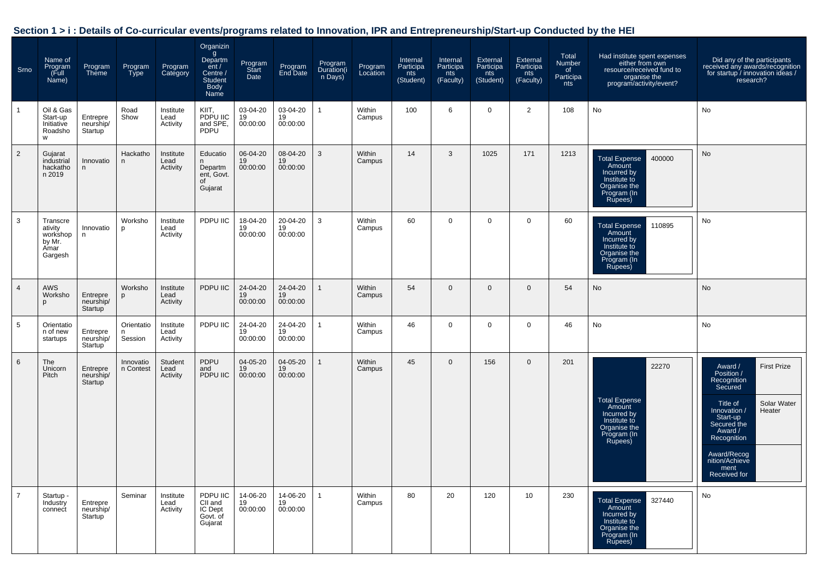| Section 1 > i : Details of Co-curricular events/programs related to Innovation, IPR and Entrepreneurship/Start-up Conducted by the HEI |  |  |
|----------------------------------------------------------------------------------------------------------------------------------------|--|--|
|                                                                                                                                        |  |  |

| Srno           | Name of<br>Program<br>(Full<br>Name)                         | Program<br>Theme                 | Program<br>Type            | Program<br>Category           | Organizin<br>Department /<br>Centre /<br><b>Student</b><br><b>Body</b><br>Name | Program<br>Start<br>Date   | Program<br>End Date        | Program<br>Duration(i<br>n Days) | Program<br>Location | Internal<br>Participa<br>nts<br>(Student) | Internal<br>Participa<br>nts<br>(Faculty) | <b>External</b><br>Participa<br>nts<br>(Student) | External<br>Participa<br>nts<br>(Faculty) | Total<br>Number<br>of<br>Participa<br>nts | Had institute spent expenses<br>either from own<br>resource/received fund to<br>organise the<br>program/activity/event? | Did any of the participants<br>received any awards/recognition<br>for startup / innovation ideas /<br>research?                                                                                                                          |
|----------------|--------------------------------------------------------------|----------------------------------|----------------------------|-------------------------------|--------------------------------------------------------------------------------|----------------------------|----------------------------|----------------------------------|---------------------|-------------------------------------------|-------------------------------------------|--------------------------------------------------|-------------------------------------------|-------------------------------------------|-------------------------------------------------------------------------------------------------------------------------|------------------------------------------------------------------------------------------------------------------------------------------------------------------------------------------------------------------------------------------|
| $\mathbf{1}$   | Oil & Gas<br>Start-up<br>Initiative<br>Roadsho<br>W          | Entrepre<br>neurship/<br>Startup | Road<br>Show               | Institute<br>Lead<br>Activity | KIIT,<br>PDPU IIC<br>and SPE,<br>PDPU                                          | 03-04-20<br>19<br>00:00:00 | 03-04-20<br>19<br>00:00:00 | 1                                | Within<br>Campus    | 100                                       | 6                                         | 0                                                | $\overline{2}$                            | 108                                       | No                                                                                                                      | No                                                                                                                                                                                                                                       |
| $\overline{2}$ | Gujarat<br>industrial<br>hackatho<br>n 2019                  | Innovatio<br>n                   | Hackatho<br>n.             | Institute<br>Lead<br>Activity | Educatio<br>n.<br>Departm<br>ent, Govt.<br>of<br>Gujarat                       | 06-04-20<br>19<br>00:00:00 | 08-04-20<br>19<br>00:00:00 | 3                                | Within<br>Campus    | 14                                        | 3                                         | 1025                                             | 171                                       | 1213                                      | <b>Total Expense</b><br>400000<br>Amount<br>Incurred by<br>Institute to<br>Organise the<br>Program (In<br>Rupees)       | No                                                                                                                                                                                                                                       |
| 3              | Transcre<br>ativity<br>workshop<br>by Mr.<br>Amar<br>Gargesh | Innovatio<br>n                   | Worksho<br>p               | Institute<br>Lead<br>Activity | PDPU IIC                                                                       | 18-04-20<br>19<br>00:00:00 | 20-04-20<br>19<br>00:00:00 | 3                                | Within<br>Campus    | 60                                        | $\mathbf 0$                               | $\mathbf 0$                                      | $\mathbf 0$                               | 60                                        | Total Expense<br>Amount<br>110895<br>Incurred by<br>Institute to<br>Organise the<br>Program (In<br>Rupees)              | No                                                                                                                                                                                                                                       |
| 4              | AWS<br>Worksho<br>D                                          | Entrepre<br>neurship/<br>Startup | Worksho<br>p               | Institute<br>Lead<br>Activity | PDPU IIC                                                                       | 24-04-20<br>19<br>00:00:00 | 24-04-20<br>19<br>00:00:00 |                                  | Within<br>Campus    | 54                                        | $\mathbf 0$                               | $\mathbf 0$                                      | $\mathbf{0}$                              | 54                                        | No                                                                                                                      | No                                                                                                                                                                                                                                       |
| 5              | Orientatio<br>n of new<br>startups                           | Entrepre<br>neurship/<br>Startup | Orientatio<br>n<br>Session | Institute<br>Lead<br>Activity | PDPU IIC                                                                       | 24-04-20<br>19<br>00:00:00 | 24-04-20<br>19<br>00:00:00 | 1                                | Within<br>Campus    | 46                                        | $\mathbf 0$                               | $\mathbf 0$                                      | $\mathbf 0$                               | 46                                        | No                                                                                                                      | No                                                                                                                                                                                                                                       |
| 6              | The<br>Unicorn<br>Pitch                                      | Entrepre<br>neurship/<br>Startup | Innovatio<br>n Contest     | Student<br>Lead<br>Activity   | PDPU<br>and<br>PDPU IIC                                                        | 04-05-20<br>19<br>00:00:00 | 04-05-20<br>19<br>00:00:00 |                                  | Within<br>Campus    | 45                                        | $\mathbf 0$                               | 156                                              | $\mathbf{0}$                              | 201                                       | 22270<br><b>Total Expense</b><br>Amount<br>Incurred by<br>Institute to<br>Organise the<br>Program (In<br>Rupees)        | <b>First Prize</b><br>Award /<br>Position /<br>Recognition<br>Secured<br>Solar Water<br>Title of<br>Innovation /<br>Heater<br>Start-up<br>Secured the<br>Award /<br>Recognition<br>Award/Recog<br>nition/Achieve<br>ment<br>Received for |
| $\overline{7}$ | Startup -<br>Industry<br>connect                             | Entrepre<br>neurship/<br>Startup | Seminar                    | Institute<br>Lead<br>Activity | PDPU IIC<br>CII and<br>IC Dept<br>Govt. of<br>Gujarat                          | 14-06-20<br>19<br>00:00:00 | 14-06-20<br>19<br>00:00:00 | 1                                | Within<br>Campus    | 80                                        | 20                                        | 120                                              | 10                                        | 230                                       | 327440<br>Total Expense<br>Amount<br>Incurred by<br>Institute to<br>Organise the<br>Program (In<br>Rupees)              | No                                                                                                                                                                                                                                       |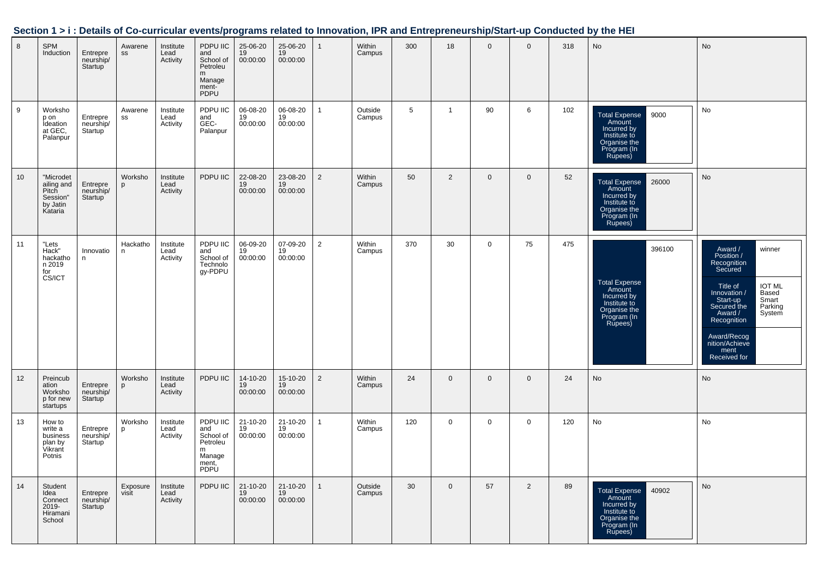|    |                                                                     |                                               |                          |                               |                                                                          |                                      |                            |                |                   |                 |                |              |              |     | occubii 121. Detaiis of Go-curricular eventsiprograms related to impovation, in Kand Entrepreneurshiprotart-up Conducted by the HET |                                                                                                                                                                                                                                                      |
|----|---------------------------------------------------------------------|-----------------------------------------------|--------------------------|-------------------------------|--------------------------------------------------------------------------|--------------------------------------|----------------------------|----------------|-------------------|-----------------|----------------|--------------|--------------|-----|-------------------------------------------------------------------------------------------------------------------------------------|------------------------------------------------------------------------------------------------------------------------------------------------------------------------------------------------------------------------------------------------------|
| 8  | SPM<br>Induction                                                    | Entrepre<br>neurship/<br>Startup              | Awarene<br>$\texttt{SS}$ | Institute<br>Lead<br>Activity | PDPU IIC<br>and<br>School of<br>Petroleu<br>m<br>Manage<br>ment-<br>PDPU | 25-06-20<br>19<br>00:00:00           | 25-06-20<br>19<br>00:00:00 | $\mathbf{1}$   | Within<br>Campus  | 300             | 18             | $\mathbf{0}$ | $\mathbf{0}$ | 318 | <b>No</b>                                                                                                                           | No                                                                                                                                                                                                                                                   |
| 9  | Worksho<br>p on<br>Ideation<br>at GEC,<br>Palanpur                  | Entrepre<br>neurship/<br>Startup              | Awarene<br>SS            | Institute<br>Lead<br>Activity | PDPU IIC<br>and<br>GEC-<br>Palanpur                                      | 06-08-20<br>19<br>00:00:00           | 06-08-20<br>19<br>00:00:00 | $\mathbf{1}$   | Outside<br>Campus | $5\phantom{.0}$ | $\overline{1}$ | 90           | 6            | 102 | 9000<br>Total Expense<br>Amount<br>Incurred by<br>Institute to<br>Organise the<br>Program (In<br>Rupees)                            | No                                                                                                                                                                                                                                                   |
| 10 | "Microdet<br>ailing and<br>Pitch<br>Session"<br>by Jatin<br>Kataria | Entrepre<br>neurship/<br>Startup <sup>'</sup> | Worksho<br>p             | Institute<br>Lead<br>Activity | PDPU IIC                                                                 | 22-08-20<br>$\frac{19}{19}$ 00:00:00 | 23-08-20<br>19<br>00:00:00 | $\overline{2}$ | Within<br>Campus  | 50              | $\overline{2}$ | $\mathbf 0$  | $\mathbf 0$  | 52  | 26000<br>Total Expense<br>Amount<br>Incurred by<br>Institute to<br>Organise the<br>Program (In<br>Rupees)                           | No                                                                                                                                                                                                                                                   |
| 11 | "Lets<br>Hack"<br>hackatho<br>n 2019<br>for<br>CS/ICT               | Innovatio<br>n.                               | Hackatho<br>n.           | Institute<br>Lead<br>Activity | PDPU IIC<br>and<br>School of<br>Technolo<br>gy-PDPU                      | 06-09-20<br>19<br>00:00:00           | 07-09-20<br>19<br>00:00:00 | $\overline{2}$ | Within<br>Campus  | 370             | 30             | $\mathbf 0$  | 75           | 475 | 396100<br>Total Expense<br>Amount<br>Incurred by<br>Institute to<br>Organise the<br>Program (In<br>Rupees)                          | Award /<br>Position /<br>Recognition<br>Secured<br>winner<br>IOT ML<br>Based<br>Smart<br>Parking<br>Title of<br>Innovation /<br>Start-up<br>Secured the<br>Award /<br>System<br>Recognition<br>Award/Recog<br>nition/Achieve<br>ment<br>Received for |
| 12 | Preincub<br>ation<br>Worksho<br>p for new<br>startups               | Entrepre<br>neurship/<br>Startup <sup>'</sup> | Worksho<br>p             | Institute<br>Lead<br>Activity | PDPU IIC                                                                 | 14-10-20<br>19<br>00:00:00           | 15-10-20<br>19<br>00:00:00 | $\overline{2}$ | Within<br>Campus  | 24              | $\mathbf 0$    | $\mathbf 0$  | $\mathbf 0$  | 24  | No                                                                                                                                  | <b>No</b>                                                                                                                                                                                                                                            |
| 13 | How to<br>write a<br>business<br>plan by<br>Vikrant<br>Potnis       | Entrepre<br>neurship/<br>Startup              | Worksho<br>p             | Institute<br>Lead<br>Activity | PDPU IIC<br>and<br>School of<br>Petroleu<br>m<br>Manage<br>ment,<br>PDPU | 21-10-20<br>19<br>00:00:00           | 21-10-20<br>19<br>00:00:00 | $\mathbf{1}$   | Within<br>Campus  | 120             | $\mathbf 0$    | $\mathbf 0$  | $\mathbf 0$  | 120 | $\operatorname{\mathsf{No}}$                                                                                                        | No                                                                                                                                                                                                                                                   |
| 14 | Student<br>Idea<br>Connect<br>2019-<br>Hiramani<br>School           | Entrepre<br>neurship/<br>Startup              | Exposure<br>visit        | Institute<br>Lead<br>Activity | PDPU IIC                                                                 | 21-10-20<br>19<br>00:00:00           | 21-10-20<br>19<br>00:00:00 | $\mathbf{1}$   | Outside<br>Campus | 30              | $\mathbf 0$    | 57           | 2            | 89  | 40902<br>Total Expense<br>Amount<br>Incurred by<br>Institute to<br>Organise the<br>Program (In<br>Rupees)                           | No                                                                                                                                                                                                                                                   |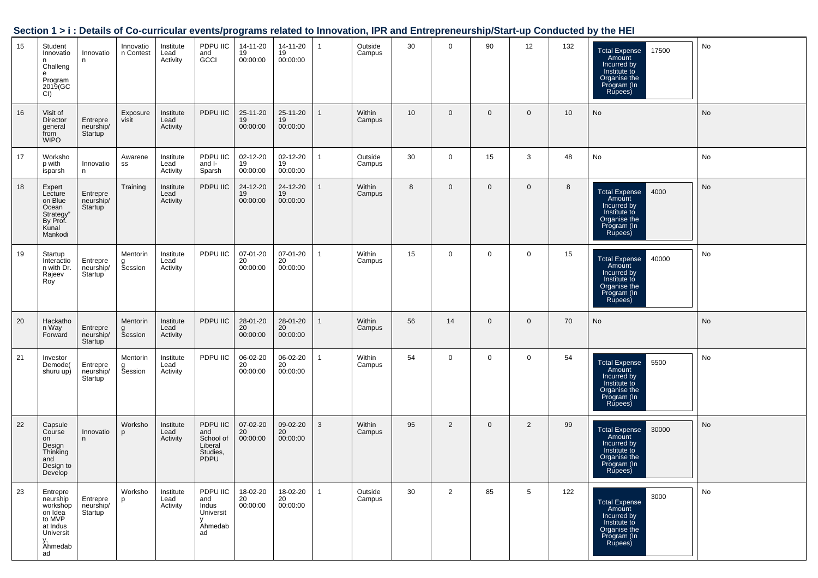|    |                                                                                                       |                                               |                          |                               |                                                                    |                                |                            |              |                   |                 |                |                |                |     | oo camaana cychicyprograms related to innovation, ir it and Entreprenearship/otart ap conducted by the HET       |           |
|----|-------------------------------------------------------------------------------------------------------|-----------------------------------------------|--------------------------|-------------------------------|--------------------------------------------------------------------|--------------------------------|----------------------------|--------------|-------------------|-----------------|----------------|----------------|----------------|-----|------------------------------------------------------------------------------------------------------------------|-----------|
| 15 | Student<br>Innovatio<br>n<br>Challeng<br>$\mathbf{e}$<br>Program<br>2019(GC<br>CI)                    | Innovatio<br>n                                | Innovatio<br>n Contest   | Institute<br>Lead<br>Activity | PDPU IIC<br>and<br>GCCI                                            | 14-11-20<br>19<br>00:00:00     | 14-11-20<br>19<br>00:00:00 | $\mathbf{1}$ | Outside<br>Campus | 30              | $\overline{0}$ | 90             | 12             | 132 | Total Expense<br>Amount<br>Incurred by<br>Institute to<br>17500<br>Organise the<br>Program (In<br>Rupees)        | No        |
| 16 | Visit of<br>Director<br>general<br>from<br><b>WIPO</b>                                                | Entrepre<br>neurship/<br>Startup <sup>1</sup> | Exposure<br>visit        | Institute<br>Lead<br>Activity | PDPU IIC                                                           | 25-11-20<br>19<br>00:00:00     | 25-11-20<br>19<br>00:00:00 | $\mathbf{1}$ | Within<br>Campus  | 10 <sup>1</sup> | $\mathbf 0$    | $\overline{0}$ | $\mathbf 0$    | 10  | No                                                                                                               | <b>No</b> |
| 17 | Worksho<br>p with<br>isparsh                                                                          | Innovatio<br>n                                | Awarene<br>SS            | Institute<br>Lead<br>Activity | PDPU IIC<br>and I-<br>Sparsh                                       | 02-12-20<br>19<br>00:00:00     | 02-12-20<br>19<br>00:00:00 | $\mathbf{1}$ | Outside<br>Campus | 30              | $\mathbf 0$    | 15             | 3              | 48  | No                                                                                                               | No        |
| 18 | Expert<br>Lecture<br>on Blue<br>Ocean<br>Strategy"<br>By Prof.<br>Kunal<br>Mankodi                    | Entrepre<br>neurship/<br>Startup              | Training                 | Institute<br>Lead<br>Activity | PDPU IIC                                                           | 24-12-20<br>19<br>00:00:00     | 24-12-20<br>19<br>00:00:00 | $\mathbf{1}$ | Within<br>Campus  | 8               | $\mathbf 0$    | $\mathbf 0$    | $\mathbf 0$    | 8   | Total Expense<br>Amount<br>4000<br>Incurred by<br>Institute to<br>Organise the<br>Program (In<br>Rupees)         | No        |
| 19 | Startup<br>Interactio<br>n with Dr.<br>Rajeev<br>Roy                                                  | Entrepre<br>neurship/<br>Startup              | Mentorin<br>g<br>Session | Institute<br>Lead<br>Activity | PDPU IIC                                                           | 07-01-20<br>20<br>00:00:00     | 07-01-20<br>20<br>00:00:00 | $\mathbf{1}$ | Within<br>Campus  | 15              | $\mathbf 0$    | $\mathbf 0$    | $\mathbf 0$    | 15  | 40000<br><b>Total Expense</b><br>Amount<br>Incurred by<br>Institute to<br>Organise the<br>Program (In<br>Rupees) | No        |
| 20 | Hackatho<br>n Way<br>Forward                                                                          | Entrepre<br>neurship/<br>Startup              | Mentorin<br>g<br>Session | Institute<br>Lead<br>Activity | PDPU IIC                                                           | 28-01-20<br>$20\,$<br>00:00:00 | 28-01-20<br>20<br>00:00:00 | $\mathbf{1}$ | Within<br>Campus  | 56              | 14             | $\mathbf 0$    | $\mathbf 0$    | 70  | No                                                                                                               | No        |
| 21 | Investor<br>Demode(<br>shuru up)                                                                      | Entrepre<br>neurship/<br>Startup              | Mentorin<br>Session      | Institute<br>Lead<br>Activity | PDPU IIC                                                           | 06-02-20<br>20<br>00:00:00     | 06-02-20<br>20<br>00:00:00 | $\mathbf{1}$ | Within<br>Campus  | 54              | $\mathbf{0}$   | $\mathbf 0$    | $\mathbf 0$    | 54  | 5500<br><b>Total Expense</b><br>Amount<br>Incurred by<br>Institute to<br>Organise the<br>Program (In<br>Rupees)  | No        |
| 22 | Capsule<br>Course<br>on<br>Design<br>Thinking<br>and<br>Design to<br>Develop                          | Innovatio<br>n                                | Worksho<br>p             | Institute<br>Lead<br>Activity | PDPU IIC<br>and<br>School of<br>Liberal<br>Studies,<br><b>PDPU</b> | 07-02-20<br>20<br>00:00:00     | 09-02-20<br>20<br>00:00:00 | $\mathbf{3}$ | Within<br>Campus  | 95              | $\overline{2}$ | $\overline{0}$ | $\overline{2}$ | 99  | Total Expense<br>Amount<br>Incurred by<br>Institute to<br>30000<br>Organise the<br>Program (In<br>Rupees)        | No        |
| 23 | Entrepre<br>neurship<br>workshop<br>on Idea<br>to MVP<br>at Indus<br>Universit<br>ν.<br>Ahmedab<br>ad | Entrepre<br>neurship/<br>Startup              | Worksho<br><b>p</b>      | Institute<br>Lead<br>Activity | PDPU IIC<br>and<br>Indus<br>Universit<br>v<br>Ahmedab<br>ad        | 18-02-20<br>20<br>00:00:00     | 18-02-20<br>20<br>00:00:00 | $\mathbf{1}$ | Outside<br>Campus | 30              | 2              | 85             | 5              | 122 | 3000<br><b>Total Expense</b><br>Amount<br>Incurred by<br>Institute to<br>Organise the<br>Program (In<br>Rupees)  | <b>No</b> |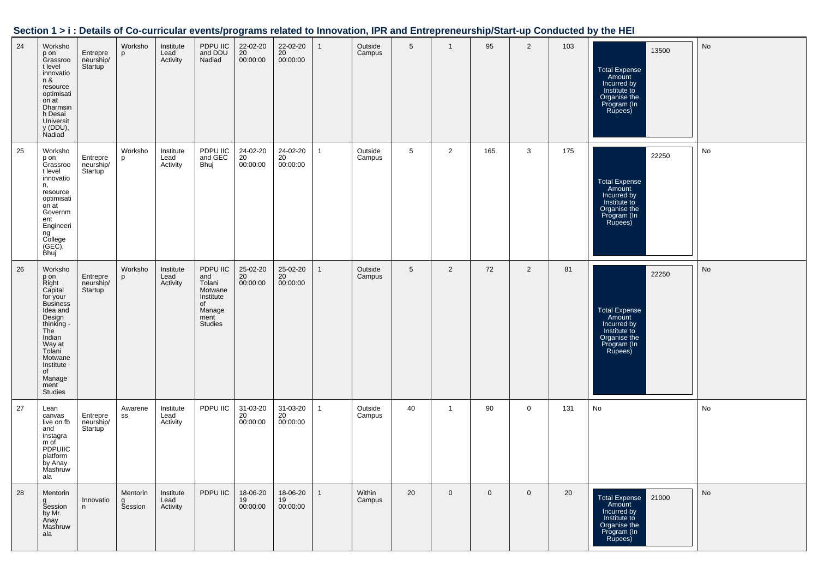| Section 1 > i : Details of Co-curricular events/programs related to Innovation, IPR and Entrepreneurship/Start-up Conducted by the HEI |  |  |  |
|----------------------------------------------------------------------------------------------------------------------------------------|--|--|--|
|----------------------------------------------------------------------------------------------------------------------------------------|--|--|--|

| 24 | Worksho<br>p on<br>Grassroo<br>t level<br>innovatio<br>n &<br>resource<br>optimisati<br>on at<br>Dharmsin<br>h Desai<br>Universit<br>y (DDU),<br>Nadiad                                                       | Entrepre<br>neurship/<br>Startup              | Worksho<br>p             | Institute<br>Lead<br>Activity | PDPU IIC<br>and DDU<br>Nadiad                                                               | 22-02-20<br>20<br>00:00:00 | 22-02-20<br>20<br>00:00:00 | $\mathbf{1}$ | Outside<br>Campus | 5  | $\overline{1}$ | 95          | $\overline{2}$ | 103 | 13500<br><b>Total Expense</b><br>Amount<br>Incurred by<br>Institute to<br>Organise the<br>Program (In<br>Rupees) | No |
|----|---------------------------------------------------------------------------------------------------------------------------------------------------------------------------------------------------------------|-----------------------------------------------|--------------------------|-------------------------------|---------------------------------------------------------------------------------------------|----------------------------|----------------------------|--------------|-------------------|----|----------------|-------------|----------------|-----|------------------------------------------------------------------------------------------------------------------|----|
| 25 | Worksho<br>p on<br>Grassroo<br>t level<br>innovatio<br>n,<br>resource<br>optimisati<br>on at<br>Governm<br>ent<br>Engineeri<br>ng<br>College<br>$(GEC)$ ,<br>Bhuj                                             | Entrepre<br>neurship/<br>Startup <sup>1</sup> | Worksho<br>p             | Institute<br>Lead<br>Activity | PDPU IIC<br>and GEC<br>Bhuj                                                                 | 24-02-20<br>20<br>00:00:00 | 24-02-20<br>20<br>00:00:00 | $\mathbf{1}$ | Outside<br>Campus | 5  | 2              | 165         | 3              | 175 | 22250<br><b>Total Expense</b><br>Amount<br>Incurred by<br>Institute to<br>Organise the<br>Program (In<br>Rupees) | No |
| 26 | Worksho<br>p on<br>Right<br>Capital<br>for your<br><b>Business</b><br>Idea and<br>Design<br>thinking -<br>The<br>Indian<br>Way at<br>Tolani<br>Motwane<br>Institute<br>of<br>Manage<br>ment<br><b>Studies</b> | Entrepre<br>neurship/<br>Startup              | Worksho<br>p             | Institute<br>Lead<br>Activity | PDPU IIC<br>and<br>Tolani<br>Motwane<br>Institute<br>of<br>Manage<br>ment<br><b>Studies</b> | 25-02-20<br>20<br>00:00:00 | 25-02-20<br>20<br>00:00:00 | $\mathbf{1}$ | Outside<br>Campus | 5  | $\overline{2}$ | 72          | $\overline{2}$ | 81  | 22250<br><b>Total Expense</b><br>Amount<br>Incurred by<br>Institute to<br>Organise the<br>Program (In<br>Rupees) | No |
| 27 | Lean<br>canvas<br>live on fb<br>and<br>instagra<br>m of<br><b>PDPUIIC</b><br>platform<br>by Anay<br>Mashruw<br>ala                                                                                            | Entrepre<br>neurship/<br>Startup              | Awarene<br>SS            | Institute<br>Lead<br>Activity | PDPU IIC                                                                                    | 31-03-20<br>20<br>00:00:00 | 31-03-20<br>20<br>00:00:00 | $\mathbf{1}$ | Outside<br>Campus | 40 | $\mathbf{1}$   | 90          | 0              | 131 | No                                                                                                               | No |
| 28 | Mentorin<br>g<br>Session<br>by Mr.<br>Anay<br>Mashruw<br>ala                                                                                                                                                  | Innovatio<br>n                                | Mentorin<br>g<br>Session | Institute<br>Lead<br>Activity | PDPU IIC                                                                                    | 18-06-20<br>19<br>00:00:00 | 18-06-20<br>19<br>00:00:00 | $\mathbf{1}$ | Within<br>Campus  | 20 | $\mathbf 0$    | $\mathbf 0$ | $\overline{0}$ | 20  | Total Expense 21000<br>Amount<br>Incurred by<br>Institute to<br>Organise the<br>Program (In<br>Rupees)           | No |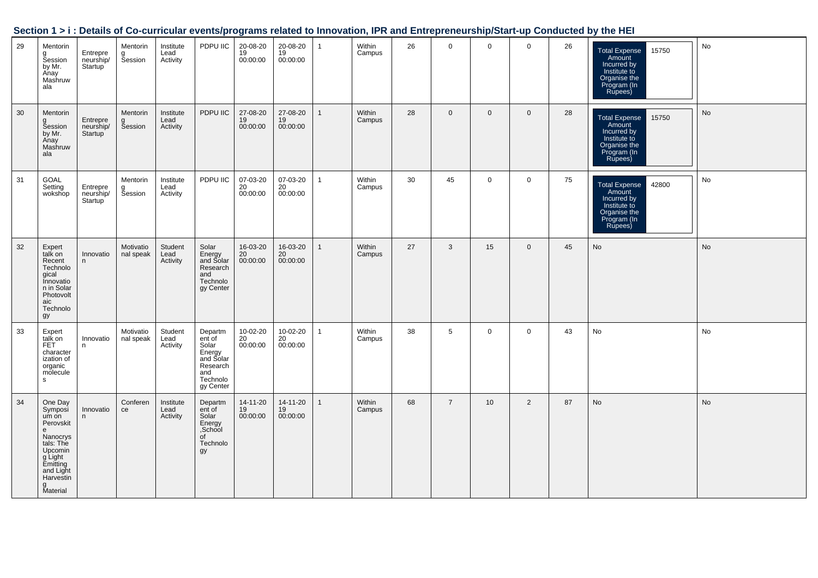|    |                                                                                                                                                                     |                                  |                          |                               |                                                                                                          |                            |                                         |                |                  |    |                |             |                |    | Section 1 > i : Details of Co-curricular events/programs related to Innovation, IPR and Entrepreneurship/Start-up Conducted by the HEI |           |
|----|---------------------------------------------------------------------------------------------------------------------------------------------------------------------|----------------------------------|--------------------------|-------------------------------|----------------------------------------------------------------------------------------------------------|----------------------------|-----------------------------------------|----------------|------------------|----|----------------|-------------|----------------|----|----------------------------------------------------------------------------------------------------------------------------------------|-----------|
| 29 | Mentorin<br>g<br>Session<br>by Mr.<br>Anay<br>Mashruw<br>ala                                                                                                        | Entrepre<br>neurship/<br>Startup | Mentorin<br>g<br>Session | Institute<br>Lead<br>Activity | PDPU IIC                                                                                                 | 20-08-20<br>19<br>00:00:00 | 20-08-20<br>19<br>00:00:00              | $\overline{1}$ | Within<br>Campus | 26 | $\mathbf 0$    | $\mathbf 0$ | $\overline{0}$ | 26 | <b>Total Expense</b><br>15750<br>Amount<br>Incurred by<br>Institute to<br>Organise the<br>Program (In<br>Rupees)                       | No        |
| 30 | Mentorin<br>g<br>Session<br>by Mr.<br>Anay<br>Mashruw<br>ala                                                                                                        | Entrepre<br>neurship/<br>Startup | Mentorin<br>g<br>Session | Institute<br>Lead<br>Activity | PDPU IIC                                                                                                 | 27-08-20<br>19<br>00:00:00 | 27-08-20<br>$\frac{19}{19}$<br>00:00:00 | $\mathbf{1}$   | Within<br>Campus | 28 | $\mathbf 0$    | $\mathbf 0$ | $\overline{0}$ | 28 | Total Expense<br>Amount<br>Incurred by<br>15750<br>Institute to<br>Organise the<br>Program (In<br>Rupees)                              | No        |
| 31 | GOAL<br>Setting<br>wokshop                                                                                                                                          | Entrepre<br>neurship/<br>Startup | Mentorin<br>g<br>Session | Institute<br>Lead<br>Activity | PDPU IIC                                                                                                 | 07-03-20<br>20<br>00:00:00 | 07-03-20<br>20<br>00:00:00              | $\mathbf{1}$   | Within<br>Campus | 30 | 45             | $\mathbf 0$ | $\mathbf 0$    | 75 | 42800<br>Total Expense<br>Amount<br>Incurred by<br>Institute to<br>Organise the<br>Program (In<br>Rupees)                              | No        |
| 32 | Expert<br>talk on<br>Recent<br>Technolo<br>gical<br>Innovatio<br>n in Solar<br>Photovolt<br>aic<br>Technolo<br>gy                                                   | Innovatio<br>n                   | Motivatio<br>nal speak   | Student<br>Lead<br>Activity   | Solar<br>Energy<br>and Solar<br>Research<br>and<br>Technolo<br>gy Center                                 | 16-03-20<br>20<br>00:00:00 | 16-03-20<br>20<br>00:00:00              | $\overline{1}$ | Within<br>Campus | 27 | $\mathbf{3}$   | 15          | $\mathbf 0$    | 45 | No                                                                                                                                     | <b>No</b> |
| 33 | Expert<br>talk on<br>FET<br>character<br>ization of<br>organic<br>molecule<br>s                                                                                     | Innovatio<br>n.                  | Motivatio<br>nal speak   | Student<br>Lead<br>Activity   | Departm<br>Beparam<br>ent of<br>Solar<br>Energy<br>and Solar<br>Research<br>and<br>Technolo<br>gy Center | 10-02-20<br>20<br>00:00:00 | 10-02-20<br>20<br>00:00:00              | $\mathbf{1}$   | Within<br>Campus | 38 | $\overline{5}$ | $\mathbf 0$ | $\mathbf 0$    | 43 | No                                                                                                                                     | No        |
| 34 | One Day<br>Symposi<br>Symposi<br>um on<br>Perovskit<br>e<br>e<br>Nanocrys<br>tals: The<br>Upcomin<br>g Light<br>Emitting<br>and Light<br>Harvestin<br>g<br>Material | Innovatio<br>n                   | Conferen<br>ce           | Institute<br>Lead<br>Activity | Departm<br>ent of<br>Solar<br>Energy<br>School<br>of<br>Technolo<br>gy                                   | 14-11-20<br>19<br>00:00:00 | 14-11-20<br>19<br>00:00:00              | $\mathbf{1}$   | Within<br>Campus | 68 | $\overline{7}$ | 10          | 2              | 87 | No                                                                                                                                     | No        |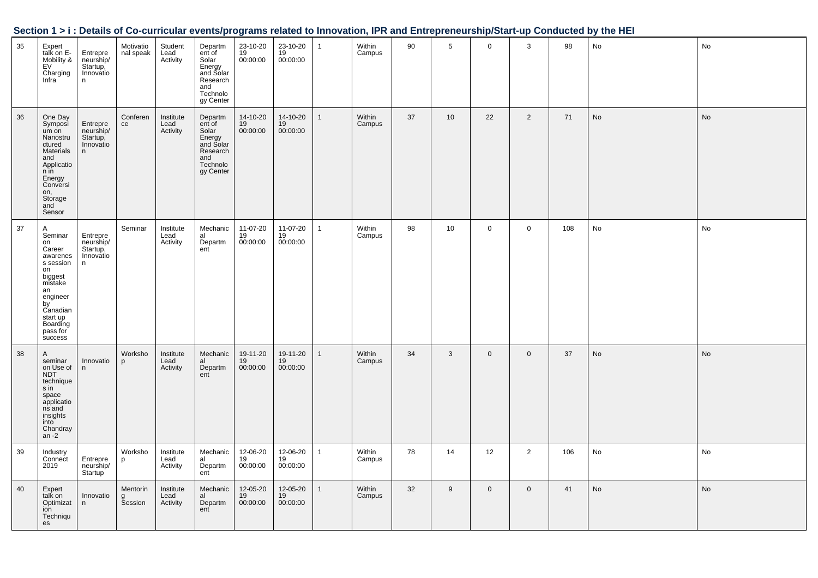|    |                                                                                                                                                                |                                                     |                            |                               |                                                                                                          |                            |                            |              |                  |    |              |              |                |     | Section 1 > i : Details of Co-curricular events/programs related to Innovation, IPR and Entrepreneurship/Start-up Conducted by the HEI |    |
|----|----------------------------------------------------------------------------------------------------------------------------------------------------------------|-----------------------------------------------------|----------------------------|-------------------------------|----------------------------------------------------------------------------------------------------------|----------------------------|----------------------------|--------------|------------------|----|--------------|--------------|----------------|-----|----------------------------------------------------------------------------------------------------------------------------------------|----|
| 35 | Expert<br>talk on E-<br>Mobility &<br>EV<br>Charging<br>Infra                                                                                                  | Entrepre<br>neurship/<br>Startup,<br>Innovatio<br>n | Motivatio<br>nal speak     | Student<br>Lead<br>Activity   | Departm<br>ent of<br>Filt of<br>Solar<br>Energy<br>and Solar<br>Research<br>and<br>Technolo<br>gy Center | 23-10-20<br>19<br>00:00:00 | 23-10-20<br>19<br>00:00:00 | $\mathbf{1}$ | Within<br>Campus | 90 | 5            | $\mathbf 0$  | 3              | 98  | $\mathsf{No}$                                                                                                                          | No |
| 36 | One Day<br>Symposi<br>um on<br>Nanostru<br>ctured<br>Materials<br>and<br>Application<br>Energy<br>Conversi<br>on,<br>Storage<br>and<br>Sensor                  | Entrepre<br>neurship/<br>Startup,<br>Innovatio<br>n | Conferen<br>ce             | Institute<br>Lead<br>Activity | Departm<br>ent of<br>Solar<br>Energy<br>and Solar<br>Research<br>and<br>Technolo<br>gy Center            | 14-10-20<br>19<br>00:00:00 | 14-10-20<br>19<br>00:00:00 | $\mathbf{1}$ | Within<br>Campus | 37 | 10           | 22           | $\overline{2}$ | 71  | <b>No</b>                                                                                                                              | No |
| 37 | Α<br>Seminar<br>on<br>Career<br>awarenes<br>s session<br>on<br>biggest<br>mistake<br>an<br>an<br>by<br>Canadian<br>start up<br>Boarding<br>pass for<br>success | Entrepre<br>neurship/<br>Startup,<br>Innovatio<br>n | Seminar                    | Institute<br>Lead<br>Activity | Mechanic<br>al<br>al<br>Departm<br>ent                                                                   | 11-07-20<br>19<br>00:00:00 | 11-07-20<br>19<br>00:00:00 | $\mathbf{1}$ | Within<br>Campus | 98 | 10           | $\mathsf{O}$ | $\mathbf 0$    | 108 | No                                                                                                                                     | No |
| 38 | A<br>seminar<br>on Use of<br>NDT<br>technique<br>s in<br>s <sub>m</sub><br>space<br>ns and<br>insights<br>into<br>Chandray<br>an $-2$                          | Innovatio<br>n.                                     | Worksho<br>p               | Institute<br>Lead<br>Activity | Mechanic<br>al<br>Departm<br>ent                                                                         | 19-11-20<br>19<br>00:00:00 | 19-11-20<br>19<br>00:00:00 | $\mathbf{1}$ | Within<br>Campus | 34 | $\mathbf{3}$ | $\mathbf 0$  | $\mathbf{0}$   | 37  | No                                                                                                                                     | No |
| 39 | Industry<br>Connect<br>2019                                                                                                                                    | Entrepre<br>neurship/<br>Startup                    | Worksho<br>p               | Institute<br>Lead<br>Activity | Mechanic<br>al<br>Departm<br>ent                                                                         | 12-06-20<br>19<br>00:00:00 | 12-06-20<br>19<br>00:00:00 | $\mathbf{1}$ | Within<br>Campus | 78 | 14           | 12           | $\overline{2}$ | 106 | No                                                                                                                                     | No |
| 40 | Expert<br>talk on<br>Optimizat<br>ion<br>Techniqu<br>es                                                                                                        | Innovatio<br>$\mathsf{n}$                           | Mentorin<br><b>Šession</b> | Institute<br>Lead<br>Activity | Mechanic<br>al<br>Departm<br>ent                                                                         | 12-05-20<br>19<br>00:00:00 | 12-05-20<br>19<br>00:00:00 | $\mathbf{1}$ | Within<br>Campus | 32 | 9            | $\mathbf 0$  | $\mathsf 0$    | 41  | No                                                                                                                                     | No |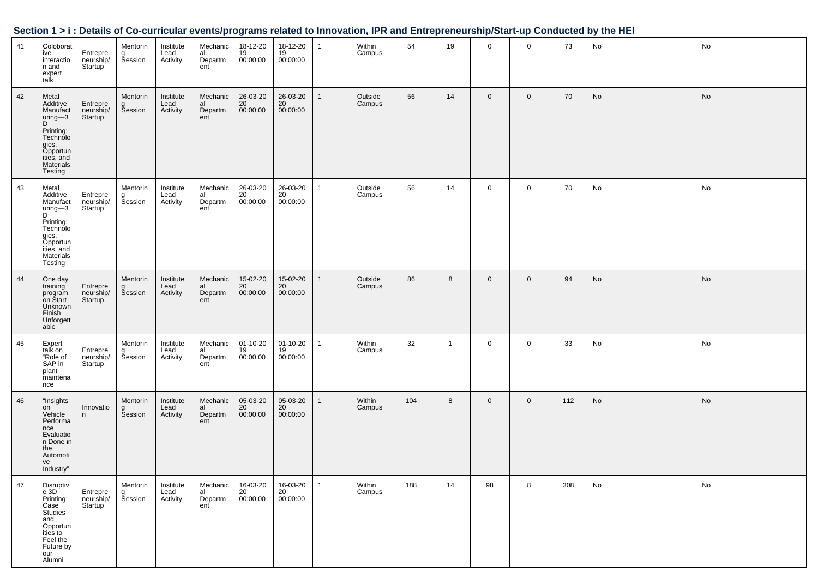|    |                                                                                                                                   |                                         |                          |                               |                                  |                            |                            |                | ,                 |     |                |             |             |     |    |    |
|----|-----------------------------------------------------------------------------------------------------------------------------------|-----------------------------------------|--------------------------|-------------------------------|----------------------------------|----------------------------|----------------------------|----------------|-------------------|-----|----------------|-------------|-------------|-----|----|----|
| 41 | Coloborat<br>ive<br>interactio<br>n and<br>expert<br>talk                                                                         | Entrepre<br>neurship/<br><b>Startup</b> | Mentorin<br>g<br>Session | Institute<br>Lead<br>Activity | Mechanic<br>al<br>Departm<br>ent | 18-12-20<br>19<br>00:00:00 | 18-12-20<br>19<br>00:00:00 | $\mathbf{1}$   | Within<br>Campus  | 54  | 19             | $\mathbf 0$ | $\mathbf 0$ | 73  | No | No |
| 42 | Metal<br>Additive<br>Manufact<br>uring-3<br>D<br>Printing:<br>Technolo<br>gies,<br>Opportun<br>ities, and<br>Materials<br>Testing | Entrepre<br>neurship/<br>Startup        | Mentorin<br>g<br>Session | Institute<br>Lead<br>Activity | Mechanic<br>al<br>Departm<br>ent | 26-03-20<br>20<br>00:00:00 | 26-03-20<br>20<br>00:00:00 | $\overline{1}$ | Outside<br>Campus | 56  | 14             | $\mathbf 0$ | $\mathbf 0$ | 70  | No | No |
| 43 | Metal<br>Additive<br>Manufact<br>uring-3<br>D<br>Printing:<br>Technolo<br>gies,<br>Opportun<br>ities, and<br>Materials<br>Testing | Entrepre<br>neurship/<br>Startup        | Mentorin<br>g<br>Session | Institute<br>Lead<br>Activity | Mechanic<br>al<br>Departm<br>ent | 26-03-20<br>20<br>00:00:00 | 26-03-20<br>20<br>00:00:00 | $\mathbf{1}$   | Outside<br>Campus | 56  | 14             | 0           | $\mathbf 0$ | 70  | No | No |
| 44 | One day<br>training<br>program<br>on Start<br>Unknown<br>Finish<br>Unforgett<br>able                                              | Entrepre<br>neurship/<br>Startup        | Mentorin<br>g<br>Session | Institute<br>Lead<br>Activity | Mechanic<br>al<br>Departm<br>ent | 15-02-20<br>20<br>00:00:00 | 15-02-20<br>20<br>00:00:00 | $\mathbf 1$    | Outside<br>Campus | 86  | 8              | $\mathbf 0$ | $\mathbf 0$ | 94  | No | No |
| 45 | Expert<br>talk on<br>"Role of<br>SAP in<br>plant<br>maintena<br>nce                                                               | Entrepre<br>neurship/<br>Startup        | Mentorin<br>g<br>Session | Institute<br>Lead<br>Activity | Mechanic<br>al<br>Departm<br>ent | 01-10-20<br>19<br>00:00:00 | 01-10-20<br>19<br>00:00:00 | $\overline{1}$ | Within<br>Campus  | 32  | $\overline{1}$ | 0           | 0           | 33  | No | No |
| 46 | "Insights<br>on<br>Vehicle<br>Performa<br>nce<br>Evaluatio<br>n Done in<br>the<br>Automoti<br>ve<br>Industry"                     | Innovatio<br>n                          | Mentorin<br>g<br>Session | Institute<br>Lead<br>Activity | Mechanic<br>al<br>Departm<br>ent | 05-03-20<br>20<br>00:00:00 | 05-03-20<br>20<br>00:00:00 | $\overline{1}$ | Within<br>Campus  | 104 | 8              | $\mathbf 0$ | $\mathbf 0$ | 112 | No | No |
| 47 | Disruptiv<br>e 3D<br>Printing:<br>Case<br>Studies<br>and<br>Opportun<br>ities to<br>Feel the<br>Future by<br>our<br>Alumni        | Entrepre<br>neurship/<br>Startup        | Mentorin<br>g<br>Session | Institute<br>Lead<br>Activity | Mechanic<br>al<br>Departm<br>ent | 16-03-20<br>20<br>00:00:00 | 16-03-20<br>20<br>00:00:00 | $\overline{1}$ | Within<br>Campus  | 188 | 14             | 98          | 8           | 308 | No | No |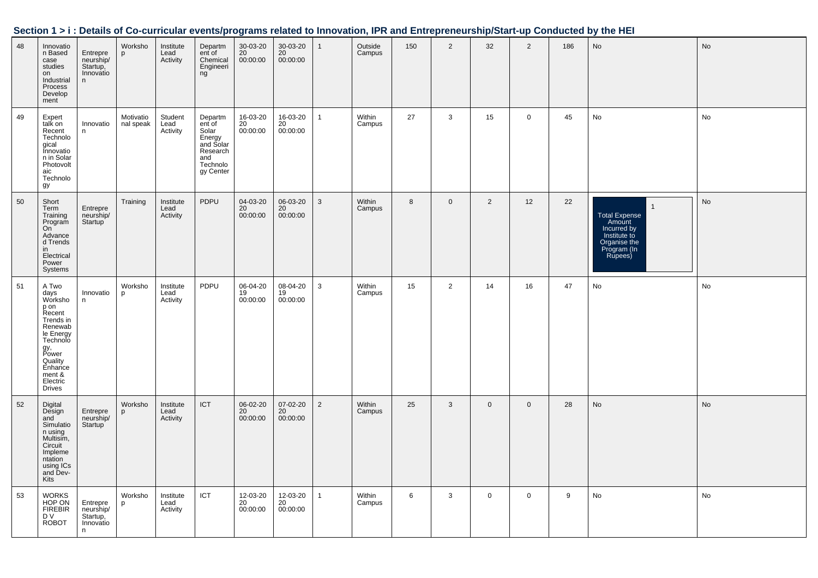| 48 | Innovatio<br>n Based<br>case<br>studies<br>on<br>Industrial<br>Process<br>Develop<br>ment                                                                                | Entrepre<br>neurship/<br>Startup,<br>Innovatio<br>n  | Worksho<br>p           | Institute<br>Lead<br>Activity | Departm<br>ent of<br>Chemical<br>Engineeri<br>ng                                                         | 30-03-20<br>20<br>00:00:00 | 30-03-20<br>20<br>00:00:00              | $\mathbf{1}$   | Outside<br>Campus | 150 | $\overline{2}$ | 32          | 2            | 186 | No                                                                                                                 | No |
|----|--------------------------------------------------------------------------------------------------------------------------------------------------------------------------|------------------------------------------------------|------------------------|-------------------------------|----------------------------------------------------------------------------------------------------------|----------------------------|-----------------------------------------|----------------|-------------------|-----|----------------|-------------|--------------|-----|--------------------------------------------------------------------------------------------------------------------|----|
| 49 | Expert<br>talk on<br>Recent<br>Technolo<br>gical<br>Innovatio<br>n in Solar<br>Photovolt<br>aic<br>Technolo<br>gy                                                        | Innovatio<br>n                                       | Motivatio<br>nal speak | Student<br>Lead<br>Activity   | Departm<br>ent <sup>of</sup><br>Solar<br>Energy<br>and Solar<br>Research<br>and<br>Technolo<br>gy Center | 16-03-20<br>20<br>00:00:00 | 16-03-20<br>20<br>00:00:00              | $\mathbf{1}$   | Within<br>Campus  | 27  | $\mathbf{3}$   | 15          | $\mathbf{0}$ | 45  | No                                                                                                                 | No |
| 50 | Short<br>Term<br>Training<br>Program<br>On<br>Advance<br>d Trends<br>in<br>Electrical<br>Power<br>Systems                                                                | Entrepre<br>neurship/<br>Startup                     | Training               | Institute<br>Lead<br>Activity | PDPU                                                                                                     | 04-03-20<br>20<br>00:00:00 | 06-03-20<br>$20^{\circ}$<br>00:00:00    | $\mathbf{3}$   | Within<br>Campus  | 8   | $\mathbf 0$    | 2           | 12           | 22  | $\overline{1}$<br>Total Expense<br>Amount<br>Incurred by<br>Institute to<br>Organise the<br>Program (In<br>Rupees) | No |
| 51 | A Two<br>days<br>Worksho<br>p on<br>Recent<br>Trends in<br>Renewab<br>le Energy<br>Technolo<br>gy,<br>Power<br>Quality<br>Enhance<br>ment &<br>Electric<br><b>Drives</b> | Innovatio<br>n                                       | Worksho<br>p           | Institute<br>Lead<br>Activity | PDPU                                                                                                     | 06-04-20<br>19<br>00:00:00 | 08-04-20<br>19<br>00:00:00              | $\mathbf{3}$   | Within<br>Campus  | 15  | $\overline{2}$ | 14          | 16           | 47  | No                                                                                                                 | No |
| 52 | Digital<br>Design<br>and<br>Simulatio<br>n using<br>Multisim,<br>Circuit<br>Impleme<br>ntation<br>using ICs<br>and Dev-<br>Kits                                          | Entrepre<br>neurship/<br>Startup                     | Worksho<br>p           | Institute<br>Lead<br>Activity | ICT                                                                                                      | 06-02-20<br>20<br>00:00:00 | 07-02-20<br>20 <sup>2</sup><br>00:00:00 | $\overline{2}$ | Within<br>Campus  | 25  | $\mathbf{3}$   | $\mathbf 0$ | $\mathbf 0$  | 28  | No                                                                                                                 | No |
| 53 | <b>WORKS</b><br>HOP ON<br><b>FIREBIR</b><br>D V<br><b>ROBOT</b>                                                                                                          | Entrepre<br>neurship/<br>Startup,<br>Innovatio<br>n. | Worksho<br>p           | Institute<br>Lead<br>Activity | ICT                                                                                                      | 12-03-20<br>20<br>00:00:00 | 12-03-20<br>20<br>00:00:00              | $\mathbf{1}$   | Within<br>Campus  | 6   | 3              | $\mathbf 0$ | $\mathbf 0$  | 9   | No                                                                                                                 | No |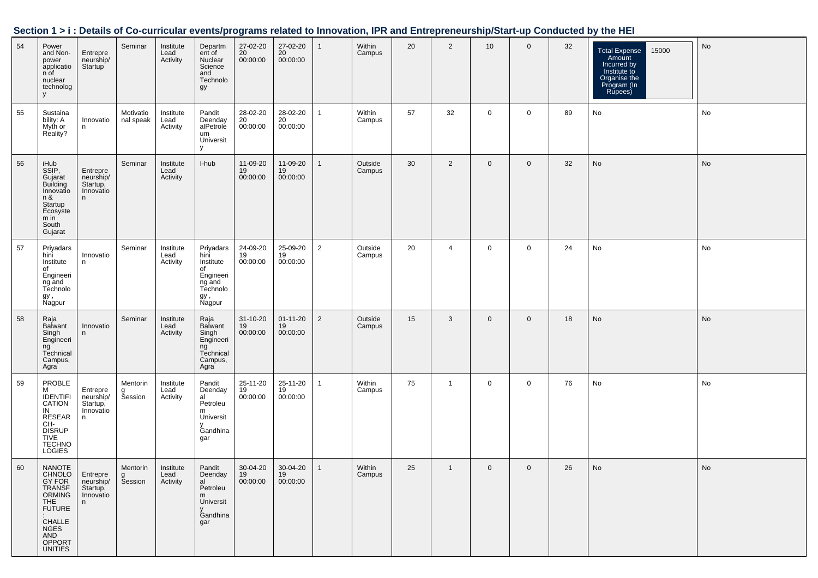| Section 1 > i : Details of Co-curricular events/programs related to Innovation, IPR and Entrepreneurship/Start-up Conducted by the HEI |  |  |
|----------------------------------------------------------------------------------------------------------------------------------------|--|--|
|                                                                                                                                        |  |  |

| 54 | Power<br>and Non-<br>power<br>applicatio<br>n of<br>nuclear<br>technolog<br>y                                                                           | Entrepre<br>neurship/<br>Startup                     | Seminar                  | Institute<br>Lead<br>Activity | Departm<br>ent of<br>Nuclear<br>Science<br>and<br>Technolo<br>gy                          | 27-02-20<br>20<br>00:00:00 | 27-02-20<br>20<br>00:00:00       | $\mathbf{1}$   | Within<br>Campus  | 20 | $\overline{2}$ | 10           | $\mathbf 0$ | 32 | <b>Total Expense</b><br>15000<br>Amount<br>Incurred by<br>Institute to<br>Organise the<br>Program (In<br>Rupees) | No |
|----|---------------------------------------------------------------------------------------------------------------------------------------------------------|------------------------------------------------------|--------------------------|-------------------------------|-------------------------------------------------------------------------------------------|----------------------------|----------------------------------|----------------|-------------------|----|----------------|--------------|-------------|----|------------------------------------------------------------------------------------------------------------------|----|
| 55 | Sustaina<br>bility: A<br>Myth or<br>Reality?                                                                                                            | Innovatio<br>n                                       | Motivatio<br>nal speak   | Institute<br>Lead<br>Activity | Pandit<br>Deenday<br>alPetrole<br>um<br>Universit<br>y                                    | 28-02-20<br>20<br>00:00:00 | 28-02-20<br>20<br>00:00:00       | $\mathbf{1}$   | Within<br>Campus  | 57 | 32             | $\mathbf{0}$ | $\mathbf 0$ | 89 | No                                                                                                               | No |
| 56 | iHub<br>SSIP,<br>Gujarat<br><b>Building</b><br>Innovatio<br>n &<br>Startup<br>Ecosyste<br>m in<br>South<br>Gujarat                                      | Entrepre<br>neurship/<br>Startup,<br>Innovatio<br>n  | Seminar                  | Institute<br>Lead<br>Activity | I-hub                                                                                     | 11-09-20<br>19<br>00:00:00 | 11-09-20<br>19<br>00:00:00       | $\mathbf{1}$   | Outside<br>Campus | 30 | 2              | $\mathbf 0$  | $\mathbf 0$ | 32 | No                                                                                                               | No |
| 57 | Priyadars<br>hini<br>Institute<br>of<br>Engineeri<br>ng and<br>Technolo<br>gy ,<br>Nagpur                                                               | Innovatio<br>n.                                      | Seminar                  | Institute<br>Lead<br>Activity | Priyadars<br>hini<br>Institute<br>of<br>Engineeri<br>ng and<br>Technolo<br>gy ,<br>Nagpur | 24-09-20<br>19<br>00:00:00 | 25-09-20<br>19<br>00:00:00       | $\overline{2}$ | Outside<br>Campus | 20 | $\overline{4}$ | 0            | $\mathbf 0$ | 24 | No                                                                                                               | No |
| 58 | Raja<br>Balwant<br>Singh<br>Engineeri<br>ng<br>Technical<br>Campus,<br>Agra                                                                             | Innovatio<br>n.                                      | Seminar                  | Institute<br>Lead<br>Activity | Raja<br>Balwant<br>Singh<br>Engineeri<br>ng<br>Technical<br>Campus,<br>Agra               | 31-10-20<br>19<br>00:00:00 | $01 - 11 - 20$<br>19<br>00:00:00 | $\overline{2}$ | Outside<br>Campus | 15 | 3              | $\mathbf 0$  | $\mathbf 0$ | 18 | No                                                                                                               | No |
| 59 | PROBLE<br>М<br><b>IDENTIFI</b><br>CATION<br>IN<br>RESEAR<br>CH-<br><b>DISRUP</b><br><b>TIVE</b><br><b>TECHNO</b><br>LOGIES                              | Entrepre<br>neurship/<br>Startup,<br>Innovatio<br>n  | Mentorin<br>g<br>Session | Institute<br>Lead<br>Activity | Pandit<br>Deenday<br>al<br>Petroleu<br>m<br>Universit<br>v<br>Gandhina<br>gar             | 25-11-20<br>19<br>00:00:00 | 25-11-20<br>19<br>00:00:00       | $\mathbf{1}$   | Within<br>Campus  | 75 | $\mathbf{1}$   | 0            | 0           | 76 | No                                                                                                               | No |
| 60 | NANOTE<br><b>CHNOLO</b><br>GY FOR<br>TRANSF<br>ORMING<br><b>THE</b><br><b>FUTURE</b><br>CHALLE<br><b>NGES</b><br>AND<br><b>OPPORT</b><br><b>UNITIES</b> | Entrepre<br>neurship/<br>Startup,<br>Innovatio<br>n. | Mentorin<br>g<br>Session | Institute<br>Lead<br>Activity | Pandit<br>Deenday<br>al<br>Petroleu<br>m<br>Universit<br>$\mathsf{V}$<br>Gandhina<br>gar  | 30-04-20<br>19<br>00:00:00 | 30-04-20<br>19<br>00:00:00       | $\mathbf{1}$   | Within<br>Campus  | 25 | $\overline{1}$ | $\mathbf 0$  | $\mathbf 0$ | 26 | No                                                                                                               | No |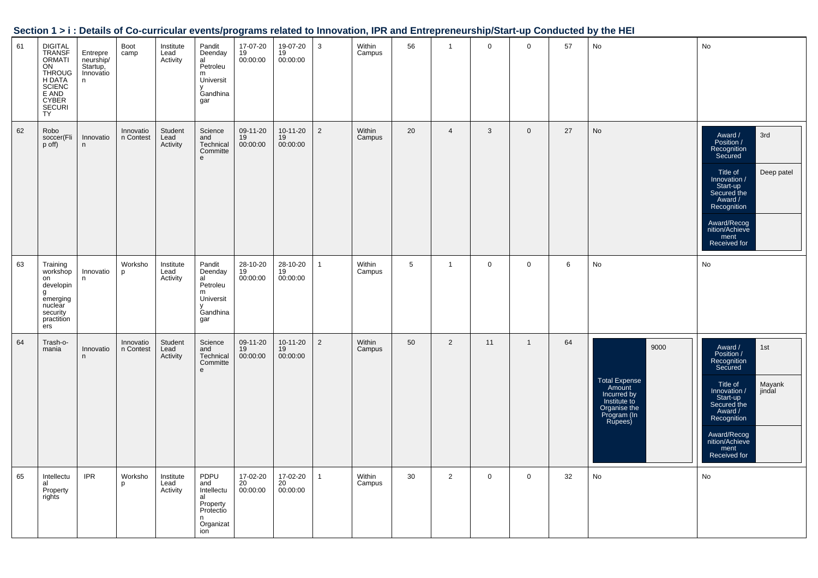| Section 1 > i : Details of Co-curricular events/programs related to Innovation, IPR and Entrepreneurship/Start-up Conducted by the HEI |
|----------------------------------------------------------------------------------------------------------------------------------------|
|----------------------------------------------------------------------------------------------------------------------------------------|

| 61 | <b>DIGITAL</b><br><b>TRANSF</b><br><b>ORMATI</b><br>ON<br><b>THROUG</b><br>H DATA<br><b>SCIENC</b><br>E AND<br>CYBER<br>SECURI<br><b>TY</b> | Entrepre<br>neurship/<br>Startup,<br>Innovatio<br>n | Boot<br>camp           | Institute<br>Lead<br>Activity | Pandit<br>Deenday<br>al<br>Petroleu<br>m<br>Universit<br>v<br>Gandhina<br>gar     | 17-07-20<br>19<br>00:00:00 | 19-07-20<br>19<br>00:00:00 | 3              | Within<br>Campus | 56 | $\mathbf{1}$   | $\mathbf 0$ | $\mathbf 0$    | 57 | No                                                                                                              | No                                                                                                                                                                                                                   |
|----|---------------------------------------------------------------------------------------------------------------------------------------------|-----------------------------------------------------|------------------------|-------------------------------|-----------------------------------------------------------------------------------|----------------------------|----------------------------|----------------|------------------|----|----------------|-------------|----------------|----|-----------------------------------------------------------------------------------------------------------------|----------------------------------------------------------------------------------------------------------------------------------------------------------------------------------------------------------------------|
| 62 | Robo<br>soccer(Fli<br>p off)                                                                                                                | Innovatio<br>n                                      | Innovatio<br>n Contest | Student<br>Lead<br>Activity   | Science<br>and<br>Technical<br>Committe<br>e                                      | 09-11-20<br>19<br>00:00:00 | 10-11-20<br>19<br>00:00:00 | $\overline{2}$ | Within<br>Campus | 20 | $\overline{4}$ | 3           | $\mathbf 0$    | 27 | No                                                                                                              | 3rd<br>Award /<br>Position /<br>Recognition<br>Secured<br>Deep patel<br>Title of<br>Innovation /<br>Start-up<br>Secured the<br>Award /<br>Recognition<br>Award/Recog<br>nition/Achieve<br>ment<br>Received for       |
| 63 | Training<br>workshop<br>on<br>developin<br>g<br>emerging<br>nuclear<br>security<br>practition<br>ers                                        | Innovatio<br>n                                      | Worksho<br>p           | Institute<br>Lead<br>Activity | Pandit<br>Deenday<br>al<br>Petroleu<br>m<br>Universit<br>y<br>Gandhina<br>gar     | 28-10-20<br>19<br>00:00:00 | 28-10-20<br>19<br>00:00:00 | $\mathbf{1}$   | Within<br>Campus | 5  | $\mathbf{1}$   | $\mathbf 0$ | $\mathbf 0$    | 6  | No                                                                                                              | No                                                                                                                                                                                                                   |
| 64 | Trash-o-<br>mania                                                                                                                           | Innovatio<br>n.                                     | Innovatio<br>n Contest | Student<br>Lead<br>Activity   | Science<br>and<br>Technical<br>Committe<br>e                                      | 09-11-20<br>19<br>00:00:00 | 10-11-20<br>19<br>00:00:00 | $\overline{2}$ | Within<br>Campus | 50 | $\overline{2}$ | 11          | $\overline{1}$ | 64 | 9000<br><b>Total Expense</b><br>Amount<br>Incurred by<br>Institute to<br>Organise the<br>Program (In<br>Rupees) | Award /<br>1st<br>Position /<br>Recognition<br>Secured<br>Mayank<br>Title of<br>jindal<br>Innovation /<br>Start-up<br>Secured the<br>Award /<br>Recognition<br>Award/Recog<br>nition/Achieve<br>ment<br>Received for |
| 65 | Intellectu<br>al<br>Property<br>rights                                                                                                      | <b>IPR</b>                                          | Worksho<br>p           | Institute<br>Lead<br>Activity | PDPU<br>and<br>Intellectu<br>al<br>Property<br>Protectio<br>n<br>Organizat<br>ion | 17-02-20<br>20<br>00:00:00 | 17-02-20<br>20<br>00:00:00 | $\mathbf{1}$   | Within<br>Campus | 30 | $\overline{2}$ | $\mathbf 0$ | $\mathbf 0$    | 32 | No                                                                                                              | No                                                                                                                                                                                                                   |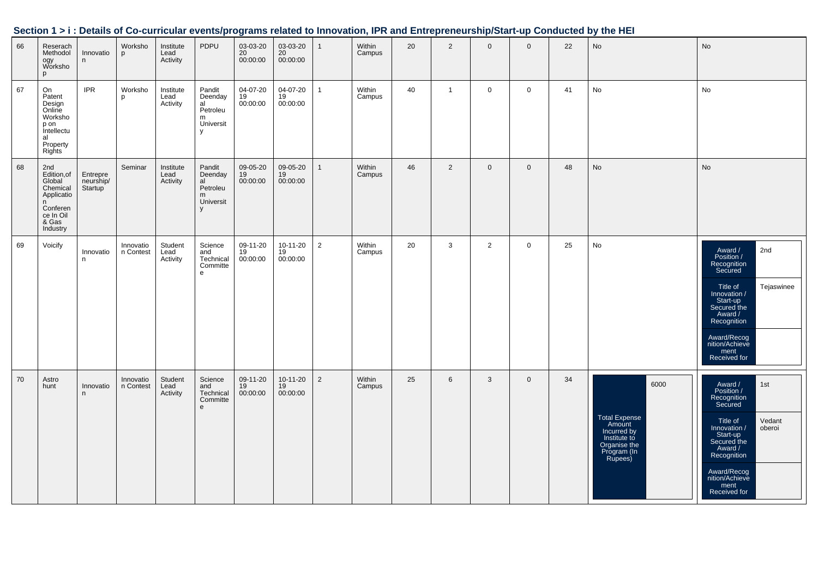| 66 | Reserach<br>Methodol<br>ogy<br>Worksho<br>p                                                              | Innovatio<br>n                   | Worksho<br><b>p</b>    | Institute<br>Lead<br>Activity | PDPU                                                       | 03-03-20<br>20<br>00:00:00 | 03-03-20<br>20<br>00:00:00 | $\mathbf{1}$   | Within<br>Campus | 20 | 2              | $\mathbf{0}$   | $\mathbf{0}$ | 22 | <b>No</b>                                                                                                | No                                                                                                                                                                                                                   |
|----|----------------------------------------------------------------------------------------------------------|----------------------------------|------------------------|-------------------------------|------------------------------------------------------------|----------------------------|----------------------------|----------------|------------------|----|----------------|----------------|--------------|----|----------------------------------------------------------------------------------------------------------|----------------------------------------------------------------------------------------------------------------------------------------------------------------------------------------------------------------------|
| 67 | On<br>Patent<br>Design<br>Online<br>Worksho<br>p on<br>Intellectu<br>al<br>Property<br><b>Rights</b>     | <b>IPR</b>                       | Worksho<br>p           | Institute<br>Lead<br>Activity | Pandit<br>Deenday<br>al<br>Petroleu<br>m<br>Universit<br>y | 04-07-20<br>19<br>00:00:00 | 04-07-20<br>19<br>00:00:00 | $\mathbf{1}$   | Within<br>Campus | 40 | $\overline{1}$ | $\mathbf 0$    | $\mathbf 0$  | 41 | No                                                                                                       | No                                                                                                                                                                                                                   |
| 68 | 2nd<br>Edition,of<br>Global<br>Chemical<br>Applicatio<br>n<br>Conferen<br>ce In Oil<br>& Gas<br>Industry | Entrepre<br>neurship/<br>Startup | Seminar                | Institute<br>Lead<br>Activity | Pandit<br>Deenday<br>al<br>Petroleu<br>m<br>Universit<br>V | 09-05-20<br>19<br>00:00:00 | 09-05-20<br>19<br>00:00:00 | $\mathbf{1}$   | Within<br>Campus | 46 | 2              | $\mathbf{0}$   | $\mathbf 0$  | 48 | <b>No</b>                                                                                                | No                                                                                                                                                                                                                   |
| 69 | Voicify                                                                                                  | Innovatio<br>n                   | Innovatio<br>n Contest | Student<br>Lead<br>Activity   | Science<br>and<br>Technical<br>Committe<br>e               | 09-11-20<br>19<br>00:00:00 | 10-11-20<br>19<br>00:00:00 | 2              | Within<br>Campus | 20 | 3              | $\overline{2}$ | $\mathbf 0$  | 25 | No                                                                                                       | Award /<br>Position /<br>2nd<br>Recognition<br>Secured<br>Title of<br>Tejaswinee<br>Innovation /<br>Start-up<br>Secured the<br>Award /<br>Recognition<br>Award/Recog<br>nition/Achieve<br>ment<br>Received for       |
| 70 | Astro<br>hunt                                                                                            | Innovatio<br>n.                  | Innovatio<br>n Contest | Student<br>Lead<br>Activity   | Science<br>and<br>Technical<br>Committe<br>$\mathsf{e}\,$  | 09-11-20<br>19<br>00:00:00 | 10-11-20<br>19<br>00:00:00 | $\overline{2}$ | Within<br>Campus | 25 | $6\phantom{.}$ | 3              | $\mathbf 0$  | 34 | 6000<br>Total Expense<br>Amount<br>Incurred by<br>Institute to<br>Organise the<br>Program (In<br>Rupees) | Award /<br>Position /<br>1st<br>Recognition<br>Secured<br>Title of<br>Innovation /<br>Start-up<br>Secured the<br>Vedant<br>oberoi<br>Award /<br>Recognition<br>Award/Recog<br>nition/Achieve<br>ment<br>Received for |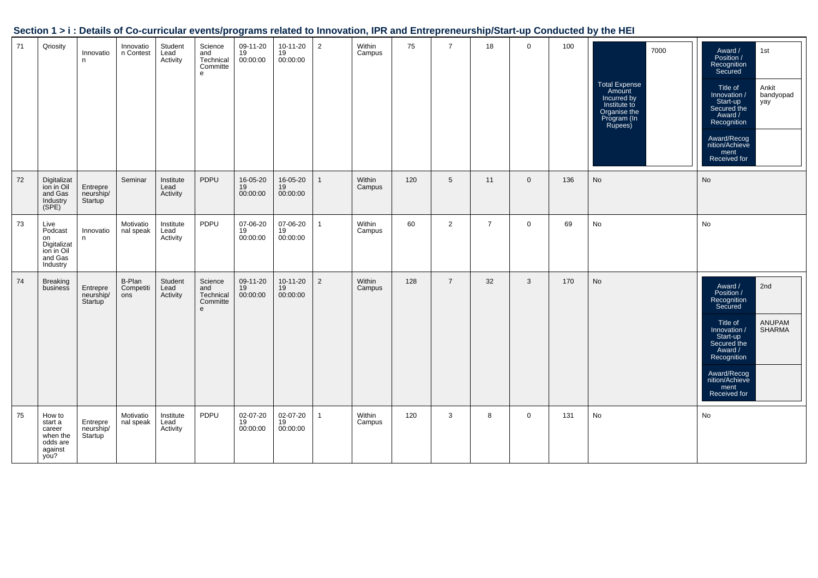|    |                                                                           |                                               |                            |                               |                                              |                            |                                  |                |                  |     |                 |                |              |     | Section 1 > i : Details of Co-curricular events/programs related to Innovation, IPR and Entrepreneurship/Start-up Conducted by the HEI |                                                                                                                                                                                                                               |
|----|---------------------------------------------------------------------------|-----------------------------------------------|----------------------------|-------------------------------|----------------------------------------------|----------------------------|----------------------------------|----------------|------------------|-----|-----------------|----------------|--------------|-----|----------------------------------------------------------------------------------------------------------------------------------------|-------------------------------------------------------------------------------------------------------------------------------------------------------------------------------------------------------------------------------|
| 71 | Qriosity                                                                  | Innovatio<br>n.                               | Innovatio<br>n Contest     | Student<br>Lead<br>Activity   | Science<br>and<br>Technical<br>Committe<br>e | 09-11-20<br>19<br>00:00:00 | 10-11-20<br>19<br>00:00:00       | $\overline{2}$ | Within<br>Campus | 75  | $\overline{7}$  | 18             | $\mathbf 0$  | 100 | 7000<br>Total Expense<br>Amount<br>Incurred by<br>Institute to<br>Organise the<br>Program (In<br>Rupees)                               | Award /<br>Position /<br>Recognition<br>Secured<br>1st<br>Title of<br>Innovation /<br>Start-up<br>Secured the<br>Ankit<br>bandyopad<br>yay<br>Award /<br>Recognition<br>Award/Recog<br>nition/Achieve<br>ment<br>Received for |
| 72 | Digitalizat<br>ion in Oil<br>and Gas<br>Industry<br>(SPE)                 | Entrepre<br>neurship/<br>Startup <sup>'</sup> | Seminar                    | Institute<br>Lead<br>Activity | PDPU                                         | 16-05-20<br>19<br>00:00:00 | 16-05-20<br>19<br>00:00:00       | 1              | Within<br>Campus | 120 | $5\overline{)}$ | 11             | $\mathbf{0}$ | 136 | <b>No</b>                                                                                                                              | <b>No</b>                                                                                                                                                                                                                     |
| 73 | Live<br>Podcast<br>on<br>Digitalizat<br>ion in Oil<br>and Gas<br>Industry | Innovatio<br>n                                | Motivatio<br>nal speak     | Institute<br>Lead<br>Activity | PDPU                                         | 07-06-20<br>19<br>00:00:00 | 07-06-20<br>19<br>00:00:00       | $\mathbf{1}$   | Within<br>Campus | 60  | $\overline{2}$  | $\overline{7}$ | $\mathbf 0$  | 69  | No                                                                                                                                     | No                                                                                                                                                                                                                            |
| 74 | <b>Breaking</b><br>business                                               | Entrepre<br>neurship/<br>Startup              | B-Plan<br>Competiti<br>ons | Student<br>Lead<br>Activity   | Science<br>and<br>Technical<br>Committe<br>e | 09-11-20<br>19<br>00:00:00 | $10 - 11 - 20$<br>19<br>00:00:00 | $\overline{2}$ | Within<br>Campus | 128 | $\overline{7}$  | 32             | 3            | 170 | No                                                                                                                                     | 2nd<br>Award /<br>Position /<br>Recognition<br>Secured<br>ANUPAM<br>SHARMA<br>Title of<br>/ Innovation<br>Start-up<br>Secured the<br>Award /<br>Recognition<br>Award/Recog<br>nition/Achieve<br>ment<br>Received for          |
| 75 | How to<br>start a<br>career<br>when the<br>odds are<br>against<br>you?    | Entrepre<br>neurship/<br>Startup              | Motivatio<br>nal speak     | Institute<br>Lead<br>Activity | PDPU                                         | 02-07-20<br>19<br>00:00:00 | 02-07-20<br>$19$<br>00:00:00     | 1              | Within<br>Campus | 120 | 3               | 8              | $\mathbf 0$  | 131 | No                                                                                                                                     | No                                                                                                                                                                                                                            |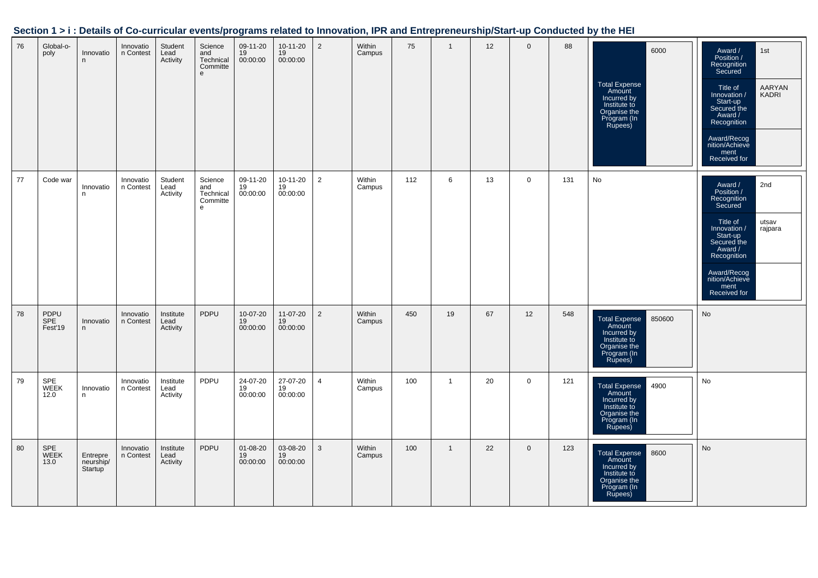| 76 | Global-o-<br>poly      | Innovatio<br>n                   | Innovatio<br>n Contest | Student<br>Lead<br>Activity   | Science<br>and<br>Technical<br>Committe<br>e              | 09-11-20<br>19<br>00:00:00 | 10-11-20<br>19<br>00:00:00 | $\overline{2}$ | Within<br>Campus | 75  | $\mathbf{1}$ | 12 | $\mathbf 0$ | 88  | 6000<br><b>Total Expense</b><br>Amount<br>Incurred by<br>Institute to<br>Organise the<br>Program (In<br>Rupees) | Award /<br>1st<br>Recognition<br>Secured<br>AARYAN<br>Title of<br>KADRI<br>Innovation /<br>Start-up<br>Secured the<br>Award /<br>Recognition<br>Award/Recog<br>nition/Achieve<br>ment<br>Received for                |
|----|------------------------|----------------------------------|------------------------|-------------------------------|-----------------------------------------------------------|----------------------------|----------------------------|----------------|------------------|-----|--------------|----|-------------|-----|-----------------------------------------------------------------------------------------------------------------|----------------------------------------------------------------------------------------------------------------------------------------------------------------------------------------------------------------------|
| 77 | Code war               | Innovatio<br>n                   | Innovatio<br>n Contest | Student<br>Lead<br>Activity   | Science<br>and<br>Technical<br>Committe<br>$\mathsf{e}\,$ | 09-11-20<br>19<br>00:00:00 | 10-11-20<br>19<br>00:00:00 | $\overline{2}$ | Within<br>Campus | 112 | 6            | 13 | $\mathbf 0$ | 131 | No                                                                                                              | 2nd<br>Award /<br>Position /<br>Recognition<br>Secured<br>Title of<br>utsav<br>Innovation /<br>rajpara<br>Start-up<br>Secured the<br>Award /<br>Recognition<br>Award/Recog<br>nition/Achieve<br>ment<br>Received for |
| 78 | PDPU<br>SPE<br>Fest'19 | Innovatio<br>n                   | Innovatio<br>n Contest | Institute<br>Lead<br>Activity | PDPU                                                      | 10-07-20<br>19<br>00:00:00 | 11-07-20<br>19<br>00:00:00 | $\overline{2}$ | Within<br>Campus | 450 | 19           | 67 | 12          | 548 | Total Expense<br>Amount<br>850600<br>Incurred by<br>Institute to<br>Organise the<br>Program (In<br>Rupees)      | No                                                                                                                                                                                                                   |
| 79 | SPE<br>WEEK<br>12.0    | Innovatio<br>n.                  | Innovatio<br>n Contest | Institute<br>Lead<br>Activity | PDPU                                                      | 24-07-20<br>19<br>00:00:00 | 27-07-20<br>19<br>00:00:00 | $\overline{4}$ | Within<br>Campus | 100 | $\mathbf{1}$ | 20 | $\mathbf 0$ | 121 | 4900<br><b>Total Expense</b><br>Amount<br>Incurred by<br>Institute to<br>Organise the<br>Program (In<br>Rupees) | No                                                                                                                                                                                                                   |
| 80 | SPE<br>WEEK<br>13.0    | Entrepre<br>neurship/<br>Startup | Innovatio<br>n Contest | Institute<br>Lead<br>Activity | PDPU                                                      | 01-08-20<br>19<br>00:00:00 | 03-08-20<br>19<br>00:00:00 | 3              | Within<br>Campus | 100 | $\mathbf{1}$ | 22 | $\mathbf 0$ | 123 | <b>Total Expense</b><br>8600<br>Amount<br>Incurred by<br>Institute to<br>Organise the<br>Program (In<br>Rupees) | No                                                                                                                                                                                                                   |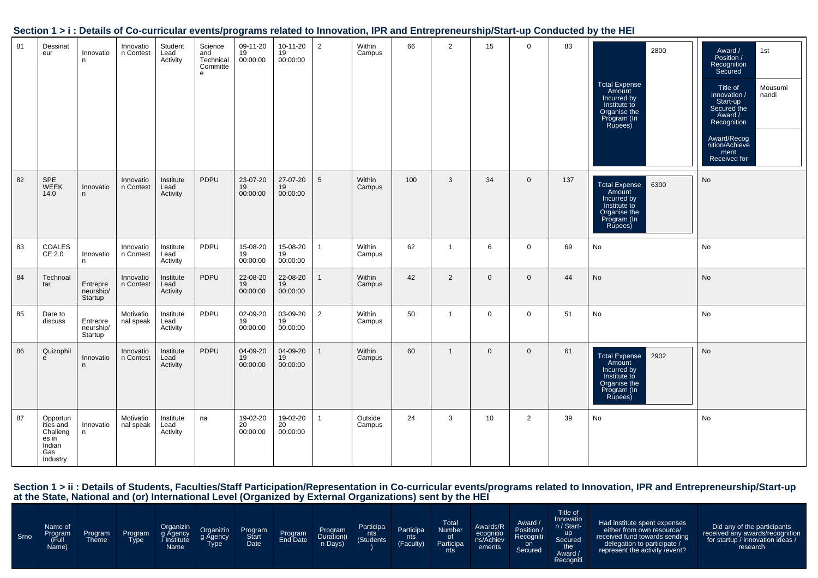|    |                                                                         |                                  |                        |                               |                                              | $\tilde{\phantom{a}}$      |                            |                 |                   |     |                |              |                |     |                                                                                                                 |                                                                                                                                                                                                                      |
|----|-------------------------------------------------------------------------|----------------------------------|------------------------|-------------------------------|----------------------------------------------|----------------------------|----------------------------|-----------------|-------------------|-----|----------------|--------------|----------------|-----|-----------------------------------------------------------------------------------------------------------------|----------------------------------------------------------------------------------------------------------------------------------------------------------------------------------------------------------------------|
| 81 | Dessinat<br>eur                                                         | Innovatio<br>n.                  | Innovatio<br>n Contest | Student<br>Lead<br>Activity   | Science<br>and<br>Technical<br>Committe<br>e | 09-11-20<br>19<br>00:00:00 | 10-11-20<br>19<br>00:00:00 | $\overline{2}$  | Within<br>Campus  | 66  | $\overline{2}$ | 15           | $\mathsf{O}$   | 83  | 2800<br>Total Expense<br>Amount<br>Incurred by<br>Institute to<br>Organise the<br>Program (In<br>Rupees)        | Award /<br>Position /<br>1st<br>Recognition<br>Secured<br>Mousumi<br>Title of<br>Innovation /<br>nandi<br>Start-up<br>Secured the<br>Award /<br>Recognition<br>Award/Recog<br>nition/Achieve<br>ment<br>Received for |
| 82 | SPE<br>WEEK<br>14.0                                                     | Innovatio<br>n.                  | Innovatio<br>n Contest | Institute<br>Lead<br>Activity | PDPU                                         | 23-07-20<br>19<br>00:00:00 | 27-07-20<br>19<br>00:00:00 | $5\overline{)}$ | Within<br>Campus  | 100 | 3              | 34           | $\mathbf 0$    | 137 | 6300<br>Total Expense<br>Amount<br>Incurred by<br>Institute to<br>Organise the<br>Program (In<br>Rupees)        | <b>No</b>                                                                                                                                                                                                            |
| 83 | <b>COALES</b><br>CE 2.0                                                 | Innovatio<br>n                   | Innovatio<br>n Contest | Institute<br>Lead<br>Activity | PDPU                                         | 15-08-20<br>19<br>00:00:00 | 15-08-20<br>19<br>00:00:00 | 1               | Within<br>Campus  | 62  | $\overline{1}$ | 6            | $\mathbf 0$    | 69  | No                                                                                                              | No                                                                                                                                                                                                                   |
| 84 | Technoal<br>tar                                                         | Entrepre<br>neurship/<br>Startup | Innovatio<br>n Contest | Institute<br>Lead<br>Activity | PDPU                                         | 22-08-20<br>19<br>00:00:00 | 22-08-20<br>19<br>00:00:00 |                 | Within<br>Campus  | 42  | 2              | $\Omega$     | $\mathbf 0$    | 44  | No                                                                                                              | <b>No</b>                                                                                                                                                                                                            |
| 85 | Dare to<br>discuss                                                      | Entrepre<br>neurship/<br>Startup | Motivatio<br>nal speak | Institute<br>Lead<br>Activity | PDPU                                         | 02-09-20<br>19<br>00:00:00 | 03-09-20<br>19<br>00:00:00 | 2               | Within<br>Campus  | 50  | $\overline{1}$ | $\Omega$     | $\mathbf 0$    | 51  | <b>No</b>                                                                                                       | No                                                                                                                                                                                                                   |
| 86 | Quizophil<br>e                                                          | Innovatio<br>n.                  | Innovatio<br>n Contest | Institute<br>Lead<br>Activity | PDPU                                         | 04-09-20<br>19<br>00:00:00 | 04-09-20<br>19<br>00:00:00 |                 | Within<br>Campus  | 60  | $\overline{1}$ | $\mathbf{0}$ | $\mathbf 0$    | 61  | 2902<br><b>Total Expense</b><br>Amount<br>Incurred by<br>Institute to<br>Organise the<br>Program (In<br>Rupees) | <b>No</b>                                                                                                                                                                                                            |
| 87 | Opportun<br>ities and<br>Challeng<br>es in<br>Indian<br>Gas<br>Industry | Innovatio<br>n.                  | Motivatio<br>nal speak | Institute<br>Lead<br>Activity | na                                           | 19-02-20<br>20<br>00:00:00 | 19-02-20<br>20<br>00:00:00 | 1               | Outside<br>Campus | 24  | 3              | 10           | $\overline{2}$ | 39  | No                                                                                                              | No.                                                                                                                                                                                                                  |

| Srno | Name of<br><b>Program</b><br>(Full<br>Name) | Program<br><b>Theme</b> | Program<br>Гуре | <b>Organizin</b><br>g Agency<br>Institute<br>Name | <b>Organizin</b><br>g Agency<br>Туре | Program<br><b>Start</b><br>Date | Program | Program<br>Duration(i<br>n Days) | Participa<br>nts<br>(Students) | Participa<br>nts  <br>(Faculty) | <b>Total</b><br>Number<br>∣ of '<br>Participa<br>nts | Awards/R<br>ecognitio<br>ns/Achiev<br>ements | Award /<br>Position /<br>Recogniti<br>on<br>Secured | <b>Title of</b><br>Innovatio<br>n / Start-<br><b>up</b><br>Secured<br>the<br>Award /<br>Recogniti | Had institute spent expenses<br>either from own resource/<br>received fund towards sending<br>delegation to participate /<br>represent the activity / event? | Did any of the participants<br>received any awards/recognition<br>for startup / innovation ideas /<br>research |
|------|---------------------------------------------|-------------------------|-----------------|---------------------------------------------------|--------------------------------------|---------------------------------|---------|----------------------------------|--------------------------------|---------------------------------|------------------------------------------------------|----------------------------------------------|-----------------------------------------------------|---------------------------------------------------------------------------------------------------|--------------------------------------------------------------------------------------------------------------------------------------------------------------|----------------------------------------------------------------------------------------------------------------|
|------|---------------------------------------------|-------------------------|-----------------|---------------------------------------------------|--------------------------------------|---------------------------------|---------|----------------------------------|--------------------------------|---------------------------------|------------------------------------------------------|----------------------------------------------|-----------------------------------------------------|---------------------------------------------------------------------------------------------------|--------------------------------------------------------------------------------------------------------------------------------------------------------------|----------------------------------------------------------------------------------------------------------------|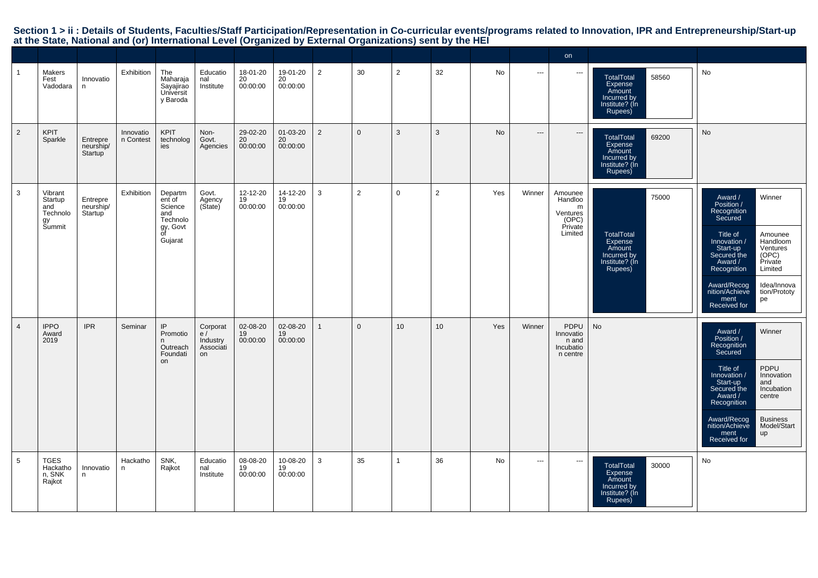|                |                                                       |                                  |                        |                                                                              |                                               |                            |                            |                |                |                |                 |     |          | on                                                                 |                                                                                             |                                                                                                                                                                                                                                                                                                            |
|----------------|-------------------------------------------------------|----------------------------------|------------------------|------------------------------------------------------------------------------|-----------------------------------------------|----------------------------|----------------------------|----------------|----------------|----------------|-----------------|-----|----------|--------------------------------------------------------------------|---------------------------------------------------------------------------------------------|------------------------------------------------------------------------------------------------------------------------------------------------------------------------------------------------------------------------------------------------------------------------------------------------------------|
| $\mathbf{1}$   | Makers<br>Fest<br>Vadodara                            | Innovatio<br>n                   | Exhibition             | The<br>Maharaja<br>Sayajirao<br>Universit<br>y Baroda                        | Educatio<br>nal<br>Institute                  | 18-01-20<br>20<br>00:00:00 | 19-01-20<br>20<br>00:00:00 | $\overline{2}$ | 30             | $\overline{2}$ | 32              | No  | $\cdots$ | $\sim$                                                             | TotalTotal<br>58560<br><b>Expense</b><br>Amount<br>Incurred by<br>Institute? (In<br>Rupees) | No                                                                                                                                                                                                                                                                                                         |
| $\overline{2}$ | <b>KPIT</b><br>Sparkle                                | Entrepre<br>neurship/<br>Startup | Innovatio<br>n Contest | <b>KPIT</b><br>technolog<br>ies                                              | Non-<br>Govt.<br>Agencies                     | 29-02-20<br>20<br>00:00:00 | 01-03-20<br>20<br>00:00:00 | $\overline{2}$ | $\mathbf{0}$   | 3              | $\mathbf{3}$    | No  | $\cdots$ | $---$                                                              | 69200<br>TotalTotal<br>Expense<br>Amount<br>Incurred by<br>Institute? (In<br>Rupees)        | No                                                                                                                                                                                                                                                                                                         |
| 3              | Vibrant<br>Startup<br>and<br>Technolo<br>gy<br>Summit | Entrepre<br>neurship/<br>Startup | Exhibition             | Departm<br>ent of<br>Science<br>and<br>Technolo<br>gy, Govt<br>ōf<br>Gujarat | Govt.<br>Agency<br>(Sitate)                   | 12-12-20<br>19<br>00:00:00 | 14-12-20<br>19<br>00:00:00 | $\mathbf{3}$   | $\overline{2}$ | $\mathbf{0}$   | $\overline{2}$  | Yes | Winner   | Amounee<br>Handloo<br>m<br>Ventures<br>(OPC)<br>Private<br>Limited | 75000<br>TotalTotal<br>Expense<br>Amount<br>Incurred by<br>Institute? (In<br>Rupees)        | Winner<br>Award /<br>Position /<br>Recognition<br>Secured<br>Title of<br>Amounee<br>Innovation /<br>Handloom<br>Start-up<br>Secured the<br>Ventures<br>(OPC)<br>Private<br>Award /<br>Recognition<br>Limited<br>Award/Recog<br>Idea/Innova<br>nition/Achieve<br>tion/Prototy<br>ment<br>pe<br>Received for |
| $\overline{4}$ | <b>IPPO</b><br>Award<br>2019                          | <b>IPR</b>                       | Seminar                | IP<br>Promotio<br>Outreach<br>Foundati<br>on                                 | Corporat<br>e/<br>Industry<br>Associati<br>on | 02-08-20<br>19<br>00:00:00 | 02-08-20<br>19<br>00:00:00 | $\overline{1}$ | $\mathbf{0}$   | 10             | 10 <sup>1</sup> | Yes | Winner   | PDPU<br>Innovatio<br>n and<br>Incubatio<br>n centre                | <b>No</b>                                                                                   | Winner<br>Award /<br>Position /<br>Recognition<br>Secured<br>PDPU<br>Title of<br>Innovation /<br>Innovation<br>Start-up<br>and<br>Secured the<br>Incubation<br>Award /<br>centre<br>Recognition<br><b>Business</b><br>Award/Recog<br>nition/Achieve<br>Model/Start<br>ment<br>up<br>Received for           |
| 5              | <b>TGES</b><br>Hackatho<br>n, SNK<br>Rajkot           | Innovatio<br>n.                  | Hackatho<br>n          | SNK,<br>Rajkot                                                               | Educatio<br>nal<br>Institute                  | 08-08-20<br>19<br>00:00:00 | 10-08-20<br>19<br>00:00:00 | 3              | 35             | 1              | 36              | No  | $\cdots$ | $\cdots$                                                           | TotalTotal<br>30000<br>Expense<br>Amount<br>Incurred by<br>Institute? (Ín<br>Rupees)        | No                                                                                                                                                                                                                                                                                                         |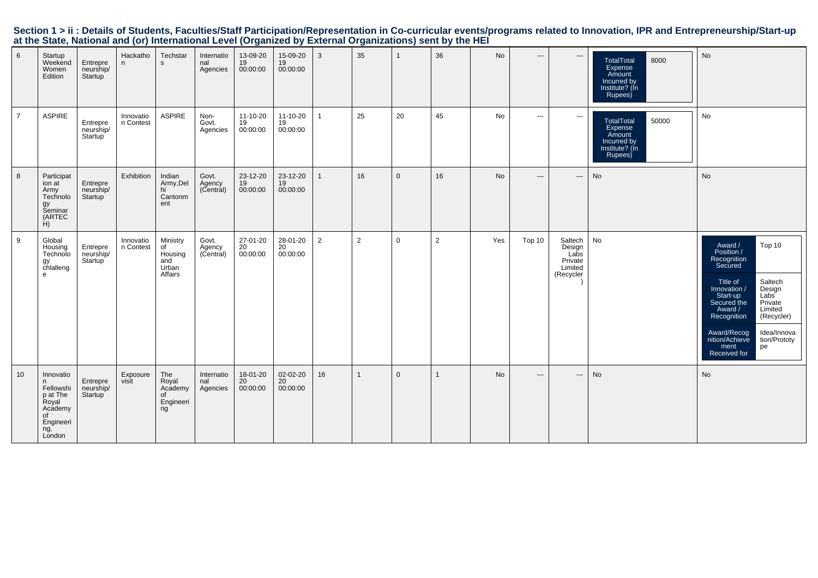|                 |                                                                                              |                                               |                        |                                                      |                               |                              |                              | at the State, National and for) international Level (Organized by External Organizations) Sent by the HET |                |              |                |           |                          |                                                              |                                                                                      |                                                                                                                                                                                                                                                                                                           |
|-----------------|----------------------------------------------------------------------------------------------|-----------------------------------------------|------------------------|------------------------------------------------------|-------------------------------|------------------------------|------------------------------|-----------------------------------------------------------------------------------------------------------|----------------|--------------|----------------|-----------|--------------------------|--------------------------------------------------------------|--------------------------------------------------------------------------------------|-----------------------------------------------------------------------------------------------------------------------------------------------------------------------------------------------------------------------------------------------------------------------------------------------------------|
| $6\phantom{.}$  | Startup<br>Weekend<br>Women<br>Edition                                                       | Entrepre<br>neurship/<br>Startup              | Hackatho<br>n          | Techstar<br>$\mathbf{s}$                             | Internatio<br>nal<br>Agencies | 13-09-20<br>$19$<br>00:00:00 | 15-09-20<br>$19$<br>00:00:00 | $\mathbf{3}$                                                                                              | 35             | $\mathbf{1}$ | 36             | <b>No</b> | $\hspace{0.05cm} \cdots$ | $\hspace{0.05cm} \cdots$                                     | TotalTotal<br>8000<br>Expense<br>Amount<br>Incurred by<br>Institute? (In<br>Rupees)  | No                                                                                                                                                                                                                                                                                                        |
| $\overline{7}$  | ASPIRE                                                                                       | Entrepre<br>neurship/<br>Startup              | Innovatio<br>n Contest | ASPIRE                                               | Non-<br>Govt.<br>Agencies     | 11-10-20<br>$19$<br>00:00:00 | 11-10-20<br>19<br>00:00:00   | $\mathbf{1}$                                                                                              | 25             | 20           | 45             | No        | $\sim$ $\sim$ $\sim$     | $\cdots$                                                     | 50000<br>TotalTotal<br>Expense<br>Amount<br>Incurred by<br>Institute? (In<br>Rupees) | No                                                                                                                                                                                                                                                                                                        |
| 8               | Participat<br>ion at<br>Army<br>Technolo<br>gy<br>Seminar<br>(ARTEC<br>H)                    | Entrepre<br>neurship/<br>Startup <sup>'</sup> | Exhibition             | Indian<br>Army,Del<br>hi<br>Cantonm<br>ent           | Govt.<br>Agency<br>(Central)  | 23-12-20<br>19<br>00:00:00   | $23-12-20$<br>19<br>00:00:00 | $\mathbf{1}$                                                                                              | 16             | $\mathbf{0}$ | 16             | No        | $\qquad \qquad \cdots$   | $\hspace{0.05cm} \cdots$                                     | No                                                                                   | No                                                                                                                                                                                                                                                                                                        |
| 9               | Global<br>Housing<br>Technolo<br>gy<br>chlalleng<br>e                                        | Entrepre<br>neurship/<br>Startup <sup>'</sup> | Innovatio<br>n Contest | Ministry<br>of<br>Housing<br>and<br>Urban<br>Affairs | Govt.<br>Agency<br>(Central)  | 27-01-20<br>20<br>00:00:00   | 28-01-20<br>20<br>00:00:00   | $\overline{2}$                                                                                            | $\overline{2}$ | $\mathbf 0$  | $\overline{2}$ | Yes       | Top 10                   | Saltech<br>Design<br>Labs<br>Private<br>Limited<br>(Recycler | No                                                                                   | Top 10<br>Award /<br>Position /<br>Recognition<br>Secured<br>Saltech<br>Design<br>Labs<br>Private<br>Limited<br>Title of<br>/ Innovation<br>Start-up<br>Secured the<br>Award /<br>(Recycler)<br>Recognition<br>Idea/Innova<br>Award/Recog<br>nition/Achieve<br>tion/Prototy<br>ment<br>Received for<br>pe |
| 10 <sup>°</sup> | Innovatio<br>Fellowshi<br>p at The<br>Royal<br>Academy<br>of<br>Engineeri<br>ng, ̃<br>London | Entrepre<br>neurship/<br>Startup              | Exposure<br>visit      | The<br>Royal<br>Academy<br>0f<br>Engineeri<br>ng     | Internatio<br>nal<br>Agencies | 18-01-20<br>20<br>00:00:00   | 02-02-20<br>20<br>00:00:00   | 16                                                                                                        | $\mathbf{1}$   | $\mathbf{0}$ | $\mathbf{1}$   | No        | $---$                    | $\hspace{0.05cm} \ldots$                                     | No                                                                                   | No                                                                                                                                                                                                                                                                                                        |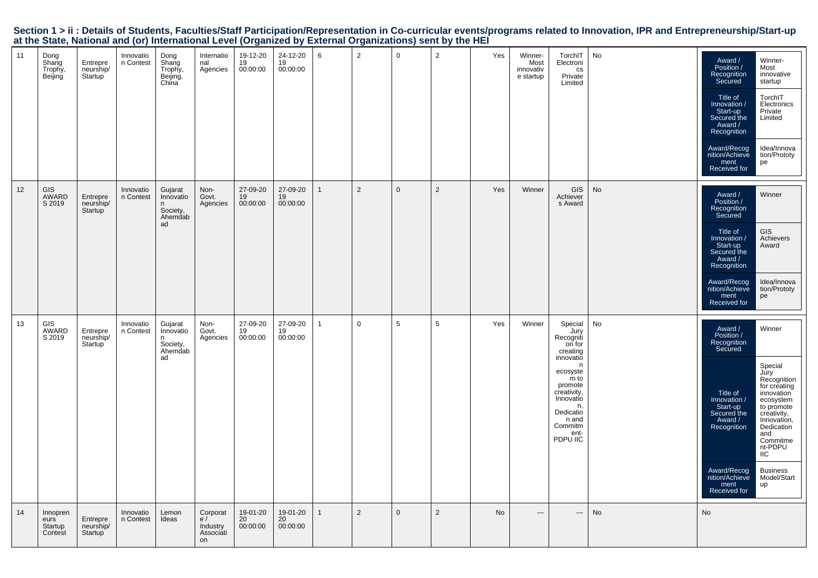|  |                                                                                                           |  |  | Section 1 > ii : Details of Students, Faculties/Staff Participation/Representation in Co-curricular events/programs related to Innovation, IPR and Entrepreneurship/Start-up |  |
|--|-----------------------------------------------------------------------------------------------------------|--|--|------------------------------------------------------------------------------------------------------------------------------------------------------------------------------|--|
|  | at the State, National and (or) International Level (Organized by External Organizations) sent by the HEI |  |  |                                                                                                                                                                              |  |

| 11 | Dong<br>Shang<br>Trophy,<br>Beijing    | Entrepre<br>neurship/<br>Startup              | Innovatio<br>n Contest | Dong<br>Shang<br>Trophy,<br>Beijing,<br>China          | Internatio<br>nal<br>Agencies                 | 19-12-20<br>19<br>00:00:00 | 24-12-20<br>19<br>00:00:00 | 6              | 2              | $\mathbf 0$  | $\overline{2}$ | Yes | Winner-<br>Most<br>innovativ<br>e startup | TorchIT<br>Electroni<br>CS<br>Private<br>Limited                                                                                                                                           | No        | Award /<br>Position /<br>Recognition<br>Secured<br>Title of<br>Innovation /<br>Start-up<br>Secured the<br>Award /<br>Recognition<br>Award/Recog<br>nition/Achieve<br>ment<br>Received for | Winner-<br>Most<br>innovative<br>startup<br>TorchIT<br>Electronics<br>Private<br>Limited<br>Idea/Innova<br>tion/Prototy<br>pe                                                                                                     |
|----|----------------------------------------|-----------------------------------------------|------------------------|--------------------------------------------------------|-----------------------------------------------|----------------------------|----------------------------|----------------|----------------|--------------|----------------|-----|-------------------------------------------|--------------------------------------------------------------------------------------------------------------------------------------------------------------------------------------------|-----------|-------------------------------------------------------------------------------------------------------------------------------------------------------------------------------------------|-----------------------------------------------------------------------------------------------------------------------------------------------------------------------------------------------------------------------------------|
| 12 | <b>GIS</b><br>AWARD<br>S 2019          | Entrepre<br>neurship/<br>Startup              | Innovatio<br>n Contest | Gujarat<br>Innovatio<br>Society,<br>Ahemdab<br>ad      | Non-<br>Govt.<br>Agencies                     | 27-09-20<br>19<br>00:00:00 | 27-09-20<br>19<br>00:00:00 | $\overline{1}$ | 2              | $\mathbf{0}$ | $\overline{2}$ | Yes | Winner                                    | GIS<br>Achiever<br>s Award                                                                                                                                                                 | No        | Award /<br>Position /<br>Recognition<br>Secured<br>Title of<br>Innovation /<br>Start-up<br>Secured the<br>Award /<br>Recognition<br>Award/Recog<br>nition/Achieve<br>ment<br>Received for | Winner<br><b>GIS</b><br>Achievers<br>Award<br>Idea/Innova<br>tion/Prototy<br>pe                                                                                                                                                   |
| 13 | GIS<br>AWARD<br>S 2019                 | Entrepre<br>neurship/<br>Startup <sup>1</sup> | Innovatio<br>n Contest | Gujarat<br>Innovatio<br>n<br>Society,<br>Ahemdab<br>ad | Non-<br>Govt.<br>Agencies                     | 27-09-20<br>19<br>00:00:00 | 27-09-20<br>19<br>00:00:00 | $\mathbf{1}$   | $\mathbf 0$    | 5            | 5              | Yes | Winner                                    | Special<br>Jury<br>Recogniti<br>on for<br>creating<br>innovatio<br>n<br>ecosyste<br>m to<br>promote<br>creativity,<br>Innovatio<br>n,<br>Dedicatio<br>n and<br>Commitm<br>ent-<br>PDPU IIC | No        | Award /<br>Position /<br>Recognition<br>Secured<br>Title of<br>Innovation /<br>Start-up<br>Secured the<br>Award /<br>Recognition<br>Award/Recog<br>nition/Achieve<br>ment<br>Received for | Winner<br>Special<br>Jury<br>Recognition<br>for creating<br>innovation<br>ecosystem<br>to promote<br>creativity,<br>Innovation,<br>Dedication<br>and<br>Commitme<br>nt-PDPU<br><b>IIC</b><br><b>Business</b><br>Model/Start<br>up |
| 14 | Innopren<br>eurs<br>Startup<br>Contest | Entrepre<br>neurship/<br>Startup              | Innovatio<br>n Contest | Lemon<br>Ideas                                         | Corporat<br>e/<br>Industry<br>Associati<br>on | 19-01-20<br>20<br>00:00:00 | 19-01-20<br>20<br>00:00:00 | $\mathbf{1}$   | $\overline{2}$ | $\mathbf{0}$ | $\overline{2}$ | No. | $\hspace{1.5cm} \textbf{---}$             | $\overline{\phantom{a}}$                                                                                                                                                                   | <b>No</b> | No                                                                                                                                                                                        |                                                                                                                                                                                                                                   |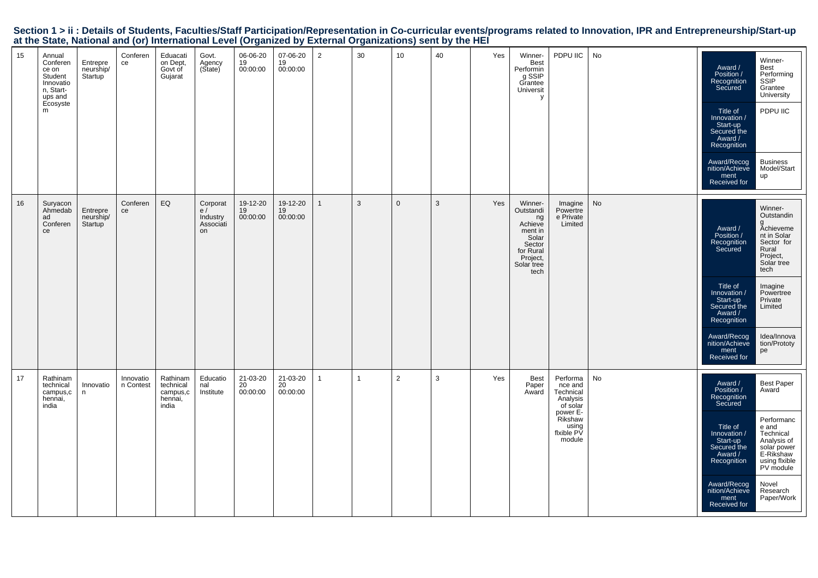|    | at the other, national and (or) international Ecver (organized by External organizations) some by the rizh |                                  |                        |                                                       |                                               |                            |                            |                |              |                     |    |     |                                                                                                                    |                                                                      |    |                                                                                                                                  |                                                                                                                   |
|----|------------------------------------------------------------------------------------------------------------|----------------------------------|------------------------|-------------------------------------------------------|-----------------------------------------------|----------------------------|----------------------------|----------------|--------------|---------------------|----|-----|--------------------------------------------------------------------------------------------------------------------|----------------------------------------------------------------------|----|----------------------------------------------------------------------------------------------------------------------------------|-------------------------------------------------------------------------------------------------------------------|
| 15 | Annual<br>Conferen<br>ce on<br>Student<br>Innovatio<br>n, Start-<br>ups and<br>Ecosyste<br>m               | Entrepre<br>neurship/<br>Startup | Conferen<br>ce         | Eduacati<br>on Dept,<br>Govt of<br>Gujarat            | Govt.<br>Agency<br>(State)                    | 06-06-20<br>19<br>00:00:00 | 07-06-20<br>19<br>00:00:00 | $\overline{2}$ | 30           | 10 <sup>1</sup>     | 40 | Yes | Winner-<br>Best<br>Performin<br>g SSIP<br>Grantee<br>Universit<br>у                                                | PDPU IIC                                                             | No | Award /<br>Position /<br>Recognition<br>Secured<br>Title of<br>Innovation /<br>Start-up<br>Secured the<br>Award /<br>Recognition | Winner-<br>Best<br>Performing<br>SSIP<br>Grantee<br>University<br>PDPU IIC<br><b>Business</b>                     |
|    |                                                                                                            |                                  |                        |                                                       |                                               |                            |                            |                |              |                     |    |     |                                                                                                                    |                                                                      |    | Award/Recog<br>nition/Achieve<br>ment<br>Received for                                                                            | Model/Start<br>up                                                                                                 |
| 16 | Suryacon<br>Ahmedab<br>ad<br>Conferen<br>ce                                                                | Entrepre<br>neurship/<br>Startup | Conferen<br>ce         | ${\sf EQ}$                                            | Corporat<br>e/<br>Industry<br>Associati<br>on | 19-12-20<br>19<br>00:00:00 | 19-12-20<br>19<br>00:00:00 | $\mathbf{1}$   | 3            | $\mathsf{O}\xspace$ | 3  | Yes | Winner-<br>Outstandi<br>ng<br>Achieve<br>ment in<br>Solar<br>Sector<br>for Rural<br>Project,<br>Solar tree<br>tech | Imagine<br>Powertre<br>e Private<br>Limited                          | No | Award /<br>Position /<br>Recognition<br>Secured                                                                                  | Winner-<br>Outstandin<br><b>Achieveme</b><br>nt in Solar<br>Sector for<br>Rural<br>Project,<br>Solar tree<br>tech |
|    |                                                                                                            |                                  |                        |                                                       |                                               |                            |                            |                |              |                     |    |     |                                                                                                                    |                                                                      |    | Title of<br>/ Innovation<br>Start-up<br>Secured the<br>Award /<br>Recognition                                                    | Imagine<br>Powertree<br>Private<br>Limited                                                                        |
|    |                                                                                                            |                                  |                        |                                                       |                                               |                            |                            |                |              |                     |    |     |                                                                                                                    |                                                                      |    | Award/Recog<br>nition/Achieve<br>ment<br>Received for                                                                            | Idea/Innova<br>tion/Prototy<br>pe                                                                                 |
| 17 | Rathinam<br>technical<br>campus,c<br>hennai,<br>india                                                      | Innovatio<br>n                   | Innovatio<br>n Contest | Rathinam<br>technical<br>campus,c<br>hennai,<br>india | Educatio<br>nal<br>Institute                  | 21-03-20<br>20<br>00:00:00 | 21-03-20<br>20<br>00:00:00 | $\mathbf{1}$   | $\mathbf{1}$ | $\overline{2}$      | 3  | Yes | Best<br>Paper<br>Award                                                                                             | Performa<br>nce and<br>Technical<br>Analysis<br>of solar<br>power E- | No | Award /<br>Position /<br>Recognition<br>Secured                                                                                  | <b>Best Paper</b><br>Award                                                                                        |
|    |                                                                                                            |                                  |                        |                                                       |                                               |                            |                            |                |              |                     |    |     |                                                                                                                    | Rikshaw<br>using<br>flxible PV<br>module                             |    | Title of<br>Innovation /<br>Start-up<br>Secured the<br>Award /<br>Recognition                                                    | Performanc<br>e and<br>Technical<br>Analysis of<br>solar power<br>E-Rikshaw<br>using flxible<br>PV module         |
|    |                                                                                                            |                                  |                        |                                                       |                                               |                            |                            |                |              |                     |    |     |                                                                                                                    |                                                                      |    | Award/Recog<br>nition/Achieve<br>ment<br>Received for                                                                            | Novel<br>Research<br>Paper/Work                                                                                   |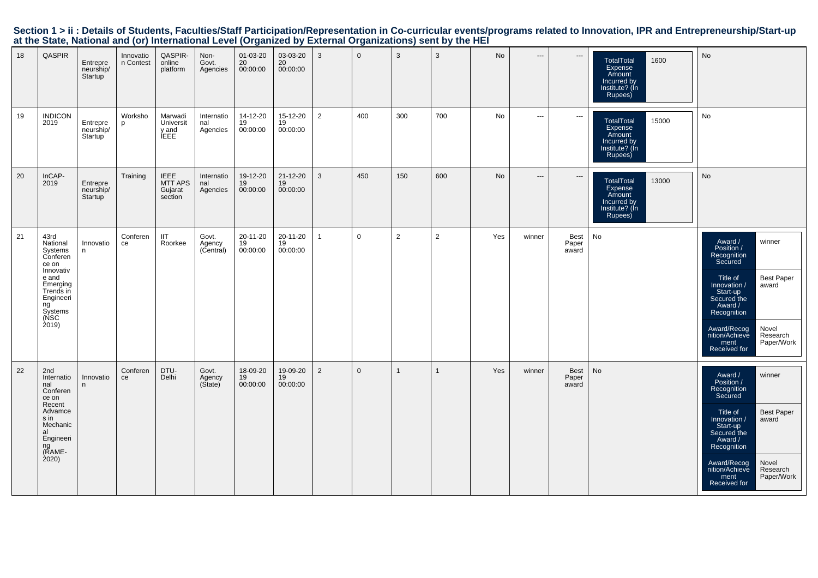|  |                                                                                                           |  |  | Section 1 > ii : Details of Students, Faculties/Staff Participation/Representation in Co-curricular events/programs related to Innovation, IPR and Entrepreneurship/Start-up |  |
|--|-----------------------------------------------------------------------------------------------------------|--|--|------------------------------------------------------------------------------------------------------------------------------------------------------------------------------|--|
|  | at the State, National and (or) International Level (Organized by External Organizations) sent by the HEI |  |  |                                                                                                                                                                              |  |

| 18 | <b>QASPIR</b>                                                                                                                                 | Entrepre<br>neurship/<br>Startup              | Innovatio<br>n Contest | QASPIR-<br>online<br>platform                       | Non-<br>Govt.<br>Agencies     | $01 - 03 - 20$<br>20<br>00:00:00 | 03-03-20<br>20<br>00:00:00 | $\mathbf{3}$   | $\Omega$     | 3            | 3              | No  | $\cdots$ | $\hspace{0.05cm} \cdots$      | TotalTotal<br>1600<br>Expense<br>Amount<br>Incurred by<br>Institute? (In<br>Rupees)                | No                                                                                                                                                                                                                                                                   |
|----|-----------------------------------------------------------------------------------------------------------------------------------------------|-----------------------------------------------|------------------------|-----------------------------------------------------|-------------------------------|----------------------------------|----------------------------|----------------|--------------|--------------|----------------|-----|----------|-------------------------------|----------------------------------------------------------------------------------------------------|----------------------------------------------------------------------------------------------------------------------------------------------------------------------------------------------------------------------------------------------------------------------|
| 19 | <b>INDICON</b><br>2019                                                                                                                        | Entrepre<br>neurship/<br>Startup <sup>1</sup> | Worksho<br>p           | Marwadi<br>Universit<br>y and<br>ÍEEE               | Internatio<br>nal<br>Agencies | 14-12-20<br>19<br>00:00:00       | 15-12-20<br>19<br>00:00:00 | 2              | 400          | 300          | 700            | No  | $\cdots$ | $\sim$ $\sim$                 | TotalTotal<br>15000<br>Expense<br>Amount<br>Incurred by<br>Institute? (In<br>Rupees)               | No                                                                                                                                                                                                                                                                   |
| 20 | InCAP-<br>2019                                                                                                                                | Entrepre<br>neurship/<br>Startup              | Training               | <b>IEEE</b><br><b>MTT APS</b><br>Gujarat<br>section | Internatio<br>nal<br>Agencies | 19-12-20<br>19<br>00:00:00       | 21-12-20<br>19<br>00:00:00 | $\mathbf{3}$   | 450          | 150          | 600            | No  | $\cdots$ | $---$                         | 13000<br><b>TotalTotal</b><br><b>Expense</b><br>Amount<br>Incurred by<br>Institute? (In<br>Rupees) | No                                                                                                                                                                                                                                                                   |
| 21 | 43rd<br>National<br>Systems<br>Conferen<br>ce on<br>Innovativ<br>e and<br>Emerging<br>Trends in<br>Engineeri<br>ng<br>Systems<br>(NSC<br>2019 | Innovatio<br>n                                | Conferen<br>ce         | <b>IIT</b><br>Roorkee                               | Govt.<br>Agency<br>(Central)  | 20-11-20<br>19<br>00:00:00       | 20-11-20<br>19<br>00:00:00 | $\overline{1}$ | $\mathbf 0$  | 2            | $\overline{2}$ | Yes | winner   | <b>Best</b><br>Paper<br>award | No                                                                                                 | Award /<br>winner<br>Position /<br>Recognition<br>Secured<br><b>Best Paper</b><br>Title of<br>Innovation /<br>award<br>Start-up<br>Secured the<br>Award /<br>Recognition<br>Award/Recog<br>nition/Achieve<br>Novel<br>Research<br>Paper/Work<br>ment<br>Received for |
| 22 | 2nd<br>Internatio<br>nal<br>Conferen<br>ce on<br>Recent<br>Advamce<br>s in<br>Mechanic<br>al<br>Engineeri<br>ng<br>(RAME-<br>2020             | Innovatio<br>n                                | Conferen<br>ce         | DTU-<br>Delhi                                       | Govt.<br>Agency<br>(Sitate)   | 18-09-20<br>19<br>00:00:00       | 19-09-20<br>19<br>00:00:00 | $\overline{2}$ | $\mathbf{0}$ | $\mathbf{1}$ | $\mathbf{1}$   | Yes | winner   | <b>Best</b><br>Paper<br>award | No                                                                                                 | Award /<br>Position /<br>winner<br>Recognition<br>Secured<br>Title of<br><b>Best Paper</b><br>Innovation /<br>award<br>Start-up<br>Secured the<br>Award /<br>Recognition<br>Novel<br>Award/Recog<br>nition/Achieve<br>Research<br>Paper/Work<br>ment<br>Received for |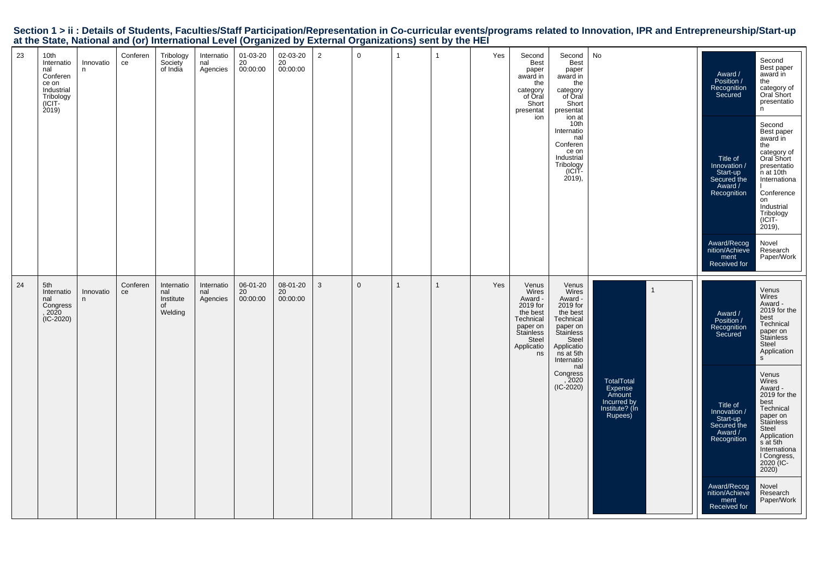| Section 1 > ii : Details of Students, Faculties/Staff Participation/Representation in Co-curricular events/programs related to Innovation, IPR and Entrepreneurship/Start-up |  |
|------------------------------------------------------------------------------------------------------------------------------------------------------------------------------|--|
| at the State, National and (or) International Level (Organized by External Organizations) sent by the HEI                                                                    |  |

|                                                                                                                                                                                                                                                                                                   | 24                                                                          |                                                                                                                                                                                             | 23                                                                                             |
|---------------------------------------------------------------------------------------------------------------------------------------------------------------------------------------------------------------------------------------------------------------------------------------------------|-----------------------------------------------------------------------------|---------------------------------------------------------------------------------------------------------------------------------------------------------------------------------------------|------------------------------------------------------------------------------------------------|
| $(IC-2020)$                                                                                                                                                                                                                                                                                       | 5th<br>Internatio<br>nal<br>Congress<br>, 2020                              |                                                                                                                                                                                             | 10th<br>Internatio<br>nal<br>Conferen<br>ce on<br>Industrial<br>Tribology<br>$(ICIT-2019)$     |
|                                                                                                                                                                                                                                                                                                   | Innovatio<br>n                                                              |                                                                                                                                                                                             | Innovatio<br>n                                                                                 |
|                                                                                                                                                                                                                                                                                                   | Conferen<br>ce                                                              |                                                                                                                                                                                             | Conferen<br>ce                                                                                 |
|                                                                                                                                                                                                                                                                                                   | Internatio<br>nal<br>Institute<br>of<br>Welding                             |                                                                                                                                                                                             | Tribology<br>Society<br>of India                                                               |
|                                                                                                                                                                                                                                                                                                   | Internatio<br>nal<br>Agencies                                               |                                                                                                                                                                                             | Internatio<br>nal<br>Agencies                                                                  |
|                                                                                                                                                                                                                                                                                                   | 06-01-20<br>20<br>00:00:00                                                  |                                                                                                                                                                                             | 01-03-20<br>20<br>00:00:00                                                                     |
|                                                                                                                                                                                                                                                                                                   | 08-01-20<br>20<br>00:00:00                                                  |                                                                                                                                                                                             | 02-03-20<br>20<br>00:00:00                                                                     |
|                                                                                                                                                                                                                                                                                                   | $\mathbf{3}$                                                                |                                                                                                                                                                                             | $\overline{2}$                                                                                 |
|                                                                                                                                                                                                                                                                                                   | $\mathbf 0$                                                                 |                                                                                                                                                                                             | $\mathbf 0$                                                                                    |
|                                                                                                                                                                                                                                                                                                   | $\mathbf{1}$                                                                |                                                                                                                                                                                             | $\mathbf{1}$                                                                                   |
|                                                                                                                                                                                                                                                                                                   | -1                                                                          |                                                                                                                                                                                             | $\overline{1}$                                                                                 |
|                                                                                                                                                                                                                                                                                                   | Yes                                                                         |                                                                                                                                                                                             | Yes                                                                                            |
| Technical<br>paper on<br>Stainless<br>Steel<br>Applicatio<br>ns                                                                                                                                                                                                                                   | Venus<br>Wires<br>Award -<br>2019 for<br>the best                           | ion                                                                                                                                                                                         | Second<br><b>Best</b><br>paper<br>award in<br>the<br>category<br>of Oral<br>Short<br>presentat |
| Technical<br>paper on<br>Stainless<br>Steel<br>Applicatio<br>ns at 5th<br>Internatio<br>nal<br>Congress<br>, 2020<br>$(IC-2020)$                                                                                                                                                                  | Venus<br>Wires<br>Award -<br>2019 for<br>the best                           | ion at<br>10th<br>Internatio<br>nal<br>Conferen<br>ce on<br>Industrial<br>Tribology<br>-ICIT<br>$(2019)$ ,                                                                                  | Second<br><b>Best</b><br>paper<br>award in<br>the<br>category<br>of Oral<br>Short<br>presentat |
| TotalTotal<br>Expense<br>Amount<br>Incurred by<br>Institute? (In<br>Rupees)                                                                                                                                                                                                                       |                                                                             |                                                                                                                                                                                             | No                                                                                             |
|                                                                                                                                                                                                                                                                                                   | $\mathbf{1}$                                                                |                                                                                                                                                                                             |                                                                                                |
| Position /<br>Recognition<br>Secured<br>Title of<br>Innovation /<br>Start-up<br>Secured the<br>Award /<br>Recognition<br>Award/Recog<br>nition/Achieve<br>ment<br>Received for                                                                                                                    | ment<br>Received for<br>Award /                                             | Title of<br>Innovation /<br>Start-up<br>Secured the<br>Award /<br>Recognition<br>Award/Recog<br>nition/Achieve                                                                              | Award /<br>Position /<br>Recognition<br>Secured                                                |
| Technical<br>paper on<br>Stainless<br>Steel<br>Application<br>$\mathsf{s}$<br>Venus<br>Wires<br>Award -<br>2019 for the<br>best<br>Technical<br>paper on<br>Stainless<br>Steel<br>Application<br>s at 5th<br>Internationa<br>I Congress,<br>2020 (IC-<br>2020)<br>Novel<br>Research<br>Paper/Work | Research<br>Paper/Work<br>Venus<br>Wires<br>Award -<br>2019 for the<br>best | Second<br>Best paper<br>award in<br>the<br>category of<br>Oral Short<br>presentatio<br>n at 10th<br>Internationa<br>Conference<br>on<br>Industrial<br>Tribology<br>(ICIT-<br>2019,<br>Novel | Second<br>Best paper<br>award in<br>the<br>category of<br>Oral Short<br>presentatio<br>n.      |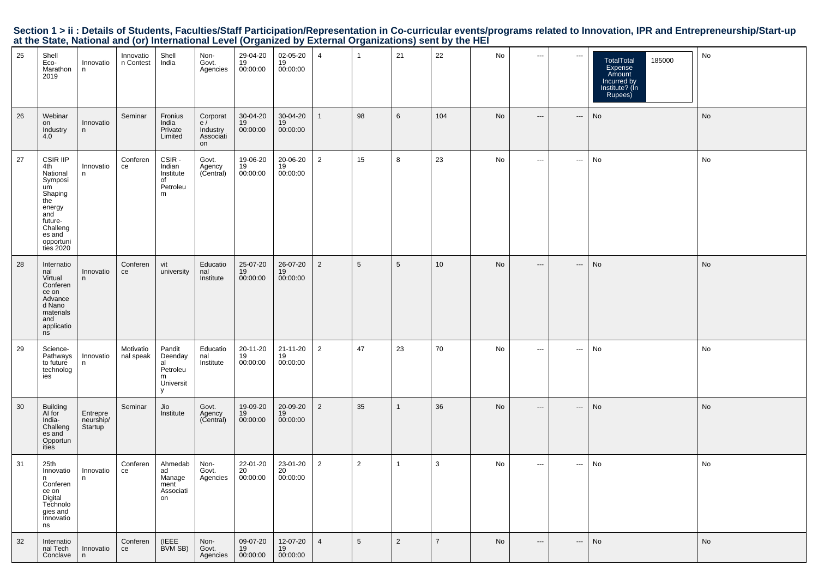|    |                                                                                                                                            |                                  |                        |                                                            |                                                        |                                               |                                |                |                 | at the blair, national and (b) micritational Level (biganized by External Organizations) sent by the riLi |                 |    |                                          |                          |                                                                                       |    |
|----|--------------------------------------------------------------------------------------------------------------------------------------------|----------------------------------|------------------------|------------------------------------------------------------|--------------------------------------------------------|-----------------------------------------------|--------------------------------|----------------|-----------------|-----------------------------------------------------------------------------------------------------------|-----------------|----|------------------------------------------|--------------------------|---------------------------------------------------------------------------------------|----|
| 25 | Shell<br>Eco-<br>Marathon<br>2019                                                                                                          | Innovatio<br>n                   | Innovatio<br>n Contest | Shell<br>India                                             | Non-<br>Govt.<br>Agencies                              | 29-04-20<br>19<br>00:00:00                    | 02-05-20<br>19<br>00:00:00     | $\overline{4}$ | $\mathbf{1}$    | 21                                                                                                        | 22              | No | $\hspace{0.05cm} \ldots$                 | $\hspace{0.05cm} \ldots$ | 185000<br>TotalTotal<br>Expense<br>Amount<br>Incurred by<br>Institute? (In<br>Rupees) | No |
| 26 | Webinar<br>on<br>Industry<br>4.0                                                                                                           | Innovatio<br>n                   | Seminar                | Fronius<br>India<br>Private<br>Limited                     | Corporat $\mathsf{e}$ /<br>Industry<br>Associati<br>on | 30-04-20<br>19<br>00:00:00                    | 30-04-20<br>19<br>00:00:00     | $\mathbf{1}$   | 98              | 6                                                                                                         | 104             | No | $\hspace{0.05cm} \ldots \hspace{0.05cm}$ | ---                      | $\operatorname{\mathsf{No}}$                                                          | No |
| 27 | CSIR IIP<br>4th<br>National<br>Symposi<br>um<br>Shaping<br>the<br>energy<br>and<br>future-<br>Challeng<br>es and<br>opportuni<br>ties 2020 | Innovatio<br>n.                  | Conferen<br>ce         | CSIR -<br>Indian<br>Institute<br>of<br>Petroleu<br>m       | Govt.<br>Agency<br>(Central)                           | 19-06-20<br>19<br>00:00:00                    | 20-06-20<br>19<br>00:00:00     | $\overline{2}$ | 15              | 8                                                                                                         | 23              | No | $\hspace{0.05cm} \cdots$                 | $\hspace{0.05cm} \ldots$ | No                                                                                    | No |
| 28 | Internatio<br>nal<br>Virtual<br>Conferen<br>ce on<br>Advance<br>d Nano<br>materials<br>and<br>applicatio<br>ns                             | Innovatio<br>n                   | Conferen<br>ce         | vit<br>university                                          | Educatio<br>nal<br>Institute                           | 25-07-20<br>19<br>00:00:00                    | 26-07-20<br>19<br>00:00:00     | $\overline{2}$ | $\,$ 5 $\,$     | 5                                                                                                         | 10 <sup>1</sup> | No | $\hspace{0.05cm} \cdots$                 | $\hspace{0.05cm} \cdots$ | No                                                                                    | No |
| 29 | Science-<br>Pathways<br>to future<br>technolog<br>ies                                                                                      | Innovatio<br>n                   | Motivatio<br>nal speak | Pandit<br>Deenday<br>al<br>Petroleu<br>m<br>Universit<br>У | Educatio<br>nal<br>Institute                           | 20-11-20<br>19<br>00:00:00                    | 21-11-20<br>19<br>00:00:00     | $\overline{2}$ | 47              | 23                                                                                                        | 70              | No | $\scriptstyle\cdots$                     | $\scriptstyle\cdots$     | No                                                                                    | No |
| 30 | Building<br>AI for<br>India-<br>Challeng<br>es and<br>Opportun<br>ities                                                                    | Entrepre<br>neurship/<br>Startup | Seminar                | Jio<br>Institute                                           | Govt.<br>Agency<br>(Central)                           | 19-09-20<br>19<br>00:00:00                    | 20-09-20<br>19<br>00:00:00     | $\overline{2}$ | 35              | $\mathbf{1}$                                                                                              | 36              | No | $\hspace{0.05cm} \ldots$                 | ---                      | No                                                                                    | No |
| 31 | 25th<br>Innovatio<br>n.<br>Conferen<br>ce on<br>Digital<br>Technolo<br>gies and<br>Innovatio<br>ns                                         | Innovatio                        | Conferen<br>ce         | Ahmedab<br>ad<br>  Manage<br>ment<br>Associati<br>on       | Non-                                                   | 22-01-20<br>Govt. $20$<br>Agencies $00:00:00$ | 23-01-20<br>$20$<br>$00:00:00$ | $\overline{2}$ | $\overline{2}$  | -1                                                                                                        | 3               | No | $\hspace{0.05cm} \ldots$                 | $\cdots$                 | No                                                                                    | No |
| 32 | Internatio<br>nal Tech<br>Conclave                                                                                                         | Innovatio<br>n.                  | Conferen<br>ce         | (IEEE<br>BVM SB)                                           | Non-<br>Govt.<br>Agencies                              | 09-07-20<br>19<br>00:00:00                    | 12-07-20<br>19<br>00:00:00     | $\overline{4}$ | $5\phantom{.0}$ | $\overline{2}$                                                                                            | $\overline{7}$  | No | $\hspace{0.05cm} \cdots$                 | ---                      | No                                                                                    | No |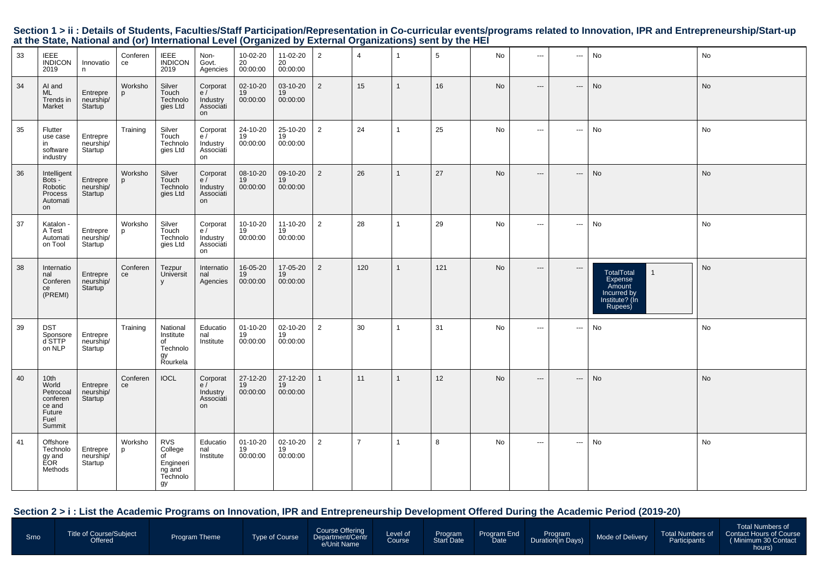| 33 | <b>IEEE</b><br><b>INDICON</b><br>2019                                        | Innovatio<br>n                                | Conferen<br>ce | <b>IEEE</b><br><b>INDICON</b><br>2019                                | Non-<br>Govt.<br>Agencies                     | 10-02-20<br>20<br>00:00:00       | 11-02-20<br>20<br>00:00:00 | 2              | $\overline{4}$ | $\mathbf 1$    | 5   | No        | $\sim$ $\sim$ $\sim$     | $\cdots$                 | No                                                                                                 | No        |
|----|------------------------------------------------------------------------------|-----------------------------------------------|----------------|----------------------------------------------------------------------|-----------------------------------------------|----------------------------------|----------------------------|----------------|----------------|----------------|-----|-----------|--------------------------|--------------------------|----------------------------------------------------------------------------------------------------|-----------|
| 34 | AI and<br>ML<br>Trends in<br>Market                                          | Entrepre<br>neurship/<br>Startup              | Worksho<br>p   | Silver<br>Touch<br>Technolo<br>gies Ltd                              | Corporat<br>e/<br>Industry<br>Associati<br>on | 02-10-20<br>19<br>00:00:00       | 03-10-20<br>19<br>00:00:00 | $\overline{2}$ | 15             | $\mathbf{1}$   | 16  | No        | $\hspace{0.05cm} \ldots$ | $\hspace{0.05cm} \cdots$ | No                                                                                                 | No        |
| 35 | Flutter<br>use case<br>in<br>software<br>industry                            | Entrepre<br>neurship/<br>Startup              | Training       | Silver<br>Touch<br>Technolo<br>gies Ltd                              | Corporat<br>e/<br>Industry<br>Associati<br>on | 24-10-20<br>19<br>00:00:00       | 25-10-20<br>19<br>00:00:00 | $\overline{2}$ | 24             | $\overline{1}$ | 25  | No        | $\sim$ $\sim$            | $\sim$ $\sim$ $\sim$     | No                                                                                                 | No        |
| 36 | Intelligent<br>Bots -<br>Robotic<br>Process<br>Automati<br>on                | Entrepre<br>neurship/<br>Startup              | Worksho<br>p   | Silver<br>Touch<br>Technolo<br>gies Ltd                              | Corporat<br>e/<br>Industry<br>Associati<br>on | 08-10-20<br>19<br>00:00:00       | 09-10-20<br>19<br>00:00:00 | 2              | 26             | $\mathbf 1$    | 27  | <b>No</b> | $\cdots$                 | $\hspace{0.05cm} \ldots$ | <b>No</b>                                                                                          | <b>No</b> |
| 37 | Katalon -<br>A Test<br>Automati<br>on Tool                                   | Entrepre<br>neurship/<br>Startup <sup>'</sup> | Worksho<br>p   | Silver<br>Touch<br>Technolo<br>gies Ltd                              | Corporat<br>e/<br>Industry<br>Associati<br>on | 10-10-20<br>19<br>00:00:00       | 11-10-20<br>19<br>00:00:00 | $\overline{2}$ | 28             | $\overline{1}$ | 29  | No        | $\sim$ $\sim$ $\sim$     | $\cdots$                 | No                                                                                                 | No        |
| 38 | Internatio<br>nal<br>Conferen<br>ce<br>(PREMI)                               | Entrepre<br>neurship/<br>Startup              | Conferen<br>ce | Tezpur<br>Universit<br>$\mathsf{V}$                                  | Internatio<br>nal<br>Agencies                 | 16-05-20<br>19<br>00:00:00       | 17-05-20<br>19<br>00:00:00 | $\overline{2}$ | 120            | $\mathbf{1}$   | 121 | <b>No</b> | $\hspace{0.05cm} \ldots$ | $\hspace{0.05cm} \cdots$ | <b>TotalTotal</b><br>$\mathbf{1}$<br>Expense<br>Amount<br>Incurred by<br>Institute? (In<br>Rupees) | <b>No</b> |
| 39 | <b>DST</b><br>Sponsore<br>d STTP<br>on NLP                                   | Entrepre<br>neurship/<br>Startup              | Training       | National<br>Institute<br>of<br>Technolo<br>gy<br>Rourkela            | Educatio<br>nal<br>Institute                  | $01 - 10 - 20$<br>19<br>00:00:00 | 02-10-20<br>19<br>00:00:00 | 2              | 30             | $\overline{1}$ | 31  | No        | $\cdots$                 | $\sim$                   | No                                                                                                 | No        |
| 40 | 10th<br>World<br>Petrocoal<br>conferen<br>ce and<br>Future<br>Fuel<br>Summit | Entrepre<br>neurship/<br>Startup              | Conferen<br>ce | <b>IOCL</b>                                                          | Corporat<br>e/<br>Industry<br>Associati<br>on | 27-12-20<br>19<br>00:00:00       | 27-12-20<br>19<br>00:00:00 | $\mathbf{1}$   | 11             | $\mathbf{1}$   | 12  | <b>No</b> | $---$                    | $---$                    | No                                                                                                 | No        |
| 41 | Offshore<br>Technolo<br>gy and<br>EOR<br>Methods                             | Entrepre<br>neurship/<br>Startup              | Worksho<br>p   | <b>RVS</b><br>College<br>of<br>Engineeri<br>ng and<br>Technolo<br>gy | Educatio<br>nal<br>Institute                  | $01 - 10 - 20$<br>19<br>00:00:00 | 02-10-20<br>19<br>00:00:00 | $\overline{2}$ | $\overline{7}$ | $\mathbf{1}$   | 8   | No        | $\sim$ $\sim$ $\sim$     | $\hspace{0.05cm} \ldots$ | No                                                                                                 | No        |

#### **Section 2 > i : List the Academic Programs on Innovation, IPR and Entrepreneurship Development Offered During the Academic Period (2019-20)**

| <b>Srno</b> | <b>Title of Course/Subject</b><br><b>Offered</b> | <b>Program Theme</b> | Type of Course | Course Offering<br>Department/Centr<br>e/Unit Name | Level of<br><b>Course</b> | Program<br><b>Start Date</b> | Program End<br>Date | Program<br>Duration(in Days) | Mode of Delivery | <b>Total Numbers of</b><br>Participants | <b>Total Numbers of</b><br>Contact Hours of Course<br>(Minimum 30 Contact<br>hours) |
|-------------|--------------------------------------------------|----------------------|----------------|----------------------------------------------------|---------------------------|------------------------------|---------------------|------------------------------|------------------|-----------------------------------------|-------------------------------------------------------------------------------------|
|-------------|--------------------------------------------------|----------------------|----------------|----------------------------------------------------|---------------------------|------------------------------|---------------------|------------------------------|------------------|-----------------------------------------|-------------------------------------------------------------------------------------|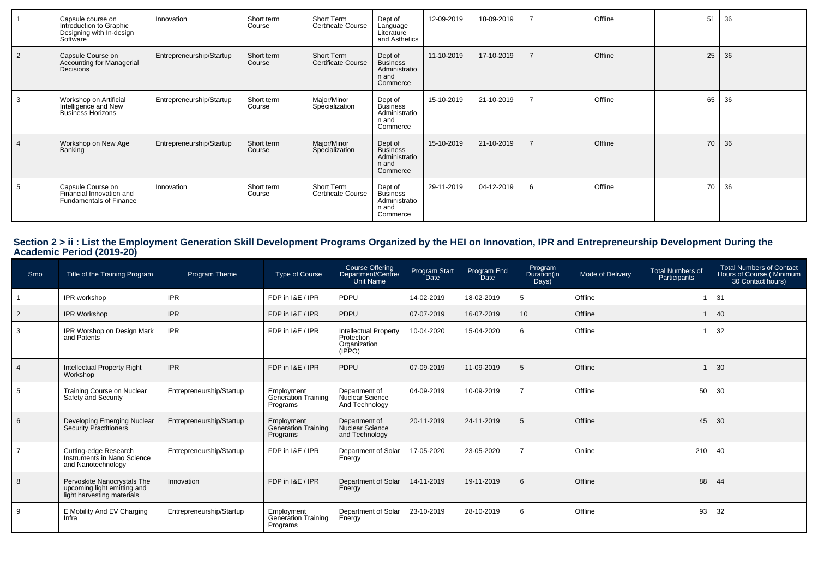|                | Capsule course on<br>Introduction to Graphic<br>Designing with In-design<br>Software | Innovation               | Short term<br>Course | Short Term<br><b>Certificate Course</b> | Dept of<br>Language<br>Literature<br>and Asthetics               | 12-09-2019 | 18-09-2019 |   | Offline | 51 | 36 |
|----------------|--------------------------------------------------------------------------------------|--------------------------|----------------------|-----------------------------------------|------------------------------------------------------------------|------------|------------|---|---------|----|----|
| $\overline{2}$ | Capsule Course on<br>Accounting for Managerial<br>Decisions                          | Entrepreneurship/Startup | Short term<br>Course | Short Term<br><b>Certificate Course</b> | Dept of<br><b>Business</b><br>Administratio<br>n and<br>Commerce | 11-10-2019 | 17-10-2019 |   | Offline | 25 | 36 |
|                | Workshop on Artificial<br>Intelligence and New<br><b>Business Horizons</b>           | Entrepreneurship/Startup | Short term<br>Course | Major/Minor<br>Specialization           | Dept of<br><b>Business</b><br>Administratio<br>n and<br>Commerce | 15-10-2019 | 21-10-2019 |   | Offline | 65 | 36 |
|                | Workshop on New Age<br>Banking                                                       | Entrepreneurship/Startup | Short term<br>Course | Major/Minor<br>Specialization           | Dept of<br><b>Business</b><br>Administratio<br>n and<br>Commerce | 15-10-2019 | 21-10-2019 |   | Offline | 70 | 36 |
| 5              | Capsule Course on<br>Financial Innovation and<br><b>Fundamentals of Finance</b>      | Innovation               | Short term<br>Course | Short Term<br>Certificate Course        | Dept of<br><b>Business</b><br>Administratio<br>n and<br>Commerce | 29-11-2019 | 04-12-2019 | 6 | Offline | 70 | 36 |

# **Section 2 > ii : List the Employment Generation Skill Development Programs Organized by the HEI on Innovation, IPR and Entrepreneurship Development During the Academic Period (2019-20)**

| Srno           | Title of the Training Program                                                            | Program Theme            | Type of Course                                | Course Offering<br>Department/Centre/<br>Unit Name                   | Program Start<br>Date | Program End<br>Date | Program<br>Duration(in<br>Days) | Mode of Delivery | <b>Total Numbers of</b><br>Participants | <b>Total Numbers of Contact</b><br>Hours of Course (Minimum<br>30 Contact hours) |
|----------------|------------------------------------------------------------------------------------------|--------------------------|-----------------------------------------------|----------------------------------------------------------------------|-----------------------|---------------------|---------------------------------|------------------|-----------------------------------------|----------------------------------------------------------------------------------|
|                | IPR workshop                                                                             | <b>IPR</b>               | FDP in I&E / IPR                              | PDPU                                                                 | 14-02-2019            | 18-02-2019          | 5                               | Offline          |                                         | 31                                                                               |
| $\overline{2}$ | <b>IPR Workshop</b>                                                                      | <b>IPR</b>               | FDP in I&E / IPR                              | <b>PDPU</b>                                                          | 07-07-2019            | 16-07-2019          | 10                              | Offline          |                                         | 40                                                                               |
| -3             | IPR Worshop on Design Mark<br>and Patents                                                | <b>IPR</b>               | FDP in I&E / IPR                              | <b>Intellectual Property</b><br>Protection<br>Organization<br>(IPPO) | 10-04-2020            | 15-04-2020          | 6                               | Offline          |                                         | 32                                                                               |
| $\overline{4}$ | <b>Intellectual Property Right</b><br>Workshop                                           | <b>IPR</b>               | FDP in I&E / IPR                              | PDPU                                                                 | 07-09-2019            | 11-09-2019          | 5                               | Offline          |                                         | 30                                                                               |
| 5              | Training Course on Nuclear<br>Safety and Security                                        | Entrepreneurship/Startup | Employment<br>Generation Training<br>Programs | Department of<br>Nuclear Science<br>And Technology                   | 04-09-2019            | 10-09-2019          |                                 | Offline          | 50                                      | 30                                                                               |
| 6              | Developing Emerging Nuclear<br><b>Security Practitioners</b>                             | Entrepreneurship/Startup | Employment<br>Generation Training<br>Programs | Department of<br>Nuclear Science<br>and Technology                   | 20-11-2019            | 24-11-2019          | 5                               | Offline          | 45                                      | 30                                                                               |
|                | Cutting-edge Research<br>Instruments in Nano Science<br>and Nanotechnology               | Entrepreneurship/Startup | FDP in I&E / IPR                              | Department of Solar<br>Energy                                        | 17-05-2020            | 23-05-2020          |                                 | Online           | 210                                     | 40                                                                               |
| 8              | Pervoskite Nanocrystals The<br>upcoming light emitting and<br>light harvesting materials | Innovation               | FDP in I&E / IPR                              | Department of Solar<br>Energy                                        | 14-11-2019            | 19-11-2019          | 6                               | Offline          | 88                                      | 44                                                                               |
| -9             | E Mobility And EV Charging<br>Infra                                                      | Entrepreneurship/Startup | Employment<br>Generation Training<br>Programs | Department of Solar<br>Energy                                        | 23-10-2019            | 28-10-2019          | 6                               | Offline          | 93                                      | 32                                                                               |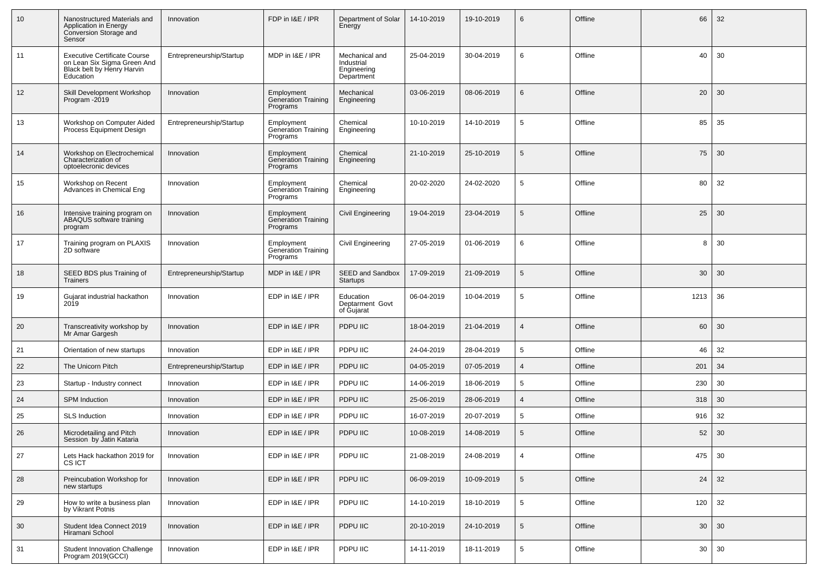| 10 | Nanostructured Materials and<br>Application in Energy<br>Conversion Storage and<br>Sensor                     | Innovation               | FDP in I&E / IPR                                     | Department of Solar<br>Energy                             | 14-10-2019 | 19-10-2019 | 6              | Offline | 66   | 32 |
|----|---------------------------------------------------------------------------------------------------------------|--------------------------|------------------------------------------------------|-----------------------------------------------------------|------------|------------|----------------|---------|------|----|
| 11 | <b>Executive Certificate Course</b><br>on Lean Six Sigma Green And<br>Black belt by Henry Harvin<br>Education | Entrepreneurship/Startup | MDP in I&E / IPR                                     | Mechanical and<br>Industrial<br>Engineering<br>Department | 25-04-2019 | 30-04-2019 | 6              | Offline | 40   | 30 |
| 12 | Skill Development Workshop<br>Program -2019                                                                   | Innovation               | Employment<br>Generation Training<br>Programs        | Mechanical<br>Engineering                                 | 03-06-2019 | 08-06-2019 | 6              | Offline | 20   | 30 |
| 13 | Workshop on Computer Aided<br>Process Equipment Design                                                        | Entrepreneurship/Startup | Employment<br><b>Generation Training</b><br>Programs | Chemical<br>Engineering                                   | 10-10-2019 | 14-10-2019 | 5              | Offline | 85   | 35 |
| 14 | Workshop on Electrochemical<br>Characterization of<br>optoelecronic devices                                   | Innovation               | Employment<br>Generation Training<br>Programs        | Chemical<br>Engineering                                   | 21-10-2019 | 25-10-2019 | 5              | Offline | 75   | 30 |
| 15 | Workshop on Recent<br>Advances in Chemical Eng                                                                | Innovation               | Employment<br>Generation Training<br>Programs        | Chemical<br>Engineering                                   | 20-02-2020 | 24-02-2020 | 5              | Offline | 80   | 32 |
| 16 | Intensive training program on<br>ABAQUS software training<br>program                                          | Innovation               | Employment<br><b>Generation Training</b><br>Programs | Civil Engineering                                         | 19-04-2019 | 23-04-2019 | 5              | Offline | 25   | 30 |
| 17 | Training program on PLAXIS<br>2D software                                                                     | Innovation               | Employment<br>Generation Training<br>Programs        | Civil Engineering                                         | 27-05-2019 | 01-06-2019 | 6              | Offline | 8    | 30 |
| 18 | SEED BDS plus Training of<br>Trainers                                                                         | Entrepreneurship/Startup | MDP in I&E / IPR                                     | SEED and Sandbox<br>Startups                              | 17-09-2019 | 21-09-2019 | 5              | Offline | 30   | 30 |
| 19 | Gujarat industrial hackathon<br>2019                                                                          | Innovation               | EDP in I&E / IPR                                     | Education<br>Deptarment Govt<br>of Gujarat                | 06-04-2019 | 10-04-2019 | 5              | Offline | 1213 | 36 |
| 20 | Transcreativity workshop by<br>Mr Amar Gargesh                                                                | Innovation               | EDP in I&E / IPR                                     | PDPU IIC                                                  | 18-04-2019 | 21-04-2019 | $\overline{4}$ | Offline | 60   | 30 |
| 21 | Orientation of new startups                                                                                   | Innovation               | EDP in I&E / IPR                                     | PDPU IIC                                                  | 24-04-2019 | 28-04-2019 | 5              | Offline | 46   | 32 |
| 22 | The Unicorn Pitch                                                                                             | Entrepreneurship/Startup | EDP in I&E / IPR                                     | PDPU IIC                                                  | 04-05-2019 | 07-05-2019 | $\overline{4}$ | Offline | 201  | 34 |
| 23 | Startup - Industry connect                                                                                    | Innovation               | EDP in I&E / IPR                                     | PDPU IIC                                                  | 14-06-2019 | 18-06-2019 | 5              | Offline | 230  | 30 |
| 24 | <b>SPM Induction</b>                                                                                          | Innovation               | EDP in I&E / IPR                                     | PDPU IIC                                                  | 25-06-2019 | 28-06-2019 | $\overline{4}$ | Offline | 318  | 30 |
| 25 | <b>SLS Induction</b>                                                                                          | Innovation               | EDP in I&E / IPR                                     | PDPU IIC                                                  | 16-07-2019 | 20-07-2019 | 5              | Offline | 916  | 32 |
| 26 | Microdetailing and Pitch<br>Session by Jatin Kataria                                                          | Innovation               | EDP in I&E / IPR                                     | PDPU IIC                                                  | 10-08-2019 | 14-08-2019 | 5              | Offline | 52   | 30 |
| 27 | Lets Hack hackathon 2019 for<br><b>CSICT</b>                                                                  | Innovation               | EDP in I&E / IPR                                     | PDPU IIC                                                  | 21-08-2019 | 24-08-2019 | $\overline{4}$ | Offline | 475  | 30 |
| 28 | Preincubation Workshop for<br>new startups                                                                    | Innovation               | EDP in I&E / IPR                                     | PDPU IIC                                                  | 06-09-2019 | 10-09-2019 | $\sqrt{5}$     | Offline | 24   | 32 |
| 29 | How to write a business plan<br>by Vikrant Potnis                                                             | Innovation               | EDP in I&E / IPR                                     | PDPU IIC                                                  | 14-10-2019 | 18-10-2019 | 5              | Offline | 120  | 32 |
| 30 | Student Idea Connect 2019<br>Hiramani School                                                                  | Innovation               | EDP in I&E / IPR                                     | PDPU IIC                                                  | 20-10-2019 | 24-10-2019 | $\sqrt{5}$     | Offline | 30   | 30 |
| 31 | Student Innovation Challenge<br>Program 2019(GCCI)                                                            | Innovation               | EDP in I&E / IPR                                     | PDPU IIC                                                  | 14-11-2019 | 18-11-2019 | 5              | Offline | 30   | 30 |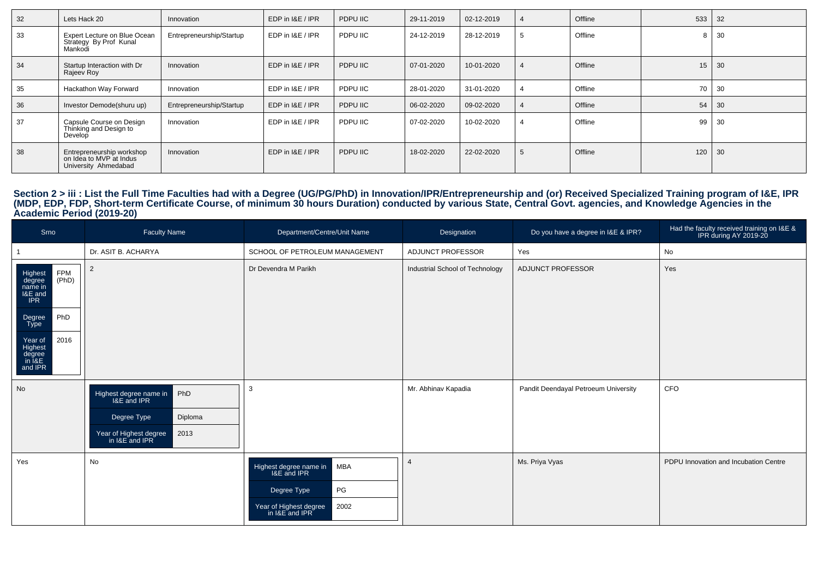| 32 | Lets Hack 20                                                                 | Innovation               | EDP in I&E / IPR | PDPU IIC | 29-11-2019 | 02-12-2019 | 4 | Offline | 533 | 32   |
|----|------------------------------------------------------------------------------|--------------------------|------------------|----------|------------|------------|---|---------|-----|------|
| 33 | Expert Lecture on Blue Ocean<br>Strategy By Prof Kunal<br>Mankodi            | Entrepreneurship/Startup | EDP in I&E / IPR | PDPU IIC | 24-12-2019 | 28-12-2019 |   | Offline | 8   | -30  |
| 34 | Startup Interaction with Dr<br>Rajeev Roy                                    | Innovation               | EDP in I&E / IPR | PDPU IIC | 07-01-2020 | 10-01-2020 |   | Offline | 15  | 30   |
| 35 | Hackathon Way Forward                                                        | Innovation               | EDP in I&E / IPR | PDPU IIC | 28-01-2020 | 31-01-2020 |   | Offline | 70  | - 30 |
| 36 | Investor Demode(shuru up)                                                    | Entrepreneurship/Startup | EDP in I&E / IPR | PDPU IIC | 06-02-2020 | 09-02-2020 |   | Offline | 54  | 30   |
| 37 | Capsule Course on Design<br>Thinking and Design to<br>Develop                | Innovation               | EDP in I&E / IPR | PDPU IIC | 07-02-2020 | 10-02-2020 |   | Offline | 99  | -30  |
| 38 | Entrepreneurship workshop<br>on Idea to MVP at Indus<br>University Ahmedabad | Innovation               | EDP in I&E / IPR | PDPU IIC | 18-02-2020 | 22-02-2020 |   | Offline | 120 | 30   |

# Section 2 > iii : List the Full Time Faculties had with a Degree (UG/PG/PhD) in Innovation/IPR/Entrepreneurship and (or) Received Specialized Training program of I&E, IPR<br>(MDP, EDP, FDP, Short-term Certificate Course, of m

| Srno                                                           | <b>Faculty Name</b>                                     | Department/Centre/Unit Name                                                                                                  | Designation                     | Do you have a degree in I&E & IPR?   | Had the faculty received training on I&E &<br>IPR during AY 2019-20 |
|----------------------------------------------------------------|---------------------------------------------------------|------------------------------------------------------------------------------------------------------------------------------|---------------------------------|--------------------------------------|---------------------------------------------------------------------|
|                                                                | Dr. ASIT B. ACHARYA                                     | SCHOOL OF PETROLEUM MANAGEMENT                                                                                               | ADJUNCT PROFESSOR               | Yes                                  | No                                                                  |
| FPM<br>(PhD)<br>Highest<br>degree<br>name in<br>I&E and<br>IPR | $\overline{2}$                                          | Dr Devendra M Parikh                                                                                                         | Industrial School of Technology | ADJUNCT PROFESSOR                    | Yes                                                                 |
| PhD<br>Degree<br>Type                                          |                                                         |                                                                                                                              |                                 |                                      |                                                                     |
| 2016<br>Year of<br>Highest<br>degree<br>in I&E<br>and IPR      |                                                         |                                                                                                                              |                                 |                                      |                                                                     |
| <b>No</b>                                                      | PhD<br>Highest degree name in<br>Diploma<br>Degree Type | 3                                                                                                                            | Mr. Abhinav Kapadia             | Pandit Deendayal Petroeum University | CFO                                                                 |
|                                                                | 2013<br>Year of Highest degree<br>in I&E and IPR        |                                                                                                                              |                                 |                                      |                                                                     |
| Yes                                                            | No                                                      | <b>MBA</b><br>Highest degree name in<br>I&E and IPR<br>PG<br>Degree Type<br>Year of Highest degree<br>in I&E and IPR<br>2002 |                                 | Ms. Priya Vyas                       | PDPU Innovation and Incubation Centre                               |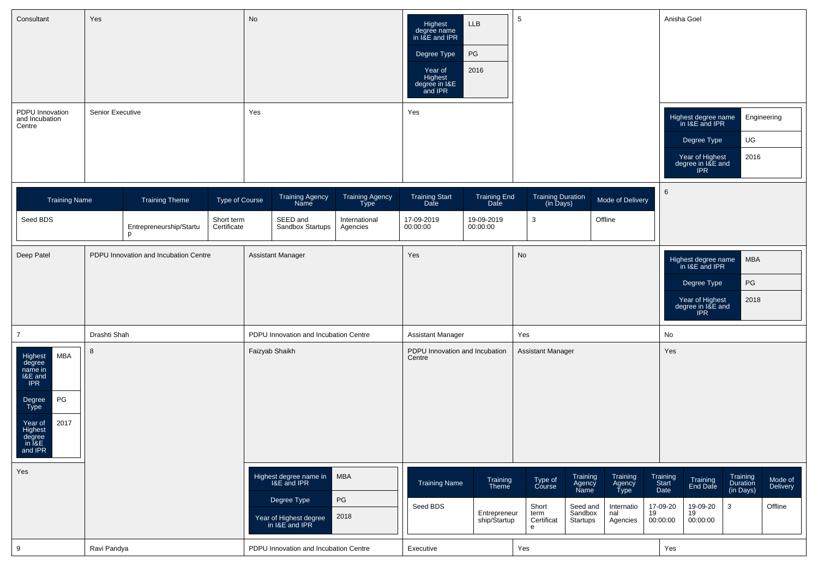| Consultant<br>PDPU Innovation<br>and Incubation<br>Centre                                                                                                    | Yes<br>Senior Executive                                               |                       |                           | No<br>Yes      |                                                                                                  |                                          | Highest<br>degree name<br>in I&E and IPR<br>Degree Type<br>Year of<br>Highest<br>degree in I&E<br>and IPR<br>Yes | <b>LLB</b><br>PG<br>2016                          | 5                                                     |                                                               |                                                             |                                                         | Anisha Goel<br>Highest degree name<br>in I&E and IPR<br>Degree Type<br>Year of Highest<br>degree in I&E and<br><b>IPR</b> | UG<br>2016                             | Engineering                           |
|--------------------------------------------------------------------------------------------------------------------------------------------------------------|-----------------------------------------------------------------------|-----------------------|---------------------------|----------------|--------------------------------------------------------------------------------------------------|------------------------------------------|------------------------------------------------------------------------------------------------------------------|---------------------------------------------------|-------------------------------------------------------|---------------------------------------------------------------|-------------------------------------------------------------|---------------------------------------------------------|---------------------------------------------------------------------------------------------------------------------------|----------------------------------------|---------------------------------------|
| <b>Training Name</b>                                                                                                                                         |                                                                       | <b>Training Theme</b> | Type of Course            |                | Training Agency<br>Name                                                                          | Training Agency<br>Type                  | Training Start<br>Date                                                                                           | Training End<br>Date                              |                                                       | Training Duration<br>(in Days)                                | Mode of Delivery                                            | $\,6\,$                                                 |                                                                                                                           |                                        |                                       |
| Seed BDS                                                                                                                                                     | Entrepreneurship/Startu<br>p<br>PDPU Innovation and Incubation Centre |                       | Short term<br>Certificate |                | SEED and<br>Sandbox Startups                                                                     | International<br>Agencies                | 17-09-2019<br>00:00:00                                                                                           | 19-09-2019<br>00:00:00                            | $\mathbf{3}$                                          |                                                               | Offline                                                     |                                                         |                                                                                                                           |                                        |                                       |
| Deep Patel                                                                                                                                                   |                                                                       |                       |                           |                | Assistant Manager                                                                                |                                          | Yes                                                                                                              |                                                   | <b>No</b>                                             |                                                               |                                                             |                                                         | Highest degree name<br>in I&E and IPR                                                                                     | <b>MBA</b>                             |                                       |
|                                                                                                                                                              |                                                                       |                       |                           |                |                                                                                                  |                                          |                                                                                                                  |                                                   |                                                       |                                                               |                                                             |                                                         | Degree Type<br>Year of Highest<br>degree in I&E and<br><b>IPR</b>                                                         | PG<br>2018                             |                                       |
| $\overline{7}$                                                                                                                                               | Drashti Shah                                                          |                       |                           |                | PDPU Innovation and Incubation Centre                                                            |                                          | <b>Assistant Manager</b>                                                                                         |                                                   | Yes                                                   |                                                               |                                                             | No                                                      |                                                                                                                           |                                        |                                       |
| <b>MBA</b><br>Highest<br>degree<br>name in<br>I&E and<br>IPR<br>$\mathsf{PG}$<br>Degree<br>Type<br>2017<br>Year of<br>Highest<br>degree<br>in I&E<br>and IPR | 8                                                                     |                       |                           | Faizyab Shaikh |                                                                                                  | PDPU Innovation and Incubation<br>Centre |                                                                                                                  | <b>Assistant Manager</b>                          |                                                       |                                                               | Yes                                                         |                                                         |                                                                                                                           |                                        |                                       |
| Yes                                                                                                                                                          |                                                                       |                       |                           |                | Highest degree name in<br>I&E and IPR<br>Degree Type<br>Year of Highest degree<br>in I&E and IPR | <b>MBA</b><br>PG<br>2018                 | <b>Training Name</b><br>Seed BDS                                                                                 | Training<br>Theme<br>Entrepreneur<br>ship/Startup | Type of<br>Course<br>Short<br>term<br>Certificat<br>e | Training<br>Agency<br>Name<br>Seed and<br>Sandbox<br>Startups | Training<br>Agency<br>Type<br>Internatio<br>nal<br>Agencies | Training<br>Start<br>Date<br>17-09-20<br>19<br>00:00:00 | Training<br>End Date<br>19-09-20<br>19<br>00:00:00                                                                        | Training<br>Duration<br>(in Days)<br>3 | Mode of<br><b>Delivery</b><br>Offline |
| 9                                                                                                                                                            | Ravi Pandya                                                           |                       |                           |                | PDPU Innovation and Incubation Centre                                                            |                                          | Executive                                                                                                        |                                                   | Yes                                                   |                                                               |                                                             |                                                         | Yes                                                                                                                       |                                        |                                       |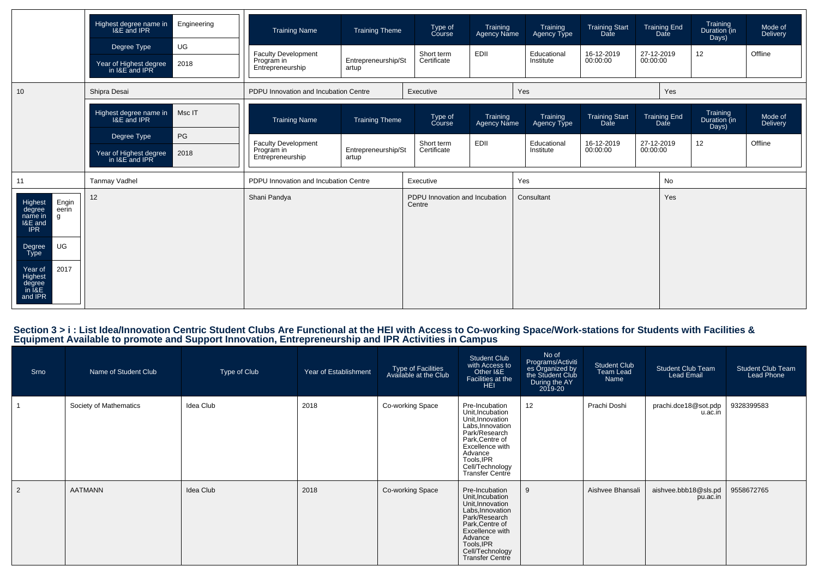|                                                                                                                                    | Highest degree name in<br>I&E and IPR                                | Engineering | <b>Training Name</b>                                                                         | <b>Training Theme</b>        | Type of<br>Course                        | Training<br>Agency Name | Training<br>Agency Type  | <b>Training Start</b><br>Date | <b>Training End</b><br>Date | Training<br>Duration (in<br>Days) | Mode of<br>Delivery |  |
|------------------------------------------------------------------------------------------------------------------------------------|----------------------------------------------------------------------|-------------|----------------------------------------------------------------------------------------------|------------------------------|------------------------------------------|-------------------------|--------------------------|-------------------------------|-----------------------------|-----------------------------------|---------------------|--|
|                                                                                                                                    | Degree Type<br>Year of Highest degree<br>in I&E and IPR              | UG<br>2018  | <b>Faculty Development</b><br>Program in<br>Entrepreneurship                                 | Entrepreneurship/St<br>artup | Short term<br>Certificate                | EDII                    | Educational<br>Institute | 16-12-2019<br>00:00:00        | 27-12-2019<br>00:00:00      | 12                                | Offline             |  |
| 10                                                                                                                                 | Shipra Desai                                                         |             | PDPU Innovation and Incubation Centre                                                        |                              | Executive                                |                         | Yes                      |                               | Yes                         |                                   |                     |  |
|                                                                                                                                    | Msc IT<br>Highest degree name in<br>I&E and IPR<br>PG<br>Degree Type |             | <b>Training Name</b><br><b>Training Theme</b>                                                |                              | Type of<br>Course                        | Training<br>Agency Name | Training<br>Agency Type  | Training Start<br>Date        | <b>Training End</b><br>Date | Training<br>Duration (in<br>Days) | Mode of<br>Delivery |  |
|                                                                                                                                    | Year of Highest degree<br>2018<br>in I&E and IPR                     |             | <b>Faculty Development</b><br>Program in<br>Entrepreneurship/St<br>Entrepreneurship<br>artup |                              | Short term<br>Certificate                | EDII                    | Educational<br>Institute | 16-12-2019<br>00:00:00        | 27-12-2019<br>00:00:00      | 12                                | Offline             |  |
| 11                                                                                                                                 | <b>Tanmay Vadhel</b>                                                 |             | PDPU Innovation and Incubation Centre                                                        |                              | Executive                                |                         | Yes                      |                               | No                          |                                   |                     |  |
| Engin<br>eerin<br>Highest<br>degree<br>name in<br>$\mathsf{q}$<br>I&E and<br><b>IPR</b><br>UG<br>Degree<br>Type<br>2017<br>Year of | 12                                                                   |             | Shani Pandya                                                                                 |                              | PDPU Innovation and Incubation<br>Centre |                         | Consultant               |                               |                             | Yes                               |                     |  |
| Highest<br>degree<br>in I&E<br>and IPR                                                                                             |                                                                      |             |                                                                                              |                              |                                          |                         |                          |                               |                             |                                   |                     |  |

### Section 3 > i : List Idea/Innovation Centric Student Clubs Are Functional at the HEI with Access to Co-working Space/Work-stations for Students with Facilities &<br>Equipment Available to promote and Support Innovation, Entre

| Srno           | Name of Student Club   | Type of Club | Year of Establishment | Type of Facilities<br>Available at the Club | <b>Student Club</b><br>with Access to<br>Other I&E<br>Facilities at the<br><b>HEI</b>                                                                                                                   | No of<br>Programs/Activiti<br>es Organized by<br>the Student Club<br>During the AY<br>2019-20 | <b>Student Club</b><br>Team Lead<br>Name | <b>Student Club Team</b><br>Lead Email | <b>Student Club Team</b><br><b>Lead Phone</b> |
|----------------|------------------------|--------------|-----------------------|---------------------------------------------|---------------------------------------------------------------------------------------------------------------------------------------------------------------------------------------------------------|-----------------------------------------------------------------------------------------------|------------------------------------------|----------------------------------------|-----------------------------------------------|
|                | Society of Mathematics | Idea Club    | 2018                  | Co-working Space                            | Pre-Incubation<br>Unit, Incubation<br>Unit, Innovation<br>Labs, Innovation<br>Park/Research<br>Park, Centre of<br>Excellence with<br>Advance<br>Tools, IPR<br>Cell/Technology<br>Transfer Centre        | 12                                                                                            | Prachi Doshi                             | prachi.dce18@sot.pdp<br>u.ac.in        | 9328399583                                    |
| $\overline{2}$ | <b>AATMANN</b>         | Idea Club    | 2018                  | Co-working Space                            | Pre-Incubation<br>Unit, Incubation<br>Unit, Innovation<br>Labs, Innovation<br>Park/Research<br>Park, Centre of<br>Excellence with<br>Advance<br>Tools, IPR<br>Cell/Technology<br><b>Transfer Centre</b> | 9                                                                                             | Aishvee Bhansali                         | aishvee.bbb18@sls.pd<br>pu.ac.in       | 9558672765                                    |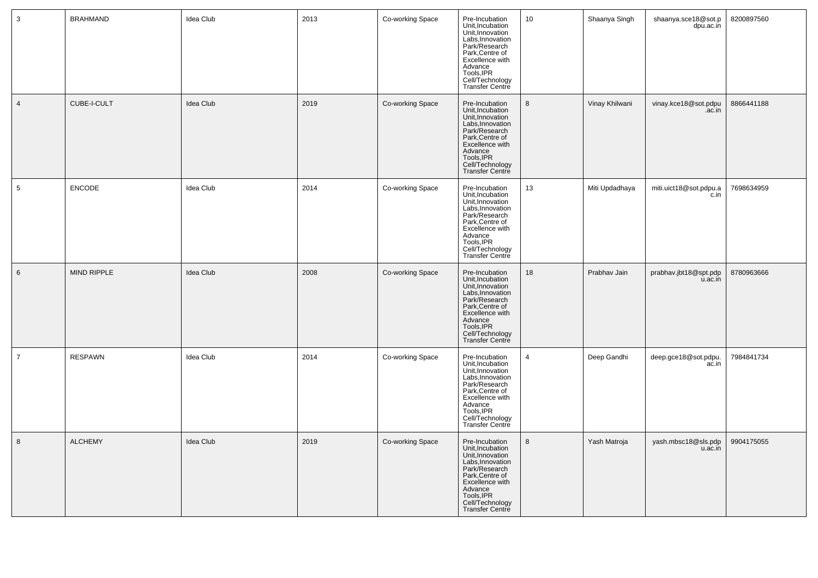| $\mathbf{3}$    | <b>BRAHMAND</b> | Idea Club | 2013 | Co-working Space | Pre-Incubation<br>Unit, Incubation<br>Unit, Innovation<br>Labs, Innovation<br>Park/Research<br>Park, Centre of<br>Excellence with<br>Excellence<br>Madvance<br>Tools, IPR<br>Cell/Technology<br>Transfer Centre    | 10               | Shaanya Singh  | shaanya.sce18@sot.p<br>dpu.ac.in | 8200897560 |
|-----------------|-----------------|-----------|------|------------------|--------------------------------------------------------------------------------------------------------------------------------------------------------------------------------------------------------------------|------------------|----------------|----------------------------------|------------|
| $\overline{4}$  | CUBE-I-CULT     | Idea Club | 2019 | Co-working Space | Pre-Incubation<br>Unit, Incubation<br>Unit, Innovation<br>Labs, Innovation<br>Park/Research<br>Park, Centre of<br>Excellence with<br>Advance<br>Tools, IPR<br>Cell/Technology<br>Transfer Centre                   | $\boldsymbol{8}$ | Vinay Khilwani | vinay.kce18@sot.pdpu<br>.ac.in   | 8866441188 |
| $5\phantom{.0}$ | ENCODE          | Idea Club | 2014 | Co-working Space | Pre-Incubation<br>Unit, Incubation<br>Unit, Innovation<br>Labs, Innovation<br>Park/Research<br>Park, Centre of<br>Excellence with<br>Advance<br>Tools, IPR<br>Cell/Technology<br>Transfer Centre                   | 13               | Miti Updadhaya | miti.uict18@sot.pdpu.a<br>c.in   | 7698634959 |
| $6\phantom{.}$  | MIND RIPPLE     | Idea Club | 2008 | Co-working Space | Pre-Incubation<br>Unit, Incubation<br>Unit, Innovation<br>Labs, Innovation<br>Park/Research<br>Park, Centre of<br>Excellence with<br>Advance<br>Tools, IPR<br>Cell/Technology<br>Transfer Centre                   | 18               | Prabhav Jain   | prabhav.jbt18@spt.pdp<br>u.ac.in | 8780963666 |
| $\overline{7}$  | <b>RESPAWN</b>  | Idea Club | 2014 | Co-working Space | Pre-Incubation<br>Unit, Incubation<br>Unit, Innovation<br>Labs, Innovation<br>Park/Research<br>Park,Centre of<br>Park, Centre of<br>Excellence with<br>Advance<br>Tools, IPR<br>Cell/Technology<br>Transfer Centre | $\overline{4}$   | Deep Gandhi    | deep.gce18@sot.pdpu.<br>ac.in    | 7984841734 |
| 8               | <b>ALCHEMY</b>  | Idea Club | 2019 | Co-working Space | Pre-Incubation<br>Unit, Incubation<br>Unit, Innovation<br>Labs, Innovation<br>Park/Research<br>Park/Centre of<br>Excellence with<br>Advance<br>Tools, IPR<br>Cell/Technology<br><b>Transfer Centre</b>             | 8                | Yash Matroja   | yash.mbsc18@sls.pdp<br>u.ac.in   | 9904175055 |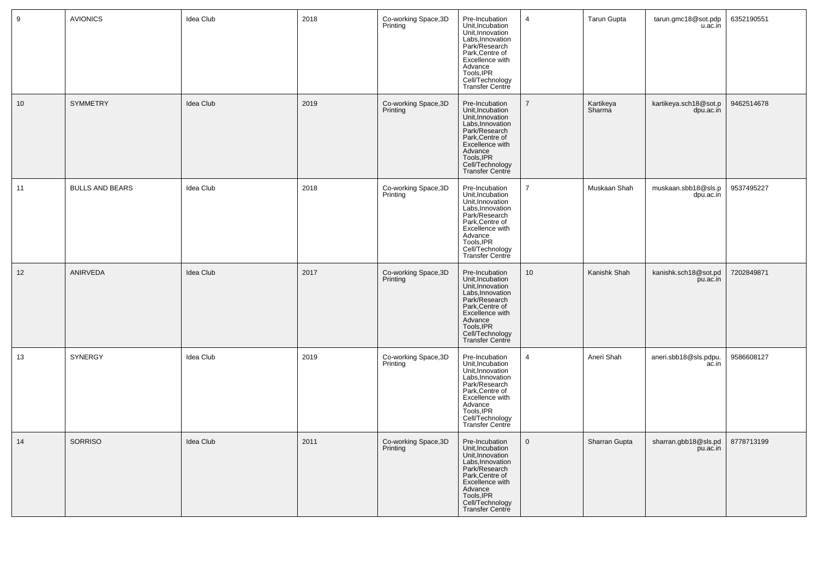| 9  | <b>AVIONICS</b>        | Idea Club        | 2018 | Co-working Space, 3D<br>Printing | Pre-Incubation<br>Unit, Incubation<br>Unit, Innovation<br>Labs, Innovation<br>Park/Research<br>Park, Centre of<br>Excellence with<br>Advance<br>Tools, IPR<br>Cell/Technology<br>Transfer Centre | $\overline{4}$ | Tarun Gupta         | tarun.gmc18@sot.pdp<br>u.ac.in     | 6352190551 |
|----|------------------------|------------------|------|----------------------------------|--------------------------------------------------------------------------------------------------------------------------------------------------------------------------------------------------|----------------|---------------------|------------------------------------|------------|
| 10 | <b>SYMMETRY</b>        | Idea Club        | 2019 | Co-working Space, 3D<br>Printing | Pre-Incubation<br>Unit, Incubation<br>Unit, Innovation<br>Labs, Innovation<br>Park/Research<br>Park, Centre of<br>Excellence with<br>Advance<br>Tools, IPR<br>Cell/Technology<br>Transfer Centre | $\overline{7}$ | Kartikeya<br>Sharma | kartikeya.sch18@sot.p<br>dpu.ac.in | 9462514678 |
| 11 | <b>BULLS AND BEARS</b> | Idea Club        | 2018 | Co-working Space, 3D<br>Printing | Pre-Incubation<br>Unit, Incubation<br>Unit, Innovation<br>Labs, Innovation<br>Park/Research<br>Park, Centre of<br>Excellence with<br>Advance<br>Tools, IPR<br>Cell/Technology<br>Transfer Centre | $\overline{7}$ | Muskaan Shah        | muskaan.sbb18@sls.p<br>dpu.ac.in   | 9537495227 |
| 12 | ANIRVEDA               | Idea Club        | 2017 | Co-working Space, 3D<br>Printing | Pre-Incubation<br>Unit, Incubation<br>Unit, Innovation<br>Labs, Innovation<br>Park/Research<br>Park, Centre of<br>Excellence with<br>Advance<br>Tools, IPR<br>Cell/Technology<br>Transfer Centre | 10             | Kanishk Shah        | kanishk.sch18@sot.pd<br>pu.ac.in   | 7202849871 |
| 13 | SYNERGY                | Idea Club        | 2019 | Co-working Space, 3D<br>Printing | Pre-Incubation<br>Unit, Incubation<br>Unit, Innovation<br>Labs, Innovation<br>Park/Research<br>Park/Centre of<br>Excellence with<br>Advance<br>Tools, IPR<br>Cell/Technology<br>Transfer Centre  | $\overline{4}$ | Aneri Shah          | aneri.sbb18@sls.pdpu.<br>ac.in     | 9586608127 |
| 14 | <b>SORRISO</b>         | <b>Idea Club</b> | 2011 | Co-working Space, 3D<br>Printing | Pre-Incubation<br>Unit, Incubation<br>Unit, Innovation<br>Labs, Innovation<br>Park/Research<br>Park, Centre of<br>Excellence with<br>Advance<br>Tools, IPR<br>Cell/Technology<br>Transfer Centre | $\mathbf{0}$   | Sharran Gupta       | sharran.gbb18@sls.pd<br>pu.ac.in   | 8778713199 |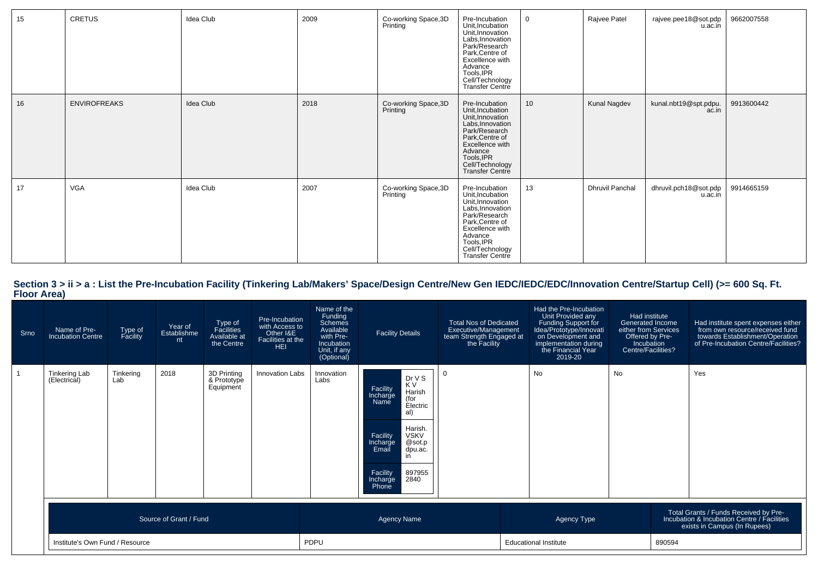| 15 | <b>CRETUS</b>       | Idea Club | 2009 | Co-working Space, 3D<br>Printing | Pre-Incubation<br>Unit, Incubation<br>Unit, Innovation<br>Labs, Innovation<br>Park/Research<br>Park, Centre of<br>Excellence with<br>Advance<br>Tools, IPR<br>Cell/Technology<br>Transfer Centre        | $\mathbf{0}$    | Rajvee Patel           | rajvee.pee18@sot.pdp<br>u.ac.in  | 9662007558 |
|----|---------------------|-----------|------|----------------------------------|---------------------------------------------------------------------------------------------------------------------------------------------------------------------------------------------------------|-----------------|------------------------|----------------------------------|------------|
| 16 | <b>ENVIROFREAKS</b> | Idea Club | 2018 | Co-working Space, 3D<br>Printing | Pre-Incubation<br>Unit, Incubation<br>Unit, Innovation<br>Labs, Innovation<br>Park/Research<br>Park, Centre of<br>Excellence with<br>Advance<br>Tools, IPR<br>Cell/Technology<br><b>Transfer Centre</b> | 10 <sup>1</sup> | Kunal Nagdev           | kunal.nbt19@spt.pdpu.<br>ac.in   | 9913600442 |
| 17 | <b>VGA</b>          | Idea Club | 2007 | Co-working Space, 3D<br>Printing | Pre-Incubation<br>Unit, Incubation<br>Unit, Innovation<br>Labs, Innovation<br>Park/Research<br>Park, Centre of<br>Excellence with<br>Advance<br>Tools, IPR<br>Cell/Technology<br>Transfer Centre        | 13              | <b>Dhruvil Panchal</b> | dhruvil.pch18@sot.pdp<br>u.ac.in | 9914665159 |

| Srno | Name of Pre-<br><b>Incubation Centre</b> | Type of<br>Facility             | Year of<br>Establishme<br>nt | Type of<br>Facilities<br>Available at<br>the Centre | Pre-Incubation<br>with Access to<br>Other I&E<br>Facilities at the<br><b>HEI</b> | Name of the<br>Funding<br><b>Schemes</b><br>Available<br>with Pre-<br>Incubation<br>Unit, if any<br>(Optional) | <b>Facility Details</b>                                                                                                                                                                                                                      | <b>Total Nos of Dedicated</b><br>Executive/Management<br>team Strength Engaged at<br>the Facility | Had the Pre-Incubation<br>Unit Provided any<br>Funding Support for<br>Idea/Prototype/Innovati<br>on Development and<br>implementation during<br>the Financial Year<br>2019-20 | Had institute<br>Generated Income<br>either from Services<br>Offered by Pre-<br>Incubation<br>Centre/Facilities? |  | Had institute spent expenses either<br>from own resource/received fund<br>towards Establishment/Operation<br>of Pre-Incubation Centre/Facilities? |  |
|------|------------------------------------------|---------------------------------|------------------------------|-----------------------------------------------------|----------------------------------------------------------------------------------|----------------------------------------------------------------------------------------------------------------|----------------------------------------------------------------------------------------------------------------------------------------------------------------------------------------------------------------------------------------------|---------------------------------------------------------------------------------------------------|-------------------------------------------------------------------------------------------------------------------------------------------------------------------------------|------------------------------------------------------------------------------------------------------------------|--|---------------------------------------------------------------------------------------------------------------------------------------------------|--|
|      | <b>Tinkering Lab</b><br>(Electrical)     | Tinkering<br>Lab                | 2018                         | 3D Printing<br>& Prototype<br>Equipment             | Innovation Labs                                                                  | Innovation<br>Labs                                                                                             | Dr V S<br>K V<br>Facility<br>Harish<br>(for<br>Incharge<br><b>Name</b><br>Electric<br>al)<br>Harish.<br><b>VSKV</b><br>Facility<br>@sot.p<br>Incharge<br>Email<br>dpu.ac.<br>$\mathsf{I}$<br>897955<br>2840<br>Facility<br>Incharge<br>Phone |                                                                                                   | <b>No</b>                                                                                                                                                                     | <b>No</b>                                                                                                        |  | Yes                                                                                                                                               |  |
|      |                                          |                                 | Source of Grant / Fund       |                                                     |                                                                                  |                                                                                                                | <b>Agency Name</b>                                                                                                                                                                                                                           |                                                                                                   | Agency Type                                                                                                                                                                   |                                                                                                                  |  | Total Grants / Funds Received by Pre-<br>Incubation & Incubation Centre / Facilities<br>exists in Campus (In Rupees)                              |  |
|      |                                          | Institute's Own Fund / Resource |                              |                                                     |                                                                                  | PDPU                                                                                                           |                                                                                                                                                                                                                                              |                                                                                                   | <b>Educational Institute</b>                                                                                                                                                  |                                                                                                                  |  | 890594                                                                                                                                            |  |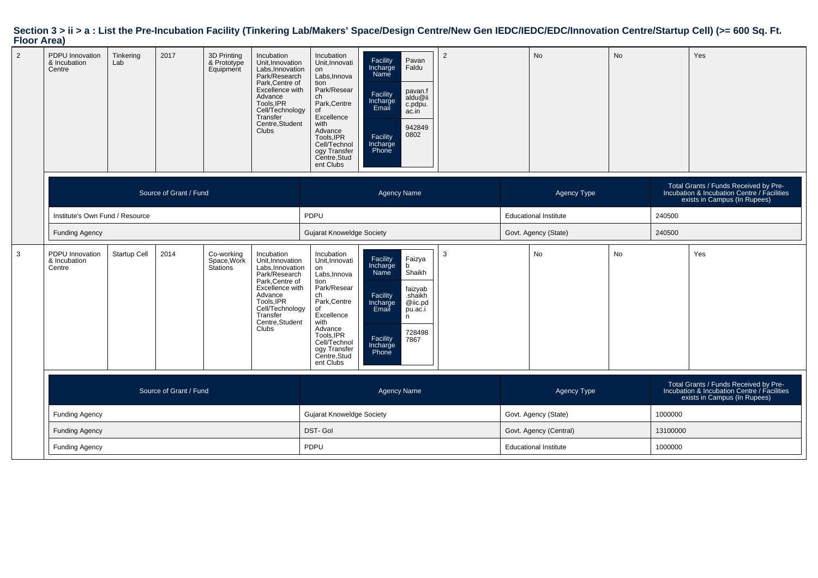| $\overline{2}$ | PDPU Innovation<br>& Incubation<br>Centre | Tinkering<br>Lab                | 2017                   | 3D Printing<br>& Prototype<br>Equipment | Incubation<br>Unit, Innovation<br>Labs, Innovation<br>Park/Research<br>Park, Centre of<br>Excellence with<br>Advance<br>Tools, IPR<br>Cell/Technology<br>Transfer<br>Centre, Student<br><b>Clubs</b> | Incubation<br>Unit, Innovati<br>on<br>Labs, Innova<br>tion<br>Park/Resear<br>ch<br>Park, Centre<br>οf<br>Excellence<br>with<br>Advance<br>Tools, IPR<br>Cell/Technol<br>ogy Transfer<br>Centre, Stud<br>ent Clubs | Facility<br>Pavan<br>Incharge<br>Name<br>Faldu<br>pavan.f<br>Facility<br>aldu@ii<br>Incharge<br>Email<br>c.pdpu.<br>ac.in<br>942849<br>0802<br>Facility<br>Incharge<br>Phone                | 2                    |                              | <b>No</b>                    | <b>No</b>                                                                                                            |          | Yes                                                                                                                  |
|----------------|-------------------------------------------|---------------------------------|------------------------|-----------------------------------------|------------------------------------------------------------------------------------------------------------------------------------------------------------------------------------------------------|-------------------------------------------------------------------------------------------------------------------------------------------------------------------------------------------------------------------|---------------------------------------------------------------------------------------------------------------------------------------------------------------------------------------------|----------------------|------------------------------|------------------------------|----------------------------------------------------------------------------------------------------------------------|----------|----------------------------------------------------------------------------------------------------------------------|
|                |                                           |                                 | Source of Grant / Fund |                                         |                                                                                                                                                                                                      |                                                                                                                                                                                                                   | <b>Agency Name</b>                                                                                                                                                                          |                      |                              | Agency Type                  |                                                                                                                      |          | Total Grants / Funds Received by Pre-<br>Incubation & Incubation Centre / Facilities<br>exists in Campus (In Rupees) |
|                |                                           | Institute's Own Fund / Resource |                        |                                         |                                                                                                                                                                                                      | PDPU                                                                                                                                                                                                              |                                                                                                                                                                                             |                      | <b>Educational Institute</b> |                              |                                                                                                                      | 240500   |                                                                                                                      |
|                | <b>Funding Agency</b>                     |                                 |                        |                                         |                                                                                                                                                                                                      | <b>Gujarat Knoweldge Society</b>                                                                                                                                                                                  |                                                                                                                                                                                             |                      |                              | Govt. Agency (State)         |                                                                                                                      | 240500   |                                                                                                                      |
| 3              | PDPU Innovation<br>& Incubation<br>Centre | <b>Startup Cell</b>             | 2014                   | Co-working<br>Space, Work<br>Stations   | Incubation<br>Unit, Innovation<br>Labs, Innovation<br>Park/Research<br>Park, Centre of<br>Excellence with<br>Advance<br>Tools, IPR<br>Cell/Technology<br>Transfer<br>Centre, Student<br>Clubs        | Incubation<br>Unit, Innovati<br>on<br>Labs, Innova<br>tion<br>Park/Resear<br>ch<br>Park, Centre<br>of<br>Excellence<br>with<br>Advance<br>Tools, IPR<br>Cell/Technol<br>ogy Transfer<br>Centre, Stud<br>ent Clubs | Facility<br>Faizya<br>Incharge<br>h.<br>Name<br>Shaikh<br>faizyab<br>Facility<br>.shaikh<br>Incharge<br>Email<br>@iic.pd<br>pu.ac.i<br>n<br>728498<br>Facility<br>7867<br>Incharge<br>Phone | 3                    |                              | No                           | <b>No</b>                                                                                                            |          | Yes                                                                                                                  |
|                | Source of Grant / Fund                    |                                 |                        |                                         | <b>Agency Name</b>                                                                                                                                                                                   |                                                                                                                                                                                                                   |                                                                                                                                                                                             | Agency Type          |                              |                              | Total Grants / Funds Received by Pre-<br>Incubation & Incubation Centre / Facilities<br>exists in Campus (In Rupees) |          |                                                                                                                      |
|                | <b>Funding Agency</b>                     |                                 |                        |                                         | <b>Gujarat Knoweldge Society</b>                                                                                                                                                                     |                                                                                                                                                                                                                   |                                                                                                                                                                                             | Govt. Agency (State) |                              |                              | 1000000                                                                                                              |          |                                                                                                                      |
|                | <b>Funding Agency</b>                     |                                 |                        |                                         |                                                                                                                                                                                                      | DST-Gol                                                                                                                                                                                                           |                                                                                                                                                                                             |                      | Govt. Agency (Central)       |                              |                                                                                                                      | 13100000 |                                                                                                                      |
|                | <b>Funding Agency</b>                     |                                 |                        |                                         |                                                                                                                                                                                                      | PDPU                                                                                                                                                                                                              |                                                                                                                                                                                             |                      |                              | <b>Educational Institute</b> |                                                                                                                      | 1000000  |                                                                                                                      |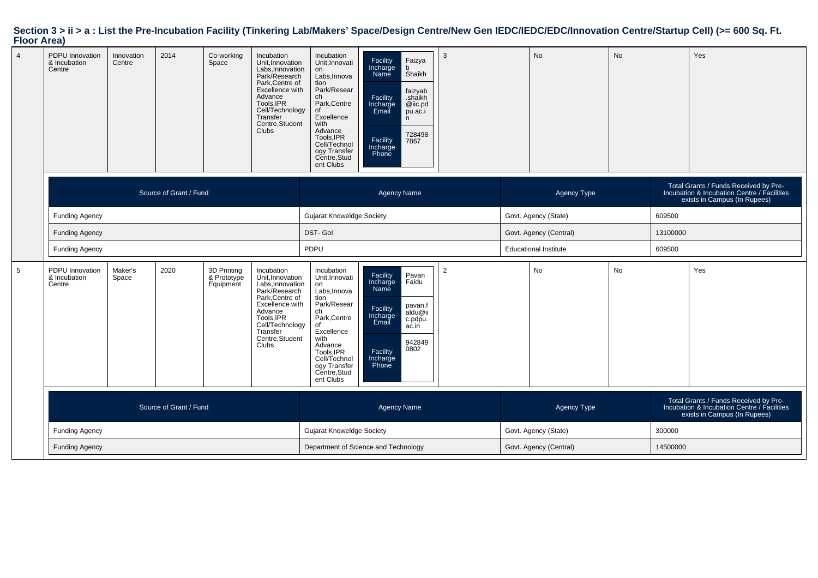| $\overline{4}$ | <b>PDPU</b> Innovation<br>& Incubation<br>Centre | Innovation<br>Centre | 2014                   | Co-working<br>Space                     | Incubation<br>Unit, Innovation<br>Labs, Innovation<br>Park/Research<br>Park, Centre of<br>Excellence with<br>Advance<br>Tools, IPR<br>Cell/Technology<br>Transfer<br>Centre, Student<br><b>Clubs</b> | Incubation<br>Unit, Innovati<br>on<br>Labs, Innova<br>tion<br>Park/Resear<br>ch<br>Park, Centre<br>οf<br>Excellence<br>with<br>Advance<br>Tools, IPR<br>Cell/Technol<br>ogy Transfer<br>Centre, Stud<br>ent Clubs | Facility<br>Incharge<br>Faizya<br>b<br>Name<br>Shaikh<br>faizyab<br>Facility<br>Incharge<br>Email<br>.shaikh<br>@iic.pd<br>pu.ac.i<br>n<br>728498<br>Facility<br>7867<br>Incharge<br>Phone | 3              |                              | No                     | <b>No</b> |                                                                                                                      | Yes                                                                                                                  |  |
|----------------|--------------------------------------------------|----------------------|------------------------|-----------------------------------------|------------------------------------------------------------------------------------------------------------------------------------------------------------------------------------------------------|-------------------------------------------------------------------------------------------------------------------------------------------------------------------------------------------------------------------|--------------------------------------------------------------------------------------------------------------------------------------------------------------------------------------------|----------------|------------------------------|------------------------|-----------|----------------------------------------------------------------------------------------------------------------------|----------------------------------------------------------------------------------------------------------------------|--|
|                |                                                  |                      | Source of Grant / Fund |                                         |                                                                                                                                                                                                      |                                                                                                                                                                                                                   | <b>Agency Name</b>                                                                                                                                                                         |                |                              | Agency Type            |           |                                                                                                                      | Total Grants / Funds Received by Pre-<br>Incubation & Incubation Centre / Facilities<br>exists in Campus (In Rupees) |  |
|                | <b>Funding Agency</b>                            |                      |                        |                                         |                                                                                                                                                                                                      | <b>Gujarat Knoweldge Society</b>                                                                                                                                                                                  |                                                                                                                                                                                            |                | Govt. Agency (State)         |                        |           | 609500                                                                                                               |                                                                                                                      |  |
|                | <b>Funding Agency</b>                            |                      |                        |                                         |                                                                                                                                                                                                      | <b>DST-Gol</b>                                                                                                                                                                                                    |                                                                                                                                                                                            |                | Govt. Agency (Central)       |                        |           | 13100000                                                                                                             |                                                                                                                      |  |
|                | <b>Funding Agency</b>                            |                      |                        |                                         |                                                                                                                                                                                                      | PDPU                                                                                                                                                                                                              |                                                                                                                                                                                            |                | <b>Educational Institute</b> |                        |           | 609500                                                                                                               |                                                                                                                      |  |
| 5              | PDPU Innovation<br>& Incubation<br>Centre        | Maker's<br>Space     | 2020                   | 3D Printing<br>& Prototype<br>Equipment | Incubation<br>Unit, Innovation<br>Labs, Innovation<br>Park/Research<br>Park, Centre of<br>Excellence with<br>Advance<br>Tools, IPR<br>Cell/Technology<br>Transfer<br>Centre, Student<br><b>Clubs</b> | Incubation<br>Unit, Innovati<br>on<br>Labs, Innova<br>tion<br>Park/Resear<br>ch<br>Park, Centre<br>of<br>Excellence<br>with<br>Advance<br>Tools, IPR<br>Cell/Technol<br>ogy Transfer<br>Centre, Stud<br>ent Clubs | Pavan<br>Facility<br>Incharge<br>Faldu<br>Name<br>pavan.f<br>Facility<br>Incharge<br>Email<br>aldu@ii<br>c.pdpu.<br>ac.in<br>942849<br>0802<br>Facility<br>Incharge<br>Phone               | $\overline{2}$ |                              | No                     | No        |                                                                                                                      | Yes                                                                                                                  |  |
|                | Source of Grant / Fund                           |                      |                        |                                         |                                                                                                                                                                                                      | <b>Agency Name</b>                                                                                                                                                                                                |                                                                                                                                                                                            |                | Agency Type                  |                        |           | Total Grants / Funds Received by Pre-<br>Incubation & Incubation Centre / Facilities<br>exists in Campus (In Rupees) |                                                                                                                      |  |
|                | <b>Funding Agency</b>                            |                      |                        |                                         |                                                                                                                                                                                                      | <b>Gujarat Knoweldge Society</b>                                                                                                                                                                                  |                                                                                                                                                                                            |                | Govt. Agency (State)         |                        |           | 300000                                                                                                               |                                                                                                                      |  |
|                | <b>Funding Agency</b>                            |                      |                        |                                         |                                                                                                                                                                                                      |                                                                                                                                                                                                                   | Department of Science and Technology                                                                                                                                                       |                |                              | Govt. Agency (Central) |           | 14500000                                                                                                             |                                                                                                                      |  |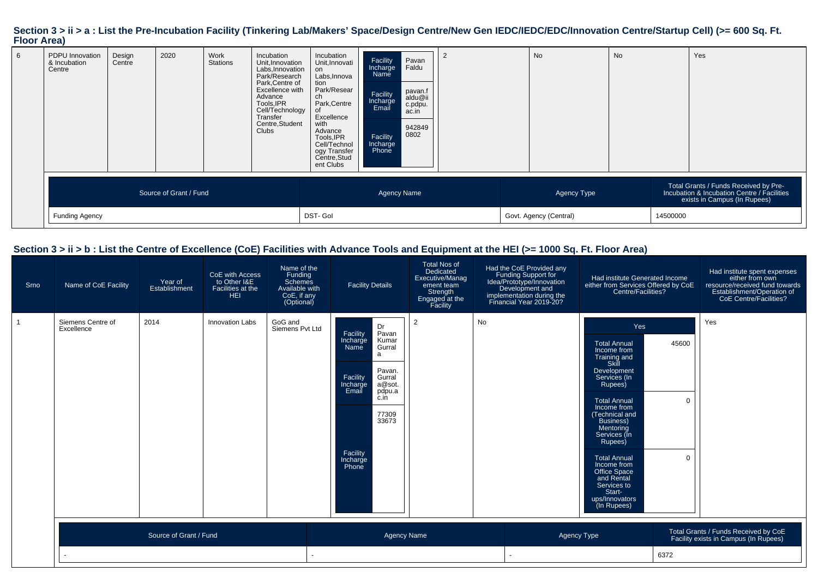| 6 | PDPU Innovation<br>& Incubation<br>Centre       | Design<br>Centre | 2020 | Work<br><b>Stations</b> | Incubation<br>Unit, Innovation<br>Labs, Innovation<br>Park/Research<br>Park, Centre of<br>Excellence with<br>Advance<br>Tools, IPR<br>Cell/Technology<br>Transfer<br>Centre, Student<br>Clubs | Incubation<br>Unit, Innovati<br>on<br>Labs, Innova<br>tion<br>Park/Resear<br>ch<br>Park, Centre<br>Excellence<br>with<br>Advance<br>Tools, IPR<br>Cell/Technol<br>ogy Transfer<br>Centre, Stud<br>ent Clubs | Facility<br>Pavan<br>Faldu<br>Incharge<br>Name<br>pavan.f<br>Facility<br>aldu@ii<br>Incharge<br>c.pdpu.<br>Email<br>ac.in<br>942849<br>0802<br>Facility<br>Incharge<br>Phone |                                       | <b>No</b> | <b>No</b>                                                                                                                        |  | Yes |
|---|-------------------------------------------------|------------------|------|-------------------------|-----------------------------------------------------------------------------------------------------------------------------------------------------------------------------------------------|-------------------------------------------------------------------------------------------------------------------------------------------------------------------------------------------------------------|------------------------------------------------------------------------------------------------------------------------------------------------------------------------------|---------------------------------------|-----------|----------------------------------------------------------------------------------------------------------------------------------|--|-----|
|   | Source of Grant / Fund<br><b>Funding Agency</b> |                  |      |                         | <b>Agency Name</b><br>DST- Gol                                                                                                                                                                |                                                                                                                                                                                                             |                                                                                                                                                                              | Agency Type<br>Govt. Agency (Central) |           | Total Grants / Funds Received by Pre-<br>Incubation & Incubation Centre / Facilities<br>exists in Campus (In Rupees)<br>14500000 |  |     |

#### **Section 3 > ii > b : List the Centre of Excellence (CoE) Facilities with Advance Tools and Equipment at the HEI (>= 1000 Sq. Ft. Floor Area)**

| Srno           | Name of CoE Facility            | Year of<br>Establishment | CoE with Access<br>to Other I&E<br>Facilities at the<br><b>HEI</b> | Name of the<br>Funding<br>Schemes<br>Available with<br>CoE, if any<br>(Optional) | <b>Facility Details</b>                                                                                                                                                                                 | <b>Total Nos of</b><br>Dedicated<br>Executive/Manag<br>ement team<br>Strength<br>Engaged at the<br>Facility | Had the CoE Provided any<br>Funding Support for<br>Idea/Prototype/Innovation<br>Development and<br>implementation during the<br>Financial Year 2019-20? | Had institute Generated Income<br>either from Services Offered by CoE<br>Centre/Facilities?                                                                                                                                                                                                                                                             |                                  | Had institute spent expenses<br>either from own<br>resource/received fund towards<br>Establishment/Operation of<br>CoE Centre/Facilities? |
|----------------|---------------------------------|--------------------------|--------------------------------------------------------------------|----------------------------------------------------------------------------------|---------------------------------------------------------------------------------------------------------------------------------------------------------------------------------------------------------|-------------------------------------------------------------------------------------------------------------|---------------------------------------------------------------------------------------------------------------------------------------------------------|---------------------------------------------------------------------------------------------------------------------------------------------------------------------------------------------------------------------------------------------------------------------------------------------------------------------------------------------------------|----------------------------------|-------------------------------------------------------------------------------------------------------------------------------------------|
| $\overline{1}$ | Siemens Centre of<br>Excellence | 2014                     | <b>Innovation Labs</b>                                             | GoG and<br>Siemens Pvt Ltd                                                       | Dr<br>Pavan<br>Facility<br>Kumar<br>Incharge<br>Name<br>Gurral<br>a<br>Pavan.<br>Facility<br>Gurral<br>Incharge<br>a@sot.<br>Email<br>pdpu.a<br>c.in<br>77309<br>33673<br>Facility<br>Incharge<br>Phone | 2                                                                                                           | No                                                                                                                                                      | Yes<br><b>Total Annual</b><br>Income from<br>Training and<br>Skill<br>Development<br>Services (In<br>Rupees)<br><b>Total Annual</b><br>Income from<br>(Technical and<br>Business)<br>Mentoring<br>Services (In<br>Rupees)<br><b>Total Annual</b><br>Income from<br>Office Space<br>and Rental<br>Services to<br>Start-<br>ups/Innovators<br>(In Rupees) | 45600<br>$\mathbf 0$<br>$\Omega$ | Yes                                                                                                                                       |
|                | Source of Grant / Fund          |                          |                                                                    |                                                                                  | <b>Agency Name</b>                                                                                                                                                                                      |                                                                                                             |                                                                                                                                                         | Total Grants / Funds Received by CoE<br>Agency Type<br>Facility exists in Campus (In Rupees)                                                                                                                                                                                                                                                            |                                  |                                                                                                                                           |
|                |                                 |                          |                                                                    |                                                                                  |                                                                                                                                                                                                         |                                                                                                             |                                                                                                                                                         | 6372                                                                                                                                                                                                                                                                                                                                                    |                                  |                                                                                                                                           |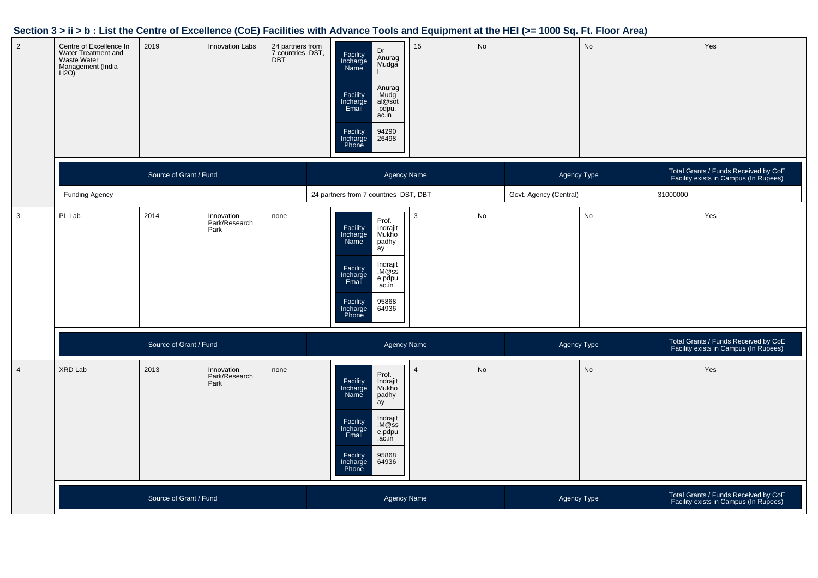#### **Section 3 > ii > b : List the Centre of Excellence (CoE) Facilities with Advance Tools and Equipment at the HEI (>= 1000 Sq. Ft. Floor Area)**

| $\overline{2}$ | Centre of Excellence In<br>Water Treatment and<br>Waste Water<br>Management (India<br>H2O) | 2019                   | <b>Innovation Labs</b>              | 24 partners from<br>7 countries DST,<br><b>DBT</b> | Dr<br>Facility<br>Incharge<br>Name<br>Anurag<br>Mudga<br>Anurag<br>Facility<br>Incharge<br>Email<br>Mudg<br>al@sot<br>.pdpu.<br>ac.in<br>Facility<br>94290<br>Incharge<br>Phone<br>26498              | 15                     | No          |             | No                                                                            |                                                                               | Yes                                                                           |  |
|----------------|--------------------------------------------------------------------------------------------|------------------------|-------------------------------------|----------------------------------------------------|-------------------------------------------------------------------------------------------------------------------------------------------------------------------------------------------------------|------------------------|-------------|-------------|-------------------------------------------------------------------------------|-------------------------------------------------------------------------------|-------------------------------------------------------------------------------|--|
|                |                                                                                            | Source of Grant / Fund |                                     |                                                    | <b>Agency Name</b>                                                                                                                                                                                    |                        | Agency Type |             | Total Grants / Funds Received by CoE<br>Facility exists in Campus (In Rupees) |                                                                               |                                                                               |  |
|                | <b>Funding Agency</b>                                                                      |                        |                                     |                                                    | 24 partners from 7 countries DST, DBT                                                                                                                                                                 | Govt. Agency (Central) |             | 31000000    |                                                                               |                                                                               |                                                                               |  |
| $\mathbf{3}$   | PL Lab                                                                                     | 2014                   | Innovation<br>Park/Research<br>Park | none                                               | Prof.<br>Indrajit<br>Facility<br>Incharge<br>Name<br>Mukho<br>padhy<br>ay<br>Indrajit<br>Facility<br>Incharge<br>Email<br>M@ss<br>e.pdpu<br>.ac.in<br>Facility<br>Incharge<br>Phone<br>95868<br>64936 | $\mathbf{3}$           | No          |             | No                                                                            |                                                                               | Yes                                                                           |  |
|                | Source of Grant / Fund                                                                     |                        |                                     |                                                    | <b>Agency Name</b>                                                                                                                                                                                    |                        |             | Agency Type |                                                                               | Total Grants / Funds Received by CoE<br>Facility exists in Campus (In Rupees) |                                                                               |  |
| $\overline{4}$ | XRD Lab                                                                                    | 2013                   | Innovation<br>Park/Research<br>Park | none                                               | Prof.<br>Facility<br>Incharge<br>Indrajit<br>Mukho<br>Name<br>padhy<br>ay<br>Indrajit<br>Facility<br>M@ss<br>Incharge<br>Email<br>e.pdpu<br>.ac.in<br>95868<br>Facility<br>64936<br>Incharge<br>Phone | $\overline{4}$         | <b>No</b>   |             | No                                                                            |                                                                               | Yes                                                                           |  |
|                |                                                                                            | Source of Grant / Fund |                                     |                                                    |                                                                                                                                                                                                       | Agency Name            |             |             | Agency Type                                                                   |                                                                               | Total Grants / Funds Received by CoE<br>Facility exists in Campus (In Rupees) |  |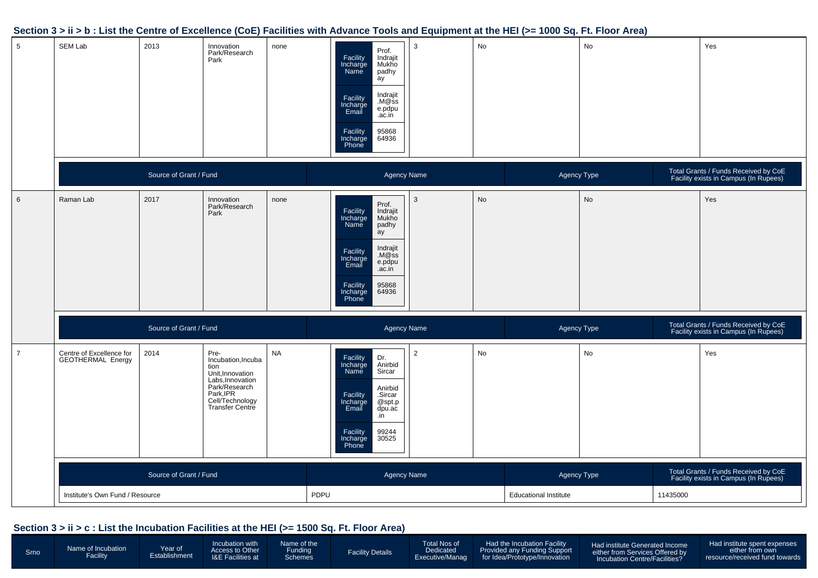

#### **Section 3 > ii > b : List the Centre of Excellence (CoE) Facilities with Advance Tools and Equipment at the HEI (>= 1000 Sq. Ft. Floor Area)**

#### **Section 3 > ii > c : List the Incubation Facilities at the HEI (>= 1500 Sq. Ft. Floor Area)**

| Srno | Name of Incubation<br>Facility | Year of<br>Establishment | <b>Incubation with</b><br>Access to Other<br><b>I&amp;E Facilities at</b> | Name of the<br>Funding<br><b>Schemes</b> | <b>Facility Details</b> | Total Nos of<br>Dedicated<br>Executive/Manag | Had the Incubation Facility<br>Provided any Funding Support<br>for Idea/Prototype/Innovation | Had institute Generated Income<br>either from Services Offered by<br>Incubation Centre/Facilities? | Had institute spent expenses<br>either from own<br>resource/received fund towards |
|------|--------------------------------|--------------------------|---------------------------------------------------------------------------|------------------------------------------|-------------------------|----------------------------------------------|----------------------------------------------------------------------------------------------|----------------------------------------------------------------------------------------------------|-----------------------------------------------------------------------------------|
|------|--------------------------------|--------------------------|---------------------------------------------------------------------------|------------------------------------------|-------------------------|----------------------------------------------|----------------------------------------------------------------------------------------------|----------------------------------------------------------------------------------------------------|-----------------------------------------------------------------------------------|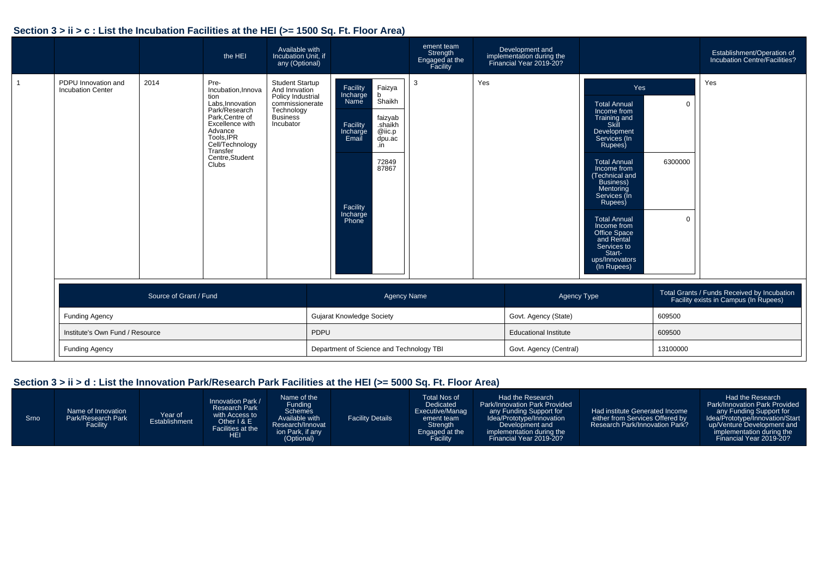#### **Section 3 > ii > c : List the Incubation Facilities at the HEI (>= 1500 Sq. Ft. Floor Area)**

|                                                 |                        | the HEI                                                                                                                                                                                           | Available with<br>Incubation Unit, if<br>any (Optional)                                                                       |                                                                                                |                                                                                          | ement team<br>Strength<br>Engaged at the<br>Facility |     | Development and<br>implementation during the<br>Financial Year 2019-20? |                                                                                                                                                                                                                                                                                                                                                                |                          | Establishment/Operation of<br>Incubation Centre/Facilities?                          |
|-------------------------------------------------|------------------------|---------------------------------------------------------------------------------------------------------------------------------------------------------------------------------------------------|-------------------------------------------------------------------------------------------------------------------------------|------------------------------------------------------------------------------------------------|------------------------------------------------------------------------------------------|------------------------------------------------------|-----|-------------------------------------------------------------------------|----------------------------------------------------------------------------------------------------------------------------------------------------------------------------------------------------------------------------------------------------------------------------------------------------------------------------------------------------------------|--------------------------|--------------------------------------------------------------------------------------|
| PDPU Innovation and<br><b>Incubation Center</b> | 2014                   | Pre-<br>Incubation, Innova<br>tion<br>Labs, Innovation<br>Park/Research<br>Park, Centre of<br>Excellence with<br>Advance<br>Tools, IPR<br>Cell/Technology<br>Transfer<br>Centre, Student<br>Clubs | <b>Student Startup</b><br>And Innvation<br>Policy Industrial<br>commissionerate<br>Technology<br><b>Business</b><br>Incubator | Facility<br>Incharge<br>Name<br>Facility<br>Incharge<br>Email<br>Facility<br>Incharge<br>Phone | Faizya<br>b<br>Shaikh<br>faizyab<br>shaikh.<br>@iic.p<br>dpu.ac<br>.in<br>72849<br>87867 | 3                                                    | Yes |                                                                         | Yes<br><b>Total Annual</b><br>Income from<br>Training and<br>Skill<br>Development<br>Services (In<br>Rupees)<br><b>Total Annual</b><br>Income from<br>(Technical and<br><b>Business)</b><br>Mentoring<br>Services (In<br>Rupees)<br><b>Total Annual</b><br>Income from<br>Office Space<br>and Rental<br>Services to<br>Start-<br>ups/Innovators<br>(In Rupees) | $\Omega$<br>6300000<br>0 | Yes                                                                                  |
| <b>Funding Agency</b>                           | Source of Grant / Fund |                                                                                                                                                                                                   |                                                                                                                               | <b>Gujarat Knowledge Society</b>                                                               | <b>Agency Name</b>                                                                       |                                                      |     | <b>Agency Type</b><br>Govt. Agency (State)                              |                                                                                                                                                                                                                                                                                                                                                                | 609500                   | Total Grants / Funds Received by Incubation<br>Facility exists in Campus (In Rupees) |
| Institute's Own Fund / Resource                 |                        |                                                                                                                                                                                                   | PDPU                                                                                                                          |                                                                                                |                                                                                          |                                                      |     | <b>Educational Institute</b>                                            |                                                                                                                                                                                                                                                                                                                                                                | 609500                   |                                                                                      |
| <b>Funding Agency</b>                           |                        |                                                                                                                                                                                                   |                                                                                                                               | Department of Science and Technology TBI                                                       |                                                                                          |                                                      |     | Govt. Agency (Central)                                                  |                                                                                                                                                                                                                                                                                                                                                                | 13100000                 |                                                                                      |

#### **Section 3 > ii > d : List the Innovation Park/Research Park Facilities at the HEI (>= 5000 Sq. Ft. Floor Area)**

| Srno <sup>1</sup> | Name of Innovation<br>Park/Research Park<br><b>Facility</b> | Year of<br>Establishment | Innovation Park /<br><b>Research Park</b><br>with Access to<br>Other I & E<br><b>Facilities at the</b><br><b>HEI</b> | Name of the<br>Funding<br><b>Schemes</b><br>Available with<br>Research/Innovat<br>ion Park, if any<br>(Optional) | <b>Facility Details</b> | Total Nos of<br>Dedicated<br>Executive/Manag<br>ement team<br>Strength<br>Engaged at the<br>Facility | Had the Research<br><b>Park/Innovation Park Provided</b><br>any Funding Support for<br>Idea/Prototype/Innovation<br>Development and<br>implementation during the<br>Financial Year 2019-20? | Had institute Generated Income<br>either from Services Offered by<br>Research Park/Innovation Park? | Had the Research<br>Park/Innovation Park Provided<br>any Funding Support for<br>Idea/Prototype/Innovation/Start<br>up/Venture Development and<br>implementation during the<br>Financial Year 2019-20? |
|-------------------|-------------------------------------------------------------|--------------------------|----------------------------------------------------------------------------------------------------------------------|------------------------------------------------------------------------------------------------------------------|-------------------------|------------------------------------------------------------------------------------------------------|---------------------------------------------------------------------------------------------------------------------------------------------------------------------------------------------|-----------------------------------------------------------------------------------------------------|-------------------------------------------------------------------------------------------------------------------------------------------------------------------------------------------------------|
|-------------------|-------------------------------------------------------------|--------------------------|----------------------------------------------------------------------------------------------------------------------|------------------------------------------------------------------------------------------------------------------|-------------------------|------------------------------------------------------------------------------------------------------|---------------------------------------------------------------------------------------------------------------------------------------------------------------------------------------------|-----------------------------------------------------------------------------------------------------|-------------------------------------------------------------------------------------------------------------------------------------------------------------------------------------------------------|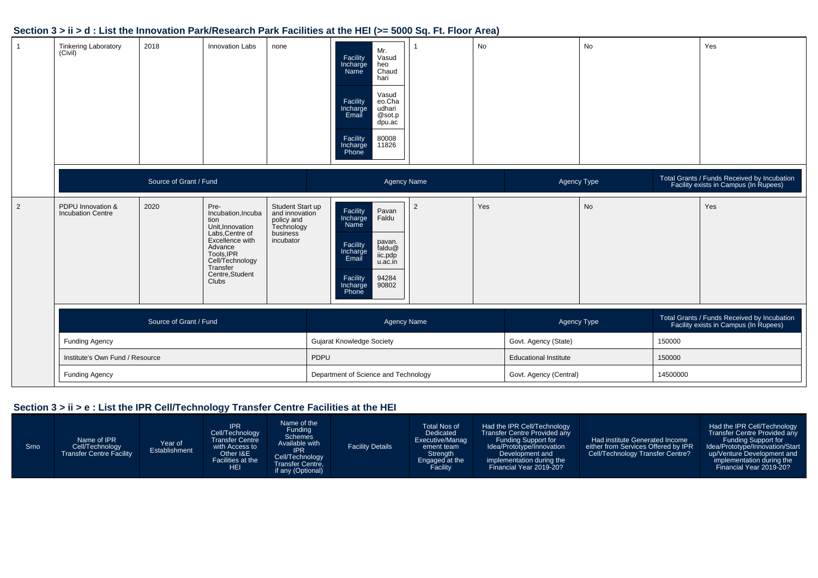#### **Section 3 > ii > d : List the Innovation Park/Research Park Facilities at the HEI (>= 5000 Sq. Ft. Floor Area)**

| $\overline{1}$ | <b>Tinkering Laboratory</b><br>(Civil)        | 2018                   | <b>Innovation Labs</b>                                                                                                                                                                  | none                                                                                    |      | Mr.<br>Facility<br>Vasud<br>Incharge<br>heo<br>Chaud<br>Name<br>hari<br>Vasud<br>Facility<br>eo.Cha<br>udhari<br>Incharge<br>Email<br>@sot.p<br>dpu.ac<br>80008<br>Facility<br>Incharge<br>11826<br>Phone |                        | No  |                              | <b>No</b> |        | Yes                                                                                  |
|----------------|-----------------------------------------------|------------------------|-----------------------------------------------------------------------------------------------------------------------------------------------------------------------------------------|-----------------------------------------------------------------------------------------|------|-----------------------------------------------------------------------------------------------------------------------------------------------------------------------------------------------------------|------------------------|-----|------------------------------|-----------|--------|--------------------------------------------------------------------------------------|
|                |                                               | Source of Grant / Fund |                                                                                                                                                                                         |                                                                                         |      |                                                                                                                                                                                                           | Agency Name            |     | Agency Type                  |           |        | Total Grants / Funds Received by Incubation<br>Facility exists in Campus (In Rupees) |
| 2              | PDPU Innovation &<br><b>Incubation Centre</b> | 2020                   | Pre-<br>Incubation, Incuba<br>tion<br>Unit, Innovation<br>Labs, Centre of<br>Excellence with<br>Advance<br>Tools, IPR<br>Cell/Technology<br>Transfer<br>Centre, Student<br><b>Clubs</b> | Student Start up<br>and innovation<br>policy and<br>Technology<br>business<br>incubator |      | Facility<br>Pavan<br>Faldu<br>Incharge<br>Name<br>pavan.<br>Facility<br>Incharge<br>faldu@<br>iic.pdp<br>Email<br>u.ac.in<br>94284<br>Facility<br>Incharge<br>90802<br>Phone                              | $\overline{2}$         | Yes |                              | No        |        | Yes                                                                                  |
|                |                                               | Source of Grant / Fund |                                                                                                                                                                                         |                                                                                         |      |                                                                                                                                                                                                           | <b>Agency Name</b>     |     | Agency Type                  |           |        | Total Grants / Funds Received by Incubation<br>Facility exists in Campus (In Rupees) |
|                | <b>Funding Agency</b>                         |                        |                                                                                                                                                                                         |                                                                                         |      | <b>Gujarat Knowledge Society</b>                                                                                                                                                                          |                        |     | Govt. Agency (State)         |           | 150000 |                                                                                      |
|                | Institute's Own Fund / Resource               |                        |                                                                                                                                                                                         |                                                                                         | PDPU |                                                                                                                                                                                                           |                        |     | <b>Educational Institute</b> |           | 150000 |                                                                                      |
|                | <b>Funding Agency</b>                         |                        |                                                                                                                                                                                         | Department of Science and Technology                                                    |      |                                                                                                                                                                                                           | Govt. Agency (Central) |     | 14500000                     |           |        |                                                                                      |

#### **Section 3 > ii > e : List the IPR Cell/Technology Transfer Centre Facilities at the HEI**

| Srno | Name of IPR<br>Cell/Technology<br><b>Transfer Centre Facility</b> | Year of<br>Establishment | <b>IPR</b><br>Cell/Technology<br><b>Transfer Centre</b><br>with Access to<br>Other I&E<br>Facilities at the<br><b>HEI</b> | Name of the<br>Funding<br><b>Schemes</b><br>Available with<br><b>IPR</b><br>Cell/Technology<br>Transfer Centre,<br>if any (Optional) | <b>Facility Details</b> | <b>Total Nos of</b><br>Dedicated<br>Executive/Manag<br>ement team<br>Strength<br>Engaged at the<br>Facility | Had the IPR Cell/Technology<br>Transfer Centre Provided any<br>Funding Support for<br>Idea/Prototype/Innovation<br>Development and<br>implementation during the<br>Financial Year 2019-20? | Had institute Generated Income<br>either from Services Offered by IPR<br>Cell/Technology Transfer Centre? | Had the IPR Cell/Technology<br>Transfer Centre Provided any<br>Funding Support for<br>Idea/Prototype/Innovation/Start<br>up/Venture Development and<br>implementation during the<br>Financial Year 2019-20? |
|------|-------------------------------------------------------------------|--------------------------|---------------------------------------------------------------------------------------------------------------------------|--------------------------------------------------------------------------------------------------------------------------------------|-------------------------|-------------------------------------------------------------------------------------------------------------|--------------------------------------------------------------------------------------------------------------------------------------------------------------------------------------------|-----------------------------------------------------------------------------------------------------------|-------------------------------------------------------------------------------------------------------------------------------------------------------------------------------------------------------------|
|------|-------------------------------------------------------------------|--------------------------|---------------------------------------------------------------------------------------------------------------------------|--------------------------------------------------------------------------------------------------------------------------------------|-------------------------|-------------------------------------------------------------------------------------------------------------|--------------------------------------------------------------------------------------------------------------------------------------------------------------------------------------------|-----------------------------------------------------------------------------------------------------------|-------------------------------------------------------------------------------------------------------------------------------------------------------------------------------------------------------------|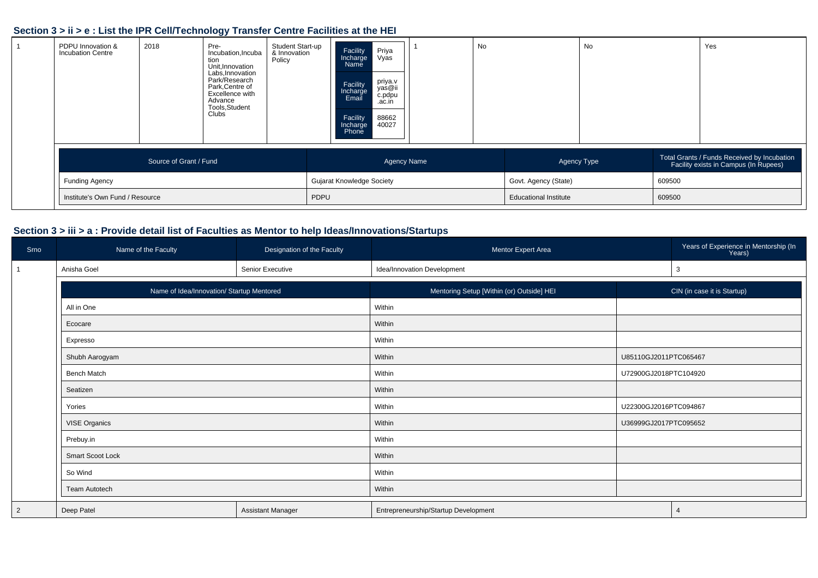#### **Section 3 > ii > e : List the IPR Cell/Technology Transfer Centre Facilities at the HEI**

| PDPU Innovation &<br><b>Incubation Centre</b> | 2018                   | Pre-<br>Incubation, Incuba<br>tion<br>Unit.Innovation<br>Labs, Innovation<br>Park/Research<br>Park, Centre of<br>Excellence with<br>Advance<br>Tools, Student<br>Clubs | Student Start-up<br>& Innovation<br>Policy |                                  | Facility<br>Incharge<br>Name<br>Facility<br>Incharge<br>Email<br>Facility<br>Incharge<br>Phone | Priya<br>Vyas<br>priya.v<br>yas@ii<br>c.pdpu<br>.ac.in<br>88662<br>40027 | No |                              | No |        | Yes                                                                                  |
|-----------------------------------------------|------------------------|------------------------------------------------------------------------------------------------------------------------------------------------------------------------|--------------------------------------------|----------------------------------|------------------------------------------------------------------------------------------------|--------------------------------------------------------------------------|----|------------------------------|----|--------|--------------------------------------------------------------------------------------|
|                                               | Source of Grant / Fund |                                                                                                                                                                        |                                            |                                  |                                                                                                | <b>Agency Name</b>                                                       |    | Agency Type                  |    |        | Total Grants / Funds Received by Incubation<br>Facility exists in Campus (In Rupees) |
| <b>Funding Agency</b>                         |                        |                                                                                                                                                                        |                                            | <b>Gujarat Knowledge Society</b> |                                                                                                |                                                                          |    | Govt. Agency (State)         |    | 609500 |                                                                                      |
| Institute's Own Fund / Resource               |                        |                                                                                                                                                                        |                                            | PDPU                             |                                                                                                |                                                                          |    | <b>Educational Institute</b> |    | 609500 |                                                                                      |

## **Section 3 > iii > a : Provide detail list of Faculties as Mentor to help Ideas/Innovations/Startups**

| Srno           | Name of the Faculty                       | Designation of the Faculty | Mentor Expert Area                        |                       | Years of Experience in Mentorship (In<br>Years) |  |
|----------------|-------------------------------------------|----------------------------|-------------------------------------------|-----------------------|-------------------------------------------------|--|
|                | Anisha Goel                               | Senior Executive           | Idea/Innovation Development               |                       | 3                                               |  |
|                | Name of Idea/Innovation/ Startup Mentored |                            | Mentoring Setup [Within (or) Outside] HEI |                       | CIN (in case it is Startup)                     |  |
|                | All in One                                |                            | Within                                    |                       |                                                 |  |
|                | Ecocare                                   |                            | Within                                    |                       |                                                 |  |
|                | Expresso                                  |                            | Within                                    |                       |                                                 |  |
|                | Shubh Aarogyam                            |                            | Within                                    | U85110GJ2011PTC065467 |                                                 |  |
|                | <b>Bench Match</b>                        |                            | Within                                    | U72900GJ2018PTC104920 |                                                 |  |
|                | Seatizen                                  |                            | Within                                    |                       |                                                 |  |
|                | Yories                                    |                            | Within                                    | U22300GJ2016PTC094867 |                                                 |  |
|                | <b>VISE Organics</b>                      |                            | Within                                    | U36999GJ2017PTC095652 |                                                 |  |
|                | Prebuy.in                                 |                            | Within                                    |                       |                                                 |  |
|                | <b>Smart Scoot Lock</b>                   |                            | Within                                    |                       |                                                 |  |
|                | So Wind                                   |                            | Within                                    |                       |                                                 |  |
|                | <b>Team Autotech</b>                      |                            | Within                                    |                       |                                                 |  |
| $\overline{2}$ | Deep Patel                                | <b>Assistant Manager</b>   | Entrepreneurship/Startup Development      |                       | $\overline{4}$                                  |  |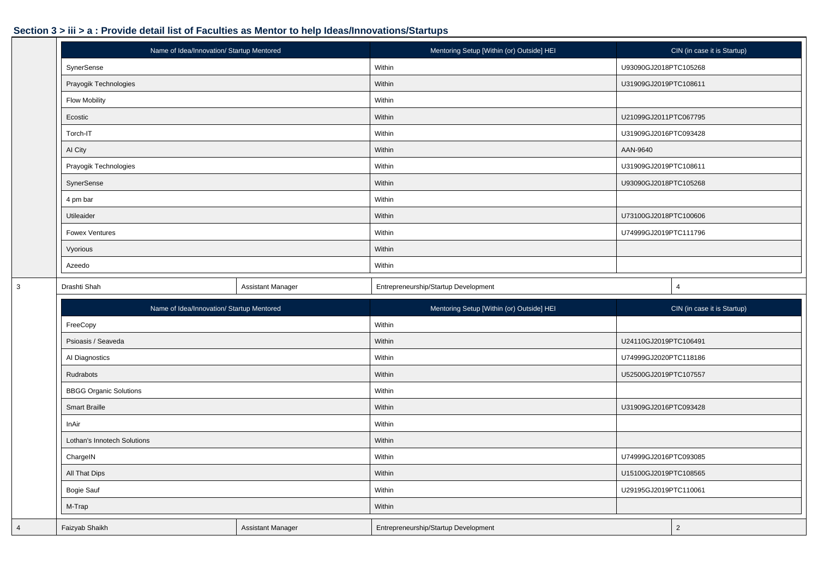|   | Name of Idea/Innovation/ Startup Mentored |                          | Mentoring Setup [Within (or) Outside] HEI | CIN (in case it is Startup) |
|---|-------------------------------------------|--------------------------|-------------------------------------------|-----------------------------|
|   | SynerSense                                |                          | Within                                    | U93090GJ2018PTC105268       |
|   | Prayogik Technologies                     |                          | Within                                    | U31909GJ2019PTC108611       |
|   | <b>Flow Mobility</b>                      |                          | Within                                    |                             |
|   | Ecostic                                   |                          | Within                                    | U21099GJ2011PTC067795       |
|   | Torch-IT                                  |                          | Within                                    | U31909GJ2016PTC093428       |
|   | AI City                                   |                          | Within                                    | AAN-9640                    |
|   | Prayogik Technologies                     |                          | Within                                    | U31909GJ2019PTC108611       |
|   | SynerSense                                |                          | Within                                    | U93090GJ2018PTC105268       |
|   | 4 pm bar                                  |                          | Within                                    |                             |
|   | Utileaider                                |                          | Within                                    | U73100GJ2018PTC100606       |
|   | <b>Fowex Ventures</b>                     |                          | Within                                    | U74999GJ2019PTC111796       |
|   | Vyorious                                  |                          | Within                                    |                             |
|   | Azeedo                                    |                          | Within                                    |                             |
| 3 | Drashti Shah                              | <b>Assistant Manager</b> | Entrepreneurship/Startup Development      | $\overline{4}$              |
|   |                                           |                          |                                           |                             |
|   | Name of Idea/Innovation/ Startup Mentored |                          | Mentoring Setup [Within (or) Outside] HEI | CIN (in case it is Startup) |
|   | FreeCopy                                  |                          | Within                                    |                             |
|   | Psioasis / Seaveda                        |                          | Within                                    | U24110GJ2019PTC106491       |
|   | Al Diagnostics                            |                          | Within                                    | U74999GJ2020PTC118186       |
|   | Rudrabots                                 |                          | Within                                    | U52500GJ2019PTC107557       |
|   | <b>BBGG Organic Solutions</b>             |                          | Within                                    |                             |
|   | <b>Smart Braille</b>                      |                          | Within                                    | U31909GJ2016PTC093428       |
|   | InAir                                     |                          | Within                                    |                             |
|   | Lothan's Innotech Solutions               |                          | Within                                    |                             |
|   | ChargelN                                  |                          | Within                                    | U74999GJ2016PTC093085       |
|   | All That Dips                             |                          | Within                                    | U15100GJ2019PTC108565       |
|   | Bogie Sauf                                |                          | Within                                    | U29195GJ2019PTC110061       |
|   | M-Trap                                    |                          | Within                                    |                             |
| 4 | Faizyab Shaikh                            | Assistant Manager        | Entrepreneurship/Startup Development      | $\overline{2}$              |

 $|3\rangle$ 

4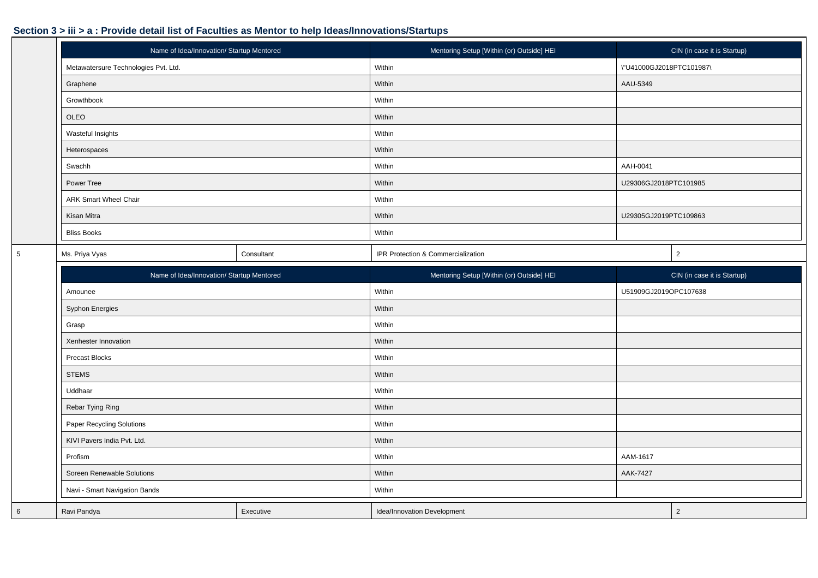|             | Name of Idea/Innovation/ Startup Mentored |            | Mentoring Setup [Within (or) Outside] HEI |                          | CIN (in case it is Startup) |
|-------------|-------------------------------------------|------------|-------------------------------------------|--------------------------|-----------------------------|
|             | Metawatersure Technologies Pvt. Ltd.      |            | Within                                    | \"U41000GJ2018PTC101987\ |                             |
|             | Graphene                                  |            | Within                                    | AAU-5349                 |                             |
|             | Growthbook                                |            | Within                                    |                          |                             |
|             | OLEO                                      |            | Within                                    |                          |                             |
|             | Wasteful Insights                         |            | Within                                    |                          |                             |
|             | Heterospaces                              |            | Within                                    |                          |                             |
|             | Swachh                                    |            | Within                                    | AAH-0041                 |                             |
|             | Power Tree                                |            | Within                                    | U29306GJ2018PTC101985    |                             |
|             | <b>ARK Smart Wheel Chair</b>              |            | Within                                    |                          |                             |
|             | Kisan Mitra                               |            | Within                                    | U29305GJ2019PTC109863    |                             |
|             | <b>Bliss Books</b>                        |            | Within                                    |                          |                             |
| $\,$ 5 $\,$ | Ms. Priya Vyas                            | Consultant | IPR Protection & Commercialization        |                          | $\overline{2}$              |
|             | Name of Idea/Innovation/ Startup Mentored |            | Mentoring Setup [Within (or) Outside] HEI |                          | CIN (in case it is Startup) |
|             | Amounee                                   |            | Within                                    | U51909GJ2019OPC107638    |                             |
|             | Syphon Energies                           |            | Within                                    |                          |                             |
|             | Grasp                                     |            | Within                                    |                          |                             |
|             | Xenhester Innovation                      |            | Within                                    |                          |                             |
|             | Precast Blocks                            |            | Within                                    |                          |                             |
|             | <b>STEMS</b>                              |            | Within                                    |                          |                             |
|             | Uddhaar                                   |            | Within                                    |                          |                             |
|             | Rebar Tying Ring                          |            | Within                                    |                          |                             |
|             | <b>Paper Recycling Solutions</b>          |            | Within                                    |                          |                             |
|             | KIVI Pavers India Pvt. Ltd.               |            | Within                                    |                          |                             |
|             | Profism                                   |            | Within                                    | AAM-1617                 |                             |
|             | Soreen Renewable Solutions                |            | Within                                    | AAK-7427                 |                             |
|             | Navi - Smart Navigation Bands             |            | Within                                    |                          |                             |
| $\,$ 6      | Ravi Pandya                               | Executive  | Idea/Innovation Development               |                          | $\overline{2}$              |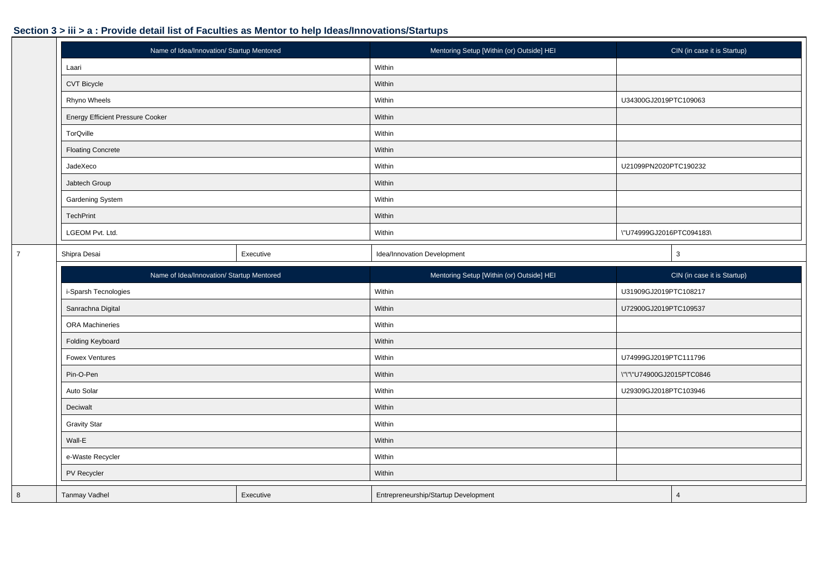|                | Name of Idea/Innovation/ Startup Mentored                                                                        |           | Mentoring Setup [Within (or) Outside] HEI |                           | CIN (in case it is Startup) |
|----------------|------------------------------------------------------------------------------------------------------------------|-----------|-------------------------------------------|---------------------------|-----------------------------|
|                | Laari                                                                                                            |           | Within                                    |                           |                             |
|                | CVT Bicycle                                                                                                      |           | Within                                    |                           |                             |
|                | Rhyno Wheels                                                                                                     |           | Within                                    | U34300GJ2019PTC109063     |                             |
|                | <b>Energy Efficient Pressure Cooker</b>                                                                          |           | Within                                    |                           |                             |
|                | TorQville                                                                                                        |           | Within                                    |                           |                             |
|                | <b>Floating Concrete</b><br>JadeXeco<br>Jabtech Group<br>Gardening System<br><b>TechPrint</b><br>LGEOM Pvt. Ltd. |           | Within                                    |                           |                             |
|                |                                                                                                                  |           | Within                                    | U21099PN2020PTC190232     |                             |
|                |                                                                                                                  |           | Within                                    |                           |                             |
|                |                                                                                                                  |           | Within                                    |                           |                             |
|                |                                                                                                                  |           | Within                                    |                           |                             |
|                |                                                                                                                  |           | Within                                    | \"U74999GJ2016PTC094183\  |                             |
| $\overline{7}$ | Shipra Desai                                                                                                     | Executive | Idea/Innovation Development               |                           | $\mathbf{3}$                |
|                | Name of Idea/Innovation/ Startup Mentored                                                                        |           | Mentoring Setup [Within (or) Outside] HEI |                           | CIN (in case it is Startup) |
|                | i-Sparsh Tecnologies                                                                                             |           | Within                                    | U31909GJ2019PTC108217     |                             |
|                | Sanrachna Digital                                                                                                |           | Within                                    | U72900GJ2019PTC109537     |                             |
|                | <b>ORA</b> Machineries                                                                                           |           | Within                                    |                           |                             |
|                | Folding Keyboard                                                                                                 |           | Within                                    |                           |                             |
|                | <b>Fowex Ventures</b>                                                                                            |           | Within                                    | U74999GJ2019PTC111796     |                             |
|                | Pin-O-Pen                                                                                                        |           | Within                                    | \"\"\"U74900GJ2015PTC0846 |                             |
|                | Auto Solar                                                                                                       |           | Within                                    | U29309GJ2018PTC103946     |                             |
|                | Deciwalt                                                                                                         |           | Within                                    |                           |                             |
|                | <b>Gravity Star</b>                                                                                              |           | Within                                    |                           |                             |
|                | Wall-E                                                                                                           |           | Within                                    |                           |                             |
|                | e-Waste Recycler                                                                                                 |           | Within                                    |                           |                             |
|                | PV Recycler                                                                                                      |           | Within                                    |                           |                             |
| 8              | Tanmay Vadhel                                                                                                    | Executive | Entrepreneurship/Startup Development      |                           | $\overline{4}$              |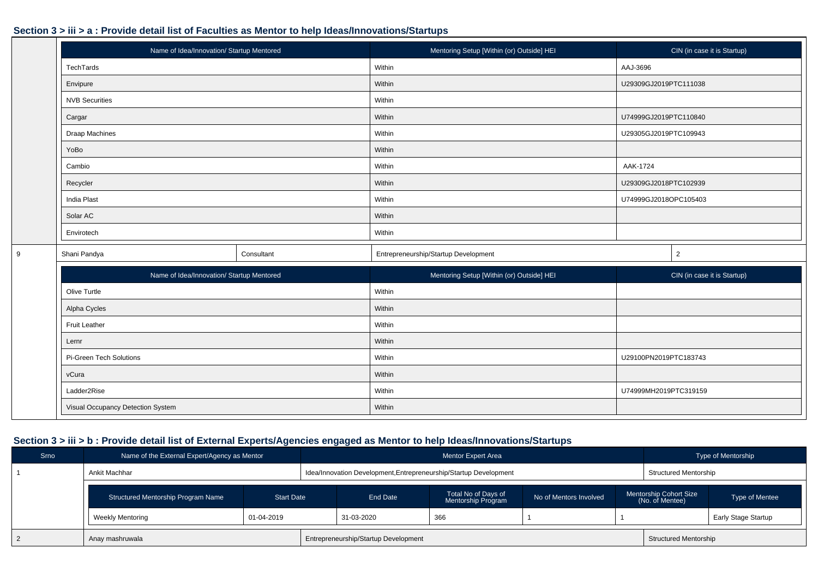9

|                       | Name of Idea/Innovation/ Startup Mentored | Mentoring Setup [Within (or) Outside] HEI | CIN (in case it is Startup) |
|-----------------------|-------------------------------------------|-------------------------------------------|-----------------------------|
| TechTards             |                                           | Within                                    | AAJ-3696                    |
| Envipure              |                                           | Within                                    | U29309GJ2019PTC111038       |
| <b>NVB Securities</b> |                                           | Within                                    |                             |
| Cargar                |                                           | Within                                    | U74999GJ2019PTC110840       |
| Draap Machines        |                                           | Within                                    | U29305GJ2019PTC109943       |
| YoBo                  |                                           | Within                                    |                             |
| Cambio                |                                           | Within                                    | AAK-1724                    |
| Recycler              |                                           | Within                                    | U29309GJ2018PTC102939       |
| India Plast           |                                           | Within                                    | U74999GJ2018OPC105403       |
| Solar AC              |                                           | Within                                    |                             |
| Envirotech            |                                           | Within                                    |                             |
| Shani Pandya          | Consultant                                | Entrepreneurship/Startup Development      | 2                           |
|                       | Name of Idea/Innovation/ Startun Mentored | Mentoring Setup Mithin (or) Outsidel HEL  | CIN (in case it is Startun) |

| Name of Idea/Innovation/ Startup Mentored | Mentoring Setup [Within (or) Outside] HEI | CIN (in case it is Startup) |
|-------------------------------------------|-------------------------------------------|-----------------------------|
| Olive Turtle                              | Within                                    |                             |
| Alpha Cycles                              | Within                                    |                             |
| <b>Fruit Leather</b>                      | Within                                    |                             |
| Lernr                                     | Within                                    |                             |
| Pi-Green Tech Solutions                   | Within                                    | U29100PN2019PTC183743       |
| vCura                                     | Within                                    |                             |
| Ladder2Rise                               | Within                                    | U74999MH2019PTC319159       |
| Visual Occupancy Detection System         | Within                                    |                             |

| Srno | Name of the External Expert/Agency as Mentor            |  |                                                                   | Mentor Expert Area                        |                        |                                                  | Type of Mentorship         |
|------|---------------------------------------------------------|--|-------------------------------------------------------------------|-------------------------------------------|------------------------|--------------------------------------------------|----------------------------|
|      | Ankit Machhar                                           |  | Idea/Innovation Development, Entrepreneurship/Startup Development |                                           |                        | <b>Structured Mentorship</b>                     |                            |
|      | <b>Start Date</b><br>Structured Mentorship Program Name |  | End Date                                                          | Total No of Days of<br>Mentorship Program | No of Mentors Involved | <b>Mentorship Cohort Size</b><br>(No. of Mentee) | Type of Mentee             |
|      | 01-04-2019<br><b>Weekly Mentoring</b>                   |  | 31-03-2020                                                        | 366                                       |                        |                                                  | <b>Early Stage Startup</b> |
|      | Anay mashruwala                                         |  | Entrepreneurship/Startup Development                              |                                           |                        | <b>Structured Mentorship</b>                     |                            |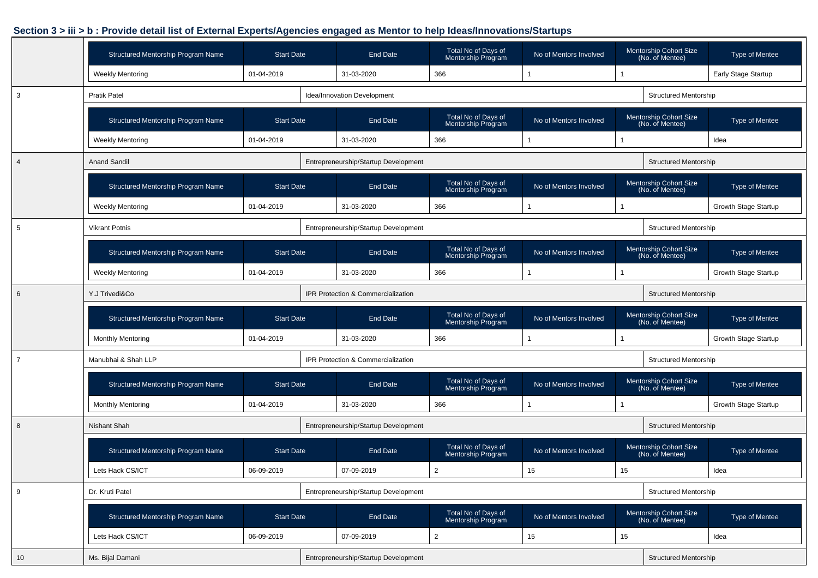|                | Structured Mentorship Program Name | <b>Start Date</b> | End Date                             | Total No of Days of<br>Mentorship Program | No of Mentors Involved |    | Mentorship Cohort Size<br>(No. of Mentee)        | Type of Mentee             |
|----------------|------------------------------------|-------------------|--------------------------------------|-------------------------------------------|------------------------|----|--------------------------------------------------|----------------------------|
|                | <b>Weekly Mentoring</b>            | 01-04-2019        | 31-03-2020                           | 366                                       |                        |    |                                                  | <b>Early Stage Startup</b> |
| 3              | <b>Pratik Patel</b>                |                   | Idea/Innovation Development          |                                           |                        |    | <b>Structured Mentorship</b>                     |                            |
|                | Structured Mentorship Program Name | <b>Start Date</b> | End Date                             | Total No of Days of<br>Mentorship Program | No of Mentors Involved |    | <b>Mentorship Cohort Size</b><br>(No. of Mentee) | Type of Mentee             |
|                | <b>Weekly Mentoring</b>            | 01-04-2019        | 31-03-2020                           | 366                                       |                        |    |                                                  | Idea                       |
| $\overline{4}$ | <b>Anand Sandil</b>                |                   | Entrepreneurship/Startup Development |                                           |                        |    | <b>Structured Mentorship</b>                     |                            |
|                | Structured Mentorship Program Name | <b>Start Date</b> | End Date                             | Total No of Days of<br>Mentorship Program | No of Mentors Involved |    | Mentorship Cohort Size<br>(No. of Mentee)        | Type of Mentee             |
|                | <b>Weekly Mentoring</b>            | 01-04-2019        | 31-03-2020                           | 366                                       |                        |    |                                                  | Growth Stage Startup       |
| 5              | <b>Vikrant Potnis</b>              |                   | Entrepreneurship/Startup Development |                                           |                        |    | <b>Structured Mentorship</b>                     |                            |
|                | Structured Mentorship Program Name | <b>Start Date</b> | End Date                             | Total No of Days of<br>Mentorship Program | No of Mentors Involved |    | Mentorship Cohort Size<br>(No. of Mentee)        | Type of Mentee             |
|                | <b>Weekly Mentoring</b>            | 01-04-2019        | 31-03-2020                           | 366                                       |                        |    |                                                  | Growth Stage Startup       |
| 6              | Y.J Trivedi&Co                     |                   | IPR Protection & Commercialization   |                                           |                        |    | <b>Structured Mentorship</b>                     |                            |
|                | Structured Mentorship Program Name | <b>Start Date</b> | End Date                             | Total No of Days of<br>Mentorship Program | No of Mentors Involved |    | Mentorship Cohort Size<br>(No. of Mentee)        | Type of Mentee             |
|                | <b>Monthly Mentoring</b>           | 01-04-2019        | 31-03-2020                           | 366                                       |                        |    |                                                  | Growth Stage Startup       |
| $\overline{7}$ | Manubhai & Shah LLP                |                   | IPR Protection & Commercialization   |                                           |                        |    | <b>Structured Mentorship</b>                     |                            |
|                | Structured Mentorship Program Name | <b>Start Date</b> | End Date                             | Total No of Days of<br>Mentorship Program | No of Mentors Involved |    | Mentorship Cohort Size<br>(No. of Mentee)        | Type of Mentee             |
|                | <b>Monthly Mentoring</b>           | 01-04-2019        | 31-03-2020                           | 366                                       |                        |    |                                                  | Growth Stage Startup       |
| 8              | <b>Nishant Shah</b>                |                   | Entrepreneurship/Startup Development |                                           |                        |    | <b>Structured Mentorship</b>                     |                            |
|                | Structured Mentorship Program Name | <b>Start Date</b> | End Date                             | Total No of Days of<br>Mentorship Program | No of Mentors Involved |    | <b>Mentorship Cohort Size</b><br>(No. of Mentee) | Type of Mentee             |
|                | Lets Hack CS/ICT                   | 06-09-2019        | 07-09-2019                           | $\overline{2}$                            | 15                     | 15 |                                                  | Idea                       |
| 9              | Dr. Kruti Patel                    |                   | Entrepreneurship/Startup Development |                                           |                        |    | <b>Structured Mentorship</b>                     |                            |
|                | Structured Mentorship Program Name | <b>Start Date</b> | End Date                             | Total No of Days of<br>Mentorship Program | No of Mentors Involved |    | Mentorship Cohort Size<br>(No. of Mentee)        | <b>Type of Mentee</b>      |
|                | Lets Hack CS/ICT                   | 06-09-2019        | 07-09-2019                           | $\overline{2}$                            | 15                     | 15 |                                                  | Idea                       |
| 10             | Ms. Bijal Damani                   |                   | Entrepreneurship/Startup Development |                                           |                        |    | <b>Structured Mentorship</b>                     |                            |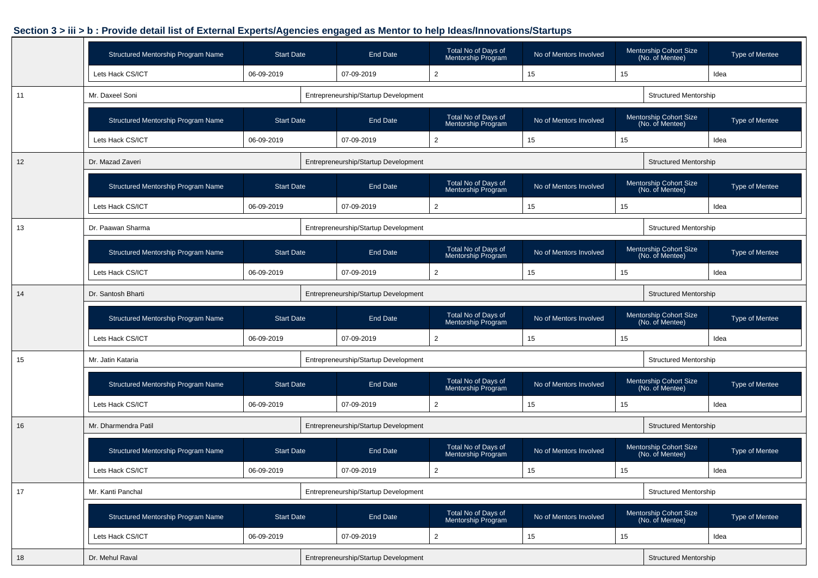|    | Structured Mentorship Program Name | <b>Start Date</b> | <b>End Date</b>                      | Total No of Days of<br>Mentorship Program | No of Mentors Involved |    | Mentorship Cohort Size<br>(No. of Mentee)        | Type of Mentee                                                                                                                                                  |  |  |  |  |  |  |  |
|----|------------------------------------|-------------------|--------------------------------------|-------------------------------------------|------------------------|----|--------------------------------------------------|-----------------------------------------------------------------------------------------------------------------------------------------------------------------|--|--|--|--|--|--|--|
|    | Lets Hack CS/ICT                   | 06-09-2019        | 07-09-2019                           | $\overline{2}$                            | 15                     | 15 |                                                  | Idea                                                                                                                                                            |  |  |  |  |  |  |  |
| 11 | Mr. Daxeel Soni                    |                   | Entrepreneurship/Startup Development |                                           |                        |    | <b>Structured Mentorship</b>                     | Type of Mentee<br>Idea<br><b>Type of Mentee</b><br>Idea<br>Type of Mentee<br>Idea<br>Type of Mentee<br>Idea<br>Type of Mentee<br>Idea<br>Type of Mentee<br>Idea |  |  |  |  |  |  |  |
|    | Structured Mentorship Program Name | <b>Start Date</b> | <b>End Date</b>                      | Total No of Days of<br>Mentorship Program | No of Mentors Involved |    | Mentorship Cohort Size<br>(No. of Mentee)        |                                                                                                                                                                 |  |  |  |  |  |  |  |
|    | Lets Hack CS/ICT                   | 06-09-2019        | 07-09-2019                           | $\overline{2}$                            | 15                     | 15 |                                                  |                                                                                                                                                                 |  |  |  |  |  |  |  |
| 12 | Dr. Mazad Zaveri                   |                   | Entrepreneurship/Startup Development |                                           |                        |    | <b>Structured Mentorship</b>                     |                                                                                                                                                                 |  |  |  |  |  |  |  |
|    | Structured Mentorship Program Name | <b>Start Date</b> | <b>End Date</b>                      | Total No of Days of<br>Mentorship Program | No of Mentors Involved |    | <b>Mentorship Cohort Size</b><br>(No. of Mentee) |                                                                                                                                                                 |  |  |  |  |  |  |  |
|    | Lets Hack CS/ICT                   | 06-09-2019        | 07-09-2019                           | $\overline{2}$                            | 15                     | 15 |                                                  |                                                                                                                                                                 |  |  |  |  |  |  |  |
| 13 | Dr. Paawan Sharma                  |                   | Entrepreneurship/Startup Development |                                           |                        |    | <b>Structured Mentorship</b>                     |                                                                                                                                                                 |  |  |  |  |  |  |  |
|    | Structured Mentorship Program Name | <b>Start Date</b> | <b>End Date</b>                      | Total No of Days of<br>Mentorship Program | No of Mentors Involved |    | Mentorship Cohort Size<br>(No. of Mentee)        |                                                                                                                                                                 |  |  |  |  |  |  |  |
|    | Lets Hack CS/ICT                   | 06-09-2019        | 07-09-2019                           | $\overline{2}$                            | 15                     | 15 |                                                  |                                                                                                                                                                 |  |  |  |  |  |  |  |
| 14 | Dr. Santosh Bharti                 |                   | Entrepreneurship/Startup Development |                                           |                        |    | <b>Structured Mentorship</b>                     |                                                                                                                                                                 |  |  |  |  |  |  |  |
|    | Structured Mentorship Program Name | <b>Start Date</b> | <b>End Date</b>                      | Total No of Days of<br>Mentorship Program | No of Mentors Involved |    | Mentorship Cohort Size<br>(No. of Mentee)        |                                                                                                                                                                 |  |  |  |  |  |  |  |
|    | Lets Hack CS/ICT                   | 06-09-2019        | 07-09-2019                           | $\overline{2}$                            | 15                     | 15 |                                                  |                                                                                                                                                                 |  |  |  |  |  |  |  |
| 15 | Mr. Jatin Kataria                  |                   | Entrepreneurship/Startup Development |                                           |                        |    | <b>Structured Mentorship</b>                     |                                                                                                                                                                 |  |  |  |  |  |  |  |
|    | Structured Mentorship Program Name | <b>Start Date</b> | <b>End Date</b>                      | Total No of Days of<br>Mentorship Program | No of Mentors Involved |    | <b>Mentorship Cohort Size</b><br>(No. of Mentee) |                                                                                                                                                                 |  |  |  |  |  |  |  |
|    | Lets Hack CS/ICT                   | 06-09-2019        | 07-09-2019                           | $\overline{2}$                            | 15                     | 15 |                                                  |                                                                                                                                                                 |  |  |  |  |  |  |  |
| 16 | Mr. Dharmendra Patil               |                   | Entrepreneurship/Startup Development |                                           |                        |    | <b>Structured Mentorship</b>                     |                                                                                                                                                                 |  |  |  |  |  |  |  |
|    | Structured Mentorship Program Name | <b>Start Date</b> | <b>End Date</b>                      | Total No of Days of<br>Mentorship Program | No of Mentors Involved |    | <b>Mentorship Cohort Size</b><br>(No. of Mentee) |                                                                                                                                                                 |  |  |  |  |  |  |  |
|    | Lets Hack CS/ICT                   | 06-09-2019        | 07-09-2019                           | $\overline{2}$                            | 15                     | 15 |                                                  |                                                                                                                                                                 |  |  |  |  |  |  |  |
| 17 | Mr. Kanti Panchal                  |                   | Entrepreneurship/Startup Development |                                           |                        |    | <b>Structured Mentorship</b>                     |                                                                                                                                                                 |  |  |  |  |  |  |  |
|    | Structured Mentorship Program Name | <b>Start Date</b> | End Date                             | Total No of Days of<br>Mentorship Program | No of Mentors Involved |    | Mentorship Cohort Size<br>(No. of Mentee)        | Type of Mentee                                                                                                                                                  |  |  |  |  |  |  |  |
|    | Lets Hack CS/ICT                   | 06-09-2019        | 07-09-2019                           | $\overline{2}$                            | 15                     | 15 |                                                  | Idea                                                                                                                                                            |  |  |  |  |  |  |  |
| 18 | Dr. Mehul Raval                    |                   | Entrepreneurship/Startup Development |                                           |                        |    | <b>Structured Mentorship</b>                     |                                                                                                                                                                 |  |  |  |  |  |  |  |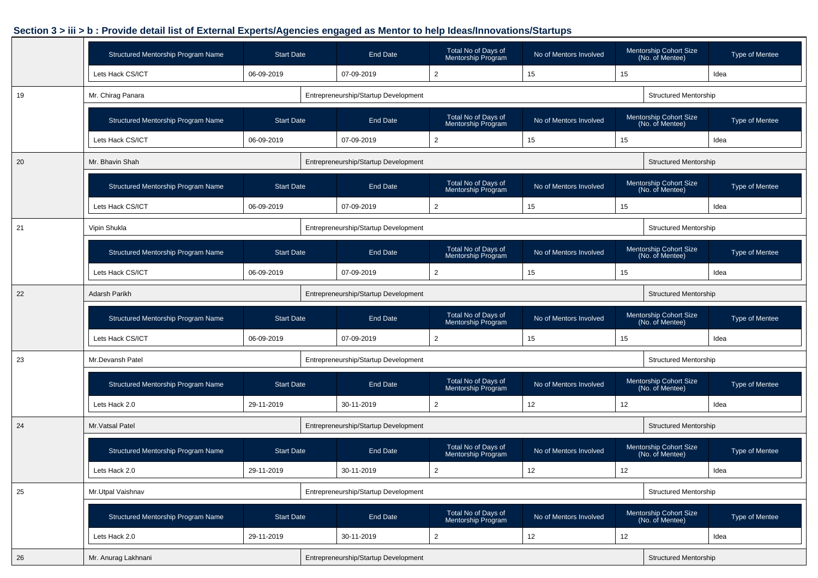|    | Structured Mentorship Program Name | <b>Start Date</b> | <b>End Date</b>                      | Total No of Days of<br>Mentorship Program | No of Mentors Involved |    | Mentorship Cohort Size<br>(No. of Mentee)        | Type of Mentee |
|----|------------------------------------|-------------------|--------------------------------------|-------------------------------------------|------------------------|----|--------------------------------------------------|----------------|
|    | Lets Hack CS/ICT                   | 06-09-2019        | 07-09-2019                           | $\overline{2}$                            | 15                     | 15 |                                                  | Idea           |
| 19 | Mr. Chirag Panara                  |                   | Entrepreneurship/Startup Development |                                           |                        |    | <b>Structured Mentorship</b>                     |                |
|    | Structured Mentorship Program Name | <b>Start Date</b> | <b>End Date</b>                      | Total No of Days of<br>Mentorship Program | No of Mentors Involved |    | <b>Mentorship Cohort Size</b><br>(No. of Mentee) | Type of Mentee |
|    | Lets Hack CS/ICT                   | 06-09-2019        | 07-09-2019                           | $\overline{2}$                            | 15                     | 15 |                                                  | Idea           |
| 20 | Mr. Bhavin Shah                    |                   | Entrepreneurship/Startup Development |                                           |                        |    | <b>Structured Mentorship</b>                     |                |
|    | Structured Mentorship Program Name | <b>Start Date</b> | <b>End Date</b>                      | Total No of Days of<br>Mentorship Program | No of Mentors Involved |    | <b>Mentorship Cohort Size</b><br>(No. of Mentee) | Type of Mentee |
|    | Lets Hack CS/ICT                   | 06-09-2019        | 07-09-2019                           | $\overline{2}$                            | 15                     | 15 |                                                  | Idea           |
| 21 | Vipin Shukla                       |                   | Entrepreneurship/Startup Development |                                           |                        |    | <b>Structured Mentorship</b>                     |                |
|    | Structured Mentorship Program Name | <b>Start Date</b> | <b>End Date</b>                      | Total No of Days of<br>Mentorship Program | No of Mentors Involved |    | Mentorship Cohort Size<br>(No. of Mentee)        | Type of Mentee |
|    | Lets Hack CS/ICT                   | 06-09-2019        | 07-09-2019                           | $\overline{2}$                            | 15                     | 15 |                                                  | Idea           |
| 22 | Adarsh Parikh                      |                   | Entrepreneurship/Startup Development |                                           |                        |    | <b>Structured Mentorship</b>                     |                |
|    | Structured Mentorship Program Name | <b>Start Date</b> | <b>End Date</b>                      | Total No of Days of<br>Mentorship Program | No of Mentors Involved |    | <b>Mentorship Cohort Size</b><br>(No. of Mentee) | Type of Mentee |
|    | Lets Hack CS/ICT                   | 06-09-2019        | 07-09-2019                           | 2                                         | 15                     | 15 |                                                  | Idea           |
| 23 | Mr.Devansh Patel                   |                   | Entrepreneurship/Startup Development |                                           |                        |    | <b>Structured Mentorship</b>                     |                |
|    | Structured Mentorship Program Name | <b>Start Date</b> | <b>End Date</b>                      | Total No of Days of<br>Mentorship Program | No of Mentors Involved |    | <b>Mentorship Cohort Size</b><br>(No. of Mentee) | Type of Mentee |
|    | Lets Hack 2.0                      | 29-11-2019        | 30-11-2019                           | 2                                         | 12                     | 12 |                                                  | Idea           |
| 24 | Mr. Vatsal Patel                   |                   | Entrepreneurship/Startup Development |                                           |                        |    | <b>Structured Mentorship</b>                     |                |
|    | Structured Mentorship Program Name | <b>Start Date</b> | <b>End Date</b>                      | Total No of Days of<br>Mentorship Program | No of Mentors Involved |    | Mentorship Cohort Size<br>(No. of Mentee)        | Type of Mentee |
|    | Lets Hack 2.0                      | 29-11-2019        | 30-11-2019                           | $\overline{2}$                            | 12                     | 12 |                                                  | Idea           |
| 25 | Mr.Utpal Vaishnav                  |                   | Entrepreneurship/Startup Development |                                           |                        |    | <b>Structured Mentorship</b>                     |                |
|    | Structured Mentorship Program Name | <b>Start Date</b> | End Date                             | Total No of Days of<br>Mentorship Program | No of Mentors Involved |    | Mentorship Cohort Size<br>(No. of Mentee)        | Type of Mentee |
|    | Lets Hack 2.0                      | 29-11-2019        | 30-11-2019                           | $\overline{2}$                            | 12                     | 12 |                                                  | Idea           |
| 26 | Mr. Anurag Lakhnani                |                   | Entrepreneurship/Startup Development |                                           |                        |    | <b>Structured Mentorship</b>                     |                |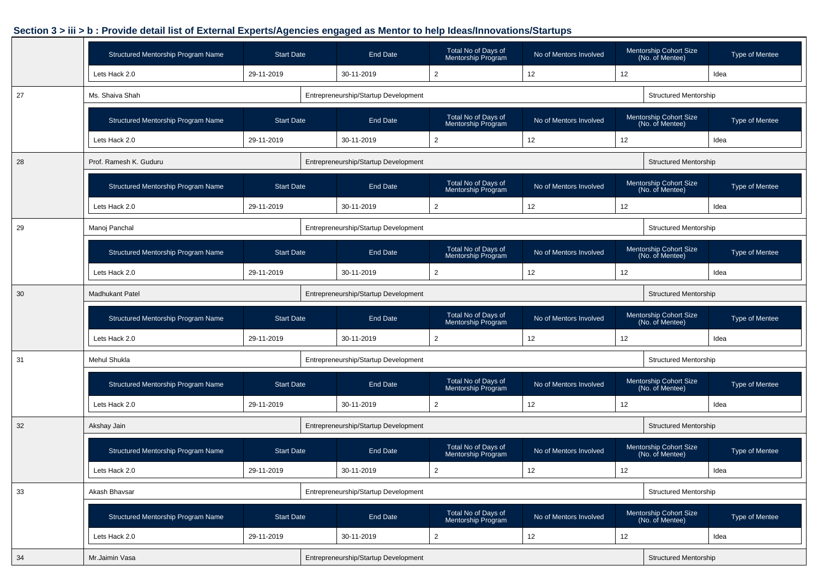|    | Structured Mentorship Program Name | <b>Start Date</b> | <b>End Date</b>                      | Total No of Days of<br>Mentorship Program        | No of Mentors Involved |    | Mentorship Cohort Size<br>(No. of Mentee)        | Type of Mentee        |
|----|------------------------------------|-------------------|--------------------------------------|--------------------------------------------------|------------------------|----|--------------------------------------------------|-----------------------|
|    | Lets Hack 2.0                      | 29-11-2019        | 30-11-2019                           | $\overline{2}$                                   | 12                     | 12 |                                                  | Idea                  |
| 27 | Ms. Shaiva Shah                    |                   | Entrepreneurship/Startup Development |                                                  |                        |    | <b>Structured Mentorship</b>                     |                       |
|    | Structured Mentorship Program Name | <b>Start Date</b> | <b>End Date</b>                      | Total No of Days of<br><b>Mentorship Program</b> | No of Mentors Involved |    | Mentorship Cohort Size<br>(No. of Mentee)        | Type of Mentee        |
|    | Lets Hack 2.0                      | 29-11-2019        | 30-11-2019                           | $\overline{2}$                                   | 12                     | 12 |                                                  | Idea                  |
| 28 | Prof. Ramesh K. Guduru             |                   | Entrepreneurship/Startup Development |                                                  |                        |    | <b>Structured Mentorship</b>                     |                       |
|    | Structured Mentorship Program Name | <b>Start Date</b> | <b>End Date</b>                      | Total No of Days of<br>Mentorship Program        | No of Mentors Involved |    | <b>Mentorship Cohort Size</b><br>(No. of Mentee) | <b>Type of Mentee</b> |
|    | Lets Hack 2.0                      | 29-11-2019        | 30-11-2019                           | $\overline{2}$                                   | 12                     | 12 |                                                  | Idea                  |
| 29 | Manoj Panchal                      |                   | Entrepreneurship/Startup Development |                                                  |                        |    | <b>Structured Mentorship</b>                     |                       |
|    | Structured Mentorship Program Name | <b>Start Date</b> | <b>End Date</b>                      | Total No of Days of<br>Mentorship Program        | No of Mentors Involved |    | Mentorship Cohort Size<br>(No. of Mentee)        | Type of Mentee        |
|    | Lets Hack 2.0                      | 29-11-2019        | 30-11-2019                           | $\overline{2}$                                   | 12                     | 12 |                                                  | Idea                  |
| 30 | <b>Madhukant Patel</b>             |                   | Entrepreneurship/Startup Development |                                                  |                        |    | <b>Structured Mentorship</b>                     |                       |
|    | Structured Mentorship Program Name | <b>Start Date</b> | End Date                             | Total No of Days of<br>Mentorship Program        | No of Mentors Involved |    | Mentorship Cohort Size<br>(No. of Mentee)        | Type of Mentee        |
|    | Lets Hack 2.0                      | 29-11-2019        | 30-11-2019                           | 2                                                | 12                     | 12 |                                                  | Idea                  |
| 31 | Mehul Shukla                       |                   | Entrepreneurship/Startup Development |                                                  |                        |    | <b>Structured Mentorship</b>                     |                       |
|    | Structured Mentorship Program Name | <b>Start Date</b> | <b>End Date</b>                      | Total No of Days of<br>Mentorship Program        | No of Mentors Involved |    | <b>Mentorship Cohort Size</b><br>(No. of Mentee) | Type of Mentee        |
|    | Lets Hack 2.0                      | 29-11-2019        | 30-11-2019                           | $\overline{2}$                                   | 12                     | 12 |                                                  | Idea                  |
| 32 | Akshay Jain                        |                   | Entrepreneurship/Startup Development |                                                  |                        |    | <b>Structured Mentorship</b>                     |                       |
|    | Structured Mentorship Program Name | <b>Start Date</b> | <b>End Date</b>                      | Total No of Days of<br>Mentorship Program        | No of Mentors Involved |    | Mentorship Cohort Size<br>(No. of Mentee)        | Type of Mentee        |
|    | Lets Hack 2.0                      | 29-11-2019        | 30-11-2019                           | $\overline{2}$                                   | 12                     | 12 |                                                  | Idea                  |
| 33 | Akash Bhavsar                      |                   | Entrepreneurship/Startup Development |                                                  |                        |    | <b>Structured Mentorship</b>                     |                       |
|    | Structured Mentorship Program Name | <b>Start Date</b> | End Date                             | Total No of Days of<br>Mentorship Program        | No of Mentors Involved |    | Mentorship Cohort Size<br>(No. of Mentee)        | Type of Mentee        |
|    | Lets Hack 2.0                      | 29-11-2019        | 30-11-2019                           | $\overline{2}$                                   | 12                     | 12 |                                                  | Idea                  |
| 34 | Mr.Jaimin Vasa                     |                   | Entrepreneurship/Startup Development |                                                  |                        |    | <b>Structured Mentorship</b>                     |                       |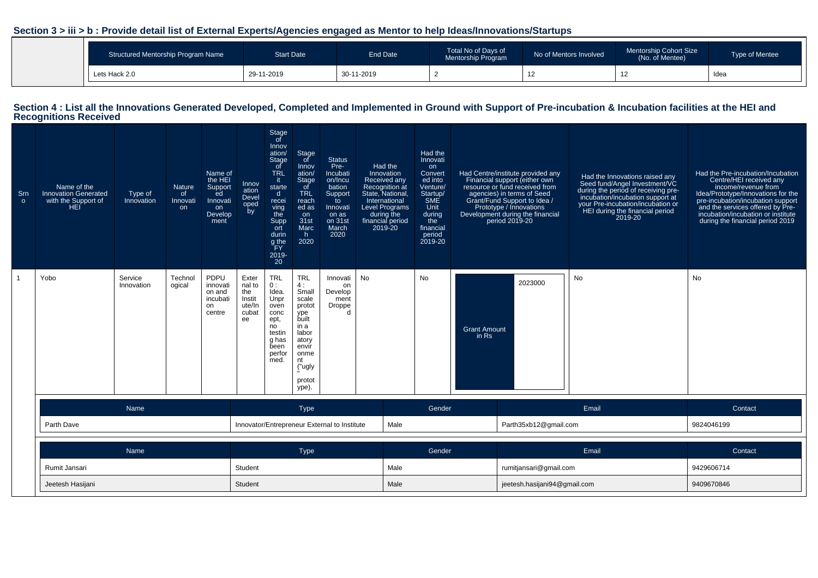| Structured Mentorship Program Name | Start Date | End Date   | Total No of Days of<br>Mentorship Program | No of Mentors Involved | Mentorship Cohort Size<br>(No. of Mentee) | <b>Type of Mentee</b> |
|------------------------------------|------------|------------|-------------------------------------------|------------------------|-------------------------------------------|-----------------------|
| Lets Hack 2.0                      | 29-11-2019 | 30-11-2019 |                                           | 14                     | $\overline{a}$                            | Idea                  |

# **Section 4 : List all the Innovations Generated Developed, Completed and Implemented in Ground with Support of Pre-incubation & Incubation facilities at the HEI and Recognitions Received**

| Srn<br>$\circ$ | Name of the<br><b>Innovation Generated</b><br>with the Support of<br>HEI | Type of<br>Innovation | Nature<br><sub>of</sub><br>Innovati<br>on | Name of<br>the HEI<br>Support<br>ed<br>Innovati<br>on<br>Develop<br>ment | Innov<br>ation<br>Devel<br>oped<br>by                                                                                                                                                                                                                                                                                                                                        | Stage<br>of<br>Innov<br>ation/<br><b>Stage</b><br>of<br><b>TRL</b><br>it.<br>starte<br>$\mathsf{d}$<br>recei<br>ving<br>the<br>Supp<br>ort<br>durin<br>g the<br>ŤFΥ<br>2019-<br>20 | Stage<br>of<br>Innov<br>ation/<br>Stage<br>of<br><b>TRL</b><br>reach<br>ed as<br>on<br>31st<br>Marc<br>h.<br>2020 | <b>Status</b><br>Pre-<br>Incubati<br>on/Incu<br>bation<br>Support<br>to<br>Innovati<br>on as<br>on 31st<br>March<br>2020 | Had the<br>Innovation<br><b>Received any</b><br>Recognition at<br>State, National,<br>International<br><b>Level Programs</b><br>during the<br>financial period<br>2019-20 | Had the<br>Innovati<br>on<br>Convert<br>ed into<br>Venture/<br>Startup/<br>SME<br>Unit<br>during<br>the<br>financial<br>period<br>2019-20 |                              | Had Centre/institute provided any<br>Financial support (either own<br>resource or fund received from<br>agencies) in terms of Seed<br>Grant/Fund Support to Idea /<br>Prototype / Innovations<br>Development during the financial<br>period 2019-20 | Had the Innovations raised any<br>Seed fund/Angel Investment/VC<br>during the period of receiving pre-<br>incubation/incubation support at<br>your Pre-incubation/incubation or<br>HEI during the financial period<br>2019-20 | Had the Pre-incubation/Incubation<br>Centre/HEI received any<br>income/revenue from<br>Idea/Prototype/Innovations for the<br>pre-incubation/incubation support<br>and the services offered by Pre-<br>incubation/incubation or institute<br>during the financial period 2019 |
|----------------|--------------------------------------------------------------------------|-----------------------|-------------------------------------------|--------------------------------------------------------------------------|------------------------------------------------------------------------------------------------------------------------------------------------------------------------------------------------------------------------------------------------------------------------------------------------------------------------------------------------------------------------------|------------------------------------------------------------------------------------------------------------------------------------------------------------------------------------|-------------------------------------------------------------------------------------------------------------------|--------------------------------------------------------------------------------------------------------------------------|---------------------------------------------------------------------------------------------------------------------------------------------------------------------------|-------------------------------------------------------------------------------------------------------------------------------------------|------------------------------|-----------------------------------------------------------------------------------------------------------------------------------------------------------------------------------------------------------------------------------------------------|-------------------------------------------------------------------------------------------------------------------------------------------------------------------------------------------------------------------------------|------------------------------------------------------------------------------------------------------------------------------------------------------------------------------------------------------------------------------------------------------------------------------|
|                | Yobo                                                                     | Service<br>Innovation | Technol<br>ogical                         | PDPU<br>innovati<br>on and<br>incubati<br>on<br>centre                   | No<br>Exter<br><b>TRL</b><br><b>TRL</b><br>Innovati<br>4:<br>nal to<br>0:<br>on<br>Idea.<br>Small<br>the<br>Develop<br>Unpr<br>scale<br>Instit<br>ment<br>ute/In<br>oven<br>protot<br>Droppe<br>cubat<br>conc<br>ype<br>built<br>ee<br>ept,<br>no<br>in a<br>labor<br>testin<br>g has<br>atory<br>been<br>envir<br>perfor<br>onme<br>med.<br>nt<br>("ugly<br>protot<br>ype). |                                                                                                                                                                                    |                                                                                                                   |                                                                                                                          |                                                                                                                                                                           | No                                                                                                                                        | <b>Grant Amount</b><br>in Rs | 2023000                                                                                                                                                                                                                                             | No                                                                                                                                                                                                                            | No                                                                                                                                                                                                                                                                           |
|                |                                                                          | Name                  |                                           |                                                                          |                                                                                                                                                                                                                                                                                                                                                                              |                                                                                                                                                                                    | Type                                                                                                              |                                                                                                                          |                                                                                                                                                                           | Gender                                                                                                                                    |                              |                                                                                                                                                                                                                                                     | Email                                                                                                                                                                                                                         | Contact                                                                                                                                                                                                                                                                      |
|                | Parth Dave                                                               |                       |                                           |                                                                          |                                                                                                                                                                                                                                                                                                                                                                              |                                                                                                                                                                                    | Innovator/Entrepreneur External to Institute                                                                      | Male                                                                                                                     |                                                                                                                                                                           |                                                                                                                                           | Parth35xb12@gmail.com        |                                                                                                                                                                                                                                                     | 9824046199                                                                                                                                                                                                                    |                                                                                                                                                                                                                                                                              |
|                |                                                                          | Name                  |                                           |                                                                          | Type                                                                                                                                                                                                                                                                                                                                                                         |                                                                                                                                                                                    |                                                                                                                   |                                                                                                                          |                                                                                                                                                                           | Gender                                                                                                                                    |                              |                                                                                                                                                                                                                                                     | Email                                                                                                                                                                                                                         | Contact                                                                                                                                                                                                                                                                      |
|                | Rumit Jansari                                                            |                       |                                           |                                                                          | Student                                                                                                                                                                                                                                                                                                                                                                      |                                                                                                                                                                                    |                                                                                                                   |                                                                                                                          | Male                                                                                                                                                                      |                                                                                                                                           |                              | rumitjansari@gmail.com                                                                                                                                                                                                                              |                                                                                                                                                                                                                               | 9429606714                                                                                                                                                                                                                                                                   |
|                | Jeetesh Hasijani                                                         |                       | Student                                   |                                                                          |                                                                                                                                                                                                                                                                                                                                                                              |                                                                                                                                                                                    | Male                                                                                                              |                                                                                                                          |                                                                                                                                                                           | jeetesh.hasijani94@gmail.com                                                                                                              |                              | 9409670846                                                                                                                                                                                                                                          |                                                                                                                                                                                                                               |                                                                                                                                                                                                                                                                              |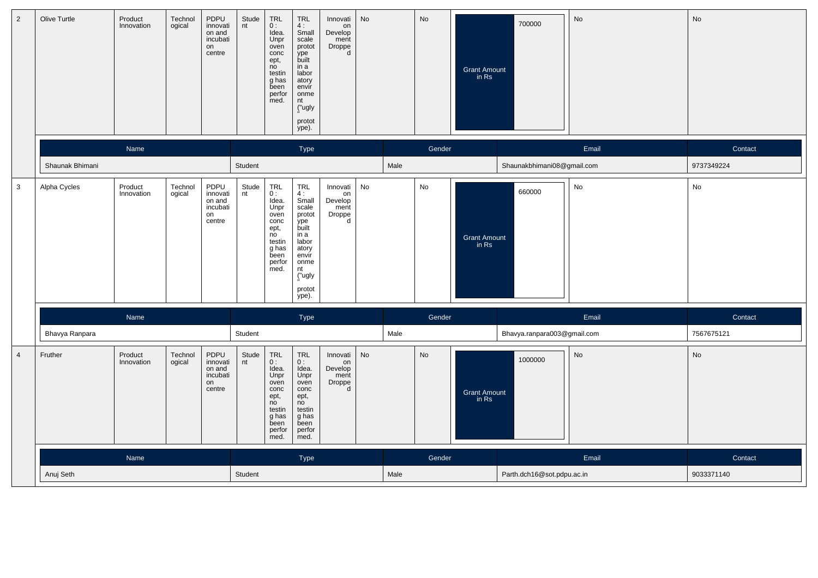| $\overline{2}$ | Olive Turtle    | Product<br>Innovation | Technol<br>ogical | PDPU<br>innovati<br>on and<br>incubati<br>on<br>centre | Stude<br>nt | TRL<br>0:<br>Idea.<br>Unpr<br>oven<br>conc<br>ept,<br>no<br>testin<br>g has<br>been<br>perfor<br>med. | <b>TRL</b><br>4:<br>Small<br>scale<br>protot<br>ype<br>built<br>in a<br>labor<br>atory<br>envír<br>onme<br>nt<br>("ugly<br>protot<br>ype).             | Innovati<br>on<br>Develop<br>ment<br>Droppe<br>d | No |      | No     | <b>Grant Amount</b><br>in Rs | 700000                      | No    | No         |
|----------------|-----------------|-----------------------|-------------------|--------------------------------------------------------|-------------|-------------------------------------------------------------------------------------------------------|--------------------------------------------------------------------------------------------------------------------------------------------------------|--------------------------------------------------|----|------|--------|------------------------------|-----------------------------|-------|------------|
|                |                 | Name                  |                   |                                                        |             |                                                                                                       | Type                                                                                                                                                   |                                                  |    |      | Gender |                              |                             | Email | Contact    |
|                | Shaunak Bhimani |                       |                   |                                                        | Student     |                                                                                                       |                                                                                                                                                        |                                                  |    | Male |        |                              | Shaunakbhimani08@gmail.com  |       | 9737349224 |
| 3              | Alpha Cycles    | Product<br>Innovation | Technol<br>ogical | PDPU<br>innovati<br>on and<br>incubati<br>on<br>centre | Stude<br>nt | TRL<br>0:<br>Idea.<br>Unpr<br>oven<br>conc<br>ept,<br>no<br>testin<br>g has<br>been<br>perfor<br>med. | TRL<br>4:<br>Small<br>scale<br>protot<br>ype<br>built<br>in a<br>labor<br>atory<br>envir<br>onme<br>nt<br>("ugly<br>protot<br>ype).                    | Innovati<br>on<br>Develop<br>ment<br>Droppe<br>d | No |      | No     | <b>Grant Amount</b><br>in Rs | 660000                      | No    | No         |
|                |                 | Name                  |                   |                                                        |             |                                                                                                       | Type                                                                                                                                                   |                                                  |    |      | Gender |                              |                             | Email | Contact    |
|                | Bhavya Ranpara  |                       |                   |                                                        | Student     |                                                                                                       |                                                                                                                                                        |                                                  |    | Male |        |                              | Bhavya.ranpara003@gmail.com |       | 7567675121 |
| $\overline{4}$ | Fruther         | Product<br>Innovation | Technol<br>ogical | PDPU<br>innovati<br>on and<br>incubati<br>on<br>centre | Stude<br>nt | TRL<br>0:<br>Idea.<br>Unpr<br>oven<br>conc<br>ept,<br>no<br>testin<br>g has<br>been<br>perfor<br>med. | $\begin{array}{c} \mathsf{TRL} \\ \mathsf{O}: \end{array}$<br>Idea.<br>Unpr<br>oven<br>conc<br>ept,<br>no<br>testin<br>g has<br>been<br>perfor<br>med. | Innovati<br>on<br>Develop<br>ment<br>Droppe<br>d | No |      | No     | Grant Amount<br>in Rs        | 1000000                     | No    | No         |
|                |                 | Name                  |                   |                                                        |             |                                                                                                       | Type                                                                                                                                                   |                                                  |    |      | Gender |                              |                             | Email | Contact    |
|                | Anuj Seth       |                       |                   |                                                        |             |                                                                                                       |                                                                                                                                                        |                                                  |    | Male |        |                              | Parth.dch16@sot.pdpu.ac.in  |       | 9033371140 |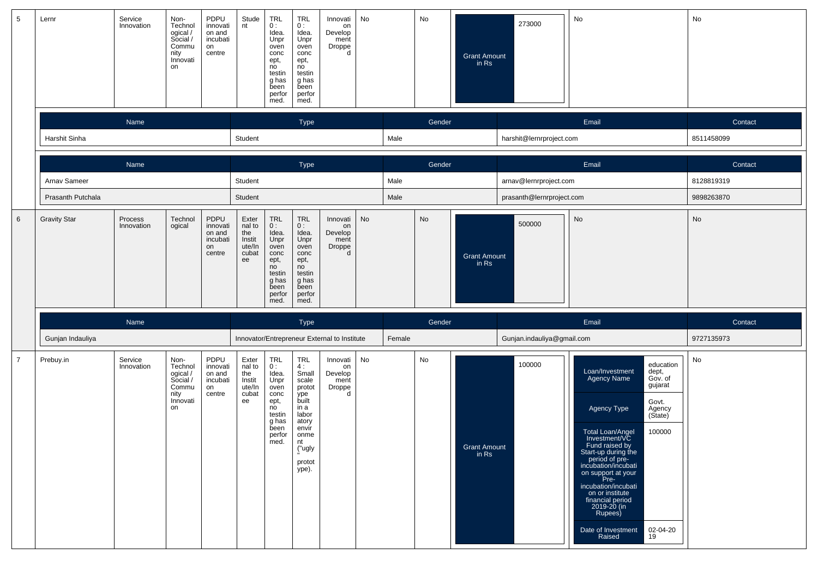| 5               | Lernr               | Service<br>Innovation | Non-<br>Technol<br>ogical/<br>Social /<br>Commu<br>nity<br>Innovati<br>on  | PDPU<br>innovati<br>on and<br>incubati<br>on<br>centre                                                                                                                                                                                                                                                                                                                                           | Stude<br>nt                                               | <b>TRL</b><br>0:<br>Idea.<br>Unpr<br>oven<br>conc<br>ept,<br>no<br>testin<br>g has<br>been<br>perfor<br>med. | <b>TRL</b><br>0:<br>Idea.<br>Unpr<br>oven<br>conc<br>ept,<br>no<br>testin<br>g has<br>been<br>perfor<br>med.                               | Innovati<br>on<br>Develop<br>ment<br>Droppe<br>d | No |        | No                           | <b>Grant Amount</b><br>in Rs   | 273000                     | No                                                                                                                                                                                                                                                                                                                                                                                                                               | No         |
|-----------------|---------------------|-----------------------|----------------------------------------------------------------------------|--------------------------------------------------------------------------------------------------------------------------------------------------------------------------------------------------------------------------------------------------------------------------------------------------------------------------------------------------------------------------------------------------|-----------------------------------------------------------|--------------------------------------------------------------------------------------------------------------|--------------------------------------------------------------------------------------------------------------------------------------------|--------------------------------------------------|----|--------|------------------------------|--------------------------------|----------------------------|----------------------------------------------------------------------------------------------------------------------------------------------------------------------------------------------------------------------------------------------------------------------------------------------------------------------------------------------------------------------------------------------------------------------------------|------------|
|                 |                     | Name                  |                                                                            |                                                                                                                                                                                                                                                                                                                                                                                                  |                                                           |                                                                                                              | Type                                                                                                                                       |                                                  |    |        | Gender                       |                                |                            | Email                                                                                                                                                                                                                                                                                                                                                                                                                            | Contact    |
|                 | Harshit Sinha       |                       |                                                                            |                                                                                                                                                                                                                                                                                                                                                                                                  | Student                                                   |                                                                                                              |                                                                                                                                            |                                                  |    | Male   |                              |                                | harshit@lernrproject.com   |                                                                                                                                                                                                                                                                                                                                                                                                                                  | 8511458099 |
|                 |                     | Name                  |                                                                            |                                                                                                                                                                                                                                                                                                                                                                                                  |                                                           |                                                                                                              | Type                                                                                                                                       |                                                  |    |        | Gender                       |                                |                            | Email                                                                                                                                                                                                                                                                                                                                                                                                                            | Contact    |
|                 | Arnav Sameer        |                       |                                                                            |                                                                                                                                                                                                                                                                                                                                                                                                  | Student                                                   |                                                                                                              |                                                                                                                                            |                                                  |    | Male   |                              |                                | arnav@lernrproject.com     |                                                                                                                                                                                                                                                                                                                                                                                                                                  | 8128819319 |
|                 | Prasanth Putchala   |                       |                                                                            |                                                                                                                                                                                                                                                                                                                                                                                                  | Student                                                   |                                                                                                              |                                                                                                                                            |                                                  |    | Male   |                              |                                | prasanth@lernrproject.com  |                                                                                                                                                                                                                                                                                                                                                                                                                                  | 9898263870 |
| $6\phantom{.}6$ | <b>Gravity Star</b> | Process<br>Innovation | Technol<br>ogical                                                          | TRL<br>PDPU<br><b>TRL</b><br>Exter<br>Innovati<br>0:<br>innovati<br>nal to<br>0:<br>on<br>Idea.<br>Idea.<br>the<br>Develop<br>on and<br>incubati<br>Instit<br>Unpr<br>Unpr<br>ment<br>ute/In<br>oven<br>oven<br>Droppe<br>d<br>on<br>conc<br>cubat<br>conc<br>centre<br>ept,<br>ept,<br>ee<br>no<br>no<br>testin<br>testin<br>g has<br>g has<br>been<br>been<br>perfor<br>perfor<br>med.<br>med. |                                                           |                                                                                                              |                                                                                                                                            | <b>No</b>                                        |    | No     | <b>Grant Amount</b><br>in Rs | 500000                         | No                         | No                                                                                                                                                                                                                                                                                                                                                                                                                               |            |
|                 |                     | Name                  |                                                                            |                                                                                                                                                                                                                                                                                                                                                                                                  |                                                           |                                                                                                              | Type                                                                                                                                       |                                                  |    |        | Gender                       |                                |                            | Email                                                                                                                                                                                                                                                                                                                                                                                                                            | Contact    |
|                 | Gunjan Indauliya    |                       |                                                                            |                                                                                                                                                                                                                                                                                                                                                                                                  |                                                           |                                                                                                              |                                                                                                                                            | Innovator/Entrepreneur External to Institute     |    | Female |                              |                                | Gunjan.indauliya@gmail.com |                                                                                                                                                                                                                                                                                                                                                                                                                                  | 9727135973 |
| $\overline{7}$  | Prebuy.in           | Service<br>Innovation | Non-<br>Technol<br>ogical /<br>Social /<br>Commu<br>nity<br>Innovati<br>on | PDPU<br>innovati<br>on and<br>incubati<br>on<br>centre                                                                                                                                                                                                                                                                                                                                           | Exter<br>nal to<br>the<br>Instit<br>ute/In<br>cubat<br>ee | TRL<br>0:<br>Idea.<br>Unpr<br>oven<br>conc<br>ept,<br>no<br>testin<br>g has<br>been<br>perfor<br>med.        | <b>TRL</b><br>4:<br>Small<br>scale<br>protot<br>ype<br>built<br>in a<br>labor<br>atory<br>envir<br>onme<br>nt<br>("ugly<br>protot<br>ype). | Innovati<br>on<br>Develop<br>ment<br>Droppe<br>d | No |        | No                           | <b>Grant Amount</b><br>in $Rs$ | 100000                     | education<br>Loan/Investment<br>Agency Name<br>dept,<br>Gov. of<br>gujarat<br>Govt.<br>Agency Type<br>Agency<br>(State)<br>Total Loan/Angel<br>100000<br>Investment/VC<br>Fund raised by<br>Start-up during the<br>period of pre-<br>incubation/incubati<br>on support at your<br>Pre-<br>incubation/incubati<br>on or institute<br>financial period<br>2019-20 (in<br>Rupees)<br>Date of Investment<br>02-04-20<br>Raised<br>19 | No         |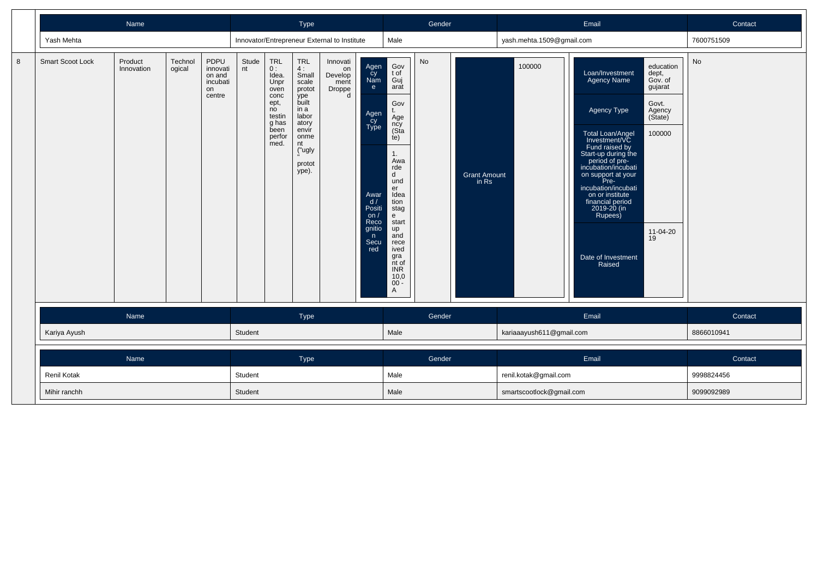|   |                    | Name                  |                   |                                                        |             |                                                                                                       | Type                                                                                                                                |                                                  |                                                                                                                      |                                                                                                                                                                                                                                            | Gender |                              |                           | Email                                                                                                                                                                                                                                                                                                                                                                                                                            | Contact    |
|---|--------------------|-----------------------|-------------------|--------------------------------------------------------|-------------|-------------------------------------------------------------------------------------------------------|-------------------------------------------------------------------------------------------------------------------------------------|--------------------------------------------------|----------------------------------------------------------------------------------------------------------------------|--------------------------------------------------------------------------------------------------------------------------------------------------------------------------------------------------------------------------------------------|--------|------------------------------|---------------------------|----------------------------------------------------------------------------------------------------------------------------------------------------------------------------------------------------------------------------------------------------------------------------------------------------------------------------------------------------------------------------------------------------------------------------------|------------|
|   | Yash Mehta         |                       |                   |                                                        |             |                                                                                                       |                                                                                                                                     | Innovator/Entrepreneur External to Institute     |                                                                                                                      | Male                                                                                                                                                                                                                                       |        |                              | yash.mehta.1509@gmail.com |                                                                                                                                                                                                                                                                                                                                                                                                                                  | 7600751509 |
| 8 | Smart Scoot Lock   | Product<br>Innovation | Technol<br>ogical | PDPU<br>innovati<br>on and<br>incubati<br>on<br>centre | Stude<br>nt | TRL<br>0:<br>Idea.<br>Unpr<br>oven<br>conc<br>ept,<br>no<br>testin<br>g has<br>been<br>perfor<br>med. | TRL<br>4:<br>Small<br>scale<br>protot<br>ype<br>built<br>in a<br>labor<br>atory<br>envir<br>onme<br>nt<br>("ugly<br>protot<br>ype). | Innovati<br>on<br>Develop<br>ment<br>Droppe<br>d | Agen<br>Cy<br>Nam<br>e<br>Agen<br>cy<br>Type<br>Awar<br>d/<br>Positi<br>on $/$<br>Reco<br>gnitio<br>n<br>Secu<br>red | Gov<br>t of<br>Guj<br>arat<br>Gov<br>t.<br>Age<br>ncy<br>(Sta<br>te)<br>1.<br>Awa<br>rde<br>d<br>und<br>er<br>Idea<br>tion<br>stag<br>e<br>start<br>up<br>and<br>rece<br>ived<br>gra<br>nt of<br><b>INR</b><br>10,0<br>$00^{\degree}$<br>A | No     | <b>Grant Amount</b><br>in Rs | 100000                    | education<br>Loan/Investment<br>dept,<br>Agency Name<br>Gov. of<br>gujarat<br>Govt.<br>Agency Type<br>Agency<br>(State)<br>100000<br>Total Loan/Angel<br>Investment/VC<br>Fund raised by<br>Start-up during the<br>period of pre-<br>incubation/incubati<br>on support at your<br>Pre-<br>incubation/incubati<br>on or institute<br>financial period<br>2019-20 (in<br>Rupees)<br>11-04-20<br>19<br>Date of Investment<br>Raised | <b>No</b>  |
|   |                    | Name                  |                   |                                                        |             |                                                                                                       | Type                                                                                                                                |                                                  |                                                                                                                      |                                                                                                                                                                                                                                            | Gender |                              |                           | Email                                                                                                                                                                                                                                                                                                                                                                                                                            | Contact    |
|   | Kariya Ayush       |                       |                   |                                                        | Student     |                                                                                                       |                                                                                                                                     |                                                  |                                                                                                                      | Male                                                                                                                                                                                                                                       |        |                              | kariaaayush611@gmail.com  |                                                                                                                                                                                                                                                                                                                                                                                                                                  | 8866010941 |
|   |                    | Name                  |                   |                                                        |             |                                                                                                       | Type                                                                                                                                |                                                  |                                                                                                                      |                                                                                                                                                                                                                                            | Gender |                              |                           | Email                                                                                                                                                                                                                                                                                                                                                                                                                            | Contact    |
|   | <b>Renil Kotak</b> |                       |                   |                                                        | Student     |                                                                                                       |                                                                                                                                     |                                                  |                                                                                                                      | Male                                                                                                                                                                                                                                       |        |                              | renil.kotak@gmail.com     |                                                                                                                                                                                                                                                                                                                                                                                                                                  | 9998824456 |
|   | Mihir ranchh       |                       |                   |                                                        | Student     |                                                                                                       |                                                                                                                                     |                                                  |                                                                                                                      | Male                                                                                                                                                                                                                                       |        |                              | smartscootlock@gmail.com  |                                                                                                                                                                                                                                                                                                                                                                                                                                  | 9099092989 |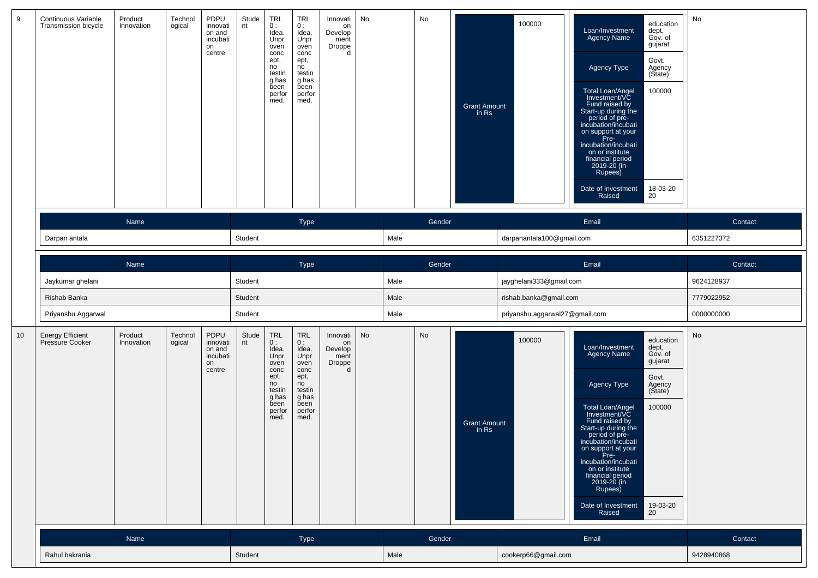| 9  | <b>Continuous Variable</b><br>Transmission bicycle | Product<br>Innovation | Technol<br>ogical | PDPU<br>innovati<br>on and<br>incubati<br>on<br>centre | Stude<br>nt | TRL<br>0:<br>Idea.<br>Unpr<br>oven<br>conc<br>ept,<br>no<br>testin<br>g has<br>been<br>perfor<br>med.        | <b>TRL</b><br>0:<br>Idea.<br>Unpr<br>oven<br>conc<br>ept,<br>no<br>testin<br>g has<br>been<br>perfor<br>med. | Innovati<br>on<br>Develop<br>ment<br><b>Droppe</b><br>d | No |      | No     | <b>Grant Amount</b><br>in Rs | 100000                         | education<br>Loan/Investment<br>dept,<br>Gov. of<br><b>Agency Name</b><br>gujarat<br>Govt.<br>Agency Type<br>Agency<br>(State)<br>Total Loan/Angel<br>Investment/VC<br>Fund raised by<br>Start-up during the<br>100000<br>period of pre-<br>incubation/incubati<br>on support at your<br>Pre-<br>incubation/incubati<br>on or institute<br>financial period<br>2019-20 (in<br>Rupees)<br>18-03-20<br>Date of Investment<br>Raised<br>20 | No         |
|----|----------------------------------------------------|-----------------------|-------------------|--------------------------------------------------------|-------------|--------------------------------------------------------------------------------------------------------------|--------------------------------------------------------------------------------------------------------------|---------------------------------------------------------|----|------|--------|------------------------------|--------------------------------|-----------------------------------------------------------------------------------------------------------------------------------------------------------------------------------------------------------------------------------------------------------------------------------------------------------------------------------------------------------------------------------------------------------------------------------------|------------|
|    |                                                    | Name                  |                   |                                                        |             |                                                                                                              | <b>Type</b>                                                                                                  |                                                         |    |      | Gender |                              |                                | Email                                                                                                                                                                                                                                                                                                                                                                                                                                   | Contact    |
|    | Darpan antala                                      |                       |                   |                                                        | Student     |                                                                                                              |                                                                                                              |                                                         |    | Male |        |                              | darpanantala100@gmail.com      |                                                                                                                                                                                                                                                                                                                                                                                                                                         | 6351227372 |
|    |                                                    | Name                  |                   |                                                        |             |                                                                                                              | Type                                                                                                         |                                                         |    |      | Gender |                              |                                | Email                                                                                                                                                                                                                                                                                                                                                                                                                                   | Contact    |
|    | Jaykumar ghelani                                   |                       |                   |                                                        | Student     |                                                                                                              |                                                                                                              |                                                         |    | Male |        |                              | jayghelani333@gmail.com        |                                                                                                                                                                                                                                                                                                                                                                                                                                         | 9624128937 |
|    | Rishab Banka                                       |                       |                   |                                                        | Student     |                                                                                                              |                                                                                                              |                                                         |    | Male |        |                              | rishab.banka@gmail.com         |                                                                                                                                                                                                                                                                                                                                                                                                                                         | 7779022952 |
|    | Priyanshu Aggarwal                                 |                       |                   |                                                        | Student     |                                                                                                              |                                                                                                              |                                                         |    | Male |        |                              | priyanshu.aggarwal27@gmail.com |                                                                                                                                                                                                                                                                                                                                                                                                                                         | 0000000000 |
| 10 | <b>Energy Efficient</b><br><b>Pressure Cooker</b>  | Product<br>Innovation | Technol<br>ogical | PDPU<br>innovati<br>on and<br>incubati<br>on<br>centre | Stude<br>nt | <b>TRL</b><br>0:<br>Idea.<br>Unpr<br>oven<br>conc<br>ept,<br>no<br>testin<br>g has<br>been<br>perfor<br>med. | <b>TRL</b><br>0:<br>Idea.<br>Unpr<br>oven<br>conc<br>ept,<br>no<br>testin<br>g has<br>been<br>perfor<br>med. | Innovati<br>on<br>Develop<br>ment<br>Droppe<br>d        | No |      | No     | <b>Grant Amount</b><br>in Rs | 100000                         | education<br>dept,<br>Loan/Investment<br>Gov. of<br><b>Agency Name</b><br>gujarat<br>Govt.<br>Agency Type<br>Agency<br>(State)<br>Total Loan/Angel<br>Investment/VC<br>100000<br>Fund raised by<br>Start-up during the<br>period of pre-<br>incubation/incubati<br>on support at your<br>Pre-<br>incubation/incubati<br>on or institute<br>financial period<br>2019-20 (in<br>Rupees)<br>Date of Investment<br>19-03-20<br>20<br>Raised | No         |
|    |                                                    | Name                  |                   |                                                        |             |                                                                                                              | Type                                                                                                         |                                                         |    |      | Gender |                              |                                | Email                                                                                                                                                                                                                                                                                                                                                                                                                                   | Contact    |
|    | Rahul bakrania                                     |                       |                   |                                                        | Student     |                                                                                                              |                                                                                                              |                                                         |    | Male |        |                              | cookerp66@gmail.com            |                                                                                                                                                                                                                                                                                                                                                                                                                                         | 9428940868 |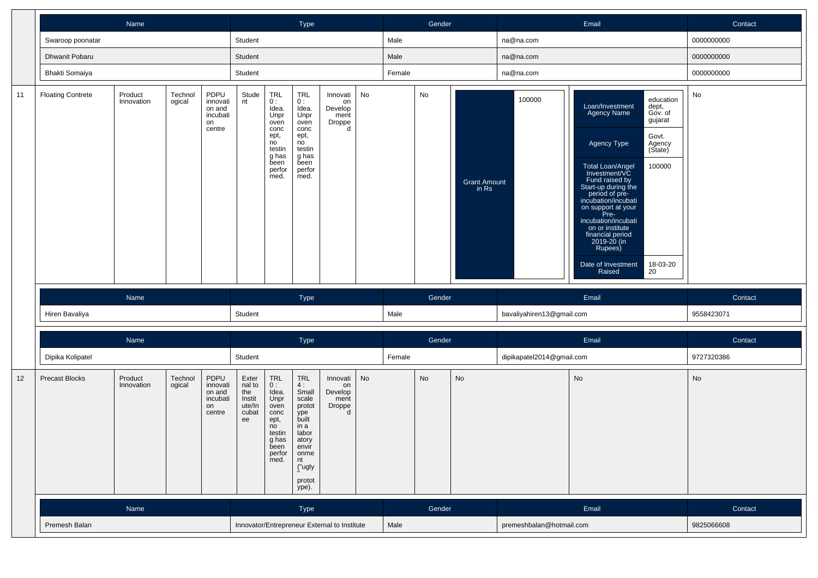|    |                                                                                                                               | Name                  |                   |                                                        |                                                           |                                                                                                       | Type                                                                                                                              |                                                  |    |        | Gender |                              |                           | Email                                                                                                                                                                                                                                                                                                                             |                                                                                                    | Contact    |  |
|----|-------------------------------------------------------------------------------------------------------------------------------|-----------------------|-------------------|--------------------------------------------------------|-----------------------------------------------------------|-------------------------------------------------------------------------------------------------------|-----------------------------------------------------------------------------------------------------------------------------------|--------------------------------------------------|----|--------|--------|------------------------------|---------------------------|-----------------------------------------------------------------------------------------------------------------------------------------------------------------------------------------------------------------------------------------------------------------------------------------------------------------------------------|----------------------------------------------------------------------------------------------------|------------|--|
|    | Swaroop poonatar                                                                                                              |                       |                   |                                                        | Student                                                   |                                                                                                       |                                                                                                                                   |                                                  |    | Male   |        |                              | na@na.com                 |                                                                                                                                                                                                                                                                                                                                   |                                                                                                    | 0000000000 |  |
|    | Dhwanit Pobaru                                                                                                                |                       |                   |                                                        | Student                                                   |                                                                                                       |                                                                                                                                   |                                                  |    | Male   |        |                              | na@na.com                 |                                                                                                                                                                                                                                                                                                                                   |                                                                                                    | 0000000000 |  |
|    | Bhakti Somaiya                                                                                                                |                       |                   |                                                        | Student                                                   |                                                                                                       |                                                                                                                                   |                                                  |    | Female |        |                              | na@na.com                 |                                                                                                                                                                                                                                                                                                                                   |                                                                                                    | 0000000000 |  |
| 11 | <b>Floating Contrete</b>                                                                                                      | Product<br>Innovation | Technol<br>ogical | PDPU<br>innovati<br>on and<br>incubati<br>on<br>centre | Stude<br>nt                                               | TRL<br>0:<br>Idea.<br>Unpr<br>oven<br>conc<br>ept,<br>no<br>testin<br>g has<br>been<br>perfor<br>med. | TRL<br>0:<br>Idea.<br>Unpr<br>oven<br>conc<br>ept,<br>no<br>testin<br>g has<br>been<br>perfor<br>med.                             | Innovati<br>on<br>Develop<br>ment<br>Droppe<br>d | No |        | No     | <b>Grant Amount</b><br>in Rs | 100000                    | Loan/Investment<br><b>Agency Name</b><br>Agency Type<br>Total Loan/Angel<br>Investment/VC<br>Fund raised by<br>Start-up during the<br>period of pre-<br>incubation/incubati<br>on support at your<br>Pre-<br>incubation/incubati<br>on or institute<br>financial period<br>2019-20 (in<br>Rupees)<br>Date of Investment<br>Raised | education<br>dept,<br>Gov. of<br>gujarat<br>Govt.<br>Agency<br>(State)<br>100000<br>18-03-20<br>20 | No         |  |
|    |                                                                                                                               | Name                  |                   |                                                        |                                                           |                                                                                                       | Type                                                                                                                              |                                                  |    |        | Gender |                              |                           | Email                                                                                                                                                                                                                                                                                                                             |                                                                                                    | Contact    |  |
|    | Hiren Bavaliya                                                                                                                |                       |                   |                                                        | Student                                                   |                                                                                                       |                                                                                                                                   |                                                  |    | Male   |        |                              | bavaliyahiren13@gmail.com |                                                                                                                                                                                                                                                                                                                                   |                                                                                                    | 9558423071 |  |
|    |                                                                                                                               | Name                  |                   |                                                        |                                                           |                                                                                                       | Type                                                                                                                              |                                                  |    |        | Gender |                              |                           | Email                                                                                                                                                                                                                                                                                                                             |                                                                                                    | Contact    |  |
|    | Dipika Kolipatel                                                                                                              |                       |                   |                                                        | Student                                                   |                                                                                                       |                                                                                                                                   |                                                  |    | Female |        |                              | dipikapatel2014@gmail.com |                                                                                                                                                                                                                                                                                                                                   |                                                                                                    | 9727320386 |  |
| 12 | Product<br>Technol<br>PDPU<br><b>Precast Blocks</b><br>ogical<br>Innovation<br>innovati<br>on and<br>incubati<br>on<br>centre |                       |                   |                                                        | Exter<br>nal to<br>the<br>Instit<br>ute/In<br>cubat<br>ee | TRL<br>0:<br>Idea.<br>Unpr<br>oven<br>conc<br>ept,<br>no<br>testin<br>g has<br>been<br>perfor<br>med. | <b>TRL</b><br>4:<br>Small<br>scale<br>protot<br>ype<br>built<br>in a<br>labor<br>atory<br>envir<br>onme<br>nt<br>("ugly<br>protot | Innovati<br>on<br>Develop<br>ment<br>Droppe<br>d | No |        | No     | No                           |                           | No                                                                                                                                                                                                                                                                                                                                |                                                                                                    | No         |  |
|    |                                                                                                                               |                       |                   |                                                        |                                                           |                                                                                                       | ype).                                                                                                                             |                                                  |    |        |        |                              |                           |                                                                                                                                                                                                                                                                                                                                   |                                                                                                    |            |  |
|    |                                                                                                                               | Name                  |                   |                                                        |                                                           |                                                                                                       | Type                                                                                                                              |                                                  |    |        | Gender |                              |                           | Email                                                                                                                                                                                                                                                                                                                             |                                                                                                    | Contact    |  |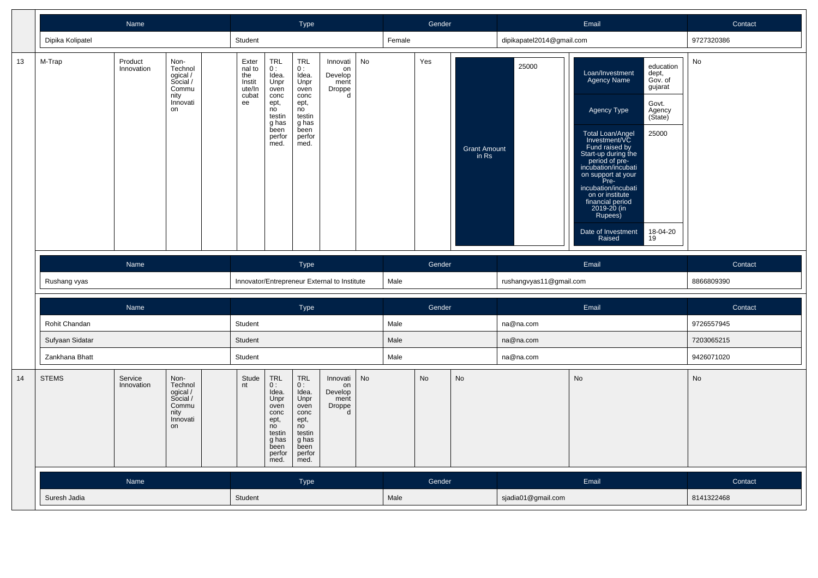|    |                  | Name                                                                                                |                                                                            |                                                           |                                                                                                              | <b>Type</b>                                                                                                  |                                                  |           |        | Gender    |                              |                           | Email                                                                                                                                                                                                                                                                                                                                                                                                                           | Contact       |
|----|------------------|-----------------------------------------------------------------------------------------------------|----------------------------------------------------------------------------|-----------------------------------------------------------|--------------------------------------------------------------------------------------------------------------|--------------------------------------------------------------------------------------------------------------|--------------------------------------------------|-----------|--------|-----------|------------------------------|---------------------------|---------------------------------------------------------------------------------------------------------------------------------------------------------------------------------------------------------------------------------------------------------------------------------------------------------------------------------------------------------------------------------------------------------------------------------|---------------|
|    | Dipika Kolipatel |                                                                                                     |                                                                            | Student                                                   |                                                                                                              |                                                                                                              |                                                  |           | Female |           |                              | dipikapatel2014@gmail.com |                                                                                                                                                                                                                                                                                                                                                                                                                                 | 9727320386    |
| 13 | M-Trap           | Product<br>Innovation                                                                               | Non-<br>Technol<br>ogical /<br>Social /<br>Commu<br>nity<br>Innovati<br>on | Exter<br>nal to<br>the<br>Instit<br>ute/In<br>cubat<br>ee | <b>TRL</b><br>0:<br>Idea.<br>Unpr<br>oven<br>conc<br>ept,<br>no<br>testin<br>g has<br>been<br>perfor<br>med. | <b>TRL</b><br>0:<br>Idea.<br>Unpr<br>oven<br>conc<br>ept,<br>no<br>testin<br>g has<br>been<br>perfor<br>med. | Innovati<br>on<br>Develop<br>ment<br>Droppe<br>d | No        |        | Yes       | <b>Grant Amount</b><br>in Rs | 25000                     | education<br>Loan/Investment<br>dept,<br>Gov. of<br>Agency Name<br>gujarat<br>Govt.<br>Agency Type<br>Agency<br>(State)<br>25000<br>Total Loan/Angel<br>Investment/VC<br>Fund raised by<br>Start-up during the<br>period of pre-<br>incubation/incubati<br>on support at your<br>Pre-<br>incubation/incubati<br>on or institute<br>financial period<br>2019-20 (in<br>Rupees)<br>18-04-20<br>Date of Investment<br>Raised<br>19 | No            |
|    |                  | <b>Name</b>                                                                                         |                                                                            |                                                           |                                                                                                              | <b>Type</b>                                                                                                  |                                                  |           |        | Gender    |                              |                           | Email                                                                                                                                                                                                                                                                                                                                                                                                                           | Contact       |
|    | Rushang vyas     |                                                                                                     |                                                                            |                                                           |                                                                                                              |                                                                                                              | Innovator/Entrepreneur External to Institute     |           | Male   |           |                              | rushangvyas11@gmail.com   |                                                                                                                                                                                                                                                                                                                                                                                                                                 | 8866809390    |
|    |                  | Name                                                                                                |                                                                            |                                                           |                                                                                                              | <b>Type</b>                                                                                                  |                                                  |           |        | Gender    |                              |                           | Email                                                                                                                                                                                                                                                                                                                                                                                                                           | Contact       |
|    | Rohit Chandan    |                                                                                                     |                                                                            | Student                                                   |                                                                                                              |                                                                                                              |                                                  |           | Male   |           |                              | na@na.com                 |                                                                                                                                                                                                                                                                                                                                                                                                                                 | 9726557945    |
|    | Sufyaan Sidatar  |                                                                                                     |                                                                            | Student                                                   |                                                                                                              |                                                                                                              |                                                  |           | Male   |           |                              | na@na.com                 |                                                                                                                                                                                                                                                                                                                                                                                                                                 | 7203065215    |
|    | Zankhana Bhatt   |                                                                                                     |                                                                            | Student                                                   |                                                                                                              |                                                                                                              |                                                  |           | Male   |           |                              | na@na.com                 |                                                                                                                                                                                                                                                                                                                                                                                                                                 | 9426071020    |
| 14 | <b>STEMS</b>     | Service<br>Non-<br>Technol<br>Innovation<br>ogical /<br>Social /<br>Commu<br>nity<br>Innovati<br>on |                                                                            |                                                           | TRL<br>0:<br>Idea.<br>Unpr<br>oven<br>conc<br>ept,<br>no<br>testin<br>g has<br>been<br>perfor<br>med.        | TRL<br>0:<br>Idea.<br>Unpr<br>oven<br>conc<br>ept,<br>no<br>testin<br>g has<br>been<br>perfor<br>med.        | Innovati<br>on<br>Develop<br>ment<br>Droppe<br>d | <b>No</b> |        | <b>No</b> | No                           |                           | No                                                                                                                                                                                                                                                                                                                                                                                                                              | $\mathsf{No}$ |
|    |                  | Name                                                                                                |                                                                            |                                                           |                                                                                                              | <b>Type</b>                                                                                                  |                                                  |           |        | Gender    |                              |                           | Email                                                                                                                                                                                                                                                                                                                                                                                                                           | Contact       |
|    | Suresh Jadia     |                                                                                                     |                                                                            | Student                                                   |                                                                                                              |                                                                                                              |                                                  |           | Male   |           |                              | sjadia01@gmail.com        |                                                                                                                                                                                                                                                                                                                                                                                                                                 | 8141322468    |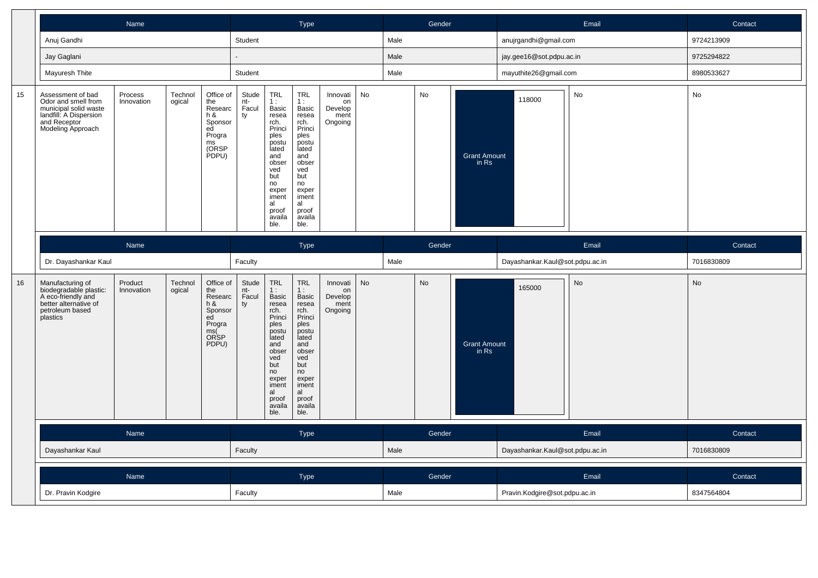|    |                                                                                                                                  | Name                  |                   |                                                                                                  |                             |                                                                                                                                                                | Type                                                                                                                                                                  |                                              |    |      | Gender    |                              |                                 | Email | Contact    |
|----|----------------------------------------------------------------------------------------------------------------------------------|-----------------------|-------------------|--------------------------------------------------------------------------------------------------|-----------------------------|----------------------------------------------------------------------------------------------------------------------------------------------------------------|-----------------------------------------------------------------------------------------------------------------------------------------------------------------------|----------------------------------------------|----|------|-----------|------------------------------|---------------------------------|-------|------------|
|    | Anuj Gandhi                                                                                                                      |                       |                   |                                                                                                  | Student                     |                                                                                                                                                                |                                                                                                                                                                       |                                              |    | Male |           |                              | anujrgandhi@gmail.com           |       | 9724213909 |
|    | Jay Gaglani                                                                                                                      |                       |                   |                                                                                                  |                             |                                                                                                                                                                |                                                                                                                                                                       |                                              |    | Male |           |                              | jay.gee16@sot.pdpu.ac.in        |       | 9725294822 |
|    | Mayuresh Thite                                                                                                                   |                       |                   |                                                                                                  | Student                     |                                                                                                                                                                |                                                                                                                                                                       |                                              |    | Male |           |                              | mayuthite26@gmail.com           |       | 8980533627 |
| 15 | Assessment of bad<br>Odor and smell from<br>municipal solid waste<br>landfill: A Dispersion<br>and Receptor<br>Modeling Approach | Process<br>Innovation | Technol<br>ogical | Office of<br>the<br>Researc<br>h &<br>Sponsor<br>ed<br>Progra<br>$\mathsf{ms}$<br>(ORSP<br>PDPU) | Stude<br>nt-<br>Facul<br>ty | TRL<br>1:<br>Basic<br>resea<br>rch.<br>Princi<br>ples<br>postu<br>lated<br>and<br>obser<br>ved<br>but<br>no<br>exper<br>iment<br>al<br>proof<br>availa<br>ble. | TRL<br>1:<br>Basic<br>resea<br>rch.<br>Princi<br>ples<br>postu<br>lated<br>and<br>obser<br>ved<br>but<br>no<br>exper<br>iment<br>al<br>proof<br>availa<br>ble.        | Innovati<br>on<br>Develop<br>ment<br>Ongoing | No |      | No        | Grant Amount<br>in Rs        | 118000                          | No    | No         |
|    |                                                                                                                                  | Name                  |                   |                                                                                                  |                             |                                                                                                                                                                | Type                                                                                                                                                                  |                                              |    |      | Gender    |                              |                                 | Email | Contact    |
|    | Dr. Dayashankar Kaul                                                                                                             |                       |                   |                                                                                                  | Faculty                     |                                                                                                                                                                |                                                                                                                                                                       |                                              |    | Male |           |                              | Dayashankar.Kaul@sot.pdpu.ac.in |       | 7016830809 |
| 16 | Manufacturing of<br>biodegradable plastic:<br>A eco-friendly and<br>better alternative of<br>petroleum based<br>plastics         | Product<br>Innovation | Technol<br>ogical | Office of<br>the<br>Researc<br>h &<br>Sponsor<br>ed<br>Progra<br>ms(<br>ORSP<br>PDPU)            | Stude<br>nt-<br>Facul<br>ty | TRL<br>1:<br>Basic<br>resea<br>rch.<br>Princi<br>ples<br>postu<br>lated<br>and<br>obser<br>ved<br>but<br>no<br>exper<br>iment<br>al<br>proof<br>availa<br>ble. | <b>TRL</b><br>1:<br>Basic<br>resea<br>rch.<br>Princi<br>ples<br>postu<br>lated<br>and<br>obser<br>ved<br>but<br>no<br>exper<br>iment<br>al<br>proof<br>availa<br>ble. | Innovati<br>on<br>Develop<br>ment<br>Ongoing | No |      | <b>No</b> | <b>Grant Amount</b><br>in Rs | 165000                          | No    | <b>No</b>  |
|    |                                                                                                                                  | Name                  |                   |                                                                                                  |                             |                                                                                                                                                                | <b>Type</b>                                                                                                                                                           |                                              |    |      | Gender    |                              |                                 | Email | Contact    |
|    | Dayashankar Kaul                                                                                                                 |                       |                   |                                                                                                  |                             |                                                                                                                                                                |                                                                                                                                                                       |                                              |    | Male |           |                              | Dayashankar.Kaul@sot.pdpu.ac.in |       | 7016830809 |
|    |                                                                                                                                  | Name                  |                   |                                                                                                  |                             |                                                                                                                                                                | Type                                                                                                                                                                  |                                              |    |      | Gender    |                              |                                 | Email | Contact    |
|    | Dr. Pravin Kodgire                                                                                                               |                       |                   |                                                                                                  | Faculty                     |                                                                                                                                                                |                                                                                                                                                                       |                                              |    | Male |           |                              | Pravin.Kodgire@sot.pdpu.ac.in   |       | 8347564804 |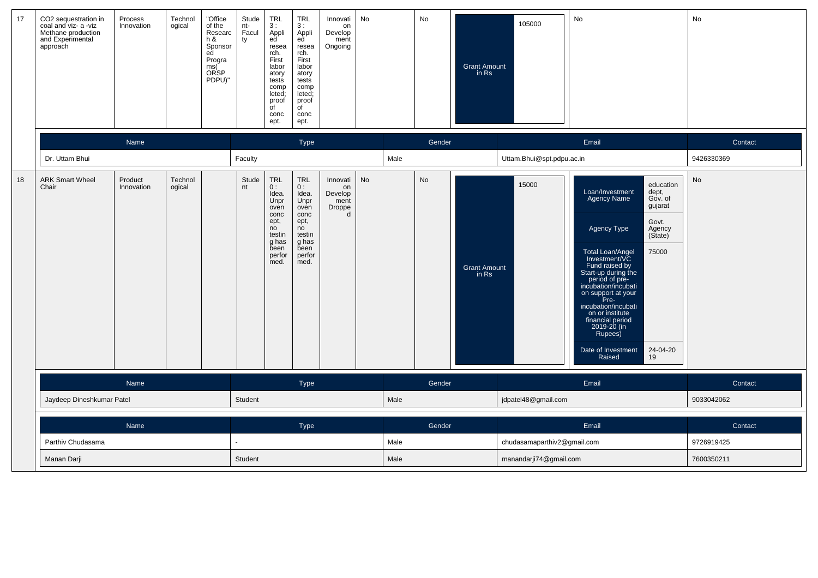| 17 | CO2 sequestration in<br>coal and viz- a -viz<br>Methane production<br>and Experimental<br>approach | Process<br>Innovation     | Technol<br>ogical | "Office<br>of the<br>Researc<br>h &<br>Sponsor<br>ed<br>Progra<br>ms(Č<br>ORSP<br>PDPU)" | Stude<br>nt-<br>Facul<br>ty | <b>TRL</b><br>3:<br>Appli<br>ed<br>resea<br>rch.<br>First<br>labor<br>atory<br>tests<br>comp<br>leted;<br>proof<br>$\overline{C}$<br>conc<br>ept. | <b>TRL</b><br>3:<br>Appli<br>ed <sup>-</sup><br>resea<br>rch.<br>First<br>labor<br>atory<br>tests<br>comp<br>leted;<br>proof<br>$\overline{C}$<br>conc<br>ept. | Innovati<br>on<br>Develop<br>ment<br>Ongoing                | No |      | No     | <b>Grant Amount</b><br>in Rs | 105000                      | No                                                                                                                                                                                                                                                                                                                                                                                                                                         | No         |
|----|----------------------------------------------------------------------------------------------------|---------------------------|-------------------|------------------------------------------------------------------------------------------|-----------------------------|---------------------------------------------------------------------------------------------------------------------------------------------------|----------------------------------------------------------------------------------------------------------------------------------------------------------------|-------------------------------------------------------------|----|------|--------|------------------------------|-----------------------------|--------------------------------------------------------------------------------------------------------------------------------------------------------------------------------------------------------------------------------------------------------------------------------------------------------------------------------------------------------------------------------------------------------------------------------------------|------------|
|    |                                                                                                    | Name                      |                   |                                                                                          |                             |                                                                                                                                                   | Type                                                                                                                                                           |                                                             |    |      | Gender |                              |                             | Email                                                                                                                                                                                                                                                                                                                                                                                                                                      | Contact    |
|    | Dr. Uttam Bhui                                                                                     |                           |                   |                                                                                          | Faculty                     |                                                                                                                                                   |                                                                                                                                                                |                                                             |    | Male |        |                              | Uttam.Bhui@spt.pdpu.ac.in   |                                                                                                                                                                                                                                                                                                                                                                                                                                            | 9426330369 |
| 18 | <b>ARK Smart Wheel</b><br>Chair                                                                    | Product<br>Innovation     | Technol<br>ogical |                                                                                          | Stude<br>nt                 | TRL<br>0:<br>Idea.<br>Unpr<br>oven<br>conc<br>ept,<br>no<br>testin<br>g has<br>been<br>perfor<br>med.                                             | <b>TRL</b><br>0:<br>Idea.<br>Unpr<br>oven<br>conc<br>ept,<br>no<br>testin<br>g has<br>been<br>perfor<br>med.                                                   | Innovati<br>on<br>Develop<br>ment<br>Droppe<br>$\mathsf{d}$ | No |      | No     | <b>Grant Amount</b><br>in Rs | 15000                       | education<br>Loan/Investment<br>dept,<br><b>Agency Name</b><br>Gov. of<br>gujarat<br>Govt.<br>Agency Type<br>Agency<br>(State)<br>75000<br>Total Loan/Angel<br>Investment/VC<br>Fund raised by<br>Start-up during the<br>period of pre-<br>incubation/incubati<br>on support at your<br>Pre-<br>incubation/incubati<br>on or institute<br>financial period<br>$2019 - 20$ (in<br>Rupees)<br>Date of Investment<br>24-04-20<br>19<br>Raised | No         |
|    |                                                                                                    | Name                      |                   |                                                                                          |                             |                                                                                                                                                   | Type                                                                                                                                                           |                                                             |    |      | Gender |                              |                             | Email                                                                                                                                                                                                                                                                                                                                                                                                                                      | Contact    |
|    |                                                                                                    | Jaydeep Dineshkumar Patel |                   |                                                                                          |                             |                                                                                                                                                   |                                                                                                                                                                |                                                             |    | Male |        |                              | jdpatel48@gmail.com         |                                                                                                                                                                                                                                                                                                                                                                                                                                            | 9033042062 |
|    |                                                                                                    | Name                      |                   |                                                                                          |                             |                                                                                                                                                   | Type                                                                                                                                                           |                                                             |    |      | Gender |                              |                             | Email                                                                                                                                                                                                                                                                                                                                                                                                                                      | Contact    |
|    | Parthiv Chudasama                                                                                  |                           |                   |                                                                                          |                             |                                                                                                                                                   |                                                                                                                                                                |                                                             |    | Male |        |                              | chudasamaparthiv2@gmail.com |                                                                                                                                                                                                                                                                                                                                                                                                                                            | 9726919425 |
|    | Manan Darji                                                                                        |                           |                   |                                                                                          | Student                     |                                                                                                                                                   |                                                                                                                                                                |                                                             |    | Male |        |                              | manandarji74@gmail.com      |                                                                                                                                                                                                                                                                                                                                                                                                                                            | 7600350211 |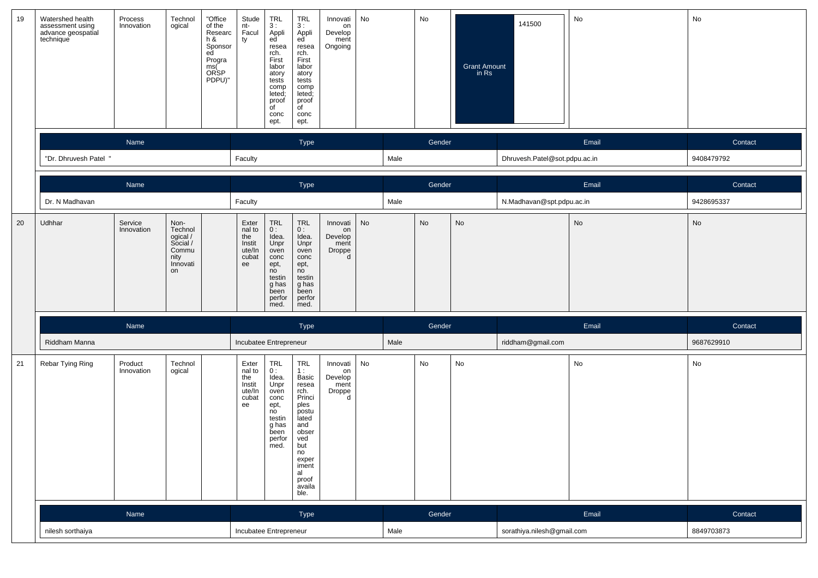| 19 | Watershed health<br>assessment using<br>advance geospatial<br>technique | Process<br>Innovation | Technol<br>ogical                                                          | "Office<br>of the<br>Researc<br>h &<br>Sponsor<br>ed<br>Progra<br>ms(<br>ORSP<br>PDPU)" | Stude<br>nt-<br>Facul<br>ty                               | <b>TRL</b><br>3:<br>Appli<br>ed<br>resea<br>rch.<br>First<br>labor<br>atory<br>tests<br>comp<br>leted;<br>proof<br>$\overline{C}$<br>conc<br>ept. | <b>TRL</b><br>3:<br>Appli<br>ed<br>resea<br>rch.<br>First<br>labor<br>atory<br>tests<br>comp<br>leted;<br>proof<br>$\overline{\mathsf{d}}$<br>conc<br>ept.     | Innovati<br>on<br>Develop<br>ment<br>Ongoing     | No |      | No     | <b>Grant Amount</b><br>in Rs | 141500                        | No    | No         |
|----|-------------------------------------------------------------------------|-----------------------|----------------------------------------------------------------------------|-----------------------------------------------------------------------------------------|-----------------------------------------------------------|---------------------------------------------------------------------------------------------------------------------------------------------------|----------------------------------------------------------------------------------------------------------------------------------------------------------------|--------------------------------------------------|----|------|--------|------------------------------|-------------------------------|-------|------------|
|    |                                                                         | Name                  |                                                                            |                                                                                         |                                                           |                                                                                                                                                   | <b>Type</b>                                                                                                                                                    |                                                  |    |      | Gender |                              |                               | Email | Contact    |
|    | "Dr. Dhruvesh Patel "                                                   |                       |                                                                            |                                                                                         | Faculty                                                   |                                                                                                                                                   |                                                                                                                                                                |                                                  |    | Male |        |                              | Dhruvesh.Patel@sot.pdpu.ac.in |       | 9408479792 |
|    |                                                                         | Name                  |                                                                            |                                                                                         |                                                           |                                                                                                                                                   | Type                                                                                                                                                           |                                                  |    |      | Gender |                              |                               | Email | Contact    |
|    | Dr. N Madhavan                                                          |                       |                                                                            |                                                                                         | Faculty                                                   |                                                                                                                                                   |                                                                                                                                                                |                                                  |    | Male |        |                              | N.Madhavan@spt.pdpu.ac.in     |       | 9428695337 |
| 20 | Udhhar                                                                  | Service<br>Innovation | Non-<br>Technol<br>ogical /<br>Social /<br>Commu<br>nity<br>Innovati<br>on |                                                                                         | Exter<br>nal to<br>the<br>Instit<br>ute/In<br>cubat<br>ee | TRL<br>0:<br>Idea.<br>Unpr<br>oven<br>conc<br>ept,<br>no<br>testin<br>g has<br>been<br>perfor<br>med.                                             | $\ensuremath{\mathsf{TRL}}$<br>0:<br>Idea.<br>Unpr<br>oven<br>conc<br>ept,<br>no<br>testin<br>g has<br>been<br>perfor<br>med.                                  | Innovati<br>on<br>Develop<br>ment<br>Droppe<br>d | No |      | No     | $\operatorname{\mathsf{No}}$ |                               | No    | No         |
|    |                                                                         | Name                  |                                                                            |                                                                                         |                                                           |                                                                                                                                                   | Type                                                                                                                                                           |                                                  |    |      | Gender |                              |                               | Email | Contact    |
|    | Riddham Manna                                                           |                       |                                                                            |                                                                                         | Incubatee Entrepreneur                                    |                                                                                                                                                   |                                                                                                                                                                |                                                  |    | Male |        |                              | riddham@gmail.com             |       | 9687629910 |
| 21 | Rebar Tying Ring                                                        | Product<br>Innovation | Technol<br>ogical                                                          |                                                                                         | Exter<br>nal to<br>the<br>Instit<br>ute/In<br>cubat<br>ee | TRL<br>0:<br>Idea.<br>Unpr<br>oven<br>conc<br>ept,<br>n <sub>o</sub><br>testin<br>g has<br>been<br>perfor<br>med.                                 | TRL<br>1:<br>Basic<br>resea<br>rch.<br>Princi<br>ples<br>postu<br>lated<br>and<br>obser<br>ved<br>but<br>no<br>exper<br>iment<br>al<br>proof<br>availa<br>ble. | Innovati<br>on<br>Develop<br>ment<br>Droppe<br>d | No |      | No     | $\operatorname{\mathsf{No}}$ |                               | No    | No         |
|    |                                                                         | Name                  |                                                                            |                                                                                         |                                                           |                                                                                                                                                   | Type                                                                                                                                                           |                                                  |    |      | Gender |                              |                               | Email | Contact    |
|    | nilesh sorthaiya                                                        |                       |                                                                            |                                                                                         | Incubatee Entrepreneur                                    |                                                                                                                                                   |                                                                                                                                                                |                                                  |    | Male |        |                              | sorathiya.nilesh@gmail.com    |       | 8849703873 |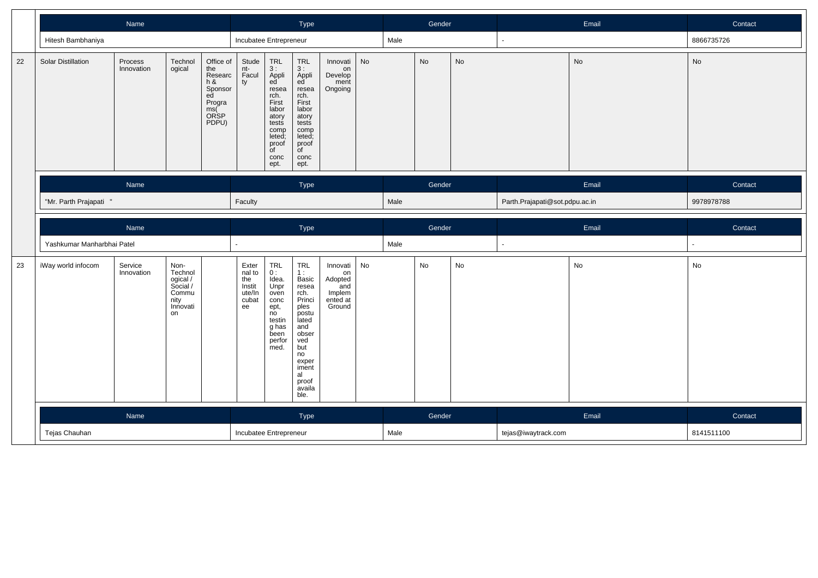|    |                            | Name                  |                                                                            |                                                                                             |                                                                                                                                                               | Type                                                                                                                                                            |                                                                  |    |      | Gender |    |                                | Email | Contact    |
|----|----------------------------|-----------------------|----------------------------------------------------------------------------|---------------------------------------------------------------------------------------------|---------------------------------------------------------------------------------------------------------------------------------------------------------------|-----------------------------------------------------------------------------------------------------------------------------------------------------------------|------------------------------------------------------------------|----|------|--------|----|--------------------------------|-------|------------|
|    | Hitesh Bambhaniya          |                       |                                                                            |                                                                                             | Incubatee Entrepreneur                                                                                                                                        |                                                                                                                                                                 |                                                                  |    | Male |        |    |                                |       | 8866735726 |
| 22 | <b>Solar Distillation</b>  | Process<br>Innovation | Technol<br>ogical                                                          | Office of<br>the<br>Researc<br>h &<br>ty<br>Sponsor<br>ed<br>Progra<br>ms(<br>ORSP<br>PDPU) | Stude<br>TRL<br>3 :<br>Appli<br>ed<br>nt-<br>Facul<br>resea<br>rch.<br>First<br>labor<br>atory<br>tests<br>comp<br>leted;<br>proof<br>of<br>conc<br>ept.      | TRL<br>3 :<br>Appli<br>ed<br>resea<br>rch.<br>First<br>labor<br>atory<br>tests<br>comp<br>leted;<br>proof<br>of<br>conc<br>ept.                                 | Innovati<br>on<br>Develop<br>ment<br>Ongoing                     | No |      | No     | No |                                | No    | No         |
|    |                            | Name                  |                                                                            |                                                                                             |                                                                                                                                                               | Type                                                                                                                                                            |                                                                  |    |      | Gender |    |                                | Email | Contact    |
|    | "Mr. Parth Prajapati "     |                       |                                                                            | Faculty                                                                                     |                                                                                                                                                               |                                                                                                                                                                 |                                                                  |    | Male |        |    | Parth.Prajapati@sot.pdpu.ac.in |       | 9978978788 |
|    |                            | Name                  |                                                                            |                                                                                             |                                                                                                                                                               | Type                                                                                                                                                            |                                                                  |    |      | Gender |    |                                | Email | Contact    |
|    | Yashkumar Manharbhai Patel |                       |                                                                            |                                                                                             |                                                                                                                                                               |                                                                                                                                                                 |                                                                  |    | Male |        |    |                                |       | ä,         |
| 23 | iWay world infocom         | Service<br>Innovation | Non-<br>Technol<br>ogical /<br>Social /<br>Commu<br>nity<br>Innovati<br>on | ee                                                                                          | TRL<br>0 :<br>Idea.<br>Exter<br>nal to<br>the<br>Unpr<br>Instit<br>ute/In<br>oven<br>cubat<br>conc<br>ept,<br>no<br>testin<br>g has<br>been<br>perfor<br>med. | TRL<br>1 :<br>Basic<br>resea<br>rch.<br>Princi<br>ples<br>postu<br>lated<br>and<br>obser<br>ved<br>but<br>no<br>exper<br>iment<br>al<br>proof<br>availa<br>ble. | Innovati<br>on<br>Adopted<br>and<br>Implem<br>ented at<br>Ground | No |      | No     | No |                                | No    | No         |
|    |                            | Name                  |                                                                            |                                                                                             |                                                                                                                                                               | Type                                                                                                                                                            |                                                                  |    |      | Gender |    |                                | Email | Contact    |
|    | Tejas Chauhan              |                       |                                                                            |                                                                                             | Incubatee Entrepreneur                                                                                                                                        |                                                                                                                                                                 |                                                                  |    | Male |        |    | tejas@iwaytrack.com            |       | 8141511100 |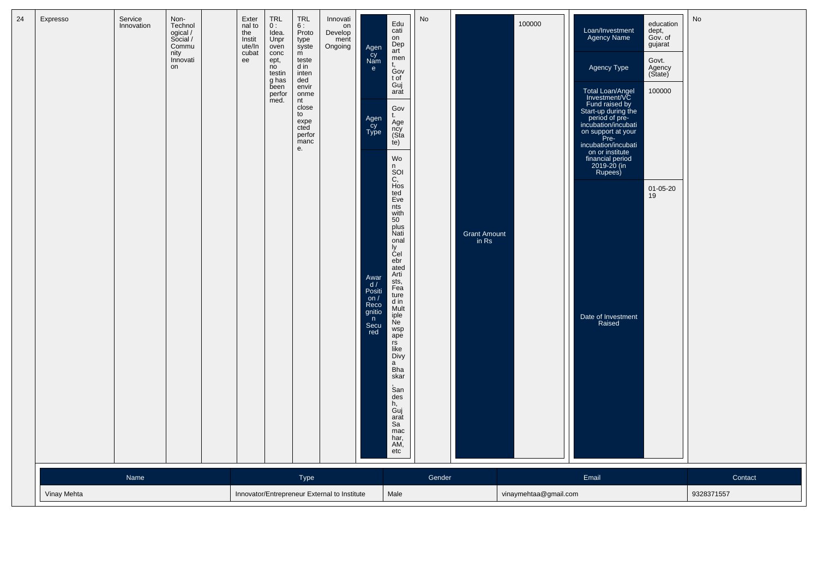| 24 | Expresso    | Service<br>Innovation | Non-<br>Technol<br>ogical /<br>Social /<br>Commu<br>nity<br>Innovati<br>on | Exter<br>nal to<br>the<br>Instit<br>ute/In<br>cubat<br>ee | TRL<br>0:<br>Idea.<br>Unpr<br>oven<br>conc<br>ept,<br>no<br>testin<br>g has<br>been<br>perfor<br>med. | TRL<br>6:<br>Proto<br>type<br>syste<br>m<br>teste<br>d in<br>inten<br>ded<br>envir<br>onme<br>nt<br>close<br>to<br>expe<br>cted<br>perfor<br>manc<br>е. | Innovati<br>on<br>Develop<br>ment<br>Ongoing | Agen<br>čy<br>Nam<br>e<br>Agen<br>Cy<br>Type<br>Awar<br>d/<br>Positi<br>$\frac{on}{Reco}$<br>gnitio<br>n<br>Secu<br>red | Edu<br>cati<br>on<br>Dep<br>art<br>men<br>t.<br>Gov<br>t of<br>Guj<br>arat<br>Gov<br>t.<br>Age<br>ncy<br>(Sta<br>(e)<br>Wo<br>n<br>SOI<br>C,<br>Hos<br>ted<br>Eve<br>nts<br>with<br>50<br>plus<br>Nati<br>onal<br>ly<br>Cel<br>ebr<br>ated<br>Arti<br>sts,<br>Fea<br>ture<br>d in<br>Mult<br>iple<br><b>Ne</b><br>wsp<br>ape<br>rs<br>like<br>Divy<br>a<br><b>Bha</b><br>skar<br>San<br>des<br>h,<br>Guj<br>arat<br>Sa<br>mac<br>har,<br>AM,<br>etc | No     | Grant Amount<br>in Rs | 100000                | Loan/Investment<br>Agency Name<br>Agency Type<br>Total Loan/Angel<br>Investment/VC<br>Fund raised by<br>Start-up during the<br>period of pre-<br>incubation/incubati<br>on support at your<br>Pre-<br>incubation/incubati<br>on or institute<br>financial period<br>2019-20 (in<br>Rupees)<br>Date of Investment<br>Raised | education<br>dept,<br>Gov. of<br>gujarat<br>Govt.<br>Agency<br>(State)<br>100000<br>01-05-20<br>19 | No         |
|----|-------------|-----------------------|----------------------------------------------------------------------------|-----------------------------------------------------------|-------------------------------------------------------------------------------------------------------|---------------------------------------------------------------------------------------------------------------------------------------------------------|----------------------------------------------|-------------------------------------------------------------------------------------------------------------------------|-----------------------------------------------------------------------------------------------------------------------------------------------------------------------------------------------------------------------------------------------------------------------------------------------------------------------------------------------------------------------------------------------------------------------------------------------------|--------|-----------------------|-----------------------|----------------------------------------------------------------------------------------------------------------------------------------------------------------------------------------------------------------------------------------------------------------------------------------------------------------------------|----------------------------------------------------------------------------------------------------|------------|
|    |             | Name                  |                                                                            |                                                           |                                                                                                       | Type                                                                                                                                                    |                                              |                                                                                                                         |                                                                                                                                                                                                                                                                                                                                                                                                                                                     | Gender |                       |                       | Email                                                                                                                                                                                                                                                                                                                      |                                                                                                    | Contact    |
|    | Vinay Mehta |                       |                                                                            |                                                           |                                                                                                       |                                                                                                                                                         | Innovator/Entrepreneur External to Institute |                                                                                                                         | Male                                                                                                                                                                                                                                                                                                                                                                                                                                                |        |                       | vinaymehtaa@gmail.com |                                                                                                                                                                                                                                                                                                                            |                                                                                                    | 9328371557 |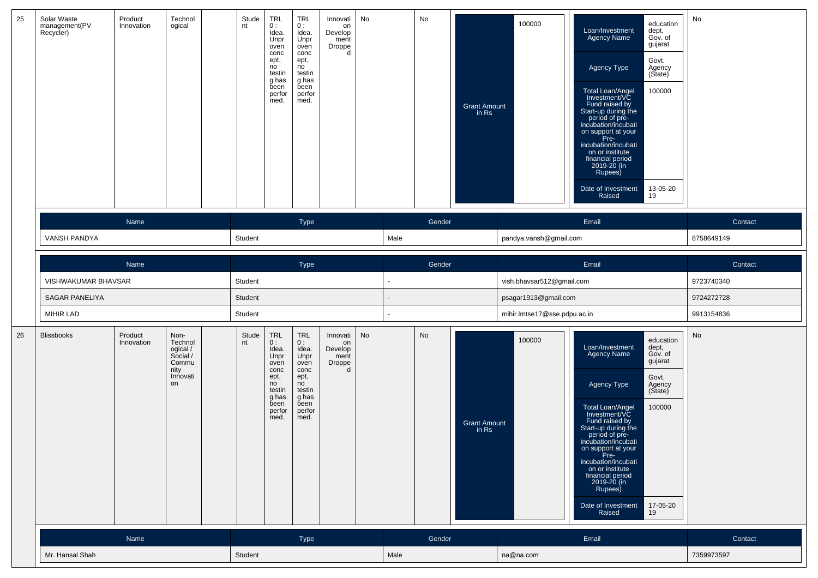| 25 | Solar Waste<br>management(PV<br>Recycler) | Product<br>Innovation | Technol<br>ogical                                                          | Stude<br>nt | <b>TRL</b><br>0:<br>Idea.<br>Unpr<br>oven<br>conc<br>ept,<br>no<br>testin<br>g has<br>been<br>perfor<br>med. | <b>TRL</b><br>0:<br>Idea.<br>Unpr<br>oven<br>conc<br>ept,<br>no<br>testin<br>g has<br>been<br>perfor<br>med. | Innovati<br>on<br>Develop<br>ment<br>Droppe<br>d | No        |      | No     | <b>Grant Amount</b><br>in Rs | 100000                       | education<br>Loan/Investment<br>dept,<br>Agency Name<br>Gov. of<br>gujarat<br>Govt.<br>Agency Type<br>Agency<br>(State)<br>Total Loan/Angel<br>Investment/VC<br>100000<br>Fund raised by<br>Start-up during the<br>period of pre-<br>incubation/incubati<br>on support at your<br>Pre-<br>incubation/incubati<br>on or institute<br>financial period<br>2019-20 (in<br>Rupees)<br>Date of Investment<br>13-05-20<br>19<br>Raised | No         |
|----|-------------------------------------------|-----------------------|----------------------------------------------------------------------------|-------------|--------------------------------------------------------------------------------------------------------------|--------------------------------------------------------------------------------------------------------------|--------------------------------------------------|-----------|------|--------|------------------------------|------------------------------|----------------------------------------------------------------------------------------------------------------------------------------------------------------------------------------------------------------------------------------------------------------------------------------------------------------------------------------------------------------------------------------------------------------------------------|------------|
|    |                                           | Name                  |                                                                            |             |                                                                                                              | Type                                                                                                         |                                                  |           |      | Gender |                              |                              | Email                                                                                                                                                                                                                                                                                                                                                                                                                            | Contact    |
|    | VANSH PANDYA                              |                       |                                                                            | Student     |                                                                                                              |                                                                                                              |                                                  |           | Male |        |                              | pandya.vansh@gmail.com       |                                                                                                                                                                                                                                                                                                                                                                                                                                  | 8758649149 |
|    |                                           | Name                  |                                                                            |             |                                                                                                              | Type                                                                                                         |                                                  |           |      | Gender |                              |                              | Email                                                                                                                                                                                                                                                                                                                                                                                                                            | Contact    |
|    | VISHWAKUMAR BHAVSAR                       |                       |                                                                            | Student     |                                                                                                              |                                                                                                              |                                                  |           |      |        |                              | vish.bhavsar512@gmail.com    |                                                                                                                                                                                                                                                                                                                                                                                                                                  | 9723740340 |
|    | <b>SAGAR PANELIYA</b>                     |                       |                                                                            | Student     |                                                                                                              |                                                                                                              |                                                  |           |      |        |                              | psagar1913@gmail.com         |                                                                                                                                                                                                                                                                                                                                                                                                                                  | 9724272728 |
|    | MIHIR LAD                                 |                       |                                                                            | Student     |                                                                                                              |                                                                                                              |                                                  |           |      |        |                              | mihir.lmtse17@sse.pdpu.ac.in |                                                                                                                                                                                                                                                                                                                                                                                                                                  | 9913154836 |
| 26 | <b>Blissbooks</b>                         | Product<br>Innovation | Non-<br>Technol<br>ogical /<br>Social /<br>Commu<br>nity<br>Innovati<br>on | Stude<br>nt | TRL<br>0:<br>Idea.<br>Unpr<br>oven<br>conc<br>ept,<br>no<br>testin<br>g has<br>been<br>perfor<br>med.        | <b>TRL</b><br>0:<br>Idea.<br>Unpr<br>oven<br>conc<br>ept,<br>no<br>testin<br>g has<br>been<br>perfor<br>med. | Innovati<br>on<br>Develop<br>ment<br>Droppe<br>d | <b>No</b> |      | No     | <b>Grant Amount</b><br>in Rs | 100000                       | education<br>Loan/Investment<br>dept,<br>Gov. of<br>Agency Name<br>gujarat<br>Govt.<br>Agency Type<br>Agency<br>(State)<br>100000<br>Total Loan/Angel<br>Investment/VC<br>Fund raised by<br>Start-up during the<br>period of pre-<br>incubation/incubati<br>on support at your<br>Pre-<br>incubation/incubati<br>on or institute<br>financial period<br>2019-20 (in<br>Rupees)<br>Date of Investment<br>17-05-20<br>Raised<br>19 | No         |
|    |                                           | Name                  |                                                                            |             |                                                                                                              | Type                                                                                                         |                                                  |           |      | Gender |                              |                              | Email                                                                                                                                                                                                                                                                                                                                                                                                                            | Contact    |
|    | Mr. Hansal Shah                           |                       |                                                                            | Student     |                                                                                                              |                                                                                                              |                                                  |           | Male |        |                              | na@na.com                    |                                                                                                                                                                                                                                                                                                                                                                                                                                  | 7359973597 |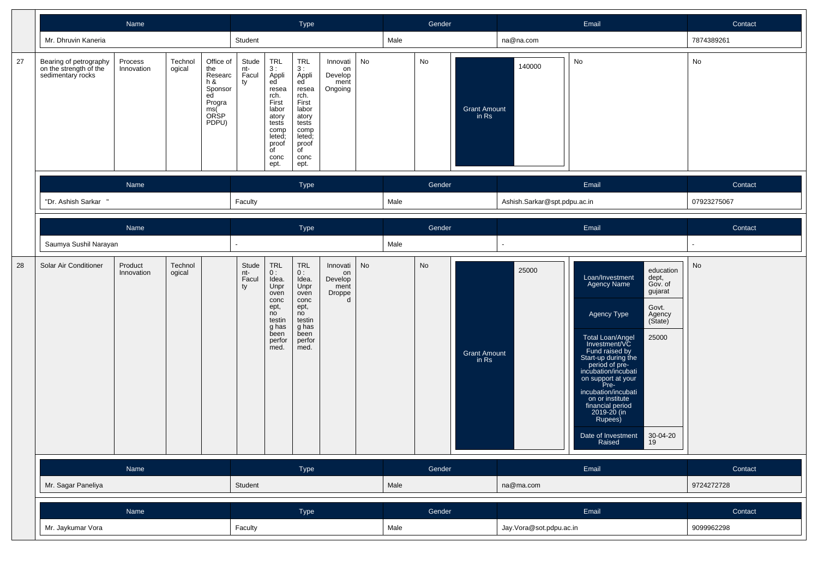|    |                                                                       | Name                  |                   |                                                                                 |                             |                                                                                                                                            | Type                                                                                                                           |                                                  |    |      | Gender |                              |                              | Email                                                                                                                                                                                                                                                                                                                                                                                                                                  | Contact     |
|----|-----------------------------------------------------------------------|-----------------------|-------------------|---------------------------------------------------------------------------------|-----------------------------|--------------------------------------------------------------------------------------------------------------------------------------------|--------------------------------------------------------------------------------------------------------------------------------|--------------------------------------------------|----|------|--------|------------------------------|------------------------------|----------------------------------------------------------------------------------------------------------------------------------------------------------------------------------------------------------------------------------------------------------------------------------------------------------------------------------------------------------------------------------------------------------------------------------------|-------------|
|    | Mr. Dhruvin Kaneria                                                   |                       |                   |                                                                                 | Student                     |                                                                                                                                            |                                                                                                                                |                                                  |    | Male |        |                              | na@na.com                    |                                                                                                                                                                                                                                                                                                                                                                                                                                        | 7874389261  |
| 27 | Bearing of petrography<br>on the strength of the<br>sedimentary rocks | Process<br>Innovation | Technol<br>ogical | Office of<br>the<br>Researc<br>h &<br>Sponsor<br>ed<br>Progra<br>ms(ŠP<br>PDPU) | Stude<br>nt-<br>Facul<br>ty | TRL<br>3:<br>Appli<br>ed<br>resea<br>rch.<br>First<br>labor<br>atory<br>tests<br>comp<br>leted;<br>proof<br>$\overline{f}$<br>conc<br>ept. | TRL<br>3:<br>Appli<br>ed<br>resea<br>rch.<br>First<br>labor<br>atory<br>tests<br>comp<br>leted;<br>proof<br>of<br>conc<br>ept. | Innovati<br>on<br>Develop<br>ment<br>Ongoing     | No |      | No     | <b>Grant Amount</b><br>in Rs | 140000                       | No                                                                                                                                                                                                                                                                                                                                                                                                                                     | No          |
|    |                                                                       | Name                  |                   |                                                                                 |                             |                                                                                                                                            | Type                                                                                                                           |                                                  |    |      | Gender |                              |                              | Email                                                                                                                                                                                                                                                                                                                                                                                                                                  | Contact     |
|    | "Dr. Ashish Sarkar "                                                  | Name                  |                   |                                                                                 |                             |                                                                                                                                            |                                                                                                                                |                                                  |    | Male |        |                              | Ashish.Sarkar@spt.pdpu.ac.in |                                                                                                                                                                                                                                                                                                                                                                                                                                        | 07923275067 |
|    |                                                                       |                       |                   |                                                                                 |                             |                                                                                                                                            | Type                                                                                                                           |                                                  |    |      | Gender |                              |                              | Email                                                                                                                                                                                                                                                                                                                                                                                                                                  | Contact     |
|    | Saumya Sushil Narayan                                                 | Technol<br>Product    |                   |                                                                                 |                             |                                                                                                                                            |                                                                                                                                |                                                  |    | Male |        |                              |                              |                                                                                                                                                                                                                                                                                                                                                                                                                                        |             |
| 28 | Solar Air Conditioner                                                 | Innovation            | ogical            |                                                                                 | Stude<br>nt-<br>Facul<br>ty | TRL<br>0:<br>Idea.<br>Unpr<br>oven<br>conc<br>ept,<br>no<br>testin<br>g has<br>been<br>perfor<br>med.                                      | TRL<br>0:<br>Idea.<br>Unpr<br>oven<br>conc<br>ept,<br>no<br>testin<br>g has<br>been<br>perfor<br>med.                          | Innovati<br>on<br>Develop<br>ment<br>Droppe<br>d | No |      | No     | <b>Grant Amount</b><br>in Rs | 25000                        | education<br>Loan/Investment<br>dept,<br><b>Agency Name</b><br>Gov. of<br>gujarat<br>Govt.<br>Agency Type<br>Agency<br>(State)<br>25000<br>Total Loan/Angel<br>Investment/VC<br>Fund raised by<br>Start-up during the<br>period of pre-<br>incubation/incubati<br>on support at your<br>Pre-<br>incubation/incubati<br>on or institute<br>financial period<br>2019-20 (in<br>Rupees)<br>Date of Investment<br>30-04-20<br>19<br>Raised | No          |
|    |                                                                       | Name                  |                   |                                                                                 |                             |                                                                                                                                            | Type                                                                                                                           |                                                  |    |      | Gender |                              |                              | Email                                                                                                                                                                                                                                                                                                                                                                                                                                  | Contact     |
|    | Mr. Sagar Paneliya                                                    |                       |                   |                                                                                 | Student                     |                                                                                                                                            |                                                                                                                                |                                                  |    | Male |        |                              | na@ma.com                    |                                                                                                                                                                                                                                                                                                                                                                                                                                        | 9724272728  |
|    |                                                                       | Name                  |                   |                                                                                 |                             |                                                                                                                                            | Type                                                                                                                           |                                                  |    |      | Gender |                              |                              | Email                                                                                                                                                                                                                                                                                                                                                                                                                                  | Contact     |
|    | Mr. Jaykumar Vora                                                     |                       |                   |                                                                                 | Faculty                     |                                                                                                                                            |                                                                                                                                |                                                  |    | Male |        |                              | Jay.Vora@sot.pdpu.ac.in      |                                                                                                                                                                                                                                                                                                                                                                                                                                        | 9099962298  |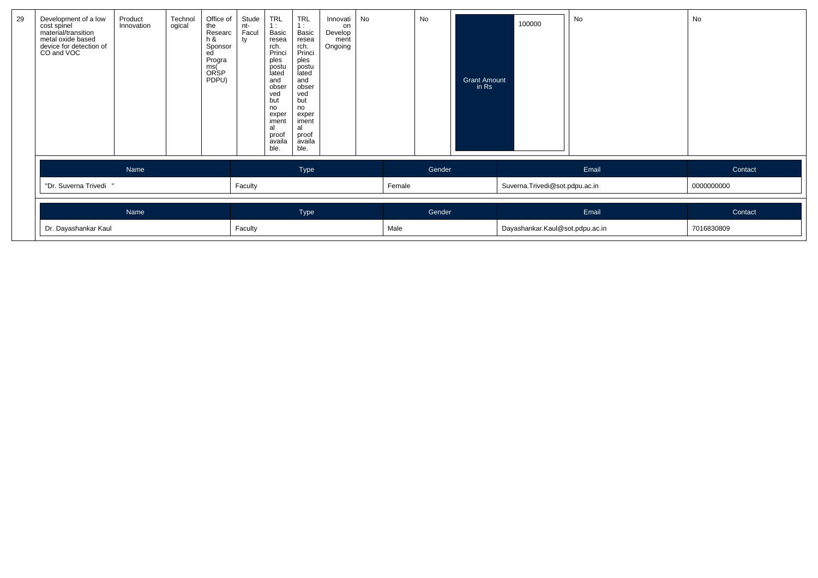| Development of a low<br>cost spinel<br>material/transition<br>metal oxide based<br>device for detection of<br>CO and VOC | Product<br>Innovation | Technol<br>ogical | Office of<br>the<br>Researc<br>$h$ &<br>Sponsor<br>ed<br>Progra<br>ms(<br><b>ORSP</b><br>PDPU) | Stude<br>nt-<br>Facul<br>ty | <b>TRL</b><br>1:<br>Basic<br>resea<br>rch.<br>Princi<br>ples<br>postu<br>lated<br>and<br>obser<br>ved<br>but<br>no<br>exper<br>iment<br>al<br>proof<br>availa<br>ble. | <b>TRL</b><br>1:<br>Basic<br>resea<br>rch.<br>Princi<br>ples<br>postu<br>lated<br>and<br>obser<br>ved<br>but<br>no<br>exper<br>iment<br>al<br>proof<br>availa<br>ble. | Innovati<br>on<br>Develop<br>ment<br>Ongoing | <b>No</b> |        | No     | <b>Grant Amount</b><br>in Rs | 100000                          | No    | No         |
|--------------------------------------------------------------------------------------------------------------------------|-----------------------|-------------------|------------------------------------------------------------------------------------------------|-----------------------------|-----------------------------------------------------------------------------------------------------------------------------------------------------------------------|-----------------------------------------------------------------------------------------------------------------------------------------------------------------------|----------------------------------------------|-----------|--------|--------|------------------------------|---------------------------------|-------|------------|
|                                                                                                                          | Name                  |                   |                                                                                                |                             |                                                                                                                                                                       | Type                                                                                                                                                                  |                                              |           |        | Gender |                              |                                 | Email | Contact    |
| "Dr. Suverna Trivedi                                                                                                     |                       |                   |                                                                                                | Faculty                     |                                                                                                                                                                       |                                                                                                                                                                       |                                              |           | Female |        |                              | Suverna. Trivedi@sot.pdpu.ac.in |       | 0000000000 |
|                                                                                                                          | Name                  |                   |                                                                                                |                             |                                                                                                                                                                       | Type                                                                                                                                                                  |                                              |           |        | Gender |                              |                                 | Email | Contact    |
| Dr. Dayashankar Kaul                                                                                                     |                       |                   |                                                                                                |                             |                                                                                                                                                                       |                                                                                                                                                                       |                                              |           | Male   |        |                              | Dayashankar.Kaul@sot.pdpu.ac.in |       | 7016830809 |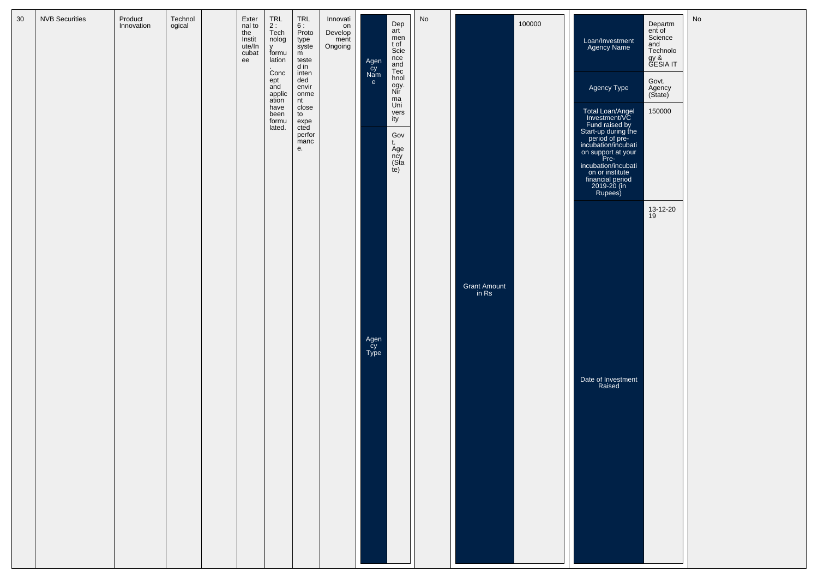| 30 | <b>NVB Securities</b> | Product<br>Innovation | Technol<br>ogical | Exter<br>nal to<br>the<br>Instit<br>ute/In<br>cubat<br>ee | <b>TRL</b><br>2:<br>Tech<br>nolog<br>v<br>formu<br>lation<br>Conc<br>ept<br>and<br>applic<br>ation<br>have<br>been<br>formu<br>lated. | TRL<br>6 :<br>Proto<br>type<br>syste<br>m<br>teste<br>d in<br>inten<br>ded<br>envir<br>onme<br>nt<br>close<br>to<br>expe<br>cted<br>perfor<br>manc<br>е. | Innovati<br>on<br>Develop<br>ment<br>Ongoing | Agen<br>čy<br>Nam<br>e | Dep<br>art<br>men<br>t of<br>Scie<br>nce<br>and<br>Tec<br>hnol<br>ogy.<br>Nir<br>ma<br>Uni<br>vers<br>ity<br>Gov<br>t.<br>Age<br>ncy<br>(Sta<br>te) | No |                              | 100000 | Loan/Investment<br>Agency Name<br>Agency Type<br><b>Total Loan/Angel</b><br>Investment/VC<br>Fund raised by<br>Start-up during the<br>period of pre-<br>incubation/incubati<br>on support at your<br>Pre-<br>incubation/incubati<br>on or institute<br>financial period<br>2019-20 (in<br>Rupees) | Departm<br>ent of<br>Science<br>and<br>Technolo<br>gy &<br>GESIA IT<br>Govt.<br>Agency<br>(State)<br>150000 | No |
|----|-----------------------|-----------------------|-------------------|-----------------------------------------------------------|---------------------------------------------------------------------------------------------------------------------------------------|----------------------------------------------------------------------------------------------------------------------------------------------------------|----------------------------------------------|------------------------|-----------------------------------------------------------------------------------------------------------------------------------------------------|----|------------------------------|--------|---------------------------------------------------------------------------------------------------------------------------------------------------------------------------------------------------------------------------------------------------------------------------------------------------|-------------------------------------------------------------------------------------------------------------|----|
|    |                       |                       |                   |                                                           |                                                                                                                                       |                                                                                                                                                          |                                              | Agen<br>Cy<br>Type     |                                                                                                                                                     |    | <b>Grant Amount</b><br>in Rs |        | Date of Investment<br>Raised                                                                                                                                                                                                                                                                      | 13-12-20<br>19                                                                                              |    |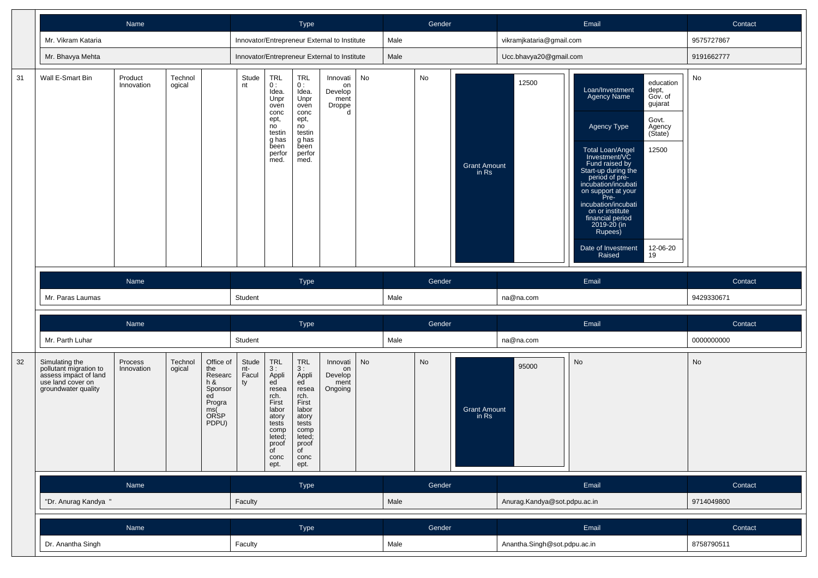|    |                                                                                                               | Name                  |                   |                                                                                         |                             |                                                                                                                                       | Type                                                                                                                                  |                                                  |    |      | Gender |                              |                              | Email                                                                                                                                                                                                                                                                                                                                                                                                                                  | Contact    |
|----|---------------------------------------------------------------------------------------------------------------|-----------------------|-------------------|-----------------------------------------------------------------------------------------|-----------------------------|---------------------------------------------------------------------------------------------------------------------------------------|---------------------------------------------------------------------------------------------------------------------------------------|--------------------------------------------------|----|------|--------|------------------------------|------------------------------|----------------------------------------------------------------------------------------------------------------------------------------------------------------------------------------------------------------------------------------------------------------------------------------------------------------------------------------------------------------------------------------------------------------------------------------|------------|
|    | Mr. Vikram Kataria                                                                                            |                       |                   |                                                                                         |                             |                                                                                                                                       |                                                                                                                                       | Innovator/Entrepreneur External to Institute     |    | Male |        |                              | vikramjkataria@gmail.com     |                                                                                                                                                                                                                                                                                                                                                                                                                                        | 9575727867 |
|    | Mr. Bhavya Mehta                                                                                              |                       |                   |                                                                                         |                             |                                                                                                                                       |                                                                                                                                       | Innovator/Entrepreneur External to Institute     |    | Male |        |                              | Ucc.bhavya20@gmail.com       |                                                                                                                                                                                                                                                                                                                                                                                                                                        | 9191662777 |
| 31 | Wall E-Smart Bin                                                                                              | Product<br>Innovation | Technol<br>ogical |                                                                                         | Stude<br>nt                 | TRL<br>0:<br>Idea.<br>Unpr<br>oven<br>conc<br>ept,<br>no<br>testin<br>g has<br>been<br>perfor<br>med.                                 | <b>TRL</b><br>0:<br>Idea.<br>Unpr<br>oven<br>conc<br>ept,<br>no<br>testin<br>g has<br>been<br>perfor<br>med.                          | Innovati<br>on<br>Develop<br>ment<br>Droppe<br>d | No |      | No     | <b>Grant Amount</b><br>in Rs | 12500                        | education<br>Loan/Investment<br>dept,<br><b>Agency Name</b><br>Gov. of<br>gujarat<br>Govt.<br>Agency Type<br>Agency<br>(State)<br>12500<br>Total Loan/Angel<br>Investment/VC<br>Fund raised by<br>Start-up during the<br>period of pre-<br>incubation/incubati<br>on support at your<br>Pre-<br>incubation/incubati<br>on or institute<br>financial period<br>2019-20 (in<br>Rupees)<br>Date of Investment<br>12-06-20<br>Raised<br>19 | No         |
|    |                                                                                                               | Name                  |                   |                                                                                         |                             |                                                                                                                                       | Type                                                                                                                                  |                                                  |    |      | Gender |                              |                              | Email                                                                                                                                                                                                                                                                                                                                                                                                                                  | Contact    |
|    | Mr. Paras Laumas                                                                                              |                       |                   |                                                                                         | Student                     |                                                                                                                                       |                                                                                                                                       |                                                  |    | Male |        |                              | na@na.com                    |                                                                                                                                                                                                                                                                                                                                                                                                                                        | 9429330671 |
|    |                                                                                                               | Name                  |                   |                                                                                         |                             |                                                                                                                                       | Type                                                                                                                                  |                                                  |    |      | Gender |                              |                              | Email                                                                                                                                                                                                                                                                                                                                                                                                                                  | Contact    |
|    | Mr. Parth Luhar                                                                                               |                       |                   |                                                                                         | Student                     |                                                                                                                                       |                                                                                                                                       |                                                  |    | Male |        |                              | na@na.com                    |                                                                                                                                                                                                                                                                                                                                                                                                                                        | 0000000000 |
| 32 | Simulating the<br>pollutant migration to<br>assess impact of land<br>use land cover on<br>groundwater quality | Process<br>Innovation | Technol<br>ogical | Office of<br>the<br>Researc<br>$h$ &<br>Sponsor<br>ed<br>Progra<br>ms(<br>ORSP<br>PDPU) | Stude<br>nt-<br>Facul<br>ty | <b>TRL</b><br>3:<br>Appli<br>ed<br>resea<br>rch.<br>First<br>labor<br>atory<br>tests<br>comp<br>leted;<br>proof<br>of<br>conc<br>ept. | <b>TRL</b><br>3:<br>Appli<br>ed<br>resea<br>rch.<br>First<br>labor<br>atory<br>tests<br>comp<br>leted;<br>proof<br>of<br>conc<br>ept. | Innovati<br>on<br>Develop<br>ment<br>Ongoing     | No |      | No     | <b>Grant Amount</b><br>in Rs | 95000                        | No                                                                                                                                                                                                                                                                                                                                                                                                                                     | No         |
|    |                                                                                                               | Name<br>Name          |                   |                                                                                         |                             |                                                                                                                                       | Type                                                                                                                                  |                                                  |    |      | Gender |                              |                              | Email                                                                                                                                                                                                                                                                                                                                                                                                                                  | Contact    |
|    | "Dr. Anurag Kandya "                                                                                          |                       |                   |                                                                                         | Faculty                     |                                                                                                                                       |                                                                                                                                       |                                                  |    | Male |        |                              | Anurag.Kandya@sot.pdpu.ac.in |                                                                                                                                                                                                                                                                                                                                                                                                                                        | 9714049800 |
|    |                                                                                                               |                       |                   |                                                                                         |                             |                                                                                                                                       | Type                                                                                                                                  |                                                  |    |      | Gender |                              |                              | Email                                                                                                                                                                                                                                                                                                                                                                                                                                  | Contact    |
|    | Dr. Anantha Singh                                                                                             |                       |                   |                                                                                         | Faculty                     |                                                                                                                                       |                                                                                                                                       |                                                  |    | Male |        |                              | Anantha.Singh@sot.pdpu.ac.in |                                                                                                                                                                                                                                                                                                                                                                                                                                        | 8758790511 |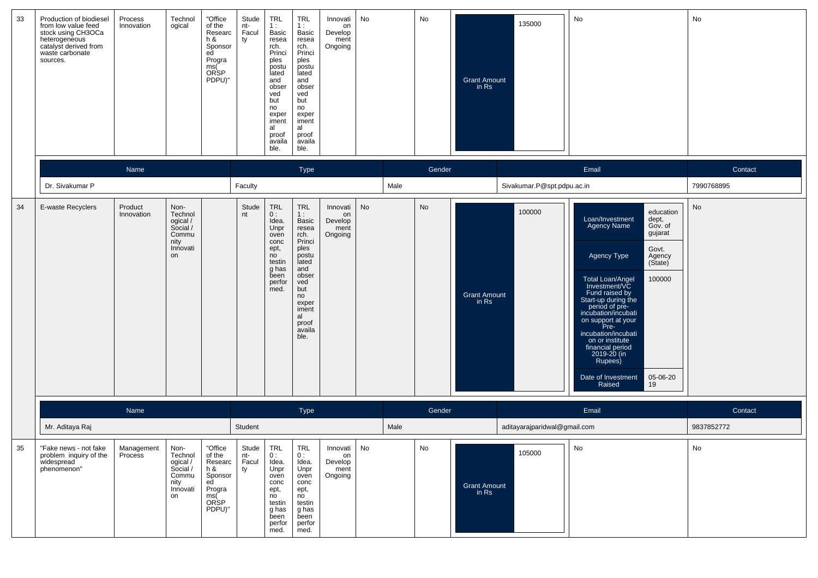| 33 | Production of biodiesel<br>from low value feed<br>stock using CH3OCa<br>heterogeneous<br>catalyst derived from<br>waste carbonate<br>sources. | Process<br>Innovation | Technol<br>ogical                                                          | "Office<br>of the<br>Researc<br>h &<br>Sponsor<br>ed<br>Progra<br>ms(<br>ORSP<br>PDPU)" | Stude<br>nt-<br>Facul<br>ty   | <b>TRL</b><br>1:<br>Basic<br>resea<br>rch.<br>Princi<br>ples<br>postu<br>lated<br>and<br>obser<br>ved<br>but<br>no<br>exper<br>iment<br>al<br>proof<br>availa<br>ble. | <b>TRL</b><br>1:<br>Basic<br>resea<br>rch.<br>Princi<br>ples<br>postu<br>lated<br>and<br>obser<br>ved<br>but<br>no<br>exper<br>iment<br>al<br>proof<br>availa<br>ble.        | Innovati<br>on<br>Develop<br>ment<br>Ongoing      | No        |        | No     | <b>Grant Amount</b><br>in Rs   | 135000                       | No                                                                                                                                                                                                                                                                                                                                                                                                                                      | No         |
|----|-----------------------------------------------------------------------------------------------------------------------------------------------|-----------------------|----------------------------------------------------------------------------|-----------------------------------------------------------------------------------------|-------------------------------|-----------------------------------------------------------------------------------------------------------------------------------------------------------------------|------------------------------------------------------------------------------------------------------------------------------------------------------------------------------|---------------------------------------------------|-----------|--------|--------|--------------------------------|------------------------------|-----------------------------------------------------------------------------------------------------------------------------------------------------------------------------------------------------------------------------------------------------------------------------------------------------------------------------------------------------------------------------------------------------------------------------------------|------------|
|    |                                                                                                                                               | Name<br>Type          |                                                                            |                                                                                         |                               |                                                                                                                                                                       |                                                                                                                                                                              |                                                   |           | Gender |        |                                | Email                        | Contact                                                                                                                                                                                                                                                                                                                                                                                                                                 |            |
|    | Dr. Sivakumar P                                                                                                                               |                       |                                                                            |                                                                                         | Faculty                       |                                                                                                                                                                       |                                                                                                                                                                              |                                                   |           | Male   |        |                                | Sivakumar.P@spt.pdpu.ac.in   |                                                                                                                                                                                                                                                                                                                                                                                                                                         | 7990768895 |
| 34 | E-waste Recyclers                                                                                                                             | Product<br>Innovation | Non-<br>Technol<br>ogical /<br>Social /<br>Commu<br>nity<br>Innovati<br>on |                                                                                         | Stude<br>nt                   | TRL<br>0:<br>Idea.<br>Unpr<br>oven<br>conc<br>ept,<br>no<br>testin<br>g has<br>been<br>perfor<br>med.                                                                 | <b>TRL</b><br>1:<br><b>Basic</b><br>resea<br>rch.<br>Princi<br>ples<br>postu<br>lated<br>and<br>obser<br>ved<br>but<br>no<br>exper<br>iment<br>al<br>proof<br>availa<br>ble. | Innovati<br>on<br>Develop<br>ment<br>Ongoing      | <b>No</b> |        | No     | <b>Grant Amount</b><br>$in$ Rs | 100000                       | education<br>Loan/Investment<br>dept,<br><b>Agency Name</b><br>Gov. of<br>gujarat<br>Govt.<br>Agency Type<br>Agency<br>(State)<br>Total Loan/Angel<br>100000<br>Investment/VC<br>Fund raised by<br>Start-up during the<br>period of pre-<br>incubation/incubati<br>on support at your<br>Pre-<br>incubation/incubati<br>on or institute<br>financial period<br>2019-20 (in<br>Rupees)<br>05-06-20<br>Date of Investment<br>19<br>Raised | No         |
|    |                                                                                                                                               | Name                  |                                                                            |                                                                                         |                               |                                                                                                                                                                       | Type                                                                                                                                                                         |                                                   |           |        | Gender |                                |                              | Email                                                                                                                                                                                                                                                                                                                                                                                                                                   | Contact    |
|    | Mr. Aditaya Raj                                                                                                                               |                       |                                                                            |                                                                                         | Student                       |                                                                                                                                                                       |                                                                                                                                                                              |                                                   |           | Male   |        |                                | aditayarajparidwal@gmail.com |                                                                                                                                                                                                                                                                                                                                                                                                                                         | 9837852772 |
| 35 | "Fake news - not fake<br>problem inquiry of the<br>widespread<br>phenomenon"                                                                  | Management<br>Process | Non-<br>Technol<br>ogical /<br>Social /<br>Commu<br>nity<br>Innovati<br>on | "Office<br>of the<br>Researc<br>h &<br>Sponsor<br>ed<br>Progra<br>ms(<br>ORSP<br>PDPU)" | Stude  <br>nt-<br>Facul<br>ty | TRL<br>0:<br>Idea.<br>Unpr<br>oven<br>conc<br>ept,<br>n <sub>o</sub><br>testin<br>g has<br>been<br>perfor<br>med.                                                     | TRL<br>0:<br>Idea.<br>Unpr<br>oven<br>conc<br>ept,<br>no<br>testin<br>g has<br>been<br>perfor<br>med.                                                                        | Innovati   No<br>on<br>Develop<br>ment<br>Ongoing |           |        | No     | <b>Grant Amount</b><br>in $Rs$ | 105000                       | $\lnot \mid N_0$                                                                                                                                                                                                                                                                                                                                                                                                                        | No         |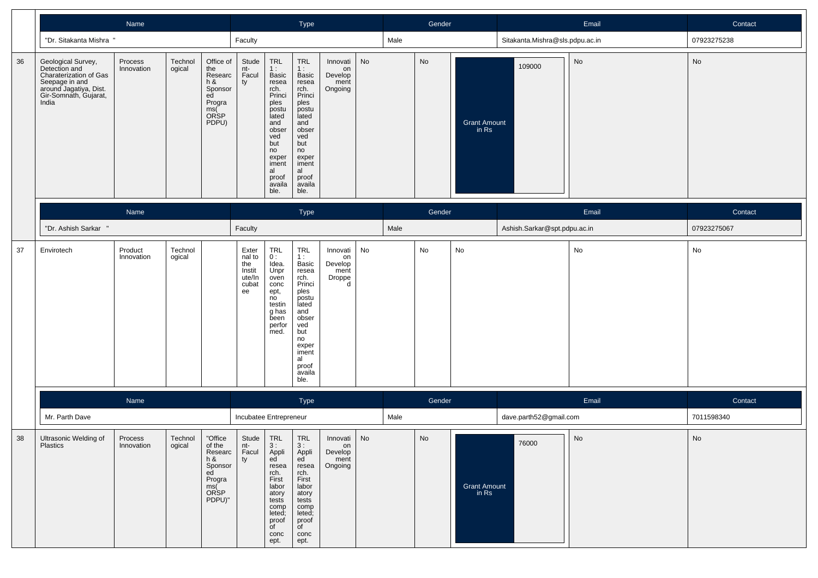|    | Name<br>Type                                                                                                                                |                       |                   |                                                                                                |                                                           |                                                                                                                                                                |                                                                                                                                                                |                                                  | Gender |        |    | Email                        | Contact                         |       |             |
|----|---------------------------------------------------------------------------------------------------------------------------------------------|-----------------------|-------------------|------------------------------------------------------------------------------------------------|-----------------------------------------------------------|----------------------------------------------------------------------------------------------------------------------------------------------------------------|----------------------------------------------------------------------------------------------------------------------------------------------------------------|--------------------------------------------------|--------|--------|----|------------------------------|---------------------------------|-------|-------------|
|    | "Dr. Sitakanta Mishra "                                                                                                                     |                       |                   |                                                                                                | Faculty                                                   |                                                                                                                                                                |                                                                                                                                                                |                                                  |        | Male   |    |                              | Sitakanta.Mishra@sls.pdpu.ac.in |       | 07923275238 |
| 36 | Geological Survey,<br>Detection and<br>Charaterization of Gas<br>Seepage in and<br>around Jagatiya, Dist.<br>Gir-Somnath, Gujarat,<br>India | Process<br>Innovation | Technol<br>ogical | Office of<br>the<br>Researc<br>$h$ &<br>Sponsor<br>ed<br>Progra<br>ms(<br>ORSP<br>PDPU)        | Stude<br>nt-<br>Facul<br>ty                               | TRL<br>1:<br>Basic<br>resea<br>rch.<br>Princi<br>ples<br>postu<br>lated<br>and<br>obser<br>ved<br>but<br>no<br>exper<br>iment<br>al<br>proof<br>availa<br>ble. | TRL<br>1:<br>Basic<br>resea<br>rch.<br>Princi<br>ples<br>postu<br>lated<br>and<br>obser<br>ved<br>but<br>no<br>exper<br>iment<br>al<br>proof<br>availa<br>ble. | Innovati<br>on<br>Develop<br>ment<br>Ongoing     | No     |        | No | <b>Grant Amount</b><br>in Rs | 109000                          | No    | No          |
|    |                                                                                                                                             |                       | Type              |                                                                                                |                                                           |                                                                                                                                                                |                                                                                                                                                                | Gender                                           |        |        |    | Email                        | Contact                         |       |             |
|    | "Dr. Ashish Sarkar "                                                                                                                        |                       |                   |                                                                                                |                                                           | Faculty                                                                                                                                                        |                                                                                                                                                                |                                                  |        |        |    |                              | Ashish.Sarkar@spt.pdpu.ac.in    |       | 07923275067 |
| 37 | Envirotech                                                                                                                                  | Product<br>Innovation | Technol<br>ogical |                                                                                                | Exter<br>nal to<br>the<br>Instit<br>ute/In<br>cubat<br>ee | TRL<br>0:<br>Idea.<br>Unpr<br>oven<br>conc<br>ept,<br>no<br>testin<br>g has<br>been<br>perfor<br>med.                                                          | TRL<br>1:<br>Basic<br>resea<br>rch.<br>Princi<br>ples<br>postu<br>lated<br>and<br>obser<br>ved<br>but<br>no<br>exper<br>iment<br>al<br>proof<br>availa<br>ble. | Innovati<br>on<br>Develop<br>ment<br>Droppe<br>d | No     |        | No | No                           |                                 | No    | No          |
|    |                                                                                                                                             | Name                  |                   |                                                                                                |                                                           |                                                                                                                                                                | Type                                                                                                                                                           |                                                  |        | Gender |    |                              |                                 | Email | Contact     |
|    | Mr. Parth Dave                                                                                                                              |                       |                   |                                                                                                |                                                           | Incubatee Entrepreneur                                                                                                                                         |                                                                                                                                                                |                                                  |        | Male   |    |                              | dave.parth52@gmail.com          |       | 7011598340  |
| 38 | Ultrasonic Welding of<br>Plastics                                                                                                           | Process<br>Innovation | Technol<br>ogical | "Office<br>of the<br>Researc<br>h &<br>Sponsor<br>ed<br>Progra<br>ms(<br><b>ORSP</b><br>PDPU)" | Stude<br>nt-<br>Facul<br>ty                               | TRL<br>3:<br>Appli<br>ed<br>resea<br>rch.<br>First<br>labor<br>atory<br>tests<br>comp<br>leted;<br>proof<br>of<br>conc<br>ept.                                 | <b>TRL</b><br>3:<br>Appli<br>ed<br>resea<br>rch.<br>First<br>labor<br>atory<br>tests<br>comp<br>leted;<br>proof<br>of<br>conc<br>ept.                          | Innovati<br>on<br>Develop<br>ment<br>Ongoing     | No     |        | No | <b>Grant Amount</b><br>in Rs | 76000                           | No    | No          |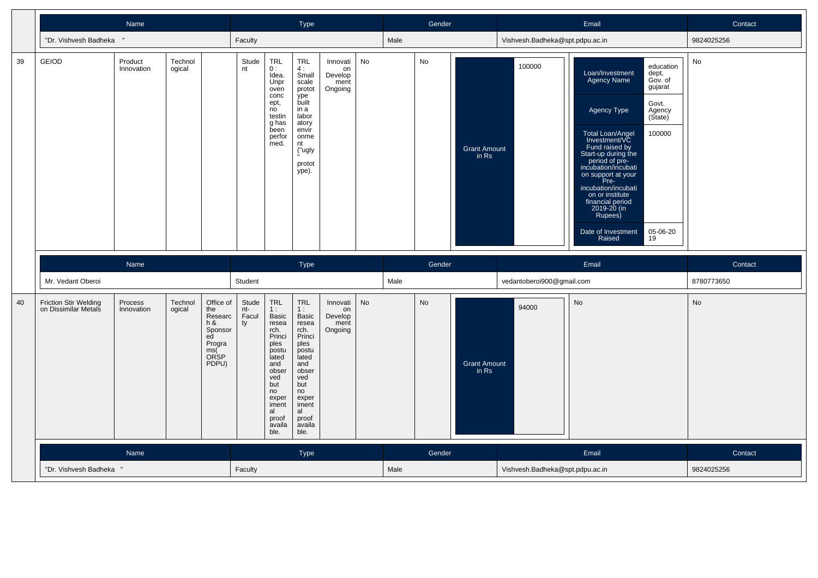|    | Name                                                 |                       |                   |                                                                                                |                             | <b>Type</b>                                                                                                                                                                   |                                                                                                                                                                              |                                              |    |      | Gender |                              |                                 | Email                                                                                                                                                                                                                                                                                                                                                                                                                                   | Contact    |
|----|------------------------------------------------------|-----------------------|-------------------|------------------------------------------------------------------------------------------------|-----------------------------|-------------------------------------------------------------------------------------------------------------------------------------------------------------------------------|------------------------------------------------------------------------------------------------------------------------------------------------------------------------------|----------------------------------------------|----|------|--------|------------------------------|---------------------------------|-----------------------------------------------------------------------------------------------------------------------------------------------------------------------------------------------------------------------------------------------------------------------------------------------------------------------------------------------------------------------------------------------------------------------------------------|------------|
|    | "Dr. Vishvesh Badheka                                |                       |                   |                                                                                                |                             | Faculty                                                                                                                                                                       |                                                                                                                                                                              |                                              |    |      |        |                              | Vishvesh.Badheka@spt.pdpu.ac.in |                                                                                                                                                                                                                                                                                                                                                                                                                                         | 9824025256 |
| 39 | <b>GEIOD</b>                                         | Product<br>Innovation | Technol<br>ogical |                                                                                                | Stude<br>nt                 | <b>TRL</b><br>0:<br>Idea.<br>Unpr<br>oven<br>conc<br>ept,<br>no<br>testin<br>g has<br>been<br>perfor<br>med.                                                                  | <b>TRL</b><br>4:<br>Small<br>scale<br>protot<br>ype<br>built<br>in a<br>labor<br>atory<br>envir<br>onme<br>nt<br>("ugly<br>protot<br>ype).                                   | Innovati<br>on<br>Develop<br>ment<br>Ongoing | No |      | No     | <b>Grant Amount</b><br>in Rs | 100000                          | education<br>Loan/Investment<br>dept,<br><b>Agency Name</b><br>Gov. of<br>gujarat<br>Govt.<br>Agency Type<br>Agency<br>(State)<br>Total Loan/Angel<br>100000<br>Investment/VC<br>Fund raised by<br>Start-up during the<br>period of pre-<br>incubation/incubati<br>on support at your<br>Pre-<br>incubation/incubati<br>on or institute<br>financial period<br>2019-20 (in<br>Rupees)<br>Date of Investment<br>05-06-20<br>Raised<br>19 | No         |
|    |                                                      | Name                  |                   |                                                                                                |                             |                                                                                                                                                                               | Type                                                                                                                                                                         |                                              |    |      | Gender |                              |                                 | Email                                                                                                                                                                                                                                                                                                                                                                                                                                   | Contact    |
|    | Mr. Vedant Oberoi                                    |                       |                   |                                                                                                | Student                     |                                                                                                                                                                               |                                                                                                                                                                              |                                              |    | Male |        |                              | vedantoberoi900@gmail.com       |                                                                                                                                                                                                                                                                                                                                                                                                                                         | 8780773650 |
| 40 | <b>Friction Stir Welding</b><br>on Dissimilar Metals | Process<br>Innovation | Technol<br>ogical | Office of<br>the<br>Researc<br>$h$ &<br>Sponsor<br>ed<br>Progra<br>ms(<br><b>ORSP</b><br>PDPU) | Stude<br>nt-<br>Facul<br>ty | <b>TRL</b><br>1 :<br><b>Basic</b><br>resea<br>rch.<br>Princi<br>ples<br>postu<br>lated<br>and<br>obser<br>ved<br>but<br>no<br>exper<br>iment<br>al<br>proof<br>availa<br>ble. | <b>TRL</b><br>1:<br><b>Basic</b><br>resea<br>rch.<br>Princi<br>ples<br>postu<br>lated<br>and<br>obser<br>ved<br>but<br>no<br>exper<br>iment<br>al<br>proof<br>availa<br>ble. | Innovati<br>on<br>Develop<br>ment<br>Ongoing | No |      | No     | <b>Grant Amount</b><br>in Rs | 94000                           | <b>No</b>                                                                                                                                                                                                                                                                                                                                                                                                                               | No         |
|    |                                                      | Name                  |                   |                                                                                                |                             |                                                                                                                                                                               | <b>Type</b>                                                                                                                                                                  |                                              |    |      | Gender |                              |                                 | Email                                                                                                                                                                                                                                                                                                                                                                                                                                   | Contact    |
|    | "Dr. Vishvesh Badheka                                |                       |                   |                                                                                                |                             |                                                                                                                                                                               |                                                                                                                                                                              |                                              |    | Male |        |                              | Vishvesh.Badheka@spt.pdpu.ac.in |                                                                                                                                                                                                                                                                                                                                                                                                                                         | 9824025256 |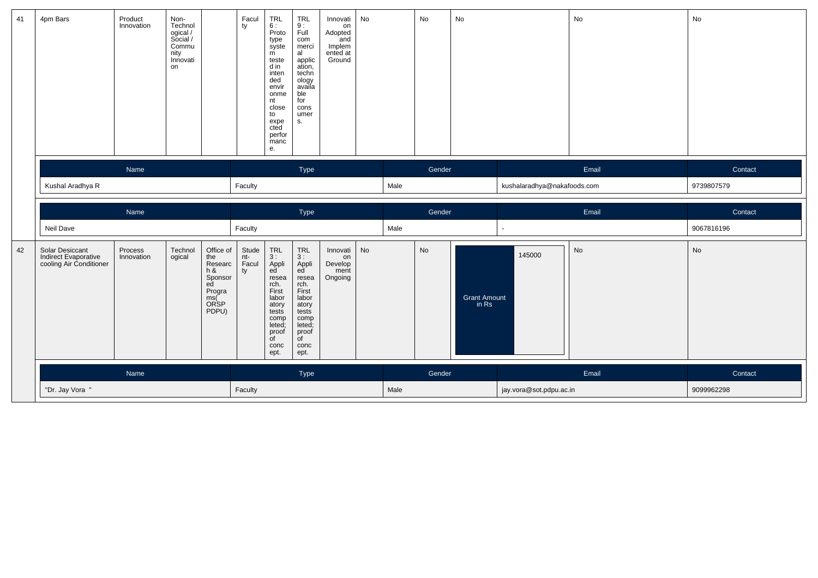| 41 | 4pm Bars                                                           | Product<br>Innovation | Non-<br>Technol<br>ogical /<br>Social /<br>Commu<br>nity<br>Innovati<br>on |                                                                                       | Facul<br>ty                 | $\begin{array}{c} \mathsf{TRL} \\ 6: \end{array}$<br>Proto<br>type<br>syste<br>m<br>teste<br>d in<br>inten<br>ded<br>envir<br>onme<br>nt<br>close<br>to<br>expe<br>cted<br>perfor<br>manc<br>е. | <b>TRL</b><br>$\frac{9}{1}$<br>com<br>merci<br>al<br>applic<br>ation,<br>techn<br>ology<br>availa<br>ble<br>for<br>cons<br>umer<br>S. | Innovati<br>on<br>Adopted<br>and<br>and<br>Implem<br>ented at<br>Ground | No        |      | No     | No                           |                             | No                           | No         |
|----|--------------------------------------------------------------------|-----------------------|----------------------------------------------------------------------------|---------------------------------------------------------------------------------------|-----------------------------|-------------------------------------------------------------------------------------------------------------------------------------------------------------------------------------------------|---------------------------------------------------------------------------------------------------------------------------------------|-------------------------------------------------------------------------|-----------|------|--------|------------------------------|-----------------------------|------------------------------|------------|
|    |                                                                    |                       |                                                                            |                                                                                       | Type                        |                                                                                                                                                                                                 |                                                                                                                                       | Gender                                                                  |           |      | Email  |                              | Contact                     |                              |            |
|    | Kushal Aradhya R                                                   |                       |                                                                            |                                                                                       |                             |                                                                                                                                                                                                 | Faculty                                                                                                                               |                                                                         |           |      |        |                              | kushalaradhya@nakafoods.com |                              | 9739807579 |
|    |                                                                    | Name                  |                                                                            |                                                                                       |                             | Type                                                                                                                                                                                            |                                                                                                                                       |                                                                         |           |      | Gender |                              |                             | Email                        | Contact    |
|    | Neil Dave                                                          |                       |                                                                            |                                                                                       |                             |                                                                                                                                                                                                 |                                                                                                                                       |                                                                         |           |      |        |                              |                             |                              |            |
|    |                                                                    |                       |                                                                            |                                                                                       | Faculty                     |                                                                                                                                                                                                 |                                                                                                                                       |                                                                         |           | Male |        |                              | $\sim$                      |                              | 9067816196 |
| 42 | Solar Desiccant<br>Indirect Evaporative<br>cooling Air Conditioner | Process<br>Innovation | Technol<br>ogical                                                          | Office of<br>the<br>Researc<br>h &<br>Sponsor<br>ed<br>Progra<br>ms(<br>ORSP<br>PDPU) | Stude<br>nt-<br>Facul<br>ty | TRL<br>3 :<br>3 :<br>Appli<br>ed<br>resea<br>rch.<br>First<br>labor<br>atory<br>tests<br>comp<br>leted;<br>proof<br>of<br>conc<br>ept.                                                          | TRL<br>3:<br>Appli<br>ed<br>resea<br>rch.<br>First<br>labor<br>atory<br>tests<br>comp<br>leted;<br>proof<br>of<br>conc<br>ept.        | Innovati<br>on<br>Develop<br>ment<br>Ongoing                            | <b>No</b> |      | No     | <b>Grant Amount</b><br>in Rs | 145000                      | $\operatorname{\mathsf{No}}$ | <b>No</b>  |
|    |                                                                    | Name                  |                                                                            |                                                                                       |                             |                                                                                                                                                                                                 | Type                                                                                                                                  |                                                                         |           |      | Gender |                              |                             | Email                        | Contact    |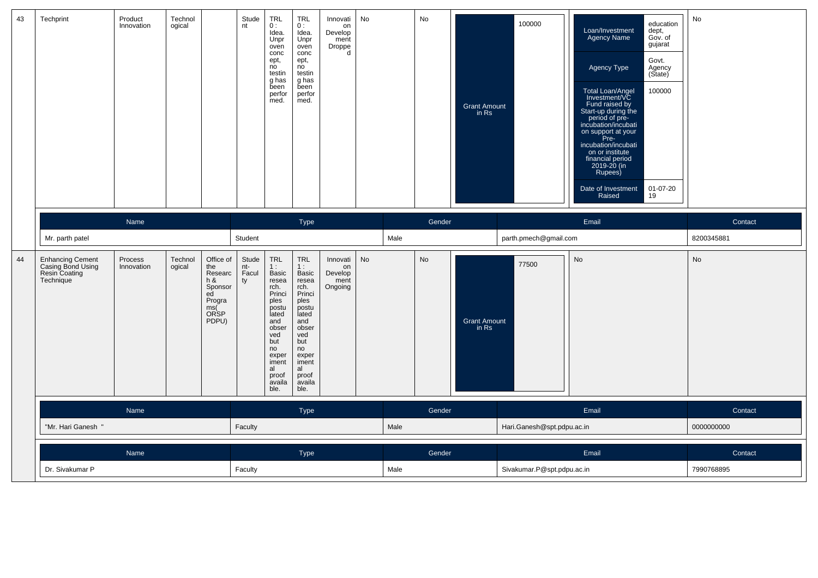| 43 | Techprint                                                                  | Product<br>Innovation | Technol<br>ogical |                                                                                       | Stude<br>nt                 | <b>TRL</b><br>0:<br>Idea.<br>Unpr<br>oven<br>conc<br>ept,<br>no<br>testin<br>g has<br>been<br>perfor<br>med.         | <b>TRL</b><br>0:<br>Idea.<br>Unpr<br>oven<br>conc<br>ept,<br>no<br>testin<br>g has<br>been<br>perfor<br>med.                       | Innovati<br>on<br>Develop<br>ment<br>Droppe<br>$\mathsf{d}$ | No |      | No     | <b>Grant Amount</b><br>in Rs | 100000                     | Loan/Investment<br>Agency Name<br>Agency Type<br>Total Loan/Angel<br>Investment/VC<br>Fund raised by<br>Start-up during the<br>period of pre-<br>incubation/incubati<br>on support at your<br>Pre-<br>incubation/incubati<br>on or institute<br>financial period<br>2019-20 (in<br>Rupees)<br>Date of Investment<br>Raised | education<br>dept,<br>Gov. of<br>gujarat<br>Govt.<br>Agency<br>(Sitate)<br>100000<br>01-07-20<br>19 | No         |
|----|----------------------------------------------------------------------------|-----------------------|-------------------|---------------------------------------------------------------------------------------|-----------------------------|----------------------------------------------------------------------------------------------------------------------|------------------------------------------------------------------------------------------------------------------------------------|-------------------------------------------------------------|----|------|--------|------------------------------|----------------------------|----------------------------------------------------------------------------------------------------------------------------------------------------------------------------------------------------------------------------------------------------------------------------------------------------------------------------|-----------------------------------------------------------------------------------------------------|------------|
|    |                                                                            | Name                  |                   |                                                                                       |                             |                                                                                                                      | Type                                                                                                                               |                                                             |    |      | Gender |                              |                            | Email                                                                                                                                                                                                                                                                                                                      |                                                                                                     | Contact    |
|    | Mr. parth patel                                                            |                       |                   |                                                                                       | Student                     |                                                                                                                      |                                                                                                                                    |                                                             |    | Male |        |                              | parth.pmech@gmail.com      |                                                                                                                                                                                                                                                                                                                            |                                                                                                     | 8200345881 |
| 44 | <b>Enhancing Cement</b><br>Casing Bond Using<br>Resin Coating<br>Technique | Process<br>Innovation | Technol<br>ogical | Office of<br>the<br>Researc<br>h &<br>Sponsor<br>ed<br>Progra<br>ms(<br>ORSP<br>PDPU) | Stude<br>nt-<br>Facul<br>ty | TRL<br>1:<br>Basic<br>resea<br>rch.<br>Princi<br>ples<br>postu<br>lated<br>and<br>obser<br>ved<br>but<br>no<br>exper | <b>TRL</b><br>1:<br><b>Basic</b><br>resea<br>rch.<br>Princi<br>ples<br>postu<br>lated<br>and<br>obser<br>ved<br>but<br>no<br>exper | Innovati<br>on<br>Develop<br>ment<br>Ongoing                | No |      | No     | <b>Grant Amount</b><br>in Rs | 77500                      | <b>No</b>                                                                                                                                                                                                                                                                                                                  |                                                                                                     | <b>No</b>  |
|    |                                                                            |                       |                   |                                                                                       |                             | iment<br>al<br>proof<br>availa<br>ble.                                                                               | iment<br>al<br>proof<br>availa<br>ble.                                                                                             |                                                             |    |      |        |                              |                            |                                                                                                                                                                                                                                                                                                                            |                                                                                                     |            |
|    |                                                                            | Name                  |                   |                                                                                       |                             |                                                                                                                      | Type                                                                                                                               |                                                             |    |      | Gender |                              |                            | Email                                                                                                                                                                                                                                                                                                                      |                                                                                                     | Contact    |
|    | "Mr. Hari Ganesh "                                                         |                       |                   |                                                                                       | Faculty                     |                                                                                                                      |                                                                                                                                    |                                                             |    | Male |        |                              | Hari.Ganesh@spt.pdpu.ac.in |                                                                                                                                                                                                                                                                                                                            |                                                                                                     | 0000000000 |
|    |                                                                            | Name                  |                   |                                                                                       |                             |                                                                                                                      | Type                                                                                                                               |                                                             |    |      | Gender |                              |                            | Email                                                                                                                                                                                                                                                                                                                      |                                                                                                     | Contact    |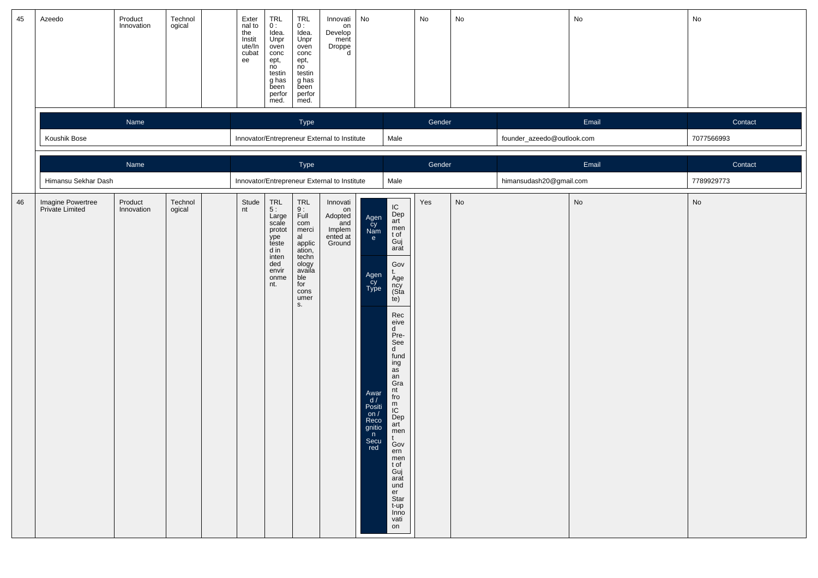| 45 | Azeedo                               | Product<br>Innovation | Technol<br>ogical                                    | Exter<br>nal to<br>the<br>Instit<br>ute/In<br>cubat<br>ee | TRL<br>0:<br>Idea.<br>Unpr<br>oven<br>conc<br>ept,<br>no<br>testin<br>g has<br>been<br>perfor<br>med.                                   | TRL<br>$0:$<br>Idea<br>Unpr<br>oven<br>conc<br>ept,<br>no<br>testin<br>g has<br>been<br>perfor<br>med.                          | Innovati<br>on<br>Develop<br>ment<br>Droppe<br>d                 | No                                                                                                                     |                                                                                                                                                                                                                                                                                                                                         | No                      | No                           |                            | No                           | No         |
|----|--------------------------------------|-----------------------|------------------------------------------------------|-----------------------------------------------------------|-----------------------------------------------------------------------------------------------------------------------------------------|---------------------------------------------------------------------------------------------------------------------------------|------------------------------------------------------------------|------------------------------------------------------------------------------------------------------------------------|-----------------------------------------------------------------------------------------------------------------------------------------------------------------------------------------------------------------------------------------------------------------------------------------------------------------------------------------|-------------------------|------------------------------|----------------------------|------------------------------|------------|
|    |                                      | Name                  |                                                      |                                                           |                                                                                                                                         | Type                                                                                                                            |                                                                  |                                                                                                                        |                                                                                                                                                                                                                                                                                                                                         | Gender                  |                              |                            | Email                        | Contact    |
|    | Koushik Bose                         |                       |                                                      |                                                           | Innovator/Entrepreneur External to Institute<br>Male                                                                                    |                                                                                                                                 |                                                                  |                                                                                                                        |                                                                                                                                                                                                                                                                                                                                         |                         |                              | founder_azeedo@outlook.com |                              | 7077566993 |
|    |                                      | Name                  |                                                      |                                                           |                                                                                                                                         | Type                                                                                                                            |                                                                  |                                                                                                                        |                                                                                                                                                                                                                                                                                                                                         | Gender                  |                              |                            | Email                        | Contact    |
|    | Himansu Sekhar Dash                  |                       | Innovator/Entrepreneur External to Institute<br>Male |                                                           |                                                                                                                                         |                                                                                                                                 |                                                                  |                                                                                                                        |                                                                                                                                                                                                                                                                                                                                         | himansudash20@gmail.com |                              | 7789929773                 |                              |            |
| 46 | Imagine Powertree<br>Private Limited | Product<br>Innovation | Technol<br>ogical                                    | Stude<br>nt                                               | $\begin{array}{c}\nTRL \\ 5: \n\end{array}$<br>Large<br>scale<br>protot<br>ype<br>teste<br>d in<br>inten<br>ded<br>envir<br>onme<br>nt. | TRL<br>$\frac{9}{15}$<br>com<br>merci<br>al<br>applic<br>ation,<br>techn<br>ology<br>availa<br>ble<br>for<br>cons<br>umer<br>S. | Innovati<br>on<br>Adopted<br>and<br>Implem<br>ented at<br>Ground | Agen<br>cy<br>Nam<br>e<br>Agen<br>Cy<br>Type<br>Awar<br>$\frac{d}{dx}$<br>on $/$<br>Reco<br>gnitio<br>n<br>Secu<br>red | ${\sf IC}$<br>Dep<br>art<br>men<br>t of<br>Guj<br>arat<br>Gov<br>t.<br>Age<br>ncy<br>(Sta<br>te)<br>Rec<br>eive<br>d<br>Pre-<br>See<br>$\mathsf{d}$<br>fund<br>ing<br>as<br>an<br>Gra<br>nt<br>fro<br>m<br>IC<br>Dep<br>art<br>men<br>t.<br>Gov<br>ern<br>men<br>t of<br>Guj<br>arat<br>und<br>er<br>Star<br>t-up<br>Inno<br>vati<br>on | Yes                     | $\operatorname{\mathsf{No}}$ |                            | $\operatorname{\mathsf{No}}$ | No         |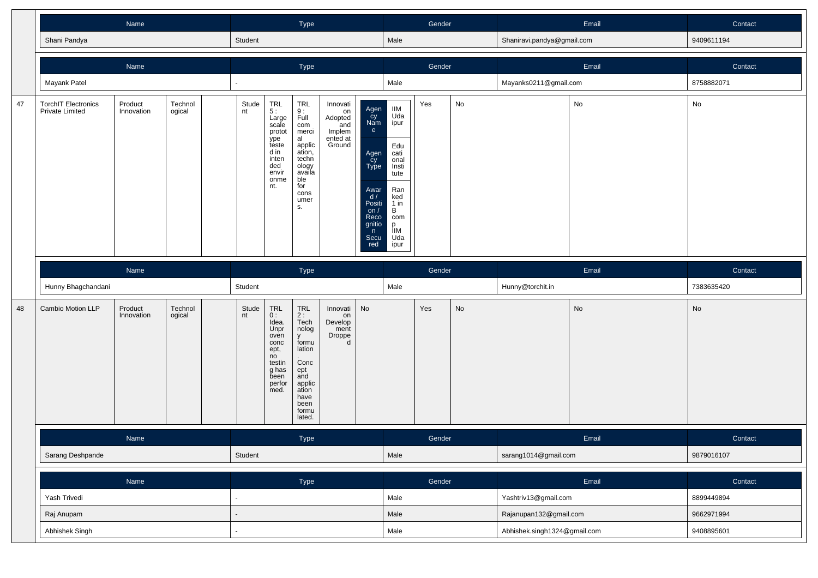|    |                                                      |                       |                   |             | Type                                                                                                  |                                                                                                                                  |                                                                  |                                                                                                                      | Gender                                                                                                                         |        |    | Email                      | Contact |            |
|----|------------------------------------------------------|-----------------------|-------------------|-------------|-------------------------------------------------------------------------------------------------------|----------------------------------------------------------------------------------------------------------------------------------|------------------------------------------------------------------|----------------------------------------------------------------------------------------------------------------------|--------------------------------------------------------------------------------------------------------------------------------|--------|----|----------------------------|---------|------------|
|    | Shani Pandya                                         |                       |                   | Student     |                                                                                                       |                                                                                                                                  |                                                                  |                                                                                                                      | Male                                                                                                                           |        |    | Shaniravi.pandya@gmail.com |         | 9409611194 |
|    |                                                      | Name                  |                   |             |                                                                                                       | Type                                                                                                                             |                                                                  |                                                                                                                      |                                                                                                                                | Gender |    |                            | Email   | Contact    |
|    | Mayank Patel                                         |                       |                   |             |                                                                                                       |                                                                                                                                  |                                                                  |                                                                                                                      | Male                                                                                                                           |        |    | Mayanks0211@gmail.com      |         | 8758882071 |
| 47 | <b>TorchIT Electronics</b><br><b>Private Limited</b> | Product<br>Innovation | Technol<br>ogical | Stude<br>nt | TRL<br>5 :<br>Large<br>scale<br>protot<br>.<br>teste<br>d in<br>inten<br>ded<br>envir<br>onme<br>nt.  | TRL<br>$\frac{9}{1}$ :<br>com<br>merci<br>al<br>applic<br>ation,<br>techn<br>ology<br>availa<br>ble<br>for<br>cons<br>umer<br>s. | Innovati<br>on<br>Adopted<br>and<br>Implem<br>ented at<br>Ground | Agen<br>Cy<br>Nam<br>e<br>Agen<br>cy<br>Type<br>Awar<br>d/<br>Positi<br>on $/$<br>Reco<br>gnitio<br>n<br>Secu<br>red | <b>IIM</b><br>Uda<br>ipur<br>Edu<br>cati<br>onal<br>Insti<br>tute<br>Ran<br>ked<br>1 in<br>В<br>com<br>р<br>IIM<br>Uda<br>ipur | Yes    | No |                            | No      | No         |
|    |                                                      | Name                  |                   |             |                                                                                                       |                                                                                                                                  |                                                                  |                                                                                                                      |                                                                                                                                |        |    |                            |         |            |
|    |                                                      |                       |                   |             |                                                                                                       | Type                                                                                                                             |                                                                  |                                                                                                                      |                                                                                                                                | Gender |    |                            | Email   | Contact    |
|    | Hunny Bhagchandani                                   |                       |                   | Student     |                                                                                                       |                                                                                                                                  |                                                                  |                                                                                                                      | Male                                                                                                                           |        |    | Hunny@torchit.in           |         | 7383635420 |
| 48 | Cambio Motion LLP                                    | Product<br>Innovation | Technol<br>ogical | Stude<br>nt | TRL<br>0:<br>Idea.<br>Unpr<br>oven<br>conc<br>ept,<br>no<br>testin<br>g has<br>been<br>perfor<br>med. | TRL<br>$2:$ Tech<br>nolog<br>y<br>formu<br>lation<br>Conc<br>ept<br>and<br>applic<br>ation<br>have<br>been<br>formu<br>lated.    | Innovati<br>on<br>Develop<br>ment<br>Droppe<br>d                 | No                                                                                                                   |                                                                                                                                | Yes    | No |                            | No      | No         |
|    |                                                      | Name                  |                   |             |                                                                                                       | Type                                                                                                                             |                                                                  |                                                                                                                      |                                                                                                                                | Gender |    |                            | Email   | Contact    |
|    | Sarang Deshpande                                     |                       |                   | Student     |                                                                                                       |                                                                                                                                  |                                                                  |                                                                                                                      | Male                                                                                                                           |        |    | sarang1014@gmail.com       |         | 9879016107 |
|    |                                                      | Name                  |                   |             |                                                                                                       | Type                                                                                                                             |                                                                  |                                                                                                                      |                                                                                                                                | Gender |    |                            | Email   | Contact    |
|    | Yash Trivedi                                         |                       |                   |             |                                                                                                       |                                                                                                                                  |                                                                  |                                                                                                                      | Male                                                                                                                           |        |    | Yashtriv13@gmail.com       |         | 8899449894 |
|    | Raj Anupam                                           |                       |                   |             |                                                                                                       |                                                                                                                                  |                                                                  |                                                                                                                      | Male                                                                                                                           |        |    | Rajanupan132@gmail.com     |         | 9662971994 |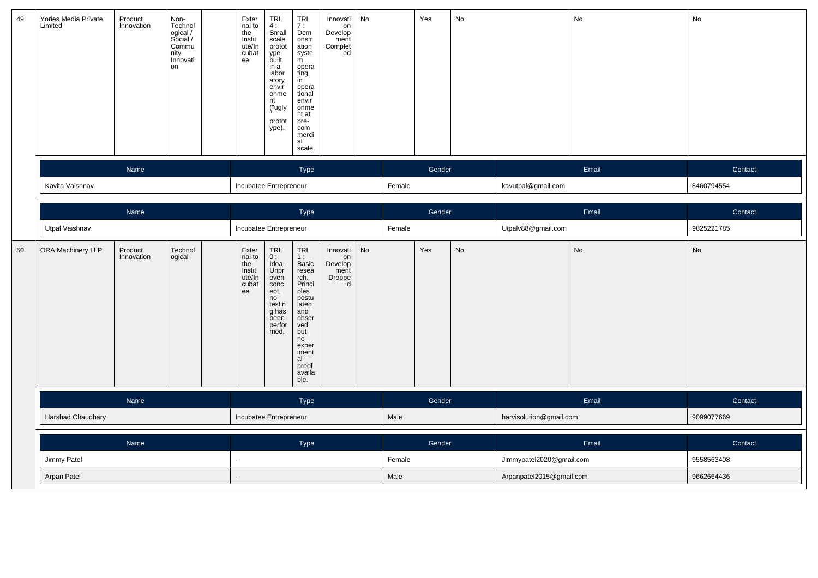| 49 | Yories Media Private<br>Limited | Product<br>Innovation | Non-<br>Technol<br>ogical /<br>Social /<br>Commu<br>nity<br>Innovati<br>on | Exter<br>nal to<br>the<br>Instit<br>ute/In<br>cubat<br>ee | TRL<br>4:<br>Small<br>scale<br>protot<br>ype<br>built<br>in a<br>labor<br>atory<br>envír<br>onme<br>nt<br>("ugly<br>protot<br>ype). | <b>TRL</b><br>7:<br>Dem<br>onstr<br>ation<br>syste<br>m<br>opera<br>ting<br>in<br>opera<br>tional<br>envir<br>onme<br>nt at<br>pre-<br>com<br>merci<br>al<br>scale.          | Innovati<br>on<br>Develop<br>ment<br>Complet<br>ed | No   |        | Yes    | No                       |                          | No         | $\operatorname{\mathsf{No}}$ |
|----|---------------------------------|-----------------------|----------------------------------------------------------------------------|-----------------------------------------------------------|-------------------------------------------------------------------------------------------------------------------------------------|------------------------------------------------------------------------------------------------------------------------------------------------------------------------------|----------------------------------------------------|------|--------|--------|--------------------------|--------------------------|------------|------------------------------|
|    |                                 | Name                  |                                                                            |                                                           |                                                                                                                                     | Type                                                                                                                                                                         |                                                    |      |        | Gender |                          |                          | Email      | Contact                      |
|    | Kavita Vaishnav                 | Name                  |                                                                            |                                                           | Incubatee Entrepreneur                                                                                                              |                                                                                                                                                                              |                                                    |      | Female |        |                          | kavutpal@gmail.com       |            | 8460794554                   |
|    |                                 |                       |                                                                            |                                                           |                                                                                                                                     | Type                                                                                                                                                                         |                                                    |      |        | Gender |                          |                          | Email      | Contact                      |
|    | Utpal Vaishnav                  |                       |                                                                            |                                                           | Incubatee Entrepreneur                                                                                                              |                                                                                                                                                                              |                                                    |      | Female |        |                          | Utpalv88@gmail.com       |            | 9825221785                   |
| 50 | ORA Machinery LLP               | Product<br>Innovation | Technol<br>ogical                                                          | Exter<br>nal to<br>the<br>Instit<br>ute/In<br>cubat<br>ee | <b>TRL</b><br>0:<br>Idea.<br>Unpr<br>oven<br>conc<br>ept,<br>no<br>testin<br>g has<br>been<br>perfor<br>med.                        | <b>TRL</b><br>1:<br><b>Basic</b><br>resea<br>rch.<br>Princi<br>ples<br>postu<br>lated<br>and<br>obser<br>ved<br>but<br>no<br>exper<br>iment<br>al<br>proof<br>availa<br>ble. | Innovati<br>on<br>Develop<br>ment<br>Droppe<br>d   | No   |        | Yes    | No                       |                          | No         | No                           |
|    | Name                            |                       |                                                                            |                                                           |                                                                                                                                     | Type                                                                                                                                                                         |                                                    |      |        | Gender |                          |                          | Email      | Contact                      |
|    | Harshad Chaudhary               |                       |                                                                            |                                                           | Incubatee Entrepreneur                                                                                                              |                                                                                                                                                                              |                                                    |      | Male   |        |                          | harvisolution@gmail.com  |            | 9099077669                   |
|    |                                 | Name                  |                                                                            |                                                           |                                                                                                                                     | Type                                                                                                                                                                         |                                                    |      |        | Gender |                          |                          | Email      | Contact                      |
|    | Jimmy Patel                     |                       |                                                                            |                                                           |                                                                                                                                     |                                                                                                                                                                              |                                                    |      | Female |        |                          | Jimmypatel2020@gmail.com |            | 9558563408                   |
|    | Arpan Patel                     |                       |                                                                            |                                                           |                                                                                                                                     |                                                                                                                                                                              |                                                    | Male |        |        | Arpanpatel2015@gmail.com |                          | 9662664436 |                              |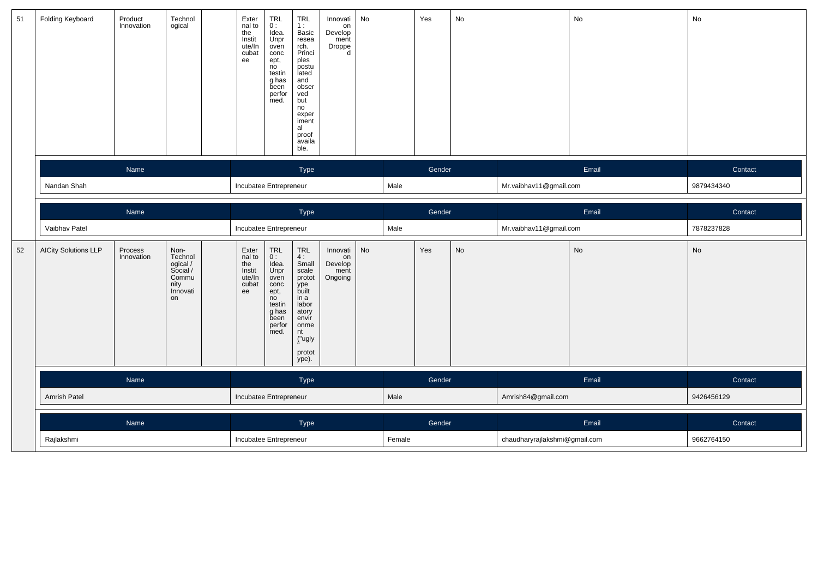| 51 | Folding Keyboard            | Product<br>Innovation | Technol<br>ogical                                                          | Exter<br>$n = 10$<br>the<br>Instit<br>ute/In<br>cubat<br>ee | $\begin{array}{c} \mathsf{TRL} \\ \mathsf{0}: \end{array}$<br>Idea.<br>Unpr<br>oven<br>conc<br>ept,<br>no<br>testin<br>g has<br>been<br>perfor<br>med.  | $TRL$<br>1 :<br>Basic<br>resea<br>rch.<br>Princi<br>ples<br>postu<br>lated<br>and<br>obser<br>ved<br>but<br>no<br>exper<br>iment<br>al<br>proof<br>availa<br>ble. | Innovati<br>on<br>Develop<br>ment<br>Droppe<br>d | No        |        | Yes    | No |                               | No        | No         |
|----|-----------------------------|-----------------------|----------------------------------------------------------------------------|-------------------------------------------------------------|---------------------------------------------------------------------------------------------------------------------------------------------------------|-------------------------------------------------------------------------------------------------------------------------------------------------------------------|--------------------------------------------------|-----------|--------|--------|----|-------------------------------|-----------|------------|
|    |                             | Name                  |                                                                            |                                                             |                                                                                                                                                         | Type                                                                                                                                                              |                                                  |           |        | Gender |    |                               | Email     | Contact    |
|    | Nandan Shah                 |                       |                                                                            | Incubatee Entrepreneur                                      |                                                                                                                                                         |                                                                                                                                                                   |                                                  |           | Male   |        |    | Mr.vaibhav11@gmail.com        |           | 9879434340 |
|    |                             | Name                  |                                                                            |                                                             |                                                                                                                                                         | Type                                                                                                                                                              |                                                  |           |        | Gender |    |                               | Email     | Contact    |
|    | Vaibhav Patel               |                       |                                                                            | Incubatee Entrepreneur                                      |                                                                                                                                                         |                                                                                                                                                                   |                                                  |           | Male   |        |    | Mr.vaibhav11@gmail.com        |           | 7878237828 |
| 52 | <b>AICity Solutions LLP</b> | Process<br>Innovation | Non-<br>Technol<br>ogical /<br>Social /<br>Commu<br>nity<br>Innovati<br>on | Exter<br>nal to<br>the<br>Instit<br>ute/In<br>cubat<br>ee   | $\begin{array}{c} \mathsf{TRL} \\ \mathsf{0} : \end{array}$<br>Idea.<br>Unpr<br>oven<br>conc<br>ept,<br>no<br>testin<br>g has<br>been<br>perfor<br>med. | $\ensuremath{\mathsf{TRL}}$<br>4:<br>Small<br>scale<br>protot<br>ype<br>built<br>in a<br>labor<br>atory<br>envir<br>onme<br>nt<br>("ugly<br>protot<br>ype).       | Innovati<br>on<br>Develop<br>ment<br>Ongoing     | <b>No</b> |        | Yes    | No |                               | <b>No</b> | No         |
|    |                             | Name                  |                                                                            |                                                             |                                                                                                                                                         | Type                                                                                                                                                              |                                                  |           |        | Gender |    |                               | Email     | Contact    |
|    | Amrish Patel                |                       |                                                                            | Incubatee Entrepreneur                                      |                                                                                                                                                         |                                                                                                                                                                   |                                                  |           | Male   |        |    | Amrish84@gmail.com            |           | 9426456129 |
|    |                             | Name                  |                                                                            |                                                             |                                                                                                                                                         | Type                                                                                                                                                              |                                                  |           |        | Gender |    |                               | Email     | Contact    |
|    | Rajlakshmi                  |                       |                                                                            |                                                             | Incubatee Entrepreneur                                                                                                                                  |                                                                                                                                                                   |                                                  |           | Female |        |    | chaudharyrajlakshmi@gmail.com |           | 9662764150 |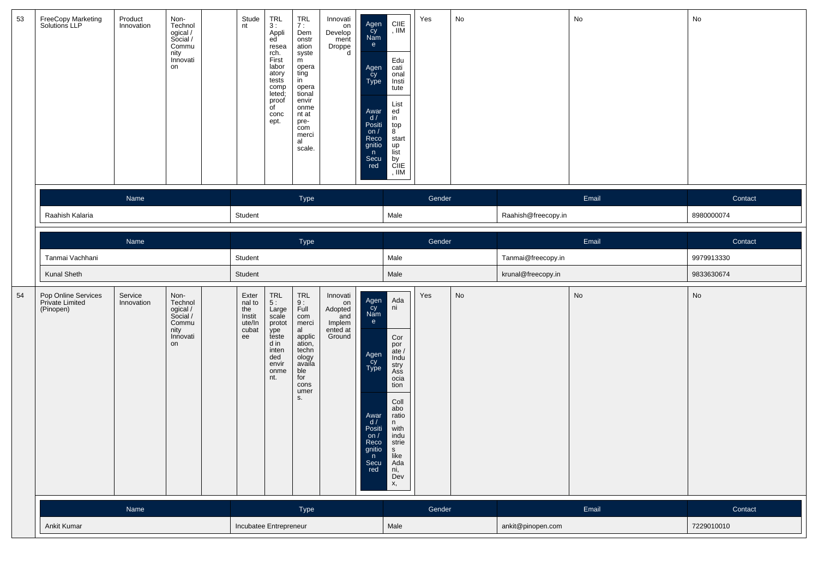| 53 | FreeCopy Marketing<br>Solutions LLP                 | Product<br>Innovation | Non-<br>Technol<br>ogical /<br>Social /<br>Commu<br>nity<br>Innovati<br>on | Stude<br>nt                                               | TRL<br>3:<br>Appli<br>ed <sup>'</sup><br>resea<br>rch.<br>First<br>labor<br>atory<br>tests<br>comp<br>leted;<br>proof<br>of<br>conc<br>ept. | <b>TRL</b><br>7:<br>Dem<br>onstr<br>ation<br>syste<br>m<br>opera<br>ting<br>in<br>opera<br>tional<br>envir<br>onme<br>nt at<br>pre-<br>com<br>merci<br>al<br>scale. | Innovati<br>on<br>Develop<br>ment<br>Droppe<br>d                 | Agen<br>Cy<br>Nam<br>e<br>Agen<br>cy<br>Type<br>Awar<br>d /<br>Positi<br>on $/$<br>Reco<br>gnitio<br>n<br>Secu<br>red         | CIIE<br>, IIM<br>Edu<br>cati<br>onal<br>Insti<br>tute<br>List<br>ed<br>in<br>top<br>8 <sup>°</sup><br>start<br>up<br>list<br>by<br>CIIE<br>, $\mathsf{IIM}$             | Yes    | No |                     | No    | No         |
|----|-----------------------------------------------------|-----------------------|----------------------------------------------------------------------------|-----------------------------------------------------------|---------------------------------------------------------------------------------------------------------------------------------------------|---------------------------------------------------------------------------------------------------------------------------------------------------------------------|------------------------------------------------------------------|-------------------------------------------------------------------------------------------------------------------------------|-------------------------------------------------------------------------------------------------------------------------------------------------------------------------|--------|----|---------------------|-------|------------|
|    |                                                     | Name                  |                                                                            |                                                           |                                                                                                                                             | Type                                                                                                                                                                |                                                                  |                                                                                                                               |                                                                                                                                                                         | Gender |    |                     | Email | Contact    |
|    | Raahish Kalaria                                     |                       |                                                                            | Student                                                   |                                                                                                                                             |                                                                                                                                                                     |                                                                  |                                                                                                                               | Male                                                                                                                                                                    |        |    | Raahish@freecopy.in |       | 8980000074 |
|    |                                                     | Name                  |                                                                            |                                                           |                                                                                                                                             | Type                                                                                                                                                                |                                                                  |                                                                                                                               |                                                                                                                                                                         | Gender |    |                     | Email | Contact    |
|    | Tanmai Vachhani                                     |                       |                                                                            | Student                                                   |                                                                                                                                             |                                                                                                                                                                     |                                                                  |                                                                                                                               | Male                                                                                                                                                                    |        |    | Tanmai@freecopy.in  |       | 9979913330 |
|    | Kunal Sheth                                         |                       |                                                                            | Student                                                   |                                                                                                                                             |                                                                                                                                                                     |                                                                  |                                                                                                                               | Male                                                                                                                                                                    |        |    | krunal@freecopy.in  |       | 9833630674 |
| 54 | Pop Online Services<br>Private Limited<br>(Pinopen) | Service<br>Innovation | Non-<br>Technol<br>ogical /<br>Social /<br>Commu<br>nity<br>Innovati<br>on | Exter<br>nal to<br>the<br>Instit<br>ute/In<br>cubat<br>ee | TRL<br>5:<br>Large<br>scale<br>protot<br>ype<br>teste<br>d in<br>inten<br>ded<br>envir<br>onme<br>nt.                                       | $\ensuremath{\mathsf{TRL}}$<br>$\frac{9}{15}$ :<br>com<br>merci<br>al<br>applic<br>ation,<br>techn<br>ology<br>availa<br>ble<br>for<br>cons<br>umer<br>S.           | Innovati<br>on<br>Adopted<br>and<br>Implem<br>ented at<br>Ground | Agen<br>Cy<br>Nam<br>e<br>Agen<br>_cy<br><b>Type</b><br>Awar<br>d /<br>Positi<br>on $/$<br>Reco<br>gnitio<br>n<br>Secu<br>red | Ada<br>ni<br>Cor<br>por<br>ate $/$<br>Indu<br>stry<br>Ass<br>ocia<br>tion<br>Coll<br>abo<br>ratio<br>n<br>with<br>indu<br>strie<br>s<br>like<br>Ada<br>ni,<br>Dev<br>х, | Yes    | No |                     | No    | No         |
|    |                                                     | Name                  |                                                                            |                                                           |                                                                                                                                             | Type                                                                                                                                                                |                                                                  |                                                                                                                               |                                                                                                                                                                         | Gender |    |                     | Email | Contact    |
|    |                                                     | Ankit Kumar           |                                                                            |                                                           |                                                                                                                                             | Incubatee Entrepreneur                                                                                                                                              |                                                                  |                                                                                                                               | Male                                                                                                                                                                    |        |    | ankit@pinopen.com   |       | 7229010010 |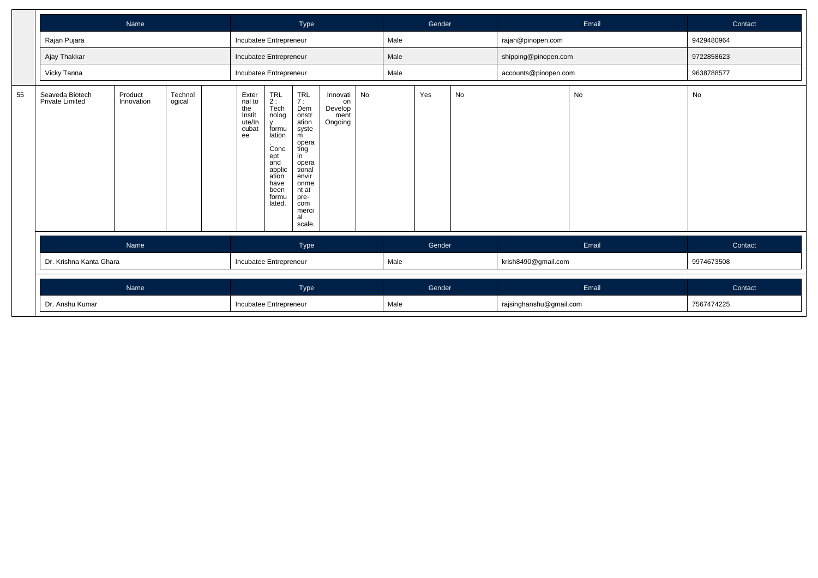|    |                                           | Name                                               |  |                        |  | Type                                                                                                                                                                |                                              |    |      | Gender |    |                         | Email | Contact    |
|----|-------------------------------------------|----------------------------------------------------|--|------------------------|--|---------------------------------------------------------------------------------------------------------------------------------------------------------------------|----------------------------------------------|----|------|--------|----|-------------------------|-------|------------|
|    | Rajan Pujara                              |                                                    |  | Incubatee Entrepreneur |  |                                                                                                                                                                     |                                              |    | Male |        |    | rajan@pinopen.com       |       | 9429480964 |
|    | Ajay Thakkar                              |                                                    |  | Incubatee Entrepreneur |  |                                                                                                                                                                     |                                              |    | Male |        |    | shipping@pinopen.com    |       | 9722858623 |
|    | Vicky Tanna                               |                                                    |  | Incubatee Entrepreneur |  |                                                                                                                                                                     |                                              |    | Male |        |    | accounts@pinopen.com    |       | 9638788577 |
| 55 | Seaveda Biotech<br><b>Private Limited</b> | Technol<br>Product<br>Innovation<br>ogical<br>Name |  |                        |  | <b>TRL</b><br>7:<br>Dem<br>onstr<br>ation<br>syste<br>m<br>opera<br>ting<br>in<br>opera<br>tional<br>envir<br>onme<br>nt at<br>pre-<br>com<br>merci<br>al<br>scale. | Innovati<br>on<br>Develop<br>ment<br>Ongoing | No |      | Yes    | No |                         | No    | No         |
|    |                                           |                                                    |  |                        |  | Type                                                                                                                                                                |                                              |    |      | Gender |    |                         | Email | Contact    |
|    | Dr. Krishna Kanta Ghara                   |                                                    |  | Incubatee Entrepreneur |  |                                                                                                                                                                     |                                              |    | Male |        |    | krish8490@gmail.com     |       | 9974673508 |
|    |                                           | Name                                               |  |                        |  | Type                                                                                                                                                                |                                              |    |      | Gender |    |                         | Email | Contact    |
|    | Dr. Anshu Kumar                           |                                                    |  | Incubatee Entrepreneur |  |                                                                                                                                                                     |                                              |    | Male |        |    | rajsinghanshu@gmail.com |       | 7567474225 |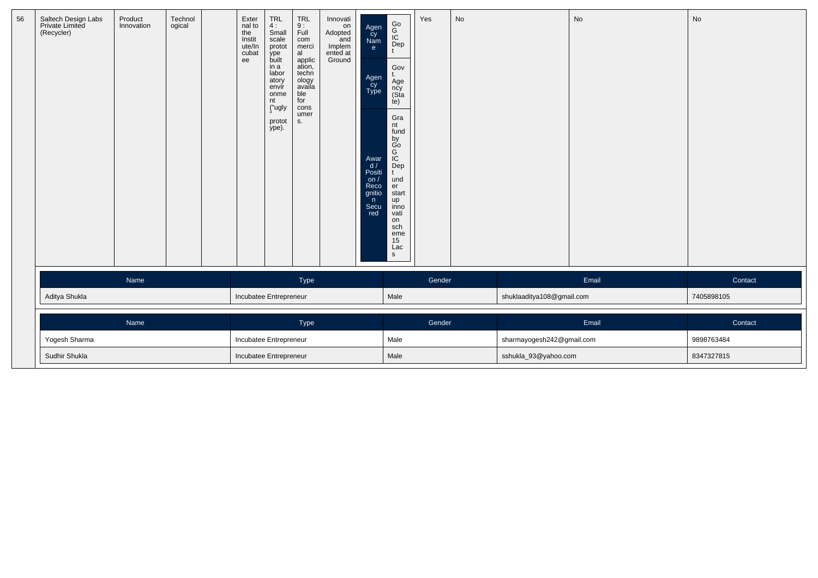| 56 | Saltech Design Labs<br>Private Limited<br>(Recycler) | Product<br>Innovation | Technol<br>ogical | Exter<br>nal to<br>the<br>Instit<br>ute/In<br>cubat<br>ee | TRL<br>4:<br>Small<br>scale<br>protot<br>.<br>built<br>in a<br>labor<br>atory<br>envír<br>onme<br>nt<br>("ugly<br>protot<br>ype). | TRL<br>9 :<br>Full<br>com<br>merci<br>al<br>applic<br>ation,<br>techn<br>ology<br>availa<br>ble<br>for<br>cons<br>umer<br>S. | Innovati<br>on<br>Adopted<br>and<br>Implem<br>ented at<br>Ground | Agen<br>Cy<br>Nam<br>e<br>Agen<br>Cy<br>Type<br>Awar<br>$\frac{d}{d}$<br>Positi<br>on $/$<br>Reco<br>gnitio<br>n<br>Secu<br>red | Go<br>IC<br>Dep<br>t<br>Gov<br>t.<br>Äge<br>ncy<br>(Sta<br>te)<br>Gra<br>nt<br>fund<br>by<br>Go<br>Dep<br>Dep<br>und<br>er<br>start<br>up<br>inno<br>vati<br>on<br>sch<br>eme<br>15<br>Lac<br>$\mathbf{s}$ | Yes    | No |                           | No    | No         |
|----|------------------------------------------------------|-----------------------|-------------------|-----------------------------------------------------------|-----------------------------------------------------------------------------------------------------------------------------------|------------------------------------------------------------------------------------------------------------------------------|------------------------------------------------------------------|---------------------------------------------------------------------------------------------------------------------------------|------------------------------------------------------------------------------------------------------------------------------------------------------------------------------------------------------------|--------|----|---------------------------|-------|------------|
|    |                                                      | Name                  |                   |                                                           |                                                                                                                                   | Type                                                                                                                         |                                                                  |                                                                                                                                 |                                                                                                                                                                                                            | Gender |    |                           | Email | Contact    |
|    | Aditya Shukla                                        |                       |                   | Incubatee Entrepreneur                                    |                                                                                                                                   |                                                                                                                              |                                                                  |                                                                                                                                 | Male                                                                                                                                                                                                       |        |    | shuklaaditya108@gmail.com |       | 7405898105 |
|    |                                                      | Name                  |                   |                                                           |                                                                                                                                   | <b>Type</b>                                                                                                                  |                                                                  |                                                                                                                                 |                                                                                                                                                                                                            | Gender |    |                           | Email | Contact    |
|    | Yogesh Sharma                                        |                       |                   | Incubatee Entrepreneur                                    |                                                                                                                                   |                                                                                                                              |                                                                  |                                                                                                                                 | Male                                                                                                                                                                                                       |        |    | sharmayogesh242@gmail.com |       | 9898763484 |
|    | Sudhir Shukla                                        |                       |                   |                                                           |                                                                                                                                   | Incubatee Entrepreneur                                                                                                       |                                                                  |                                                                                                                                 | Male                                                                                                                                                                                                       |        |    | sshukla_93@yahoo.com      |       | 8347327815 |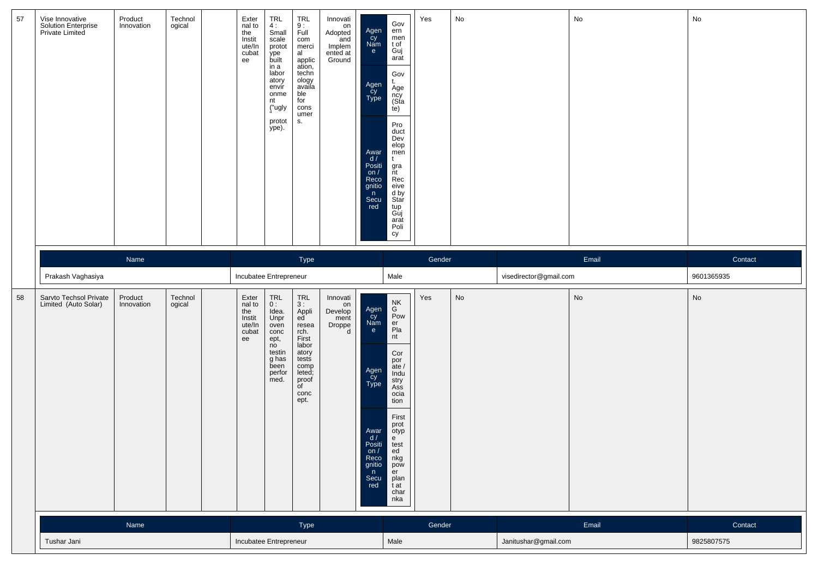| 57 | Vise Innovative<br>Solution Enterprise<br>Private Limited | Product<br>Innovation | Technol<br>ogical | Exter<br>nal to<br>the<br>Instit<br>ute/In<br>cubat<br>ee | TRL<br>4:<br>Small<br>scale<br>protot<br>ype<br>built<br>in a<br>labor<br>atory<br>envír<br>onme<br>nt<br>("ugly<br>protot<br>ype). | <b>TRL</b><br>$\frac{9}{1}$<br>com<br>merci<br>al<br>applic<br>ation,<br>techn<br>ology<br>availa<br>ble<br>for<br>cons<br>umer<br>s.      | Innovati<br>on<br>Adopted<br>$'$ and<br>Implem<br>ented at<br>Ground | Agen<br>Cy<br>Nam<br>e<br>Agen<br>Cy<br>Type<br>Awar<br>d/<br>Positi<br>on $/$<br>Reco<br>gnitio<br>n<br>Secu<br>red | Gov<br>ern<br>men<br>t of<br>Guj<br>arat<br>Gov<br>t.<br>Age<br>ncy<br>(Sta<br>te)<br>Pro<br>duct<br>Dev<br>elop<br>men<br>t<br>gra<br>nt<br>Rec<br>eive<br>d by<br>Star<br>tup<br>Guj<br>arat<br>Poli<br>cy | Yes    | No |                        | No    | No         |
|----|-----------------------------------------------------------|-----------------------|-------------------|-----------------------------------------------------------|-------------------------------------------------------------------------------------------------------------------------------------|--------------------------------------------------------------------------------------------------------------------------------------------|----------------------------------------------------------------------|----------------------------------------------------------------------------------------------------------------------|--------------------------------------------------------------------------------------------------------------------------------------------------------------------------------------------------------------|--------|----|------------------------|-------|------------|
|    |                                                           | Name                  |                   |                                                           |                                                                                                                                     | Type                                                                                                                                       |                                                                      |                                                                                                                      |                                                                                                                                                                                                              | Gender |    |                        | Email | Contact    |
|    | Prakash Vaghasiya                                         |                       |                   | Incubatee Entrepreneur                                    |                                                                                                                                     |                                                                                                                                            |                                                                      |                                                                                                                      | Male                                                                                                                                                                                                         |        |    | visedirector@gmail.com |       | 9601365935 |
| 58 | Sarvto Techsol Private<br>Limited (Auto Solar)            | Product<br>Innovation | Technol<br>ogical | Exter<br>nal to<br>the<br>Instit<br>ute/In<br>cubat<br>ee | TRL<br>0:<br>Idea.<br>Unpr<br>oven<br>conc<br>ept,<br>no<br>testin<br>g has<br>been<br>perfor<br>med.                               | TRL<br>3:<br>Appli<br>ed<br>resea<br>rch.<br>First<br>labor<br>atory<br>tests<br>comp<br>leted;<br>proof<br>$\overline{C}$<br>conc<br>ept. | Innovati<br>on<br>Develop<br>ment<br>Droppe<br>d                     | Agen<br>Cy<br>Nam<br>e<br>Agen<br>cy<br>Type<br>Awar<br>d /<br>Positi<br>on /<br>Reco<br>gnitio<br>n<br>Secu<br>red  | NK<br>G<br>Pow<br>er<br>Pla<br>nt<br>Cor<br>por<br>ate /<br>Indu<br>stry<br>Ass<br>ocia<br>tion<br>First<br>prot<br>otyp<br>e<br>test<br>ed<br>nkg<br>pow<br>er<br>plan<br>t at<br>char<br>nka               | Yes    | No |                        | No    | No         |
|    |                                                           | Name                  |                   |                                                           |                                                                                                                                     | Type                                                                                                                                       |                                                                      |                                                                                                                      |                                                                                                                                                                                                              | Gender |    |                        | Email | Contact    |
|    | Tushar Jani                                               |                       |                   | Incubatee Entrepreneur                                    |                                                                                                                                     |                                                                                                                                            |                                                                      |                                                                                                                      | Male                                                                                                                                                                                                         |        |    | Janitushar@gmail.com   |       | 9825807575 |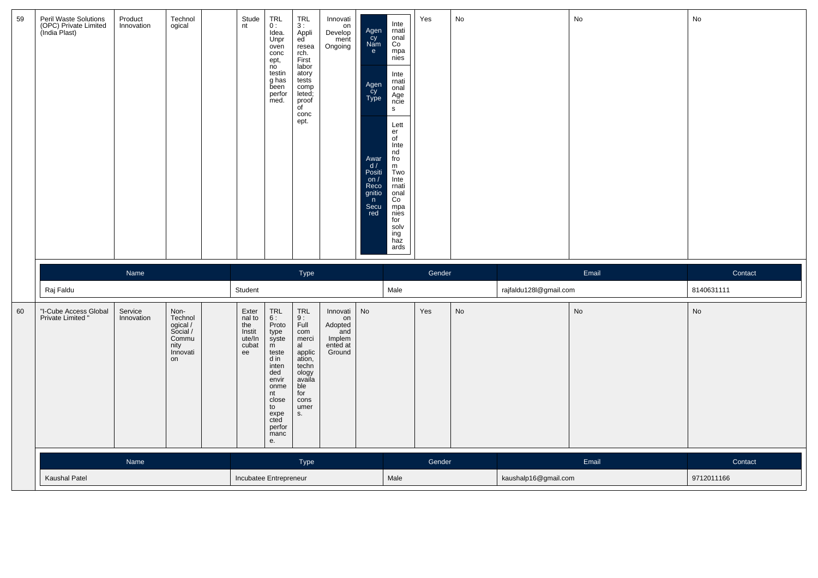| 59     | Peril Waste Solutions<br>(OPC) Private Limited<br>(India Plast) | Product<br>Innovation | Technol<br>ogical                                                          | Stude<br>nt                                               | TRL<br>0 :<br>Idea.<br>Unpr<br>oven<br>conc<br>ept,<br>no<br>testin<br>g has<br>been<br>perfor<br>med.                                                                                    | $\begin{array}{c} \mathsf{TRL} \\ 3: \end{array}$<br>Appli<br>ed<br>resea<br>rch.<br>First<br>labor<br>atory<br>tests<br>comp<br>leted;<br>proof<br>of<br>conc<br>ept. | Innovati<br>on<br>Develop<br>ment<br>Ongoing                     | Agen<br>Cy<br>Nam<br>$\mathbf{e}$<br>Agen<br>Cy<br>Type<br>Awar<br>$\frac{d}{d}$<br>Positi<br>on $/$<br>Reco<br>gnitio<br>n<br>Secu<br>red | Inte<br>rnati<br>onal<br>Co<br>mpa<br>nies<br>Inte<br>rnati<br>onal<br>Age<br>ncie<br>$\mathsf{s}$<br>Lett<br>er<br>of<br>Inte<br>nd<br>fro<br>m<br>Two<br>Inte<br>rnati<br>onal<br>Co<br>mpa<br>nies<br>for<br>solv<br>ing<br>haz<br>ards | Yes    | No |                        | No    | No         |
|--------|-----------------------------------------------------------------|-----------------------|----------------------------------------------------------------------------|-----------------------------------------------------------|-------------------------------------------------------------------------------------------------------------------------------------------------------------------------------------------|------------------------------------------------------------------------------------------------------------------------------------------------------------------------|------------------------------------------------------------------|--------------------------------------------------------------------------------------------------------------------------------------------|--------------------------------------------------------------------------------------------------------------------------------------------------------------------------------------------------------------------------------------------|--------|----|------------------------|-------|------------|
|        |                                                                 | Name                  |                                                                            |                                                           |                                                                                                                                                                                           | Type                                                                                                                                                                   |                                                                  |                                                                                                                                            |                                                                                                                                                                                                                                            | Gender |    |                        | Email | Contact    |
|        | Raj Faldu                                                       |                       |                                                                            | Student                                                   |                                                                                                                                                                                           |                                                                                                                                                                        |                                                                  |                                                                                                                                            | Male                                                                                                                                                                                                                                       |        |    | rajfaldu128l@gmail.com |       | 8140631111 |
| $60\,$ | "I-Cube Access Global<br>Private Limited "                      | Service<br>Innovation | Non-<br>Technol<br>ogical /<br>Social /<br>Commu<br>nity<br>Innovati<br>on | Exter<br>nal to<br>the<br>Instit<br>ute/In<br>cubat<br>ee | $\begin{array}{c}\nTRL \\ 6: \n\end{array}$<br>Proto<br>type<br>syste<br>m<br>teste<br>d in<br>inten<br>ded<br>envir<br>onme<br>nt<br>close<br>to<br>expe<br>cted<br>perfor<br>manc<br>e. | TRL<br>9 :<br>Full<br>com<br>merci<br>al<br>applic<br>ation,<br>techn<br>ology<br>availa<br>ble<br>for<br>cons<br>umer<br>S.                                           | Innovati<br>on<br>Adopted<br>and<br>Implem<br>ented at<br>Ground | No                                                                                                                                         |                                                                                                                                                                                                                                            | Yes    | No |                        | No    | No         |
|        |                                                                 | Name                  |                                                                            |                                                           |                                                                                                                                                                                           | Type                                                                                                                                                                   |                                                                  |                                                                                                                                            |                                                                                                                                                                                                                                            | Gender |    |                        | Email | Contact    |
|        | Kaushal Patel                                                   |                       |                                                                            | Incubatee Entrepreneur                                    |                                                                                                                                                                                           |                                                                                                                                                                        |                                                                  |                                                                                                                                            | Male                                                                                                                                                                                                                                       |        |    | kaushalp16@gmail.com   |       | 9712011166 |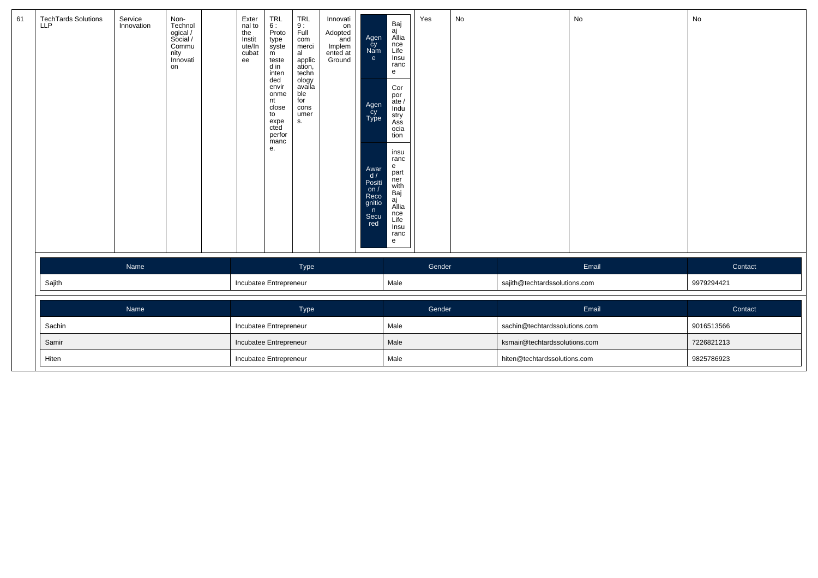| 61 | TechTards Solutions<br>LLP | Service<br>Innovation | Non-<br>Technol<br>ogical /<br>Social /<br>Commu<br>nity<br>Innovati<br>on |  | Exter<br>nal to<br>the<br>Instit<br>ute/In<br>cubat<br>ee | TRL<br>6 :<br>Proto<br>type<br>syste<br>$\overline{m}$<br>teste<br>d in<br>inten<br>ded<br>envir<br>onme<br>nt<br>close<br>to<br>expe<br>cted<br>perfor<br>manc<br>е. | TRL<br>$\frac{9}{1}$<br>com<br>merci<br>al<br>applic<br>ation,<br>techn<br>ology<br>availa<br>ble<br>for<br>cons<br>umer<br>S <sub>1</sub> | Innovati<br>on<br>Adopted<br>and<br>Implem<br>ented at<br>Ground | Agen<br>cy<br>Nam<br>e<br>Agen<br>Cy<br>Type<br>Awar<br>$\frac{d}{d}$<br>Positi<br>on $/$<br>Reco<br>gnitio<br>n<br>Secu<br>red | Baj<br>aj<br>Allia<br>nce<br>Life<br>Insu<br>ranc<br>e<br>Cor<br>por<br>ate /<br>Indu<br>stry<br>Ass<br>ocia<br>tion<br>insu<br>ranc<br>e<br>part<br>ner<br>with<br>Baj<br>aj<br>Allia<br>nce<br>Life<br>Insu<br>ranc<br>e | Yes    | No                            |                               | No         | No         |
|----|----------------------------|-----------------------|----------------------------------------------------------------------------|--|-----------------------------------------------------------|-----------------------------------------------------------------------------------------------------------------------------------------------------------------------|--------------------------------------------------------------------------------------------------------------------------------------------|------------------------------------------------------------------|---------------------------------------------------------------------------------------------------------------------------------|----------------------------------------------------------------------------------------------------------------------------------------------------------------------------------------------------------------------------|--------|-------------------------------|-------------------------------|------------|------------|
|    |                            | Name                  |                                                                            |  |                                                           |                                                                                                                                                                       | Type                                                                                                                                       |                                                                  |                                                                                                                                 |                                                                                                                                                                                                                            | Gender |                               |                               | Email      | Contact    |
|    | Sajith                     |                       |                                                                            |  |                                                           | Incubatee Entrepreneur                                                                                                                                                |                                                                                                                                            |                                                                  |                                                                                                                                 | Male                                                                                                                                                                                                                       |        |                               | sajith@techtardssolutions.com |            | 9979294421 |
|    |                            | Name                  |                                                                            |  |                                                           |                                                                                                                                                                       | Type                                                                                                                                       |                                                                  |                                                                                                                                 |                                                                                                                                                                                                                            | Gender |                               |                               | Email      | Contact    |
|    | Sachin                     |                       |                                                                            |  |                                                           | Incubatee Entrepreneur                                                                                                                                                |                                                                                                                                            |                                                                  |                                                                                                                                 | Male                                                                                                                                                                                                                       |        |                               | sachin@techtardssolutions.com |            | 9016513566 |
|    | Samir                      |                       |                                                                            |  | Incubatee Entrepreneur                                    |                                                                                                                                                                       |                                                                                                                                            |                                                                  | Male                                                                                                                            |                                                                                                                                                                                                                            |        | ksmair@techtardssolutions.com |                               | 7226821213 |            |
|    | Hiten                      |                       |                                                                            |  |                                                           | Incubatee Entrepreneur                                                                                                                                                |                                                                                                                                            |                                                                  |                                                                                                                                 | Male                                                                                                                                                                                                                       |        |                               | hiten@techtardssolutions.com  |            | 9825786923 |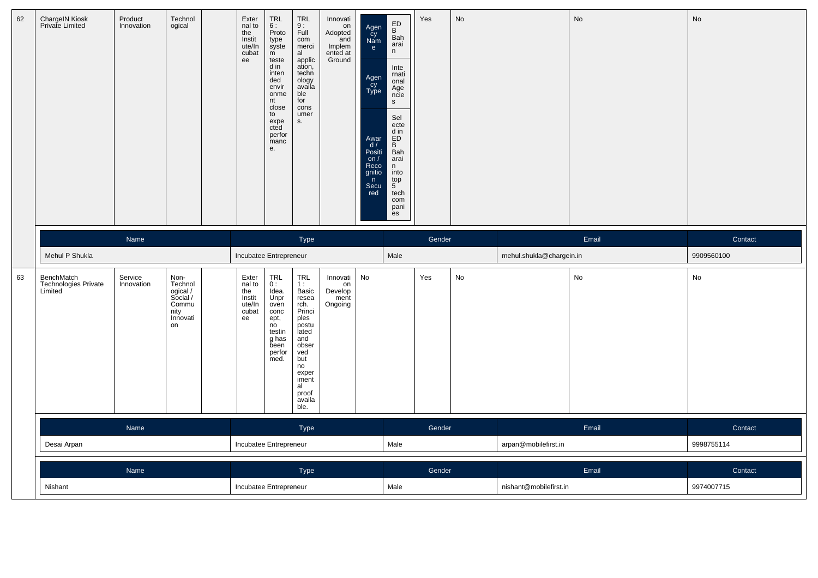| 62 | ChargeIN Kiosk<br>Private Limited             | Product<br>Innovation | Technol<br>ogical                                                          | Exter<br>nal to<br>the<br>Instit<br>ute/In<br>cubat<br>ee | <b>TRL</b><br>6:<br>Proto<br>type<br>syste<br>m<br>teste<br>d in<br>inten<br>ded<br>envir<br>onme<br>nt<br>close<br>to<br>expe<br>cted<br>perfor<br>manc<br>e. | <b>TRL</b><br>9:<br>Full<br>com<br>merci<br>al<br>applic<br>ation,<br>techn<br>ology<br>availa<br>ble<br>for<br>cons<br>umer<br>S.                                    | Innovati<br>on<br>Adopted<br>and<br>Implem<br>ented at<br>Ground | Agen<br>Cy<br>Nam<br>e<br>Agen<br>Cy<br>Type<br>Awar<br>$\frac{d}{d}$<br>Positi<br>on /<br>Reco<br>gnitio<br>n<br>Secu<br>red | ED<br>B<br>Bah<br>arai<br>n<br>Inte<br>rnati<br>onal<br>Age<br>ncie<br>$\mathsf{s}$<br>Sel<br>ecte<br>$\begin{array}{c}\n\text{d in} \\ \text{ED} \\ \text{B}\n\end{array}$<br>Bah<br>arai<br>n<br>into<br>$\frac{top}{5}$<br>tech<br>com<br>pani<br>es | Yes    | No |                          | No    | No         |
|----|-----------------------------------------------|-----------------------|----------------------------------------------------------------------------|-----------------------------------------------------------|----------------------------------------------------------------------------------------------------------------------------------------------------------------|-----------------------------------------------------------------------------------------------------------------------------------------------------------------------|------------------------------------------------------------------|-------------------------------------------------------------------------------------------------------------------------------|---------------------------------------------------------------------------------------------------------------------------------------------------------------------------------------------------------------------------------------------------------|--------|----|--------------------------|-------|------------|
|    |                                               | Name                  |                                                                            |                                                           |                                                                                                                                                                | Type                                                                                                                                                                  |                                                                  |                                                                                                                               |                                                                                                                                                                                                                                                         | Gender |    |                          | Email | Contact    |
|    | Mehul P Shukla                                |                       |                                                                            | Incubatee Entrepreneur                                    |                                                                                                                                                                |                                                                                                                                                                       |                                                                  |                                                                                                                               | Male                                                                                                                                                                                                                                                    |        |    | mehul.shukla@chargein.in |       | 9909560100 |
| 63 | BenchMatch<br>Technologies Private<br>Limited | Service<br>Innovation | Non-<br>Technol<br>ogical /<br>Social /<br>Commu<br>nity<br>Innovati<br>on | Exter<br>nal to<br>the<br>Instit<br>ute/In<br>cubat<br>ee | <b>TRL</b><br>0:<br>Idea.<br>Unpr<br>oven<br>conc<br>ept,<br>no<br>testin<br>g has<br>been<br>perfor<br>med.                                                   | <b>TRL</b><br>1:<br>Basic<br>resea<br>rch.<br>Princi<br>ples<br>postu<br>lated<br>and<br>obser<br>ved<br>but<br>no<br>exper<br>iment<br>al<br>proof<br>availa<br>ble. | Innovati<br>on<br>Develop<br>ment<br>Ongoing                     | No                                                                                                                            |                                                                                                                                                                                                                                                         | Yes    | No |                          | No    | No         |
|    |                                               | Name                  |                                                                            |                                                           |                                                                                                                                                                | Type                                                                                                                                                                  |                                                                  |                                                                                                                               |                                                                                                                                                                                                                                                         | Gender |    |                          | Email | Contact    |
|    | Desai Arpan                                   |                       |                                                                            | Incubatee Entrepreneur                                    |                                                                                                                                                                |                                                                                                                                                                       |                                                                  |                                                                                                                               | Male                                                                                                                                                                                                                                                    |        |    | arpan@mobilefirst.in     |       | 9998755114 |
|    |                                               | Name                  |                                                                            |                                                           |                                                                                                                                                                | Type                                                                                                                                                                  |                                                                  |                                                                                                                               |                                                                                                                                                                                                                                                         | Gender |    |                          | Email | Contact    |
|    |                                               |                       |                                                                            |                                                           |                                                                                                                                                                |                                                                                                                                                                       |                                                                  |                                                                                                                               |                                                                                                                                                                                                                                                         |        |    |                          |       |            |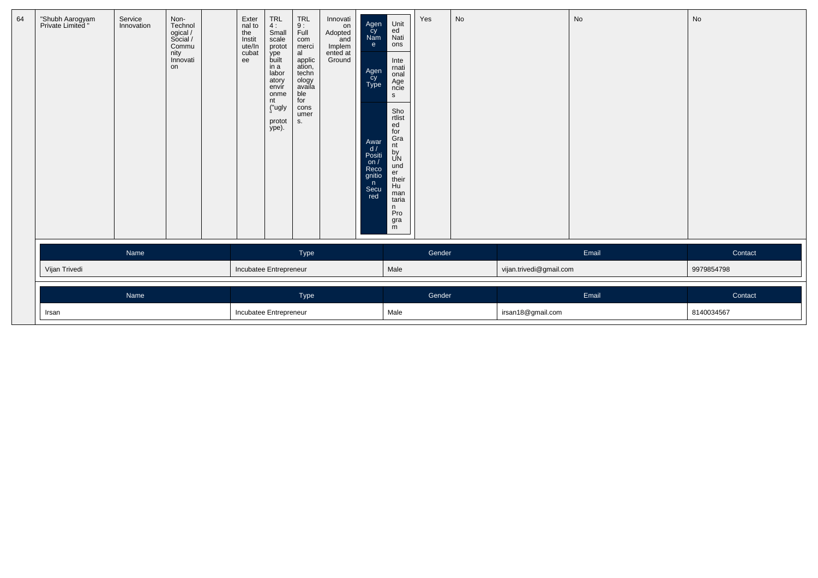| 64 | "Shubh Aarogyam<br>Private Limited " | Service<br>Innovation | Non-<br>Technol<br>ogical /<br>Social /<br>Commu<br>nity<br>Innovati<br>on | Exter<br>nal to<br>the<br>Instit<br>ute/In<br>cubat<br>ee | $TRL$<br>4:<br>Small<br>scale<br>protot<br>ype<br>built<br>in a<br>labor<br>atory<br>envír<br>onme<br>nt<br>("ugly<br>protot<br>ype). | <b>TRL</b><br>9:<br>Full<br>com<br>merci<br>al<br>applic<br>ation,<br>techn<br>ology<br>availa<br>ble<br>for<br>cons<br>umer<br>S. | Innovati<br>on<br>Adopted<br>and<br>Implem<br>ented at<br>Ground | Agen<br>Cy<br>Nam<br>e.<br>Agen<br>Type<br>Awar<br>d/<br>Positi<br>on $/$<br>Reco<br>gnitio<br>n<br>Secu<br>red | Unit<br>ed<br>Nati<br>ons<br>Inte<br>rnati<br>onal<br>Age<br>ncie<br>$\mathbf{s}$<br>Sho<br>rtlist<br>ed<br>for<br>Gra<br>nt<br>by<br>UN<br>und<br>er<br>their<br>Hu<br>man<br>taria<br>n<br>Pro<br>gra<br>m | Yes    | No |                         | No    | No         |
|----|--------------------------------------|-----------------------|----------------------------------------------------------------------------|-----------------------------------------------------------|---------------------------------------------------------------------------------------------------------------------------------------|------------------------------------------------------------------------------------------------------------------------------------|------------------------------------------------------------------|-----------------------------------------------------------------------------------------------------------------|--------------------------------------------------------------------------------------------------------------------------------------------------------------------------------------------------------------|--------|----|-------------------------|-------|------------|
|    |                                      | Name                  |                                                                            |                                                           |                                                                                                                                       | Type                                                                                                                               |                                                                  |                                                                                                                 |                                                                                                                                                                                                              | Gender |    |                         | Email | Contact    |
|    | Vijan Trivedi                        |                       |                                                                            | Incubatee Entrepreneur                                    |                                                                                                                                       |                                                                                                                                    |                                                                  |                                                                                                                 | Male                                                                                                                                                                                                         |        |    | vijan.trivedi@gmail.com |       | 9979854798 |
|    |                                      | Name                  |                                                                            |                                                           |                                                                                                                                       | Type                                                                                                                               |                                                                  |                                                                                                                 |                                                                                                                                                                                                              | Gender |    |                         | Email | Contact    |
|    | Irsan                                |                       |                                                                            | Incubatee Entrepreneur                                    |                                                                                                                                       |                                                                                                                                    |                                                                  |                                                                                                                 | Male                                                                                                                                                                                                         |        |    | irsan18@gmail.com       |       | 8140034567 |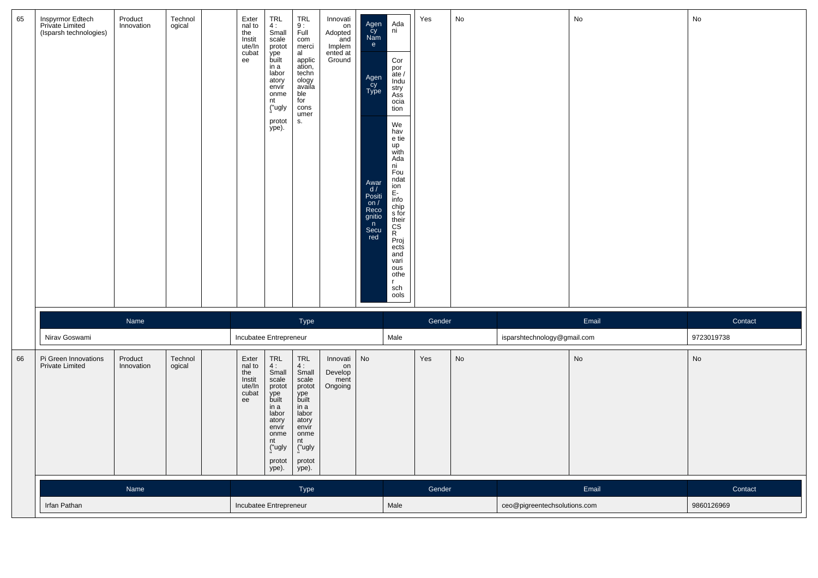| 65 | Inspyrmor Edtech<br>Private Limited<br>(Isparsh technologies) | Product<br>Innovation | Technol<br>ogical | Exter<br>nal to<br>the<br>Instit<br>ute/In<br>cubat<br>ee | TRL<br>4:<br>Small<br>scale<br>protot<br>ype<br>built<br>in a<br>labor<br>atory<br>envir<br>onme<br>nt<br>("ugly<br>protot<br>ype).            | <b>TRL</b><br>9:<br>Full<br>com<br>merci<br>al<br>applic<br>ation,<br>techn<br>ology<br>availa<br>ble<br>for<br>cons<br>umer<br>S.         | Innovati<br>on<br>Adopted<br>and<br>Implem<br>ented at<br>Ground | Agen<br>Cy<br>Nam<br>e<br>Agen<br>cy<br>Type<br>Awar<br>d /<br>Positi<br>on $/$<br>Reco<br>gnitio<br>$\mathsf{n}$<br>Secu<br>red | Ada<br>ni<br>Cor<br>por<br>ate /<br>Indu<br>stry<br>Ass<br>ocia<br>tion<br>We<br>hav<br>e tie<br>up<br>with<br>Ada<br>ni<br>Fou<br>ndat<br>$\frac{1}{2}$<br>E-<br>info<br>$\frac{\text{chip}}{\text{s}}$ for<br>their<br>CS<br>R<br>Proj<br>ects<br>and<br>vari<br>ous<br>othe<br>$\mathbf{r}$<br>sch<br>ools | Yes    | No |                              | No    | No         |
|----|---------------------------------------------------------------|-----------------------|-------------------|-----------------------------------------------------------|------------------------------------------------------------------------------------------------------------------------------------------------|--------------------------------------------------------------------------------------------------------------------------------------------|------------------------------------------------------------------|----------------------------------------------------------------------------------------------------------------------------------|---------------------------------------------------------------------------------------------------------------------------------------------------------------------------------------------------------------------------------------------------------------------------------------------------------------|--------|----|------------------------------|-------|------------|
|    |                                                               | Name                  |                   |                                                           |                                                                                                                                                | Type                                                                                                                                       |                                                                  |                                                                                                                                  |                                                                                                                                                                                                                                                                                                               | Gender |    |                              | Email | Contact    |
|    | Nirav Goswami                                                 |                       |                   | Incubatee Entrepreneur                                    |                                                                                                                                                |                                                                                                                                            |                                                                  |                                                                                                                                  | Male                                                                                                                                                                                                                                                                                                          |        |    | isparshtechnology@gmail.com  |       | 9723019738 |
| 66 | Pi Green Innovations<br><b>Private Limited</b>                | Product<br>Innovation | Technol<br>ogical | Exter<br>nal to<br>the<br>Instit<br>ute/In<br>cubat<br>ee | <b>TRL</b><br>$\frac{4}{3}$ :<br>scale<br>protot<br>ype<br>built<br>in a<br>labor<br>atory<br>envir<br>onme<br>nt<br>("ugly<br>protot<br>ype). | <b>TRL</b><br>4:<br>Small<br>scale<br>protot<br>ype<br>built<br>in a<br>labor<br>atory<br>envir<br>onme<br>nt<br>("ugly<br>protot<br>ype). | Innovati<br>on<br>Develop<br>ment<br>Ongoing                     | No                                                                                                                               |                                                                                                                                                                                                                                                                                                               | Yes    | No |                              | No    | No         |
|    |                                                               | Name                  |                   |                                                           |                                                                                                                                                | Type                                                                                                                                       |                                                                  |                                                                                                                                  |                                                                                                                                                                                                                                                                                                               | Gender |    |                              | Email | Contact    |
|    | Irfan Pathan                                                  |                       |                   | Incubatee Entrepreneur                                    |                                                                                                                                                |                                                                                                                                            |                                                                  |                                                                                                                                  | Male                                                                                                                                                                                                                                                                                                          |        |    | ceo@pigreentechsolutions.com |       | 9860126969 |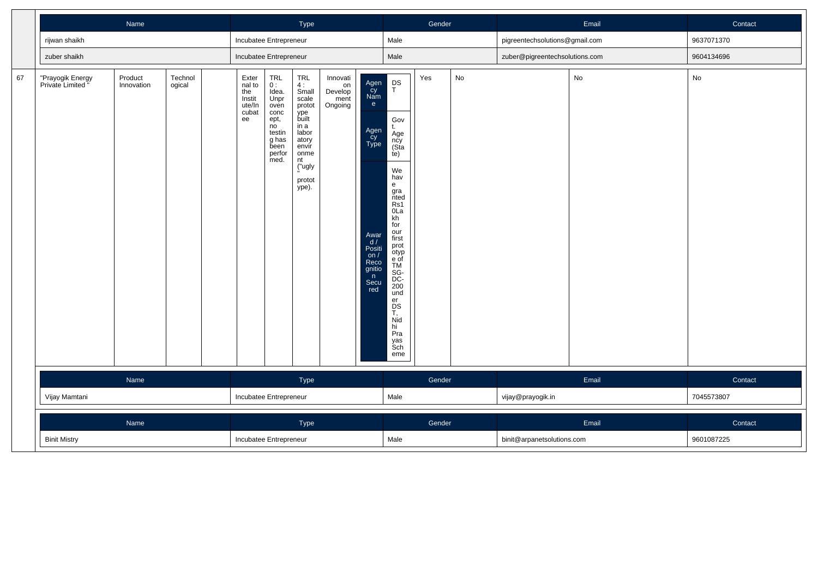|    |                                       | Name                  |                   |                                                           |                                                                                                       | Type                                                                                                                                |                                              |                                                                                                                       |                                                                                                                                                                                                                                                                           | Gender |    |                                | Email | Contact    |
|----|---------------------------------------|-----------------------|-------------------|-----------------------------------------------------------|-------------------------------------------------------------------------------------------------------|-------------------------------------------------------------------------------------------------------------------------------------|----------------------------------------------|-----------------------------------------------------------------------------------------------------------------------|---------------------------------------------------------------------------------------------------------------------------------------------------------------------------------------------------------------------------------------------------------------------------|--------|----|--------------------------------|-------|------------|
|    | rijwan shaikh                         |                       |                   | Incubatee Entrepreneur                                    |                                                                                                       |                                                                                                                                     |                                              |                                                                                                                       | Male                                                                                                                                                                                                                                                                      |        |    | pigreentechsolutions@gmail.com |       | 9637071370 |
|    | zuber shaikh                          |                       |                   | Incubatee Entrepreneur                                    |                                                                                                       |                                                                                                                                     |                                              |                                                                                                                       | Male                                                                                                                                                                                                                                                                      |        |    | zuber@pigreentechsolutions.com |       | 9604134696 |
| 67 | "Prayogik Energy<br>Private Limited " | Product<br>Innovation | Technol<br>ogical | Exter<br>nal to<br>the<br>Instit<br>ute/In<br>cubat<br>ee | TRL<br>0:<br>Idea.<br>Unpr<br>oven<br>conc<br>ept,<br>no<br>testin<br>g has<br>been<br>perfor<br>med. | TRL<br>4:<br>Small<br>scale<br>protot<br>ype<br>built<br>in a<br>labor<br>atory<br>envir<br>onme<br>nt<br>("ugly<br>protot<br>ype). | Innovati<br>on<br>Develop<br>ment<br>Ongoing | Agen<br>Cy<br>Nam<br>e<br>Agen<br>Cy<br>Type<br>Awar<br>d /<br>Positi<br>on $/$<br>Reco<br>gnitio<br>n<br>Secu<br>red | $P_T$<br>Gov<br>t.<br>Age<br>ncy<br>(Sta<br>te)<br>We<br>hav<br>e<br>gra<br>nted<br>Rs1<br>0 <sub>La</sub><br>kh<br>for<br>our<br>first<br>prot<br>otyp<br>e of<br>TM<br>SG-<br>DC-<br>$\overline{200}$<br>und<br>er<br>DS<br>T,<br>Nid<br>hi<br>Pra<br>yas<br>Sch<br>eme | Yes    | No |                                | No    | No         |
|    |                                       | Name                  |                   |                                                           |                                                                                                       | Type                                                                                                                                |                                              |                                                                                                                       |                                                                                                                                                                                                                                                                           | Gender |    |                                | Email | Contact    |
|    | Vijay Mamtani                         |                       |                   | Incubatee Entrepreneur                                    |                                                                                                       |                                                                                                                                     |                                              |                                                                                                                       | Male                                                                                                                                                                                                                                                                      |        |    | vijay@prayogik.in              |       | 7045573807 |
|    |                                       | Name                  |                   |                                                           |                                                                                                       | Type                                                                                                                                |                                              |                                                                                                                       |                                                                                                                                                                                                                                                                           | Gender |    |                                | Email | Contact    |
|    | <b>Binit Mistry</b>                   |                       |                   | Incubatee Entrepreneur                                    |                                                                                                       |                                                                                                                                     |                                              |                                                                                                                       | Male                                                                                                                                                                                                                                                                      |        |    | binit@arpanetsolutions.com     |       | 9601087225 |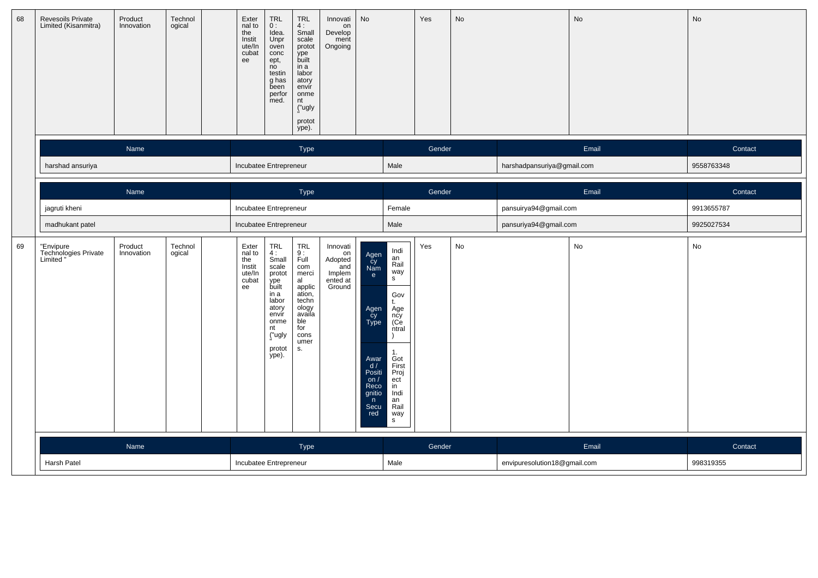| 68 | Revesoils Private<br>Limited (Kisanmitra)      | Product<br>Innovation | Technol<br>ogical | Exter<br>nal to<br>the<br>Instit<br>ute/In<br>cubat<br>ee | TRL<br>0:<br>Idea.<br>Unpr<br>oven<br>conc<br>ept,<br>no<br>testin<br>g has<br>been<br>perfor<br>med.                               | <b>TRL</b><br>4:<br>Small<br>scale<br>protot<br>ype<br>built<br>in a<br>labor<br>atory<br>envír<br>onme<br>nt<br>("ugly<br>protot<br>ype). | Innovati<br>on<br>Develop<br>ment<br>Ongoing                     | No                                                                                                                |                                                                                                                                                  | Yes    | No                           |                              | No    | No                   |
|----|------------------------------------------------|-----------------------|-------------------|-----------------------------------------------------------|-------------------------------------------------------------------------------------------------------------------------------------|--------------------------------------------------------------------------------------------------------------------------------------------|------------------------------------------------------------------|-------------------------------------------------------------------------------------------------------------------|--------------------------------------------------------------------------------------------------------------------------------------------------|--------|------------------------------|------------------------------|-------|----------------------|
|    |                                                | Name                  |                   |                                                           |                                                                                                                                     | Type                                                                                                                                       |                                                                  |                                                                                                                   |                                                                                                                                                  | Gender |                              |                              | Email | Contact              |
|    | harshad ansuriya                               |                       |                   | Incubatee Entrepreneur                                    |                                                                                                                                     |                                                                                                                                            |                                                                  |                                                                                                                   | Male                                                                                                                                             |        |                              | harshadpansuriya@gmail.com   |       | 9558763348           |
|    |                                                | Name                  |                   |                                                           |                                                                                                                                     | Type                                                                                                                                       |                                                                  |                                                                                                                   |                                                                                                                                                  | Gender |                              |                              | Email | Contact              |
|    | jagruti kheni                                  |                       |                   | Incubatee Entrepreneur                                    |                                                                                                                                     |                                                                                                                                            |                                                                  |                                                                                                                   | Female                                                                                                                                           |        |                              | pansuirya94@gmail.com        |       | 9913655787           |
|    | madhukant patel                                |                       |                   | Incubatee Entrepreneur                                    |                                                                                                                                     |                                                                                                                                            |                                                                  |                                                                                                                   | Male                                                                                                                                             |        |                              | pansuriya94@gmail.com        |       | 9925027534           |
| 69 | "Envipure<br>Technologies Private<br>Limited " | Product<br>Innovation | Technol<br>ogical | Exter<br>nal to<br>the<br>Instit<br>ute/In<br>cubat<br>ee | TRL<br>4:<br>Small<br>scale<br>protot<br>ype<br>built<br>in a<br>labor<br>atory<br>envir<br>onme<br>nt<br>("ugly<br>protot<br>ype). | <b>TRL</b><br>9:<br>Full<br>com<br>merci<br>al<br>applic<br>ation,<br>techn<br>ology<br>availa<br>ble<br>for<br>cons<br>umer<br>S.         | Innovati<br>on<br>Adopted<br>and<br>Implem<br>ented at<br>Ground | Agen<br>Cy<br>Nam<br>e<br>Agen<br>Cy<br>Type<br>Awar<br>d/<br>Positi<br>on/<br>Reco<br>gnitio<br>n<br>Secu<br>red | Indi<br>an<br>Rail<br>way<br>s<br>Gov<br>Age<br>ncy<br>(Ce<br>ntral<br>1.<br>Got<br>First<br>Proj<br>ect<br>in<br>Indi<br>an<br>Rail<br>way<br>s | Yes    | $\operatorname{\mathsf{No}}$ |                              | No    | No                   |
|    | Harsh Patel                                    | Name                  |                   | Incubatee Entrepreneur                                    |                                                                                                                                     | Type                                                                                                                                       |                                                                  |                                                                                                                   | Male                                                                                                                                             | Gender |                              | envipuresolution18@gmail.com | Email | Contact<br>998319355 |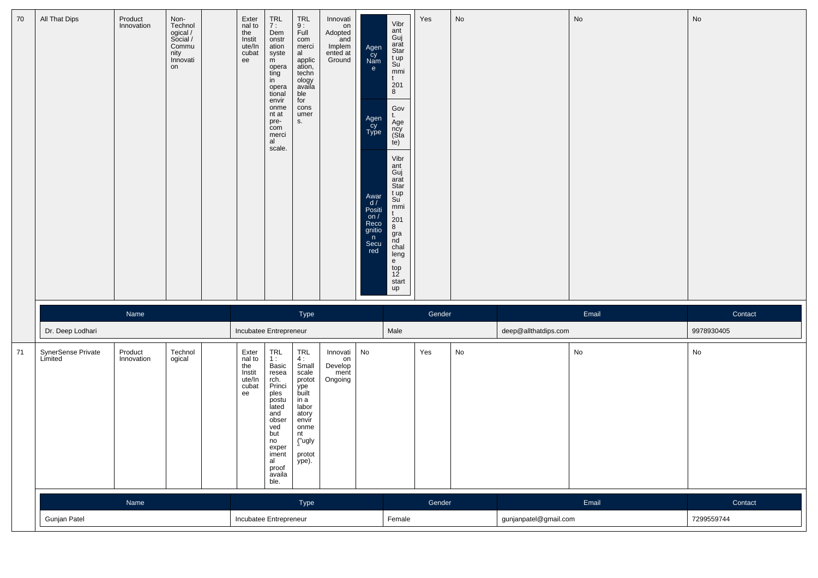| 70 | All That Dips                 | Product<br>Innovation | Non-<br>Technol<br>ogical /<br>Social /<br>Commu<br>nity<br>Innovati<br>on | Exter<br>nal to<br>the<br>Instit<br>ute/In<br>cubat<br>ee | TRL<br>7 :<br>Dem<br>onstr<br>ation<br>syste<br>m<br>opera<br>ting<br>in<br>opera<br>tional<br>envir<br>onme<br>nt at<br>pre-<br>com<br>merci<br>al<br>scale.  | <b>TRL</b><br>9:<br>Full<br>com<br>merci<br>al<br>applic<br>ation,<br>techn<br>ology<br>availa<br>ble<br>for<br>cons<br>umer<br>S.  | Innovati<br>on<br>Adopted<br>and<br>Implem<br>ented at<br>Ground | Agen<br>Cy<br>Nam<br>e<br>Agen<br>Cy<br>Type<br>Awar<br>d/<br>Posiți<br>on $/$<br>Reco<br>gnitio<br>n<br>Secu<br>red | Vibr<br>ant<br>Guj<br>arat<br>Star<br>t up<br>Su<br>mmi<br>t<br>201<br>8<br>$\mathsf{Gov}$<br>t.<br>Age<br>ncy<br>(Sta<br>te)<br>Vibr<br>ant<br>Guj<br>arat<br>Star<br>t up<br>Su<br>mmi<br>t<br>$\frac{201}{8}$<br>gra<br>nd<br>chal<br>leng<br>$\frac{e}{top}$<br>12<br>start<br>up | Yes    | No                           |                       | No    | No         |
|----|-------------------------------|-----------------------|----------------------------------------------------------------------------|-----------------------------------------------------------|----------------------------------------------------------------------------------------------------------------------------------------------------------------|-------------------------------------------------------------------------------------------------------------------------------------|------------------------------------------------------------------|----------------------------------------------------------------------------------------------------------------------|---------------------------------------------------------------------------------------------------------------------------------------------------------------------------------------------------------------------------------------------------------------------------------------|--------|------------------------------|-----------------------|-------|------------|
|    |                               | Name                  |                                                                            |                                                           |                                                                                                                                                                | Type                                                                                                                                |                                                                  |                                                                                                                      |                                                                                                                                                                                                                                                                                       | Gender |                              |                       | Email | Contact    |
|    | Dr. Deep Lodhari              |                       |                                                                            | Incubatee Entrepreneur                                    |                                                                                                                                                                |                                                                                                                                     |                                                                  |                                                                                                                      | Male                                                                                                                                                                                                                                                                                  |        |                              | deep@allthatdips.com  |       | 9978930405 |
| 71 | SynerSense Private<br>Limited | Product<br>Innovation | Technol<br>ogical                                                          | Exter<br>nal to<br>the<br>Instit<br>ute/In<br>cubat<br>ee | TRL<br>1:<br>Basic<br>resea<br>rch.<br>Princi<br>ples<br>postu<br>lated<br>and<br>obser<br>ved<br>but<br>no<br>exper<br>iment<br>al<br>proof<br>availa<br>ble. | TRL<br>4:<br>Small<br>scale<br>protot<br>ype<br>built<br>in a<br>labor<br>atory<br>envír<br>onme<br>nt<br>("ugly<br>protot<br>ype). | Innovati<br>on<br>Develop<br>ment<br>Ongoing                     | No                                                                                                                   |                                                                                                                                                                                                                                                                                       | Yes    | $\operatorname{\mathsf{No}}$ |                       | No    | No         |
|    |                               | Name                  |                                                                            |                                                           |                                                                                                                                                                | Type                                                                                                                                |                                                                  |                                                                                                                      |                                                                                                                                                                                                                                                                                       | Gender |                              |                       | Email | Contact    |
|    | Gunjan Patel                  |                       |                                                                            | Incubatee Entrepreneur                                    |                                                                                                                                                                |                                                                                                                                     |                                                                  |                                                                                                                      | Female                                                                                                                                                                                                                                                                                |        |                              | gunjanpatel@gmail.com |       | 7299559744 |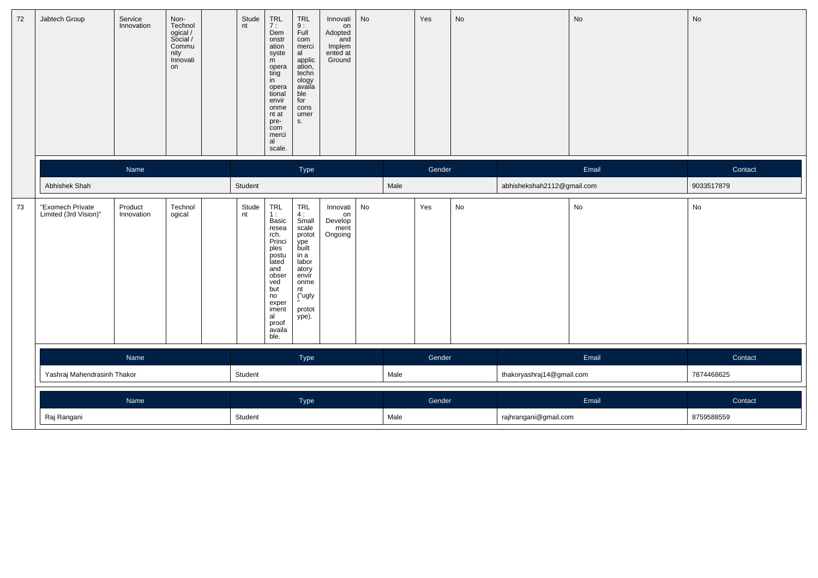| 72 | Jabtech Group                             | Service<br>Innovation | Non-<br>Technol<br>ogical /<br>Social /<br>Commu<br>nity<br>Innovati<br>on | Stude<br>nt | TRL<br>7 :<br>Dem<br>onstr<br>ation<br>syste<br>m<br>$\begin{array}{c}\n\text{opera} \\ \text{ting}\n\end{array}$<br>in<br>opera<br>tional<br>envir<br>onme<br>nt at<br>pre-<br>com<br>merci<br>al<br>scale. | TRL<br>$\frac{9}{1}$ :<br>com<br>merci<br>al<br>applic<br>ation,<br>techn<br>com<br>ology<br>availa<br>ble<br>for<br>cons<br>umer<br>s.        | Innovati<br>on<br>Adopted<br>and<br>Implem<br>ented at<br>Ground | No |      | Yes    | No |                            | No    | No         |
|----|-------------------------------------------|-----------------------|----------------------------------------------------------------------------|-------------|--------------------------------------------------------------------------------------------------------------------------------------------------------------------------------------------------------------|------------------------------------------------------------------------------------------------------------------------------------------------|------------------------------------------------------------------|----|------|--------|----|----------------------------|-------|------------|
|    |                                           | Name                  |                                                                            |             |                                                                                                                                                                                                              | Type                                                                                                                                           |                                                                  |    |      | Gender |    |                            | Email | Contact    |
|    | Abhishek Shah                             |                       |                                                                            | Student     |                                                                                                                                                                                                              |                                                                                                                                                |                                                                  |    | Male |        |    | abhishekshah2112@gmail.com |       | 9033517879 |
| 73 | "Exomech Private<br>Limited (3rd Vision)" | Product<br>Innovation | Technol<br>ogical                                                          | Stude<br>nt | TRL<br>1 :<br>Basic<br>resea<br>rch.<br>Princi<br>ples<br>postu<br>lated<br>and<br>obser<br>ved<br>but<br>no<br>exper<br>iment<br>al<br>proof<br>availa<br>ble.                                              | <b>TRL</b><br>$\frac{4}{3}$ :<br>scale<br>protot<br>ype<br>built<br>in a<br>labor<br>atory<br>envir<br>onme<br>nt<br>("ugly<br>protot<br>ype). | Innovati<br>on<br>Develop<br>ment<br>Ongoing                     | No |      | Yes    | No |                            | No    | No         |
|    |                                           | Name                  |                                                                            |             |                                                                                                                                                                                                              | Type                                                                                                                                           |                                                                  |    |      | Gender |    |                            | Email | Contact    |
|    | Yashraj Mahendrasinh Thakor               |                       |                                                                            | Student     |                                                                                                                                                                                                              |                                                                                                                                                |                                                                  |    | Male |        |    | thakoryashraj14@gmail.com  |       | 7874468625 |
|    |                                           | Name                  |                                                                            |             |                                                                                                                                                                                                              | Type                                                                                                                                           |                                                                  |    |      | Gender |    |                            | Email | Contact    |
|    | Raj Rangani                               |                       |                                                                            | Student     |                                                                                                                                                                                                              |                                                                                                                                                |                                                                  |    | Male |        |    | rajhrangani@gmail.com      |       | 8759588559 |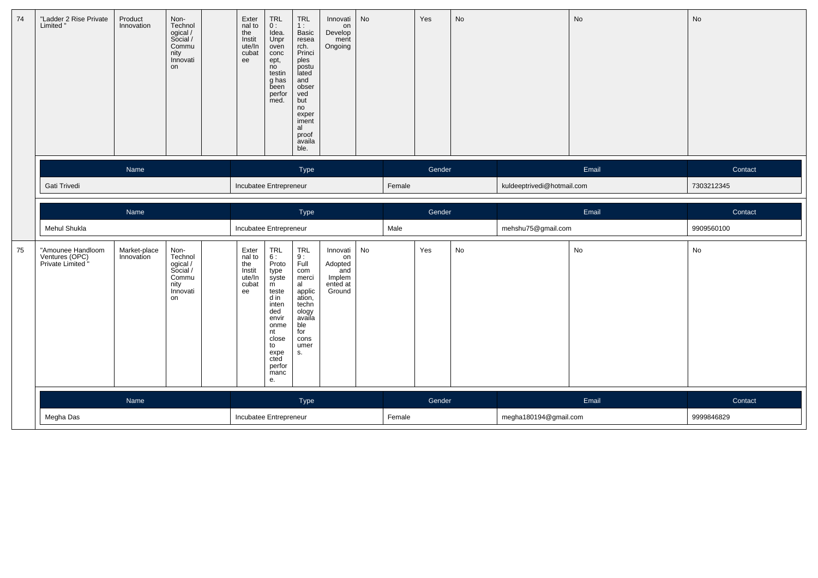| 74 | "Ladder 2 Rise Private<br>Limited                        | Product<br>Innovation      | $Non-$<br>Technol<br>ogical /<br>Social /<br>Commu<br>nity<br>Innovati<br>on | Exter<br>nal to<br>the<br>Instit<br>ute/In<br>cubat<br>ee | TRL<br>0:<br>Idea.<br>Unpr<br>oven<br>conc<br>ept,<br>no<br>testin<br>g has<br>been<br>perfor<br>med.                                      | <b>TRL</b><br>1:<br>Basic<br>resea<br>rch.<br>Princi<br>ples<br>postu<br>lated<br>and<br>obser<br>ved<br>but<br>no<br>exper<br>iment<br>al<br>proof<br>availa<br>ble. | Innovati<br>on<br>Develop<br>ment<br>Ongoing          | <b>No</b> |        | Yes    | No |                            | No    | No         |
|----|----------------------------------------------------------|----------------------------|------------------------------------------------------------------------------|-----------------------------------------------------------|--------------------------------------------------------------------------------------------------------------------------------------------|-----------------------------------------------------------------------------------------------------------------------------------------------------------------------|-------------------------------------------------------|-----------|--------|--------|----|----------------------------|-------|------------|
|    |                                                          | Name                       |                                                                              |                                                           |                                                                                                                                            | Type                                                                                                                                                                  |                                                       |           |        | Gender |    |                            | Email | Contact    |
|    | Gati Trivedi                                             |                            |                                                                              | Incubatee Entrepreneur                                    |                                                                                                                                            |                                                                                                                                                                       |                                                       |           | Female |        |    | kuldeeptrivedi@hotmail.com |       | 7303212345 |
|    |                                                          | Name                       |                                                                              |                                                           |                                                                                                                                            | Type                                                                                                                                                                  |                                                       |           |        | Gender |    |                            | Email | Contact    |
|    | Mehul Shukla                                             |                            |                                                                              | Incubatee Entrepreneur                                    |                                                                                                                                            |                                                                                                                                                                       |                                                       |           | Male   |        |    | mehshu75@gmail.com         |       | 9909560100 |
| 75 | "Amounee Handloom<br>Ventures (OPC)<br>Private Limited " | Market-place<br>Innovation | Non-<br>Technol                                                              | Exter<br>nal to                                           | TRL<br>6:                                                                                                                                  | <b>TRL</b>                                                                                                                                                            | Innovati                                              | No        |        |        |    |                            |       |            |
|    |                                                          |                            | ogical /<br>Social /<br>Commu<br>nity<br>Innovati<br>on                      | the<br>Instit<br>ute/In<br>cubat<br>ee                    | Proto<br>type<br>syste<br>m<br>teste<br>d in<br>inten<br>ded<br>envir<br>onme<br>nt<br>close<br>to<br>expe<br>cted<br>perfor<br>manc<br>е. | 9:<br>Full<br>com<br>merci<br>al<br>applic<br>ation,<br>techn<br>ology<br>availa<br>ble<br>for<br>cons<br>umer<br>S.                                                  | on<br>Adopted<br>'and<br>Implem<br>ented at<br>Ground |           |        | Yes    | No |                            | No    | No         |
|    |                                                          | Name                       |                                                                              |                                                           |                                                                                                                                            | Type                                                                                                                                                                  |                                                       |           |        | Gender |    |                            | Email | Contact    |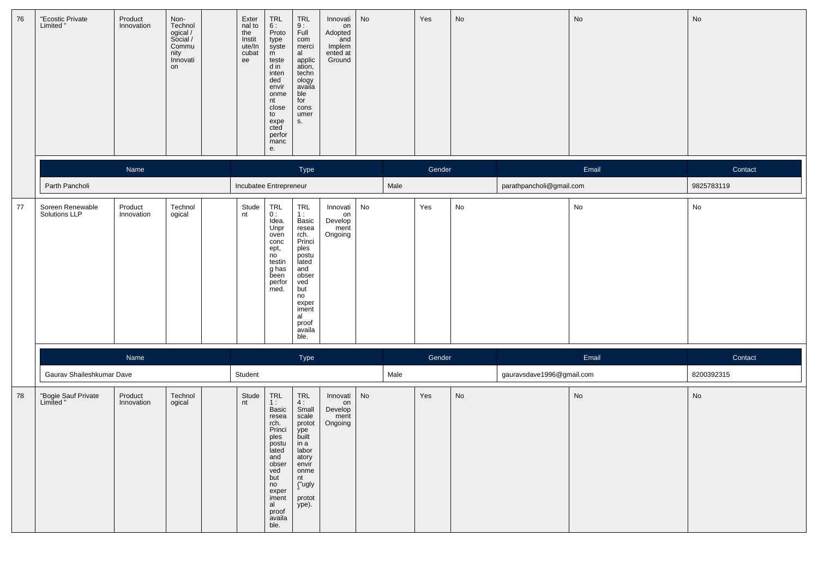| 76 | "Ecostic Private<br>Limited "     | Product<br>Innovation | Non-<br>Technol<br>ogical /<br>Social /<br>Commu<br>nity<br>Innovati<br>on | Exter<br>nal to<br>the<br>Instit<br>ute/In<br>cubat<br>ee | TRL<br>6 :<br>Proto<br>type<br>syste<br>m<br>teste<br>d in<br>inten<br>ded<br>envir<br>onme<br>nt<br>close<br>to<br>expe<br>cted<br>perfor<br>manc<br>е.                                                         | TRL<br>9 :<br>Full<br>com<br>merci<br>al<br>applic<br>ation,<br>techn<br>ology<br>availa<br>ble<br>for<br>cons<br>umer<br>S.                                          | Innovati<br>on<br>Adopted<br>and<br>Implem<br>ented at<br>Ground | No |      | Yes    | No |                           | No    | No                           |
|----|-----------------------------------|-----------------------|----------------------------------------------------------------------------|-----------------------------------------------------------|------------------------------------------------------------------------------------------------------------------------------------------------------------------------------------------------------------------|-----------------------------------------------------------------------------------------------------------------------------------------------------------------------|------------------------------------------------------------------|----|------|--------|----|---------------------------|-------|------------------------------|
|    |                                   | Name                  |                                                                            |                                                           |                                                                                                                                                                                                                  | Type                                                                                                                                                                  |                                                                  |    |      | Gender |    |                           | Email | Contact                      |
|    | Parth Pancholi                    |                       |                                                                            | Incubatee Entrepreneur                                    |                                                                                                                                                                                                                  |                                                                                                                                                                       |                                                                  |    | Male |        |    | parathpancholi@gmail.com  |       | 9825783119                   |
| 77 | Soreen Renewable<br>Solutions LLP | Product<br>Innovation | Technol<br>ogical                                                          | Stude<br>nt                                               | TRL<br>0:<br>Idea.<br>Unpr<br>oven<br>conc<br>ept,<br>no<br>testin<br>g has<br>been<br>perfor<br>med.                                                                                                            | TRL<br>1:<br>Basic<br>resea<br>rch.<br>Princi<br>ples<br>postu<br>lated<br>and<br>obser<br>ved<br>but<br>no<br>exper<br>iment<br>al<br>proof<br>availa<br>ble.        | Innovati<br>on<br>Develop<br>ment<br>Ongoing                     | No |      | Yes    | No |                           | No    | $\operatorname{\mathsf{No}}$ |
|    |                                   | Name                  |                                                                            |                                                           |                                                                                                                                                                                                                  | Type                                                                                                                                                                  |                                                                  |    |      | Gender |    |                           | Email | Contact                      |
|    | Gaurav Shaileshkumar Dave         |                       |                                                                            | Student                                                   |                                                                                                                                                                                                                  |                                                                                                                                                                       |                                                                  |    | Male |        |    | gauravsdave1996@gmail.com |       | 8200392315                   |
| 78 | "Bogie Sauf Private<br>Limited "  | Product<br>Innovation | Technol<br>ogical                                                          | Stude<br>nt                                               | $\begin{array}{c} \mathsf{TRL} \\ \mathsf{1} : \end{array}$<br>Basic<br>resea<br>rch.<br>Princi<br>ples<br>postu<br>lated<br>and<br>obser<br>ved<br>but<br>no<br>exper<br>iment<br>al<br>proof<br>availa<br>ble. | $\begin{array}{c}\nTRL \\ 4: \n\end{array}$<br>Small<br>scale<br>protot<br>ype<br>built<br>in a<br>labor<br>atory<br>envir<br>onme<br>nt<br>("ugly<br>protot<br>ype). | Innovati<br>on<br>Develop<br>ment<br>Ongoing                     | No |      | Yes    | No |                           | No    | $\operatorname{\mathsf{No}}$ |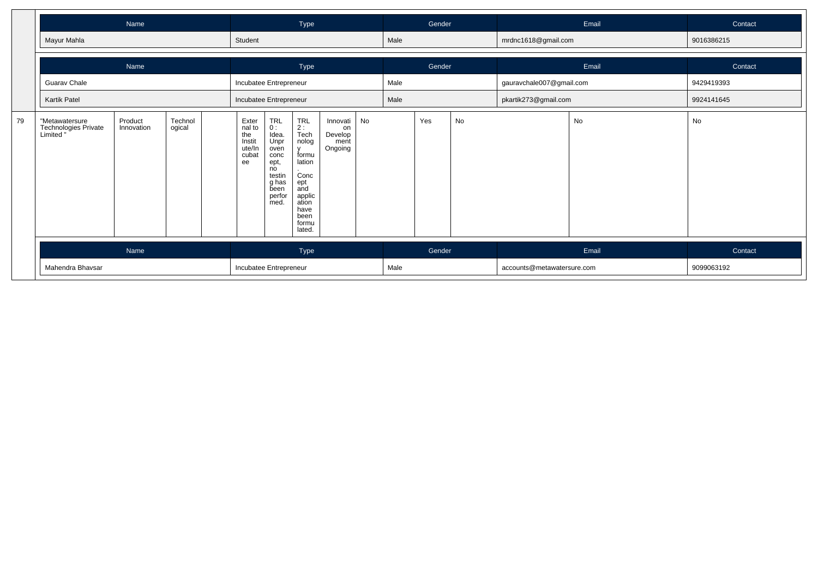|    |                                                     | Name                  |                   |                                                           |                                                                                                        | Type                                                                                                                            |                                              |    |      | Gender |    |                            | Email | Contact    |
|----|-----------------------------------------------------|-----------------------|-------------------|-----------------------------------------------------------|--------------------------------------------------------------------------------------------------------|---------------------------------------------------------------------------------------------------------------------------------|----------------------------------------------|----|------|--------|----|----------------------------|-------|------------|
|    | Mayur Mahla                                         |                       |                   | Student                                                   |                                                                                                        |                                                                                                                                 |                                              |    | Male |        |    | mrdnc1618@gmail.com        |       | 9016386215 |
|    |                                                     | Name                  |                   |                                                           |                                                                                                        | Type                                                                                                                            |                                              |    |      | Gender |    |                            | Email | Contact    |
|    | Guarav Chale                                        |                       |                   | Incubatee Entrepreneur                                    |                                                                                                        |                                                                                                                                 |                                              |    | Male |        |    | gauravchale007@gmail.com   |       | 9429419393 |
|    | Kartik Patel                                        |                       |                   | Incubatee Entrepreneur                                    |                                                                                                        |                                                                                                                                 |                                              |    | Male |        |    | pkartik273@gmail.com       |       | 9924141645 |
| 79 | "Metawatersure<br>Technologies Private<br>Limited " | Product<br>Innovation | Technol<br>ogical | Exter<br>nal to<br>the<br>Instit<br>ute/In<br>cubat<br>ee | TRL<br>0 :<br>Idea.<br>Unpr<br>oven<br>conc<br>ept,<br>no<br>testin<br>g has<br>been<br>perfor<br>med. | TRL<br>2 :<br>Tech<br>nolog<br>v<br>formu<br>lation<br>Conc<br>ept<br>and<br>applic<br>ation<br>have<br>been<br>formu<br>lated. | Innovati<br>on<br>Develop<br>ment<br>Ongoing | No |      | Yes    | No |                            | No    | No         |
|    |                                                     | Name                  |                   |                                                           |                                                                                                        | Type                                                                                                                            |                                              |    |      | Gender |    |                            | Email | Contact    |
|    | Mahendra Bhavsar                                    |                       |                   | Incubatee Entrepreneur                                    |                                                                                                        |                                                                                                                                 |                                              |    | Male |        |    | accounts@metawatersure.com |       | 9099063192 |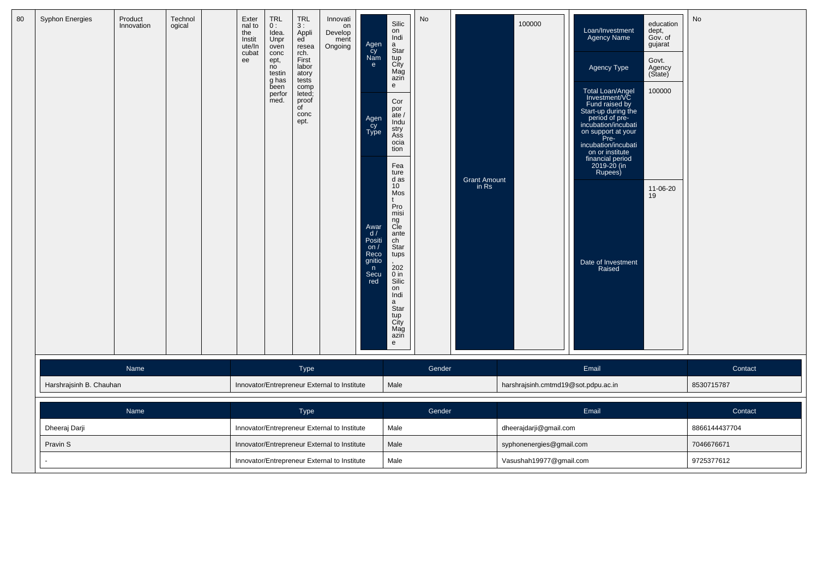| 80 | <b>Syphon Energies</b>  | Product<br>Innovation | Technol<br>ogical | Exter<br>nal to<br>the<br>Instit<br>ute/In<br>cubat<br>ee | <b>TRL</b><br>0:<br>Idea.<br>Unpr<br>oven<br>conc<br>ept,<br>no<br>testin<br>g has<br>been<br>perfor<br>med. | <b>TRL</b><br>3:<br>Appli<br>ed<br>resea<br>rch.<br>First<br>labor<br>atory<br>tests<br>comp<br>leted;<br>proof<br>of<br>conc<br>ept. | Innovati<br>on<br>Develop<br>ment<br>Ongoing | Agen<br>Cy<br>Nam<br>e.<br>Agen<br>Cy<br>Type<br>Awar<br>$\frac{d}{d}$<br>Positi<br>on $/$<br>Reco<br>gnitio<br>n<br>Secu<br>red | Silic<br>on<br>Indi<br>a<br>Star<br>tup<br>City<br>Mag<br>azin<br>e<br>Cor<br>por<br>ate /<br>Indu<br>stry<br>Ass<br>ocia<br>tion<br>Fea<br>ture<br>d as<br>10 <sup>°</sup><br>Mos<br>Pro<br>misi<br>ng<br>Cle<br>ante<br>ch<br>Star<br>tups<br>202<br>$0$ in<br>Silic<br>on<br>Indi<br>a<br>Star<br>tup<br>City | No     | <b>Grant Amount</b><br>in Rs | 100000                              | Loan/Investment<br>Agency Name<br>Agency Type<br>Total Loan/Angel<br>Investment/VC<br>Fund raised by<br>Start-up during the<br>period of pre-<br>incubation/incubati<br>on support at your<br>Pre-<br>incubation/incubati<br>on or institute<br>financial period<br>2019-20 (in<br>Rupees)<br>Date of Investment<br>Raised | education<br>dept,<br>Gov. of<br>gujarat<br>Govt.<br>Agency<br>(State)<br>100000<br>11-06-20<br>19 | No            |
|----|-------------------------|-----------------------|-------------------|-----------------------------------------------------------|--------------------------------------------------------------------------------------------------------------|---------------------------------------------------------------------------------------------------------------------------------------|----------------------------------------------|----------------------------------------------------------------------------------------------------------------------------------|------------------------------------------------------------------------------------------------------------------------------------------------------------------------------------------------------------------------------------------------------------------------------------------------------------------|--------|------------------------------|-------------------------------------|----------------------------------------------------------------------------------------------------------------------------------------------------------------------------------------------------------------------------------------------------------------------------------------------------------------------------|----------------------------------------------------------------------------------------------------|---------------|
|    |                         |                       |                   |                                                           |                                                                                                              |                                                                                                                                       |                                              |                                                                                                                                  | Mag<br>azin<br>e                                                                                                                                                                                                                                                                                                 |        |                              |                                     |                                                                                                                                                                                                                                                                                                                            |                                                                                                    |               |
|    |                         | Name                  |                   |                                                           |                                                                                                              | Type                                                                                                                                  |                                              |                                                                                                                                  |                                                                                                                                                                                                                                                                                                                  | Gender |                              |                                     | Email                                                                                                                                                                                                                                                                                                                      |                                                                                                    | Contact       |
|    | Harshrajsinh B. Chauhan |                       |                   |                                                           |                                                                                                              |                                                                                                                                       | Innovator/Entrepreneur External to Institute |                                                                                                                                  | Male                                                                                                                                                                                                                                                                                                             |        |                              | harshrajsinh.cmtmd19@sot.pdpu.ac.in |                                                                                                                                                                                                                                                                                                                            |                                                                                                    | 8530715787    |
|    |                         | <b>Name</b>           |                   |                                                           |                                                                                                              | Type                                                                                                                                  |                                              |                                                                                                                                  |                                                                                                                                                                                                                                                                                                                  | Gender |                              |                                     | Email                                                                                                                                                                                                                                                                                                                      |                                                                                                    | Contact       |
|    | Dheeraj Darji           |                       |                   |                                                           |                                                                                                              |                                                                                                                                       | Innovator/Entrepreneur External to Institute |                                                                                                                                  | Male                                                                                                                                                                                                                                                                                                             |        |                              | dheerajdarji@gmail.com              |                                                                                                                                                                                                                                                                                                                            |                                                                                                    | 8866144437704 |
|    | Pravin S                |                       |                   |                                                           |                                                                                                              |                                                                                                                                       | Innovator/Entrepreneur External to Institute |                                                                                                                                  | Male                                                                                                                                                                                                                                                                                                             |        |                              | syphonenergies@gmail.com            |                                                                                                                                                                                                                                                                                                                            |                                                                                                    | 7046676671    |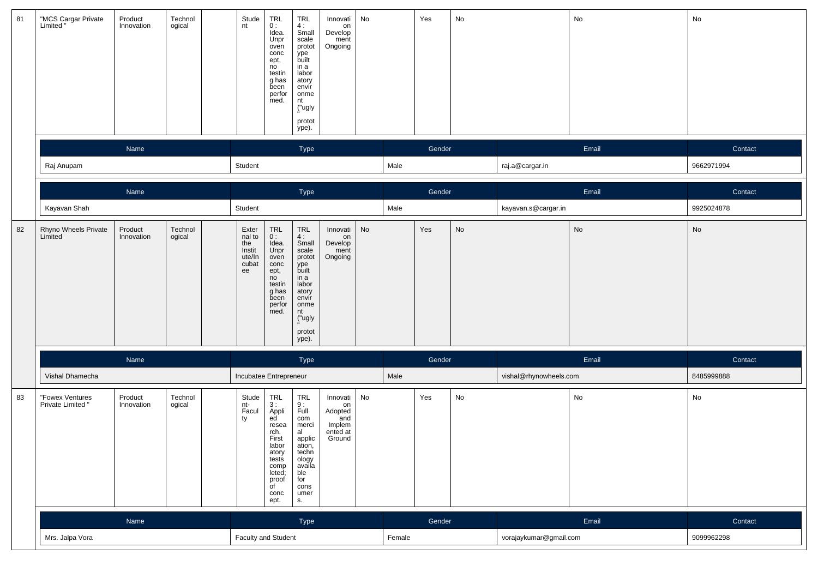| 81 | "MCS Cargar Private<br>Limited "     | Product<br>Innovation | Technol<br>ogical | Stude<br>nt                                               | $TRL$<br>$0:$<br>Idea.<br>Unpr<br>oven<br>conc<br>ept,<br>no<br>testin<br>g has<br>been<br>perfor<br>med.                                              | TRL<br>4:<br>Small<br>scale<br>protot<br>ype<br>built<br>in a<br>labor<br>atory<br>envir<br>onme<br>nt<br>("ugly<br>protot<br>ype). | Innovati<br>on<br>Develop<br>ment<br>Ongoing                     | No |        | Yes    | No                           |                        | No    | No         |
|----|--------------------------------------|-----------------------|-------------------|-----------------------------------------------------------|--------------------------------------------------------------------------------------------------------------------------------------------------------|-------------------------------------------------------------------------------------------------------------------------------------|------------------------------------------------------------------|----|--------|--------|------------------------------|------------------------|-------|------------|
|    |                                      | Name                  |                   |                                                           |                                                                                                                                                        | Type                                                                                                                                |                                                                  |    |        | Gender |                              |                        | Email | Contact    |
|    | Raj Anupam                           |                       |                   | Student                                                   |                                                                                                                                                        |                                                                                                                                     |                                                                  |    | Male   |        |                              | raj.a@cargar.in        |       | 9662971994 |
|    |                                      | Name                  |                   |                                                           |                                                                                                                                                        | Type                                                                                                                                |                                                                  |    |        | Gender |                              |                        | Email | Contact    |
|    | Kayavan Shah                         |                       |                   | Student                                                   |                                                                                                                                                        |                                                                                                                                     |                                                                  |    | Male   |        |                              | kayavan.s@cargar.in    |       | 9925024878 |
| 82 | Rhyno Wheels Private<br>Limited      | Product<br>Innovation | Technol<br>ogical | Exter<br>nal to<br>the<br>Instit<br>ute/In<br>cubat<br>ee | $\begin{array}{c} \mathsf{TRL} \\ \mathsf{0:} \end{array}$<br>Idea.<br>Unpr<br>oven<br>conc<br>ept,<br>no<br>testin<br>g has<br>been<br>perfor<br>med. | TRL<br>4:<br>Small<br>scale<br>protot<br>.<br>built<br>in a<br>labor<br>atory<br>envir<br>onme<br>nt<br>("ugly<br>protot<br>ype).   | Innovati<br>on<br>Develop<br>ment<br>Ongoing                     | No |        | Yes    | $\operatorname{\mathsf{No}}$ |                        | No    | No         |
|    |                                      | Name                  |                   |                                                           |                                                                                                                                                        | Type                                                                                                                                |                                                                  |    |        | Gender |                              |                        | Email | Contact    |
|    | Vishal Dhamecha                      |                       |                   | Incubatee Entrepreneur                                    |                                                                                                                                                        |                                                                                                                                     |                                                                  |    | Male   |        |                              | vishal@rhynowheels.com |       | 8485999888 |
| 83 | "Fowex Ventures<br>Private Limited ' | Product<br>Innovation | Technol<br>ogical | Stude<br>nt-<br>Facul<br>ty                               | TRL<br>3:<br>Appli<br>ed<br>resea<br>rch.<br>First<br>labor<br>atory<br>tests<br>comp<br>leted;<br>proof<br>of<br>conc<br>ept.                         | TRL<br>9 :<br>Full<br>com<br>merci<br>al<br>applic<br>ation,<br>techn<br>ology<br>availa<br>ble<br>for<br>cons<br>umer<br>s.        | Innovati<br>on<br>Adopted<br>and<br>Implem<br>ented at<br>Ground | No |        | Yes    | $\mathsf{No}$                |                        | No    | No         |
|    |                                      | Name                  |                   |                                                           |                                                                                                                                                        | Type                                                                                                                                |                                                                  |    |        | Gender |                              |                        | Email | Contact    |
|    | Mrs. Jalpa Vora                      |                       |                   | <b>Faculty and Student</b>                                |                                                                                                                                                        |                                                                                                                                     |                                                                  |    | Female |        |                              | vorajaykumar@gmail.com |       | 9099962298 |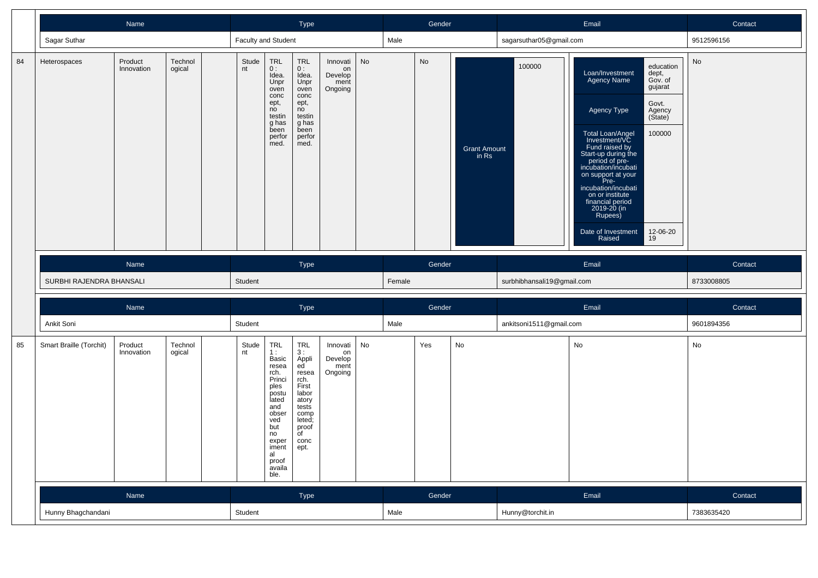|    |                          | Name                  |                   |             |                                                                                                                                                                        | Type                                                                                                                                                |                                              |    |        | Gender |                              |                            | Email                                                                                                                                                                                                                                                                                                                                                                                                                                   | Contact    |
|----|--------------------------|-----------------------|-------------------|-------------|------------------------------------------------------------------------------------------------------------------------------------------------------------------------|-----------------------------------------------------------------------------------------------------------------------------------------------------|----------------------------------------------|----|--------|--------|------------------------------|----------------------------|-----------------------------------------------------------------------------------------------------------------------------------------------------------------------------------------------------------------------------------------------------------------------------------------------------------------------------------------------------------------------------------------------------------------------------------------|------------|
|    | Sagar Suthar             |                       |                   |             | Faculty and Student                                                                                                                                                    |                                                                                                                                                     |                                              |    | Male   |        |                              | sagarsuthar05@gmail.com    |                                                                                                                                                                                                                                                                                                                                                                                                                                         | 9512596156 |
| 84 | Heterospaces             | Product<br>Innovation | Technol<br>ogical | Stude<br>nt | TRL<br>0:<br>Idea.<br>Unpr<br>oven<br>conc<br>ept,<br>no<br>testin<br>g has<br>been<br>perfor<br>med.                                                                  | <b>TRL</b><br>0:<br>Idea.<br>Unpr<br>oven<br>conc<br>ept,<br>no<br>testin<br>g has<br>been<br>perfor<br>med.                                        | Innovati<br>on<br>Develop<br>ment<br>Ongoing | No |        | No     | <b>Grant Amount</b><br>in Rs | 100000                     | education<br>Loan/Investment<br>dept,<br><b>Agency Name</b><br>Gov. of<br>gujarat<br>Govt.<br>Agency Type<br>Agency<br>(State)<br>100000<br>Total Loan/Angel<br>Investment/VC<br>Fund raised by<br>Start-up during the<br>period of pre-<br>incubation/incubati<br>on support at your<br>Pre-<br>incubation/incubati<br>on or institute<br>financial period<br>2019-20 (in<br>Rupees)<br>12-06-20<br>Date of Investment<br>Raised<br>19 | No         |
|    |                          | Name                  |                   |             |                                                                                                                                                                        | Type                                                                                                                                                |                                              |    |        | Gender |                              |                            | Email                                                                                                                                                                                                                                                                                                                                                                                                                                   | Contact    |
|    | SURBHI RAJENDRA BHANSALI |                       |                   | Student     |                                                                                                                                                                        |                                                                                                                                                     |                                              |    | Female |        |                              | surbhibhansali19@gmail.com |                                                                                                                                                                                                                                                                                                                                                                                                                                         | 8733008805 |
|    |                          | Name                  |                   |             |                                                                                                                                                                        | Type                                                                                                                                                |                                              |    |        | Gender |                              |                            | Email                                                                                                                                                                                                                                                                                                                                                                                                                                   | Contact    |
|    | Ankit Soni               |                       |                   | Student     |                                                                                                                                                                        |                                                                                                                                                     |                                              |    | Male   |        |                              | ankitsoni1511@gmail.com    |                                                                                                                                                                                                                                                                                                                                                                                                                                         | 9601894356 |
| 85 | Smart Braille (Torchit)  | Product<br>Innovation | Technol<br>ogical | Stude<br>nt | <b>TRL</b><br>1 :<br>Basic<br>resea<br>rch.<br>Princi<br>ples<br>postu<br>lated<br>and<br>obser<br>ved<br>but<br>no<br>exper<br>iment<br>al<br>proof<br>availa<br>ble. | <b>TRL</b><br>3 :<br>Appli<br>ed <sup>-</sup><br>resea<br>rch.<br>First<br>labor<br>atory<br>tests<br>comp<br>leted;<br>proof<br>of<br>conc<br>ept. | Innovati<br>on<br>Develop<br>ment<br>Ongoing | No |        | Yes    | No                           |                            | No                                                                                                                                                                                                                                                                                                                                                                                                                                      | No         |
|    |                          | Name                  |                   |             |                                                                                                                                                                        | <b>Type</b>                                                                                                                                         |                                              |    |        | Gender |                              |                            | Email                                                                                                                                                                                                                                                                                                                                                                                                                                   | Contact    |
|    | Hunny Bhagchandani       |                       |                   | Student     |                                                                                                                                                                        |                                                                                                                                                     |                                              |    | Male   |        |                              | Hunny@torchit.in           |                                                                                                                                                                                                                                                                                                                                                                                                                                         | 7383635420 |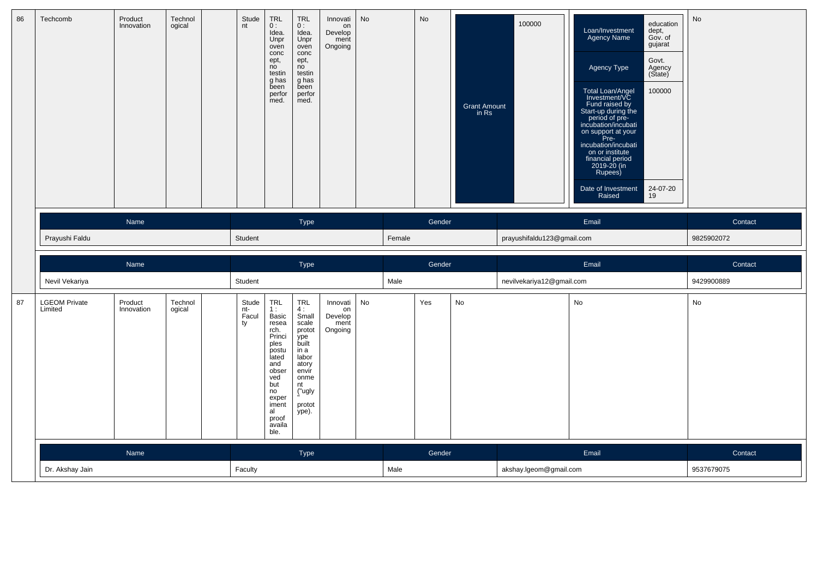| 86 | Techcomb                        | Product<br>Innovation | Technol<br>ogical | nt        | Stude<br><b>TRL</b><br>0:<br>Idea.<br>Unpr<br>oven<br>conc<br>ept,<br>no<br>testin<br>g has<br>been<br>perfor<br>med.                                                            | <b>TRL</b><br>0:<br>Idea.<br>Unpr<br>oven<br>conc<br>ept,<br>no<br>testin<br>g has<br>been<br>perfor<br>med.                        | Innovati<br>on<br>Develop<br>ment<br>Ongoing | <b>No</b> |        | No     | Grant Amount<br>in Rs | 100000                     | education<br>Loan/Investment<br>Agency Name<br>dept,<br>Gov. of<br>gujarat<br>Govt.<br>Agency Type<br>Agency<br>(State)<br>100000<br>Total Loan/Angel<br>Investment/VC<br>Fund raised by<br>Start-up during the<br>period of pre-<br>incubation/incubati<br>on support at your<br>Pre-<br>incubation/incubati<br>on or institute<br>financial period<br>2019-20 (in<br>Rupees)<br>Date of Investment<br>24-07-20<br>Raised<br>19 | No         |
|----|---------------------------------|-----------------------|-------------------|-----------|----------------------------------------------------------------------------------------------------------------------------------------------------------------------------------|-------------------------------------------------------------------------------------------------------------------------------------|----------------------------------------------|-----------|--------|--------|-----------------------|----------------------------|----------------------------------------------------------------------------------------------------------------------------------------------------------------------------------------------------------------------------------------------------------------------------------------------------------------------------------------------------------------------------------------------------------------------------------|------------|
|    |                                 | Name                  |                   |           |                                                                                                                                                                                  | Type                                                                                                                                |                                              |           |        | Gender |                       |                            | Email                                                                                                                                                                                                                                                                                                                                                                                                                            | Contact    |
|    | Prayushi Faldu                  |                       |                   | Student   |                                                                                                                                                                                  |                                                                                                                                     |                                              |           | Female |        |                       | prayushifaldu123@gmail.com |                                                                                                                                                                                                                                                                                                                                                                                                                                  | 9825902072 |
|    |                                 |                       |                   |           |                                                                                                                                                                                  |                                                                                                                                     |                                              |           |        |        |                       |                            |                                                                                                                                                                                                                                                                                                                                                                                                                                  |            |
|    |                                 | Name                  |                   |           |                                                                                                                                                                                  | Type                                                                                                                                |                                              |           |        | Gender |                       |                            | Email                                                                                                                                                                                                                                                                                                                                                                                                                            | Contact    |
|    | Nevil Vekariya                  |                       |                   | Student   |                                                                                                                                                                                  |                                                                                                                                     |                                              |           | Male   |        |                       | nevilvekariya12@gmail.com  |                                                                                                                                                                                                                                                                                                                                                                                                                                  | 9429900889 |
| 87 | <b>LGEOM Private</b><br>Limited | Product<br>Innovation | Technol<br>ogical | nt-<br>ty | TRL<br>Stude<br>1:<br>Facul<br>Basic<br>resea<br>rch.<br>Princi<br>ples<br>postu<br>lated<br>and<br>obser<br>ved<br>but<br>no<br>exper<br>iment<br>al<br>proof<br>availa<br>ble. | TRL<br>4:<br>Small<br>scale<br>protot<br>ype<br>built<br>in a<br>labor<br>atory<br>envir<br>onme<br>nt<br>("ugly<br>protot<br>ype). | Innovati<br>on<br>Develop<br>ment<br>Ongoing | No        |        | Yes    | No                    |                            | No                                                                                                                                                                                                                                                                                                                                                                                                                               | No         |
|    |                                 | Name                  |                   |           |                                                                                                                                                                                  | Type                                                                                                                                |                                              |           |        | Gender |                       |                            | Email                                                                                                                                                                                                                                                                                                                                                                                                                            | Contact    |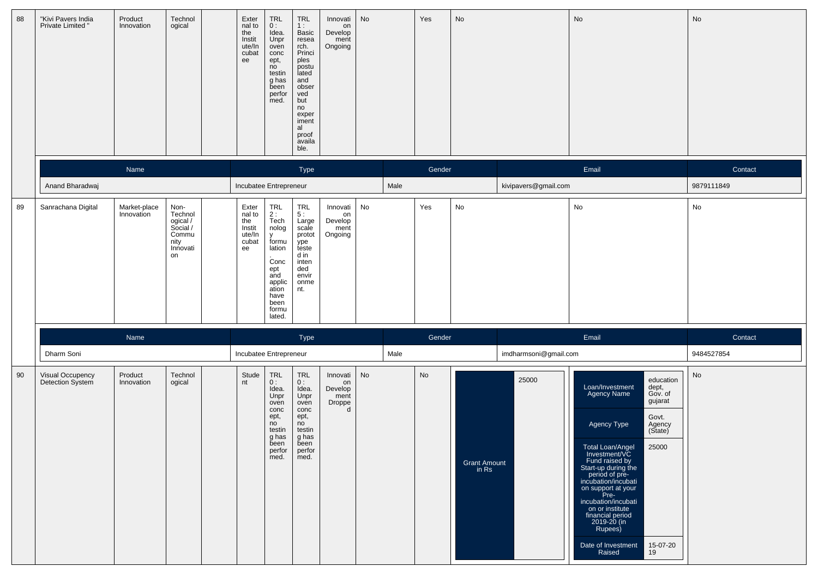| 88 | "Kivi Pavers India<br>Private Limited" | Product<br>Innovation      | Technol<br>ogical                                                          | Exter<br>nal to<br>the<br>Instit<br>ute/In<br>cubat<br>ee | $\begin{array}{c} \mathsf{TRL} \\ \mathsf{0} : \end{array}$<br>Idea.<br>Unpr<br>oven<br>conc<br>ept,<br>no<br>testin<br>g has<br>been<br>perfor<br>med. | TRL<br>1:<br>Basic<br>resea<br>rch.<br>Princi<br>ples<br>postu<br>lated<br>and<br>obser<br>ved<br>but<br>no<br>exper<br>iment<br>al<br>proof<br>availa<br>ble. | Innovati<br>on<br>Develop<br>ment<br>Ongoing     | No |      | Yes    | No                             |                       | No                                                                                                                                                                                                                                                                                                                                                                                                                                     | No                           |
|----|----------------------------------------|----------------------------|----------------------------------------------------------------------------|-----------------------------------------------------------|---------------------------------------------------------------------------------------------------------------------------------------------------------|----------------------------------------------------------------------------------------------------------------------------------------------------------------|--------------------------------------------------|----|------|--------|--------------------------------|-----------------------|----------------------------------------------------------------------------------------------------------------------------------------------------------------------------------------------------------------------------------------------------------------------------------------------------------------------------------------------------------------------------------------------------------------------------------------|------------------------------|
|    |                                        | Name                       |                                                                            |                                                           |                                                                                                                                                         | Type                                                                                                                                                           |                                                  |    |      | Gender |                                |                       | Email                                                                                                                                                                                                                                                                                                                                                                                                                                  | Contact                      |
|    | Anand Bharadwaj                        |                            |                                                                            | Incubatee Entrepreneur                                    |                                                                                                                                                         |                                                                                                                                                                |                                                  |    | Male |        |                                | kivipavers@gmail.com  |                                                                                                                                                                                                                                                                                                                                                                                                                                        | 9879111849                   |
| 89 | Sanrachana Digital                     | Market-place<br>Innovation | Non-<br>Technol<br>ogical /<br>Social /<br>Commu<br>nity<br>Innovati<br>on | Exter<br>nal to<br>the<br>Instit<br>ute/In<br>cubat<br>ee | TRL<br>2 :<br>Tech<br>nolog<br>$\mathsf{v}$<br>formu<br>lation<br>Conc<br>ept<br>and<br>applic<br>ation<br>have<br>been<br>formu<br>lated.              | TRL<br>5:<br>Large<br>scale<br>protot<br>ype<br>teste<br>d in<br>inten<br>ded<br>envir<br>onme<br>nt.                                                          | Innovati<br>on<br>Develop<br>ment<br>Ongoing     | No |      | Yes    | No                             |                       | No                                                                                                                                                                                                                                                                                                                                                                                                                                     | $\operatorname{\mathsf{No}}$ |
|    |                                        | Name                       |                                                                            |                                                           |                                                                                                                                                         | Type                                                                                                                                                           |                                                  |    |      | Gender |                                |                       | Email                                                                                                                                                                                                                                                                                                                                                                                                                                  | Contact                      |
|    | Dharm Soni                             |                            |                                                                            | Incubatee Entrepreneur                                    |                                                                                                                                                         |                                                                                                                                                                |                                                  |    | Male |        |                                | imdharmsoni@gmail.com |                                                                                                                                                                                                                                                                                                                                                                                                                                        | 9484527854                   |
| 90 | Visual Occupency<br>Detection System   | Product<br>Innovation      | Technol<br>ogical                                                          | Stude<br>nt                                               | TRL<br>0:<br>Idea.<br>Unpr<br>oven<br>conc<br>ept,<br>no<br>testin<br>g has<br>been<br>perfor<br>med.                                                   | TRL<br>0:<br>Idea.<br>Unpr<br>oven<br>conc<br>ept,<br>no<br>testin<br>g has<br>been<br>perfor<br>med.                                                          | Innovati<br>on<br>Develop<br>ment<br>Droppe<br>d | No |      | No     | <b>Grant Amount</b><br>in $Rs$ | 25000                 | education<br>Loan/Investment<br>dept,<br>Gov. of<br><b>Agency Name</b><br>gujarat<br>Govt.<br>Agency Type<br>Agency<br>(State)<br>Total Loan/Angel<br>Investment/VC<br>25000<br>Fund raised by<br>Start-up during the<br>period of pre-<br>incubation/incubati<br>on support at your<br>Pre-<br>incubation/incubati<br>on or institute<br>financial period<br>2019-20 (in<br>Rupees)<br>15-07-20<br>Date of Investment<br>19<br>Raised | No                           |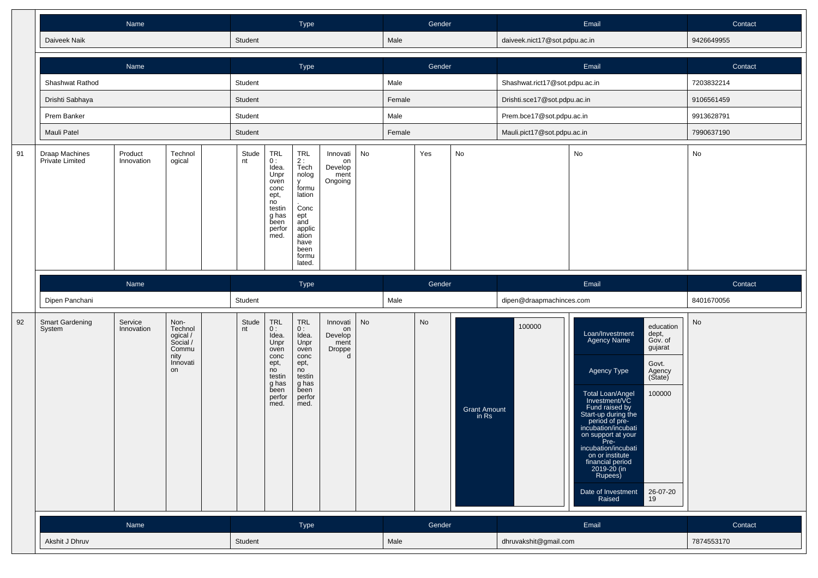|    |                                   | Name                  |                                                                            |             |                                                                                                                               | Type                                                                                                                                         |                                                             |    |        | Gender |                              |                                | Email                                                                                                                                                                                                                                                                                                                                                                                                                            | Contact               |
|----|-----------------------------------|-----------------------|----------------------------------------------------------------------------|-------------|-------------------------------------------------------------------------------------------------------------------------------|----------------------------------------------------------------------------------------------------------------------------------------------|-------------------------------------------------------------|----|--------|--------|------------------------------|--------------------------------|----------------------------------------------------------------------------------------------------------------------------------------------------------------------------------------------------------------------------------------------------------------------------------------------------------------------------------------------------------------------------------------------------------------------------------|-----------------------|
|    | Daiveek Naik                      |                       |                                                                            | Student     |                                                                                                                               |                                                                                                                                              |                                                             |    | Male   |        |                              | daiveek.nict17@sot.pdpu.ac.in  |                                                                                                                                                                                                                                                                                                                                                                                                                                  | 9426649955            |
|    |                                   | Name                  |                                                                            |             |                                                                                                                               | Type                                                                                                                                         |                                                             |    |        | Gender |                              |                                | Email                                                                                                                                                                                                                                                                                                                                                                                                                            | Contact               |
|    | Shashwat Rathod                   |                       |                                                                            | Student     |                                                                                                                               |                                                                                                                                              |                                                             |    | Male   |        |                              | Shashwat.rict17@sot.pdpu.ac.in |                                                                                                                                                                                                                                                                                                                                                                                                                                  | 7203832214            |
|    | Drishti Sabhaya                   |                       |                                                                            | Student     |                                                                                                                               |                                                                                                                                              |                                                             |    | Female |        |                              | Drishti.sce17@sot.pdpu.ac.in   |                                                                                                                                                                                                                                                                                                                                                                                                                                  | 9106561459            |
|    | Prem Banker                       |                       |                                                                            | Student     |                                                                                                                               |                                                                                                                                              |                                                             |    | Male   |        |                              | Prem.bce17@sot.pdpu.ac.in      |                                                                                                                                                                                                                                                                                                                                                                                                                                  | 9913628791            |
|    | Mauli Patel                       |                       |                                                                            | Student     |                                                                                                                               |                                                                                                                                              |                                                             |    | Female |        |                              | Mauli.pict17@sot.pdpu.ac.in    |                                                                                                                                                                                                                                                                                                                                                                                                                                  | 7990637190            |
| 91 | Draap Machines<br>Private Limited | Product<br>Innovation | Technol<br>ogical                                                          | Stude<br>nt | TRL<br>0:<br>Idea.<br>Unpr<br>oven<br>conc<br>ept,<br>no<br>testin<br>g has<br>been<br>perfor<br>med.                         | <b>TRL</b><br>2:<br>Tech<br>nolog<br><b>V</b><br>formu<br>lation<br>Conc<br>ept<br>and<br>applic<br>ation<br>have<br>been<br>formu<br>lated. | Innovati<br>on<br>Develop<br>ment<br>Ongoing                | No |        | Yes    | No                           |                                | No                                                                                                                                                                                                                                                                                                                                                                                                                               | No                    |
|    | Dipen Panchani                    | Name                  |                                                                            | Student     |                                                                                                                               | Type                                                                                                                                         |                                                             |    | Male   | Gender |                              | dipen@draapmachinces.com       | Email                                                                                                                                                                                                                                                                                                                                                                                                                            | Contact<br>8401670056 |
| 92 | Smart Gardening<br>System         | Service<br>Innovation | Non-<br>Technol<br>ogical /<br>Social /<br>Commu<br>nity<br>Innovati<br>on | Stude<br>nt | $\ensuremath{\mathsf{TRL}}$<br>0:<br>Idea.<br>Unpr<br>oven<br>conc<br>ept,<br>no<br>testin<br>g has<br>been<br>perfor<br>med. | TRL<br>0:<br>Idea.<br>Unpr<br>oven<br>conc<br>ept,<br>no<br>testin<br>g has<br>been<br>perfor<br>med.                                        | Innovati<br>on<br>Develop<br>ment<br>Droppe<br><sub>d</sub> | No |        | No     | <b>Grant Amount</b><br>in Rs | 100000                         | education<br>Loan/Investment<br>dept,<br>Agency Name<br>Gov. of<br>gujarat<br>Govt.<br>Agency Type<br>Agency<br>(State)<br>Total Loan/Angel<br>Investment/VC<br>100000<br>Fund raised by<br>Start-up during the<br>period of pre-<br>incubation/incubati<br>on support at your<br>Pre-<br>incubation/incubati<br>on or institute<br>financial period<br>2019-20 (in<br>Rupees)<br>Date of Investment<br>26-07-20<br>19<br>Raised | <b>No</b>             |
|    |                                   | Name                  |                                                                            |             |                                                                                                                               | Type                                                                                                                                         |                                                             |    |        | Gender |                              |                                | Email                                                                                                                                                                                                                                                                                                                                                                                                                            | Contact               |
|    | Akshit J Dhruv                    |                       |                                                                            | Student     |                                                                                                                               |                                                                                                                                              |                                                             |    | Male   |        |                              | dhruvakshit@gmail.com          |                                                                                                                                                                                                                                                                                                                                                                                                                                  | 7874553170            |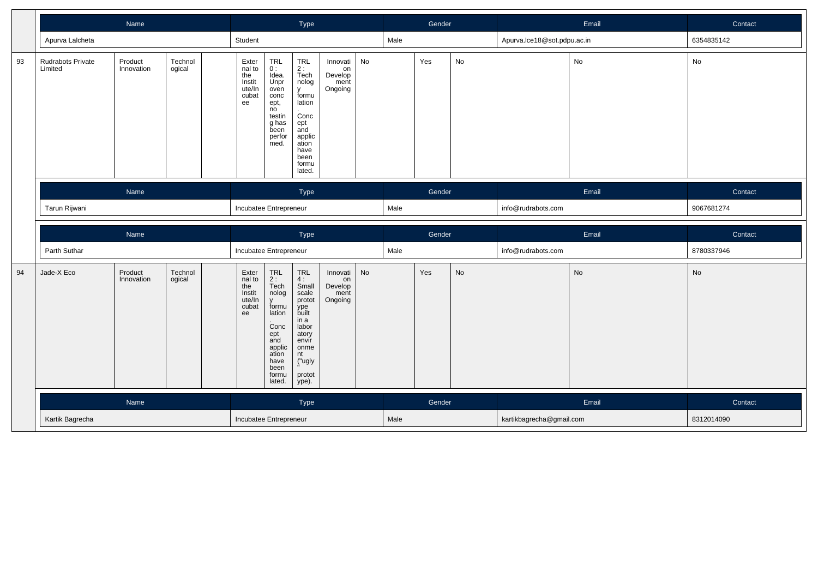|    |                              | Name                  |                   |                                                             |                                                                                                                           | Type                                                                                                                                             |                                              |    |      | Gender |    |                             | Email | Contact    |
|----|------------------------------|-----------------------|-------------------|-------------------------------------------------------------|---------------------------------------------------------------------------------------------------------------------------|--------------------------------------------------------------------------------------------------------------------------------------------------|----------------------------------------------|----|------|--------|----|-----------------------------|-------|------------|
|    | Apurva Lalcheta              |                       |                   | Student                                                     |                                                                                                                           |                                                                                                                                                  |                                              |    | Male |        |    | Apurva.lce18@sot.pdpu.ac.in |       | 6354835142 |
| 93 | Rudrabots Private<br>Limited | Product<br>Innovation | Technol<br>ogical | Exter<br>nal to<br>the<br>Instit<br>ute/In<br>cubat<br>ee   | TRL<br>0:<br>Idea.<br>Unpr<br>oven<br>conc<br>ept,<br>no<br>testin<br>g has<br>been<br>perfor<br>med.                     | TRL<br>$\frac{2}{1}$<br>Tech<br>nolog<br><b>V</b><br>formu<br>lation<br>Conc<br>ept<br>and<br>applic<br>ation<br>have<br>been<br>formu<br>lated. | Innovati<br>on<br>Develop<br>ment<br>Ongoing | No |      | Yes    | No |                             | No    | No         |
|    |                              | Name                  |                   |                                                             |                                                                                                                           | Type                                                                                                                                             |                                              |    |      | Gender |    |                             | Email | Contact    |
|    | Tarun Rijwani                |                       |                   | Incubatee Entrepreneur                                      |                                                                                                                           |                                                                                                                                                  |                                              |    | Male |        |    | info@rudrabots.com          |       | 9067681274 |
|    |                              |                       |                   |                                                             |                                                                                                                           |                                                                                                                                                  |                                              |    |      |        |    |                             |       |            |
|    |                              | Name                  |                   |                                                             |                                                                                                                           | Type                                                                                                                                             |                                              |    |      | Gender |    |                             | Email | Contact    |
|    | Parth Suthar                 |                       |                   | Incubatee Entrepreneur                                      |                                                                                                                           |                                                                                                                                                  |                                              |    | Male |        |    | info@rudrabots.com          |       | 8780337946 |
| 94 | Jade-X Eco                   | Product<br>Innovation | Technol<br>ogical | Exter<br>$n = 10$<br>the<br>Instit<br>ute/In<br>cubat<br>ee | TRL<br>2:<br>Tech<br>nolog<br>formu<br>lation<br>Conc<br>ept<br>and<br>applic<br>ation<br>have<br>been<br>formu<br>lated. | $TRL$<br>4:<br>Small<br>scale<br>protot<br>ype<br>built<br>in a<br>labor<br>atory<br>envir<br>onme<br>nt<br>("ugly<br>protot<br>ype).            | Innovati<br>on<br>Develop<br>ment<br>Ongoing | No |      | Yes    | No |                             | No    | No         |
|    |                              | Name                  |                   |                                                             |                                                                                                                           | Type                                                                                                                                             |                                              |    |      | Gender |    |                             | Email | Contact    |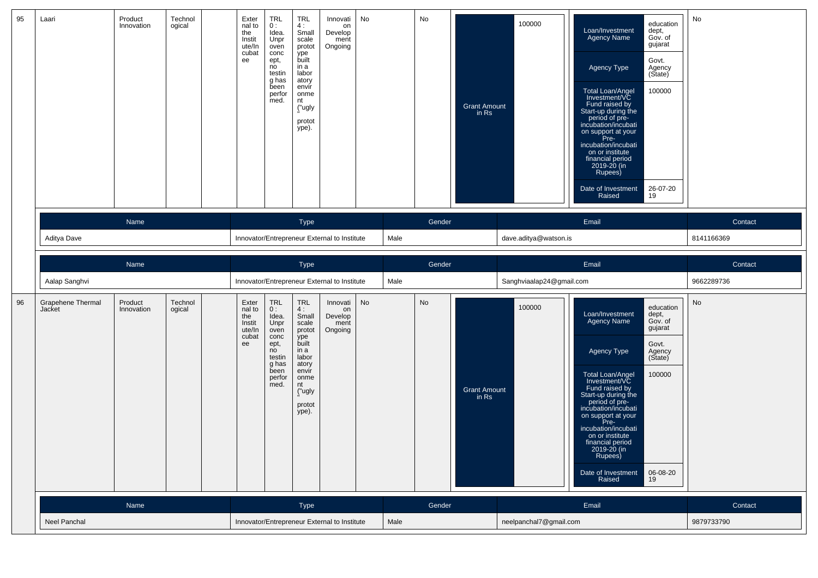| 95 | Laari                              | Product<br>Innovation | Technol<br>ogical | Exter<br>nal to<br>the<br>Instit<br>ute/In<br>cubat<br>ee | <b>TRL</b><br>0:<br>Idea.<br>Unpr<br>oven<br>conc<br>ept,<br>no<br>testin<br>g has<br>been<br>perfor<br>med. | <b>TRL</b><br>4:<br>Small<br>scale<br>protot<br>ype<br>built<br>in a<br>labor<br>atory<br>envir<br>onme<br>nt<br>("ugly<br>protot<br>ype). | Innovati<br>on<br>Develop<br>ment<br>Ongoing | No |      | No        | <b>Grant Amount</b><br>in Rs | 100000                   | education<br>Loan/Investment<br>dept,<br>Agency Name<br>Gov. of<br>gujarat<br>Govt.<br>Agency Type<br>Agency<br>(State)<br>Total Loan/Angel<br>Investment/VC<br>100000<br>Fund raised by<br>Start-up during the<br>period of pre-<br>incubation/incubati<br>on support at your<br>Pre-<br>incubation/incubati<br>on or institute<br>financial period<br>2019-20 (in<br>Rupees)<br>Date of Investment<br>26-07-20<br>Raised<br>19               | No         |
|----|------------------------------------|-----------------------|-------------------|-----------------------------------------------------------|--------------------------------------------------------------------------------------------------------------|--------------------------------------------------------------------------------------------------------------------------------------------|----------------------------------------------|----|------|-----------|------------------------------|--------------------------|------------------------------------------------------------------------------------------------------------------------------------------------------------------------------------------------------------------------------------------------------------------------------------------------------------------------------------------------------------------------------------------------------------------------------------------------|------------|
|    |                                    | Name                  |                   |                                                           |                                                                                                              | Type                                                                                                                                       |                                              |    |      | Gender    |                              |                          | Email                                                                                                                                                                                                                                                                                                                                                                                                                                          | Contact    |
|    | Aditya Dave                        |                       |                   |                                                           |                                                                                                              |                                                                                                                                            | Innovator/Entrepreneur External to Institute |    | Male |           |                              | dave.aditya@watson.is    |                                                                                                                                                                                                                                                                                                                                                                                                                                                | 8141166369 |
|    |                                    | Name                  |                   |                                                           |                                                                                                              | Type                                                                                                                                       |                                              |    |      | Gender    |                              |                          | Email                                                                                                                                                                                                                                                                                                                                                                                                                                          | Contact    |
|    | Aalap Sanghvi                      |                       |                   |                                                           |                                                                                                              |                                                                                                                                            | Innovator/Entrepreneur External to Institute |    | Male |           |                              | Sanghviaalap24@gmail.com |                                                                                                                                                                                                                                                                                                                                                                                                                                                | 9662289736 |
| 96 | <b>Grapehene Thermal</b><br>Jacket | Product<br>Innovation | Technol<br>ogical | Exter<br>nal to<br>the<br>Instit<br>ute/In<br>cubat<br>ee | <b>TRL</b><br>0:<br>Idea.<br>Unpr<br>oven<br>conc<br>ept,<br>no<br>testin<br>g has<br>been<br>perfor<br>med. | <b>TRL</b><br>4:<br>Small<br>scale<br>protot<br>ype<br>built<br>in a<br>labor<br>atory<br>envir<br>onme<br>nt<br>("ugly<br>protot<br>ype). | Innovati<br>on<br>Develop<br>ment<br>Ongoing | No |      | <b>No</b> | <b>Grant Amount</b><br>in Rs | 100000                   | education<br>dept,<br>Loan/Investment<br><b>Agency Name</b><br>Gov. of<br>gujarat<br>Govt.<br>Agency Type<br>Agency<br>(State)<br><b>Total Loan/Angel</b><br>100000<br>Investment/VC<br>Fund raised by<br>Start-up during the<br>period of pre-<br>incubation/incubati<br>on support at your<br>Pre-<br>incubation/incubati<br>on or institute<br>financial period<br>2019-20 (in<br>Rupees)<br>Date of Investment<br>06-08-20<br>Raised<br>19 | No         |
|    |                                    | Name                  |                   |                                                           |                                                                                                              | Type                                                                                                                                       |                                              |    |      | Gender    |                              |                          | Email                                                                                                                                                                                                                                                                                                                                                                                                                                          | Contact    |
|    | Neel Panchal                       |                       |                   |                                                           |                                                                                                              |                                                                                                                                            | Innovator/Entrepreneur External to Institute |    | Male |           |                              | neelpanchal7@gmail.com   |                                                                                                                                                                                                                                                                                                                                                                                                                                                | 9879733790 |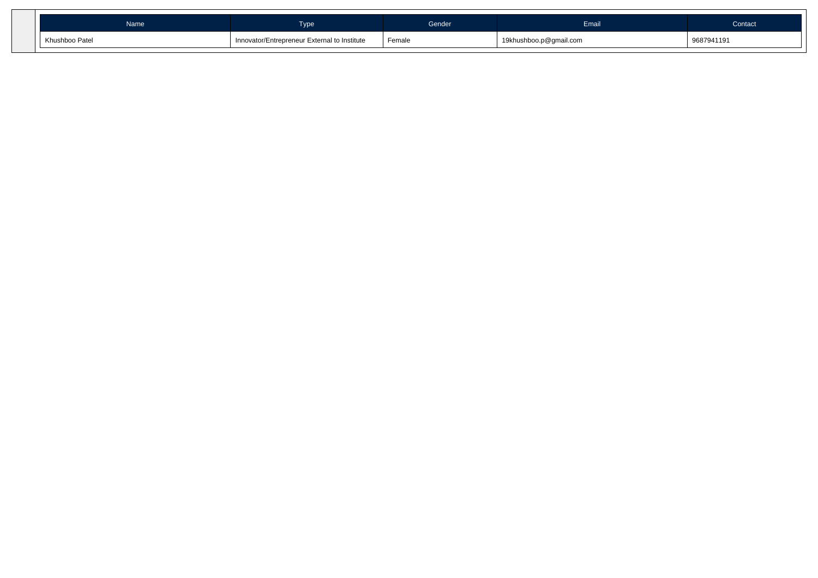| Name           | Γype                                         | Gender | Email                  | Contact    |
|----------------|----------------------------------------------|--------|------------------------|------------|
| Khushboo Patel | Innovator/Entrepreneur External to Institute | Female | 19khushboo.p@gmail.com | 9687941191 |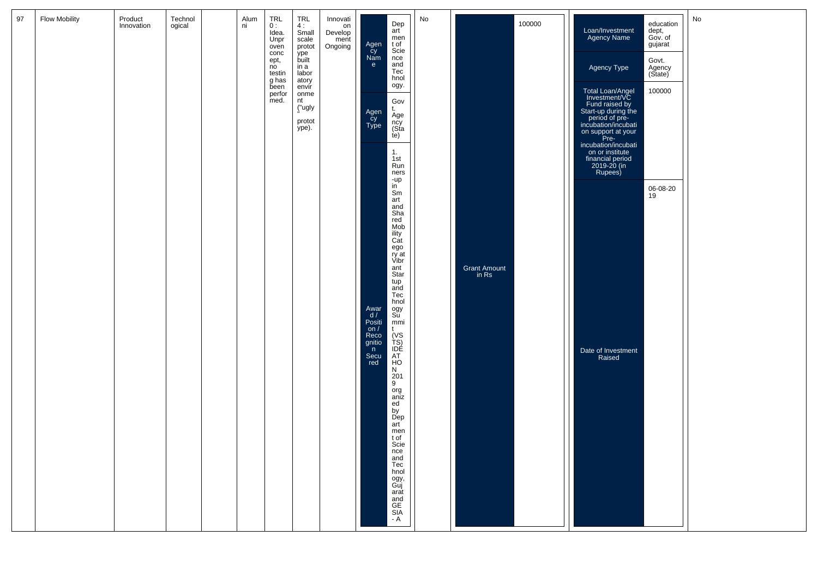| 97 | <b>Flow Mobility</b> | Product<br>Innovation | Technol<br>ogical | Alum<br>ni | <b>TRL</b><br>0:<br>Idea.<br>Unpr<br>oven     | TRL<br>4:<br>Small<br>scale<br>protot           | Innovati<br>on<br>Develop<br>ment<br>Ongoing |                                                             | Dep<br>art<br>men<br>t of                                    | No |                       | 100000 | Loan/Investment<br>Agency Name                                                                                                            | education<br>dept,<br>Gov. of<br>gujarat | No |
|----|----------------------|-----------------------|-------------------|------------|-----------------------------------------------|-------------------------------------------------|----------------------------------------------|-------------------------------------------------------------|--------------------------------------------------------------|----|-----------------------|--------|-------------------------------------------------------------------------------------------------------------------------------------------|------------------------------------------|----|
|    |                      |                       |                   |            | conc<br>ept,<br>no<br>testin<br>g has<br>been | ype<br>built<br>in a<br>labor<br>atory<br>envir |                                              | Agen<br>Cy<br>Nam<br>e                                      | Scie<br>nce<br>and<br>Tec<br>hnol<br>ogy.                    |    |                       |        | Agency Type                                                                                                                               | Govt.<br>Agency<br>(State)               |    |
|    |                      |                       |                   |            | perfor<br>med.                                | onme<br>nt<br>("ugly<br>protot<br>ype).         |                                              | Agen<br>cy<br>Type                                          | Gov<br>t.<br>Age<br>ncy<br>(Sta                              |    |                       |        | Total Loan/Angel<br>Investment/VC<br>Fund raised by<br>Start-up during the<br>period of pre-<br>incubation/incubati<br>on support at your | 100000                                   |    |
|    |                      |                       |                   |            |                                               |                                                 |                                              |                                                             | te)<br>1.<br>1st<br>Run<br>ners                              |    |                       |        | Pre-<br>incubation/incubati<br>on or institute<br>financial period<br>2019-20 (in<br>Rupees)                                              |                                          |    |
|    |                      |                       |                   |            |                                               |                                                 |                                              |                                                             | -up<br>in<br>Sm<br>art<br>and<br>Sha                         |    |                       |        |                                                                                                                                           | 06-08-20<br>19                           |    |
|    |                      |                       |                   |            |                                               |                                                 |                                              |                                                             | red<br>Mob<br>ility<br>Cat<br>ego<br>ry at<br>Vibr           |    |                       |        |                                                                                                                                           |                                          |    |
|    |                      |                       |                   |            |                                               |                                                 |                                              |                                                             | ant<br>Star<br>tup<br>and<br>Tec<br>hnol                     |    | Grant Amount<br>in Rs |        |                                                                                                                                           |                                          |    |
|    |                      |                       |                   |            |                                               |                                                 |                                              | Awar<br>$\frac{d}{d}$<br>Positi<br>on $/$<br>Reco<br>gnitio | ogy<br>Su<br>mmi<br>t                                        |    |                       |        |                                                                                                                                           |                                          |    |
|    |                      |                       |                   |            |                                               |                                                 |                                              | n<br>Secu<br>red                                            | (VS<br>TS)<br>IDE<br>AT<br><b>HO</b><br>N<br>$\frac{201}{9}$ |    |                       |        | Date of Investment<br>Raised                                                                                                              |                                          |    |
|    |                      |                       |                   |            |                                               |                                                 |                                              |                                                             | org<br>aniz<br>ed<br>by<br>Dep<br>art                        |    |                       |        |                                                                                                                                           |                                          |    |
|    |                      |                       |                   |            |                                               |                                                 |                                              |                                                             | men<br>t of<br>Scie<br>nce<br>and<br>Tec                     |    |                       |        |                                                                                                                                           |                                          |    |
|    |                      |                       |                   |            |                                               |                                                 |                                              |                                                             | hnol<br>ogy,<br>Guj<br>arat<br>and<br>GE<br>SIA - A          |    |                       |        |                                                                                                                                           |                                          |    |
|    |                      |                       |                   |            |                                               |                                                 |                                              |                                                             |                                                              |    |                       |        |                                                                                                                                           |                                          |    |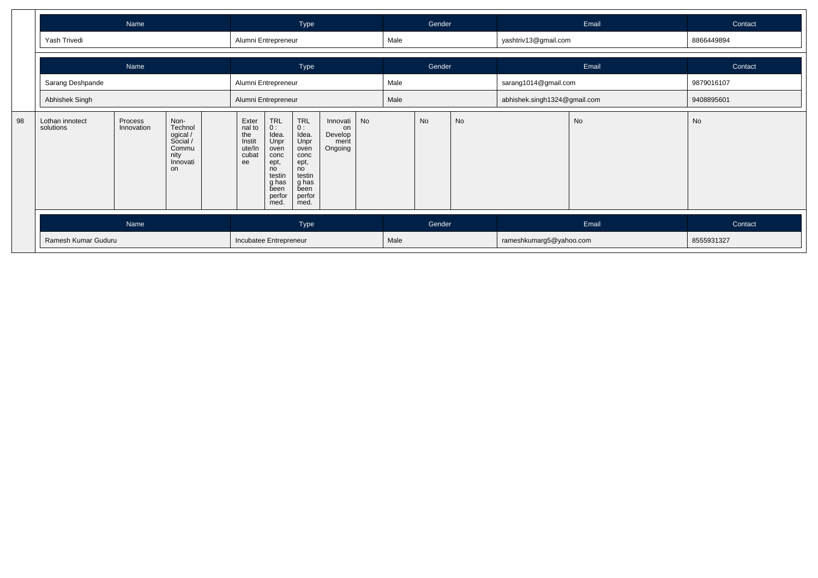|    |                              | Name                  |                                                                            |                                                           |                                                                                                           | Type                                                                                                                                                   |                                              |    |      | Gender |    |                              | Email     | Contact    |
|----|------------------------------|-----------------------|----------------------------------------------------------------------------|-----------------------------------------------------------|-----------------------------------------------------------------------------------------------------------|--------------------------------------------------------------------------------------------------------------------------------------------------------|----------------------------------------------|----|------|--------|----|------------------------------|-----------|------------|
|    | Yash Trivedi                 |                       |                                                                            | Alumni Entrepreneur                                       |                                                                                                           |                                                                                                                                                        |                                              |    | Male |        |    | yashtriv13@gmail.com         |           | 8866449894 |
|    |                              | Name                  |                                                                            |                                                           |                                                                                                           | Type                                                                                                                                                   |                                              |    |      | Gender |    |                              | Email     | Contact    |
|    | Sarang Deshpande             |                       |                                                                            | Alumni Entrepreneur                                       |                                                                                                           |                                                                                                                                                        |                                              |    | Male |        |    | sarang1014@gmail.com         |           | 9879016107 |
|    | Abhishek Singh               |                       |                                                                            | Alumni Entrepreneur                                       |                                                                                                           |                                                                                                                                                        |                                              |    | Male |        |    | abhishek.singh1324@gmail.com |           | 9408895601 |
| 98 | Lothan innotect<br>solutions | Process<br>Innovation | Non-<br>Technol<br>ogical /<br>Social /<br>Commu<br>nity<br>Innovati<br>on | Exter<br>nal to<br>the<br>Instit<br>ute/In<br>cubat<br>ee | $TRL$<br>$0:$<br>Idea.<br>Unpr<br>oven<br>conc<br>ept,<br>no<br>testin<br>g has<br>been<br>perfor<br>med. | $\begin{array}{c} \mathsf{TRL} \\ \mathsf{O}: \end{array}$<br>Idea.<br>Unpr<br>oven<br>conc<br>ept,<br>no<br>testin<br>g has<br>been<br>perfor<br>med. | Innovati<br>on<br>Develop<br>ment<br>Ongoing | No |      | No     | No |                              | <b>No</b> | No         |
|    |                              | Name                  |                                                                            |                                                           |                                                                                                           | Type                                                                                                                                                   |                                              |    |      | Gender |    |                              | Email     | Contact    |
|    | Ramesh Kumar Guduru          |                       |                                                                            | Incubatee Entrepreneur                                    |                                                                                                           |                                                                                                                                                        |                                              |    | Male |        |    | rameshkumarg5@yahoo.com      |           | 8555931327 |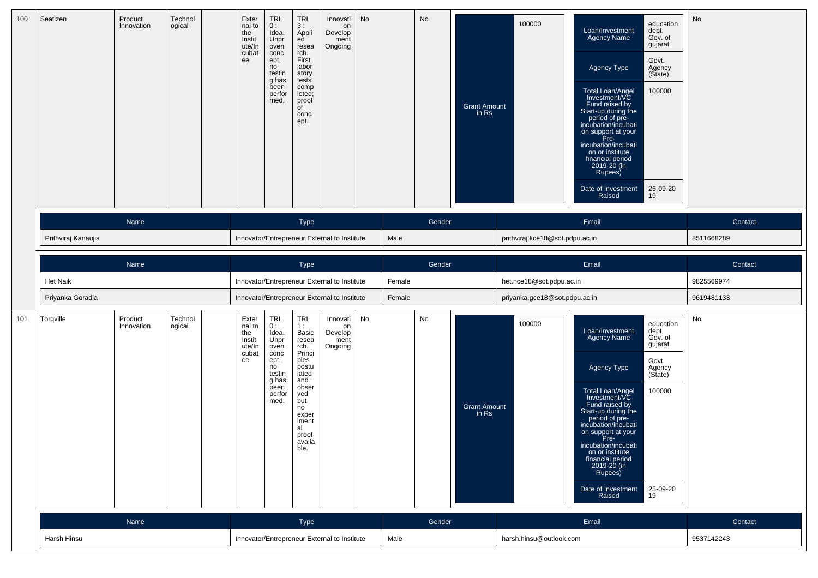| 100 | Seatizen            | Product<br>Innovation | Technol<br>ogical | Exter<br>nal to<br>the<br>Instit<br>ute/In<br>cubat<br>ee | <b>TRL</b><br>0:<br>Idea.<br>Unpr<br>oven<br>conc<br>ept,<br>no<br>testin<br>g has<br>been<br>perfor<br>med. | <b>TRL</b><br>3:<br>Appli<br>ed<br>resea<br>rch.<br>First<br>labor<br>atory<br>tests<br>comp<br>leted;<br>proof<br>$\overline{C}$<br>conc<br>ept.                     | Innovati<br>on<br>Develop<br>ment<br>Ongoing | <b>No</b> |        | No     | <b>Grant Amount</b><br>in Rs | 100000                          | education<br>Loan/Investment<br>dept,<br>Agency Name<br>Gov. of<br>gujarat<br>Govt.<br>Agency Type<br>Agency<br>(State)<br>100000<br>Total Loan/Angel<br>Investment/VC<br>Fund raised by<br>Start-up during the<br>period of pre-<br>incubation/incubati<br>on support at your<br>Pre-<br>incubation/incubati<br>on or institute<br>financial period<br>2019-20 (in<br>Rupees)<br>Date of Investment<br>26-09-20<br>Raised<br>19        | No         |
|-----|---------------------|-----------------------|-------------------|-----------------------------------------------------------|--------------------------------------------------------------------------------------------------------------|-----------------------------------------------------------------------------------------------------------------------------------------------------------------------|----------------------------------------------|-----------|--------|--------|------------------------------|---------------------------------|-----------------------------------------------------------------------------------------------------------------------------------------------------------------------------------------------------------------------------------------------------------------------------------------------------------------------------------------------------------------------------------------------------------------------------------------|------------|
|     |                     | Name                  |                   |                                                           |                                                                                                              | Type                                                                                                                                                                  |                                              |           |        | Gender |                              |                                 | Email                                                                                                                                                                                                                                                                                                                                                                                                                                   | Contact    |
|     | Prithviraj Kanaujia |                       |                   |                                                           |                                                                                                              |                                                                                                                                                                       | Innovator/Entrepreneur External to Institute |           | Male   |        |                              | prithviraj.kce18@sot.pdpu.ac.in |                                                                                                                                                                                                                                                                                                                                                                                                                                         | 8511668289 |
|     |                     | Name                  |                   |                                                           |                                                                                                              | Type                                                                                                                                                                  |                                              |           |        | Gender |                              |                                 | Email                                                                                                                                                                                                                                                                                                                                                                                                                                   | Contact    |
|     | Het Naik            |                       |                   |                                                           |                                                                                                              |                                                                                                                                                                       | Innovator/Entrepreneur External to Institute |           | Female |        |                              | het.nce18@sot.pdpu.ac.in        |                                                                                                                                                                                                                                                                                                                                                                                                                                         | 9825569974 |
|     | Priyanka Goradia    |                       |                   |                                                           |                                                                                                              |                                                                                                                                                                       | Innovator/Entrepreneur External to Institute |           | Female |        |                              | priyanka.gce18@sot.pdpu.ac.in   |                                                                                                                                                                                                                                                                                                                                                                                                                                         | 9619481133 |
| 101 | Torqville           | Product<br>Innovation | Technol<br>ogical | Exter<br>nal to<br>the<br>Instit<br>ute/In<br>cubat<br>ee | TRL<br>0:<br>Idea.<br>Unpr<br>oven<br>conc<br>ept,<br>no<br>testin<br>g has<br>been<br>perfor<br>med.        | <b>TRL</b><br>1:<br>Basic<br>resea<br>rch.<br>Princi<br>ples<br>postu<br>lated<br>and<br>obser<br>ved<br>but<br>no<br>exper<br>iment<br>al<br>proof<br>availa<br>ble. | Innovati<br>on<br>Develop<br>ment<br>Ongoing | No        |        | No     | <b>Grant Amount</b><br>in Rs | 100000                          | education<br>Loan/Investment<br>dept,<br>Gov. of<br><b>Agency Name</b><br>gujarat<br>Govt.<br>Agency Type<br>Agency<br>(State)<br>Total Loan/Angel<br>Investment/VC<br>100000<br>Fund raised by<br>Start-up during the<br>period of pre-<br>incubation/incubati<br>on support at your<br>Pre-<br>incubation/incubati<br>on or institute<br>financial period<br>2019-20 (in<br>Rupees)<br>25-09-20<br>Date of Investment<br>Raised<br>19 | No         |
|     |                     | Name                  |                   |                                                           |                                                                                                              | Type                                                                                                                                                                  |                                              |           |        | Gender |                              |                                 | Email                                                                                                                                                                                                                                                                                                                                                                                                                                   | Contact    |
|     | Harsh Hinsu         |                       |                   |                                                           |                                                                                                              |                                                                                                                                                                       | Innovator/Entrepreneur External to Institute |           | Male   |        |                              | harsh.hinsu@outlook.com         |                                                                                                                                                                                                                                                                                                                                                                                                                                         | 9537142243 |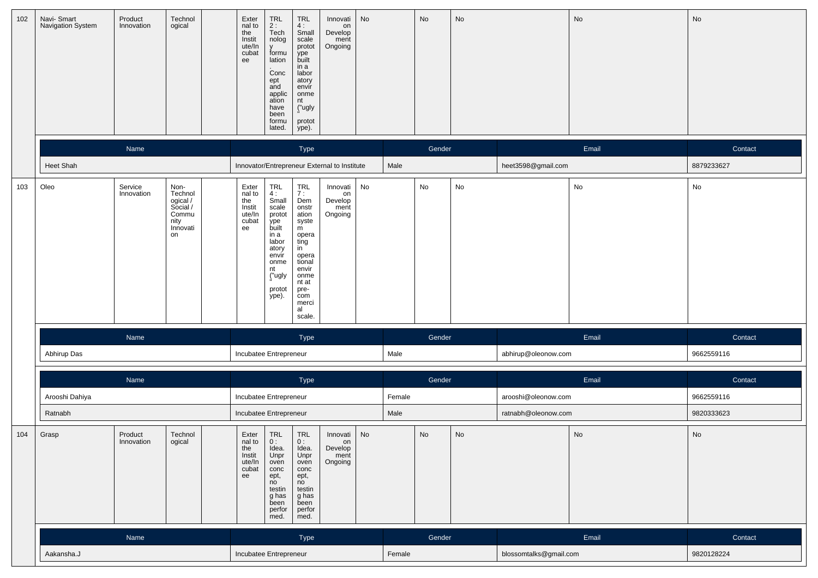| 102 | Navi- Smart<br>Navigation System | Product<br>Innovation | Technol<br>ogical                                                          | Exter<br>$n = 10$<br>the<br>Instit<br>ute/In<br>cubat<br>ee | TRL<br>2 :<br>Tech<br>nolog<br>y<br>formu<br>lation<br>Conc<br>ept<br>and<br>applic<br>ation<br>have<br>been<br>formu<br>lated.     | TRL<br>4:<br>Small<br>scale<br>protot<br>ype<br>built<br>in a<br>labor<br>atory<br>envír<br>onme<br>nt<br>("ugly<br>protot<br>ype).                                 | Innovati<br>on<br>Develop<br>ment<br>Ongoing | No |        | No     | No |                        | No    | No         |
|-----|----------------------------------|-----------------------|----------------------------------------------------------------------------|-------------------------------------------------------------|-------------------------------------------------------------------------------------------------------------------------------------|---------------------------------------------------------------------------------------------------------------------------------------------------------------------|----------------------------------------------|----|--------|--------|----|------------------------|-------|------------|
|     |                                  | Name                  |                                                                            |                                                             |                                                                                                                                     | Type                                                                                                                                                                |                                              |    |        | Gender |    |                        | Email | Contact    |
|     | <b>Heet Shah</b>                 |                       |                                                                            |                                                             |                                                                                                                                     |                                                                                                                                                                     | Innovator/Entrepreneur External to Institute |    | Male   |        |    | heet3598@gmail.com     |       | 8879233627 |
| 103 | Oleo                             | Service<br>Innovation | Non-<br>Technol<br>ogical /<br>Social /<br>Commu<br>nity<br>Innovati<br>on | Exter<br>nal to<br>the<br>Instit<br>ute/In<br>cubat<br>ee   | TRL<br>4:<br>Small<br>scale<br>protot<br>ype<br>built<br>in a<br>labor<br>atory<br>envir<br>onme<br>nt<br>("ugly<br>protot<br>ype). | <b>TRL</b><br>7:<br>Dem<br>onstr<br>ation<br>syste<br>m<br>opera<br>ting<br>in<br>opera<br>tional<br>envir<br>onme<br>nt at<br>pre-<br>com<br>merci<br>al<br>scale. | Innovati<br>on<br>Develop<br>ment<br>Ongoing | No |        | No     | No |                        | No    | No         |
|     |                                  | Name                  |                                                                            |                                                             |                                                                                                                                     | Type                                                                                                                                                                |                                              |    |        | Gender |    |                        | Email | Contact    |
|     | Abhirup Das                      |                       |                                                                            | Incubatee Entrepreneur                                      |                                                                                                                                     |                                                                                                                                                                     |                                              |    | Male   |        |    | abhirup@oleonow.com    |       | 9662559116 |
|     |                                  | Name                  |                                                                            |                                                             |                                                                                                                                     | Type                                                                                                                                                                |                                              |    |        | Gender |    |                        | Email | Contact    |
|     | Arooshi Dahiya                   |                       |                                                                            | Incubatee Entrepreneur                                      |                                                                                                                                     |                                                                                                                                                                     |                                              |    | Female |        |    | arooshi@oleonow.com    |       | 9662559116 |
|     | Ratnabh                          |                       |                                                                            | Incubatee Entrepreneur                                      |                                                                                                                                     |                                                                                                                                                                     |                                              |    | Male   |        |    | ratnabh@oleonow.com    |       | 9820333623 |
| 104 | Grasp                            | Product<br>Innovation | Technol<br>ogical                                                          | Exter<br>nal to<br>the<br>Instit<br>ute/In<br>cubat<br>ee   | TRL<br>0:<br>Idea.<br>Unpr<br>oven<br>conc<br>ept,<br>no<br>testin<br>g has<br>been<br>perfor<br>med.                               | <b>TRL</b><br>0:<br>Idea.<br>Unpr<br>oven<br>conc<br>ept,<br>no<br>testin<br>g has<br>been<br>perfor<br>med.                                                        | Innovati<br>on<br>Develop<br>ment<br>Ongoing | No |        | No     | No |                        | No    | No         |
|     |                                  | Name                  |                                                                            |                                                             |                                                                                                                                     | Type                                                                                                                                                                |                                              |    |        | Gender |    |                        | Email | Contact    |
|     | Aakansha.J                       |                       |                                                                            | Incubatee Entrepreneur                                      |                                                                                                                                     |                                                                                                                                                                     |                                              |    | Female |        |    | blossomtalks@gmail.com |       | 9820128224 |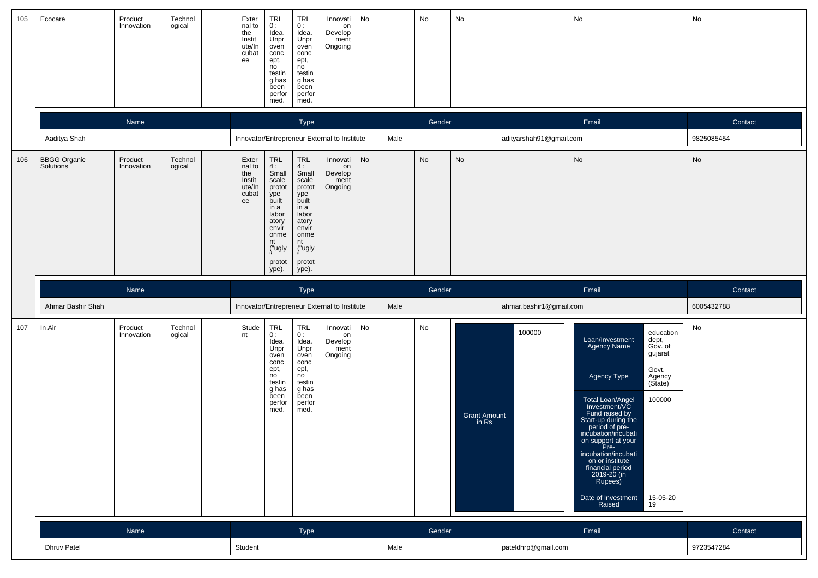| 105 | Ecocare                          | Product<br>Innovation | Technol<br>ogical | Exter<br>nal to<br>the<br>Instit<br>ute/In<br>cubat<br>ee | <b>TRL</b><br>0:<br>Idea.<br>Unpr<br>oven<br>conc<br>ept,<br>no<br>testin<br>g has<br>been<br>perfor<br>med.                        | <b>TRL</b><br>0:<br>Idea.<br>Unpr<br>oven<br>conc<br>ept,<br>no<br>testin<br>g has<br>been<br>perfor<br>med.                        | Innovati<br>on<br>Develop<br>ment<br>Ongoing | No |      | No        | No                             |                         | No                                                                                                                                                                                                                                                                                                                                                                                                                                      | No         |
|-----|----------------------------------|-----------------------|-------------------|-----------------------------------------------------------|-------------------------------------------------------------------------------------------------------------------------------------|-------------------------------------------------------------------------------------------------------------------------------------|----------------------------------------------|----|------|-----------|--------------------------------|-------------------------|-----------------------------------------------------------------------------------------------------------------------------------------------------------------------------------------------------------------------------------------------------------------------------------------------------------------------------------------------------------------------------------------------------------------------------------------|------------|
|     |                                  | Name                  |                   |                                                           |                                                                                                                                     | Type                                                                                                                                |                                              |    |      | Gender    |                                |                         | Email                                                                                                                                                                                                                                                                                                                                                                                                                                   | Contact    |
|     | Aaditya Shah                     |                       |                   |                                                           |                                                                                                                                     |                                                                                                                                     | Innovator/Entrepreneur External to Institute |    | Male |           |                                | adityarshah91@gmail.com |                                                                                                                                                                                                                                                                                                                                                                                                                                         | 9825085454 |
| 106 | <b>BBGG Organic</b><br>Solutions | Product<br>Innovation | Technol<br>ogical | Exter<br>nal to<br>the<br>Instit<br>ute/In<br>cubat<br>ee | TRL<br>4:<br>Small<br>scale<br>protot<br>ype<br>built<br>in a<br>labor<br>atory<br>envir<br>onme<br>nt<br>("ugly<br>protot<br>ype). | TRL<br>4:<br>Small<br>scale<br>protot<br>ype<br>built<br>in a<br>labor<br>atory<br>envir<br>onme<br>nt<br>("ugly<br>protot<br>ype). | Innovati<br>on<br>Develop<br>ment<br>Ongoing | No |      | <b>No</b> | No                             |                         | No                                                                                                                                                                                                                                                                                                                                                                                                                                      | No         |
|     |                                  | Name                  |                   |                                                           |                                                                                                                                     | Type                                                                                                                                |                                              |    |      | Gender    |                                |                         | Email                                                                                                                                                                                                                                                                                                                                                                                                                                   | Contact    |
|     | Ahmar Bashir Shah                |                       |                   |                                                           |                                                                                                                                     |                                                                                                                                     | Innovator/Entrepreneur External to Institute |    | Male |           |                                | ahmar.bashir1@gmail.com |                                                                                                                                                                                                                                                                                                                                                                                                                                         | 6005432788 |
| 107 | In Air                           | Product<br>Innovation | Technol<br>ogical | Stude<br>nt                                               | <b>TRL</b><br>0:<br>Idea.<br>Unpr<br>oven<br>conc<br>ept,<br>no<br>testin<br>g has<br>been<br>perfor<br>med.                        | <b>TRL</b><br>0:<br>Idea.<br>Unpr<br>oven<br>conc<br>ept,<br>no<br>testin<br>g has<br>been<br>perfor<br>med.                        | Innovati<br>on<br>Develop<br>ment<br>Ongoing | No |      | No        | <b>Grant Amount</b><br>$in$ Rs | 100000                  | education<br>Loan/Investment<br>dept,<br>Gov. of<br><b>Agency Name</b><br>gujarat<br>Govt.<br>Agency Type<br>Agency<br>(State)<br>Total Loan/Angel<br>Investment/VC<br>100000<br>Fund raised by<br>Start-up during the<br>period of pre-<br>incubation/incubati<br>on support at your<br>Pre-<br>incubation/incubati<br>on or institute<br>financial period<br>2019-20 (in<br>Rupees)<br>15-05-20<br>Date of Investment<br>Raised<br>19 | No         |
|     |                                  | Name                  |                   |                                                           |                                                                                                                                     | Type                                                                                                                                |                                              |    |      | Gender    |                                |                         | Email                                                                                                                                                                                                                                                                                                                                                                                                                                   | Contact    |
|     | <b>Dhruv Patel</b>               |                       |                   | Student                                                   |                                                                                                                                     |                                                                                                                                     |                                              |    | Male |           |                                | pateldhrp@gmail.com     |                                                                                                                                                                                                                                                                                                                                                                                                                                         | 9723547284 |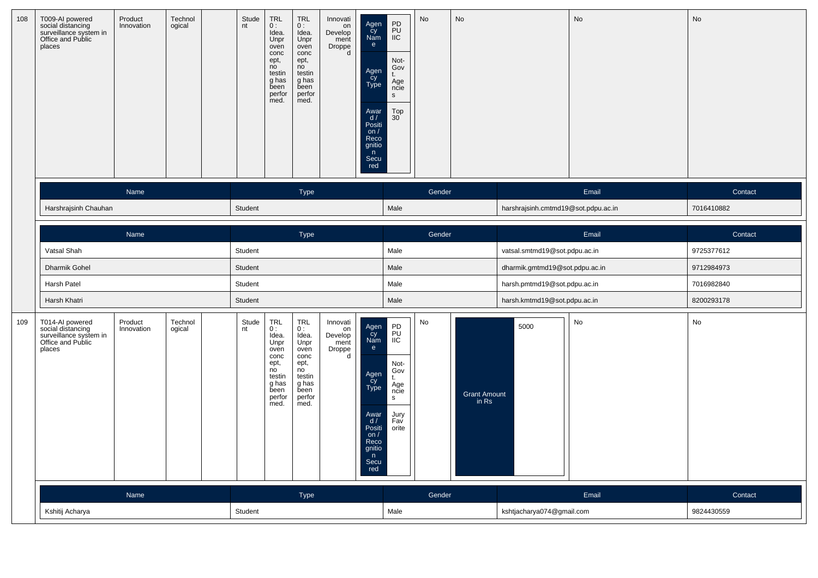| 108 | T009-AI powered<br>social distancing<br>surveillance system in<br>Office and Public<br>places | Product<br>Innovation | Technol<br>ogical | Stude<br>nt | <b>TRL</b><br>0:<br>Idea.<br>Unpr<br>oven<br>conc<br>ept,<br>no<br>testin<br>g has<br>been<br>perfor<br>med. | <b>TRL</b><br>0:<br>Idea.<br>Unpr<br>oven<br>conc<br>ept,<br>n <sub>o</sub><br>testin<br>g has<br>been<br>perfor<br>med. | Innovati<br>on<br>Develop<br>ment<br>Droppe<br>d | Agen<br>Cy<br>Nam<br>e<br>Agen<br>cy<br>Type<br>Awar<br>$\frac{d}{dx}$<br>on $/$<br>Reco<br>gnitio<br>n<br>Secu<br>red | PD<br>PU<br>IIC<br>Not-<br>Gov<br>t.<br>Age<br>ncie<br>$\mathbf{s}$<br>Top<br>$30^{\degree}$ | No     | No                    |                                     | No    | No         |
|-----|-----------------------------------------------------------------------------------------------|-----------------------|-------------------|-------------|--------------------------------------------------------------------------------------------------------------|--------------------------------------------------------------------------------------------------------------------------|--------------------------------------------------|------------------------------------------------------------------------------------------------------------------------|----------------------------------------------------------------------------------------------|--------|-----------------------|-------------------------------------|-------|------------|
|     |                                                                                               | Name                  |                   |             |                                                                                                              | <b>Type</b>                                                                                                              |                                                  |                                                                                                                        |                                                                                              | Gender |                       |                                     | Email | Contact    |
|     | Harshrajsinh Chauhan                                                                          |                       |                   | Student     |                                                                                                              |                                                                                                                          |                                                  |                                                                                                                        | Male                                                                                         |        |                       | harshrajsinh.cmtmd19@sot.pdpu.ac.in |       | 7016410882 |
|     |                                                                                               | Name                  |                   |             |                                                                                                              | Type                                                                                                                     |                                                  |                                                                                                                        |                                                                                              | Gender |                       |                                     | Email | Contact    |
|     | Vatsal Shah                                                                                   |                       |                   | Student     |                                                                                                              |                                                                                                                          |                                                  |                                                                                                                        | Male                                                                                         |        |                       | vatsal.smtmd19@sot.pdpu.ac.in       |       | 9725377612 |
|     | Dharmik Gohel                                                                                 |                       |                   | Student     |                                                                                                              |                                                                                                                          |                                                  |                                                                                                                        | Male                                                                                         |        |                       | dharmik.gmtmd19@sot.pdpu.ac.in      |       | 9712984973 |
|     | Harsh Patel                                                                                   |                       |                   | Student     |                                                                                                              |                                                                                                                          |                                                  |                                                                                                                        | Male                                                                                         |        |                       | harsh.pmtmd19@sot.pdpu.ac.in        |       | 7016982840 |
|     | Harsh Khatri                                                                                  |                       |                   | Student     |                                                                                                              |                                                                                                                          |                                                  |                                                                                                                        | Male                                                                                         |        |                       | harsh.kmtmd19@sot.pdpu.ac.in        |       | 8200293178 |
| 109 | T014-AI powered<br>social distancing<br>surveillance system in<br>Office and Public<br>places | Product<br>Innovation | Technol<br>ogical | Stude<br>nt | TRL<br>0:<br>Idea.<br>Unpr<br>oven<br>conc<br>ept,<br>no<br>testin<br>g has<br>been<br>perfor<br>med.        | TRL<br>0:<br>Idea.<br>Unpr<br>oven<br>conc<br>ept,<br>no<br>testin<br>g has<br>been<br>perfor<br>med.                    | Innovati<br>on<br>Develop<br>ment<br>Droppe<br>d | Agen<br>Cy<br>Nam<br>e<br>Agen<br>Cy<br>Type<br>Awar<br>d/<br>Positi<br>on $/$<br>Reco<br>gnitio<br>n<br>Secu<br>red   | PD<br>PU<br>IIC<br>Not-<br>Gov<br>t.<br>Age<br>ncie<br>S.<br>Jury<br>Fav<br>orite            | No     | Grant Amount<br>in Rs | 5000                                | No    | No         |
|     |                                                                                               | Name                  |                   |             |                                                                                                              | <b>Type</b>                                                                                                              |                                                  |                                                                                                                        |                                                                                              | Gender |                       |                                     | Email | Contact    |
|     | Kshitij Acharya                                                                               |                       |                   | Student     |                                                                                                              |                                                                                                                          |                                                  |                                                                                                                        | Male                                                                                         |        |                       | kshtjacharya074@gmail.com           |       | 9824430559 |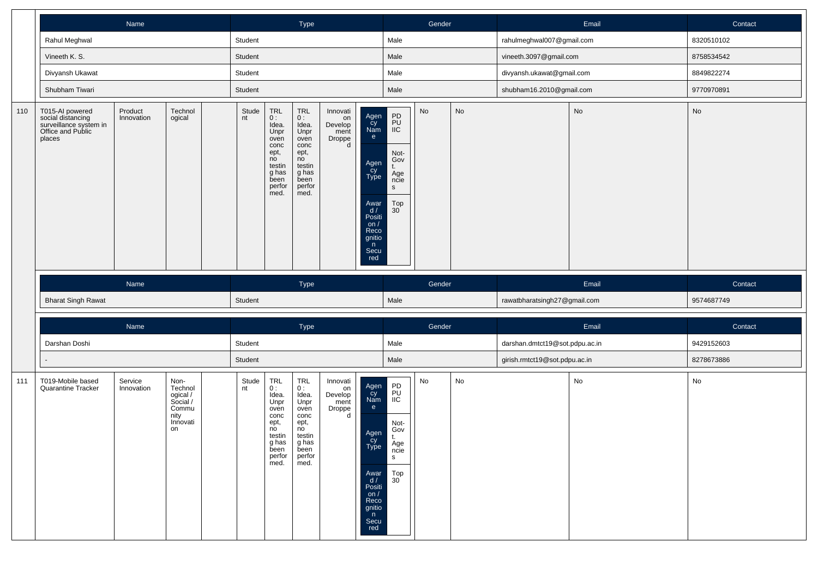|     |                                                                                               | Name                  |                   |             |                                                                                                       | Type                                                                                                  |                                                  |                                                                                                                                                                                                                                 | Gender |    |                                | Email | Contact       |
|-----|-----------------------------------------------------------------------------------------------|-----------------------|-------------------|-------------|-------------------------------------------------------------------------------------------------------|-------------------------------------------------------------------------------------------------------|--------------------------------------------------|---------------------------------------------------------------------------------------------------------------------------------------------------------------------------------------------------------------------------------|--------|----|--------------------------------|-------|---------------|
|     | Rahul Meghwal                                                                                 |                       |                   | Student     |                                                                                                       |                                                                                                       |                                                  | Male                                                                                                                                                                                                                            |        |    | rahulmeghwal007@gmail.com      |       | 8320510102    |
|     | Vineeth K. S.                                                                                 |                       |                   | Student     |                                                                                                       |                                                                                                       |                                                  | Male                                                                                                                                                                                                                            |        |    | vineeth.3097@gmail.com         |       | 8758534542    |
|     | Divyansh Ukawat                                                                               |                       |                   | Student     |                                                                                                       |                                                                                                       |                                                  | Male                                                                                                                                                                                                                            |        |    | divyansh.ukawat@gmail.com      |       | 8849822274    |
|     | Shubham Tiwari                                                                                |                       |                   | Student     |                                                                                                       |                                                                                                       |                                                  | Male                                                                                                                                                                                                                            |        |    | shubham16.2010@gmail.com       |       | 9770970891    |
| 110 | T015-AI powered<br>social distancing<br>surveillance system in<br>Office and Public<br>places | Product<br>Innovation | Technol<br>ogical | Stude<br>nt | TRL<br>0:<br>Idea.<br>Unpr<br>oven<br>conc<br>ept,<br>no<br>testin<br>g has<br>been<br>perfor<br>med. | TRL<br>0:<br>Idea.<br>Unpr<br>oven<br>conc<br>ept,<br>no<br>testin<br>g has<br>been<br>perfor<br>med. | Innovati<br>on<br>Develop<br>ment<br>Droppe<br>d | PD<br>PU<br>IIC<br>Agen<br>Cy<br>Nam<br>e<br>Not-<br>Gov<br>Agen<br>Cy<br>Type<br>t.<br>Age<br>ncie<br>$\mathsf{s}$<br>Top<br>Awar<br>$\frac{d}{dx}$<br>Positi<br>on /<br>30 <sup>°</sup><br>Reco<br>gnitio<br>n<br>Secu<br>red | No     | No |                                | No    | $\mathsf{No}$ |
|     |                                                                                               |                       |                   |             |                                                                                                       |                                                                                                       |                                                  |                                                                                                                                                                                                                                 |        |    |                                |       |               |
|     |                                                                                               | Name                  |                   |             |                                                                                                       | Type                                                                                                  |                                                  |                                                                                                                                                                                                                                 | Gender |    |                                | Email | Contact       |
|     | <b>Bharat Singh Rawat</b>                                                                     |                       |                   | Student     |                                                                                                       |                                                                                                       |                                                  | Male                                                                                                                                                                                                                            |        |    | rawatbharatsingh27@gmail.com   |       | 9574687749    |
|     |                                                                                               | Name                  |                   |             |                                                                                                       | Type                                                                                                  |                                                  |                                                                                                                                                                                                                                 | Gender |    |                                | Email | Contact       |
|     | Darshan Doshi                                                                                 |                       |                   | Student     |                                                                                                       |                                                                                                       |                                                  | Male                                                                                                                                                                                                                            |        |    | darshan.dmtct19@sot.pdpu.ac.in |       | 9429152603    |
|     |                                                                                               |                       |                   | Student     |                                                                                                       |                                                                                                       |                                                  | Male                                                                                                                                                                                                                            |        |    | girish.rmtct19@sot.pdpu.ac.in  |       | 8278673886    |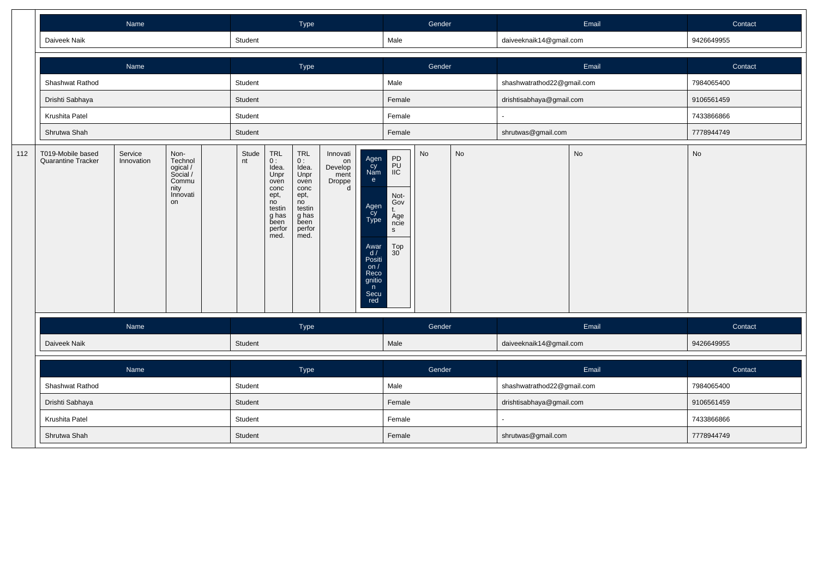|     |                                                | Name                                                                                                |  |         |  | Type                                                                                                         |                                                  |                                                                                                                   |                                                                                | Gender    |           |                            | Email     | Contact    |
|-----|------------------------------------------------|-----------------------------------------------------------------------------------------------------|--|---------|--|--------------------------------------------------------------------------------------------------------------|--------------------------------------------------|-------------------------------------------------------------------------------------------------------------------|--------------------------------------------------------------------------------|-----------|-----------|----------------------------|-----------|------------|
|     | Daiveek Naik                                   |                                                                                                     |  | Student |  |                                                                                                              |                                                  |                                                                                                                   | Male                                                                           |           |           | daiveeknaik14@gmail.com    |           | 9426649955 |
|     |                                                | Name                                                                                                |  |         |  | Type                                                                                                         |                                                  |                                                                                                                   |                                                                                | Gender    |           |                            | Email     | Contact    |
|     | Shashwat Rathod                                |                                                                                                     |  | Student |  |                                                                                                              |                                                  |                                                                                                                   | Male                                                                           |           |           | shashwatrathod22@gmail.com |           | 7984065400 |
|     | Drishti Sabhaya                                |                                                                                                     |  | Student |  |                                                                                                              |                                                  |                                                                                                                   | Female                                                                         |           |           | drishtisabhaya@gmail.com   |           | 9106561459 |
|     | Krushita Patel                                 |                                                                                                     |  | Student |  |                                                                                                              |                                                  |                                                                                                                   | Female                                                                         |           |           |                            |           | 7433866866 |
|     | Shrutwa Shah                                   |                                                                                                     |  | Student |  |                                                                                                              |                                                  |                                                                                                                   | Female                                                                         |           |           | shrutwas@gmail.com         |           | 7778944749 |
| 112 | T019-Mobile based<br><b>Quarantine Tracker</b> | Service<br>Non-<br>Technol<br>Innovation<br>ogical /<br>Social /<br>Commu<br>nity<br>Innovati<br>on |  |         |  | <b>TRL</b><br>0:<br>Idea.<br>Unpr<br>oven<br>conc<br>ept,<br>no<br>testin<br>g has<br>been<br>perfor<br>med. | Innovati<br>on<br>Develop<br>ment<br>Droppe<br>d | Agen<br>Cy<br>Nam<br>e<br>Agen<br>cy<br>Type<br>Awar<br>d/<br>Positi<br>on/<br>Reco<br>gnitio<br>n<br>Secu<br>red | PD<br>PU<br>IIC<br>Not-<br>Gov<br>Age<br>ncie<br>$\mathbf{s}$<br>$_{30}^{Top}$ | <b>No</b> | <b>No</b> |                            | <b>No</b> | No         |
|     |                                                | Name                                                                                                |  |         |  | Type                                                                                                         |                                                  |                                                                                                                   |                                                                                | Gender    |           |                            | Email     | Contact    |
|     | Daiveek Naik                                   |                                                                                                     |  | Student |  |                                                                                                              |                                                  |                                                                                                                   | Male                                                                           |           |           | daiveeknaik14@gmail.com    |           | 9426649955 |
|     |                                                | Name                                                                                                |  |         |  | Type                                                                                                         |                                                  |                                                                                                                   |                                                                                | Gender    |           |                            | Email     | Contact    |
|     | Shashwat Rathod                                |                                                                                                     |  | Student |  |                                                                                                              |                                                  |                                                                                                                   | Male                                                                           |           |           | shashwatrathod22@gmail.com |           | 7984065400 |
|     | Drishti Sabhaya                                |                                                                                                     |  | Student |  |                                                                                                              |                                                  |                                                                                                                   | Female                                                                         |           |           | drishtisabhaya@gmail.com   |           | 9106561459 |
|     | Krushita Patel                                 |                                                                                                     |  | Student |  |                                                                                                              |                                                  |                                                                                                                   | Female                                                                         |           |           |                            |           | 7433866866 |
|     | Shrutwa Shah                                   |                                                                                                     |  | Student |  |                                                                                                              |                                                  |                                                                                                                   | Female                                                                         |           |           | shrutwas@gmail.com         |           | 7778944749 |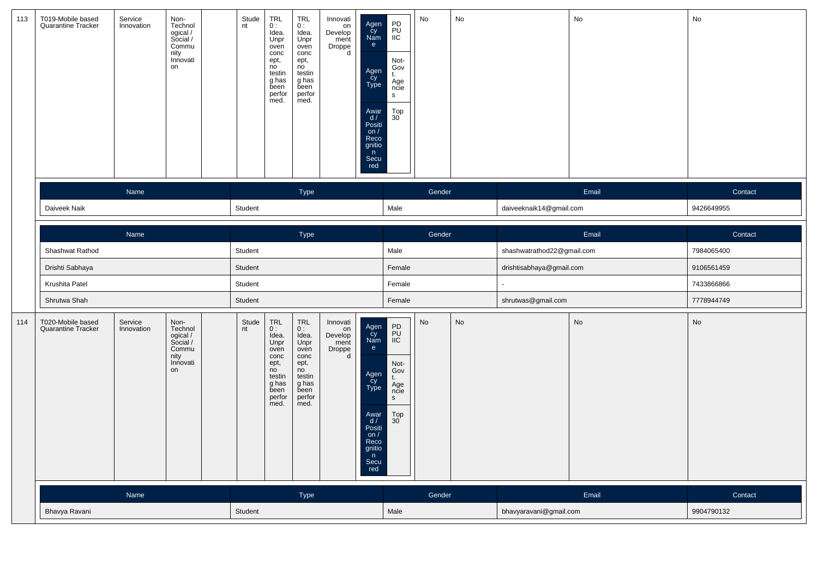| 113 | T019-Mobile based<br>Quarantine Tracker | Service<br>Innovation | Non-<br>Technol<br>ogical /<br>Social /<br>Commu<br>nity<br>Innovati<br>on | Stude<br>nt | TRL<br>0:<br>Idea.<br>Unpr<br>oven<br>conc<br>ept,<br>no<br>testin<br>g has<br>been<br>perfor<br>med.        | <b>TRL</b><br>0:<br>Idea.<br>Unpr<br>oven<br>conc<br>ept,<br>no<br>testin<br>g has<br>been<br>perfor<br>med. | Innovati<br>on<br>Develop<br>ment<br>Droppe<br>d | Agen<br>Cy<br>Nam<br>$\mathbf{e}$<br>Agen<br>Cy<br>Type<br>Awar<br>d/<br>Posiți<br>on $/$<br>Reco<br>gnitio<br>n<br>Secu<br>red | PD<br>PU<br>IIC<br>Not-<br>Gov<br>t.<br>Age<br>ncie<br>$\mathbf{s}$<br>$^{Top}_{30}$ | No     | No |                            | No    | No         |
|-----|-----------------------------------------|-----------------------|----------------------------------------------------------------------------|-------------|--------------------------------------------------------------------------------------------------------------|--------------------------------------------------------------------------------------------------------------|--------------------------------------------------|---------------------------------------------------------------------------------------------------------------------------------|--------------------------------------------------------------------------------------|--------|----|----------------------------|-------|------------|
|     |                                         | Name                  |                                                                            |             |                                                                                                              | Type                                                                                                         |                                                  |                                                                                                                                 |                                                                                      | Gender |    |                            | Email | Contact    |
|     | Daiveek Naik                            |                       |                                                                            | Student     |                                                                                                              |                                                                                                              |                                                  |                                                                                                                                 | Male                                                                                 |        |    | daiveeknaik14@gmail.com    |       | 9426649955 |
|     |                                         | Name                  |                                                                            |             |                                                                                                              | Type                                                                                                         |                                                  |                                                                                                                                 |                                                                                      | Gender |    |                            | Email | Contact    |
|     | Shashwat Rathod                         |                       |                                                                            | Student     |                                                                                                              |                                                                                                              |                                                  |                                                                                                                                 | Male                                                                                 |        |    | shashwatrathod22@gmail.com |       | 7984065400 |
|     | Drishti Sabhaya                         |                       |                                                                            | Student     |                                                                                                              |                                                                                                              |                                                  |                                                                                                                                 | Female                                                                               |        |    | drishtisabhaya@gmail.com   |       | 9106561459 |
|     | Krushita Patel                          |                       |                                                                            | Student     |                                                                                                              |                                                                                                              |                                                  |                                                                                                                                 | Female                                                                               |        |    |                            |       | 7433866866 |
|     | Shrutwa Shah                            |                       |                                                                            | Student     |                                                                                                              |                                                                                                              |                                                  |                                                                                                                                 | Female                                                                               |        |    | shrutwas@gmail.com         |       | 7778944749 |
| 114 | T020-Mobile based<br>Quarantine Tracker | Service<br>Innovation | Non-<br>Technol<br>ogical /<br>Social /<br>Commu<br>nity<br>Innovati<br>on | Stude<br>nt | <b>TRL</b><br>0:<br>Idea.<br>Unpr<br>oven<br>conc<br>ept,<br>no<br>testin<br>g has<br>been<br>perfor<br>med. | <b>TRL</b><br>0:<br>Idea.<br>Unpr<br>oven<br>conc<br>ept,<br>no<br>testin<br>g has<br>been<br>perfor<br>med. | Innovati<br>on<br>Develop<br>ment<br>Droppe<br>d | Agen<br>Cy<br>Nam<br>$\mathsf{e}$<br>Agen<br>Cy<br>Type<br>Awar<br>d /<br>Positi<br>Reco<br>gnitio<br>n<br>Secu<br>red          | PD<br>PU<br>IIC<br>Not-<br>Gov<br>t.<br>Äge<br>ncie<br>S<br>$_{30}^{Top}$            | No     | No |                            | No    | No         |
|     |                                         | Name                  |                                                                            |             |                                                                                                              | Type                                                                                                         |                                                  |                                                                                                                                 |                                                                                      | Gender |    |                            | Email | Contact    |
|     | Bhavya Ravani                           |                       |                                                                            | Student     |                                                                                                              |                                                                                                              |                                                  |                                                                                                                                 | Male                                                                                 |        |    | bhavyaravani@gmail.com     |       | 9904790132 |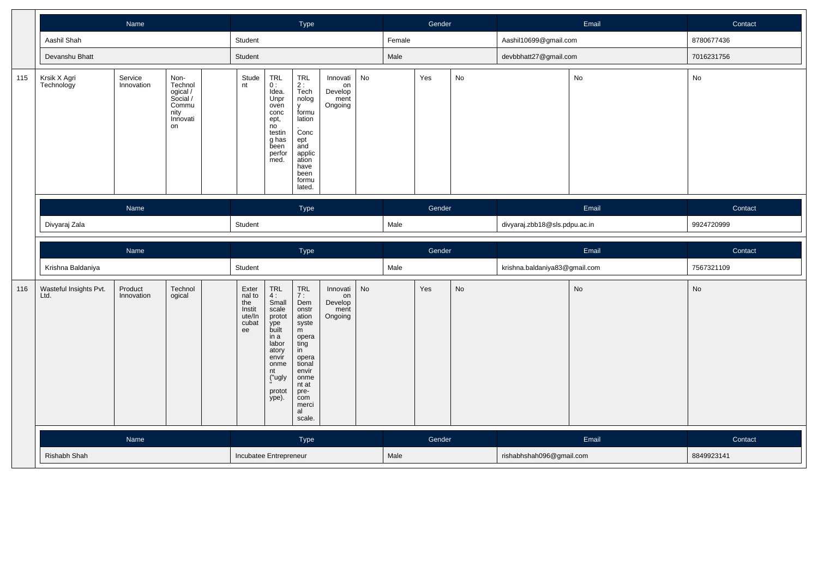|     |                                                                 |                                                                                                                              |  |  | Type                                                      |                                                                                                                                                                       |                                                                                                                                                                     |                                              | Gender |        |        | Email | Contact                       |       |                              |
|-----|-----------------------------------------------------------------|------------------------------------------------------------------------------------------------------------------------------|--|--|-----------------------------------------------------------|-----------------------------------------------------------------------------------------------------------------------------------------------------------------------|---------------------------------------------------------------------------------------------------------------------------------------------------------------------|----------------------------------------------|--------|--------|--------|-------|-------------------------------|-------|------------------------------|
|     | Aashil Shah                                                     |                                                                                                                              |  |  | Student                                                   |                                                                                                                                                                       |                                                                                                                                                                     |                                              |        | Female |        |       | Aashil10699@gmail.com         |       | 8780677436                   |
|     | Devanshu Bhatt                                                  |                                                                                                                              |  |  | Student                                                   |                                                                                                                                                                       |                                                                                                                                                                     |                                              |        | Male   |        |       | devbbhatt27@gmail.com         |       | 7016231756                   |
| 115 | Krsik X Agri<br>Technology                                      | Service<br>Non-<br>Innovation<br>Technol<br>ogical /<br>Social /<br>Commu<br>nity<br>Innovati<br>on<br>Name<br>Divyaraj Zala |  |  | Stude<br>nt                                               | TRL<br>0:<br>Idea.<br>Unpr<br>oven<br>conc<br>ept,<br>no<br>testin<br>g has<br>been<br>perfor<br>med.                                                                 | <b>TRL</b><br>$2:$<br>Tech<br>nolog<br><b>V</b><br>formu<br>lation<br>.<br>Conc<br>ept<br>and<br>applic<br>ation<br>have<br>been<br>formu<br>lated.                 | Innovati<br>on<br>Develop<br>ment<br>Ongoing | No     |        | Yes    | No    |                               | No    | No                           |
|     |                                                                 |                                                                                                                              |  |  |                                                           |                                                                                                                                                                       | Type                                                                                                                                                                |                                              |        |        | Gender |       |                               | Email | Contact                      |
|     |                                                                 |                                                                                                                              |  |  | Student                                                   |                                                                                                                                                                       |                                                                                                                                                                     |                                              |        | Male   |        |       | divyaraj.zbb18@sls.pdpu.ac.in |       | 9924720999                   |
|     |                                                                 |                                                                                                                              |  |  |                                                           |                                                                                                                                                                       |                                                                                                                                                                     |                                              |        |        |        |       |                               |       |                              |
|     | Name                                                            |                                                                                                                              |  |  |                                                           |                                                                                                                                                                       | Type                                                                                                                                                                |                                              |        |        | Gender |       |                               | Email | Contact                      |
|     | Krishna Baldaniya<br>Product<br>Technol<br>ogical<br>Innovation |                                                                                                                              |  |  | Student                                                   |                                                                                                                                                                       |                                                                                                                                                                     |                                              |        | Male   |        |       | krishna.baldaniya83@gmail.com |       | 7567321109                   |
| 116 | Wasteful Insights Pvt.<br>Ltd.                                  |                                                                                                                              |  |  | Exter<br>nal to<br>the<br>Instit<br>ute/In<br>cubat<br>ee | $\begin{array}{c}\nTRL \\ 4: \n\end{array}$<br>Small<br>scale<br>protot<br>ype<br>built<br>in a<br>labor<br>atory<br>envir<br>onme<br>nt<br>("ugly<br>protot<br>ype). | <b>TRL</b><br>7:<br>Dem<br>onstr<br>ation<br>syste<br>m<br>opera<br>ting<br>in<br>opera<br>tional<br>envir<br>onme<br>nt at<br>pre-<br>com<br>merci<br>al<br>scale. | Innovati<br>on<br>Develop<br>ment<br>Ongoing | No     |        | Yes    | No    |                               | No    | $\operatorname{\mathsf{No}}$ |
|     |                                                                 | Name                                                                                                                         |  |  |                                                           |                                                                                                                                                                       | Type                                                                                                                                                                |                                              |        |        | Gender |       |                               | Email | Contact                      |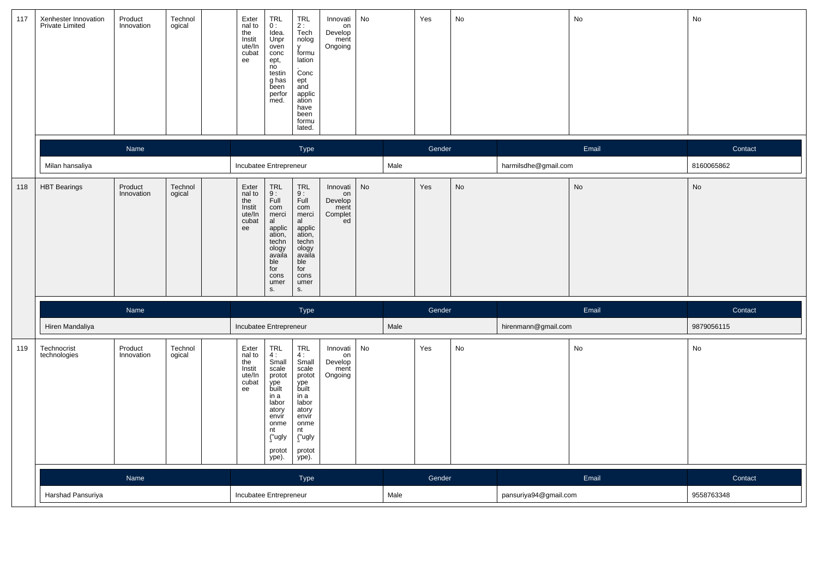| 117 | Xenhester Innovation<br><b>Private Limited</b> | Product<br>Innovation | Technol<br>ogical | Exter<br>nal to<br>the<br>Instit<br>ute/In<br>cubat<br>ee     | <b>TRL</b><br>0:<br>u.<br>Idea.<br>Unpr<br>oven<br>conc<br>ept,<br>no<br>testin<br>g has<br>been<br>perfor<br>med.                       | TRL<br>2 :<br>Tech<br>nolog<br>y<br>formu<br>lation<br>Conc<br>ept<br>and<br>applic<br>ation<br>have<br>been<br>formu<br>lated.              | Innovati<br>on<br>Develop<br>ment<br>Ongoing       | No |      | Yes    | No |                       | $\operatorname{\mathsf{No}}$ | No         |
|-----|------------------------------------------------|-----------------------|-------------------|---------------------------------------------------------------|------------------------------------------------------------------------------------------------------------------------------------------|----------------------------------------------------------------------------------------------------------------------------------------------|----------------------------------------------------|----|------|--------|----|-----------------------|------------------------------|------------|
|     |                                                | Name                  |                   |                                                               |                                                                                                                                          | Type                                                                                                                                         |                                                    |    |      | Gender |    |                       | Email                        | Contact    |
|     | Milan hansaliya                                |                       |                   | Incubatee Entrepreneur                                        |                                                                                                                                          |                                                                                                                                              |                                                    |    | Male |        |    | harmilsdhe@gmail.com  |                              | 8160065862 |
| 118 | <b>HBT</b> Bearings                            | Product<br>Innovation | Technol<br>ogical | Exter<br>nal to<br>$the$<br>$Instit$<br>ute/In<br>cubat<br>ee | TRL<br>9 :<br>Full<br>com<br>merci<br>al<br>applic<br>ation,<br>techn<br>ology<br>availa<br>ble<br>for<br>cons<br>umer<br>S.             | <b>TRL</b><br>$\frac{9}{1}$<br>com<br>merci<br>al<br>applic<br>ation,<br>techn<br>ology<br>availa<br>ble<br>for<br>cons<br>umer<br>S.        | Innovati<br>on<br>Develop<br>ment<br>Complet<br>ed | No |      | Yes    | No |                       | No                           | No         |
|     |                                                | Name                  |                   |                                                               |                                                                                                                                          | Type                                                                                                                                         |                                                    |    |      | Gender |    |                       | Email                        | Contact    |
|     | Hiren Mandaliya                                |                       |                   |                                                               | Incubatee Entrepreneur                                                                                                                   |                                                                                                                                              |                                                    |    | Male |        |    | hirenmann@gmail.com   |                              | 9879056115 |
| 119 | Technocrist<br>technologies                    | Product<br>Innovation | Technol<br>ogical | Exter<br>nal to<br>the<br>Instit<br>ute/In<br>cubat<br>ee     | TRL<br>$4:$<br>Small<br>scale<br>protot<br>ype<br>built<br>in a<br>labor<br>atory<br>envir<br>onme<br>nt<br>("ugly<br>protot<br>$ype)$ . | <b>TRL</b><br>$\frac{4}{3}$<br>scale<br>protot<br>ype<br>built<br>in a<br>labor<br>atory<br>envir<br>onme<br>nt<br>("ugly<br>protot<br>ype). | Innovati<br>on<br>Develop<br>ment<br>Ongoing       | No |      | Yes    | No |                       | No                           | No         |
|     |                                                | Name                  |                   |                                                               |                                                                                                                                          | Type                                                                                                                                         |                                                    |    |      | Gender |    |                       | Email                        | Contact    |
|     | Harshad Pansuriya                              |                       |                   |                                                               | Incubatee Entrepreneur                                                                                                                   |                                                                                                                                              |                                                    |    | Male |        |    | pansuriya94@gmail.com |                              | 9558763348 |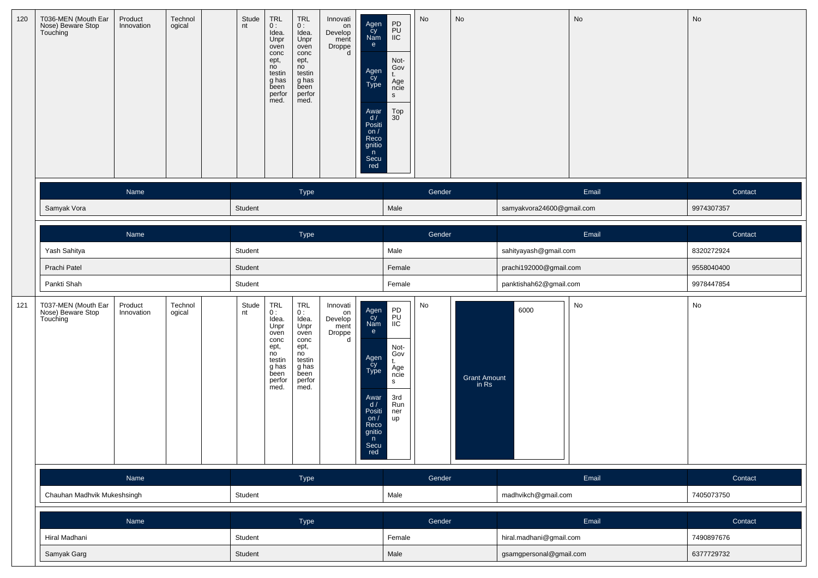| 120 | T036-MEN (Mouth Ear<br>Nose) Beware Stop<br>Touching | Product<br>Innovation | Technol<br>ogical | Stude<br>nt | TRL<br>0:<br>Idea.<br>Unpr<br>oven<br>conc<br>ept,<br>no<br>testin<br>g has<br>been<br>perfor<br>med.     | <b>TRL</b><br>0:<br>Idea.<br>Unpr<br>oven<br>conc<br>ept,<br>no<br>testin<br>g has<br>been<br>perfor<br>med. | Innovati<br>on<br>Develop<br>ment<br>Droppe<br>d | Agen<br>Cy<br>Nam<br>e<br>Agen<br>Cy<br>Type<br>Awar<br>$\frac{d}{dx}$<br>on $/$<br>Reco<br>gnitio<br>n<br>Secu<br>red | $\begin{array}{c} \text{PD} \\ \text{PU} \\ \text{IIC} \end{array}$<br>Not-<br>Gov<br>t.<br>Age<br>ncie<br>S<br>$_{30}^{Top}$ | $\mathsf{No}$ | No                           |                           | No    | No         |
|-----|------------------------------------------------------|-----------------------|-------------------|-------------|-----------------------------------------------------------------------------------------------------------|--------------------------------------------------------------------------------------------------------------|--------------------------------------------------|------------------------------------------------------------------------------------------------------------------------|-------------------------------------------------------------------------------------------------------------------------------|---------------|------------------------------|---------------------------|-------|------------|
|     |                                                      | Name                  |                   |             |                                                                                                           | Type                                                                                                         |                                                  |                                                                                                                        |                                                                                                                               | Gender        |                              |                           | Email | Contact    |
|     | Samyak Vora                                          |                       |                   | Student     |                                                                                                           |                                                                                                              |                                                  |                                                                                                                        | Male                                                                                                                          |               |                              | samyakvora24600@gmail.com |       | 9974307357 |
|     |                                                      | Name                  |                   |             |                                                                                                           | Type                                                                                                         |                                                  |                                                                                                                        |                                                                                                                               | Gender        |                              |                           | Email | Contact    |
|     | Yash Sahitya                                         |                       |                   | Student     |                                                                                                           |                                                                                                              |                                                  |                                                                                                                        | Male                                                                                                                          |               |                              | sahityayash@gmail.com     |       | 8320272924 |
|     | Prachi Patel                                         |                       |                   | Student     |                                                                                                           |                                                                                                              |                                                  |                                                                                                                        | Female                                                                                                                        |               |                              | prachi192000@gmail.com    |       | 9558040400 |
|     | Pankti Shah                                          |                       |                   | Student     |                                                                                                           |                                                                                                              |                                                  |                                                                                                                        | Female                                                                                                                        |               |                              | panktishah62@gmail.com    |       | 9978447854 |
| 121 | T037-MEN (Mouth Ear<br>Nose) Beware Stop<br>Touching | Product<br>Innovation | Technol<br>ogical | Stude<br>nt | $TRL$<br>$0:$<br>Idea.<br>Unpr<br>oven<br>conc<br>ept,<br>no<br>testin<br>g has<br>been<br>perfor<br>med. | <b>TRL</b><br>0:<br>Idea.<br>Unpr<br>oven<br>conc<br>ept,<br>no<br>testin<br>g has<br>been<br>perfor<br>med. | Innovati<br>on<br>Develop<br>ment<br>Droppe<br>d | Agen<br>Cy<br>Nam<br>e<br>Agen<br>Cy<br>Type<br>Awar<br>d/<br>Positi<br>on $/$<br>Reco<br>gnitio<br>n<br>Secu<br>red   | PD<br>PU<br>IIC<br>Not-<br>Gov<br>t.<br>Age<br>ncie<br>S.<br>3rd<br>Run<br>ner<br>up                                          | No            | <b>Grant Amount</b><br>in Rs | 6000                      | No    | No         |
|     |                                                      | Name                  |                   |             |                                                                                                           | Type                                                                                                         |                                                  |                                                                                                                        |                                                                                                                               | Gender        |                              |                           | Email | Contact    |
|     | Chauhan Madhvik Mukeshsingh                          |                       |                   | Student     |                                                                                                           |                                                                                                              |                                                  |                                                                                                                        | Male                                                                                                                          |               |                              | madhvikch@gmail.com       |       | 7405073750 |
|     |                                                      | Name                  |                   |             |                                                                                                           | Type                                                                                                         |                                                  |                                                                                                                        |                                                                                                                               | Gender        |                              |                           | Email | Contact    |
|     | Hiral Madhani                                        |                       |                   | Student     |                                                                                                           |                                                                                                              |                                                  |                                                                                                                        | Female                                                                                                                        |               |                              | hiral.madhani@gmail.com   |       | 7490897676 |
|     | Samyak Garg                                          |                       |                   | Student     |                                                                                                           |                                                                                                              |                                                  |                                                                                                                        | Male                                                                                                                          |               |                              | gsamgpersonal@gmail.com   |       | 6377729732 |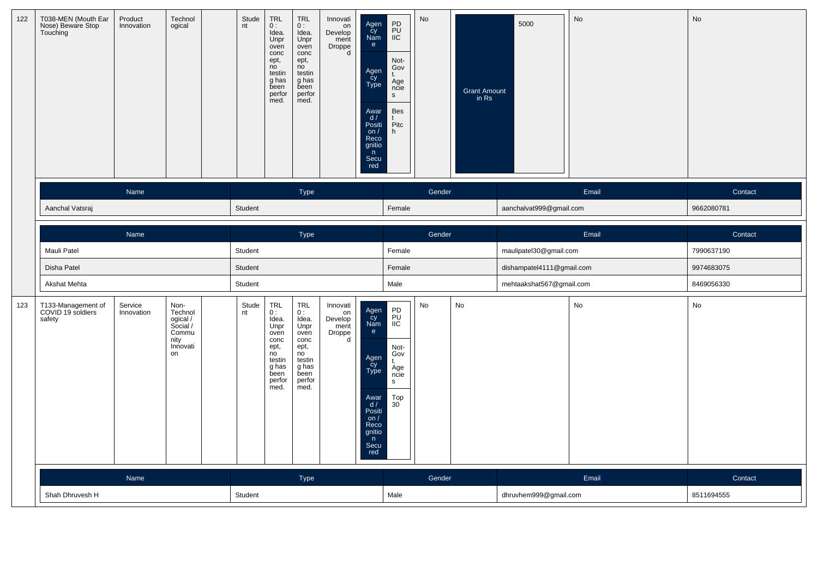| 122 | T038-MEN (Mouth Ear<br>Nose) Beware Stop<br>Touching | Product<br>Innovation | Technol<br>ogical                                                          | Stude<br>nt | <b>TRL</b><br>0:<br>Idea.<br>Unpr<br>oven<br>conc<br>ept,<br>no<br>testin<br>g has<br>been<br>perfor<br>med. | <b>TRL</b><br>0:<br>Idea.<br>Unpr<br>oven<br>conc<br>ept,<br>no<br>testin<br>g has<br>been<br>perfor<br>med. | Innovati<br>on<br>Develop<br>ment<br>Droppe<br>d | Agen<br>Cy<br>Nam<br>e<br>Agen<br>cy<br>Type<br>Awar<br>d /<br>Posiți<br>on $/$<br>Reco<br>gnitio<br>n<br>Secu<br>red              | PD<br>PU<br>IIC<br>Not-<br>$Gov$<br>$t$ .<br>Äge<br>ncie<br>${\sf S}$<br>Bes<br>t<br>Pitc<br>h | No     | Grant Amount<br>in Rs | 5000                      | <b>No</b> | No         |
|-----|------------------------------------------------------|-----------------------|----------------------------------------------------------------------------|-------------|--------------------------------------------------------------------------------------------------------------|--------------------------------------------------------------------------------------------------------------|--------------------------------------------------|------------------------------------------------------------------------------------------------------------------------------------|------------------------------------------------------------------------------------------------|--------|-----------------------|---------------------------|-----------|------------|
|     |                                                      | Name                  |                                                                            |             |                                                                                                              | Type                                                                                                         |                                                  |                                                                                                                                    |                                                                                                | Gender |                       |                           | Email     | Contact    |
|     | Aanchal Vatsraj                                      |                       |                                                                            | Student     |                                                                                                              |                                                                                                              |                                                  |                                                                                                                                    | Female                                                                                         |        |                       | aanchalvat999@gmail.com   |           | 9662080781 |
|     |                                                      | Name                  |                                                                            |             |                                                                                                              | Type                                                                                                         |                                                  |                                                                                                                                    |                                                                                                | Gender |                       |                           | Email     | Contact    |
|     | Mauli Patel                                          |                       |                                                                            | Student     |                                                                                                              |                                                                                                              |                                                  |                                                                                                                                    | Female                                                                                         |        |                       | maulipatel30@gmail.com    |           | 7990637190 |
|     | Disha Patel                                          |                       |                                                                            | Student     |                                                                                                              |                                                                                                              |                                                  |                                                                                                                                    | Female                                                                                         |        |                       | dishampatel4111@gmail.com |           | 9974683075 |
|     | Akshat Mehta                                         |                       |                                                                            | Student     |                                                                                                              |                                                                                                              |                                                  |                                                                                                                                    | Male                                                                                           |        |                       | mehtaakshat567@gmail.com  |           | 8469056330 |
| 123 | T133-Management of<br>COVID 19 soldiers<br>safety    | Service<br>Innovation | Non-<br>Technol<br>ogical /<br>Social /<br>Commu<br>nity<br>Innovati<br>on | Stude<br>nt | TRL<br>0:<br>Idea.<br>Unpr<br>oven<br>conc<br>ept,<br>no<br>testin<br>g has<br>been<br>perfor<br>med.        | <b>TRL</b><br>0:<br>Idea.<br>Unpr<br>oven<br>conc<br>ept,<br>no<br>testin<br>g has<br>been<br>perfor<br>med. | Innovati<br>on<br>Develop<br>ment<br>Droppe<br>d | Agen<br>Cy<br>Nam<br>$\mathbf{e}$<br>Agen<br>cy<br>Type<br>Awar<br>$d /$<br>Positi<br>on $/$<br>Reco<br>gnitio<br>n<br>Secu<br>red | PD<br>PU<br>IIC<br>Not-<br>Gov<br>t.<br>Äge<br>ncie<br>$\mathbf{s}$<br>Top<br>30               | No     | $\mathsf{No}$         |                           | No        | ${\sf No}$ |
|     |                                                      | Name                  |                                                                            |             |                                                                                                              | Type                                                                                                         |                                                  |                                                                                                                                    |                                                                                                | Gender |                       |                           | Email     | Contact    |
|     | Shah Dhruvesh H                                      |                       |                                                                            | Student     |                                                                                                              |                                                                                                              |                                                  |                                                                                                                                    | Male                                                                                           |        |                       | dhruvhem999@gmail.com     |           | 8511694555 |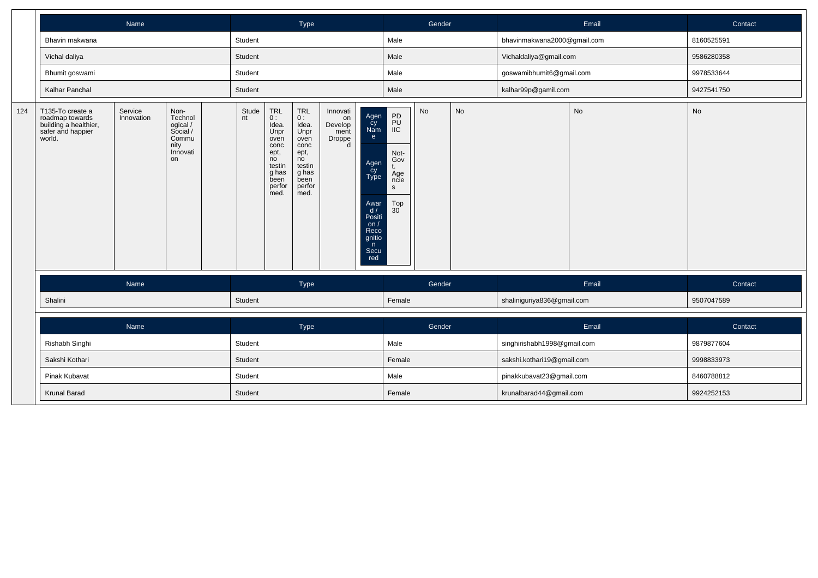|     |                                                                                             | Name                  |                                                                            |             | Type                                                                                                         |                                                                                                             |                                                  |                                                                                                                   | Gender                                                                                                  |        |           | Email                       | Contact |            |
|-----|---------------------------------------------------------------------------------------------|-----------------------|----------------------------------------------------------------------------|-------------|--------------------------------------------------------------------------------------------------------------|-------------------------------------------------------------------------------------------------------------|--------------------------------------------------|-------------------------------------------------------------------------------------------------------------------|---------------------------------------------------------------------------------------------------------|--------|-----------|-----------------------------|---------|------------|
|     | Bhavin makwana                                                                              |                       |                                                                            | Student     |                                                                                                              |                                                                                                             |                                                  |                                                                                                                   | Male                                                                                                    |        |           | bhavinmakwana2000@gmail.com |         | 8160525591 |
|     | Vichal daliya                                                                               |                       |                                                                            | Student     |                                                                                                              |                                                                                                             |                                                  |                                                                                                                   | Male                                                                                                    |        |           | Vichaldaliya@gmail.com      |         | 9586280358 |
|     | Bhumit goswami                                                                              |                       |                                                                            | Student     |                                                                                                              |                                                                                                             |                                                  |                                                                                                                   | Male                                                                                                    |        |           | goswamibhumit6@gmail.com    |         | 9978533644 |
|     | Kalhar Panchal                                                                              |                       |                                                                            | Student     |                                                                                                              |                                                                                                             |                                                  |                                                                                                                   | Male                                                                                                    |        |           | kalhar99p@gamil.com         |         | 9427541750 |
| 124 | T135-To create a<br>roadmap towards<br>building a healthier,<br>safer and happier<br>world. | Service<br>Innovation | Non-<br>Technol<br>ogical /<br>Social /<br>Commu<br>nity<br>Innovati<br>on | Stude<br>nt | <b>TRL</b><br>0:<br>Idea.<br>Unpr<br>oven<br>conc<br>ept,<br>no<br>testin<br>g has<br>been<br>perfor<br>med. | <b>TRL</b><br>$0:$ Idea.<br>Unpr<br>oven<br>conc<br>ept,<br>no<br>testin<br>g has<br>been<br>perfor<br>med. | Innovati<br>on<br>Develop<br>ment<br>Droppe<br>d | Agen<br>Cy<br>Nam<br>e<br>Agen<br>Cy<br>Type<br>Awar<br>d/<br>Positi<br>on/<br>Reco<br>gnitio<br>n<br>Secu<br>red | PD<br>PU<br>$\overline{\mathsf{IIC}}$<br>Not-<br>Gov<br>t.<br>Age<br>ncie<br>S<br>Top<br>$30^{\degree}$ | No     | <b>No</b> |                             | No      | No         |
|     |                                                                                             | Name                  |                                                                            |             |                                                                                                              | Type                                                                                                        |                                                  |                                                                                                                   |                                                                                                         | Gender |           |                             | Email   | Contact    |
|     | Shalini                                                                                     |                       |                                                                            | Student     |                                                                                                              |                                                                                                             |                                                  |                                                                                                                   | Female                                                                                                  |        |           | shaliniguriya836@gmail.com  |         | 9507047589 |
|     |                                                                                             | Name                  |                                                                            |             |                                                                                                              | Type                                                                                                        |                                                  |                                                                                                                   |                                                                                                         | Gender |           |                             | Email   | Contact    |
|     | Rishabh Singhi                                                                              |                       |                                                                            | Student     |                                                                                                              |                                                                                                             |                                                  |                                                                                                                   | Male                                                                                                    |        |           | singhirishabh1998@gmail.com |         | 9879877604 |
|     | Sakshi Kothari                                                                              |                       |                                                                            | Student     |                                                                                                              |                                                                                                             |                                                  |                                                                                                                   | Female                                                                                                  |        |           | sakshi.kothari19@gmail.com  |         | 9998833973 |
|     | Pinak Kubavat                                                                               |                       |                                                                            | Student     |                                                                                                              |                                                                                                             |                                                  |                                                                                                                   | Male                                                                                                    |        |           | pinakkubavat23@gmail.com    |         | 8460788812 |
|     | Krunal Barad                                                                                |                       |                                                                            | Student     |                                                                                                              |                                                                                                             |                                                  |                                                                                                                   | Female                                                                                                  |        |           | krunalbarad44@gmail.com     |         | 9924252153 |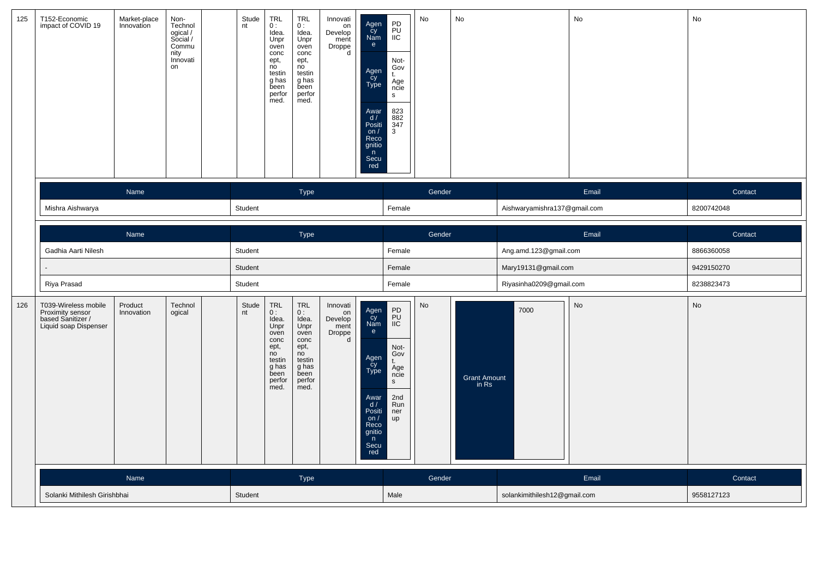| 125 | T152-Economic<br>impact of COVID 19                                                    | Market-place<br>Innovation | Non-<br>Technol<br>ogical /<br>Social /<br>Commu<br>nity<br>Innovati<br>on | Stude<br>nt | <b>TRL</b><br>0:<br>Idea.<br>Unpr<br>oven<br>conc<br>ept,<br>no<br>testin<br>g has<br>been<br>perfor<br>med. | <b>TRL</b><br>0:<br>Idea.<br>Unpr<br>oven<br>conc<br>ept,<br>no<br>testin<br>g has<br>been<br>perfor<br>med. | Innovati<br>on<br>Develop<br>ment<br>Droppe<br>d | Agen<br>Cy<br>Nam<br>e<br>Agen<br>Cy<br>Type<br>Awar<br>$\frac{d}{dx}$<br>on /<br>Reco<br>gnitio<br>n<br>Secu<br>red | PD<br>PU<br>IIC<br>Not-<br>Gov<br>t.<br>Age<br>ncie<br>$\mathbb S$<br>823<br>882<br>347<br>3   | No     | No                           |                              | No    | No         |
|-----|----------------------------------------------------------------------------------------|----------------------------|----------------------------------------------------------------------------|-------------|--------------------------------------------------------------------------------------------------------------|--------------------------------------------------------------------------------------------------------------|--------------------------------------------------|----------------------------------------------------------------------------------------------------------------------|------------------------------------------------------------------------------------------------|--------|------------------------------|------------------------------|-------|------------|
|     |                                                                                        | Name                       |                                                                            |             |                                                                                                              | Type                                                                                                         |                                                  |                                                                                                                      |                                                                                                | Gender |                              |                              | Email | Contact    |
|     | Mishra Aishwarya                                                                       |                            |                                                                            | Student     |                                                                                                              |                                                                                                              |                                                  |                                                                                                                      | Female                                                                                         |        |                              | Aishwaryamishra137@gmail.com |       | 8200742048 |
|     |                                                                                        | Name                       |                                                                            |             |                                                                                                              | Type                                                                                                         |                                                  |                                                                                                                      |                                                                                                | Gender |                              |                              | Email | Contact    |
|     | Gadhia Aarti Nilesh                                                                    |                            |                                                                            | Student     |                                                                                                              |                                                                                                              |                                                  |                                                                                                                      | Female                                                                                         |        |                              | Ang.amd.123@gmail.com        |       | 8866360058 |
|     |                                                                                        |                            |                                                                            | Student     |                                                                                                              |                                                                                                              |                                                  |                                                                                                                      | Female                                                                                         |        |                              | Mary19131@gmail.com          |       | 9429150270 |
|     | Riya Prasad                                                                            |                            |                                                                            | Student     |                                                                                                              |                                                                                                              |                                                  |                                                                                                                      | Female                                                                                         |        |                              | Riyasinha0209@gmail.com      |       | 8238823473 |
| 126 | T039-Wireless mobile<br>Proximity sensor<br>based Sanitizer /<br>Liquid soap Dispenser | Product<br>Innovation      | Technol<br>ogical                                                          | Stude<br>nt | <b>TRL</b><br>0:<br>Idea.<br>Unpr<br>oven<br>conc<br>ept,<br>no<br>testin<br>g has<br>been<br>perfor<br>med. | <b>TRL</b><br>0:<br>Idea.<br>Unpr<br>oven<br>conc<br>ept,<br>no<br>testin<br>g has<br>been<br>perfor<br>med. | Innovati<br>on<br>Develop<br>ment<br>Droppe<br>d | Agen<br>Cy<br>Nam<br>e<br>Agen<br>Cy<br>Type<br>Awar<br>$d /$ Positi<br>on $/$<br>Reco<br>gnitio<br>n<br>Secu<br>red | PD<br>PU<br>IIC<br>Not-<br>Gov<br>t.<br>Age<br>ncie<br>$\mathsf{s}$<br>2nd<br>Run<br>ner<br>up | No     | <b>Grant Amount</b><br>in Rs | 7000                         | No    | No         |
|     |                                                                                        | Name                       |                                                                            |             |                                                                                                              | Type                                                                                                         |                                                  |                                                                                                                      |                                                                                                | Gender |                              |                              | Email | Contact    |
|     | Solanki Mithilesh Girishbhai                                                           |                            |                                                                            | Student     |                                                                                                              |                                                                                                              |                                                  |                                                                                                                      | Male                                                                                           |        |                              | solankimithilesh12@gmail.com |       | 9558127123 |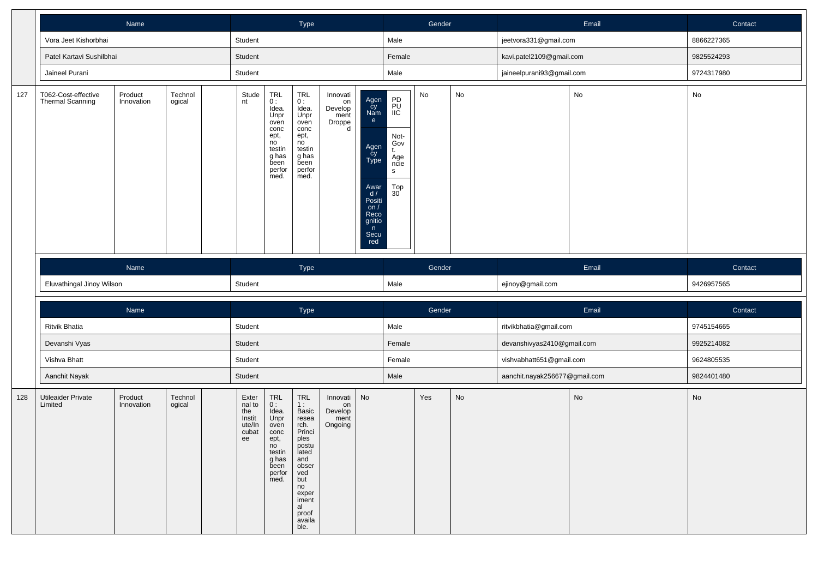|     |                                         |                                                           |         |  | Type    |                                                                                                                   |                                                                                                                                    |                                                  | Gender                                                                                                                          |                                                                                      |                               | Email | Contact                    |       |            |
|-----|-----------------------------------------|-----------------------------------------------------------|---------|--|---------|-------------------------------------------------------------------------------------------------------------------|------------------------------------------------------------------------------------------------------------------------------------|--------------------------------------------------|---------------------------------------------------------------------------------------------------------------------------------|--------------------------------------------------------------------------------------|-------------------------------|-------|----------------------------|-------|------------|
|     | Vora Jeet Kishorbhai                    |                                                           |         |  | Student |                                                                                                                   |                                                                                                                                    |                                                  |                                                                                                                                 | Male                                                                                 |                               |       | jeetvora331@gmail.com      |       | 8866227365 |
|     | Patel Kartavi Sushilbhai                |                                                           |         |  | Student |                                                                                                                   |                                                                                                                                    |                                                  |                                                                                                                                 | Female                                                                               |                               |       | kavi.patel2109@gmail.com   |       | 9825524293 |
|     | Jaineel Purani                          |                                                           |         |  | Student |                                                                                                                   |                                                                                                                                    |                                                  |                                                                                                                                 | Male                                                                                 |                               |       | jaineelpurani93@gmail.com  |       | 9724317980 |
| 127 | T062-Cost-effective<br>Thermal Scanning | Innovation<br>ogical<br>Name<br>Eluvathingal Jinoy Wilson |         |  |         | $_{0}^{\mathsf{TRL}}$<br>Idea.<br>Unpr<br>oven<br>conc<br>ept,<br>no<br>testin<br>g has<br>been<br>perfor<br>med. | $\mathop{\mathsf{TRL}}_{{\mathsf{O}}}$<br>Idea.<br>Unpr<br>oven<br>conc<br>ept,<br>no<br>testin<br>g has<br>been<br>perfor<br>med. | Innovati<br>on<br>Develop<br>ment<br>Droppe<br>d | Agen<br>Cy<br>Nam<br>e<br>Agen<br>cy<br>Type<br>Awar<br>d /<br>Positi<br>on $/$<br>Reco<br>gnitio<br>$\mathsf n$<br>Secu<br>red | PD<br>PU<br>IIC<br>Not-<br>Gov<br>t.<br>Age<br>ncie<br>$\mathsf{s}$<br>$_{30}^{Top}$ | No                            | No    |                            | No    | No         |
|     |                                         |                                                           |         |  |         |                                                                                                                   | Type                                                                                                                               |                                                  |                                                                                                                                 |                                                                                      | Gender                        |       |                            | Email | Contact    |
|     |                                         |                                                           |         |  |         |                                                                                                                   |                                                                                                                                    |                                                  |                                                                                                                                 |                                                                                      |                               |       |                            |       |            |
|     |                                         |                                                           |         |  |         |                                                                                                                   |                                                                                                                                    |                                                  |                                                                                                                                 | Male                                                                                 |                               |       | ejinoy@gmail.com           |       | 9426957565 |
|     |                                         | Name                                                      |         |  | Student |                                                                                                                   | Type                                                                                                                               |                                                  |                                                                                                                                 |                                                                                      | Gender                        |       |                            | Email | Contact    |
|     | <b>Ritvik Bhatia</b>                    |                                                           |         |  | Student |                                                                                                                   |                                                                                                                                    |                                                  |                                                                                                                                 | Male                                                                                 |                               |       | ritvikbhatia@gmail.com     |       | 9745154665 |
|     | Devanshi Vyas                           |                                                           |         |  | Student |                                                                                                                   |                                                                                                                                    |                                                  |                                                                                                                                 | Female                                                                               |                               |       | devanshivyas2410@gmail.com |       | 9925214082 |
|     | Vishva Bhatt                            |                                                           |         |  | Student |                                                                                                                   |                                                                                                                                    |                                                  |                                                                                                                                 | Female                                                                               |                               |       | vishvabhatt651@gmail.com   |       | 9624805535 |
|     | Aanchit Nayak                           |                                                           | Student |  |         |                                                                                                                   |                                                                                                                                    | Male                                             |                                                                                                                                 |                                                                                      | aanchit.nayak256677@gmail.com |       | 9824401480                 |       |            |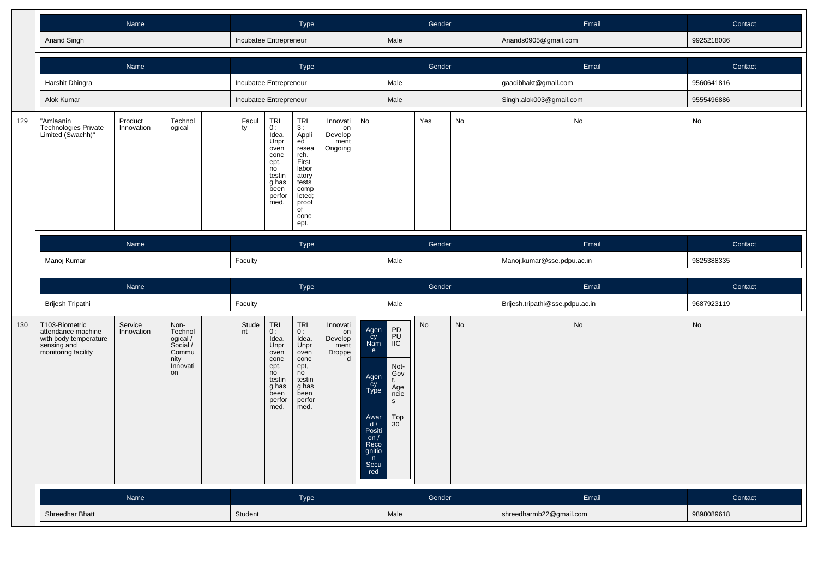|     |                                                                                                     | Name                  |                                                                            |                        |                                                                                                                                                        | Type                                                                                                                                                             |                                                  |                                                                                                                      |                                                                                                                  | Gender |    |                                 | Email | Contact    |
|-----|-----------------------------------------------------------------------------------------------------|-----------------------|----------------------------------------------------------------------------|------------------------|--------------------------------------------------------------------------------------------------------------------------------------------------------|------------------------------------------------------------------------------------------------------------------------------------------------------------------|--------------------------------------------------|----------------------------------------------------------------------------------------------------------------------|------------------------------------------------------------------------------------------------------------------|--------|----|---------------------------------|-------|------------|
|     | Anand Singh                                                                                         |                       |                                                                            | Incubatee Entrepreneur |                                                                                                                                                        |                                                                                                                                                                  |                                                  |                                                                                                                      | Male                                                                                                             |        |    | Anands0905@gmail.com            |       | 9925218036 |
|     |                                                                                                     | Name                  |                                                                            |                        |                                                                                                                                                        | Type                                                                                                                                                             |                                                  |                                                                                                                      |                                                                                                                  | Gender |    |                                 | Email | Contact    |
|     | Harshit Dhingra                                                                                     |                       |                                                                            | Incubatee Entrepreneur |                                                                                                                                                        |                                                                                                                                                                  |                                                  |                                                                                                                      | Male                                                                                                             |        |    | gaadibhakt@gmail.com            |       | 9560641816 |
|     | Alok Kumar                                                                                          |                       |                                                                            | Incubatee Entrepreneur |                                                                                                                                                        |                                                                                                                                                                  |                                                  |                                                                                                                      | Male                                                                                                             |        |    | Singh.alok003@gmail.com         |       | 9555496886 |
| 129 | "Amlaanin<br>Technologies Private<br>Limited (Swachh)"                                              | Product<br>Innovation | Technol<br>ogical                                                          | Facul<br>ty            | $_{0}^{\sf TRL}$<br>Idea.<br>Unpr<br>oven<br>conc<br>ept,<br>no<br>testin<br>g has<br>been<br>perfor<br>med.                                           | $\begin{array}{c}\nTRL \\ 3: \n\end{array}$<br>Appli<br>ed<br>resea<br>rch.<br>First<br>labor<br>atory<br>tests<br>comp<br>leted;<br>proof<br>of<br>conc<br>ept. | Innovati<br>on<br>Develop<br>ment<br>Ongoing     | No                                                                                                                   |                                                                                                                  | Yes    | No |                                 | No    | No         |
|     |                                                                                                     | Name                  |                                                                            |                        |                                                                                                                                                        | Type                                                                                                                                                             |                                                  |                                                                                                                      |                                                                                                                  | Gender |    |                                 | Email | Contact    |
|     |                                                                                                     |                       |                                                                            |                        |                                                                                                                                                        |                                                                                                                                                                  |                                                  |                                                                                                                      |                                                                                                                  |        |    |                                 |       |            |
|     |                                                                                                     |                       |                                                                            |                        |                                                                                                                                                        |                                                                                                                                                                  |                                                  |                                                                                                                      | Male                                                                                                             |        |    | Manoj.kumar@sse.pdpu.ac.in      |       | 9825388335 |
|     |                                                                                                     | Manoj Kumar<br>Name   |                                                                            | Faculty                |                                                                                                                                                        | Type                                                                                                                                                             |                                                  |                                                                                                                      |                                                                                                                  | Gender |    |                                 | Email | Contact    |
|     | Brijesh Tripathi                                                                                    |                       |                                                                            | Faculty                |                                                                                                                                                        |                                                                                                                                                                  |                                                  |                                                                                                                      | Male                                                                                                             |        |    | Brijesh.tripathi@sse.pdpu.ac.in |       | 9687923119 |
| 130 | T103-Biometric<br>attendance machine<br>with body temperature<br>sensing and<br>monitoring facility | Service<br>Innovation | Non-<br>Technol<br>ogical /<br>Social /<br>Commu<br>nity<br>Innovati<br>on | Stude<br>nt            | $\begin{array}{c} \mathsf{TRL} \\ \mathsf{O}: \end{array}$<br>Idea.<br>Unpr<br>oven<br>conc<br>ept,<br>no<br>testin<br>g has<br>been<br>perfor<br>med. | TRL<br>0:<br>Idea.<br>Unpr<br>oven<br>conc<br>ept,<br>no<br>testin<br>g has<br>been<br>perfor<br>med.                                                            | Innovati<br>on<br>Develop<br>ment<br>Droppe<br>d | Agen<br>Cy<br>Nam<br>e<br>Agen<br>Cy<br>Type<br>Awar<br>d/<br>Positi<br>on $/$<br>Reco<br>gnitio<br>n<br>Secu<br>red | PD<br>PU<br>$\overline{\mathsf{IIC}}$<br>Not-<br>Gov<br>t.<br>Age<br>ncie<br>$\mathsf{s}$<br>Top<br>$30^{\circ}$ | No     | No |                                 | No    | No         |
|     |                                                                                                     | Name                  |                                                                            |                        |                                                                                                                                                        | Type                                                                                                                                                             |                                                  |                                                                                                                      |                                                                                                                  | Gender |    |                                 | Email | Contact    |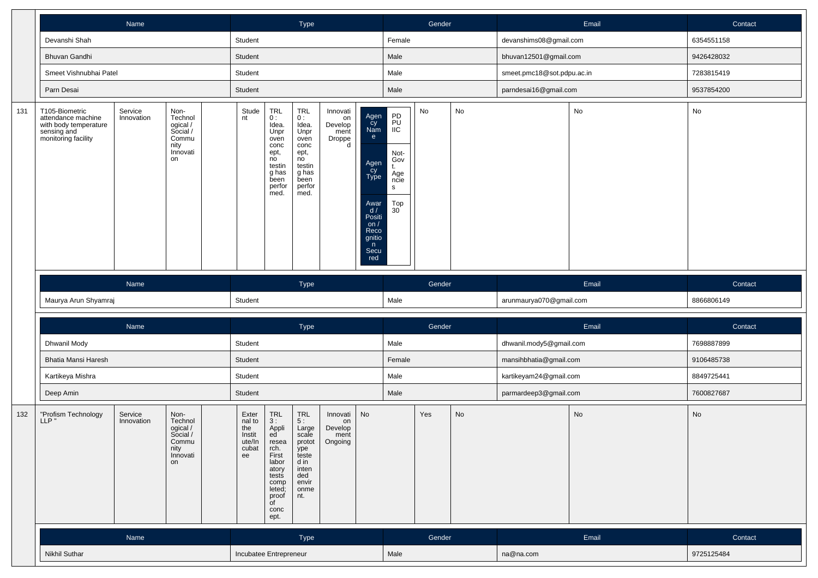|     |                                                                                                     | Name                                                                                                        |                                                                            |                                                           |                                                                                                                                       | Type                                                                                                         |                                                  |                                                                                                                      |                                                                           | Gender |    |                            | Email | Contact    |
|-----|-----------------------------------------------------------------------------------------------------|-------------------------------------------------------------------------------------------------------------|----------------------------------------------------------------------------|-----------------------------------------------------------|---------------------------------------------------------------------------------------------------------------------------------------|--------------------------------------------------------------------------------------------------------------|--------------------------------------------------|----------------------------------------------------------------------------------------------------------------------|---------------------------------------------------------------------------|--------|----|----------------------------|-------|------------|
|     | Devanshi Shah                                                                                       |                                                                                                             |                                                                            | Student                                                   |                                                                                                                                       |                                                                                                              |                                                  |                                                                                                                      | Female                                                                    |        |    | devanshims08@gmail.com     |       | 6354551158 |
|     | <b>Bhuvan Gandhi</b>                                                                                |                                                                                                             |                                                                            | Student                                                   |                                                                                                                                       |                                                                                                              |                                                  |                                                                                                                      | Male                                                                      |        |    | bhuvan12501@gmail.com      |       | 9426428032 |
|     | Smeet Vishnubhai Patel                                                                              |                                                                                                             |                                                                            | Student                                                   |                                                                                                                                       |                                                                                                              |                                                  |                                                                                                                      | Male                                                                      |        |    | smeet.pmc18@sot.pdpu.ac.in |       | 7283815419 |
|     | Parn Desai                                                                                          |                                                                                                             |                                                                            | Student                                                   |                                                                                                                                       |                                                                                                              |                                                  |                                                                                                                      | Male                                                                      |        |    | parndesai16@gmail.com      |       | 9537854200 |
| 131 | T105-Biometric<br>attendance machine<br>with body temperature<br>sensing and<br>monitoring facility | Service<br>Non-<br>Technol<br>Innovation<br>ogical /<br>Social /<br>Commu<br>nity<br>Innovati<br>on<br>Name |                                                                            |                                                           | TRL<br>0 :<br>Idea.<br>Unpr<br>oven<br>conc<br>ept,<br>no<br>testin<br>g has<br>been<br>perfor<br>med.                                | <b>TRL</b><br>0:<br>Idea.<br>Unpr<br>oven<br>conc<br>ept,<br>no<br>testin<br>g has<br>been<br>perfor<br>med. | Innovati<br>on<br>Develop<br>ment<br>Droppe<br>d | Agen<br>Cy<br>Nam<br>e<br>Agen<br>Cy<br>Type<br>Awar<br>d/<br>Positi<br>on $/$<br>Reco<br>gnitio<br>n<br>Secu<br>red | PD<br>PU<br>IIC<br>Not-<br>Gov<br>t.<br>Age<br>ncie<br>S<br>$_{30}^{Top}$ | No     | No |                            | No    | No         |
|     |                                                                                                     |                                                                                                             |                                                                            |                                                           |                                                                                                                                       | Type                                                                                                         |                                                  |                                                                                                                      |                                                                           | Gender |    |                            | Email | Contact    |
|     | Maurya Arun Shyamraj                                                                                |                                                                                                             |                                                                            | Student                                                   |                                                                                                                                       |                                                                                                              |                                                  |                                                                                                                      | Male                                                                      |        |    | arunmaurya070@gmail.com    |       | 8866806149 |
|     |                                                                                                     | Name                                                                                                        |                                                                            |                                                           |                                                                                                                                       | Type                                                                                                         |                                                  |                                                                                                                      |                                                                           | Gender |    |                            | Email | Contact    |
|     | Dhwanil Mody                                                                                        |                                                                                                             |                                                                            | Student                                                   |                                                                                                                                       |                                                                                                              |                                                  |                                                                                                                      | Male                                                                      |        |    | dhwanil.mody5@gmail.com    |       | 7698887899 |
|     | Bhatia Mansi Haresh                                                                                 |                                                                                                             |                                                                            | Student                                                   |                                                                                                                                       |                                                                                                              |                                                  |                                                                                                                      | Female                                                                    |        |    | mansihbhatia@gmail.com     |       | 9106485738 |
|     | Kartikeya Mishra                                                                                    |                                                                                                             |                                                                            | Student                                                   |                                                                                                                                       |                                                                                                              |                                                  |                                                                                                                      | Male                                                                      |        |    | kartikeyam24@gmail.com     |       | 8849725441 |
|     | Deep Amin                                                                                           |                                                                                                             |                                                                            | Student                                                   |                                                                                                                                       |                                                                                                              |                                                  |                                                                                                                      | Male                                                                      |        |    | parmardeep3@gmail.com      |       | 7600827687 |
| 132 | "Profism Technology<br>LLP"                                                                         | Service<br>Innovation                                                                                       | Non-<br>Technol<br>ogical /<br>Social /<br>Commu<br>nity<br>Innovati<br>on | Exter<br>nal to<br>the<br>Instit<br>ute/In<br>cubat<br>ee | <b>TRL</b><br>3:<br>Appli<br>ed<br>resea<br>rch.<br>First<br>labor<br>atory<br>tests<br>comp<br>leted;<br>proof<br>of<br>conc<br>ept. | <b>TRL</b><br>5:<br>Large<br>scale<br>protot<br>ype<br>teste<br>d in<br>inten<br>ded<br>envir<br>onme<br>nt. | Innovati<br>on<br>Develop<br>ment<br>Ongoing     | No                                                                                                                   |                                                                           | Yes    | No |                            | No    | No         |
|     |                                                                                                     | Name                                                                                                        |                                                                            |                                                           |                                                                                                                                       | Type                                                                                                         |                                                  |                                                                                                                      |                                                                           | Gender |    |                            | Email | Contact    |
|     | Nikhil Suthar                                                                                       |                                                                                                             |                                                                            | Incubatee Entrepreneur                                    |                                                                                                                                       |                                                                                                              |                                                  |                                                                                                                      | Male                                                                      |        |    | na@na.com                  |       | 9725125484 |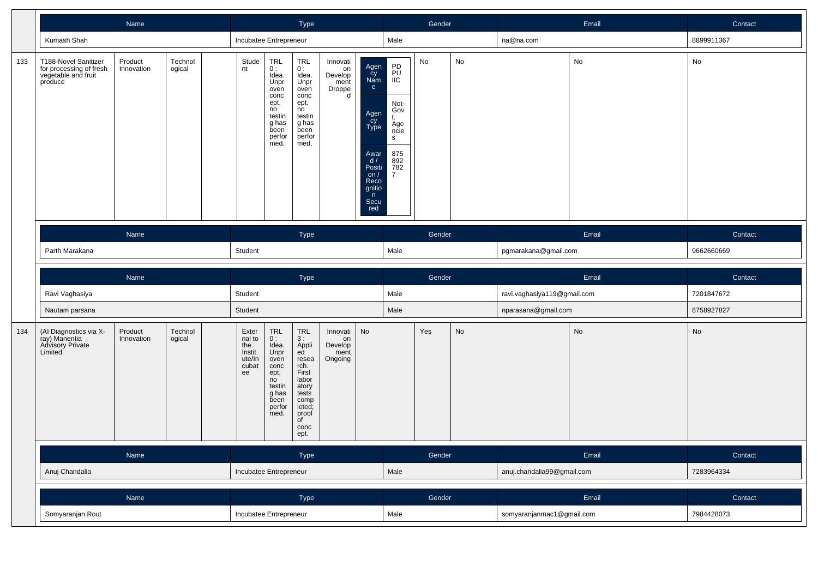|     |                                                                                   |                       |                   |                                                           | Type                                                                                                                                                   |                                                                                                                                                                                    |                                                  |                                                                                                                       | Gender                                                                                                 |        |    | Email                       | Contact                      |            |
|-----|-----------------------------------------------------------------------------------|-----------------------|-------------------|-----------------------------------------------------------|--------------------------------------------------------------------------------------------------------------------------------------------------------|------------------------------------------------------------------------------------------------------------------------------------------------------------------------------------|--------------------------------------------------|-----------------------------------------------------------------------------------------------------------------------|--------------------------------------------------------------------------------------------------------|--------|----|-----------------------------|------------------------------|------------|
|     | Kumash Shah                                                                       |                       |                   | Incubatee Entrepreneur                                    |                                                                                                                                                        |                                                                                                                                                                                    |                                                  |                                                                                                                       | Male                                                                                                   |        |    | na@na.com                   |                              | 8899911367 |
| 133 | T188-Novel Sanitizer<br>for processing of fresh<br>vegetable and fruit<br>produce | Product<br>Innovation | Technol<br>ogical | Stude<br>nt                                               | TRL<br>0:<br>Idea.<br>Unpr<br>oven<br>conc<br>ept,<br>no<br>testin<br>g has<br>been<br>perfor<br>med.                                                  | <b>TRL</b><br>0:<br>Idea.<br>Unpr<br>oven<br>conc<br>ept,<br>no<br>testin<br>g has<br>been<br>perfor<br>med.                                                                       | Innovati<br>on<br>Develop<br>ment<br>Droppe<br>d | Agen<br>cy<br>Nam<br>e<br>Agen<br>Cy<br>Type<br>Awar<br>d /<br>Positi<br>on $/$<br>Reco<br>gnitio<br>n<br>Secu<br>red | PD<br>PU<br><b>IIC</b><br>Not-<br>Gov<br>t.<br>Age<br>ncie<br>s<br>875<br>892<br>782<br>$\overline{7}$ | No     | No |                             | $\operatorname{\mathsf{No}}$ | No         |
|     |                                                                                   | Name                  |                   |                                                           |                                                                                                                                                        | Type                                                                                                                                                                               |                                                  |                                                                                                                       |                                                                                                        | Gender |    |                             | Email                        | Contact    |
|     | Parth Marakana                                                                    |                       |                   |                                                           |                                                                                                                                                        |                                                                                                                                                                                    |                                                  |                                                                                                                       | Male                                                                                                   |        |    | pgmarakana@gmail.com        |                              | 9662660669 |
|     |                                                                                   | Name                  |                   |                                                           |                                                                                                                                                        | Type                                                                                                                                                                               |                                                  |                                                                                                                       |                                                                                                        | Gender |    |                             | Email                        | Contact    |
|     | Ravi Vaghasiya                                                                    |                       |                   | Student                                                   |                                                                                                                                                        |                                                                                                                                                                                    |                                                  |                                                                                                                       | Male                                                                                                   |        |    | ravi.vaghasiya119@gmail.com |                              | 7201847672 |
|     | Nautam parsana                                                                    |                       |                   | Student                                                   |                                                                                                                                                        |                                                                                                                                                                                    |                                                  |                                                                                                                       | Male                                                                                                   |        |    | nparasana@gmail.com         |                              | 8758927827 |
| 134 | (Al Diagnostics via X-<br>ray) Manentia<br>Advisory Private<br>Limited            | Product<br>Innovation | Technol<br>ogical | Exter<br>nal to<br>the<br>Instit<br>ute/In<br>cubat<br>ee | $\begin{array}{c} \mathsf{TRL} \\ \mathsf{0}: \end{array}$<br>Idea.<br>Unpr<br>oven<br>conc<br>ept,<br>no<br>testin<br>g has<br>been<br>perfor<br>med. | $\begin{array}{c} \mathsf{TRL} \\ 3: \end{array}$<br>Appli<br>ed<br>resea<br>rch.<br>First<br>labor<br>atory<br>tests<br>comp<br>leted;<br>proof<br>$\overline{C}$<br>conc<br>ept. | Innovati<br>on<br>Develop<br>ment<br>Ongoing     | No                                                                                                                    |                                                                                                        | Yes    | No |                             | No                           | No         |
|     |                                                                                   | Name                  |                   |                                                           |                                                                                                                                                        | Type                                                                                                                                                                               |                                                  |                                                                                                                       |                                                                                                        | Gender |    |                             | Email                        | Contact    |
|     | Anuj Chandalia                                                                    |                       |                   | Incubatee Entrepreneur                                    |                                                                                                                                                        |                                                                                                                                                                                    |                                                  |                                                                                                                       | Male                                                                                                   |        |    | anuj.chandalia99@gmail.com  |                              | 7283964334 |
|     |                                                                                   | Name                  |                   |                                                           |                                                                                                                                                        | Type                                                                                                                                                                               |                                                  |                                                                                                                       |                                                                                                        | Gender |    |                             | Email                        | Contact    |
|     | Somyaranjan Rout                                                                  |                       |                   | Incubatee Entrepreneur                                    |                                                                                                                                                        |                                                                                                                                                                                    |                                                  |                                                                                                                       | Male                                                                                                   |        |    | somyaranjanmac1@gmail.com   |                              | 7984428073 |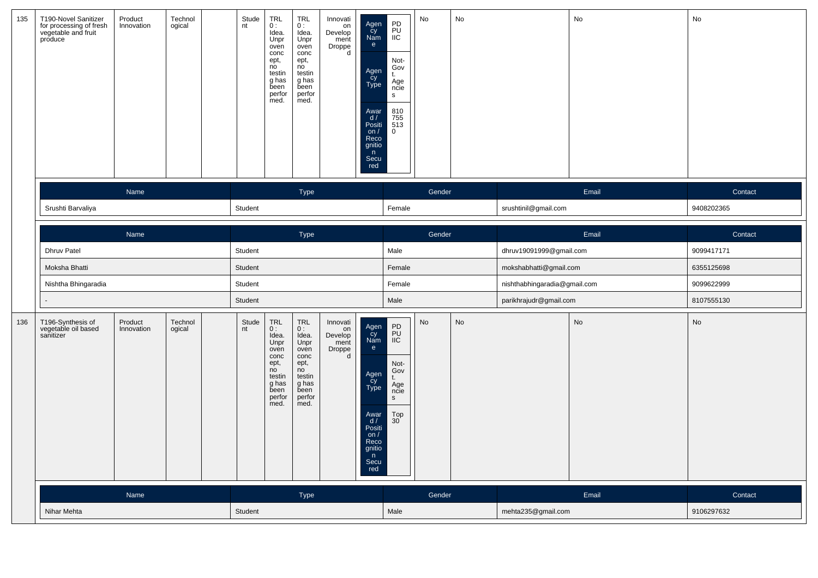| 135 | T190-Novel Sanitizer<br>for processing of fresh<br>vegetable and fruit<br>produce | Product<br>Innovation | Technol<br>ogical | Stude<br>nt | <b>TRL</b><br>0:<br>Idea.<br>Unpr<br>oven<br>conc<br>ept,<br>no<br>testin<br>g has<br>been<br>perfor<br>med.          | <b>TRL</b><br>0:<br>Idea.<br>Unpr<br>oven<br>conc<br>ept,<br>no<br>testin<br>g has<br>Бееn<br>perfor<br>med. | Innovati<br>on<br>Develop<br>ment<br>Droppe<br>d | Agen<br>Cy<br>Nam<br>e<br>Agen<br>Cy<br>Type<br>Awar<br>d /<br>Positi<br>on $/$<br>Reco<br>gnitio<br>n<br>Secu<br>red  | PD<br>PU<br>IIC<br>Not-<br>Gov<br>t.<br>Age<br>ncie<br>s<br>810<br>755<br>513<br>$\mathbf{0}$ | No     | No |                              | No    | No            |
|-----|-----------------------------------------------------------------------------------|-----------------------|-------------------|-------------|-----------------------------------------------------------------------------------------------------------------------|--------------------------------------------------------------------------------------------------------------|--------------------------------------------------|------------------------------------------------------------------------------------------------------------------------|-----------------------------------------------------------------------------------------------|--------|----|------------------------------|-------|---------------|
|     |                                                                                   | Name                  |                   |             |                                                                                                                       | Type                                                                                                         |                                                  |                                                                                                                        |                                                                                               | Gender |    |                              | Email | Contact       |
|     | Srushti Barvaliya                                                                 |                       |                   | Student     |                                                                                                                       |                                                                                                              |                                                  |                                                                                                                        | Female                                                                                        |        |    | srushtinil@gmail.com         |       | 9408202365    |
|     |                                                                                   |                       |                   |             |                                                                                                                       |                                                                                                              |                                                  |                                                                                                                        |                                                                                               |        |    |                              |       |               |
|     |                                                                                   | Name                  |                   |             |                                                                                                                       | Type                                                                                                         |                                                  |                                                                                                                        |                                                                                               | Gender |    |                              | Email | Contact       |
|     | <b>Dhruv Patel</b>                                                                |                       |                   | Student     |                                                                                                                       |                                                                                                              |                                                  |                                                                                                                        | Male                                                                                          |        |    | dhruv19091999@gmail.com      |       | 9099417171    |
|     | Moksha Bhatti                                                                     |                       |                   | Student     |                                                                                                                       |                                                                                                              |                                                  |                                                                                                                        | Female                                                                                        |        |    | mokshabhatti@gmail.com       |       | 6355125698    |
|     | Nishtha Bhingaradia                                                               |                       |                   | Student     |                                                                                                                       |                                                                                                              |                                                  |                                                                                                                        | Female                                                                                        |        |    | nishthabhingaradia@gmail.com |       | 9099622999    |
|     |                                                                                   |                       |                   | Student     |                                                                                                                       |                                                                                                              |                                                  |                                                                                                                        | Male                                                                                          |        |    | parikhrajudr@gmail.com       |       | 8107555130    |
| 136 | T196-Synthesis of<br>vegetable oil based<br>sanitizer                             | Product<br>Innovation | Technol<br>ogical | nt          | Stude<br><b>TRL</b><br>0:<br>Idea.<br>Unpr<br>oven<br>conc<br>ept,<br>no<br>testin<br>g has<br>been<br>perfor<br>med. | <b>TRL</b><br>0:<br>Idea.<br>Unpr<br>oven<br>conc<br>ept,<br>no<br>testin<br>g has<br>been<br>perfor<br>med. | Innovati<br>on<br>Develop<br>ment<br>Droppe<br>d | Agen<br>Cy<br>Nam<br>e<br>Agen<br>Cy<br>Type<br>Awar<br>$\frac{d}{dx}$<br>on $/$<br>Reco<br>gnitio<br>n<br>Secu<br>red | PD<br>PU<br>IIC<br>Not-<br>Gov<br>t.<br>Age<br>ncie<br>S<br>$_{30}^{Top}$                     | No     | No |                              | No    | $\mathsf{No}$ |
|     |                                                                                   | Name                  |                   |             |                                                                                                                       | <b>Type</b>                                                                                                  |                                                  |                                                                                                                        |                                                                                               | Gender |    |                              | Email | Contact       |
|     | Nihar Mehta                                                                       |                       |                   | Student     |                                                                                                                       |                                                                                                              |                                                  |                                                                                                                        | Male                                                                                          |        |    | mehta235@gmail.com           |       | 9106297632    |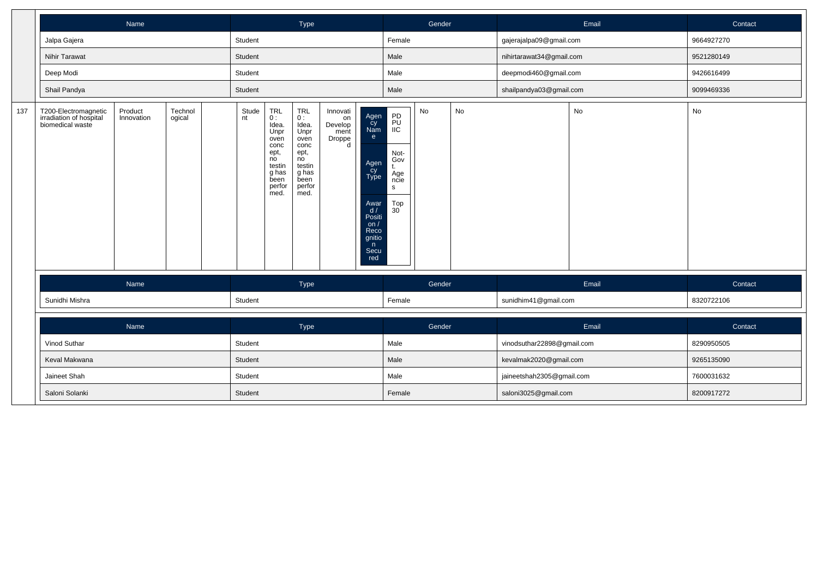|     |                                                                     | Name                  |                   |         |                                                                                                                | Type                                                                                                           |                                                  |                                                                                                                        |                                                                                  | Gender |    |                            | Email | Contact    |
|-----|---------------------------------------------------------------------|-----------------------|-------------------|---------|----------------------------------------------------------------------------------------------------------------|----------------------------------------------------------------------------------------------------------------|--------------------------------------------------|------------------------------------------------------------------------------------------------------------------------|----------------------------------------------------------------------------------|--------|----|----------------------------|-------|------------|
|     | Jalpa Gajera                                                        |                       |                   | Student |                                                                                                                |                                                                                                                |                                                  |                                                                                                                        | Female                                                                           |        |    | gajerajalpa09@gmail.com    |       | 9664927270 |
|     | Nihir Tarawat                                                       |                       |                   | Student |                                                                                                                |                                                                                                                |                                                  |                                                                                                                        | Male                                                                             |        |    | nihirtarawat34@gmail.com   |       | 9521280149 |
|     | Deep Modi                                                           |                       |                   | Student |                                                                                                                |                                                                                                                |                                                  |                                                                                                                        | Male                                                                             |        |    | deepmodi460@gmail.com      |       | 9426616499 |
|     | Shail Pandya                                                        |                       |                   | Student |                                                                                                                |                                                                                                                |                                                  |                                                                                                                        | Male                                                                             |        |    | shailpandya03@gmail.com    |       | 9099469336 |
| 137 | T200-Electromagnetic<br>irradiation of hospital<br>biomedical waste | Product<br>Innovation | Technol<br>ogical | nt      | Stude<br>TRL<br>0:<br>Idea.<br>Unpr<br>oven<br>conc<br>ept,<br>no<br>testin<br>g has<br>been<br>perfor<br>med. | <b>TRL</b><br>$0:$<br>Idea.<br>Unpr<br>oven<br>conc<br>ept,<br>no<br>testin<br>g has<br>been<br>perfor<br>med. | Innovati<br>on<br>Develop<br>ment<br>Droppe<br>d | Agen<br>cy<br>Nam<br>e<br>Agen<br>Cy<br>Type<br>Awar<br>$\frac{d}{dx}$<br>on $/$<br>Reco<br>gnitio<br>n<br>Secu<br>red | PD<br>PU<br>IIC<br>Not-<br>Gov<br>t.<br>Age<br>ncie<br>$\mathbf{s}$<br>Top<br>30 | No     | No |                            | No    | No         |
|     |                                                                     | Name                  |                   |         |                                                                                                                | Type                                                                                                           |                                                  |                                                                                                                        |                                                                                  | Gender |    |                            | Email | Contact    |
|     | Sunidhi Mishra                                                      |                       |                   | Student |                                                                                                                |                                                                                                                |                                                  |                                                                                                                        | Female                                                                           |        |    | sunidhim41@gmail.com       |       | 8320722106 |
|     |                                                                     | Name                  |                   |         |                                                                                                                | Type                                                                                                           |                                                  |                                                                                                                        |                                                                                  | Gender |    |                            | Email | Contact    |
|     | Vinod Suthar                                                        |                       |                   | Student |                                                                                                                |                                                                                                                |                                                  |                                                                                                                        | Male                                                                             |        |    | vinodsuthar22898@gmail.com |       | 8290950505 |
|     | Keval Makwana                                                       |                       |                   | Student |                                                                                                                |                                                                                                                |                                                  |                                                                                                                        | Male                                                                             |        |    | kevalmak2020@gmail.com     |       | 9265135090 |
|     | Jaineet Shah                                                        |                       |                   | Student |                                                                                                                |                                                                                                                |                                                  |                                                                                                                        | Male                                                                             |        |    | jaineetshah2305@gmail.com  |       | 7600031632 |
|     | Saloni Solanki                                                      |                       |                   | Student |                                                                                                                |                                                                                                                |                                                  |                                                                                                                        | Female                                                                           |        |    | saloni3025@gmail.com       |       | 8200917272 |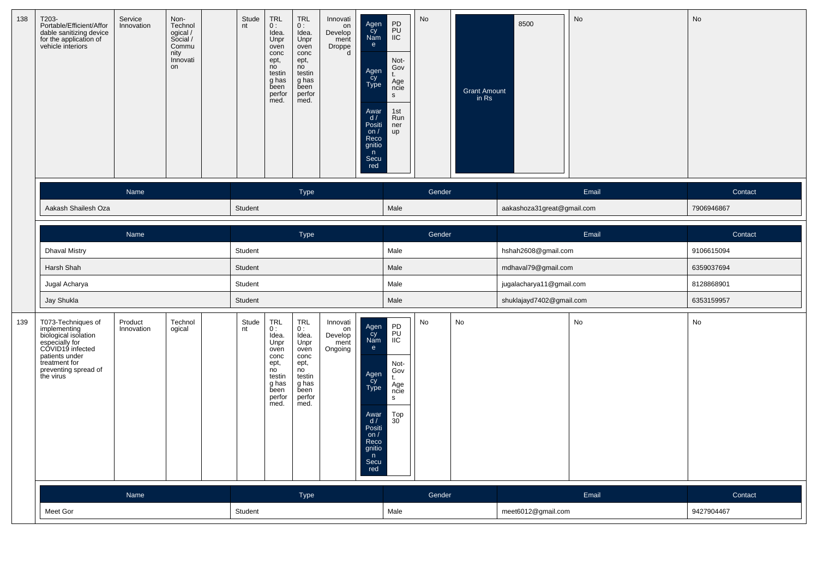| 138 | T203-<br>Portable/Efficient/Affor<br>dable sanitizing device<br>for the application of<br>vehicle interiors                                                              | Service<br>Innovation | Non-<br>Technol<br>ogical /<br>Social /<br>Commu<br>nity<br>Innovati<br>on | Stude<br>nt | <b>TRL</b><br>0:<br>Idea.<br>Unpr<br>oven<br>conc<br>ept,<br>no<br>testin<br>g has<br>been<br>perfor<br>med.      | <b>TRL</b><br>0:<br>Idea.<br>Unpr<br>oven<br>conc<br>ept,<br>no<br>testin<br>g has<br>been<br>perfor<br>med. | Innovati<br>on<br>Develop<br>ment<br>Droppe<br>d | Agen<br>Cy<br>Nam<br>$\mathbf{e}$<br>Agen<br>cy<br>Type<br>Awar<br>d/<br>Positi<br>on/<br>Reco<br>gnitio<br>n<br>Secu<br>red | $\begin{array}{c} \mathsf{PD} \\ \mathsf{PU} \\ \mathsf{IIC} \end{array}$<br>Not-<br>Gov<br>Age<br>ncie<br>s<br>1st<br>Run<br>ner<br>up | No     | <b>Grant Amount</b><br>in Rs | 8500                       | No    | No         |
|-----|--------------------------------------------------------------------------------------------------------------------------------------------------------------------------|-----------------------|----------------------------------------------------------------------------|-------------|-------------------------------------------------------------------------------------------------------------------|--------------------------------------------------------------------------------------------------------------|--------------------------------------------------|------------------------------------------------------------------------------------------------------------------------------|-----------------------------------------------------------------------------------------------------------------------------------------|--------|------------------------------|----------------------------|-------|------------|
|     |                                                                                                                                                                          | Name                  |                                                                            |             |                                                                                                                   | Type                                                                                                         |                                                  |                                                                                                                              |                                                                                                                                         | Gender |                              |                            | Email | Contact    |
|     | Aakash Shailesh Oza                                                                                                                                                      |                       |                                                                            | Student     |                                                                                                                   |                                                                                                              |                                                  |                                                                                                                              | Male                                                                                                                                    |        |                              | aakashoza31great@gmail.com |       | 7906946867 |
|     |                                                                                                                                                                          | Name                  |                                                                            |             |                                                                                                                   | Type                                                                                                         |                                                  |                                                                                                                              |                                                                                                                                         | Gender |                              |                            | Email | Contact    |
|     | <b>Dhaval Mistry</b>                                                                                                                                                     |                       |                                                                            | Student     |                                                                                                                   |                                                                                                              |                                                  |                                                                                                                              | Male                                                                                                                                    |        |                              | hshah2608@gmail.com        |       | 9106615094 |
|     | Harsh Shah                                                                                                                                                               |                       |                                                                            | Student     |                                                                                                                   |                                                                                                              |                                                  |                                                                                                                              | Male                                                                                                                                    |        |                              | mdhaval79@gmail.com        |       | 6359037694 |
|     | Jugal Acharya                                                                                                                                                            |                       |                                                                            | Student     |                                                                                                                   |                                                                                                              |                                                  |                                                                                                                              | Male                                                                                                                                    |        |                              | jugalacharya11@gmail.com   |       | 8128868901 |
|     | Jay Shukla                                                                                                                                                               |                       |                                                                            | Student     |                                                                                                                   |                                                                                                              |                                                  |                                                                                                                              | Male                                                                                                                                    |        |                              | shuklajayd7402@gmail.com   |       | 6353159957 |
| 139 | T073-Techniques of<br>implementing<br>biological isolation<br>especially for<br>COVID19 infected<br>patients under<br>treatment for<br>preventing spread of<br>the virus | Product<br>Innovation | Technol<br>ogical                                                          | Stude<br>nt | TRL<br>0:<br>Idea.<br>Unpr<br>oven<br>conc<br>ept,<br>n <sub>o</sub><br>testin<br>g has<br>been<br>perfor<br>med. | <b>TRL</b><br>0:<br>Idea.<br>Unpr<br>oven<br>conc<br>ept,<br>no<br>testin<br>g has<br>been<br>perfor<br>med. | Innovati<br>on<br>Develop<br>ment<br>Ongoing     | Agen<br>cy<br>Nam<br>e<br>Agen<br>Cy<br>Type<br>Awar<br>d /<br>Positi<br>on $/$<br>Reco<br>gnitio<br>n<br>Secu<br>red        | PD<br>PU<br>IIC<br>Not-<br>Gov<br>t.<br>Age<br>ncie<br>s<br>$_{30}^{Top}$                                                               | No     | No                           |                            | No    | No         |
|     |                                                                                                                                                                          | Name                  |                                                                            |             |                                                                                                                   | Type                                                                                                         |                                                  |                                                                                                                              |                                                                                                                                         | Gender |                              |                            | Email | Contact    |
|     | Meet Gor                                                                                                                                                                 |                       |                                                                            | Student     |                                                                                                                   |                                                                                                              |                                                  |                                                                                                                              | Male                                                                                                                                    |        |                              | meet6012@gmail.com         |       | 9427904467 |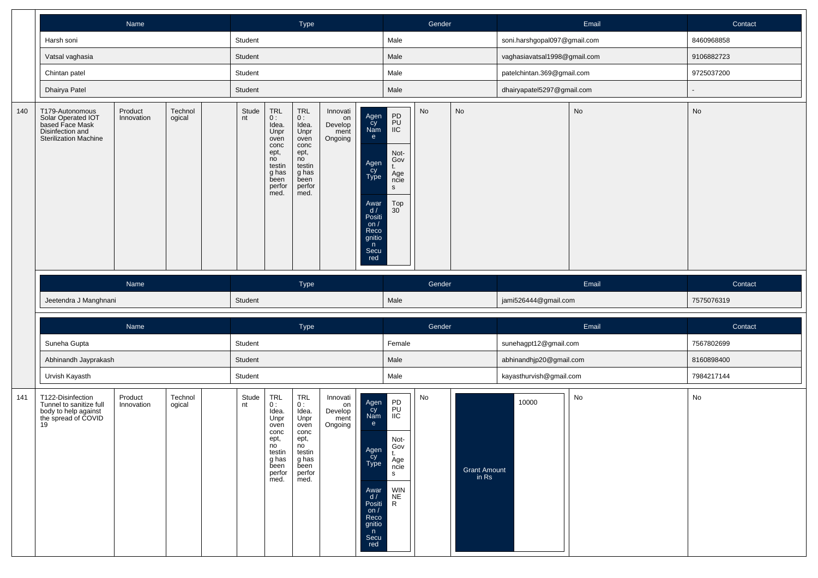|     |                                                                                                       | Name                  |                   |             |                                                                                                       | Type                                                                                                         |                                              |                                                                                                                       |                                                                                               | Gender |                                |                              | Email | Contact    |
|-----|-------------------------------------------------------------------------------------------------------|-----------------------|-------------------|-------------|-------------------------------------------------------------------------------------------------------|--------------------------------------------------------------------------------------------------------------|----------------------------------------------|-----------------------------------------------------------------------------------------------------------------------|-----------------------------------------------------------------------------------------------|--------|--------------------------------|------------------------------|-------|------------|
|     | Harsh soni                                                                                            |                       |                   | Student     |                                                                                                       |                                                                                                              |                                              |                                                                                                                       | Male                                                                                          |        |                                | soni.harshgopal097@gmail.com |       | 8460968858 |
|     | Vatsal vaghasia                                                                                       |                       |                   | Student     |                                                                                                       |                                                                                                              |                                              |                                                                                                                       | Male                                                                                          |        |                                | vaghasiavatsal1998@gmail.com |       | 9106882723 |
|     | Chintan patel                                                                                         |                       |                   | Student     |                                                                                                       |                                                                                                              |                                              |                                                                                                                       | Male                                                                                          |        |                                | patelchintan.369@gmail.com   |       | 9725037200 |
|     | Dhairya Patel                                                                                         |                       |                   | Student     |                                                                                                       |                                                                                                              |                                              |                                                                                                                       | Male                                                                                          |        |                                | dhairyapatel5297@gmail.com   |       |            |
| 140 | T179-Autonomous<br>Solar Operated IOT<br>based Face Mask<br>Disinfection and<br>Sterilization Machine | Product<br>Innovation | Technol<br>ogical | Stude<br>nt | TRL<br>0:<br>Idea.<br>Unpr<br>oven<br>conc<br>ept,<br>no<br>testin<br>g has<br>been<br>perfor<br>med. | <b>TRL</b><br>0:<br>Idea.<br>Unpr<br>oven<br>conc<br>ept,<br>no<br>testin<br>g has<br>been<br>perfor<br>med. | Innovati<br>on<br>Develop<br>ment<br>Ongoing | Agen<br>Cy<br>Nam<br>e<br>Agen<br>Cy<br>Type<br>Awar<br>d /<br>Positi<br>on $/$<br>Reco<br>gnitio<br>n<br>Secu<br>red | PD<br>PU<br>IIC<br>Not-<br>Gov<br>t.<br>Age<br>ncie<br>S<br>$_{30}^{Top}$                     | No     | No                             |                              | No    | No         |
|     |                                                                                                       | Name                  |                   |             |                                                                                                       | Type                                                                                                         |                                              |                                                                                                                       |                                                                                               | Gender |                                |                              | Email | Contact    |
|     | Jeetendra J Manghnani                                                                                 |                       |                   | Student     |                                                                                                       |                                                                                                              |                                              |                                                                                                                       | Male                                                                                          |        |                                | jami526444@gmail.com         |       | 7575076319 |
|     |                                                                                                       | Name                  |                   |             |                                                                                                       | Type                                                                                                         |                                              |                                                                                                                       |                                                                                               | Gender |                                |                              | Email | Contact    |
|     | Suneha Gupta                                                                                          |                       |                   | Student     |                                                                                                       |                                                                                                              |                                              |                                                                                                                       | Female                                                                                        |        |                                | sunehagpt12@gmail.com        |       | 7567802699 |
|     | Abhinandh Jayprakash                                                                                  |                       |                   | Student     |                                                                                                       |                                                                                                              |                                              |                                                                                                                       | Male                                                                                          |        |                                | abhinandhjp20@gmail.com      |       | 8160898400 |
|     | Urvish Kayasth                                                                                        |                       |                   | Student     |                                                                                                       |                                                                                                              |                                              |                                                                                                                       | Male                                                                                          |        |                                | kayasthurvish@gmail.com      |       | 7984217144 |
| 141 | T122-Disinfection<br>Tunnel to sanitize full<br>body to help against<br>the spread of COVID<br>19     | Product<br>Innovation | Technol<br>ogical | Stude<br>nt | TRL<br>0:<br>Idea.<br>Unpr<br>oven<br>conc<br>ept,<br>no<br>testin<br>g has<br>been<br>perfor<br>med. | <b>TRL</b><br>0:<br>Idea.<br>Unpr<br>oven<br>conc<br>ept,<br>no<br>testin<br>g has<br>been<br>perfor<br>med. | Innovati<br>on<br>Develop<br>ment<br>Ongoing | Agen<br>čy<br>Nam<br>e<br>Agen<br>Cy<br>Type<br>Awar<br>d/<br>Positi<br>on $/$<br>Reco<br>gnitio<br>n<br>Secu<br>red  | PD<br>PU<br>IIC<br>Not-<br>Gov<br>Age<br>ncie<br>s<br><b>WIN</b><br><b>NE</b><br>$\mathsf{R}$ | No     | <b>Grant Amount</b><br>$in$ Rs | 10000                        | No    | No         |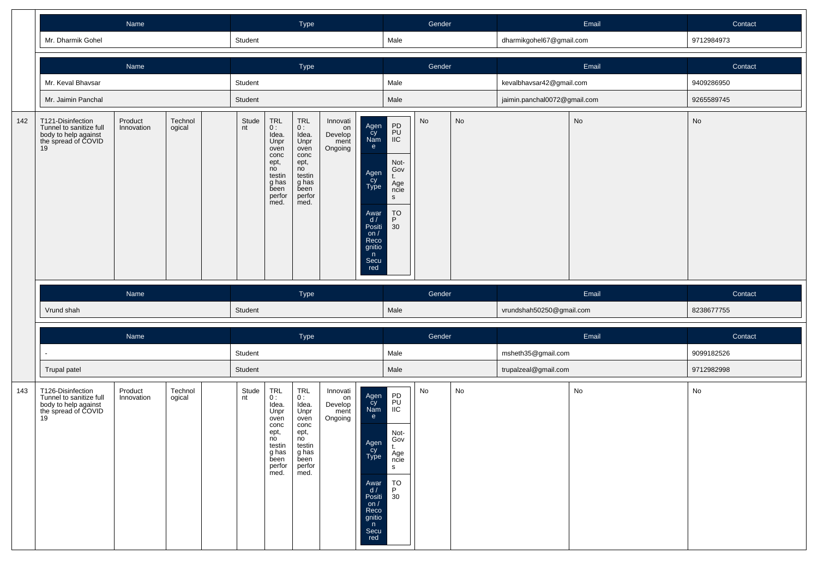|     |                                                                                                   | Name                  |                   |             |                                                                                                                                | Type                                                                                                                                                   |                                              |                                                                                                                        |                                                                                                                                            | Gender |    |                              | Email | Contact    |
|-----|---------------------------------------------------------------------------------------------------|-----------------------|-------------------|-------------|--------------------------------------------------------------------------------------------------------------------------------|--------------------------------------------------------------------------------------------------------------------------------------------------------|----------------------------------------------|------------------------------------------------------------------------------------------------------------------------|--------------------------------------------------------------------------------------------------------------------------------------------|--------|----|------------------------------|-------|------------|
|     | Mr. Dharmik Gohel                                                                                 |                       |                   | Student     |                                                                                                                                |                                                                                                                                                        |                                              |                                                                                                                        | Male                                                                                                                                       |        |    | dharmikgohel67@gmail.com     |       | 9712984973 |
|     |                                                                                                   | Name                  |                   |             |                                                                                                                                | Type                                                                                                                                                   |                                              |                                                                                                                        |                                                                                                                                            | Gender |    |                              | Email | Contact    |
|     | Mr. Keval Bhavsar                                                                                 |                       |                   | Student     |                                                                                                                                |                                                                                                                                                        |                                              |                                                                                                                        | Male                                                                                                                                       |        |    | kevalbhavsar42@gmail.com     |       | 9409286950 |
|     | Mr. Jaimin Panchal                                                                                |                       |                   | Student     |                                                                                                                                |                                                                                                                                                        |                                              |                                                                                                                        | Male                                                                                                                                       |        |    | jaimin.panchal0072@gmail.com |       | 9265589745 |
| 142 | T121-Disinfection<br>Tunnel to sanitize full<br>body to help against<br>the spread of COVID<br>19 | Product<br>Innovation | Technol<br>ogical | Stude<br>nt | $\mathop{\sf TRL}\limits_{0 \; :}$<br>Idea.<br>Unpr<br>oven<br>conc<br>ept,<br>no<br>testin<br>g has<br>been<br>perfor<br>med. | $\begin{array}{c} \mathsf{TRL} \\ \mathsf{O}: \end{array}$<br>Idea.<br>Unpr<br>oven<br>conc<br>ept,<br>no<br>testin<br>g has<br>been<br>perfor<br>med. | Innovati<br>on<br>Develop<br>ment<br>Ongoing | Agen<br>Cy<br>Nam<br>e<br>Agen<br>cy<br>Type<br>Awar<br>$\frac{d}{dx}$<br>on $/$<br>Reco<br>gnitio<br>n<br>Secu<br>red | PD<br>PU<br>IIC<br>Not-<br>Gov<br>t.<br>Age<br>ncie<br>$\mathsf{s}$<br>$\begin{array}{c}\n\text{TO} \\ \text{P} \\ \text{30}\n\end{array}$ | No     | No |                              | No    | No         |
|     |                                                                                                   |                       |                   |             |                                                                                                                                |                                                                                                                                                        |                                              |                                                                                                                        |                                                                                                                                            |        |    |                              |       |            |
|     |                                                                                                   | Name                  |                   |             |                                                                                                                                | Type                                                                                                                                                   |                                              |                                                                                                                        |                                                                                                                                            | Gender |    |                              | Email | Contact    |
|     | Vrund shah                                                                                        |                       |                   | Student     |                                                                                                                                |                                                                                                                                                        |                                              |                                                                                                                        | Male                                                                                                                                       |        |    | vrundshah50250@gmail.com     |       | 8238677755 |
|     |                                                                                                   | Name                  |                   |             |                                                                                                                                | Type                                                                                                                                                   |                                              |                                                                                                                        |                                                                                                                                            | Gender |    |                              | Email | Contact    |
|     |                                                                                                   |                       |                   | Student     |                                                                                                                                |                                                                                                                                                        |                                              |                                                                                                                        | Male                                                                                                                                       |        |    | msheth35@gmail.com           |       | 9099182526 |
|     | Trupal patel                                                                                      |                       |                   | Student     |                                                                                                                                |                                                                                                                                                        |                                              |                                                                                                                        | Male                                                                                                                                       |        |    | trupalzeal@gmail.com         |       | 9712982998 |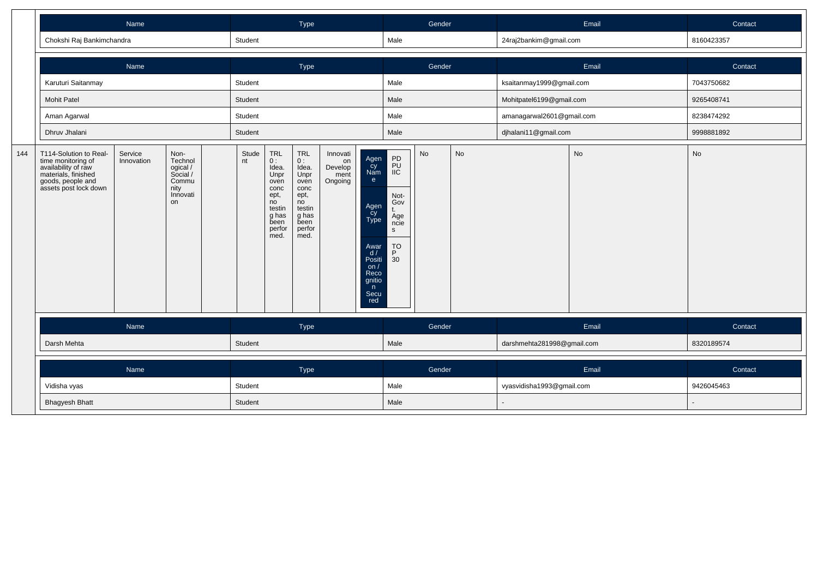|     | Chokshi Raj Bankimchandra                                                                                                                | Name                  |                                                                            | Student     |                                                                                                       | Type                                                                                                         |                                              |                                                                                                                       | Male                                                                                   | Gender |           | 24raj2bankim@gmail.com     | Email     | Contact<br>8160423357 |
|-----|------------------------------------------------------------------------------------------------------------------------------------------|-----------------------|----------------------------------------------------------------------------|-------------|-------------------------------------------------------------------------------------------------------|--------------------------------------------------------------------------------------------------------------|----------------------------------------------|-----------------------------------------------------------------------------------------------------------------------|----------------------------------------------------------------------------------------|--------|-----------|----------------------------|-----------|-----------------------|
|     |                                                                                                                                          |                       |                                                                            |             |                                                                                                       |                                                                                                              |                                              |                                                                                                                       |                                                                                        |        |           |                            |           |                       |
|     |                                                                                                                                          | Name                  |                                                                            |             |                                                                                                       | Type                                                                                                         |                                              |                                                                                                                       |                                                                                        | Gender |           |                            | Email     | Contact               |
|     | Karuturi Saitanmay                                                                                                                       |                       |                                                                            | Student     |                                                                                                       |                                                                                                              |                                              |                                                                                                                       | Male                                                                                   |        |           | ksaitanmay1999@gmail.com   |           | 7043750682            |
|     | <b>Mohit Patel</b>                                                                                                                       |                       |                                                                            | Student     |                                                                                                       |                                                                                                              |                                              |                                                                                                                       | Male                                                                                   |        |           | Mohitpatel6199@gmail.com   |           | 9265408741            |
|     | Aman Agarwal                                                                                                                             |                       |                                                                            | Student     |                                                                                                       |                                                                                                              |                                              |                                                                                                                       | Male                                                                                   |        |           | amanagarwal2601@gmail.com  |           | 8238474292            |
|     | Dhruv Jhalani                                                                                                                            |                       |                                                                            | Student     |                                                                                                       |                                                                                                              |                                              |                                                                                                                       | Male                                                                                   |        |           | djhalani11@gmail.com       |           | 9998881892            |
| 144 | T114-Solution to Real-<br>time monitoring of<br>availability of raw<br>materials, finished<br>goods, people and<br>assets post lock down | Service<br>Innovation | Non-<br>Technol<br>ogical /<br>Social /<br>Commu<br>nity<br>Innovati<br>on | Stude<br>nt | TRL<br>0:<br>Idea.<br>Unpr<br>oven<br>conc<br>ept,<br>no<br>testin<br>g has<br>been<br>perfor<br>med. | <b>TRL</b><br>0:<br>Idea.<br>Unpr<br>oven<br>conc<br>ept,<br>no<br>testin<br>g has<br>been<br>perfor<br>med. | Innovati<br>on<br>Develop<br>ment<br>Ongoing | Agen<br>Cy<br>Nam<br>e.<br>Agen<br>су<br>Туре<br>Awar<br>d/<br>Positi<br>on $/$<br>Reco<br>gnitio<br>n<br>Secu<br>red | PD<br>PU<br>IIC<br>Not-<br>Gov<br>Age<br>ncie<br>$\mathsf{s}$<br>$P^{\text{TO}}$<br>30 | No     | <b>No</b> |                            | <b>No</b> | No                    |
|     |                                                                                                                                          | Name                  |                                                                            |             |                                                                                                       | Type                                                                                                         |                                              |                                                                                                                       |                                                                                        | Gender |           |                            | Email     | Contact               |
|     | Darsh Mehta                                                                                                                              |                       |                                                                            | Student     |                                                                                                       |                                                                                                              |                                              |                                                                                                                       | Male                                                                                   |        |           | darshmehta281998@gmail.com |           | 8320189574            |
|     |                                                                                                                                          | Name                  |                                                                            |             |                                                                                                       | Type                                                                                                         |                                              |                                                                                                                       |                                                                                        | Gender |           |                            | Email     | Contact               |
|     | Vidisha vyas                                                                                                                             |                       |                                                                            | Student     |                                                                                                       |                                                                                                              |                                              |                                                                                                                       | Male                                                                                   |        |           | vyasvidisha1993@gmail.com  |           | 9426045463            |
|     | <b>Bhagyesh Bhatt</b>                                                                                                                    |                       |                                                                            | Student     |                                                                                                       |                                                                                                              |                                              |                                                                                                                       | Male                                                                                   |        |           |                            |           |                       |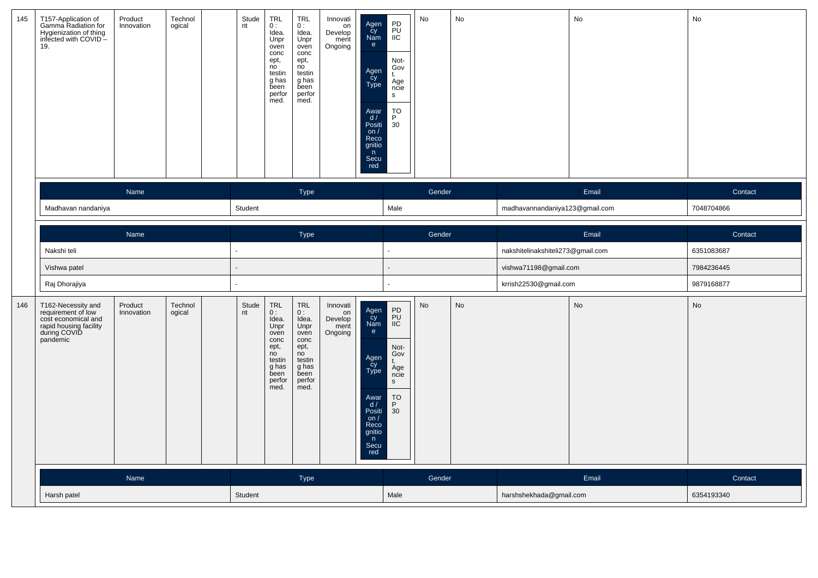| 145 | T157-Application of<br>Gamma Radiation for<br>Hygienization of thing<br>infected with COVID -<br>19.                  | Product<br>Innovation | Technol<br>ogical | Stude<br>nt | <b>TRL</b><br>0:<br>Idea.<br>Unpr<br>oven<br>conc<br>ept,<br>no<br>testin<br>g has<br>been<br>perfor<br>med. | <b>TRL</b><br>0:<br>Idea.<br>Unpr<br>oven<br>conc<br>ept,<br>no<br>testin<br>g has<br>been<br>perfor<br>med. | Innovati<br>on<br>Develop<br>ment<br>Ongoing | Agen<br>Cy<br>Nam<br>e<br>Agen<br>Cy<br>Type<br>Awar<br>$\frac{d}{dx}$<br>on $/$<br>Reco<br>gnitio<br>n<br>Secu<br>red | PD<br>PU<br>IIC<br>Not-<br>Gov<br>t.<br>Age<br>ncie<br>s<br>$\begin{array}{c}\n\text{TO} \\ \text{P} \\ \text{30}\n\end{array}$            | No        | No |                                   | No    | No         |
|-----|-----------------------------------------------------------------------------------------------------------------------|-----------------------|-------------------|-------------|--------------------------------------------------------------------------------------------------------------|--------------------------------------------------------------------------------------------------------------|----------------------------------------------|------------------------------------------------------------------------------------------------------------------------|--------------------------------------------------------------------------------------------------------------------------------------------|-----------|----|-----------------------------------|-------|------------|
|     |                                                                                                                       | Name                  |                   |             |                                                                                                              | Type                                                                                                         |                                              |                                                                                                                        |                                                                                                                                            | Gender    |    |                                   | Email | Contact    |
|     | Madhavan nandaniya                                                                                                    |                       |                   | Student     |                                                                                                              |                                                                                                              |                                              |                                                                                                                        | Male                                                                                                                                       |           |    | madhavannandaniya123@gmail.com    |       | 7048704866 |
|     |                                                                                                                       | Name                  |                   |             |                                                                                                              | Type                                                                                                         |                                              |                                                                                                                        |                                                                                                                                            | Gender    |    |                                   | Email | Contact    |
|     | Nakshi teli                                                                                                           |                       |                   |             |                                                                                                              |                                                                                                              |                                              |                                                                                                                        | $\Box$                                                                                                                                     |           |    | nakshitelinakshiteli273@gmail.com |       | 6351083687 |
|     | Vishwa patel                                                                                                          |                       |                   |             |                                                                                                              |                                                                                                              |                                              |                                                                                                                        |                                                                                                                                            |           |    | vishwa71198@gmail.com             |       | 7984236445 |
|     | Raj Dhorajiya                                                                                                         |                       |                   |             |                                                                                                              |                                                                                                              |                                              |                                                                                                                        | ÷,                                                                                                                                         |           |    | krrish22530@gmail.com             |       | 9879168877 |
| 146 | T162-Necessity and<br>requirement of low<br>cost economical and<br>rapid housing facility<br>during COVID<br>pandemic | Product<br>Innovation | Technol<br>ogical | Stude<br>nt | <b>TRL</b><br>0:<br>Idea.<br>Unpr<br>oven<br>conc<br>ept,<br>no<br>testin<br>g has<br>been<br>perfor<br>med. | TRL<br>0:<br>Idea.<br>Unpr<br>oven<br>conc<br>ept,<br>no<br>testin<br>g has<br>been<br>perfor<br>med.        | Innovati<br>on<br>Develop<br>ment<br>Ongoing | Agen<br>Cy<br>Nam<br>e<br>Agen<br>Cy<br>Type<br>Awar<br>$\frac{d}{dx}$<br>on $/$<br>Reco<br>gnitio<br>n<br>Secu<br>red | PD<br>PU<br>IIC<br>Not-<br>Gov<br>t.<br>Age<br>ncie<br>$\mathsf{s}$<br>$\begin{array}{c}\n\text{TO} \\ \text{P} \\ \text{30}\n\end{array}$ | <b>No</b> | No |                                   | No    | No         |
|     |                                                                                                                       | Name                  |                   |             |                                                                                                              | Type                                                                                                         |                                              |                                                                                                                        |                                                                                                                                            | Gender    |    |                                   | Email | Contact    |
|     | Harsh patel                                                                                                           |                       |                   | Student     |                                                                                                              |                                                                                                              |                                              |                                                                                                                        | Male                                                                                                                                       |           |    | harshshekhada@gmail.com           |       | 6354193340 |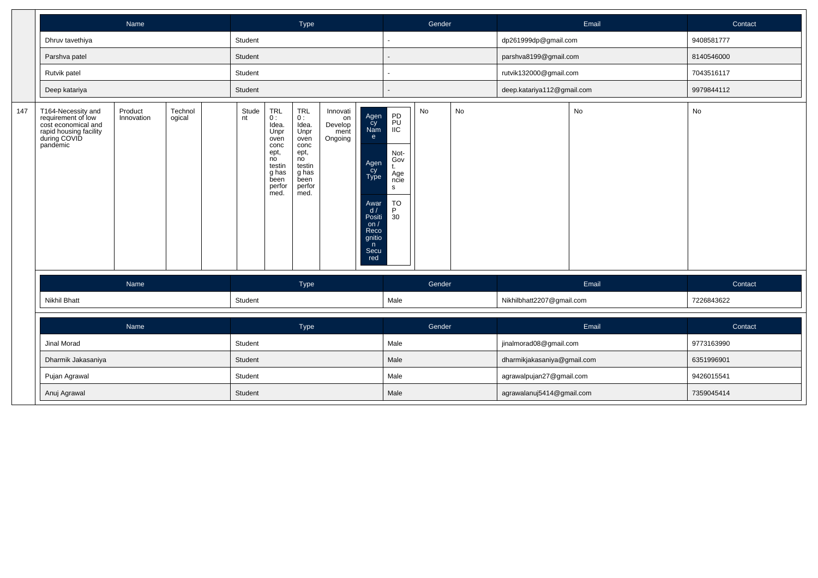|     |                                                                                                                       | Name                  |                   |             |                                                                                                        | Type                                                                                                          |                                              |                                                                                                                   |                                                                                                   | Gender |    |                             | Email | Contact    |
|-----|-----------------------------------------------------------------------------------------------------------------------|-----------------------|-------------------|-------------|--------------------------------------------------------------------------------------------------------|---------------------------------------------------------------------------------------------------------------|----------------------------------------------|-------------------------------------------------------------------------------------------------------------------|---------------------------------------------------------------------------------------------------|--------|----|-----------------------------|-------|------------|
|     | Dhruv tavethiya                                                                                                       |                       |                   | Student     |                                                                                                        |                                                                                                               |                                              |                                                                                                                   |                                                                                                   |        |    | dp261999dp@gmail.com        |       | 9408581777 |
|     | Parshva patel                                                                                                         |                       |                   | Student     |                                                                                                        |                                                                                                               |                                              |                                                                                                                   |                                                                                                   |        |    | parshva8199@gmail.com       |       | 8140546000 |
|     | Rutvik patel                                                                                                          |                       |                   | Student     |                                                                                                        |                                                                                                               |                                              |                                                                                                                   |                                                                                                   |        |    | rutvik132000@gmail.com      |       | 7043516117 |
|     | Deep katariya                                                                                                         |                       |                   | Student     |                                                                                                        |                                                                                                               |                                              |                                                                                                                   |                                                                                                   |        |    | deep.katariya112@gmail.com  |       | 9979844112 |
| 147 | T164-Necessity and<br>requirement of low<br>cost economical and<br>rapid housing facility<br>during COVID<br>pandemic | Product<br>Innovation | Technol<br>ogical | Stude<br>nt | TRL<br>0 :<br>Idea.<br>Unpr<br>oven<br>conc<br>ept,<br>no<br>testin<br>g has<br>been<br>perfor<br>med. | <b>TRL</b><br>0 :<br>Idea.<br>Unpr<br>oven<br>conc<br>ept,<br>no<br>testin<br>g has<br>been<br>perfor<br>med. | Innovati<br>on<br>Develop<br>ment<br>Ongoing | Agen<br>Cy<br>Nam<br>e<br>Agen<br>Cy<br>Type<br>Awar<br>d/<br>Positi<br>on/<br>Reco<br>gnitio<br>n<br>Secu<br>red | PD<br>PU<br>$i\overline{C}$<br>Not-<br>Gov<br>t.<br>Age<br>ncie<br>S<br>TO<br>P<br>$\frac{1}{30}$ | No     | No |                             | No    | No         |
|     |                                                                                                                       | Name                  |                   |             |                                                                                                        | Type                                                                                                          |                                              |                                                                                                                   |                                                                                                   | Gender |    |                             | Email | Contact    |
|     | <b>Nikhil Bhatt</b>                                                                                                   |                       |                   | Student     |                                                                                                        |                                                                                                               |                                              |                                                                                                                   | Male                                                                                              |        |    | Nikhilbhatt2207@gmail.com   |       | 7226843622 |
|     |                                                                                                                       | Name                  |                   |             |                                                                                                        | Type                                                                                                          |                                              |                                                                                                                   |                                                                                                   | Gender |    |                             | Email | Contact    |
|     | Jinal Morad                                                                                                           |                       |                   | Student     |                                                                                                        |                                                                                                               |                                              |                                                                                                                   | Male                                                                                              |        |    | jinalmorad08@gmail.com      |       | 9773163990 |
|     | Dharmik Jakasaniya                                                                                                    |                       |                   | Student     |                                                                                                        |                                                                                                               |                                              |                                                                                                                   | Male                                                                                              |        |    | dharmikjakasaniya@gmail.com |       | 6351996901 |
|     | Pujan Agrawal                                                                                                         |                       |                   | Student     |                                                                                                        |                                                                                                               |                                              |                                                                                                                   | Male                                                                                              |        |    | agrawalpujan27@gmail.com    |       | 9426015541 |
|     | Anuj Agrawal                                                                                                          |                       |                   | Student     |                                                                                                        |                                                                                                               |                                              |                                                                                                                   | Male                                                                                              |        |    | agrawalanuj5414@gmail.com   |       | 7359045414 |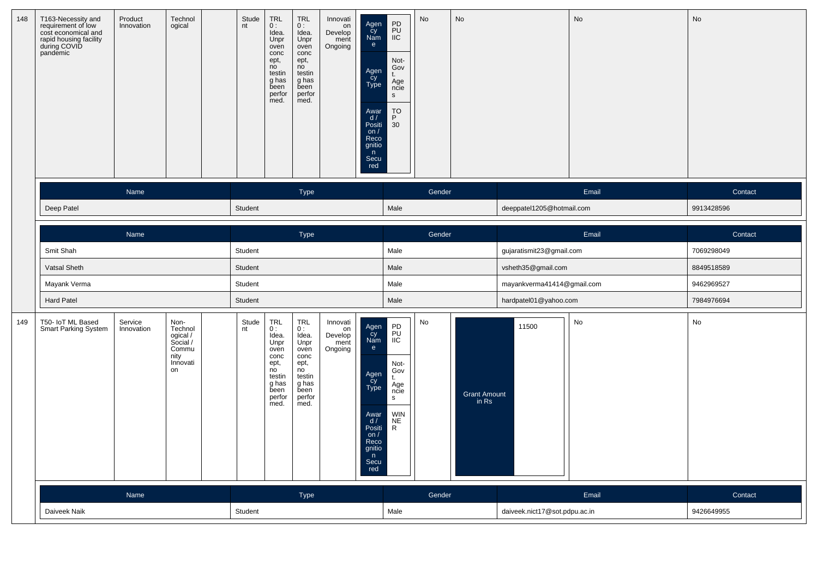| 148 | T163-Necessity and<br>requirement of low<br>cost economical and<br>rapid housing facility<br>during COVID<br>pandemic | Product<br>Innovation | Technol<br>ogical                                                          | Stude<br>nt | <b>TRL</b><br>0:<br>Idea.<br>Unpr<br>oven<br>conc<br>ept,<br>no<br>testin<br>g has<br>been<br>perfor<br>med. | <b>TRL</b><br>0:<br>Idea.<br>Unpr<br>oven<br>conc<br>ept,<br>no<br>testin<br>g has<br>been<br>perfor<br>med. | Innovati<br>on<br>Develop<br>ment<br>Ongoing | Agen<br>Cy<br>Nam<br>e<br>Agen<br>cy<br>Type<br>Awar<br>d/<br>Positi<br>on $/$<br>Reco<br>gnitio<br>n<br>Secu<br>red | PD<br>PU<br>IIC<br>Not-<br>Gov<br>Age<br>ncie<br>s<br>$_{\mathsf{P}}^{\mathsf{TO}}$<br>30 <sup>2</sup> | No     | No                    |                               | <b>No</b> | No         |
|-----|-----------------------------------------------------------------------------------------------------------------------|-----------------------|----------------------------------------------------------------------------|-------------|--------------------------------------------------------------------------------------------------------------|--------------------------------------------------------------------------------------------------------------|----------------------------------------------|----------------------------------------------------------------------------------------------------------------------|--------------------------------------------------------------------------------------------------------|--------|-----------------------|-------------------------------|-----------|------------|
|     |                                                                                                                       | Name                  |                                                                            |             |                                                                                                              | Type                                                                                                         |                                              |                                                                                                                      |                                                                                                        | Gender |                       |                               | Email     | Contact    |
|     | Deep Patel                                                                                                            |                       |                                                                            | Student     |                                                                                                              |                                                                                                              |                                              |                                                                                                                      | Male                                                                                                   |        |                       | deeppatel1205@hotmail.com     |           | 9913428596 |
|     |                                                                                                                       |                       |                                                                            |             |                                                                                                              |                                                                                                              |                                              |                                                                                                                      |                                                                                                        |        |                       |                               |           |            |
|     |                                                                                                                       | Name                  |                                                                            |             |                                                                                                              | Type                                                                                                         |                                              |                                                                                                                      |                                                                                                        | Gender |                       |                               | Email     | Contact    |
|     | Smit Shah                                                                                                             |                       |                                                                            | Student     |                                                                                                              |                                                                                                              |                                              |                                                                                                                      | Male                                                                                                   |        |                       | gujaratismit23@gmail.com      |           | 7069298049 |
|     | Vatsal Sheth                                                                                                          |                       |                                                                            | Student     |                                                                                                              |                                                                                                              |                                              |                                                                                                                      | Male                                                                                                   |        |                       | vsheth35@gmail.com            |           | 8849518589 |
|     | Mayank Verma                                                                                                          |                       |                                                                            | Student     |                                                                                                              |                                                                                                              |                                              |                                                                                                                      | Male                                                                                                   |        |                       | mayankverma41414@gmail.com    |           | 9462969527 |
|     | <b>Hard Patel</b>                                                                                                     |                       |                                                                            | Student     |                                                                                                              |                                                                                                              |                                              |                                                                                                                      | Male                                                                                                   |        |                       | hardpatel01@yahoo.com         |           | 7984976694 |
| 149 | T50- IoT ML Based<br>Smart Parking System                                                                             | Service<br>Innovation | Non-<br>Technol<br>ogical /<br>Social /<br>Commu<br>nity<br>Innovati<br>on | Stude<br>nt | TRL<br>0:<br>Idea.<br>Unpr<br>oven<br>conc<br>ept,<br>no<br>testin<br>g has<br>been<br>perfor<br>med.        | <b>TRL</b><br>0:<br>Idea.<br>Unpr<br>oven<br>conc<br>ept,<br>no<br>testin<br>g has<br>been<br>perfor<br>med. | Innovati<br>on<br>Develop<br>ment<br>Ongoing | Agen<br>cy<br>Nam<br>e<br>Agen<br>Cy<br>Type<br>Awar<br>d/<br>Positi<br>on $/$<br>Reco<br>gnitio<br>n<br>Secu<br>red | PD<br>PU<br>IIC<br>Not-<br>Gov<br>Age<br>ncie<br>s<br><b>WIN</b><br><b>NE</b><br>$\mathsf{R}$          | No     | Grant Amount<br>in Rs | 11500                         | No        | No         |
|     |                                                                                                                       | Name                  |                                                                            |             |                                                                                                              | Type                                                                                                         |                                              |                                                                                                                      |                                                                                                        | Gender |                       |                               | Email     | Contact    |
|     | Daiveek Naik                                                                                                          |                       |                                                                            | Student     |                                                                                                              |                                                                                                              |                                              |                                                                                                                      | Male                                                                                                   |        |                       | daiveek.nict17@sot.pdpu.ac.in |           | 9426649955 |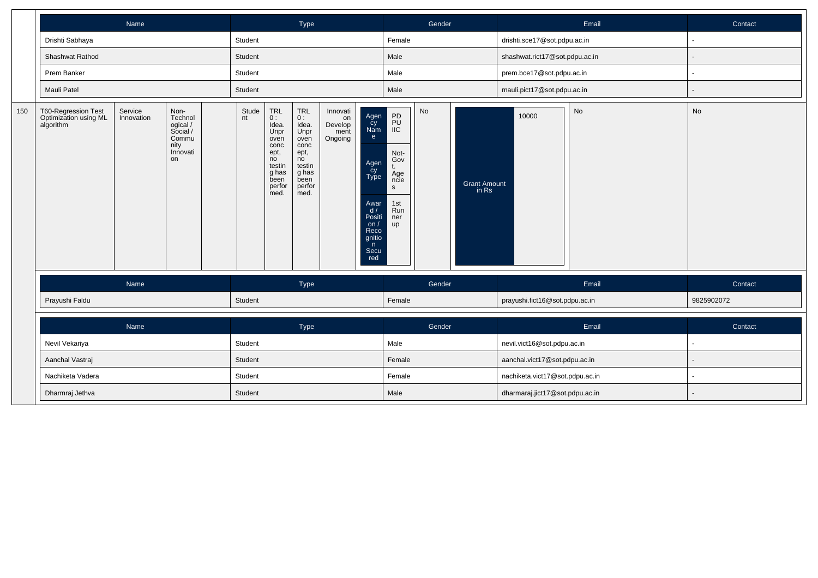|     |                                                           | Name                  |                                                                            |             |                                                                                                                                                        | Type                                                                                                           |                                              |                                                                                                                       |                                                                                                | Gender |                              |                                 | Email     | Contact                  |
|-----|-----------------------------------------------------------|-----------------------|----------------------------------------------------------------------------|-------------|--------------------------------------------------------------------------------------------------------------------------------------------------------|----------------------------------------------------------------------------------------------------------------|----------------------------------------------|-----------------------------------------------------------------------------------------------------------------------|------------------------------------------------------------------------------------------------|--------|------------------------------|---------------------------------|-----------|--------------------------|
|     | Drishti Sabhaya                                           |                       |                                                                            | Student     |                                                                                                                                                        |                                                                                                                |                                              |                                                                                                                       | Female                                                                                         |        |                              | drishti.sce17@sot.pdpu.ac.in    |           | $\blacksquare$           |
|     | Shashwat Rathod                                           |                       |                                                                            | Student     |                                                                                                                                                        |                                                                                                                |                                              |                                                                                                                       | Male                                                                                           |        |                              | shashwat.rict17@sot.pdpu.ac.in  |           | $\overline{\phantom{a}}$ |
|     | Prem Banker                                               |                       |                                                                            | Student     |                                                                                                                                                        |                                                                                                                |                                              |                                                                                                                       | Male                                                                                           |        |                              | prem.bce17@sot.pdpu.ac.in       |           | $\blacksquare$           |
|     | Mauli Patel                                               |                       |                                                                            | Student     |                                                                                                                                                        |                                                                                                                |                                              |                                                                                                                       | Male                                                                                           |        |                              | mauli.pict17@sot.pdpu.ac.in     |           | $\overline{\phantom{a}}$ |
| 150 | T60-Regression Test<br>Optimization using ML<br>algorithm | Service<br>Innovation | Non-<br>Technol<br>ogical /<br>Social /<br>Commu<br>nity<br>Innovati<br>on | Stude<br>nt | $\begin{array}{c} \mathsf{TRL} \\ \mathsf{0}: \end{array}$<br>Idea.<br>Unpr<br>oven<br>conc<br>ept,<br>no<br>testin<br>g has<br>been<br>perfor<br>med. | <b>TRL</b><br>$0:$<br>Idea.<br>Unpr<br>oven<br>conc<br>ept,<br>no<br>testin<br>g has<br>been<br>perfor<br>med. | Innovati<br>on<br>Develop<br>ment<br>Ongoing | Agen<br>Cy<br>Nam<br>e<br>Agen<br>Cy<br>Type<br>Awar<br>$d / P$ ositi<br>on $/$<br>Reco<br>gnitio<br>n<br>Secu<br>red | PD<br>PU<br>IIC<br>Not-<br>Gov<br>t.<br>Age<br>ncie<br>$\mathsf{s}$<br>1st<br>Run<br>ner<br>up | No     | <b>Grant Amount</b><br>in Rs | 10000                           | <b>No</b> | No                       |
|     |                                                           | Name                  |                                                                            |             |                                                                                                                                                        | Type                                                                                                           |                                              |                                                                                                                       |                                                                                                | Gender |                              |                                 | Email     | Contact                  |
|     | Prayushi Faldu                                            |                       |                                                                            | Student     |                                                                                                                                                        |                                                                                                                |                                              |                                                                                                                       | Female                                                                                         |        |                              | prayushi.fict16@sot.pdpu.ac.in  |           | 9825902072               |
|     |                                                           | Name                  |                                                                            |             |                                                                                                                                                        | Type                                                                                                           |                                              |                                                                                                                       |                                                                                                | Gender |                              |                                 | Email     | Contact                  |
|     | Nevil Vekariya                                            |                       |                                                                            | Student     |                                                                                                                                                        |                                                                                                                |                                              |                                                                                                                       | Male                                                                                           |        |                              | nevil.vict16@sot.pdpu.ac.in     |           | $\sim$                   |
|     | Aanchal Vastraj                                           |                       |                                                                            | Student     |                                                                                                                                                        |                                                                                                                |                                              |                                                                                                                       | Female                                                                                         |        |                              | aanchal.vict17@sot.pdpu.ac.in   |           |                          |
|     | Nachiketa Vadera                                          |                       |                                                                            | Student     |                                                                                                                                                        |                                                                                                                |                                              |                                                                                                                       | Female                                                                                         |        |                              | nachiketa.vict17@sot.pdpu.ac.in |           | $\blacksquare$           |
|     | Dharmraj Jethva                                           |                       |                                                                            | Student     |                                                                                                                                                        |                                                                                                                |                                              |                                                                                                                       | Male                                                                                           |        |                              | dharmaraj.jict17@sot.pdpu.ac.in |           |                          |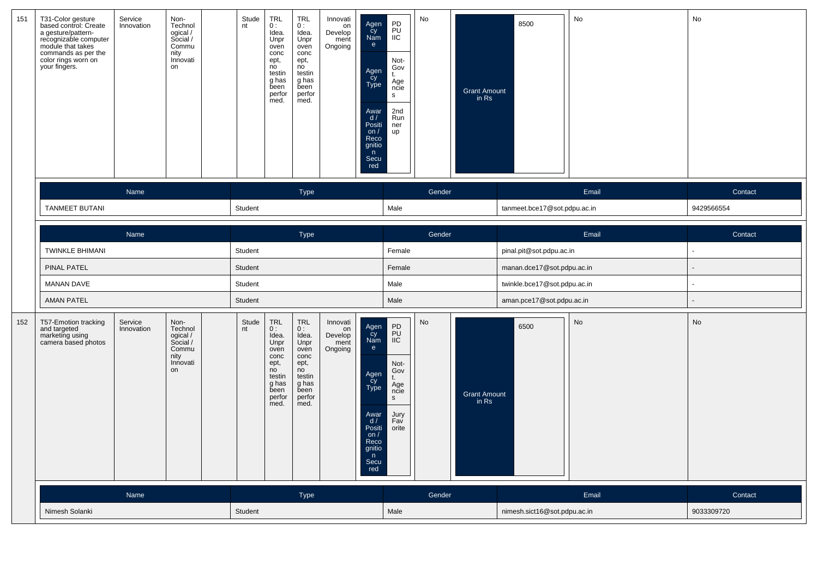| 151 | T31-Color gesture<br>based control: Create<br>a gesture/pattern-<br>recognizable computer<br>module that takes<br>commands as per the<br>color rings worn on<br>your fingers. | Service<br>Innovation | Non-<br>Technol<br>ogical /<br>Social /<br>Commu<br>nity<br>Innovati<br>on | Stude<br>nt        | <b>TRL</b><br>0:<br>Idea.<br>Unpr<br>oven<br>conc<br>ept,<br>no<br>testin<br>g has<br>been<br>perfor<br>med. | <b>TRL</b><br>0:<br>Idea.<br>Unpr<br>oven<br>conc<br>ept,<br>no<br>testin<br>g has<br>been<br>perfor<br>med. | Innovati<br>on<br>Develop<br>ment<br>Ongoing | Agen<br>Cy<br>Nam<br>e<br>Agen<br>Cy<br>Type<br>Awar<br>d/<br>Positi<br>on $/$<br>Reco<br>gnitio<br>n<br>Secu<br>red | PD<br>PU<br><b>IIC</b><br>Not-<br>Gov<br>Age<br>ncie<br>s<br>2nd<br>Run<br>ner<br>up        | No     | <b>Grant Amount</b><br>in Rs | 8500                                                       | No    | No         |
|-----|-------------------------------------------------------------------------------------------------------------------------------------------------------------------------------|-----------------------|----------------------------------------------------------------------------|--------------------|--------------------------------------------------------------------------------------------------------------|--------------------------------------------------------------------------------------------------------------|----------------------------------------------|----------------------------------------------------------------------------------------------------------------------|---------------------------------------------------------------------------------------------|--------|------------------------------|------------------------------------------------------------|-------|------------|
|     |                                                                                                                                                                               | Name                  |                                                                            |                    |                                                                                                              | <b>Type</b>                                                                                                  |                                              |                                                                                                                      |                                                                                             | Gender |                              |                                                            | Email | Contact    |
|     | <b>TANMEET BUTANI</b>                                                                                                                                                         |                       |                                                                            | Student            |                                                                                                              |                                                                                                              |                                              |                                                                                                                      | Male                                                                                        |        |                              | tanmeet.bce17@sot.pdpu.ac.in                               |       | 9429566554 |
|     |                                                                                                                                                                               |                       |                                                                            |                    |                                                                                                              |                                                                                                              |                                              |                                                                                                                      |                                                                                             |        |                              |                                                            |       |            |
|     |                                                                                                                                                                               | Name                  |                                                                            |                    |                                                                                                              | <b>Type</b>                                                                                                  |                                              |                                                                                                                      | Female                                                                                      | Gender |                              |                                                            | Email | Contact    |
|     | <b>TWINKLE BHIMANI</b><br>PINAL PATEL                                                                                                                                         |                       |                                                                            | Student<br>Student |                                                                                                              |                                                                                                              |                                              |                                                                                                                      | Female                                                                                      |        |                              | pinal.pit@sot.pdpu.ac.in                                   |       |            |
|     | <b>MANAN DAVE</b>                                                                                                                                                             |                       |                                                                            | Student            |                                                                                                              |                                                                                                              |                                              |                                                                                                                      | Male                                                                                        |        |                              | manan.dce17@sot.pdpu.ac.in<br>twinkle.bce17@sot.pdpu.ac.in |       |            |
|     | <b>AMAN PATEL</b>                                                                                                                                                             |                       |                                                                            | Student            |                                                                                                              |                                                                                                              |                                              |                                                                                                                      | Male                                                                                        |        |                              | aman.pce17@sot.pdpu.ac.in                                  |       |            |
| 152 | T57-Emotion tracking<br>and targeted<br>marketing using<br>camera based photos                                                                                                | Service<br>Innovation | Non-<br>Technol<br>ogical /<br>Social /<br>Commu<br>nity<br>Innovati<br>on | Stude<br>nt        | <b>TRL</b><br>0:<br>Idea.<br>Unpr<br>oven<br>conc<br>ept,<br>no<br>testin<br>g has<br>been<br>perfor<br>med. | <b>TRL</b><br>0:<br>Idea.<br>Unpr<br>oven<br>conc<br>ept,<br>no<br>testin<br>g has<br>been<br>perfor<br>med. | Innovati<br>on<br>Develop<br>ment<br>Ongoing | Agen<br>cy<br>Nam<br>e<br>Agen<br>Cy<br>Type<br>Awar<br>d/<br>Positi<br>on $/$<br>Reco<br>gnitio<br>n<br>Secu<br>red | P <sub>D</sub><br>IIC<br>Not-<br>Gov<br>Age<br>ncie<br>$\mathbf{s}$<br>Jury<br>Fav<br>orite | No     | Grant Amount<br>in Rs        | 6500                                                       | No    | No         |
|     |                                                                                                                                                                               | Name                  |                                                                            |                    |                                                                                                              | Type                                                                                                         |                                              |                                                                                                                      |                                                                                             | Gender |                              |                                                            | Email | Contact    |
|     | Nimesh Solanki                                                                                                                                                                |                       |                                                                            | Student            |                                                                                                              |                                                                                                              |                                              |                                                                                                                      | Male                                                                                        |        |                              | nimesh.sict16@sot.pdpu.ac.in                               |       | 9033309720 |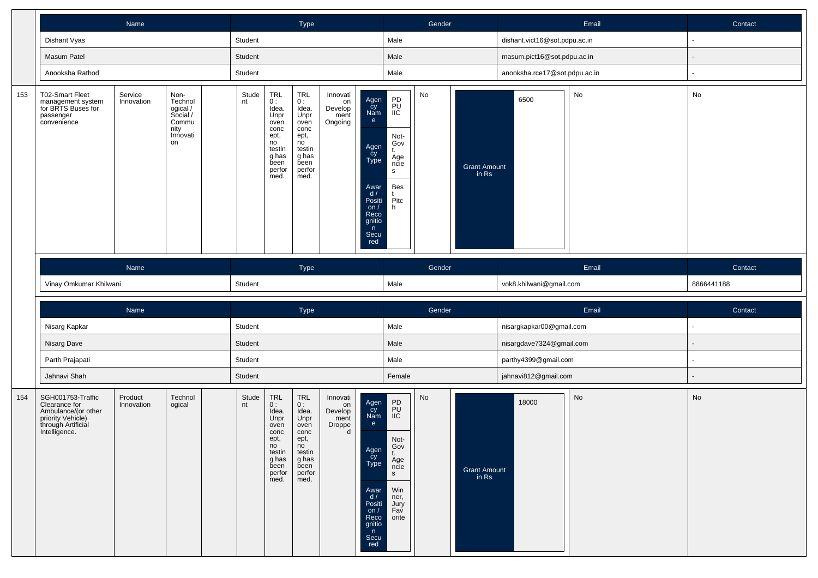|     |                                                                                        | Name                  |                                                                            |             |                                                                                                           | Type                                                                                                         |                                              |                                                                                                                      |                                                                        | Gender |                              |                               | Email | Contact        |
|-----|----------------------------------------------------------------------------------------|-----------------------|----------------------------------------------------------------------------|-------------|-----------------------------------------------------------------------------------------------------------|--------------------------------------------------------------------------------------------------------------|----------------------------------------------|----------------------------------------------------------------------------------------------------------------------|------------------------------------------------------------------------|--------|------------------------------|-------------------------------|-------|----------------|
|     | Dishant Vyas                                                                           |                       |                                                                            | Student     |                                                                                                           |                                                                                                              |                                              |                                                                                                                      | Male                                                                   |        |                              | dishant.vict16@sot.pdpu.ac.in |       | $\blacksquare$ |
|     | Masum Patel                                                                            |                       |                                                                            | Student     |                                                                                                           |                                                                                                              |                                              |                                                                                                                      | Male                                                                   |        |                              | masum.pict16@sot.pdpu.ac.in   |       |                |
|     | Anooksha Rathod                                                                        |                       |                                                                            | Student     |                                                                                                           |                                                                                                              |                                              |                                                                                                                      | Male                                                                   |        |                              | anooksha.rce17@sot.pdpu.ac.in |       | $\blacksquare$ |
| 153 | T02-Smart Fleet<br>management system<br>for BRTS Buses for<br>passenger<br>convenience | Service<br>Innovation | Non-<br>Technol<br>ogical /<br>Social /<br>Commu<br>nity<br>Innovati<br>on | Stude<br>nt | $TRL$<br>$0:$<br>Idea.<br>Unpr<br>oven<br>conc<br>ept,<br>no<br>testin<br>g has<br>been<br>perfor<br>med. | <b>TRL</b><br>0:<br>Idea.<br>Unpr<br>oven<br>conc<br>ept,<br>no<br>testin<br>g has<br>been<br>perfor<br>med. | Innovati<br>on<br>Develop<br>ment<br>Ongoing | Agen<br>Cy<br>Nam<br>e<br>Agen<br>Cy<br>Type<br>Awar<br>d/<br>Positi<br>on $/$<br>Reco<br>gnitio<br>n<br>Secu<br>red | PD<br>PU<br>IIC<br>Not-<br>Gov<br>Age<br>ncie<br>s<br>Bes<br>Pitc<br>h | No     | <b>Grant Amount</b><br>in Rs | 6500                          | No    | No             |
|     |                                                                                        | Name                  |                                                                            |             |                                                                                                           | <b>Type</b>                                                                                                  |                                              |                                                                                                                      |                                                                        | Gender |                              |                               | Email | Contact        |
|     |                                                                                        |                       |                                                                            |             |                                                                                                           |                                                                                                              |                                              |                                                                                                                      |                                                                        |        |                              |                               |       |                |
|     | Vinay Omkumar Khilwani                                                                 |                       |                                                                            | Student     |                                                                                                           |                                                                                                              |                                              |                                                                                                                      | Male                                                                   |        |                              | vok8.khilwani@gmail.com       |       | 8866441188     |
|     |                                                                                        | Name                  |                                                                            |             |                                                                                                           | Type                                                                                                         |                                              |                                                                                                                      |                                                                        | Gender |                              |                               | Email | Contact        |
|     | Nisarg Kapkar                                                                          |                       |                                                                            | Student     |                                                                                                           |                                                                                                              |                                              |                                                                                                                      | Male                                                                   |        |                              | nisargkapkar00@gmail.com      |       | $\blacksquare$ |
|     | Nisarg Dave                                                                            |                       |                                                                            | Student     |                                                                                                           |                                                                                                              |                                              |                                                                                                                      | Male                                                                   |        |                              | nisargdave7324@gmail.com      |       |                |
|     | Parth Prajapati                                                                        |                       |                                                                            | Student     |                                                                                                           |                                                                                                              |                                              |                                                                                                                      | Male                                                                   |        |                              | parthy4399@gmail.com          |       | ٠              |
|     | Jahnavi Shah                                                                           |                       |                                                                            | Student     |                                                                                                           |                                                                                                              |                                              |                                                                                                                      | Female                                                                 |        |                              | jahnavi812@gmail.com          |       |                |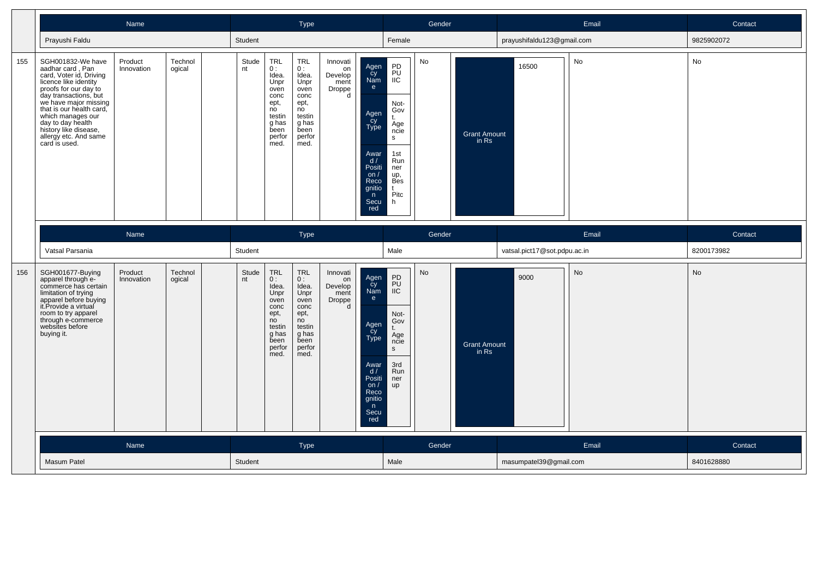|     |                                                                                                                                                                                                                                                                                                               |                       |                   | Type        |                                                                                                       |                                                                                                              | Gender                                           |                                                                                                                                                                                                                                               |           | Email                        | Contact                      |           |            |
|-----|---------------------------------------------------------------------------------------------------------------------------------------------------------------------------------------------------------------------------------------------------------------------------------------------------------------|-----------------------|-------------------|-------------|-------------------------------------------------------------------------------------------------------|--------------------------------------------------------------------------------------------------------------|--------------------------------------------------|-----------------------------------------------------------------------------------------------------------------------------------------------------------------------------------------------------------------------------------------------|-----------|------------------------------|------------------------------|-----------|------------|
|     | Prayushi Faldu                                                                                                                                                                                                                                                                                                |                       |                   | Student     |                                                                                                       |                                                                                                              |                                                  | Female                                                                                                                                                                                                                                        |           |                              | prayushifaldu123@gmail.com   |           | 9825902072 |
| 155 | SGH001832-We have<br>aadhar card, Pan<br>card, Voter id, Driving<br>licence like identity<br>proofs for our day to<br>day transactions, but<br>we have major missing<br>that is our health card,<br>which manages our<br>day to day health<br>history like disease.<br>allergy etc. And same<br>card is used. | Product<br>Innovation | Technol<br>ogical | Stude<br>nt | TRL<br>0:<br>Idea.<br>Unpr<br>oven<br>conc<br>ept,<br>no<br>testin<br>g has<br>been<br>perfor<br>med. | <b>TRL</b><br>0:<br>Idea.<br>Unpr<br>oven<br>conc<br>ept,<br>no<br>testin<br>g has<br>been<br>perfor<br>med. | Innovati<br>on<br>Develop<br>ment<br>Droppe<br>d | PD<br>Agen<br>PU<br>cy<br>Nam<br>IIC<br>e<br>Not-<br>Gov<br>Agen<br>Cy<br>Type<br>t.<br>Age<br>ncie<br>s<br>1st<br>Awar<br>d/<br>Run<br>Positi<br>ner<br>on $/$<br>up,<br><b>Bes</b><br>Reco<br>gnitio<br>Pitc<br>n<br>Secu<br>h<br>red       | No        | Grant Amount<br>in Rs        | 16500                        | No        | No         |
|     |                                                                                                                                                                                                                                                                                                               | Name                  |                   |             |                                                                                                       | Type                                                                                                         |                                                  |                                                                                                                                                                                                                                               | Gender    |                              |                              | Email     | Contact    |
|     | Vatsal Parsania                                                                                                                                                                                                                                                                                               |                       |                   | Student     |                                                                                                       |                                                                                                              |                                                  | Male                                                                                                                                                                                                                                          |           |                              | vatsal.pict17@sot.pdpu.ac.in |           | 8200173982 |
| 156 | SGH001677-Buying<br>apparel through e-<br>commerce has certain                                                                                                                                                                                                                                                | Product<br>Innovation | Technol<br>ogical | Stude<br>nt | TRL<br>0:                                                                                             | TRL                                                                                                          | Innovati                                         |                                                                                                                                                                                                                                               | <b>No</b> |                              |                              |           |            |
|     | limitation of trying<br>apparel before buying<br>it.Provide a virtual<br>room to try apparel<br>through e-commerce<br>websites before<br>buying it.                                                                                                                                                           |                       |                   |             | Idea.<br>Unpr<br>oven<br>conc<br>ept,<br>no<br>testin<br>g has<br>been<br>perfor<br>med.              | 0:<br>Idea.<br>Unpr<br>oven<br>conc<br>ept,<br>no<br>testin<br>g has<br>been<br>perfor<br>med.               | on<br>Develop<br>ment<br>Droppe<br>$\mathsf{d}$  | ${\sf PD}$<br>Agen<br>Cy<br>Nam<br>PU<br>$i\overline{C}$<br>e<br>Not-<br>Gov<br>Agen<br>Cy<br>Type<br>$t$ .<br>Age<br>ncie<br>$\mathsf{s}$<br>3rd<br>Awar<br>d/<br>Run<br>Positi<br>ner<br>on $/$<br>up<br>Reco<br>gnitio<br>n<br>Secu<br>red |           | <b>Grant Amount</b><br>in Rs | 9000                         | <b>No</b> | No         |
|     |                                                                                                                                                                                                                                                                                                               | Name                  |                   |             |                                                                                                       | <b>Type</b>                                                                                                  |                                                  |                                                                                                                                                                                                                                               | Gender    |                              |                              | Email     | Contact    |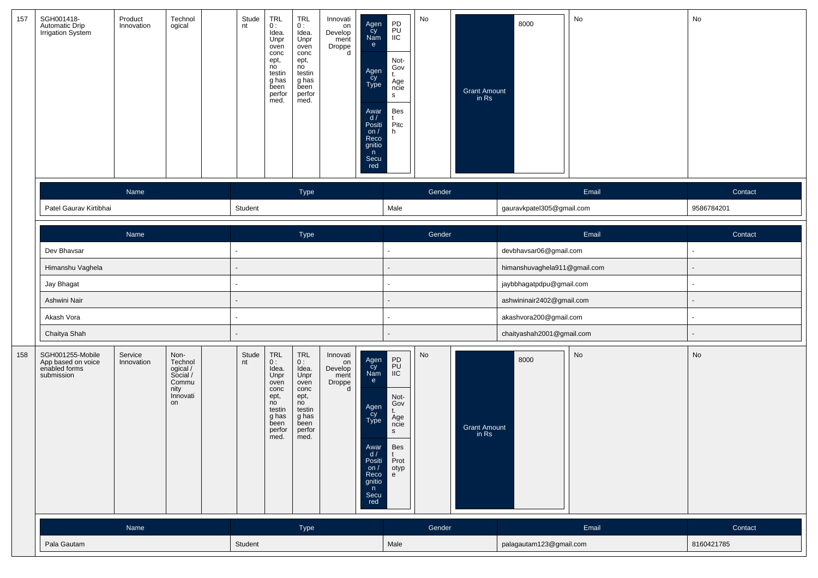| 157 | SGH001418-<br>Automatic Drip<br><b>Irrigation System</b>              | Product<br>Innovation | Technol<br>ogical                                                          | Stude<br>nt | <b>TRL</b><br>0:<br>Idea.<br>Unpr<br>oven<br>conc<br>ept,<br>no<br>testin<br>g has<br>been<br>perfor<br>med. | TRL<br>0:<br>Idea.<br>Unpr<br>oven<br>conc<br>ept,<br>no<br>testin<br>g has<br>been<br>perfor<br>med.        | Innovati<br>on<br>Develop<br>ment<br>Droppe<br>d | Agen<br>čy<br>Nam<br>e<br>Agen<br>Cy<br>Type<br>Awar<br>d/<br>Positi<br>on $/$<br>Reco<br>gnitio<br>n<br>Secu<br>red   | PD<br>PU<br>IIC<br>Not-<br>Gov<br>t.<br>Age<br>ncie<br>S<br>Bes<br>$P$ <sub>itc</sub><br>h      | No     | <b>Grant Amount</b><br>in Rs | 8000                         | $\operatorname{\mathsf{No}}$ | No         |
|-----|-----------------------------------------------------------------------|-----------------------|----------------------------------------------------------------------------|-------------|--------------------------------------------------------------------------------------------------------------|--------------------------------------------------------------------------------------------------------------|--------------------------------------------------|------------------------------------------------------------------------------------------------------------------------|-------------------------------------------------------------------------------------------------|--------|------------------------------|------------------------------|------------------------------|------------|
|     |                                                                       | Name                  |                                                                            |             |                                                                                                              | Type                                                                                                         |                                                  |                                                                                                                        |                                                                                                 | Gender |                              |                              | Email                        | Contact    |
|     | Patel Gaurav Kirtibhai                                                |                       |                                                                            | Student     |                                                                                                              |                                                                                                              |                                                  |                                                                                                                        | Male                                                                                            |        |                              | gauravkpatel305@gmail.com    |                              | 9586784201 |
|     |                                                                       | Name                  |                                                                            |             |                                                                                                              | Type                                                                                                         |                                                  |                                                                                                                        |                                                                                                 | Gender |                              |                              | Email                        | Contact    |
|     | Dev Bhavsar                                                           |                       |                                                                            |             |                                                                                                              |                                                                                                              |                                                  |                                                                                                                        | $\blacksquare$                                                                                  |        |                              | devbhavsar06@gmail.com       |                              |            |
|     | Himanshu Vaghela                                                      |                       |                                                                            |             |                                                                                                              |                                                                                                              |                                                  |                                                                                                                        |                                                                                                 |        |                              | himanshuvaghela911@gmail.com |                              |            |
|     | Jay Bhagat                                                            |                       |                                                                            |             |                                                                                                              |                                                                                                              |                                                  |                                                                                                                        |                                                                                                 |        |                              | jaybbhagatpdpu@gmail.com     |                              |            |
|     | Ashwini Nair                                                          |                       |                                                                            |             |                                                                                                              |                                                                                                              |                                                  |                                                                                                                        |                                                                                                 |        |                              | ashwininair2402@gmail.com    |                              |            |
|     | Akash Vora                                                            |                       |                                                                            |             |                                                                                                              |                                                                                                              |                                                  |                                                                                                                        |                                                                                                 |        |                              | akashvora200@gmail.com       |                              |            |
|     | Chaitya Shah                                                          |                       |                                                                            |             |                                                                                                              |                                                                                                              |                                                  |                                                                                                                        |                                                                                                 |        |                              | chaityashah2001@gmail.com    |                              |            |
| 158 | SGH001255-Mobile<br>App based on voice<br>enabled forms<br>submission | Service<br>Innovation | Non-<br>Technol<br>ogical /<br>Social /<br>Commu<br>nity<br>Innovati<br>on | Stude<br>nt | TRL<br>0:<br>Idea.<br>Unpr<br>oven<br>conc<br>ept,<br>no<br>testin<br>g has<br>been<br>perfor<br>med.        | <b>TRL</b><br>0:<br>Idea.<br>Unpr<br>oven<br>conc<br>ept,<br>no<br>testin<br>g has<br>been<br>perfor<br>med. | Innovati<br>on<br>Develop<br>ment<br>Droppe<br>d | Agen<br>Cy<br>Nam<br>e<br>Agen<br>Cy<br>Type<br>Awar<br>$\frac{d}{dx}$<br>on $/$<br>Reco<br>gnitio<br>n<br>Secu<br>red | PD<br>PU<br>IIC<br>Not-<br>Gov<br>t.<br>Age<br>ncie<br>$\mathsf{s}$<br>Bes<br>Prot<br>otyp<br>e | No     | <b>Grant Amount</b><br>in Rs | 8000                         | No                           | No         |
|     |                                                                       | Name                  |                                                                            |             |                                                                                                              | Type                                                                                                         |                                                  |                                                                                                                        |                                                                                                 | Gender |                              |                              | Email                        | Contact    |
|     | Pala Gautam                                                           |                       |                                                                            | Student     |                                                                                                              |                                                                                                              |                                                  |                                                                                                                        | Male                                                                                            |        |                              | palagautam123@gmail.com      |                              | 8160421785 |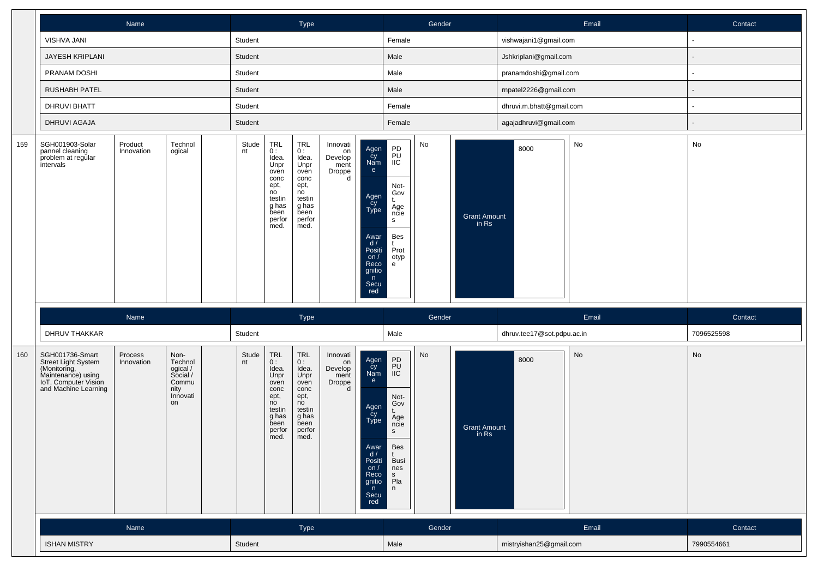|     |                                                                                                                              | Name                  |                                                                            |             |                                                                                                       | Type                                                                                                         |                                                  |                                                                                                                                              |                                                                                             | Gender                       |                                            |                            | Email | Contact               |
|-----|------------------------------------------------------------------------------------------------------------------------------|-----------------------|----------------------------------------------------------------------------|-------------|-------------------------------------------------------------------------------------------------------|--------------------------------------------------------------------------------------------------------------|--------------------------------------------------|----------------------------------------------------------------------------------------------------------------------------------------------|---------------------------------------------------------------------------------------------|------------------------------|--------------------------------------------|----------------------------|-------|-----------------------|
|     | VISHVA JANI                                                                                                                  |                       |                                                                            | Student     |                                                                                                       |                                                                                                              |                                                  |                                                                                                                                              | Female                                                                                      |                              |                                            | vishwajani1@gmail.com      |       |                       |
|     | JAYESH KRIPLANI                                                                                                              |                       |                                                                            | Student     |                                                                                                       |                                                                                                              |                                                  |                                                                                                                                              | Male                                                                                        |                              |                                            | Jshkriplani@gmail.com      |       |                       |
|     | PRANAM DOSHI                                                                                                                 |                       |                                                                            | Student     |                                                                                                       |                                                                                                              |                                                  |                                                                                                                                              | Male                                                                                        |                              |                                            | pranamdoshi@gmail.com      |       |                       |
|     | <b>RUSHABH PATEL</b>                                                                                                         |                       |                                                                            | Student     |                                                                                                       |                                                                                                              |                                                  |                                                                                                                                              | Male                                                                                        |                              |                                            | rnpatel2226@gmail.com      |       |                       |
|     | <b>DHRUVI BHATT</b>                                                                                                          |                       |                                                                            | Student     |                                                                                                       |                                                                                                              |                                                  |                                                                                                                                              | Female                                                                                      |                              |                                            | dhruvi.m.bhatt@gmail.com   |       |                       |
|     | DHRUVI AGAJA                                                                                                                 |                       |                                                                            | Student     |                                                                                                       |                                                                                                              |                                                  |                                                                                                                                              | Female                                                                                      |                              |                                            | agajadhruvi@gmail.com      |       |                       |
| 159 | SGH001903-Solar<br>pannel cleaning<br>problem at regular<br>intervals                                                        | Product<br>Innovation | Technol<br>ogical                                                          | Stude<br>nt | TRL<br>0:<br>Idea.<br>Unpr<br>oven<br>conc<br>ept,<br>no<br>testin<br>g has<br>been<br>perfor<br>med. | <b>TRL</b><br>0:<br>Idea.<br>Unpr<br>oven<br>conc<br>ept,<br>no<br>testin<br>g has<br>been<br>perfor<br>med. | Innovati<br>on<br>Develop<br>ment<br>Droppe<br>d | Agen<br>cy<br>Nam<br>e<br>Agen<br>cy<br>Type<br>s<br>Awar<br>d /<br>Positi<br>on $/$<br>Reco<br>gnitio<br>n<br>Secu<br>red                   | PD<br>PŪ<br>IIC<br>Not-<br>Gov<br>Age<br>ncie<br>Bes<br>Prot<br>otyp<br>e                   | $\mathsf{No}$                | <b>Grant Amount</b><br>$\frac{1}{2}$ in Rs | 8000                       | No    | No                    |
|     | DHRUV THAKKAR                                                                                                                | Name                  |                                                                            | Student     |                                                                                                       | Type                                                                                                         |                                                  |                                                                                                                                              | Male                                                                                        | Gender                       |                                            | dhruv.tee17@sot.pdpu.ac.in | Email | Contact<br>7096525598 |
| 160 | SGH001736-Smart<br>Street Light System<br>(Monitoring,<br>Maintenance) using<br>IoT, Computer Vision<br>and Machine Learning | Process<br>Innovation | Non-<br>Technol<br>ogical /<br>Social /<br>Commu<br>nity<br>Innovati<br>on | Stude<br>nt | TRL<br>0:<br>Idea.<br>Unpr<br>oven<br>conc<br>ept,<br>no<br>testin<br>g has<br>been<br>perfor<br>med. | <b>TRL</b><br>0:<br>Idea.<br>Unpr<br>oven<br>conc<br>ept,<br>no<br>testin<br>g has<br>been<br>perfor<br>med. | Innovati<br>on<br>Develop<br>ment<br>Droppe<br>d | Agen<br>cy<br>Nam<br>e<br>Agen<br>cy<br>Type<br>$\mathsf{s}$<br>Awar<br>d /<br>Positi<br>on $/$<br><b>Reco</b><br>gnitio<br>n<br>Secu<br>red | PD<br>PU<br>IIC<br>Not-<br>Gov<br>Age<br>ncie<br>Bes<br><b>Busi</b><br>nes<br>s<br>Pla<br>n | $\operatorname{\mathsf{No}}$ | <b>Grant Amount</b><br>in Rs               | 8000                       | No    | No                    |
|     |                                                                                                                              | Name                  |                                                                            |             |                                                                                                       | Type                                                                                                         |                                                  |                                                                                                                                              |                                                                                             | Gender                       |                                            |                            | Email | Contact               |
|     | <b>ISHAN MISTRY</b>                                                                                                          |                       |                                                                            | Student     |                                                                                                       |                                                                                                              |                                                  |                                                                                                                                              | Male                                                                                        |                              |                                            | mistryishan25@gmail.com    |       | 7990554661            |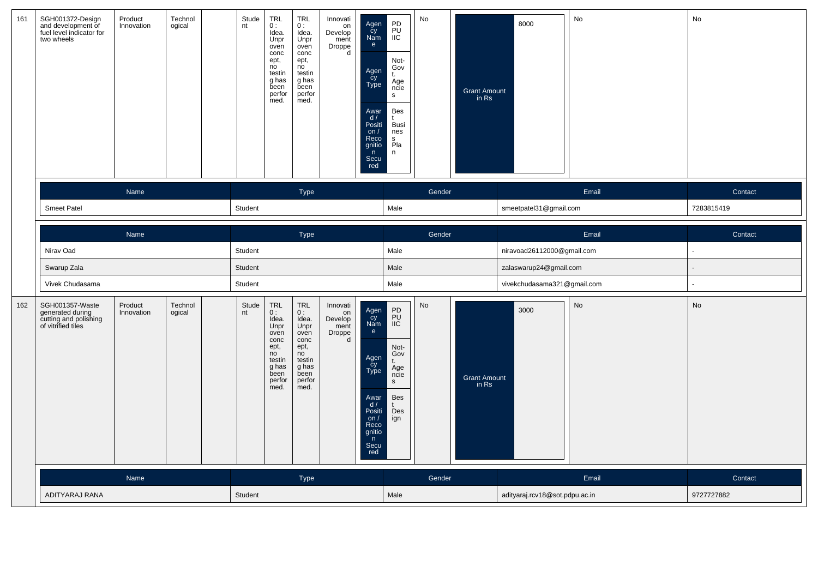| 161 | SGH001372-Design<br>and development of<br>fuel level indicator for<br>two wheels   | Product<br>Innovation | Technol<br>ogical | Stude<br>nt | <b>TRL</b><br>0:<br>Idea.<br>Unpr<br>oven<br>conc<br>ept,<br>no<br>testin<br>g has<br>been<br>perfor<br>med. | <b>TRL</b><br>0:<br>Idea.<br>Unpr<br>oven<br>conc<br>ept,<br>no<br>testin<br>g has<br>been<br>perfor<br>med. | Innovati<br>on<br>Develop<br>ment<br>Droppe<br>d | Agen<br>Cy<br>Nam<br>e<br>Agen<br>cy<br>Type<br>Awar<br>$\frac{d}{dx}$<br>on $/$<br>Reco<br>gnitio<br>n<br>Secu<br>red           | PD<br>PU<br>IIC<br>Not-<br>Gov<br>t.<br>Age<br>ncie<br>$\mathbf{s}$<br>Bes<br>Busi<br>nes<br>s<br>Pla<br>n | No     | <b>Grant Amount</b><br>in Rs | 8000                           | No    | No             |
|-----|------------------------------------------------------------------------------------|-----------------------|-------------------|-------------|--------------------------------------------------------------------------------------------------------------|--------------------------------------------------------------------------------------------------------------|--------------------------------------------------|----------------------------------------------------------------------------------------------------------------------------------|------------------------------------------------------------------------------------------------------------|--------|------------------------------|--------------------------------|-------|----------------|
|     |                                                                                    | Name                  |                   |             |                                                                                                              | Type                                                                                                         |                                                  |                                                                                                                                  |                                                                                                            | Gender |                              |                                | Email | Contact        |
|     | Smeet Patel                                                                        |                       |                   | Student     |                                                                                                              |                                                                                                              |                                                  |                                                                                                                                  | Male                                                                                                       |        |                              | smeetpatel31@gmail.com         |       | 7283815419     |
|     |                                                                                    | Name                  |                   |             |                                                                                                              | Type                                                                                                         |                                                  |                                                                                                                                  |                                                                                                            | Gender |                              |                                | Email | Contact        |
|     | Nirav Oad                                                                          |                       |                   | Student     |                                                                                                              |                                                                                                              |                                                  |                                                                                                                                  | Male                                                                                                       |        |                              | niravoad26112000@gmail.com     |       | $\blacksquare$ |
|     | Swarup Zala                                                                        |                       |                   | Student     |                                                                                                              |                                                                                                              |                                                  |                                                                                                                                  | Male                                                                                                       |        |                              | zalaswarup24@gmail.com         |       |                |
|     | Vivek Chudasama                                                                    |                       |                   | Student     |                                                                                                              |                                                                                                              |                                                  |                                                                                                                                  | Male                                                                                                       |        |                              | vivekchudasama321@gmail.com    |       |                |
| 162 | SGH001357-Waste<br>generated during<br>cutting and polishing<br>of vitrified tiles | Product<br>Innovation | Technol<br>ogical | Stude<br>nt | <b>TRL</b><br>0:<br>Idea.<br>Unpr<br>oven<br>conc<br>ept,<br>no<br>testin<br>g has<br>been<br>perfor<br>med. | <b>TRL</b><br>0:<br>Idea.<br>Unpr<br>oven<br>conc<br>ept,<br>no<br>testin<br>g has<br>been<br>perfor<br>med. | Innovati<br>on<br>Develop<br>ment<br>Droppe<br>d | Agen<br>Cy<br>Nam<br>$\mathbf{e}$<br>Agen<br>cy<br>Type<br>Awar<br>d /<br>Positi<br>on $/$<br>Reco<br>gnitio<br>n<br>Secu<br>red | PD<br>PU<br>IIC<br>Not-<br>Gov<br>t.<br>Age<br>ncie<br>$\mathsf{s}$<br><b>Bes</b><br>Des<br>ign            | No     | <b>Grant Amount</b><br>in Rs | 3000                           | No    | No             |
|     |                                                                                    | Name                  |                   |             |                                                                                                              | Type                                                                                                         |                                                  |                                                                                                                                  |                                                                                                            | Gender |                              |                                | Email | Contact        |
|     | ADITYARAJ RANA                                                                     |                       |                   | Student     |                                                                                                              |                                                                                                              |                                                  |                                                                                                                                  | Male                                                                                                       |        |                              | adityaraj.rcv18@sot.pdpu.ac.in |       | 9727727882     |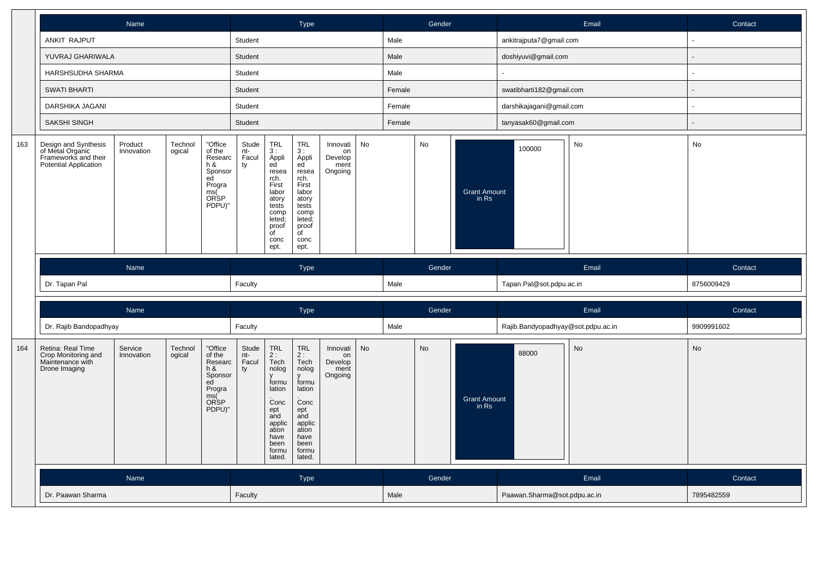|     |                                                                                           | Name                                                                                                                     |  |                                                                                            |                                        |                                                                                                                                       | <b>Type</b>                                                                                                                                                             |                                              |    |        | Gender |                              |                                    | Email | Contact               |
|-----|-------------------------------------------------------------------------------------------|--------------------------------------------------------------------------------------------------------------------------|--|--------------------------------------------------------------------------------------------|----------------------------------------|---------------------------------------------------------------------------------------------------------------------------------------|-------------------------------------------------------------------------------------------------------------------------------------------------------------------------|----------------------------------------------|----|--------|--------|------------------------------|------------------------------------|-------|-----------------------|
|     | ANKIT RAJPUT                                                                              |                                                                                                                          |  |                                                                                            | Student                                |                                                                                                                                       |                                                                                                                                                                         |                                              |    | Male   |        |                              | ankitrajputa7@gmail.com            |       | $\sim$                |
|     | YUVRAJ GHARIWALA                                                                          |                                                                                                                          |  |                                                                                            | Student                                |                                                                                                                                       |                                                                                                                                                                         |                                              |    | Male   |        |                              | doshiyuvi@gmail.com                |       |                       |
|     | HARSHSUDHA SHARMA                                                                         |                                                                                                                          |  |                                                                                            | Student                                |                                                                                                                                       |                                                                                                                                                                         |                                              |    | Male   |        |                              |                                    |       | $\tilde{\phantom{a}}$ |
|     | <b>SWATI BHARTI</b>                                                                       |                                                                                                                          |  |                                                                                            | Student                                |                                                                                                                                       |                                                                                                                                                                         |                                              |    | Female |        |                              | swatibharti182@gmail.com           |       | ÷,                    |
|     | DARSHIKA JAGANI                                                                           |                                                                                                                          |  |                                                                                            | Student                                |                                                                                                                                       |                                                                                                                                                                         |                                              |    | Female |        |                              | darshikajagani@gmail.com           |       |                       |
|     | <b>SAKSHI SINGH</b>                                                                       |                                                                                                                          |  |                                                                                            | Student                                |                                                                                                                                       |                                                                                                                                                                         |                                              |    | Female |        |                              | tanyasak60@gmail.com               |       |                       |
| 163 | Design and Synthesis<br>of Metal Organic<br>Frameworks and their<br>Potential Application | Product<br>Technol<br>ogical<br>Innovation<br>Researc<br>h &<br>Sponsor<br>ed<br>Progra<br><b>ORSP</b><br>PDPU)"<br>Name |  |                                                                                            |                                        | <b>TRL</b><br>3:<br>Appli<br>ed<br>resea<br>rch.<br>First<br>labor<br>atory<br>tests<br>comp<br>leted:<br>proof<br>of<br>conc<br>ept. | <b>TRL</b><br>3:<br>Appli<br>ed <sup>'</sup><br>resea<br>rch.<br>First<br>labor<br>atory<br>tests<br>comp<br>leted;<br>proof<br>$\overline{\mathsf{d}}$<br>conc<br>ept. | Innovati<br>on<br>Develop<br>ment<br>Ongoing | No |        | No     | <b>Grant Amount</b><br>in Rs | 100000                             | No    | No                    |
|     |                                                                                           |                                                                                                                          |  |                                                                                            |                                        |                                                                                                                                       |                                                                                                                                                                         |                                              |    |        |        |                              |                                    |       |                       |
|     |                                                                                           |                                                                                                                          |  |                                                                                            |                                        |                                                                                                                                       | Type                                                                                                                                                                    |                                              |    |        | Gender |                              |                                    | Email | Contact               |
|     | Dr. Tapan Pal                                                                             |                                                                                                                          |  |                                                                                            | Faculty                                |                                                                                                                                       |                                                                                                                                                                         |                                              |    | Male   |        |                              | Tapan.Pal@sot.pdpu.ac.in           |       | 8756009429            |
|     |                                                                                           |                                                                                                                          |  |                                                                                            |                                        |                                                                                                                                       |                                                                                                                                                                         |                                              |    |        |        |                              |                                    |       |                       |
|     | Dr. Rajib Bandopadhyay                                                                    | Name<br>Service<br>Technol<br>ogical<br>Innovation                                                                       |  |                                                                                            |                                        |                                                                                                                                       | Type                                                                                                                                                                    |                                              |    | Male   | Gender |                              | Rajib.Bandyopadhyay@sot.pdpu.ac.in | Email | Contact<br>9909991602 |
| 164 | Retina: Real Time<br>Crop Monitoring and<br>Maintenance with<br>Drone Imaging             |                                                                                                                          |  | "Office<br>of the<br>Researc<br>$h$ &<br>Sponsor<br>ed<br>Progra<br>ms(C<br>ORSP<br>PDPU)" | Faculty<br>Stude<br>nt-<br>Facul<br>ty | <b>TRL</b><br>$2:$ Tech<br>nolog<br>formu<br>lation<br>Conc<br>ept<br>and<br>applic<br>ation<br>have<br>been<br>formu<br>lated.       | <b>TRL</b><br>$2:$ Tech<br>nolog<br>formu<br>lation<br>Conc<br>ept<br>and<br>applic<br>ation<br>have<br>been<br>formu<br>lated.                                         | Innovati<br>on<br>Develop<br>ment<br>Ongoing | No |        | No     | <b>Grant Amount</b><br>in Rs | 88000                              | No    | No                    |
|     |                                                                                           | Name                                                                                                                     |  |                                                                                            |                                        |                                                                                                                                       | <b>Type</b>                                                                                                                                                             |                                              |    |        | Gender |                              |                                    | Email | Contact               |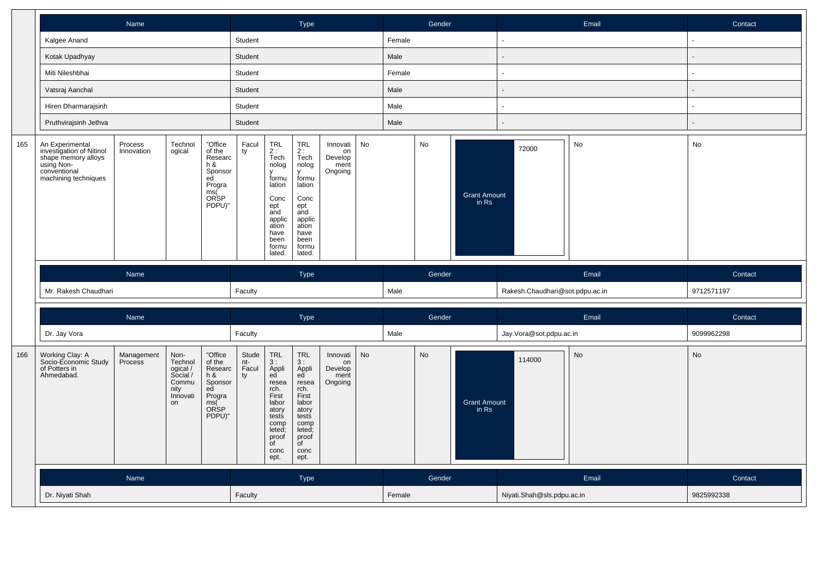|     |                                                                                                                          | <b>Name</b>           |                                                                            |                                                                                                |                             | <b>Type</b>                                                                                                                                       |                                                                                                                                                   |                                              |           | Gender |        |                              | Email                           | Contact |                |
|-----|--------------------------------------------------------------------------------------------------------------------------|-----------------------|----------------------------------------------------------------------------|------------------------------------------------------------------------------------------------|-----------------------------|---------------------------------------------------------------------------------------------------------------------------------------------------|---------------------------------------------------------------------------------------------------------------------------------------------------|----------------------------------------------|-----------|--------|--------|------------------------------|---------------------------------|---------|----------------|
|     | Kalgee Anand                                                                                                             |                       |                                                                            |                                                                                                | Student                     |                                                                                                                                                   |                                                                                                                                                   |                                              |           | Female |        |                              | $\blacksquare$                  |         | $\blacksquare$ |
|     | Kotak Upadhyay                                                                                                           |                       |                                                                            |                                                                                                | Student                     |                                                                                                                                                   |                                                                                                                                                   |                                              |           | Male   |        |                              |                                 |         |                |
|     | Miti Nileshbhai                                                                                                          |                       |                                                                            |                                                                                                | Student                     |                                                                                                                                                   |                                                                                                                                                   |                                              |           | Female |        |                              | $\blacksquare$                  |         |                |
|     | Vatsraj Aanchal                                                                                                          |                       |                                                                            |                                                                                                | Student                     |                                                                                                                                                   |                                                                                                                                                   |                                              |           | Male   |        |                              | $\blacksquare$                  |         |                |
|     | Hiren Dharmarajsinh                                                                                                      |                       |                                                                            |                                                                                                | Student                     |                                                                                                                                                   |                                                                                                                                                   |                                              |           | Male   |        |                              | ÷,                              |         |                |
|     | Pruthvirajsinh Jethva                                                                                                    |                       |                                                                            |                                                                                                | Student                     |                                                                                                                                                   |                                                                                                                                                   |                                              |           | Male   |        |                              |                                 |         |                |
| 165 | An Experimental<br>investigation of Nitinol<br>shape memory alloys<br>using Non-<br>conventional<br>machining techniques | Process<br>Innovation | Technol<br>ogical                                                          | "Office<br>of the<br>Researc<br>h &<br>Sponsor<br>ed<br>Progra<br>ms(<br><b>ORSP</b><br>PDPU)" | Facul<br>ty                 | $TRL$<br>2:<br>Tech<br>nolog<br>formu<br>lation<br>Conc<br>ept<br>and<br>applic<br>ation<br>have<br>been<br>formu<br>lated.                       | TRL<br>2 :<br>Tech<br>nolog<br>formu<br>lation<br>Conc<br>ept<br>and<br>applic<br>ation<br>have<br>been<br>formu<br>lated.                        | Innovati<br>on<br>Develop<br>ment<br>Ongoing | No        |        | No     | Grant Amount<br>in Rs        | 72000                           | No      | No             |
|     |                                                                                                                          |                       |                                                                            |                                                                                                |                             |                                                                                                                                                   |                                                                                                                                                   |                                              |           |        |        |                              |                                 |         |                |
|     | Name                                                                                                                     |                       |                                                                            |                                                                                                |                             |                                                                                                                                                   | Type                                                                                                                                              |                                              |           |        | Gender |                              |                                 | Email   | Contact        |
|     | Mr. Rakesh Chaudhari                                                                                                     |                       |                                                                            |                                                                                                | Faculty                     |                                                                                                                                                   |                                                                                                                                                   |                                              |           | Male   |        |                              | Rakesh.Chaudhari@sot.pdpu.ac.in |         | 9712571197     |
|     |                                                                                                                          | Name                  |                                                                            |                                                                                                |                             |                                                                                                                                                   |                                                                                                                                                   |                                              |           |        | Gender |                              |                                 | Email   | Contact        |
|     | Dr. Jay Vora                                                                                                             |                       |                                                                            |                                                                                                | Faculty                     |                                                                                                                                                   | Type                                                                                                                                              |                                              |           | Male   |        |                              | Jay.Vora@sot.pdpu.ac.in         |         | 9099962298     |
| 166 | Working Clay: A<br>Socio-Economic Study<br>of Potters in<br>Ahmedabad.                                                   | Management<br>Process | Non-<br>Technol<br>ogical /<br>Social /<br>Commu<br>nity<br>Innovati<br>on | "Office<br>of the<br>Researc<br>h &<br>Sponsor<br>ed<br>Progra<br>ms(<br><b>ORSP</b><br>PDPU)" | Stude<br>nt-<br>Facul<br>ty | <b>TRL</b><br>3:<br>Appli<br>ed<br>resea<br>rch.<br>First<br>labor<br>atory<br>tests<br>comp<br>leted:<br>proof<br>$\overline{C}$<br>conc<br>ept. | <b>TRL</b><br>3:<br>Appli<br>ed<br>resea<br>rch.<br>First<br>labor<br>atory<br>tests<br>comp<br>leted;<br>proof<br>$\overline{C}$<br>conc<br>ept. | Innovati<br>on<br>Develop<br>ment<br>Ongoing | <b>No</b> |        | No     | <b>Grant Amount</b><br>in Rs | 114000                          | No      | No             |
|     |                                                                                                                          | Name                  |                                                                            |                                                                                                |                             |                                                                                                                                                   | <b>Type</b>                                                                                                                                       |                                              |           |        | Gender |                              |                                 | Email   | Contact        |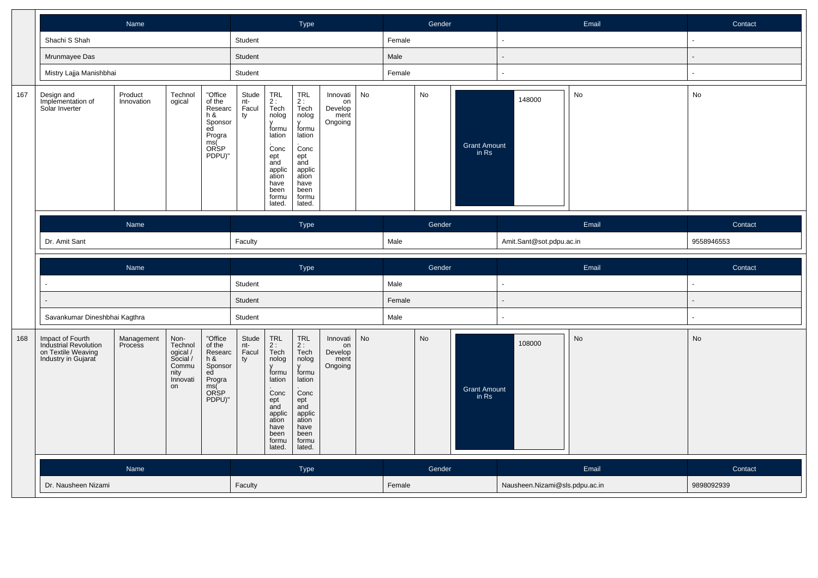|     |                                                                                        | Name                  |                                                                            |                                                                                                |                             |                                                                                                                                                   | Type                                                                                                                                                                       |                                              |    |        | Gender |                              |                          | Email | Contact        |
|-----|----------------------------------------------------------------------------------------|-----------------------|----------------------------------------------------------------------------|------------------------------------------------------------------------------------------------|-----------------------------|---------------------------------------------------------------------------------------------------------------------------------------------------|----------------------------------------------------------------------------------------------------------------------------------------------------------------------------|----------------------------------------------|----|--------|--------|------------------------------|--------------------------|-------|----------------|
|     | Shachi S Shah                                                                          |                       |                                                                            |                                                                                                | Student                     |                                                                                                                                                   |                                                                                                                                                                            |                                              |    | Female |        |                              | ä,                       |       |                |
|     | Mrunmayee Das                                                                          |                       |                                                                            |                                                                                                | Student                     |                                                                                                                                                   |                                                                                                                                                                            |                                              |    | Male   |        |                              | $\blacksquare$           |       |                |
|     | Mistry Lajja Manishbhai                                                                |                       |                                                                            |                                                                                                | Student                     |                                                                                                                                                   |                                                                                                                                                                            |                                              |    | Female |        |                              | ÷,                       |       |                |
| 167 | Design and<br>Implementation of<br>Solar Inverter                                      | Product<br>Innovation | Technol<br>ogical                                                          | "Office<br>of the<br>Researc<br>h &<br>Sponsor<br>ed<br>Progra<br>ms(<br><b>ORSP</b><br>PDPU)" | Stude<br>nt-<br>Facul<br>ty | $TRL$<br>2:<br>Tech<br>nolog<br>formu<br>lation<br>Conc<br>ept<br>and<br>applic<br>ation<br>have<br>been<br>formu<br>lated.                       | $\begin{array}{c} \mathsf{TRL} \\ \mathsf{2}: \end{array}$<br>Tech<br>nolog<br>formu<br>lation<br>Conc<br>ept<br>and<br>applic<br>ation<br>have<br>been<br>formu<br>lated. | Innovati<br>on<br>Develop<br>ment<br>Ongoing | No |        | No     | <b>Grant Amount</b><br>in Rs | 148000                   | No    | No             |
|     |                                                                                        | Name                  |                                                                            |                                                                                                |                             |                                                                                                                                                   | Type                                                                                                                                                                       |                                              |    |        | Gender |                              |                          | Email | Contact        |
|     | Dr. Amit Sant                                                                          |                       |                                                                            |                                                                                                | Faculty                     |                                                                                                                                                   |                                                                                                                                                                            |                                              |    | Male   |        |                              | Amit.Sant@sot.pdpu.ac.in |       | 9558946553     |
|     |                                                                                        |                       |                                                                            |                                                                                                |                             |                                                                                                                                                   |                                                                                                                                                                            |                                              |    |        |        |                              |                          |       |                |
|     |                                                                                        | Name                  |                                                                            |                                                                                                |                             |                                                                                                                                                   | Type                                                                                                                                                                       |                                              |    |        | Gender |                              |                          | Email | Contact        |
|     |                                                                                        |                       |                                                                            |                                                                                                | Student                     |                                                                                                                                                   |                                                                                                                                                                            |                                              |    | Male   |        |                              | $\sim$                   |       | ÷              |
|     |                                                                                        |                       |                                                                            |                                                                                                | Student                     |                                                                                                                                                   |                                                                                                                                                                            |                                              |    | Female |        |                              | $\overline{a}$           |       | $\overline{a}$ |
|     | Savankumar Dineshbhai Kagthra                                                          |                       |                                                                            |                                                                                                | Student                     |                                                                                                                                                   |                                                                                                                                                                            |                                              |    | Male   |        |                              | ÷,                       |       |                |
| 168 | Impact of Fourth<br>Industrial Revolution<br>on Textile Weaving<br>Industry in Gujarat | Management<br>Process | Non-<br>Technol<br>ogical /<br>Social /<br>Commu<br>nity<br>Innovati<br>on | "Office<br>of the<br>Researc<br>h &<br>Sponsor<br>ed<br>Progra<br>ms(<br>ORSP<br>PDPU)"        | Stude<br>nt-<br>Facul<br>ty | $\ensuremath{\mathsf{TRL}}$<br>2:<br>Tech<br>nolog<br>formu<br>lation<br>Conc<br>ept<br>and<br>applic<br>ation<br>have<br>been<br>formu<br>lated. | $\ensuremath{\mathsf{TRL}}$<br>2:<br>Tech<br>nolog<br>formu<br>lation<br>Conc<br>ept<br>and<br>applic<br>ation<br>have<br>been<br>formu<br>lated.                          | Innovati<br>on<br>Develop<br>ment<br>Ongoing | No |        | No     | <b>Grant Amount</b><br>in Rs | 108000                   | No    | No             |
|     |                                                                                        | Name                  |                                                                            |                                                                                                |                             |                                                                                                                                                   | Type                                                                                                                                                                       |                                              |    |        | Gender |                              |                          | Email | Contact        |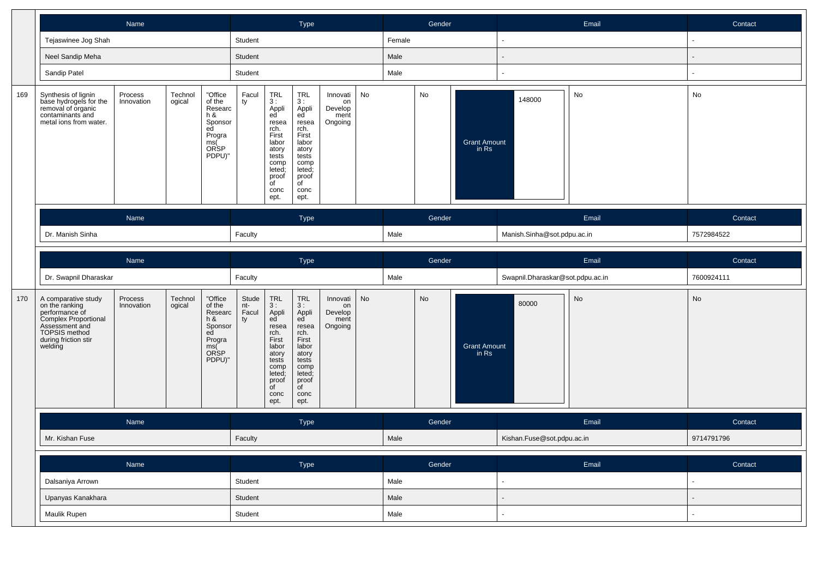|     |                                                                                                                                                       |                       |                   |                                                                                           | Type                        |                                                                                                                                             |                                                                                                                                            |                                              | Gender |        |        | Email                        | Contact                          |       |                          |
|-----|-------------------------------------------------------------------------------------------------------------------------------------------------------|-----------------------|-------------------|-------------------------------------------------------------------------------------------|-----------------------------|---------------------------------------------------------------------------------------------------------------------------------------------|--------------------------------------------------------------------------------------------------------------------------------------------|----------------------------------------------|--------|--------|--------|------------------------------|----------------------------------|-------|--------------------------|
|     | Tejaswinee Jog Shah                                                                                                                                   |                       |                   |                                                                                           | Student                     |                                                                                                                                             |                                                                                                                                            |                                              |        | Female |        |                              | $\overline{\phantom{a}}$         |       | $\blacksquare$           |
|     | Neel Sandip Meha                                                                                                                                      |                       |                   |                                                                                           | Student                     |                                                                                                                                             |                                                                                                                                            |                                              |        | Male   |        |                              |                                  |       |                          |
|     | Sandip Patel                                                                                                                                          |                       |                   |                                                                                           | Student                     |                                                                                                                                             |                                                                                                                                            |                                              |        | Male   |        |                              |                                  |       | ٠                        |
| 169 | Synthesis of lignin<br>base hydrogels for the<br>removal of organic<br>contaminants and<br>metal ions from water.                                     | Process<br>Innovation | Technol<br>ogical | "Office<br>of the<br>Researc<br>$h$ &<br>Sponsor<br>ed<br>Progra<br>ms(<br>ORSP<br>PDPU)" | Facul<br>ty                 | TRL<br>3 :<br>Appli<br>ed<br>resea<br>rch.<br>First<br>labor<br>atory<br>tests<br>comp<br>leted;<br>proof<br>of<br>conc<br>ept.             | TRL<br>3:<br>Appli<br>ed<br>resea<br>rch.<br>First<br>labor<br>atory<br>tests<br>comp<br>leted;<br>proof<br>$\overline{C}$<br>conc<br>ept. | Innovati<br>on<br>Develop<br>ment<br>Ongoing | No     |        | No     | <b>Grant Amount</b><br>in Rs | 148000                           | No    | No                       |
|     |                                                                                                                                                       | Name                  |                   |                                                                                           |                             |                                                                                                                                             | <b>Type</b>                                                                                                                                |                                              |        |        | Gender |                              |                                  | Email | Contact                  |
|     | Dr. Manish Sinha                                                                                                                                      |                       |                   |                                                                                           |                             |                                                                                                                                             |                                                                                                                                            |                                              |        | Male   |        |                              | Manish.Sinha@sot.pdpu.ac.in      |       | 7572984522               |
|     |                                                                                                                                                       | Name                  |                   |                                                                                           |                             |                                                                                                                                             | Type                                                                                                                                       |                                              |        |        | Gender |                              |                                  | Email | Contact                  |
|     | Dr. Swapnil Dharaskar                                                                                                                                 |                       |                   |                                                                                           | Faculty                     |                                                                                                                                             |                                                                                                                                            |                                              |        | Male   |        |                              | Swapnil.Dharaskar@sot.pdpu.ac.in |       | 7600924111               |
| 170 | A comparative study<br>on the ranking<br>performance of<br>Complex Proportional<br>Assessment and<br>TOPSIS method<br>during friction stir<br>welding | Process<br>Innovation | Technol<br>ogical | "Office<br>of the<br>Researc<br>h &<br>Sponsor<br>ed<br>Progra<br>ms(Č<br>ORSP<br>PDPU)"  | Stude<br>nt-<br>Facul<br>ty | TRL<br>3 :<br>Appli<br>ed<br>resea<br>rch.<br>First<br>labor<br>atory<br>tests<br>comp<br>leted;<br>proof<br>$\overline{C}$<br>conc<br>ept. | TRL<br>3:<br>Appli<br>ed<br>resea<br>rch.<br>First<br>labor<br>atory<br>tests<br>comp<br>leted;<br>proof<br>$\overline{C}$<br>conc<br>ept. | Innovati<br>on<br>Develop<br>ment<br>Ongoing | No     |        | No     | <b>Grant Amount</b><br>in Rs | 80000                            | No    | No                       |
|     |                                                                                                                                                       | Name                  |                   |                                                                                           |                             |                                                                                                                                             | Type                                                                                                                                       |                                              |        |        | Gender |                              |                                  | Email | Contact                  |
|     | Mr. Kishan Fuse                                                                                                                                       |                       |                   |                                                                                           | Faculty                     |                                                                                                                                             |                                                                                                                                            |                                              |        | Male   |        |                              | Kishan.Fuse@sot.pdpu.ac.in       |       | 9714791796               |
|     |                                                                                                                                                       | Name                  |                   |                                                                                           |                             |                                                                                                                                             | Type                                                                                                                                       |                                              |        |        | Gender |                              |                                  | Email | Contact                  |
|     | Dalsaniya Arrown                                                                                                                                      |                       |                   |                                                                                           | Student                     |                                                                                                                                             |                                                                                                                                            |                                              |        | Male   |        |                              | $\sim$                           |       | $\Box$                   |
|     | Upanyas Kanakhara                                                                                                                                     |                       |                   |                                                                                           | Student                     |                                                                                                                                             |                                                                                                                                            |                                              |        | Male   |        |                              |                                  |       | $\overline{\phantom{a}}$ |
|     | Maulik Rupen                                                                                                                                          |                       |                   |                                                                                           | Student                     |                                                                                                                                             |                                                                                                                                            |                                              |        | Male   |        |                              |                                  |       |                          |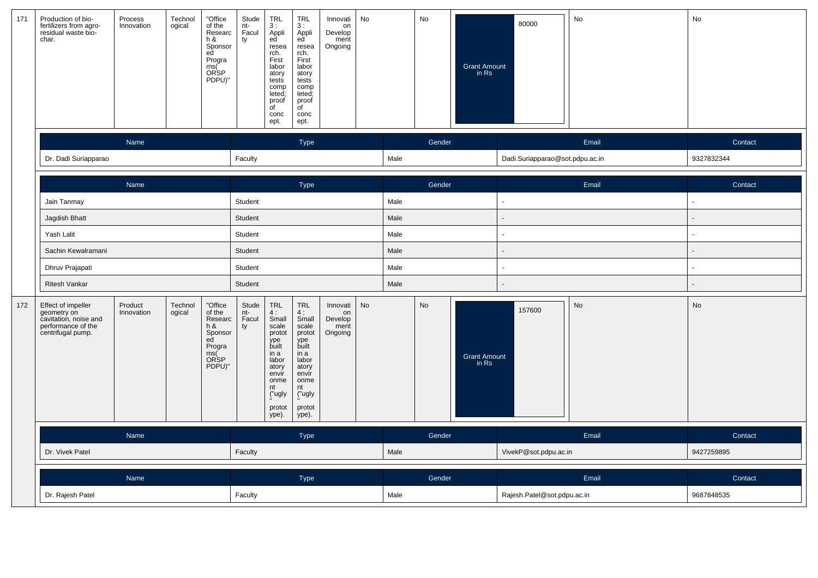| 171 | Production of bio-<br>fertilizers from agro-<br>residual waste bio-<br>char.                          | Process<br>Innovation | Technol<br>ogical | "Office<br>of the<br>Researc<br>h &<br>Sponsor<br>ed<br>Progra<br>ms(<br>ORSP<br>PDPU)" | Stude<br>nt-<br>Facul<br>ty | <b>TRL</b><br>3:<br>Appli<br>ed<br>resea<br>rch.<br>First<br>labor<br>atory<br>tests<br>comp<br>leted;<br>proof<br>$\overline{C}$<br>conc<br>ept. | $TRL$<br>3 :<br>Appli<br>ed<br>resea<br>rch.<br>First<br>labor<br>atory<br>tests<br>comp<br>leted;<br>proof<br>$\overline{C}$<br>conc<br>ept. | Innovati<br>on<br>Develop<br>ment<br>Ongoing | No        |      | No        | Grant Amount<br>in Rs | 80000                           | No    | No         |
|-----|-------------------------------------------------------------------------------------------------------|-----------------------|-------------------|-----------------------------------------------------------------------------------------|-----------------------------|---------------------------------------------------------------------------------------------------------------------------------------------------|-----------------------------------------------------------------------------------------------------------------------------------------------|----------------------------------------------|-----------|------|-----------|-----------------------|---------------------------------|-------|------------|
|     |                                                                                                       | Name                  |                   |                                                                                         |                             |                                                                                                                                                   | <b>Type</b>                                                                                                                                   |                                              |           |      | Gender    |                       |                                 | Email | Contact    |
|     | Dr. Dadi Suriapparao                                                                                  |                       |                   |                                                                                         | Faculty                     |                                                                                                                                                   |                                                                                                                                               |                                              |           | Male |           |                       | Dadi.Suriapparao@sot.pdpu.ac.in |       | 9327832344 |
|     |                                                                                                       | Name                  |                   |                                                                                         |                             |                                                                                                                                                   | Type                                                                                                                                          |                                              |           |      | Gender    |                       |                                 | Email | Contact    |
|     | Jain Tanmay                                                                                           |                       |                   |                                                                                         | Student                     |                                                                                                                                                   |                                                                                                                                               |                                              |           | Male |           |                       |                                 |       |            |
|     | Jagdish Bhatt                                                                                         |                       |                   |                                                                                         | Student                     |                                                                                                                                                   |                                                                                                                                               |                                              |           | Male |           |                       |                                 |       |            |
|     | Yash Lalit                                                                                            |                       |                   |                                                                                         | Student                     |                                                                                                                                                   |                                                                                                                                               |                                              |           | Male |           |                       |                                 |       | ÷          |
|     | Sachin Kewalramani                                                                                    |                       |                   |                                                                                         | Student                     |                                                                                                                                                   |                                                                                                                                               |                                              |           | Male |           |                       |                                 |       |            |
|     | Dhruv Prajapati                                                                                       |                       |                   |                                                                                         | Student                     |                                                                                                                                                   |                                                                                                                                               |                                              |           | Male |           |                       |                                 |       |            |
|     | <b>Ritesh Vankar</b>                                                                                  |                       |                   |                                                                                         | Student                     |                                                                                                                                                   |                                                                                                                                               |                                              |           | Male |           |                       |                                 |       |            |
| 172 | Effect of impeller<br>geometry on<br>cavitation, noise and<br>performance of the<br>centrifugal pump. | Product<br>Innovation | Technol<br>ogical | "Office<br>of the<br>Researc<br>h8<br>Sponsor<br>ed<br>Progra<br>ms(<br>ORSP<br>PDPU)"  | Stude<br>nt-<br>Facul<br>ty | TRL<br>4:<br>Small<br>scale<br>protot<br>ype<br>built<br>in a<br>labor<br>atory<br>envír<br>onme<br>nt<br>("ugly<br>protot<br>ype).               | $TRL$<br>4:<br>Small<br>scale<br>protot<br>ype<br>built<br>in a<br>labor<br>atory<br>envir<br>onme<br>nt<br>("ugly<br>protot<br>ype).         | Innovati<br>on<br>Develop<br>ment<br>Ongoing | <b>No</b> |      | <b>No</b> | Grant Amount<br>in Rs | 157600                          | No    | No         |
|     |                                                                                                       | Name                  |                   |                                                                                         |                             |                                                                                                                                                   | <b>Type</b>                                                                                                                                   |                                              |           |      | Gender    |                       |                                 | Email | Contact    |
|     | Dr. Vivek Patel                                                                                       |                       |                   |                                                                                         | Faculty                     |                                                                                                                                                   |                                                                                                                                               |                                              |           | Male |           |                       | VivekP@sot.pdpu.ac.in           |       | 9427259895 |
|     |                                                                                                       | Name                  |                   |                                                                                         |                             |                                                                                                                                                   | Type                                                                                                                                          |                                              |           |      | Gender    |                       |                                 | Email | Contact    |
|     | Dr. Rajesh Patel                                                                                      |                       |                   |                                                                                         | Faculty                     |                                                                                                                                                   |                                                                                                                                               |                                              |           | Male |           |                       | Rajesh.Patel@sot.pdpu.ac.in     |       | 9687848535 |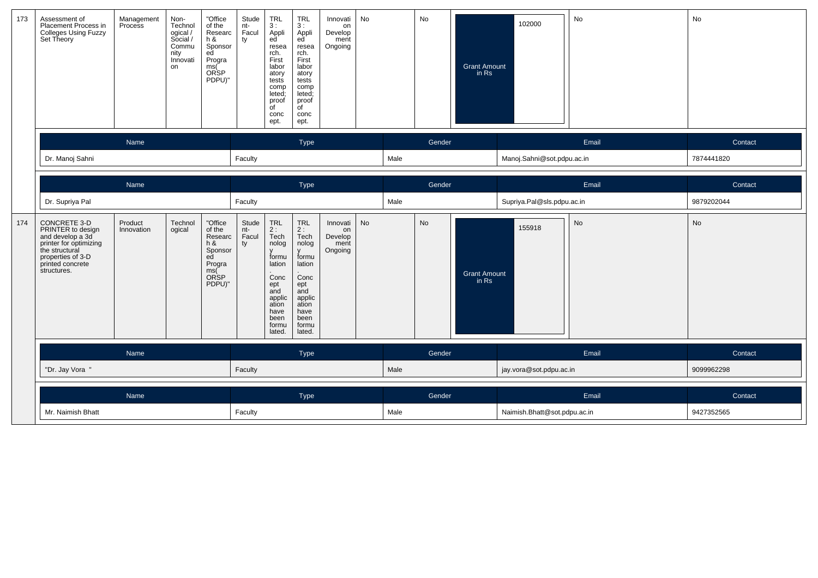| 173 | Assessment of<br>Placement Process in<br><b>Colleges Using Fuzzy</b><br>Set Theory                                                                        | Management<br>Process | Non-<br>Technol<br>ogical /<br>Social /<br>Commu<br>nity<br>Innovati<br>on | "Office<br>of the<br>Researc<br>h &<br>Sponsor<br>ed<br>Progra<br>ms(<br><b>ORSP</b><br>PDPU)" | Stude<br>nt-<br>Facul<br>ty | <b>TRL</b><br>3:<br>Appli<br>ed<br>resea<br>rch.<br>First<br>labor<br>atory<br>tests<br>comp<br>leted;<br>proof<br>of<br>conc<br>ept. | <b>TRL</b><br>3:<br>Appli<br>ed<br>resea<br>rch.<br>First<br>labor<br>atory<br>tests<br>comp<br>leted;<br>proof<br>$\overline{C}$<br>conc<br>ept. | Innovati<br>on<br>Develop<br>ment<br>Ongoing | No        |      | No     | <b>Grant Amount</b><br>in Rs | 102000                       | No        | No         |
|-----|-----------------------------------------------------------------------------------------------------------------------------------------------------------|-----------------------|----------------------------------------------------------------------------|------------------------------------------------------------------------------------------------|-----------------------------|---------------------------------------------------------------------------------------------------------------------------------------|---------------------------------------------------------------------------------------------------------------------------------------------------|----------------------------------------------|-----------|------|--------|------------------------------|------------------------------|-----------|------------|
|     |                                                                                                                                                           | Name                  |                                                                            |                                                                                                |                             |                                                                                                                                       | Type                                                                                                                                              |                                              |           |      | Gender |                              |                              | Email     | Contact    |
|     | Dr. Manoj Sahni                                                                                                                                           |                       |                                                                            |                                                                                                | Faculty                     |                                                                                                                                       |                                                                                                                                                   |                                              |           | Male |        |                              | Manoj.Sahni@sot.pdpu.ac.in   |           | 7874441820 |
|     |                                                                                                                                                           | Name                  |                                                                            |                                                                                                |                             |                                                                                                                                       | Type                                                                                                                                              |                                              |           |      | Gender |                              |                              | Email     | Contact    |
|     | Dr. Supriya Pal                                                                                                                                           |                       |                                                                            |                                                                                                | Faculty                     |                                                                                                                                       |                                                                                                                                                   |                                              |           | Male |        |                              | Supriya.Pal@sls.pdpu.ac.in   |           | 9879202044 |
| 174 | CONCRETE 3-D<br>PRINTER to design<br>and develop a 3d<br>printer for optimizing<br>the structural<br>properties of 3-D<br>printed concrete<br>structures. | Product<br>Innovation | Technol<br>ogical                                                          | "Office<br>of the<br>Researc<br>h &<br>Sponsor<br>ed<br>Progra<br>ms(<br>ORSP<br>PDPU)"        | Stude<br>nt-<br>Facul<br>ty | TRL<br>2:<br>Tech<br>nolog<br>formu<br>lation<br>Conc<br>ept<br>and<br>applic<br>ation<br>have<br>been<br>formu<br>lated.             | <b>TRL</b><br>2:<br>Tech<br>nolog<br>formu<br>lation<br>Conc<br>ept<br>and<br>applic<br>ation<br>have<br>been<br>formu<br>lated.                  | Innovati<br>on<br>Develop<br>ment<br>Ongoing | <b>No</b> |      | No     | <b>Grant Amount</b><br>in Rs | 155918                       | <b>No</b> | <b>No</b>  |
|     |                                                                                                                                                           | Name                  |                                                                            |                                                                                                |                             |                                                                                                                                       | Type                                                                                                                                              |                                              |           |      | Gender |                              |                              | Email     | Contact    |
|     | "Dr. Jay Vora                                                                                                                                             |                       |                                                                            |                                                                                                | Faculty                     |                                                                                                                                       |                                                                                                                                                   |                                              |           | Male |        |                              | jay.vora@sot.pdpu.ac.in      |           | 9099962298 |
|     |                                                                                                                                                           | Name                  |                                                                            |                                                                                                |                             |                                                                                                                                       | Type                                                                                                                                              |                                              |           |      | Gender |                              |                              | Email     | Contact    |
|     | Mr. Naimish Bhatt                                                                                                                                         |                       |                                                                            |                                                                                                | Faculty                     |                                                                                                                                       |                                                                                                                                                   |                                              |           | Male |        |                              | Naimish.Bhatt@sot.pdpu.ac.in |           | 9427352565 |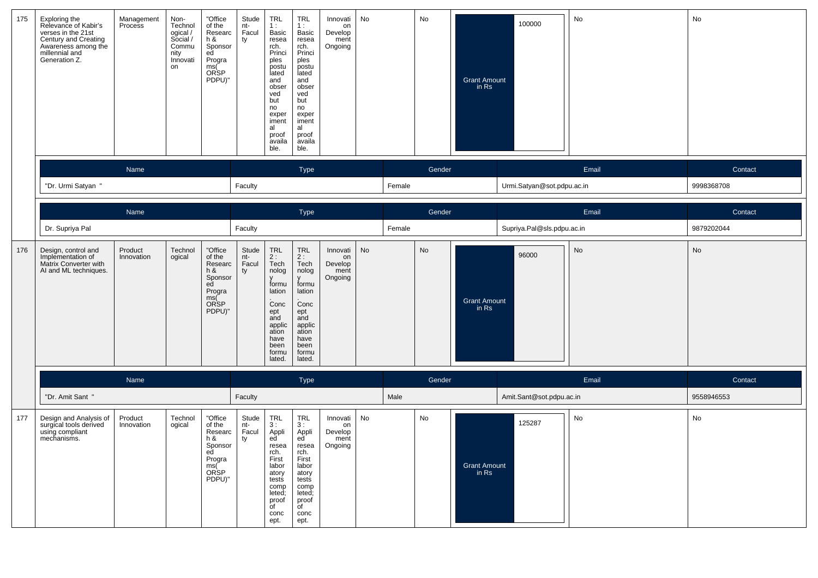| 175 | Exploring the<br>Relevance of Kabir's<br>verses in the 21st<br>Century and Creating<br>Awareness among the<br>millennial and<br>Generation Z. | Management<br>Process | Non-<br>Technol<br>ogical /<br>Social /<br>Commu<br>nity<br>Innovati<br>on | "Office<br>of the<br>Researc<br>$h$ &<br>Sponsor<br>ed<br>Progra<br>ms(<br><b>ORSP</b><br>PDPU)" | Stude<br>nt-<br>Facul<br>ty | <b>TRL</b><br>1 :<br>Basic<br>resea<br>rch.<br>Princi<br>ples<br>postu<br>lated<br>and<br>obser<br>ved<br>but<br>no<br>exper<br>iment<br>al<br>proof<br>availa<br>ble. | <b>TRL</b><br>1:<br>Basic<br>resea<br>rch.<br>Princi<br>ples<br>postu<br>lated<br>and<br>obser<br>ved<br>but<br>no<br>exper<br>iment<br>al<br>proof<br>availa<br>ble. | Innovati<br>on<br>Develop<br>ment<br>Ongoing | No |        | No     | <b>Grant Amount</b><br>in Rs | 100000                     | No    | No         |
|-----|-----------------------------------------------------------------------------------------------------------------------------------------------|-----------------------|----------------------------------------------------------------------------|--------------------------------------------------------------------------------------------------|-----------------------------|------------------------------------------------------------------------------------------------------------------------------------------------------------------------|-----------------------------------------------------------------------------------------------------------------------------------------------------------------------|----------------------------------------------|----|--------|--------|------------------------------|----------------------------|-------|------------|
|     |                                                                                                                                               | Name                  |                                                                            |                                                                                                  |                             |                                                                                                                                                                        | <b>Type</b>                                                                                                                                                           |                                              |    |        | Gender |                              |                            | Email | Contact    |
|     | "Dr. Urmi Satyan '                                                                                                                            |                       |                                                                            |                                                                                                  | Faculty                     |                                                                                                                                                                        |                                                                                                                                                                       |                                              |    | Female |        |                              | Urmi.Satyan@sot.pdpu.ac.in |       | 9998368708 |
|     |                                                                                                                                               | Name                  |                                                                            |                                                                                                  |                             |                                                                                                                                                                        | Type                                                                                                                                                                  |                                              |    |        | Gender |                              |                            | Email | Contact    |
|     | Dr. Supriya Pal                                                                                                                               |                       |                                                                            |                                                                                                  | Faculty                     |                                                                                                                                                                        |                                                                                                                                                                       |                                              |    | Female |        |                              | Supriya.Pal@sls.pdpu.ac.in |       | 9879202044 |
| 176 | Design, control and<br>Implementation of<br>Matrix Converter with<br>AI and ML techniques.                                                    | Product<br>Innovation | Technol<br>ogical                                                          | "Office<br>of the<br>Researc<br>h &<br>Sponsor<br>ed<br>Progra<br>ms(<br>ORSP<br>PDPU)"          | Stude<br>nt-<br>Facul<br>ty | <b>TRL</b><br>2:<br>Tech<br>nolog<br>formu<br>lation<br>Conc<br>ept<br>and<br>applic<br>ation<br>have<br>been<br>formu<br>lated.                                       | <b>TRL</b><br>2:<br>Tech<br>nolog<br>formu<br>lation<br>Conc<br>ept<br>and<br>applic<br>ation<br>have<br>been<br>formu<br>lated.                                      | Innovati<br>on<br>Develop<br>ment<br>Ongoing | No |        | No     | <b>Grant Amount</b><br>in Rs | 96000                      | No    | No         |
|     |                                                                                                                                               | Name                  |                                                                            |                                                                                                  |                             |                                                                                                                                                                        | Type                                                                                                                                                                  |                                              |    |        | Gender |                              |                            | Email | Contact    |
|     | "Dr. Amit Sant "                                                                                                                              |                       |                                                                            |                                                                                                  | Faculty                     |                                                                                                                                                                        |                                                                                                                                                                       |                                              |    | Male   |        |                              | Amit.Sant@sot.pdpu.ac.in   |       | 9558946553 |
| 177 | Design and Analysis of<br>surgical tools derived<br>using compliant<br>mechanisms.                                                            | Product<br>Innovation | Technol<br>ogical                                                          | "Office<br>of the<br>Researc<br>$h$ &<br>Sponsor<br>ed<br>Progra<br>ms(<br><b>ORSP</b><br>PDPU)" | Stude<br>nt-<br>Facul<br>ty | <b>TRL</b><br>3:<br>Appli<br>ed <sup>'</sup><br>resea<br>rch.<br>First<br>labor<br>atory<br>tests<br>comp<br>leted;<br>proof<br>of<br>conc<br>ept.                     | <b>TRL</b><br>3:<br>Appli<br>ed<br>resea<br>rch.<br>First<br>labor<br>atory<br>tests<br>comp<br>leted;<br>proof<br>of<br>conc<br>ept.                                 | Innovati<br>on<br>Develop<br>ment<br>Ongoing | No |        | No     | <b>Grant Amount</b><br>in Rs | 125287                     | No    | No         |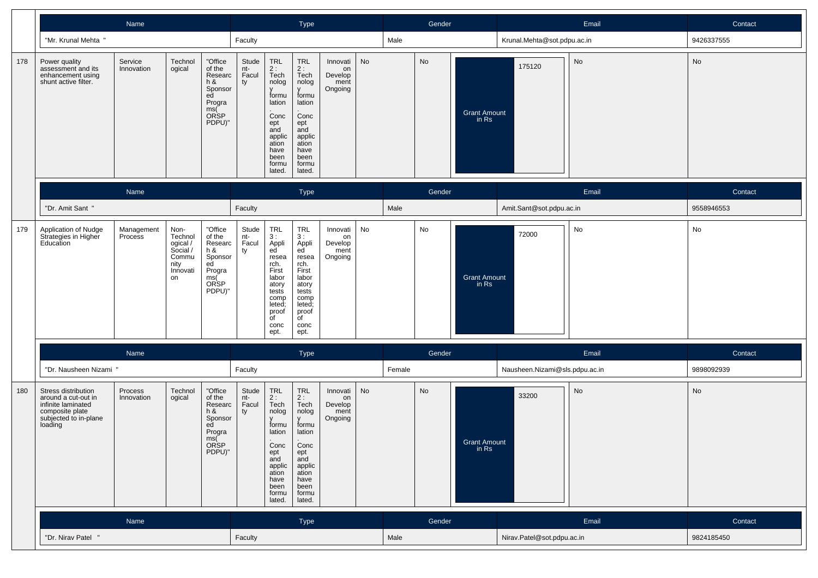|     |                                                                                                                         | Name                  |                                                                                                                                                                       |                                                                                     | Type                                                                                                                                                                                                                                                                                    |          |        | Gender                                         |                                | Email     | Contact    |
|-----|-------------------------------------------------------------------------------------------------------------------------|-----------------------|-----------------------------------------------------------------------------------------------------------------------------------------------------------------------|-------------------------------------------------------------------------------------|-----------------------------------------------------------------------------------------------------------------------------------------------------------------------------------------------------------------------------------------------------------------------------------------|----------|--------|------------------------------------------------|--------------------------------|-----------|------------|
|     | "Mr. Krunal Mehta "                                                                                                     |                       |                                                                                                                                                                       | Faculty                                                                             |                                                                                                                                                                                                                                                                                         |          | Male   |                                                | Krunal.Mehta@sot.pdpu.ac.in    |           | 9426337555 |
| 178 | Power quality<br>assessment and its<br>enhancement using<br>shunt active filter.                                        | Service<br>Innovation | "Office<br>Technol<br>of the<br>ogical<br>Researc<br>h &<br>Sponsor<br>ed<br>Progra<br>ms(Č<br>ORSP<br>PDPU)"                                                         | Stude<br>TRL<br>nt-<br>Facul<br>ty<br>ept<br>and                                    | <b>TRL</b><br>Innovati<br>$2:$ Tech<br>$2:$ Tech<br>Develop<br>nolog<br>nolog<br>ment<br>Ongoing<br>y<br>formu<br>formu<br>lation<br>lation<br>Conc<br>Conc<br>ept<br>and<br>applic<br>applic<br>ation<br>ation<br>have<br>have<br>been<br>been<br>formu<br>formu<br>lated.<br>lated.   | No<br>on |        | No<br><b>Grant Amount</b><br>in Rs             | 175120                         | <b>No</b> | No         |
|     |                                                                                                                         | Name                  |                                                                                                                                                                       |                                                                                     | Type                                                                                                                                                                                                                                                                                    |          |        | Gender                                         |                                | Email     | Contact    |
|     | "Dr. Amit Sant "                                                                                                        |                       |                                                                                                                                                                       | Faculty                                                                             |                                                                                                                                                                                                                                                                                         |          | Male   |                                                | Amit.Sant@sot.pdpu.ac.in       |           | 9558946553 |
| 179 | Application of Nudge<br>Strategies in Higher<br>Education                                                               | Management<br>Process | "Office<br>Non-<br>Technol<br>of the<br>ogical /<br>Social /<br>Researc<br>h &<br>Commu<br>Sponsor<br>ed<br>nity<br>Progra<br>Innovati<br>ms(<br>ORSP<br>on<br>PDPU)" | TRL<br>Stude<br>nt-<br>3:<br>Facul<br>ty<br>rch.<br>First<br>$\overline{C}$<br>ept. | TRL<br>Innovati<br>3:<br>Appli<br>ed<br>Appli<br>Develop<br>ed<br>ment<br>resea<br>Ongoing<br>resea<br>rch.<br>First<br>labor<br>labor<br>atory<br>atory<br>tests<br>tests<br>comp<br>comp<br>leted;<br>leted;<br>proof<br>proof<br>$\overline{C}$<br>conc<br>conc<br>ept.              | No<br>on |        | No<br><b>Grant Amount</b><br>in Rs             | 72000                          | No        | No         |
|     |                                                                                                                         | Name                  |                                                                                                                                                                       |                                                                                     | Type                                                                                                                                                                                                                                                                                    |          |        | Gender                                         |                                | Email     | Contact    |
|     | "Dr. Nausheen Nizami "                                                                                                  |                       |                                                                                                                                                                       | Faculty                                                                             |                                                                                                                                                                                                                                                                                         |          | Female |                                                | Nausheen.Nizami@sls.pdpu.ac.in |           | 9898092939 |
| 180 | Stress distribution<br>around a cut-out in<br>infinite laminated<br>composite plate<br>subjected to in-plane<br>loading | Process<br>Innovation | Technol<br>"Office<br>of the<br>ogical<br>Researc<br>h &<br>Sponsor<br>ed<br>Progra<br>ms(<br><b>ORSP</b><br>PDPU)"                                                   | TRL<br>Stude<br>nt-<br>Facul<br>ty<br>ept<br>and                                    | <b>TRL</b><br>Innovati<br>$2:$ Tech<br>$2:$ Tech<br>Develop<br>nolog<br>nolog<br>ment<br>Ongoing<br>formu<br>formu<br>lation<br>lation<br>.<br>Conc<br>Conc  <br>ept<br>and<br>applic<br>ation<br>applic<br>ation<br>have<br>have<br>been<br>been<br>formu<br>formu<br>lated.<br>lated. | No<br>on |        | No<br><b>Grant Amount</b><br>$\overline{m}$ RS | 33200                          | No        | No         |
|     |                                                                                                                         | Name                  |                                                                                                                                                                       |                                                                                     | Type                                                                                                                                                                                                                                                                                    |          |        | Gender                                         |                                | Email     | Contact    |
|     | "Dr. Nirav Patel "                                                                                                      |                       |                                                                                                                                                                       | Faculty                                                                             |                                                                                                                                                                                                                                                                                         |          | Male   |                                                | Nirav.Patel@sot.pdpu.ac.in     |           | 9824185450 |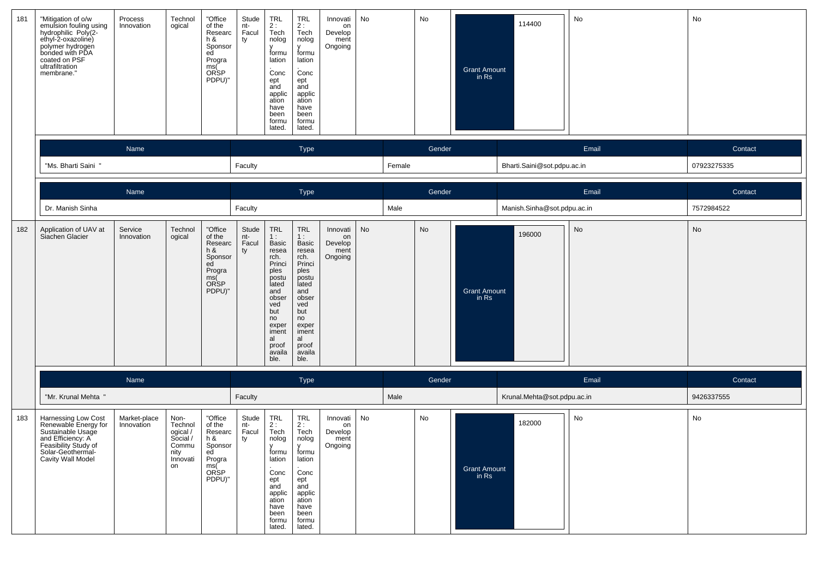| 181 | "Mitigation of o/w<br>emulsion fouling using<br>hydrophilic Poly(2-<br>riyatoprillic Poly(2-<br>ethyl-2-oxazoline)<br>polymer hydrogen<br>bonded with PDA<br>coated on PSF<br>ultrafiltration<br>membrane." | Process<br>Innovation      | Technol<br>ogical                                                          | "Office<br>of the<br>Researc<br>h &<br>Sponsor<br>ed<br>Progra<br>ms(<br>ORSP<br>PDPU)"        | Stude<br>nt-<br>Facul<br>ty | TRL<br>2:<br>Tech<br>nolog<br>formu<br>lation<br>Conc<br>ept<br>and<br>applic<br>ation<br>have<br>been<br>formu<br>lated.                                             | <b>TRL</b><br>2:<br>Tech<br>nolog<br>V<br>formu<br>lation<br>Conc<br>ept<br>and<br>applic<br>ation<br>have<br>been<br>formu<br>lated.                                 | Innovati<br>on<br>Develop<br>ment<br>Ongoing | No |        | No        | <b>Grant Amount</b><br>in Rs | 114400                      | No    | No          |
|-----|-------------------------------------------------------------------------------------------------------------------------------------------------------------------------------------------------------------|----------------------------|----------------------------------------------------------------------------|------------------------------------------------------------------------------------------------|-----------------------------|-----------------------------------------------------------------------------------------------------------------------------------------------------------------------|-----------------------------------------------------------------------------------------------------------------------------------------------------------------------|----------------------------------------------|----|--------|-----------|------------------------------|-----------------------------|-------|-------------|
|     |                                                                                                                                                                                                             | Name                       |                                                                            |                                                                                                |                             |                                                                                                                                                                       | Type                                                                                                                                                                  |                                              |    |        | Gender    |                              |                             | Email | Contact     |
|     | "Ms. Bharti Saini "                                                                                                                                                                                         |                            |                                                                            |                                                                                                | Faculty                     |                                                                                                                                                                       |                                                                                                                                                                       |                                              |    | Female |           |                              | Bharti.Saini@sot.pdpu.ac.in |       | 07923275335 |
|     |                                                                                                                                                                                                             | Name                       |                                                                            |                                                                                                |                             |                                                                                                                                                                       | Type                                                                                                                                                                  |                                              |    |        | Gender    |                              |                             | Email | Contact     |
|     | Dr. Manish Sinha                                                                                                                                                                                            |                            |                                                                            |                                                                                                | Faculty                     |                                                                                                                                                                       |                                                                                                                                                                       |                                              |    | Male   |           |                              | Manish.Sinha@sot.pdpu.ac.in |       | 7572984522  |
| 182 | Application of UAV at<br>Siachen Glacier                                                                                                                                                                    | Service<br>Innovation      | Technol<br>ogical                                                          | "Office<br>of the<br>Researc<br>h &<br>Sponsor<br>ed<br>Progra<br>ms(<br>ORSP<br>PDPU)"        | Stude<br>nt-<br>Facul<br>ty | <b>TRL</b><br>1:<br>Basic<br>resea<br>rch.<br>Princi<br>ples<br>postu<br>lated<br>and<br>obser<br>ved<br>but<br>no<br>exper<br>iment<br>al<br>proof<br>availa<br>ble. | <b>TRL</b><br>1:<br>Basic<br>resea<br>rch.<br>Princi<br>ples<br>postu<br>lated<br>and<br>obser<br>ved<br>but<br>no<br>exper<br>iment<br>al<br>proof<br>availa<br>ble. | Innovati<br>on<br>Develop<br>ment<br>Ongoing | No |        | <b>No</b> | <b>Grant Amount</b><br>in Rs | 196000                      | No    | <b>No</b>   |
|     |                                                                                                                                                                                                             | Name                       |                                                                            |                                                                                                |                             |                                                                                                                                                                       | Type                                                                                                                                                                  |                                              |    |        | Gender    |                              |                             | Email | Contact     |
|     | "Mr. Krunal Mehta "                                                                                                                                                                                         |                            |                                                                            |                                                                                                | Faculty                     |                                                                                                                                                                       |                                                                                                                                                                       |                                              |    | Male   |           |                              | Krunal.Mehta@sot.pdpu.ac.in |       | 9426337555  |
| 183 | Harnessing Low Cost<br>Renewable Energy for<br>Sustainable Usage<br>and Efficiency: A<br>Feasibility Study of<br>Solar-Geothermal-<br>Cavity Wall Model                                                     | Market-place<br>Innovation | Non-<br>Technol<br>ogical /<br>Social /<br>Commu<br>nity<br>Innovati<br>on | "Office<br>of the<br>Researc<br>h &<br>Sponsor<br>ed<br>Progra<br>ms(<br><b>ORSP</b><br>PDPU)" | Stude<br>nt-<br>Facul<br>ty | TRL<br>2:<br>Tech<br>nolog<br>$\mathsf{V}$<br>formu<br>lation<br>Conc<br>ept<br>and<br>applic<br>ation<br>have<br>been<br>formu<br>lated.                             | <b>TRL</b><br>2 :<br>Tech<br>nolog<br>$\mathsf{v}$<br>formu<br>lation<br>Conc<br>ept<br>and<br>applic<br>ation<br>have<br>been<br>formu<br>lated.                     | Innovati<br>on<br>Develop<br>ment<br>Ongoing | No |        | No        | <b>Grant Amount</b><br>in Rs | 182000                      | No    | No          |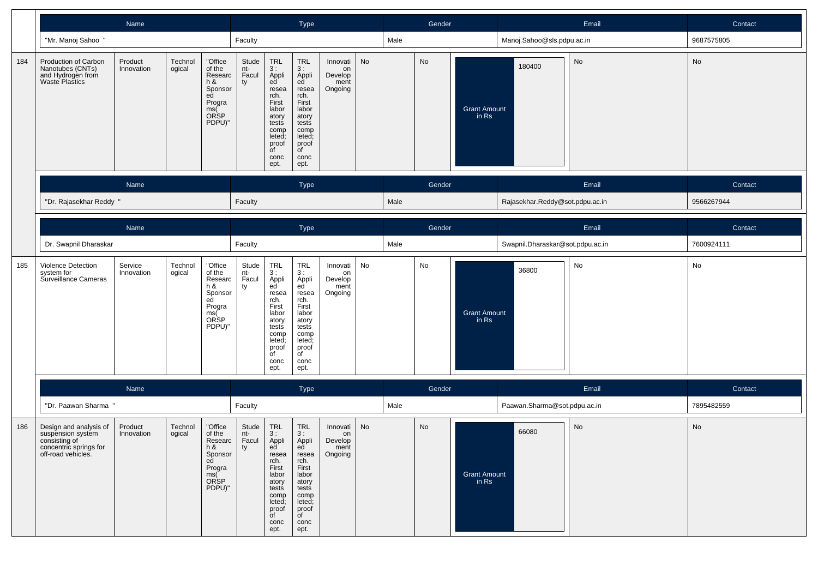|     |                                                                                                              | Name                  |                   |                                                                                           |                             |                                                                                                                                             | Type                                                                                                                                                     |                                              |    |        | Gender |                              |                                  | Email   | Contact    |
|-----|--------------------------------------------------------------------------------------------------------------|-----------------------|-------------------|-------------------------------------------------------------------------------------------|-----------------------------|---------------------------------------------------------------------------------------------------------------------------------------------|----------------------------------------------------------------------------------------------------------------------------------------------------------|----------------------------------------------|----|--------|--------|------------------------------|----------------------------------|---------|------------|
|     | "Mr. Manoj Sahoo "                                                                                           |                       |                   |                                                                                           | Faculty                     |                                                                                                                                             |                                                                                                                                                          |                                              |    | Male   |        |                              | Manoj.Sahoo@sls.pdpu.ac.in       |         | 9687575805 |
| 184 | Production of Carbon<br>Nanotubes (CNTs)<br>and Hydrogen from<br>Waste Plastics                              | Product<br>Innovation | Technol<br>ogical | "Office<br>of the<br>Researc<br>$h$ &<br>Sponsor<br>ed<br>Progra<br>ms(<br>ORSP<br>PDPU)" | Stude<br>nt-<br>Facul<br>ty | TRL<br>3 :<br>Appli<br>ed<br>resea<br>rch.<br>First<br>labor<br>atory<br>tests<br>comp<br>leted;<br>proof<br>$\overline{C}$<br>conc<br>ept. | TRL<br>3 :<br>Appli<br>ed <sup>'</sup><br>resea<br>rch.<br>First<br>labor<br>atory<br>tests<br>comp<br>leted;<br>proof<br>$\overline{C}$<br>conc<br>ept. | Innovati<br>on<br>Develop<br>ment<br>Ongoing | No |        | No     | Grant Amount<br>in Rs        | 180400                           | No      | No         |
|     |                                                                                                              | Name                  |                   |                                                                                           |                             |                                                                                                                                             | Type                                                                                                                                                     |                                              |    |        | Gender |                              |                                  | Email   | Contact    |
|     | "Dr. Rajasekhar Reddy"                                                                                       |                       |                   |                                                                                           | Faculty                     |                                                                                                                                             |                                                                                                                                                          |                                              |    | Male   |        |                              | Rajasekhar.Reddy@sot.pdpu.ac.in  |         | 9566267944 |
|     |                                                                                                              | Name                  |                   |                                                                                           |                             | Type                                                                                                                                        |                                                                                                                                                          |                                              |    | Gender |        |                              | Email                            | Contact |            |
|     | Dr. Swapnil Dharaskar                                                                                        |                       |                   |                                                                                           | Faculty                     |                                                                                                                                             |                                                                                                                                                          |                                              |    | Male   |        |                              | Swapnil.Dharaskar@sot.pdpu.ac.in |         | 7600924111 |
| 185 | Violence Detection<br>system for<br>Surveillance Cameras                                                     | Service<br>Innovation | Technol<br>ogical | "Office<br>of the<br>Researc<br>h &<br>Sponsor<br>ed<br>Progra<br>ms(<br>ORSP<br>PDPU)"   | Stude<br>nt-<br>Facul<br>ty | TRL<br>3 :<br>Appli<br>ed<br>resea<br>rch.<br>First<br>labor<br>atory<br>tests<br>comp<br>leted;<br>proof<br>$\overline{C}$<br>conc<br>ept. | TRL<br>3 :<br>Appli<br>ed<br>resea<br>rch.<br>First<br>labor<br>atory<br>tests<br>comp<br>leted;<br>proof<br>$\overline{C}$<br>conc<br>ept.              | Innovati<br>on<br>Develop<br>ment<br>Ongoing | No |        | No     | <b>Grant Amount</b><br>in Rs | 36800                            | No      | No         |
|     |                                                                                                              | Name                  |                   |                                                                                           |                             |                                                                                                                                             | Type                                                                                                                                                     |                                              |    |        | Gender |                              |                                  | Email   | Contact    |
|     | "Dr. Paawan Sharma "                                                                                         |                       |                   |                                                                                           | Faculty                     |                                                                                                                                             |                                                                                                                                                          |                                              |    | Male   |        |                              | Paawan.Sharma@sot.pdpu.ac.in     |         | 7895482559 |
| 186 | Design and analysis of<br>suspension system<br>consisting of<br>concentric springs for<br>off-road vehicles. | Product<br>Innovation | Technol<br>ogical | "Office<br>of the<br>Researc<br>$h$ &<br>Sponsor<br>ed<br>Progra<br>ms(<br>ORSP<br>PDPU)" | Stude<br>nt-<br>Facul<br>ty | <b>TRL</b><br>3 :<br>Appli<br>ed<br>resea<br>rch.<br>First<br>labor<br>atory<br>tests<br>comp<br>leted;<br>proof<br>of<br>conc<br>ept.      | <b>TRL</b><br>3:<br>Appli<br><b>cu</b><br>resea<br>rch.<br>First<br>labor<br>atory<br>tests<br>comp<br>leted;<br>proof<br>of<br>conc<br>ept.             | Innovati<br>on<br>Develop<br>ment<br>Ongoing | No |        | No     | Grant Amount<br>in Rs        | 66080                            | No      | No         |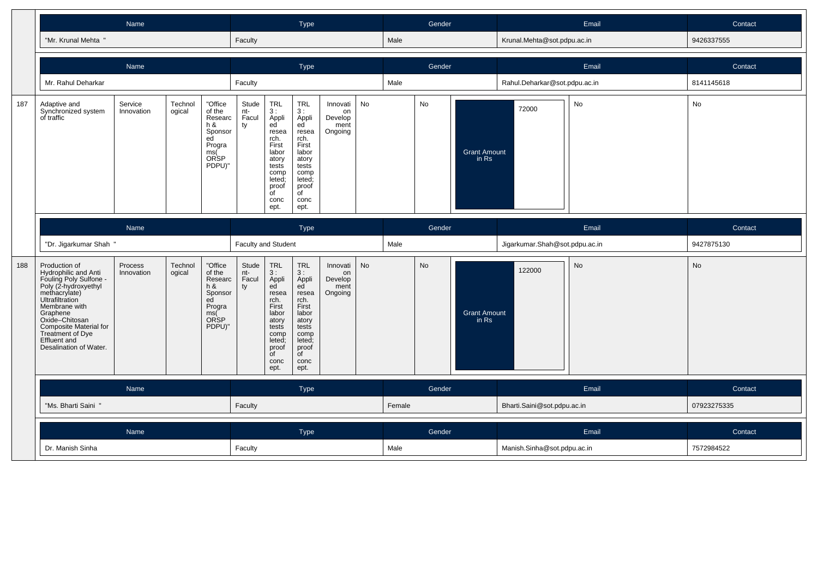|     |                                                                                                                                                                                                             | Name                  |                                                                                                              |  |                     | Type                                                                                                                           |                                                                                                                                       |                                              |    | Gender |        |                              | Email                          | Contact |             |
|-----|-------------------------------------------------------------------------------------------------------------------------------------------------------------------------------------------------------------|-----------------------|--------------------------------------------------------------------------------------------------------------|--|---------------------|--------------------------------------------------------------------------------------------------------------------------------|---------------------------------------------------------------------------------------------------------------------------------------|----------------------------------------------|----|--------|--------|------------------------------|--------------------------------|---------|-------------|
|     | "Mr. Krunal Mehta "                                                                                                                                                                                         |                       |                                                                                                              |  | Faculty             |                                                                                                                                |                                                                                                                                       |                                              |    | Male   |        |                              | Krunal.Mehta@sot.pdpu.ac.in    |         | 9426337555  |
|     |                                                                                                                                                                                                             | Name                  |                                                                                                              |  |                     |                                                                                                                                | Type                                                                                                                                  |                                              |    |        | Gender |                              |                                | Email   | Contact     |
|     | Mr. Rahul Deharkar                                                                                                                                                                                          |                       |                                                                                                              |  | Faculty             |                                                                                                                                |                                                                                                                                       |                                              |    | Male   |        |                              | Rahul.Deharkar@sot.pdpu.ac.in  |         | 8141145618  |
| 187 | Adaptive and<br>Synchronized system<br>of traffic                                                                                                                                                           | Service<br>Innovation | Technol<br>"Office<br>of the<br>ogical<br>Researc<br>h &<br>Sponsor<br>ed<br>Progra<br>ms(<br>ORSP<br>PDPU)" |  |                     | TRL<br>3:<br>Appli<br>ed<br>resea<br>rch.<br>First<br>labor<br>atory<br>tests<br>comp<br>leted:<br>proof<br>of<br>conc<br>ept. | <b>TRL</b><br>3:<br>Appli<br>ed<br>resea<br>rch.<br>First<br>labor<br>atory<br>tests<br>comp<br>leted;<br>proof<br>of<br>conc<br>ept. | Innovati<br>on<br>Develop<br>ment<br>Ongoing | No |        | No     | <b>Grant Amount</b><br>in Rs | 72000                          | No      | No          |
|     |                                                                                                                                                                                                             | Name                  |                                                                                                              |  |                     |                                                                                                                                | <b>Type</b>                                                                                                                           |                                              |    |        | Gender |                              |                                | Email   | Contact     |
|     | "Dr. Jigarkumar Shah "                                                                                                                                                                                      |                       |                                                                                                              |  | Faculty and Student |                                                                                                                                |                                                                                                                                       |                                              |    | Male   |        |                              | Jigarkumar.Shah@sot.pdpu.ac.in |         | 9427875130  |
| 188 | Production of<br>Hydrophilic and Anti<br>Fouling Poly Sulfone -<br>Poly (2-hydroxyethyl<br>methacrylate)<br>Ultrafiltration<br>Membrane with<br>Graphene<br>Oxide-Chitosan<br><b>Composite Material for</b> | Process<br>Innovation | "Office<br>Technol<br>ogical<br>of the<br>Researc<br>h&<br>Sponsor<br>ed<br>Progra<br>ms(<br>ORSP<br>PDPU)"  |  |                     | TRL<br>3:<br>Appli<br>ed<br>resea<br>rch.<br>First<br>labor<br>atory<br>tests                                                  | <b>TRL</b><br>3:<br>Appli<br>ed<br>resea<br>rch.<br>First<br>labor<br>atory<br>tests                                                  | Innovati<br>on<br>Develop<br>ment<br>Ongoing | No |        | No     | <b>Grant Amount</b><br>in Rs | 122000                         | No      | No          |
|     | Treatment of Dye<br><b>Effluent and</b><br>Desalination of Water.                                                                                                                                           |                       |                                                                                                              |  |                     | comp<br>leted:<br>proof<br>0f<br>conc<br>ept.                                                                                  | comp<br>leted;<br>proof<br>of<br>conc<br>ept.                                                                                         |                                              |    |        |        |                              |                                |         |             |
|     |                                                                                                                                                                                                             | Name                  |                                                                                                              |  |                     |                                                                                                                                | <b>Type</b>                                                                                                                           |                                              |    |        | Gender |                              |                                | Email   | Contact     |
|     | "Ms. Bharti Saini "                                                                                                                                                                                         |                       |                                                                                                              |  | Faculty             |                                                                                                                                |                                                                                                                                       |                                              |    | Female |        |                              | Bharti.Saini@sot.pdpu.ac.in    |         | 07923275335 |
|     |                                                                                                                                                                                                             | Name                  |                                                                                                              |  |                     |                                                                                                                                | Type                                                                                                                                  |                                              |    |        | Gender |                              |                                | Email   | Contact     |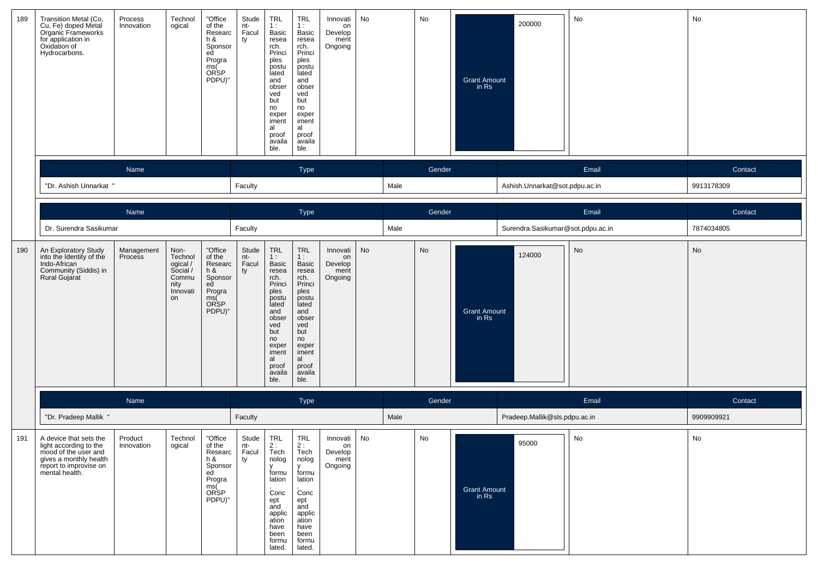| 189 | Transition Metal (Co,<br>Cu, Fe) doped Metal<br>Organic Frameworks<br>for application in<br>Oxidation of<br>Hydrocarbons.                      | Process<br>Innovation | Technol<br>ogical                                                          | "Office<br>of the<br>Researc<br>h &<br>Sponsor<br>ed<br>Progra<br>ms(<br>ORSP<br>PDPU)"  | Stude<br>nt-<br>Facul<br>ty | TRL<br>1:<br>Basic<br>resea<br>rch.<br>Princi<br>ples<br>postu<br>lated<br>and<br>obser<br>ved<br>but<br>no<br>exper<br>iment<br>al<br>proof<br>availa<br>ble. | TRL<br>1 :<br>Basic<br>resea<br>rch.<br>Princi<br>ples<br>postu<br>lated<br>and<br>obser<br>ved<br>but<br>no<br>exper<br>iment<br>al<br>proof<br>availa<br>ble.              | Innovati<br>on<br>Develop<br>ment<br>Ongoing | No |      | No     | Grant Amount<br>in Rs          | 200000                            | No    | No         |
|-----|------------------------------------------------------------------------------------------------------------------------------------------------|-----------------------|----------------------------------------------------------------------------|------------------------------------------------------------------------------------------|-----------------------------|----------------------------------------------------------------------------------------------------------------------------------------------------------------|------------------------------------------------------------------------------------------------------------------------------------------------------------------------------|----------------------------------------------|----|------|--------|--------------------------------|-----------------------------------|-------|------------|
|     |                                                                                                                                                | Name                  |                                                                            |                                                                                          |                             |                                                                                                                                                                | <b>Type</b>                                                                                                                                                                  |                                              |    |      | Gender |                                |                                   | Email | Contact    |
|     | "Dr. Ashish Unnarkat "                                                                                                                         |                       |                                                                            |                                                                                          | Faculty                     |                                                                                                                                                                |                                                                                                                                                                              |                                              |    | Male |        |                                | Ashish.Unnarkat@sot.pdpu.ac.in    |       | 9913178309 |
|     |                                                                                                                                                | Name                  |                                                                            |                                                                                          |                             |                                                                                                                                                                | Type                                                                                                                                                                         |                                              |    |      | Gender |                                |                                   | Email | Contact    |
|     | Dr. Surendra Sasikumar                                                                                                                         |                       |                                                                            |                                                                                          | Faculty                     |                                                                                                                                                                |                                                                                                                                                                              |                                              |    | Male |        |                                | Surendra.Sasikumar@sot.pdpu.ac.in |       | 7874034805 |
| 190 | An Exploratory Study<br>into the Identity of the<br>Indo-African<br>Community (Siddis) in<br>Rural Gujarat                                     | Management<br>Process | Non-<br>Technol<br>ogical /<br>Social /<br>Commu<br>nity<br>Innovati<br>on | "Office<br>of the<br>Researc<br>h &<br>Sponsor<br>ed<br>Progra<br>ms(<br>ORSP<br>PDPU)"  | Stude<br>nt-<br>Facul<br>ty | TRL<br>1:<br>Basic<br>resea<br>rch.<br>Princi<br>ples<br>postu<br>lated<br>and<br>obser<br>ved<br>but<br>no<br>exper<br>iment<br>al<br>proof<br>availa<br>ble. | <b>TRL</b><br>1:<br><b>Basic</b><br>resea<br>rch.<br>Princi<br>ples<br>postu<br>lated<br>and<br>obser<br>ved<br>but<br>no<br>exper<br>iment<br>al<br>proof<br>availa<br>ble. | Innovati<br>on<br>Develop<br>ment<br>Ongoing | No |      | No     | <b>Grant Amount</b><br>in Rs   | 124000                            | No    | No         |
|     |                                                                                                                                                | Name                  |                                                                            |                                                                                          |                             |                                                                                                                                                                | <b>Type</b>                                                                                                                                                                  |                                              |    |      | Gender |                                |                                   | Email | Contact    |
|     | "Dr. Pradeep Mallik "                                                                                                                          |                       |                                                                            |                                                                                          | Faculty                     |                                                                                                                                                                |                                                                                                                                                                              |                                              |    | Male |        |                                | Pradeep.Mallik@sls.pdpu.ac.in     |       | 9909909921 |
| 191 | A device that sets the<br>light according to the<br>mood of the user and<br>gives a monthly health<br>report to improvise on<br>mental health. | Product<br>Innovation | Technol<br>ogical                                                          | "Office<br>or the<br>Researc<br>h &<br>Sponsor<br>ed<br>Progra<br>ms(Č<br>ORSP<br>PDPU)" | Stude<br>nt-<br>Facul<br>ty | <b>TRL</b><br>∠ :<br>Tech<br>nolog<br>formu<br>lation<br>Conc<br>ept<br>and<br>applic<br>ation<br>have<br>been<br>formu<br>lated.                              | <b>TRL</b><br>Tech<br>nolog<br>formu<br>lation<br>Conc<br>ept<br>and<br>applic<br>ation<br>have<br>been<br>formu<br>lated.                                                   | Innovati<br>on<br>Develop<br>ment<br>Ongoing | No |      | No     | <b>Grant Amount</b><br>in $Rs$ | 95000                             | No    | No         |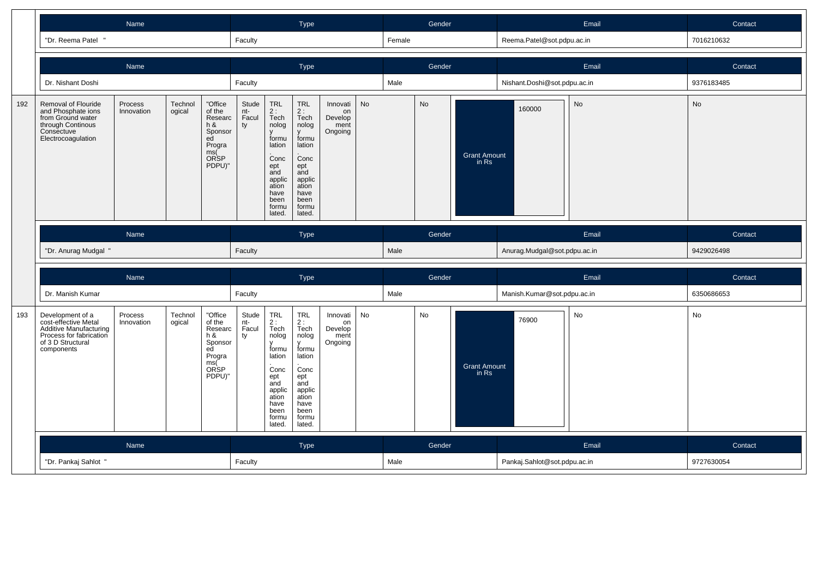|     |                                                                                                                                         | Name                  |                                                                                         |                                                                                         |                                                                                                                          |                                                                                                                                  | <b>Type</b>                                                                                                                      |                                              |           |           | Gender                       |                              |                              | Email     | Contact    |
|-----|-----------------------------------------------------------------------------------------------------------------------------------------|-----------------------|-----------------------------------------------------------------------------------------|-----------------------------------------------------------------------------------------|--------------------------------------------------------------------------------------------------------------------------|----------------------------------------------------------------------------------------------------------------------------------|----------------------------------------------------------------------------------------------------------------------------------|----------------------------------------------|-----------|-----------|------------------------------|------------------------------|------------------------------|-----------|------------|
|     | "Dr. Reema Patel<br>$^{\prime}$                                                                                                         |                       |                                                                                         |                                                                                         | Faculty                                                                                                                  |                                                                                                                                  |                                                                                                                                  |                                              |           | Female    |                              |                              | Reema.Patel@sot.pdpu.ac.in   |           | 7016210632 |
|     |                                                                                                                                         | Name                  |                                                                                         |                                                                                         |                                                                                                                          |                                                                                                                                  | Type                                                                                                                             |                                              |           |           | Gender                       |                              |                              | Email     | Contact    |
|     | Dr. Nishant Doshi                                                                                                                       |                       |                                                                                         |                                                                                         | Faculty                                                                                                                  |                                                                                                                                  |                                                                                                                                  |                                              |           | Male      |                              |                              | Nishant.Doshi@sot.pdpu.ac.in |           | 9376183485 |
| 192 | Removal of Flouride<br>and Phosphate ions<br>from Ground water<br>through Continous<br>Consectuve<br>Electrocoagulation                 | Process<br>Innovation | "Office<br>of the<br>Researc<br>h &<br>Sponsor<br>ed<br>Progra<br>ms(<br>ORSP<br>PDPU)" | Stude<br>nt-<br>Facul<br>ty                                                             | TRL<br>$2:$ Tech<br>nolog<br>formu<br>lation<br>Conc<br>ept<br>and<br>applic<br>ation<br>have<br>been<br>formu<br>lated. | <b>TRL</b><br>2:<br>Tech<br>nolog<br>formu<br>lation<br>Conc<br>ept<br>and<br>applic<br>ation<br>have<br>been<br>formu<br>lated. | Innovati<br>on<br>Develop<br>ment<br>Ongoing                                                                                     | No                                           |           | <b>No</b> | <b>Grant Amount</b><br>in Rs | 160000                       | No                           | <b>No</b> |            |
|     |                                                                                                                                         | Name                  |                                                                                         |                                                                                         |                                                                                                                          |                                                                                                                                  |                                                                                                                                  |                                              |           |           | Gender                       |                              |                              | Email     | Contact    |
|     |                                                                                                                                         |                       |                                                                                         |                                                                                         |                                                                                                                          |                                                                                                                                  | <b>Type</b>                                                                                                                      |                                              |           |           |                              |                              |                              |           |            |
|     | "Dr. Anurag Mudgal "                                                                                                                    |                       |                                                                                         |                                                                                         | Faculty                                                                                                                  |                                                                                                                                  |                                                                                                                                  |                                              |           | Male      |                              |                              | Anurag.Mudgal@sot.pdpu.ac.in |           | 9429026498 |
|     |                                                                                                                                         | Name                  |                                                                                         |                                                                                         |                                                                                                                          |                                                                                                                                  | Type                                                                                                                             |                                              |           |           | Gender                       |                              |                              | Email     | Contact    |
|     | Dr. Manish Kumar                                                                                                                        |                       |                                                                                         |                                                                                         | Faculty                                                                                                                  |                                                                                                                                  |                                                                                                                                  |                                              |           | Male      |                              |                              | Manish.Kumar@sot.pdpu.ac.in  |           | 6350686653 |
| 193 | Development of a<br>cost-effective Metal<br><b>Additive Manufacturing</b><br>Process for fabrication<br>of 3 D Structural<br>components | Process<br>Innovation | Technol<br>ogical                                                                       | "Office<br>of the<br>Researc<br>h &<br>Sponsor<br>ed<br>Progra<br>ms(<br>ORSP<br>PDPU)" | Stude<br>nt-<br>Facul<br>ty                                                                                              | <b>TRL</b><br>2:<br>Tech<br>nolog<br>formu<br>lation<br>Conc<br>ept<br>and<br>applic<br>ation<br>have<br>been<br>formu<br>lated. | <b>TRL</b><br>2:<br>Tech<br>nolog<br>formu<br>lation<br>Conc<br>ept<br>and<br>applic<br>ation<br>have<br>been<br>formu<br>lated. | Innovati<br>on<br>Develop<br>ment<br>Ongoing | <b>No</b> |           | No                           | <b>Grant Amount</b><br>in Rs | 76900                        | No        | No         |
|     |                                                                                                                                         | Name                  |                                                                                         |                                                                                         |                                                                                                                          |                                                                                                                                  | <b>Type</b>                                                                                                                      |                                              |           |           | Gender                       |                              |                              | Email     | Contact    |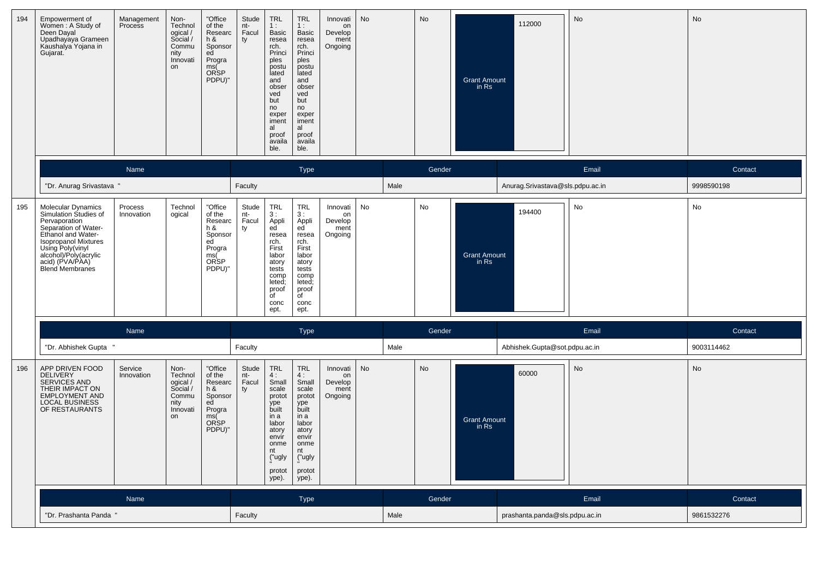| 194 | Empowerment of<br>Women: A Study of<br>Deen Dayal<br>Upadhayaya Grameen<br>Kaushalya Yojana in<br>Gujarat.                                                                                                                                 | Management<br>Process | Non-<br>Technol<br>ogical /<br>Social /<br>Commu<br>nity<br>Innovati<br>on | "Office<br>of the<br>Researc<br>$h$ &<br>Sponsor<br>ed<br>Progra<br>ms(<br><b>ORSP</b><br>PDPU)" | Stude<br>nt-<br>Facul<br>ty | TRL<br>1:<br>Basic<br>resea<br>rch.<br>Princi<br>ples<br>postu<br>lated<br>and<br>obser<br>ved<br>but<br>no<br>exper<br>iment<br>al<br>proof<br>availa<br>ble. | <b>TRL</b><br>1:<br>Basic<br>resea<br>rch.<br>Princi<br>ples<br>postu<br>lated<br>and<br>obser<br>ved<br>but<br>no<br>exper<br>iment<br>al<br>proof<br>availa<br>ble. | Innovati<br>on<br>Develop<br>ment<br>Ongoing | No |      | No     | <b>Grant Amount</b><br>in Rs | 112000                           | No    | No         |
|-----|--------------------------------------------------------------------------------------------------------------------------------------------------------------------------------------------------------------------------------------------|-----------------------|----------------------------------------------------------------------------|--------------------------------------------------------------------------------------------------|-----------------------------|----------------------------------------------------------------------------------------------------------------------------------------------------------------|-----------------------------------------------------------------------------------------------------------------------------------------------------------------------|----------------------------------------------|----|------|--------|------------------------------|----------------------------------|-------|------------|
|     |                                                                                                                                                                                                                                            | Name                  |                                                                            |                                                                                                  |                             |                                                                                                                                                                | <b>Type</b>                                                                                                                                                           |                                              |    |      | Gender |                              |                                  | Email | Contact    |
|     | "Dr. Anurag Srivastava                                                                                                                                                                                                                     |                       |                                                                            |                                                                                                  | Faculty                     |                                                                                                                                                                |                                                                                                                                                                       |                                              |    | Male |        |                              | Anurag.Srivastava@sls.pdpu.ac.in |       | 9998590198 |
| 195 | <b>Molecular Dynamics</b><br>Simulation Studies of<br>Pervaporation<br>Separation of Water-<br>Ethanol and Water-<br><b>Isopropanol Mixtures</b><br>Using Poly(vinyl<br>alcohol)/Poly(acrylic<br>acid) (PVA/PAA)<br><b>Blend Membranes</b> | Process<br>Innovation | Technol<br>ogical                                                          | "Office<br>of the<br>Researc<br>h &<br>Sponsor<br>ed<br>Progra<br>ms(ŠP<br>PDPU)"                | Stude<br>nt-<br>Facul<br>ty | TRL<br>3:<br>Appli<br>ed<br>resea<br>rch.<br>First<br>labor<br>atory<br>tests<br>comp<br>leted;<br>proof<br>of<br>conc<br>ept.                                 | <b>TRL</b><br>3:<br>Appli<br>ed<br>resea<br>rch.<br>First<br>labor<br>atory<br>tests<br>comp<br>leted;<br>proof<br>of<br>conc<br>ept.                                 | Innovati<br>on<br>Develop<br>ment<br>Ongoing | No |      | No     | <b>Grant Amount</b><br>in Rs | 194400                           | No    | No         |
|     |                                                                                                                                                                                                                                            | Name                  |                                                                            |                                                                                                  |                             |                                                                                                                                                                | Type                                                                                                                                                                  |                                              |    |      | Gender |                              |                                  | Email | Contact    |
|     | "Dr. Abhishek Gupta "                                                                                                                                                                                                                      |                       |                                                                            |                                                                                                  | Faculty                     |                                                                                                                                                                |                                                                                                                                                                       |                                              |    | Male |        |                              | Abhishek.Gupta@sot.pdpu.ac.in    |       | 9003114462 |
| 196 | APP DRIVEN FOOD<br><b>DELIVERY</b><br>SERVICES AND<br>THEIR IMPACT ON<br><b>EMPLOYMENT AND</b><br><b>LOCAL BUSINESS</b><br>OF RESTAURANTS                                                                                                  | Service<br>Innovation | Non-<br>Technol<br>ogical /<br>Social /<br>Commu<br>nity<br>Innovati<br>on | "Office<br>of the<br>Researc<br>h &<br>Sponsor<br>ed<br>Progra<br>ms(<br>ORSP<br>PDPU)"          | Stude<br>nt-<br>Facul<br>ty | TRL<br>4:<br>Small<br>scale<br>protot<br>ype<br>built<br>in a<br>labor<br>atory<br>envir<br>onme<br>nt<br>("ugly<br>protot<br>ype).                            | <b>TRL</b><br>4:<br>Small<br>scale<br>protot<br>ype<br>built<br>in a<br>labor<br>atory<br>envir<br>onme<br>nt<br>("ugly<br>protot<br>ype).                            | Innovati<br>on<br>Develop<br>ment<br>Ongoing | No |      | No     | <b>Grant Amount</b><br>in Rs | 60000                            | No    | No         |
|     |                                                                                                                                                                                                                                            | Name                  |                                                                            |                                                                                                  |                             |                                                                                                                                                                | Type                                                                                                                                                                  |                                              |    |      | Gender |                              |                                  | Email | Contact    |
|     | "Dr. Prashanta Panda "                                                                                                                                                                                                                     |                       |                                                                            |                                                                                                  | Faculty                     |                                                                                                                                                                |                                                                                                                                                                       |                                              |    | Male |        |                              | prashanta.panda@sls.pdpu.ac.in   |       | 9861532276 |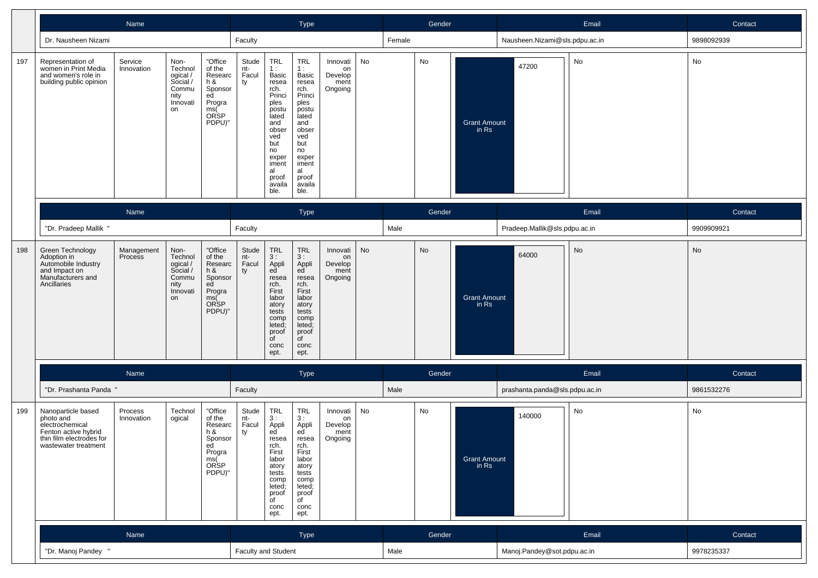|     |                                                                                                                                | Name                  |                                                                            |                                                                                               |                             |                                                                                                                                                                 | Type                                                                                                                                                           |                                              |    |        | Gender |                              |                                | Email | Contact    |
|-----|--------------------------------------------------------------------------------------------------------------------------------|-----------------------|----------------------------------------------------------------------------|-----------------------------------------------------------------------------------------------|-----------------------------|-----------------------------------------------------------------------------------------------------------------------------------------------------------------|----------------------------------------------------------------------------------------------------------------------------------------------------------------|----------------------------------------------|----|--------|--------|------------------------------|--------------------------------|-------|------------|
|     | Dr. Nausheen Nizami                                                                                                            |                       |                                                                            |                                                                                               | Faculty                     |                                                                                                                                                                 |                                                                                                                                                                |                                              |    | Female |        |                              | Nausheen.Nizami@sls.pdpu.ac.in |       | 9898092939 |
| 197 | Representation of<br>women in Print Media<br>and women's role in<br>building public opinion                                    | Service<br>Innovation | Non-<br>Technol<br>ogical /<br>Social /<br>Commu<br>nity<br>Innovati<br>on | "Office<br>of the<br>Researc<br>h &<br>Sponsor<br>ed<br>Progra<br>ms(<br>ORSP<br>PDPU)"       | Stude<br>nt-<br>Facul<br>ty | TRL<br>1 :<br>Basic<br>resea<br>rch.<br>Princi<br>ples<br>postu<br>lated<br>and<br>obser<br>ved<br>but<br>no<br>exper<br>iment<br>al<br>proof<br>availa<br>ble. | TRL<br>1:<br>Basic<br>resea<br>rch.<br>Princi<br>ples<br>postu<br>lated<br>and<br>obser<br>ved<br>but<br>no<br>exper<br>iment<br>al<br>proof<br>availa<br>ble. | Innovati<br>on<br>Develop<br>ment<br>Ongoing | No |        | No     | <b>Grant Amount</b><br>in Rs | 47200                          | No    | No         |
|     |                                                                                                                                | Name                  |                                                                            |                                                                                               |                             |                                                                                                                                                                 | Type                                                                                                                                                           |                                              |    |        | Gender |                              |                                | Email | Contact    |
|     | "Dr. Pradeep Mallik "                                                                                                          |                       |                                                                            |                                                                                               | Faculty                     |                                                                                                                                                                 |                                                                                                                                                                |                                              |    | Male   |        |                              | Pradeep.Mallik@sls.pdpu.ac.in  |       | 9909909921 |
| 198 | Green Technology<br>Adoption in<br>Automobile Industry<br>and Impact on<br>Manufacturers and<br>Ancillaries                    | Management<br>Process | Non-<br>Technol<br>ogical /<br>Social /<br>Commu<br>nity<br>Innovati<br>on | "Office<br>of the<br>Researc<br>h &<br>Sponsor<br>ed<br>Progra<br>ms(Č<br>ORSP<br>PDPU)"      | Stude<br>nt-<br>Facul<br>ty | <b>TRL</b><br>3:<br>Appli<br>ed<br>resea<br>rch.<br>First<br>labor<br>atory<br>tests<br>comp<br>leted;<br>proof<br>$\overline{C}$<br>conc<br>ept.               | TRL<br>3:<br>Appli<br>ed<br>resea<br>rch.<br>First<br>labor<br>atory<br>tests<br>comp<br>leted;<br>proof<br>of<br>conc<br>ept.                                 | Innovati<br>on<br>Develop<br>ment<br>Ongoing | No |        | No     | <b>Grant Amount</b><br>in Rs | 64000                          | No    | No         |
|     |                                                                                                                                | Name                  |                                                                            |                                                                                               |                             |                                                                                                                                                                 | Type                                                                                                                                                           |                                              |    |        | Gender |                              |                                | Email | Contact    |
|     | "Dr. Prashanta Panda '                                                                                                         |                       |                                                                            |                                                                                               | Faculty                     |                                                                                                                                                                 |                                                                                                                                                                |                                              |    | Male   |        |                              | prashanta.panda@sls.pdpu.ac.in |       | 9861532276 |
| 199 | Nanoparticle based<br>photo and<br>electrochemical<br>Fenton active hybrid<br>thin film electrodes for<br>wastewater treatment | Process<br>Innovation | Technol<br>ogical                                                          | "Office<br>of the<br>Researc<br>h &<br>Sponsor<br>ed<br>ed<br>Progra<br>ms(<br>ORSP<br>PDPU)" | Stude<br>nt-<br>Facul<br>ty | TRL<br>3:<br>Appli<br>ed<br>resea<br>rch.<br>First<br>labor<br>atory<br>tests<br>comp<br>leted;<br>proof<br>$\overline{f}$<br>conc<br>ept.                      | TRL<br>3:<br>Appli<br>ed<br>resea<br>rch.<br>First<br>labor<br>atory<br>tests<br>comp<br>leted;<br>proof<br>of<br>conc<br>ept.                                 | Innovati<br>on<br>Develop<br>ment<br>Ongoing | No |        | No     | Grant Amount<br>in Rs        | 140000                         | No    | No         |
|     |                                                                                                                                | Name                  |                                                                            |                                                                                               |                             |                                                                                                                                                                 | Type                                                                                                                                                           |                                              |    |        | Gender |                              |                                | Email | Contact    |
|     | "Dr. Manoj Pandey "                                                                                                            |                       |                                                                            |                                                                                               | Faculty and Student         |                                                                                                                                                                 |                                                                                                                                                                |                                              |    | Male   |        |                              | Manoj.Pandey@sot.pdpu.ac.in    |       | 9978235337 |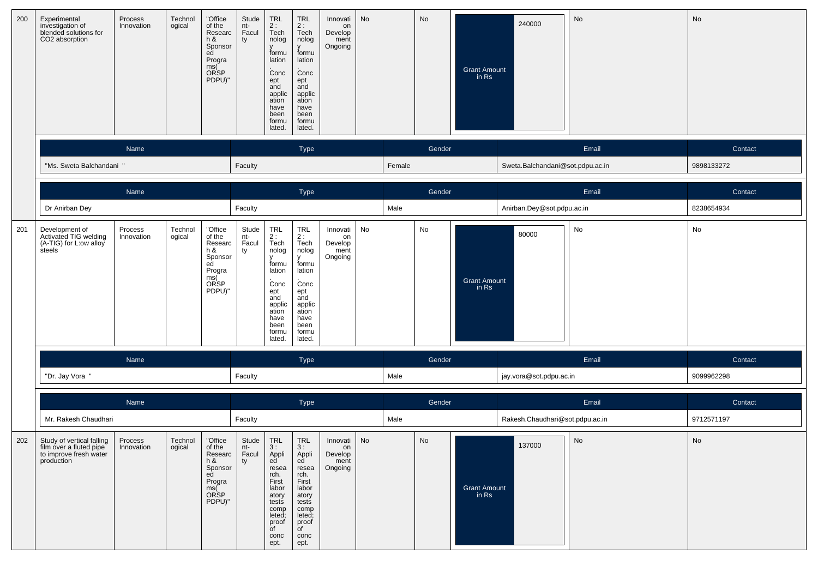| 200 | Experimental<br>investigation of<br>blended solutions for<br>CO2 absorption                  | Process<br>Innovation | Technol<br>ogical | "Office<br>of the<br>Researc<br>h &<br>Sponsor<br>ed<br>Progra<br>ms(<br>ORSP<br>PDPU)"                | Stude<br>nt-<br>Facul<br>ty | TRL<br>2:<br>Tech<br>nolog<br>formu<br>lation<br>Conc<br>ept<br>and<br>applic<br>ation<br>have<br>been<br>formu<br>lated.                          | <b>TRL</b><br>2:<br>Tech<br>nolog<br>V<br>formu<br>lation<br>Conc<br>ept<br>and<br>applic<br>ation<br>have<br>been<br>formu<br>lated.                 | Innovati<br>on<br>Develop<br>ment<br>Ongoing | <b>No</b> |        | No     | Grant Amount<br>in Rs        | 240000                           | No    | No         |
|-----|----------------------------------------------------------------------------------------------|-----------------------|-------------------|--------------------------------------------------------------------------------------------------------|-----------------------------|----------------------------------------------------------------------------------------------------------------------------------------------------|-------------------------------------------------------------------------------------------------------------------------------------------------------|----------------------------------------------|-----------|--------|--------|------------------------------|----------------------------------|-------|------------|
|     |                                                                                              | Name                  |                   |                                                                                                        |                             |                                                                                                                                                    | Type                                                                                                                                                  |                                              |           |        | Gender |                              |                                  | Email | Contact    |
|     | "Ms. Sweta Balchandani "                                                                     |                       |                   |                                                                                                        | Faculty                     |                                                                                                                                                    |                                                                                                                                                       |                                              |           | Female |        |                              | Sweta.Balchandani@sot.pdpu.ac.in |       | 9898133272 |
|     |                                                                                              | Name                  |                   |                                                                                                        |                             |                                                                                                                                                    | Type                                                                                                                                                  |                                              |           |        | Gender |                              |                                  | Email | Contact    |
|     | Dr Anirban Dey                                                                               |                       |                   |                                                                                                        | Faculty                     |                                                                                                                                                    |                                                                                                                                                       |                                              |           | Male   |        |                              | Anirban.Dey@sot.pdpu.ac.in       |       | 8238654934 |
| 201 | Development of<br>Activated TIG welding<br>(A-TIG) for L:ow alloy                            | Process<br>Innovation | Technol<br>ogical | "Office<br>of the<br>Researc<br>h &<br>Sponsor<br>ed<br>Progra<br>ms(Č<br>ORSP<br>PDPU)"               | Stude<br>nt-<br>Facul<br>ty | $\ensuremath{\mathsf{TRL}}$<br>2 :<br>Tech<br>nolog<br>formu<br>lation<br>Conc<br>ept<br>and<br>applic<br>ation<br>have<br>been<br>formu<br>lated. | $\ensuremath{\mathsf{TRL}}$<br>$2:$ Tech<br>nolog<br>v<br>formu<br>lation<br>Conc<br>ept<br>and<br>applic<br>ation<br>have<br>been<br>formu<br>lated. | Innovati<br>on<br>Develop<br>ment<br>Ongoing | No        |        | No     | <b>Grant Amount</b><br>in Rs | 80000                            | No    | No         |
|     |                                                                                              | Name                  |                   |                                                                                                        |                             |                                                                                                                                                    | Type                                                                                                                                                  |                                              |           |        | Gender |                              |                                  | Email | Contact    |
|     | "Dr. Jay Vora "                                                                              |                       |                   |                                                                                                        | Faculty                     |                                                                                                                                                    |                                                                                                                                                       |                                              |           | Male   |        |                              | jay.vora@sot.pdpu.ac.in          |       | 9099962298 |
|     |                                                                                              | Name                  |                   |                                                                                                        |                             |                                                                                                                                                    | Type                                                                                                                                                  |                                              |           |        | Gender |                              |                                  | Email | Contact    |
|     | Mr. Rakesh Chaudhari                                                                         |                       |                   |                                                                                                        | Faculty                     |                                                                                                                                                    |                                                                                                                                                       |                                              |           | Male   |        |                              | Rakesh.Chaudhari@sot.pdpu.ac.in  |       | 9712571197 |
| 202 | Study of vertical falling<br>film over a fluted pipe<br>to improve fresh water<br>production | Process<br>Innovation | Technol<br>ogical | "Office<br>or the<br>Researc   Facul<br>h &<br>Sponsor<br>ed<br>Progra<br>ms(<br><b>ORSP</b><br>PDPU)" | Stude<br>nt-<br>ty          | <b>TRL</b><br>3:<br>Appli<br>ed<br>resea<br>rch.<br>First<br>labor<br>atory<br>tests<br>comp<br>leted;<br>proof<br>$\overline{C}$<br>conc<br>ept.  | TRL<br>3:<br>Appli<br>ed<br>resea<br>rch.<br>First<br>labor<br>atory<br>tests<br>comp<br>leted;<br>proof<br>of<br>conc<br>ept.                        | Innovati<br>on<br>Develop<br>ment<br>Ongoing | No        |        | No     | <b>Grant Amount</b><br>in Rs | 137000                           | No    | No         |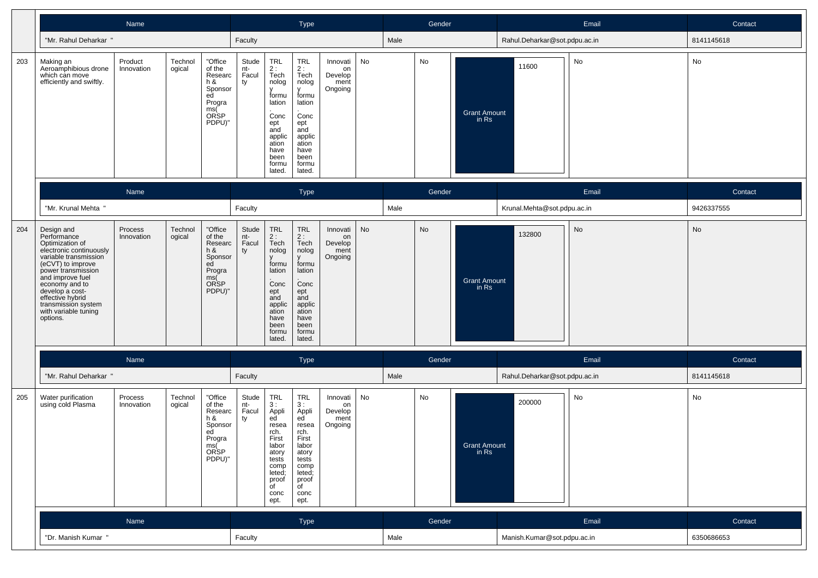|     |                                                                                                                                                                                                                                                                                     | Name                  |                   |                                                                                                 |                             |                                                                                                                                            | Type                                                                                                                                              |                                              |    |      | Gender        |                              |                               | Email | Contact    |
|-----|-------------------------------------------------------------------------------------------------------------------------------------------------------------------------------------------------------------------------------------------------------------------------------------|-----------------------|-------------------|-------------------------------------------------------------------------------------------------|-----------------------------|--------------------------------------------------------------------------------------------------------------------------------------------|---------------------------------------------------------------------------------------------------------------------------------------------------|----------------------------------------------|----|------|---------------|------------------------------|-------------------------------|-------|------------|
|     | "Mr. Rahul Deharkar "                                                                                                                                                                                                                                                               |                       |                   |                                                                                                 | Faculty                     |                                                                                                                                            |                                                                                                                                                   |                                              |    | Male |               |                              | Rahul.Deharkar@sot.pdpu.ac.in |       | 8141145618 |
| 203 | Making an<br>Aeroamphibious drone<br>which can move<br>efficiently and swiftly.                                                                                                                                                                                                     | Product<br>Innovation | Technol<br>ogical | "Office<br>of the<br>Researc<br>$h$ &<br>Sponsor<br>ed<br>Progra<br>ms(<br>ORSP<br>PDPU)"       | Stude<br>nt-<br>Facul<br>ty | TRL<br>$2:$ Tech<br>nolog<br>formu<br>lation<br>Conc<br>ept<br>and<br>applic<br>ation<br>have<br>been<br>formu<br>lated.                   | <b>TRL</b><br>2 :<br>Tech<br>nolog<br>formu<br>lation<br>Conc<br>ept<br>and<br>applic<br>ation<br>have<br>been<br>formu<br>lated.                 | Innovati<br>on<br>Develop<br>ment<br>Ongoing | No |      | No            | <b>Grant Amount</b><br>in Rs | 11600                         | No    | No         |
|     |                                                                                                                                                                                                                                                                                     | Name                  |                   |                                                                                                 |                             |                                                                                                                                            | <b>Type</b>                                                                                                                                       |                                              |    |      | Gender        |                              |                               | Email | Contact    |
|     | "Mr. Krunal Mehta "                                                                                                                                                                                                                                                                 |                       |                   |                                                                                                 | Faculty                     |                                                                                                                                            |                                                                                                                                                   |                                              |    | Male |               |                              | Krunal.Mehta@sot.pdpu.ac.in   |       | 9426337555 |
| 204 | Design and<br>Performance<br>Optimization of<br>electronic continuously<br>variable transmission<br>(eCVT) to improve<br>power transmission<br>and improve fuel<br>economy and to<br>develop a cost-<br>effective hybrid<br>transmission system<br>with variable tuning<br>options. | Process<br>Innovation | Technol<br>ogical | "Office<br>of the<br>Researc<br>h &<br>Sponsor<br>ed<br>Progra<br>ms(<br><b>ORSP</b><br>PDPU)"  | Stude<br>nt-<br>Facul<br>ty | TRL<br>2:<br>Tech<br>nolog<br>formu<br>lation<br>Conc<br>ept<br>and<br>applic<br>ation<br>have<br>been<br>formu<br>lated.                  | <b>TRL</b><br>2:<br>Tech<br>nolog<br>formu<br>lation<br>Conc<br>ept<br>and<br>applic<br>ation<br>have<br>been<br>formu<br>lated.                  | Innovati<br>on<br>Develop<br>ment<br>Ongoing | No |      | $\mathsf{No}$ | <b>Grant Amount</b><br>in Rs | 132800                        | No    | No         |
|     |                                                                                                                                                                                                                                                                                     | Name                  |                   |                                                                                                 |                             |                                                                                                                                            | Type                                                                                                                                              |                                              |    |      | Gender        |                              |                               | Email | Contact    |
|     | "Mr. Rahul Deharkar "                                                                                                                                                                                                                                                               |                       |                   |                                                                                                 | Faculty                     |                                                                                                                                            |                                                                                                                                                   |                                              |    | Male |               |                              | Rahul.Deharkar@sot.pdpu.ac.in |       | 8141145618 |
| 205 | Water purification<br>using cold Plasma                                                                                                                                                                                                                                             | Process<br>Innovation | Technol<br>ogical | "Office<br>of the<br>Researc<br>h &<br>Sponsor<br>ed<br>Progra<br>ms(<br>nia(<br>ORSP<br>PDPU)" | Stude<br>nt-<br>Facul<br>ty | TRL<br>3:<br>Appli<br>ed<br>resea<br>rch.<br>First<br>labor<br>atory<br>tests<br>comp<br>leted;<br>proof<br>$\overline{C}$<br>conc<br>ept. | <b>TRL</b><br>3:<br>Appli<br>ed<br>resea<br>rch.<br>First<br>labor<br>atory<br>tests<br>comp<br>leted;<br>proof<br>$\overline{C}$<br>conc<br>ept. | Innovati<br>on<br>Develop<br>ment<br>Ongoing | No |      | No            | <b>Grant Amount</b><br>in Rs | 200000                        | No    | No         |
|     |                                                                                                                                                                                                                                                                                     | Name                  |                   |                                                                                                 |                             |                                                                                                                                            | Type                                                                                                                                              |                                              |    |      | Gender        |                              |                               | Email | Contact    |
|     | "Dr. Manish Kumar "                                                                                                                                                                                                                                                                 |                       |                   |                                                                                                 | Faculty                     |                                                                                                                                            |                                                                                                                                                   |                                              |    | Male |               |                              | Manish.Kumar@sot.pdpu.ac.in   |       | 6350686653 |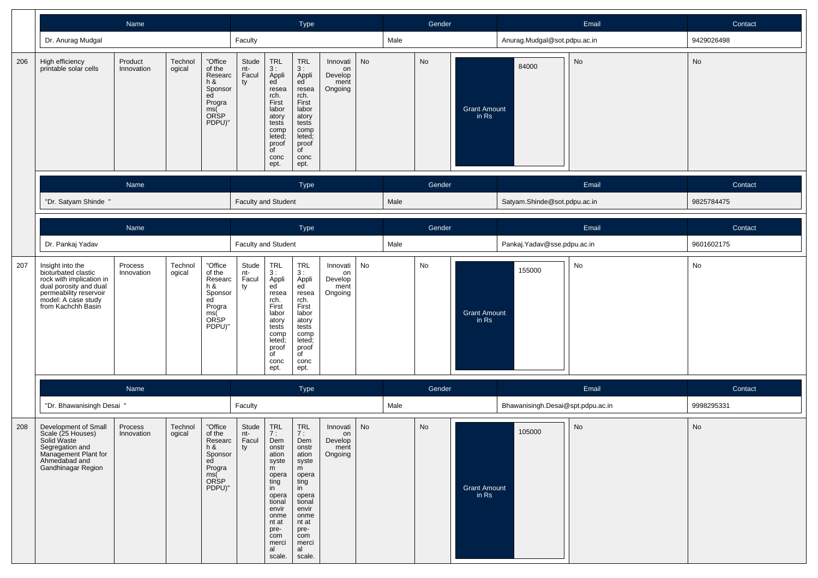|     |                                                                                                                                                                      | Name                  |                   |                                                                                         |                             |                                                                                                                                                                     | Type                                                                                                                                                                              |                                              |           |      | Gender |                              |                                   | Email | Contact    |
|-----|----------------------------------------------------------------------------------------------------------------------------------------------------------------------|-----------------------|-------------------|-----------------------------------------------------------------------------------------|-----------------------------|---------------------------------------------------------------------------------------------------------------------------------------------------------------------|-----------------------------------------------------------------------------------------------------------------------------------------------------------------------------------|----------------------------------------------|-----------|------|--------|------------------------------|-----------------------------------|-------|------------|
|     | Dr. Anurag Mudgal                                                                                                                                                    |                       |                   |                                                                                         | Faculty                     |                                                                                                                                                                     |                                                                                                                                                                                   |                                              |           | Male |        |                              | Anurag.Mudgal@sot.pdpu.ac.in      |       | 9429026498 |
| 206 | High efficiency<br>printable solar cells                                                                                                                             | Product<br>Innovation | Technol<br>ogical | "Office<br>of the<br>Researc<br>h &<br>Sponsor<br>ed<br>Progra<br>ms(<br>ORSP<br>PDPU)" | Stude<br>nt-<br>Facul<br>ty | TRL<br>3:<br>Appli<br>ed<br>resea<br>rch.<br>First<br>labor<br>atory<br>tests<br>comp<br>leted;<br>proof<br>$\overline{f}$<br>conc<br>ept.                          | <b>TRL</b><br>3:<br>Appli<br>ed<br>resea<br>rch.<br>First<br>labor<br>atory<br>tests<br>comp<br>leted;<br>proof<br>of<br>conc<br>ept.                                             | Innovati<br>on<br>Develop<br>ment<br>Ongoing | <b>No</b> |      | No     | <b>Grant Amount</b><br>in Rs | 84000                             | No    | No         |
|     |                                                                                                                                                                      | Name                  |                   |                                                                                         |                             |                                                                                                                                                                     | <b>Type</b>                                                                                                                                                                       |                                              |           |      | Gender |                              |                                   | Email | Contact    |
|     | "Dr. Satyam Shinde "                                                                                                                                                 |                       |                   |                                                                                         | <b>Faculty and Student</b>  |                                                                                                                                                                     |                                                                                                                                                                                   |                                              |           | Male |        |                              | Satyam.Shinde@sot.pdpu.ac.in      |       | 9825784475 |
|     |                                                                                                                                                                      | Name                  |                   |                                                                                         |                             |                                                                                                                                                                     | Type                                                                                                                                                                              |                                              |           |      | Gender |                              |                                   | Email | Contact    |
|     | Dr. Pankaj Yadav                                                                                                                                                     |                       |                   |                                                                                         | Faculty and Student         |                                                                                                                                                                     |                                                                                                                                                                                   |                                              |           | Male |        |                              | Pankaj. Yadav@sse.pdpu.ac.in      |       | 9601602175 |
| 207 | Insight into the<br>bioturbated clastic<br>rock with implication in<br>dual porosity and dual<br>permeability reservoir<br>model: A case study<br>from Kachchh Basin | Process<br>Innovation | Technol<br>ogical | "Office<br>of the<br>Researc<br>h &<br>Sponsor<br>ed<br>Progra<br>ms(<br>ORSP<br>PDPU)" | Stude<br>nt-<br>Facul<br>ty | TRL<br>3:<br>Appli<br>ed<br>resea<br>rch.<br>First<br>labor<br>atory<br>tests<br>comp<br>leted;<br>proof<br>$\overline{f}$<br>conc<br>ept.                          | TRL<br>3 :<br>Appli<br>ed<br>resea<br>rch.<br>First<br>labor<br>atory<br>tests<br>comp<br>leted;<br>proof<br>of<br>conc<br>ept.                                                   | Innovati<br>on<br>Develop<br>ment<br>Ongoing | No        |      | No     | <b>Grant Amount</b><br>in Rs | 155000                            | No    | No         |
|     |                                                                                                                                                                      | Name                  |                   |                                                                                         |                             |                                                                                                                                                                     | <b>Type</b>                                                                                                                                                                       |                                              |           |      | Gender |                              |                                   | Email | Contact    |
|     | "Dr. Bhawanisingh Desai "                                                                                                                                            |                       |                   |                                                                                         | Faculty                     |                                                                                                                                                                     |                                                                                                                                                                                   |                                              |           | Male |        |                              | Bhawanisingh.Desai@spt.pdpu.ac.in |       | 9998295331 |
| 208 | Development of Small<br>Scale (25 Houses)<br>Solid Waste<br>Segregation and<br>Management Plant for<br>Ahmedabad and<br>Gandhinagar Region                           | Process<br>Innovation | Technol<br>ogical | "Office<br>of the<br>Researc<br>h &<br>Sponsor<br>ed<br>Progra<br>ms(<br>ORSP<br>PDPU)" | Stude<br>nt-<br>Facul<br>ty | <b>TRL</b><br>7:<br>Dem<br>onstr<br>ation<br>syste<br>m<br>opera<br>ting<br>in<br>opera<br>tional<br>envir<br>onme<br>nt at<br>pre-<br>com<br>merci<br>al<br>scale. | <b>TRL</b><br>$\overline{7}$ :<br>Dem<br>onstr<br>ation<br>syste<br>m<br>opera<br>ting<br>in<br>opera<br>tional<br>envir<br>onme<br>nt at<br>pre-<br>com<br>merci<br>al<br>scale. | Innovati<br>on<br>Develop<br>ment<br>Ongoing | <b>No</b> |      | No     | <b>Grant Amount</b><br>in Rs | 105000                            | No    | No         |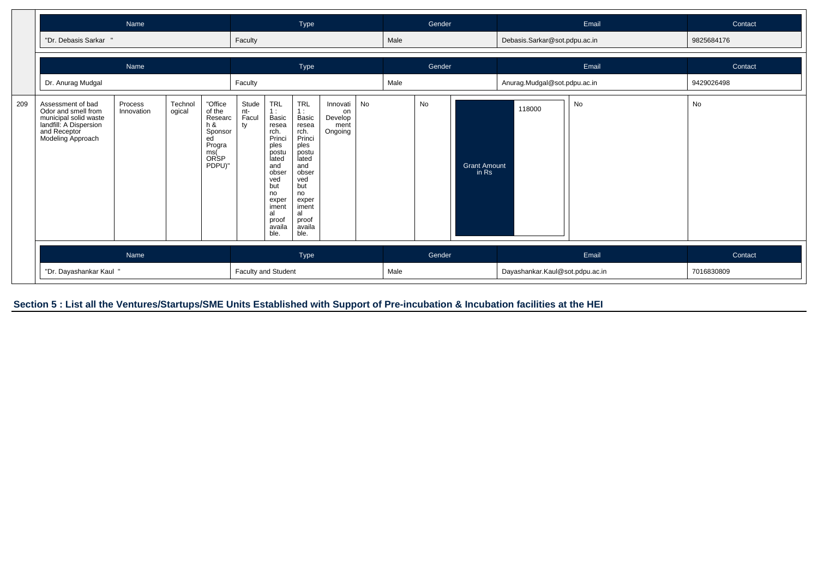|     |                                                                                                                                  | Name                                                                                                                                    |  |  |                     |                                                                                                                                                                       | Type                                                                                                                                                                  |                                              |    |      | Gender |                              |                                 | Email | Contact    |
|-----|----------------------------------------------------------------------------------------------------------------------------------|-----------------------------------------------------------------------------------------------------------------------------------------|--|--|---------------------|-----------------------------------------------------------------------------------------------------------------------------------------------------------------------|-----------------------------------------------------------------------------------------------------------------------------------------------------------------------|----------------------------------------------|----|------|--------|------------------------------|---------------------------------|-------|------------|
|     | "Dr. Debasis Sarkar "                                                                                                            |                                                                                                                                         |  |  | Faculty             |                                                                                                                                                                       |                                                                                                                                                                       |                                              |    | Male |        |                              | Debasis.Sarkar@sot.pdpu.ac.in   |       | 9825684176 |
|     |                                                                                                                                  | Name                                                                                                                                    |  |  |                     |                                                                                                                                                                       | Type                                                                                                                                                                  |                                              |    |      | Gender |                              |                                 | Email | Contact    |
|     | Dr. Anurag Mudgal                                                                                                                |                                                                                                                                         |  |  | Faculty             |                                                                                                                                                                       |                                                                                                                                                                       |                                              |    | Male |        |                              | Anurag.Mudgal@sot.pdpu.ac.in    |       | 9429026498 |
| 209 | Assessment of bad<br>Odor and smell from<br>municipal solid waste<br>landfill: A Dispersion<br>and Receptor<br>Modeling Approach | "Office<br>Technol<br>Process<br>of the<br>Innovation<br>ogical<br>Researc<br>$h$ &<br>Sponsor<br>ed<br>Progra<br>ms(<br>ORSP<br>PDPU)" |  |  |                     | <b>TRL</b><br>1:<br>Basic<br>resea<br>rch.<br>Princi<br>ples<br>postu<br>lated<br>and<br>obser<br>ved<br>but<br>no<br>exper<br>iment<br>al<br>proof<br>availa<br>ble. | <b>TRL</b><br>1:<br>Basic<br>resea<br>rch.<br>Princi<br>ples<br>postu<br>lated<br>and<br>obser<br>ved<br>but<br>no<br>exper<br>iment<br>al<br>proof<br>availa<br>ble. | Innovati<br>on<br>Develop<br>ment<br>Ongoing | No |      | No     | <b>Grant Amount</b><br>in Rs | 118000                          | No    | No         |
|     |                                                                                                                                  | Name                                                                                                                                    |  |  |                     |                                                                                                                                                                       | Type                                                                                                                                                                  |                                              |    |      | Gender |                              |                                 | Email | Contact    |
|     | "Dr. Dayashankar Kaul "                                                                                                          |                                                                                                                                         |  |  | Faculty and Student |                                                                                                                                                                       |                                                                                                                                                                       |                                              |    | Male |        |                              | Dayashankar.Kaul@sot.pdpu.ac.in |       | 7016830809 |

**Section 5 : List all the Ventures/Startups/SME Units Established with Support of Pre-incubation & Incubation facilities at the HEI**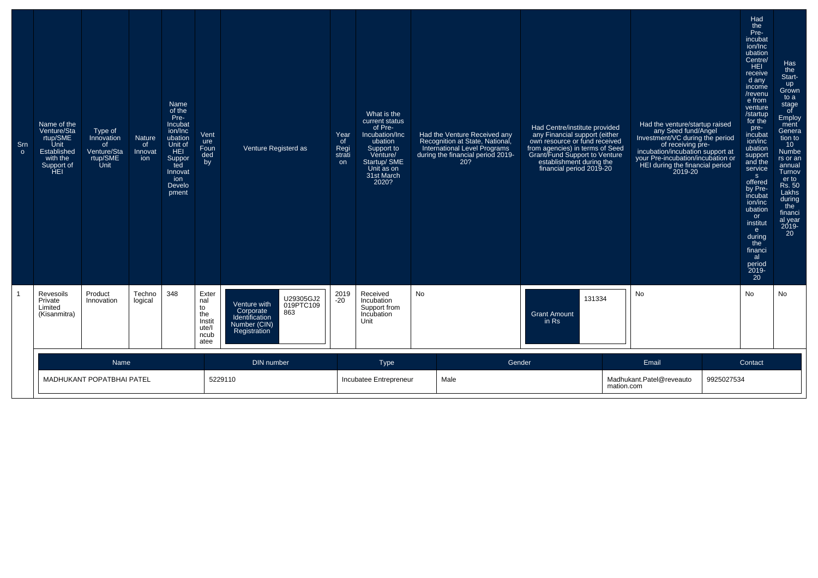| Sm<br>$\circ$ | Name of the<br>Venture/Sta<br>rtup/SME<br>Unit<br>Established<br>with the<br>Support of<br>`ĤEI | Type of<br>Innovation<br>0f<br>Venture/Sta<br>rtup/SME<br>Unit | <b>Nature</b><br>of<br>Innovat<br>ion | Name<br>of the<br>Pre-<br>Incubat<br>ion/Inc<br>ubation<br>Unit of<br>HEI<br>Suppor<br>ted<br>Innovat<br>ion<br>Develo<br>pment | Vent<br>ure<br>Foun<br>ded<br>by                             | Venture Registerd as                                                                                         | Year<br>of<br>Regi<br>strati<br>on | What is the<br>current status<br>of Pre-<br>Incubation/Inc<br>ubation<br>Support to<br>Venture/<br>Startup/ SME<br>Unit as on<br>31st March<br>2020? | Had the Venture Received any<br>Recognition at State, National,<br>International Level Programs<br>during the financial period 2019-<br>20? | Had Centre/institute provided<br>any Financial support (either<br>own resource or fund received<br>from agencies) in terms of Seed<br>Grant/Fund Support to Venture<br>establishment during the<br>financial period 2019-20 |                                                 | Had the venture/startup raised<br>any Seed fund/Angel<br>Investment/VC during the period<br>of receiving pre-<br>incubation/incubation support at<br>your Pre-incubation/incubation or<br>HEI during the financial period<br>2019-20 | Had<br>the<br>Pre-<br>incubat<br>ion/Inc<br>ubation<br>Centre/<br><b>HEI</b><br>receive<br>d any<br>income<br>/revenu<br>e from<br>venture<br>/startup<br>for the<br>pre-<br>incubat<br>ion/inc<br>ubation<br>support<br>and the<br>service<br>S<br>offered<br>by Pre-<br>incubat<br>ion/inc<br>ubation<br>or<br>institut<br>e.<br>during<br>the<br>financi<br>al<br>period<br>2019-<br>20 | Has<br>the<br>Start-<br>up<br>Grown<br>to a<br>stage<br>of<br>Employ<br>ment<br>Genera<br>tion to<br>10 <sup>°</sup><br>Numbe<br>rs or an<br>annual<br>Turnov<br>er to<br>Rs. 50<br>Lakhs<br>during<br>the<br>financi<br>al year<br>$2019 -$<br>20 |
|---------------|-------------------------------------------------------------------------------------------------|----------------------------------------------------------------|---------------------------------------|---------------------------------------------------------------------------------------------------------------------------------|--------------------------------------------------------------|--------------------------------------------------------------------------------------------------------------|------------------------------------|------------------------------------------------------------------------------------------------------------------------------------------------------|---------------------------------------------------------------------------------------------------------------------------------------------|-----------------------------------------------------------------------------------------------------------------------------------------------------------------------------------------------------------------------------|-------------------------------------------------|--------------------------------------------------------------------------------------------------------------------------------------------------------------------------------------------------------------------------------------|--------------------------------------------------------------------------------------------------------------------------------------------------------------------------------------------------------------------------------------------------------------------------------------------------------------------------------------------------------------------------------------------|----------------------------------------------------------------------------------------------------------------------------------------------------------------------------------------------------------------------------------------------------|
|               | Revesoils<br>Private<br>Limited<br>(Kisanmitra)                                                 | Product<br>Innovation                                          | Techno<br>logical                     | 348                                                                                                                             | Exter<br>nal<br>to<br>the<br>Instit<br>ute/l<br>ncub<br>atee | U29305GJ2<br>Venture with<br>019PTC109<br>Corporate<br>863<br>Identification<br>Number (CIN)<br>Registration | 2019<br>$-20$                      | Received<br>Incubation<br>Support from<br>Incubation<br>Unit                                                                                         | <b>No</b>                                                                                                                                   | 131334<br><b>Grant Amount</b><br>in Rs                                                                                                                                                                                      | No                                              |                                                                                                                                                                                                                                      | No                                                                                                                                                                                                                                                                                                                                                                                         | <b>No</b>                                                                                                                                                                                                                                          |
|               |                                                                                                 | Name<br>MADHUKANT POPATBHAI PATEL                              |                                       |                                                                                                                                 |                                                              | <b>DIN</b> number<br>5229110                                                                                 |                                    | Type<br>Incubatee Entrepreneur                                                                                                                       | Gender<br>Male                                                                                                                              |                                                                                                                                                                                                                             | Email<br>Madhukant.Patel@reveauto<br>mation.com | 9925027534                                                                                                                                                                                                                           | Contact                                                                                                                                                                                                                                                                                                                                                                                    |                                                                                                                                                                                                                                                    |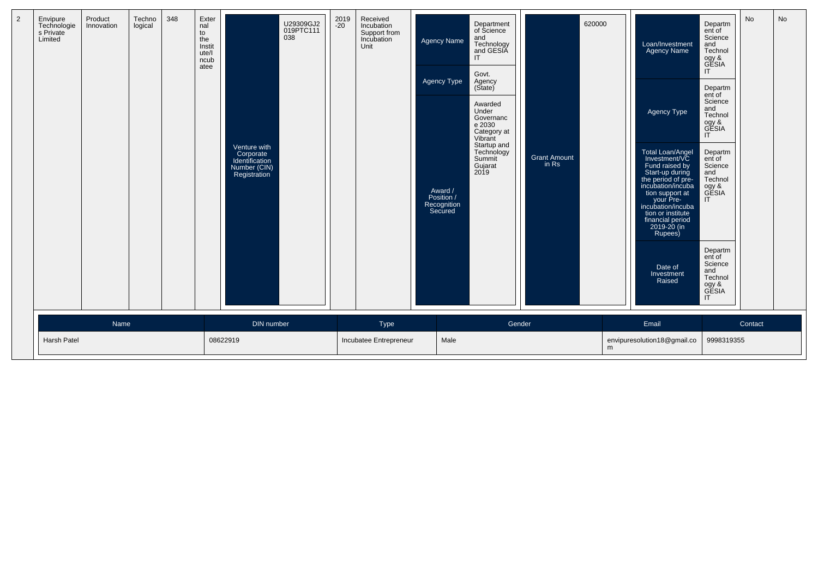| <b>Name</b><br>DIN number<br>Type<br>Gender<br>Email<br>Contact<br>Harsh Patel<br>08622919<br>Incubatee Entrepreneur<br>Male<br>envipuresolution18@gmail.co<br>9998319355 | $\overline{2}$ | Envipure<br>Technologie<br>s Private<br>Limited | Product<br>Innovation | Techno<br>logical | 348 | Exter<br>nal<br>to<br>the<br>Instit<br>ute/l<br>ncub<br>atee | Venture with<br>Corporate<br>Identification<br>Number (CIN)<br>Registration | U29309GJ2<br>019PTC111<br>038 | 2019<br>-20 | Received<br>Incubation<br>Support from<br>Incubation<br>Unit | <b>Agency Name</b><br><b>Agency Type</b><br>Award /<br>Position /<br>Recognition<br>Secured | Department<br>of Science<br>and<br>Technology<br>and GESIA<br>IT<br>Govt.<br>Agency<br>(State)<br>Awarded<br>Under<br>Governanc<br>e 2030<br>Category at<br>Vibrant<br>Startup and<br>Technology<br>Summit<br>Gujarat<br>2019 | <b>Grant Amount</b><br>in Rs | 620000 | Loan/Investment<br><b>Agency Name</b><br>Agency Type<br>Total Loan/Angel<br>Investment/VC<br>Fund raised by<br>Start-up during<br>the period of pre-<br>incubation/incuba<br>tion support at<br>your Pre-<br>incubation/incuba<br>tion or institute<br>financial period<br>2019-20 (in<br>Rupees)<br>Date of<br>Investment<br>Raised | Departm<br>ent of<br>Science<br>and<br>Technol<br>ogy &<br>GESIA<br>IT<br>Departm<br>ent of<br>Science<br>and<br>Technol<br>ogy &<br>GESIA<br>$\mathsf{I}$<br>Departm<br>ent of<br>Science<br>and<br>Technol<br>ogy &<br>GESIA<br>$\mathsf{I}$<br>Departm<br>ent of<br>Science<br>and<br>Technol<br>ogy &<br>GESIA<br>IT | No | No |
|---------------------------------------------------------------------------------------------------------------------------------------------------------------------------|----------------|-------------------------------------------------|-----------------------|-------------------|-----|--------------------------------------------------------------|-----------------------------------------------------------------------------|-------------------------------|-------------|--------------------------------------------------------------|---------------------------------------------------------------------------------------------|-------------------------------------------------------------------------------------------------------------------------------------------------------------------------------------------------------------------------------|------------------------------|--------|--------------------------------------------------------------------------------------------------------------------------------------------------------------------------------------------------------------------------------------------------------------------------------------------------------------------------------------|--------------------------------------------------------------------------------------------------------------------------------------------------------------------------------------------------------------------------------------------------------------------------------------------------------------------------|----|----|
|                                                                                                                                                                           |                |                                                 |                       |                   |     |                                                              |                                                                             |                               |             |                                                              |                                                                                             |                                                                                                                                                                                                                               |                              |        |                                                                                                                                                                                                                                                                                                                                      |                                                                                                                                                                                                                                                                                                                          |    |    |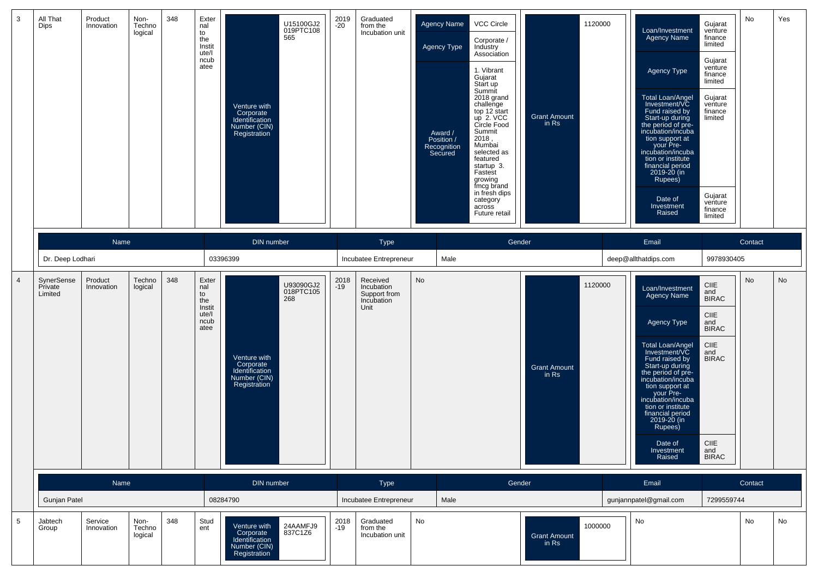| 3              | All That<br><b>Dips</b>          | Product<br>Innovation | Non-<br>Techno<br>logical | 348 | Exter<br>nal<br>to<br>the<br>Instit<br>ute/l<br>ncub<br>atee | U15100GJ2<br>019PTC108<br>565<br>Venture with<br>Corporate<br>Identification<br>Number (CIN)<br><b>Registration</b> | 2019<br>$-20$ | Graduated<br>from the<br>Incubation unit                     | <b>Agency Name</b><br>Agency Type<br>Award /<br>Position /<br>Recognition | Secured | VCC Circle<br>Corporate /<br>Industry<br>Association<br>1. Vibrant<br>Gujarat<br>Start up<br>Summit<br>2018 grand<br>challenge<br>top 12 start<br>up 2. VCC<br>Circle Food<br>Summit<br>2018,<br>Mumbai<br>selected as<br>featured<br>startup 3.<br>Fastest<br>growing<br>fmcg brand<br>in fresh dips<br>category<br>across<br>Future retail | <b>Grant Amount</b><br>in Rs | 1120000 | Loan/Investment<br>Agency Name<br>Agency Type<br>Total Loan/Angel<br>Investment/VC<br>Fund raised by<br>Start-up during<br>the period of pre-<br>incubation/incuba<br>tion support at<br>your Pre-<br>incubation/incuba<br>tion or institute<br>financial period<br>2019-20 (in<br>Rupees)<br>Date of<br>Investment<br>Raised | Gujarat<br>venture<br>finance<br>limited<br>Gujarat<br>venture<br>finance<br>limited<br>Gujarat<br>venture<br>finance<br>limited<br>Gujarat<br>venture<br>finance<br>limited | No      | Yes |
|----------------|----------------------------------|-----------------------|---------------------------|-----|--------------------------------------------------------------|---------------------------------------------------------------------------------------------------------------------|---------------|--------------------------------------------------------------|---------------------------------------------------------------------------|---------|----------------------------------------------------------------------------------------------------------------------------------------------------------------------------------------------------------------------------------------------------------------------------------------------------------------------------------------------|------------------------------|---------|-------------------------------------------------------------------------------------------------------------------------------------------------------------------------------------------------------------------------------------------------------------------------------------------------------------------------------|------------------------------------------------------------------------------------------------------------------------------------------------------------------------------|---------|-----|
|                |                                  | Name                  |                           |     |                                                              | DIN number                                                                                                          |               | Type                                                         |                                                                           |         | Gender                                                                                                                                                                                                                                                                                                                                       |                              |         | Email                                                                                                                                                                                                                                                                                                                         |                                                                                                                                                                              | Contact |     |
|                | Dr. Deep Lodhari                 |                       |                           |     |                                                              | 03396399                                                                                                            |               | Incubatee Entrepreneur                                       |                                                                           | Male    |                                                                                                                                                                                                                                                                                                                                              |                              |         | deep@allthatdips.com                                                                                                                                                                                                                                                                                                          | 9978930405                                                                                                                                                                   |         |     |
| $\overline{4}$ | SynerSense<br>Private<br>Limited | Product<br>Innovation | Techno<br>logical         | 348 | Exter<br>nal<br>to<br>the<br>Instit<br>ute/l<br>ncub<br>atee | U93090GJ2<br>018PTC105<br>268<br>Venture with<br>Corporate<br>Identification<br>Number (CIN)<br>Registration        | 2018<br>$-19$ | Received<br>Incubation<br>Support from<br>Incubation<br>Unit | No                                                                        |         |                                                                                                                                                                                                                                                                                                                                              | <b>Grant Amount</b><br>in Rs | 1120000 | Loan/Investment<br>Agency Name<br>Agency Type<br>Total Loan/Angel<br>Investment/VC<br>Fund raised by<br>Start-up during<br>the period of pre-<br>incubation/incuba<br>tion support at<br>your Pre-<br>incubation/incuba<br>tion or institute<br>financial period<br>2019-20 (in<br>Rupees)<br>Date of<br>Investment<br>Raised | <b>CIIE</b><br>and<br><b>BIRAC</b><br>CIIE<br>and<br><b>BIRAC</b><br>C IIE<br>and<br><b>BIRAC</b><br><b>CIIE</b><br>and<br><b>BIRAC</b>                                      | No      | No  |
|                |                                  | Name                  |                           |     |                                                              | DIN number                                                                                                          |               | Type                                                         |                                                                           |         | Gender                                                                                                                                                                                                                                                                                                                                       |                              |         | Email                                                                                                                                                                                                                                                                                                                         |                                                                                                                                                                              | Contact |     |
|                | <b>Gunjan Patel</b>              |                       |                           |     |                                                              | 08284790                                                                                                            |               | Incubatee Entrepreneur                                       |                                                                           | Male    |                                                                                                                                                                                                                                                                                                                                              |                              |         | gunjannpatel@gmail.com                                                                                                                                                                                                                                                                                                        | 7299559744                                                                                                                                                                   |         |     |
| 5              | Jabtech<br>Group                 | Service<br>Innovation | Non-<br>Techno<br>logical | 348 | Stud<br>ent                                                  | 24AAMFJ9<br>Venture with<br>837C1Z6<br>Corporate<br>Identification<br>Number (CIN)<br>Registration                  | 2018<br>-19   | Graduated<br>from the<br>Incubation unit                     | No                                                                        |         |                                                                                                                                                                                                                                                                                                                                              | <b>Grant Amount</b><br>in Rs | 1000000 | No                                                                                                                                                                                                                                                                                                                            |                                                                                                                                                                              | No      | No  |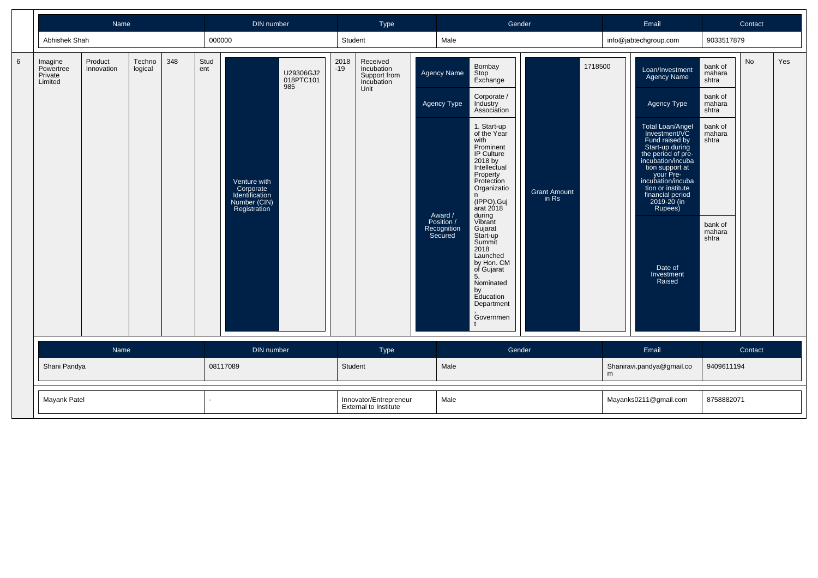|   |                                            | Name                  |                   |     |             | DIN number                                                                  |                               |               | Type                                                         |                                                                               | Gender                                                                                                                                                                                                                                                                                                                                                                                                             |                              |         | Email                                                                                                                                                                                                                                                                                                                                |                                                                                                                      | Contact |     |
|---|--------------------------------------------|-----------------------|-------------------|-----|-------------|-----------------------------------------------------------------------------|-------------------------------|---------------|--------------------------------------------------------------|-------------------------------------------------------------------------------|--------------------------------------------------------------------------------------------------------------------------------------------------------------------------------------------------------------------------------------------------------------------------------------------------------------------------------------------------------------------------------------------------------------------|------------------------------|---------|--------------------------------------------------------------------------------------------------------------------------------------------------------------------------------------------------------------------------------------------------------------------------------------------------------------------------------------|----------------------------------------------------------------------------------------------------------------------|---------|-----|
|   | Abhishek Shah                              |                       |                   |     | 000000      |                                                                             |                               | Student       |                                                              | Male                                                                          |                                                                                                                                                                                                                                                                                                                                                                                                                    |                              |         | info@jabtechgroup.com                                                                                                                                                                                                                                                                                                                | 9033517879                                                                                                           |         |     |
| 6 | Imagine<br>Powertree<br>Private<br>Limited | Product<br>Innovation | Techno<br>logical | 348 | Stud<br>ent | Venture with<br>Corporate<br>Identification<br>Number (CIN)<br>Registration | U29306GJ2<br>018PTC101<br>985 | 2018<br>$-19$ | Received<br>Incubation<br>Support from<br>Incubation<br>Unit | Agency Name<br>Agency Type<br>Award /<br>Position /<br>Recognition<br>Secured | Bombay<br>Stop<br>Exchange<br>Corporate /<br>Industry<br>Association<br>1. Start-up<br>of the Year<br>with<br>Prominent<br>IP Culture<br>2018 by<br>Intellectual<br>Property<br>Protection<br>Organizatio<br>n.<br>(IPPO), Guj<br>arat 2018<br>during<br>Vibrant<br>Gujarat<br>Start-up<br>Summit<br>2018<br>Launched<br>by Hon. CM<br>of Gujarat<br>5.<br>Nominated<br>by<br>Education<br>Department<br>Governmen | <b>Grant Amount</b><br>in Rs | 1718500 | Loan/Investment<br><b>Agency Name</b><br>Agency Type<br>Total Loan/Angel<br>Investment/VC<br>Fund raised by<br>Start-up during<br>the period of pre-<br>incubation/incuba<br>tion support at<br>your Pre-<br>incubation/incuba<br>tion or institute<br>financial period<br>2019-20 (in<br>Rupees)<br>Date of<br>Investment<br>Raised | bank of<br>mahara<br>shtra<br>bank of<br>mahara<br>shtra<br>bank of<br>mahara<br>shtra<br>bank of<br>mahara<br>shtra | No      | Yes |
|   | Name                                       |                       |                   |     |             | DIN number                                                                  |                               |               | Type                                                         |                                                                               | Gender                                                                                                                                                                                                                                                                                                                                                                                                             |                              |         | Email                                                                                                                                                                                                                                                                                                                                |                                                                                                                      | Contact |     |
|   | Shani Pandya                               |                       |                   |     |             | 08117089                                                                    |                               | Student       |                                                              | Male                                                                          |                                                                                                                                                                                                                                                                                                                                                                                                                    |                              | m       | Shaniravi.pandya@gmail.co                                                                                                                                                                                                                                                                                                            | 9409611194                                                                                                           |         |     |
|   | Mayank Patel                               |                       |                   |     |             |                                                                             |                               |               | Innovator/Entrepreneur<br><b>External to Institute</b>       | Male                                                                          |                                                                                                                                                                                                                                                                                                                                                                                                                    |                              |         | Mayanks0211@gmail.com                                                                                                                                                                                                                                                                                                                | 8758882071                                                                                                           |         |     |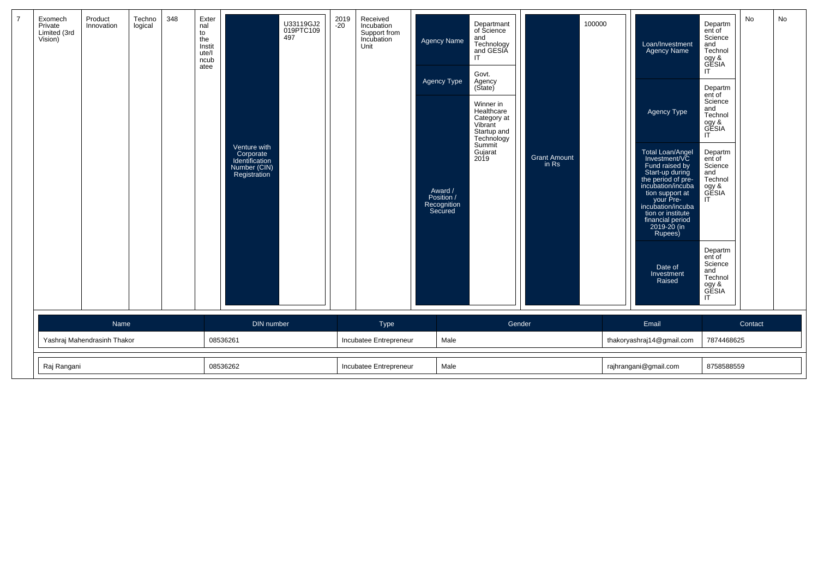| $\overline{7}$ | Exomech<br>Private<br>Limited (3rd<br>Vision) | Product<br>Innovation | Techno<br>logical | 348      | Exter<br>nal<br>to<br>the<br>Instit<br>ute/l<br>ncub<br>atee | 497<br>Venture with<br>Corporate<br>Identification<br>Number (CIN)<br>Registration | U33119GJ2<br>019PTC109 | 2019<br>$-20$ | Received<br>Incubation<br>Support from<br>Incubation<br>Unit | Agency Name<br>Agency Type<br>Award /<br>Position /<br>Recognition<br>Secured | Departmant<br>of Science<br>and<br>Technology<br>and GESIA<br>IT.<br>Govt.<br>Agency<br>(State)<br>Winner in<br>Healthcare<br>Category at<br>Vibrant<br>Startup and<br>Technology<br>Summit<br>Gujarat<br>2019 | <b>Grant Amount</b><br>in Rs | 100000     | Loan/Investment<br><b>Agency Name</b><br>Agency Type<br>Total Loan/Angel<br>Investment/VC<br>Fund raised by<br>Start-up during<br>the period of pre-<br>incubation/incuba<br>tion support at<br>your Pre-<br>incubation/incuba<br>tion or institute<br>financial period<br>2019-20 (in<br>Rupees)<br>Date of<br>Investment<br>Raised | Departm<br>ent of<br>Science<br>and<br>Technol<br>ogy &<br>GESIA<br>IT<br>Departm<br>ent of<br>Science<br>and<br>Technol<br>ogy &<br>GESIA<br>IT<br>Departm<br>ent of<br>Science<br>and<br>Technol<br>ogy &<br>GESIA<br>IT<br>Departm<br>ent of<br>Science<br>and<br>Technol<br>ogy &<br>GESIA<br>IT | No      | No |
|----------------|-----------------------------------------------|-----------------------|-------------------|----------|--------------------------------------------------------------|------------------------------------------------------------------------------------|------------------------|---------------|--------------------------------------------------------------|-------------------------------------------------------------------------------|----------------------------------------------------------------------------------------------------------------------------------------------------------------------------------------------------------------|------------------------------|------------|--------------------------------------------------------------------------------------------------------------------------------------------------------------------------------------------------------------------------------------------------------------------------------------------------------------------------------------|------------------------------------------------------------------------------------------------------------------------------------------------------------------------------------------------------------------------------------------------------------------------------------------------------|---------|----|
|                |                                               | Name                  |                   |          |                                                              | DIN number                                                                         |                        |               | Type                                                         |                                                                               | Gender                                                                                                                                                                                                         |                              |            | Email                                                                                                                                                                                                                                                                                                                                |                                                                                                                                                                                                                                                                                                      | Contact |    |
|                | Yashraj Mahendrasinh Thakor                   |                       |                   | 08536261 |                                                              |                                                                                    | Incubatee Entrepreneur | Male          |                                                              |                                                                               |                                                                                                                                                                                                                | thakoryashraj14@gmail.com    | 7874468625 |                                                                                                                                                                                                                                                                                                                                      |                                                                                                                                                                                                                                                                                                      |         |    |
|                | Raj Rangani                                   |                       |                   | 08536262 |                                                              |                                                                                    | Incubatee Entrepreneur | Male          |                                                              |                                                                               |                                                                                                                                                                                                                | rajhrangani@gmail.com        | 8758588559 |                                                                                                                                                                                                                                                                                                                                      |                                                                                                                                                                                                                                                                                                      |         |    |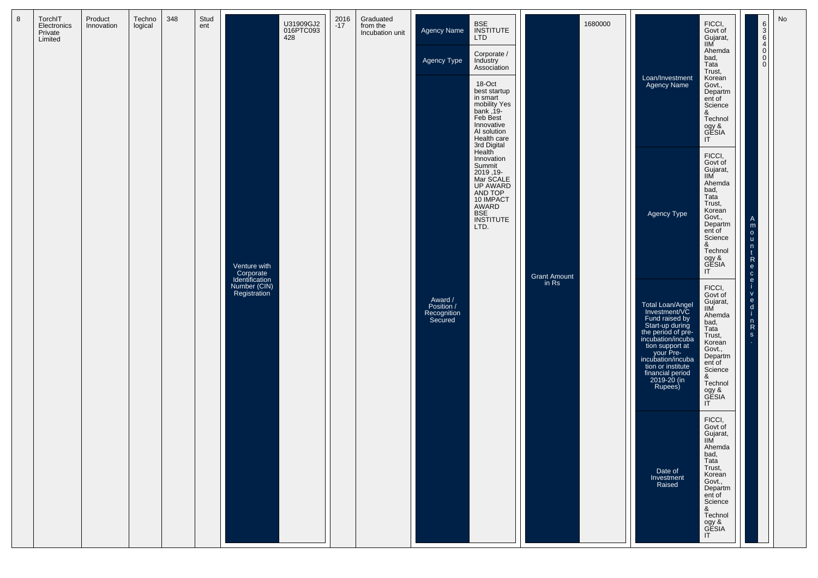| 8 | TorchIT<br>Electronics<br>Private<br>Limited | Product<br>Innovation | Techno<br>logical | 348 | Stud<br>ent |                                             | U31909GJ2<br>016PTC093<br>428 | 2016<br>$-17$ | Graduated<br>from the<br>Incubation unit | Agency Name                                     | <b>BSE</b><br>INSTITUTE<br>LTD                                                                                                                  |                     | 1680000 |                                                                                                                                                                                                                                           | FICCI,<br>Govt of<br>Gujarat,<br>IIM                                                                                                                                                     |                                                                                        | No |
|---|----------------------------------------------|-----------------------|-------------------|-----|-------------|---------------------------------------------|-------------------------------|---------------|------------------------------------------|-------------------------------------------------|-------------------------------------------------------------------------------------------------------------------------------------------------|---------------------|---------|-------------------------------------------------------------------------------------------------------------------------------------------------------------------------------------------------------------------------------------------|------------------------------------------------------------------------------------------------------------------------------------------------------------------------------------------|----------------------------------------------------------------------------------------|----|
|   |                                              |                       |                   |     |             |                                             |                               |               |                                          | Agency Type                                     | Corporate /<br>Industry<br>Association                                                                                                          |                     |         |                                                                                                                                                                                                                                           | Ahemda<br>bad,<br>Tata<br>Trust,                                                                                                                                                         | 0004000                                                                                |    |
|   |                                              |                       |                   |     |             |                                             |                               |               |                                          |                                                 | 18-Oct<br>best startup<br>in smart<br>mobility Yes<br>$bank, 19-$<br>Feb Best<br>Innovative<br>AI solution<br>Health care<br>3rd Digital        |                     |         | Loan/Investment<br><b>Agency Name</b>                                                                                                                                                                                                     | Korean<br>Govt.,<br>Departm<br>ent of<br>Science<br>&<br>Technol<br>ogy &<br>GESIA<br>IT                                                                                                 |                                                                                        |    |
|   |                                              |                       |                   |     |             | Venture with<br>Corporate<br>Identification |                               |               |                                          |                                                 | Health<br>Innovation<br>Summit<br>-19, 2019<br>Mar SCALE<br>UP AWARD<br>AND TOP<br>10 IMPACT<br>AWARD<br><b>BSE</b><br><b>INSTITUTE</b><br>LTD. | <b>Grant Amount</b> |         | <b>Agency Type</b>                                                                                                                                                                                                                        | FICCI,<br>Govt of<br>Gujarat,<br>$\overline{\text{IIM}}$<br>Ahemda<br>bad,<br>Tata<br>Trust,<br>Korean<br>Govt.,<br>Departm<br>ent of<br>Science<br>&<br>Technol<br>ogy &<br>GESIA<br>IT | A<br>m<br>$\circ$<br><b>u</b><br>n<br>$\mathsf R$<br>e<br>$\mathbf{C}$<br>$\mathbf{e}$ |    |
|   |                                              |                       |                   |     |             | Number (CIN)<br>Registration                |                               |               |                                          | Award /<br>Position /<br>Recognition<br>Secured |                                                                                                                                                 | in Rs               |         | Total Loan/Angel<br>Investment/VC<br>Fund raised by<br>Start-up during<br>the period of pre-<br>incubation/incuba<br>tion support at<br>your Pre-<br>incubation/incuba<br>tion or institute<br>financial period<br>2019-20 (in<br>Rupees) | FICCI,<br>Govt of<br>Gujarat,<br>IIM<br>Ahemda<br>bad,<br>Tata<br>Trust,<br>Korean<br>Govt.,<br>Departm<br>ent of<br>Science<br>&<br>Technol<br>ogy &<br>GESIA<br>$\mathsf{I}\mathsf{T}$ | $\mathsf{V}$<br>$\mathbf{e}$<br>d<br>n<br>${\sf R}$<br>S                               |    |
|   |                                              |                       |                   |     |             |                                             |                               |               |                                          |                                                 |                                                                                                                                                 |                     |         | Date of<br>Investment<br>Raised                                                                                                                                                                                                           | FICCI,<br>Govt of<br>Gujarat,<br><b>IIM</b><br>Ahemda<br>bad,<br>Tata<br>Trust,<br>Korean<br>Govt.,<br>Departm<br>ent of<br>Science<br>&<br>Technol<br>ogy &<br>GESIA<br>IT              |                                                                                        |    |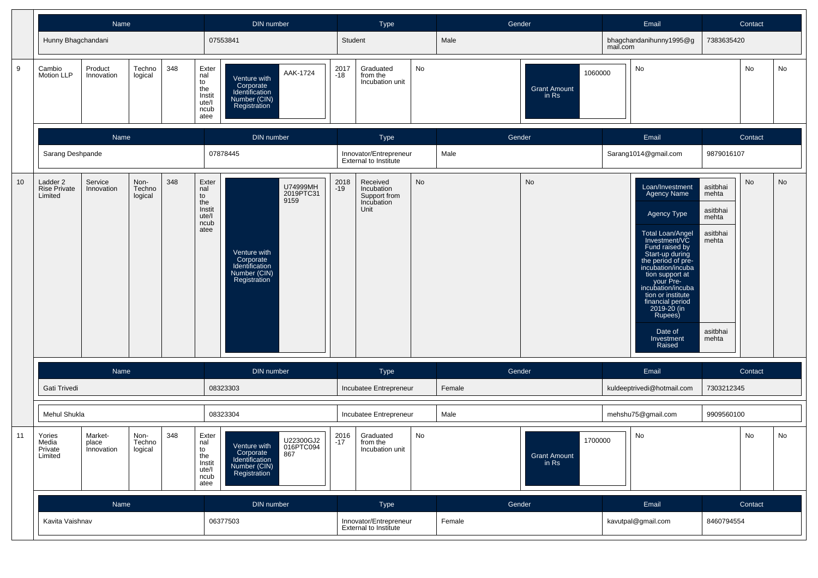|                 |                                                                                                                 | Name                  |                   |     |                                                              | DIN number                                                                                                   |               | <b>Type</b>                                                  |    | Gender |                                         |          | Email                                                                                                                                                                                                                                                                                                                                |                                                                                  | Contact |    |
|-----------------|-----------------------------------------------------------------------------------------------------------------|-----------------------|-------------------|-----|--------------------------------------------------------------|--------------------------------------------------------------------------------------------------------------|---------------|--------------------------------------------------------------|----|--------|-----------------------------------------|----------|--------------------------------------------------------------------------------------------------------------------------------------------------------------------------------------------------------------------------------------------------------------------------------------------------------------------------------------|----------------------------------------------------------------------------------|---------|----|
|                 | Hunny Bhagchandani                                                                                              |                       |                   |     |                                                              | 07553841                                                                                                     | Student       |                                                              |    | Male   |                                         | mail.com | bhagchandanihunny1995@g                                                                                                                                                                                                                                                                                                              | 7383635420                                                                       |         |    |
| 9               | Cambio<br>Motion LLP                                                                                            | Product<br>Innovation | Techno<br>logical | 348 | Exter<br>nal<br>to<br>the<br>Instit<br>ute/l<br>ncub<br>atee | AAK-1724<br>Venture with<br>Corporate<br>Identification<br>Number (CIN)<br>Registration                      | 2017<br>$-18$ | Graduated<br>from the<br>Incubation unit                     | No |        | 1060000<br><b>Grant Amount</b><br>in Rs |          | No                                                                                                                                                                                                                                                                                                                                   |                                                                                  | No      | No |
|                 |                                                                                                                 | Name                  |                   |     |                                                              | DIN number                                                                                                   |               | Type                                                         |    | Gender |                                         |          | Email                                                                                                                                                                                                                                                                                                                                |                                                                                  | Contact |    |
|                 | Sarang Deshpande                                                                                                |                       |                   |     |                                                              | 07878445                                                                                                     |               | Innovator/Entrepreneur<br><b>External to Institute</b>       |    | Male   |                                         |          | Sarang1014@gmail.com                                                                                                                                                                                                                                                                                                                 | 9879016107                                                                       |         |    |
| 10 <sup>°</sup> | 348<br>Ladder 2<br>Non-<br>Service<br><b>Rise Private</b><br>Techno<br>Innovation<br>Limited<br>logical<br>Name |                       |                   |     | Exter<br>nal<br>to<br>the<br>Instit<br>ute/l<br>ncub<br>atee | U74999MH<br>2019PTC31<br>9159<br>Venture with<br>Corporate<br>Identification<br>Number (CIN)<br>Registration | 2018<br>$-19$ | Received<br>Incubation<br>Support from<br>Incubation<br>Unit | No |        | No                                      |          | Loan/Investment<br><b>Agency Name</b><br>Agency Type<br>Total Loan/Angel<br>Investment/VC<br>Fund raised by<br>Start-up during<br>the period of pre-<br>incubation/incuba<br>tion support at<br>your Pre-<br>incubation/incuba<br>tion or institute<br>financial period<br>2019-20 (in<br>Rupees)<br>Date of<br>Investment<br>Raised | asitbhai<br>mehta<br>asitbhai<br>mehta<br>asitbhai<br>mehta<br>asitbhai<br>mehta | No      | No |
|                 |                                                                                                                 |                       |                   |     |                                                              | DIN number                                                                                                   |               | <b>Type</b>                                                  |    | Gender |                                         |          | Email                                                                                                                                                                                                                                                                                                                                |                                                                                  | Contact |    |
|                 | Gati Trivedi                                                                                                    |                       |                   |     |                                                              | 08323303                                                                                                     |               | Incubatee Entrepreneur                                       |    | Female |                                         |          | kuldeeptrivedi@hotmail.com                                                                                                                                                                                                                                                                                                           | 7303212345                                                                       |         |    |
|                 | Mehul Shukla                                                                                                    |                       |                   |     |                                                              | 08323304                                                                                                     |               | Incubatee Entrepreneur                                       |    | Male   |                                         |          | mehshu75@gmail.com                                                                                                                                                                                                                                                                                                                   | 9909560100                                                                       |         |    |
| 11              | 348<br>Non-<br>Yories<br>Market-<br>Media<br>Techno<br>place<br>Private<br>Innovation<br>logical<br>Limited     |                       |                   |     | Exter<br>nal<br>to<br>the<br>Instit<br>ute/l<br>ncub<br>atee | U22300GJ2<br>Venture with<br>016PTC094<br>Corporate<br>Identification<br>Number (CIN)<br>867<br>Registration | 2016<br>$-17$ | Graduated<br>from the<br>Incubation unit                     | No |        | 1700000<br><b>Grant Amount</b><br>in Rs |          | No                                                                                                                                                                                                                                                                                                                                   |                                                                                  | No      | No |
|                 |                                                                                                                 | Name                  |                   |     |                                                              | DIN number                                                                                                   |               | Type                                                         |    | Gender |                                         |          | Email                                                                                                                                                                                                                                                                                                                                |                                                                                  | Contact |    |
|                 | Kavita Vaishnav                                                                                                 |                       |                   |     |                                                              | 06377503                                                                                                     |               | Innovator/Entrepreneur<br>External to Institute              |    | Female |                                         |          | kavutpal@gmail.com                                                                                                                                                                                                                                                                                                                   | 8460794554                                                                       |         |    |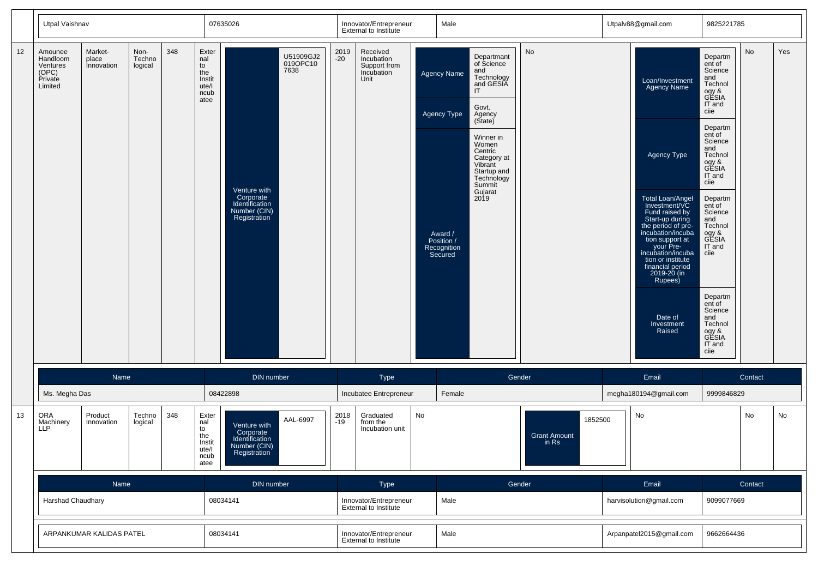|    | Utpal Vaishnav                                                 |                                |                           |     |                                                              | 07635026                                                                    |                               |                                                        | Innovator/Entrepreneur<br><b>External to Institute</b>       |      | Male                                                                                 |                                                                                                                                                                                                                      |                                         | Utpalv88@gmail.com                                                                                                                                                                                                                                                                                                                          | 9825221785                                                                                                                                                                                                                                                                                                                                           |         |     |
|----|----------------------------------------------------------------|--------------------------------|---------------------------|-----|--------------------------------------------------------------|-----------------------------------------------------------------------------|-------------------------------|--------------------------------------------------------|--------------------------------------------------------------|------|--------------------------------------------------------------------------------------|----------------------------------------------------------------------------------------------------------------------------------------------------------------------------------------------------------------------|-----------------------------------------|---------------------------------------------------------------------------------------------------------------------------------------------------------------------------------------------------------------------------------------------------------------------------------------------------------------------------------------------|------------------------------------------------------------------------------------------------------------------------------------------------------------------------------------------------------------------------------------------------------------------------------------------------------------------------------------------------------|---------|-----|
| 12 | Amounee<br>Handloom<br>Ventures<br>(OPC)<br>Private<br>Limited | Market-<br>place<br>Innovation | Non-<br>Techno<br>logical | 348 | Exter<br>nal<br>to<br>the<br>Instit<br>ute/l<br>ncub<br>atee | Venture with<br>Corporate<br>Identification<br>Number (CIN)<br>Registration | U51909GJ2<br>019OPC10<br>7638 | 2019<br>-20                                            | Received<br>Incubation<br>Support from<br>Incubation<br>Unit |      | <b>Agency Name</b><br>Agency Type<br>Award /<br>Position /<br>Recognition<br>Secured | Departmant<br>of Science<br>and<br>Technology<br>and GESIA<br>IT<br>Govt.<br>Agency<br>(Sitate)<br>Winner in<br>Women<br>Centric<br>Category at<br>Vibrant<br>Startup and<br>Technology<br>Summit<br>Gujarat<br>2019 | No                                      | Loan/Investment<br><b>Agency Name</b><br>Agency Type<br><b>Total Loan/Angel</b><br>Investment/VC<br>Fund raised by<br>Start-up during<br>the period of pre-<br>incubation/incuba<br>tion support at<br>your Pre-<br>incubation/incuba<br>tion or institute<br>financial period<br>2019-20 (in<br>Rupees)<br>Date of<br>Investment<br>Raised | Departm<br>ent of<br>Science<br>and<br>Technol<br>ogy &<br>GESIA<br>IT and<br>ciie<br>Departm<br>ent of<br>Science<br>and<br>Technol<br>ogy &<br>GESIA<br>IT and<br>ciie<br>Departm<br>ent of<br>Science<br>and<br>Technol<br>ogy &<br>GESIA<br>IT and<br>ciie<br>Departm<br>ent of<br>Science<br>and<br>Technol<br>ogy &<br>GESIA<br>IT and<br>ciie | No      | Yes |
|    |                                                                | Name                           |                           |     |                                                              | DIN number                                                                  |                               |                                                        | Type                                                         |      |                                                                                      |                                                                                                                                                                                                                      | Gender                                  | Email                                                                                                                                                                                                                                                                                                                                       |                                                                                                                                                                                                                                                                                                                                                      | Contact |     |
|    | Ms. Megha Das                                                  |                                |                           |     |                                                              | 08422898                                                                    |                               |                                                        | Incubatee Entrepreneur                                       |      | Female                                                                               |                                                                                                                                                                                                                      |                                         | megha180194@gmail.com                                                                                                                                                                                                                                                                                                                       | 9999846829                                                                                                                                                                                                                                                                                                                                           |         |     |
| 13 | ORA<br>Machinery<br>LLP                                        | Product<br>Innovation          | Techno<br>logical         | 348 | Exter<br>nal<br>to<br>the<br>Instit<br>ute/l<br>ncub<br>atee | Venture with<br>Corporate<br>Identification<br>Number (CIN)<br>Registration | AAL-6997                      | 2018<br>$-19$                                          | Graduated<br>from the<br>Incubation unit                     | No   |                                                                                      |                                                                                                                                                                                                                      | 1852500<br><b>Grant Amount</b><br>in Rs | No                                                                                                                                                                                                                                                                                                                                          |                                                                                                                                                                                                                                                                                                                                                      | No      | No  |
|    | Name                                                           |                                |                           |     | DIN number                                                   |                                                                             |                               | Type                                                   |                                                              |      |                                                                                      | Gender                                                                                                                                                                                                               | Email                                   |                                                                                                                                                                                                                                                                                                                                             | Contact                                                                                                                                                                                                                                                                                                                                              |         |     |
|    | Harshad Chaudhary                                              |                                |                           |     | 08034141                                                     |                                                                             |                               | Innovator/Entrepreneur<br>External to Institute        |                                                              | Male |                                                                                      |                                                                                                                                                                                                                      | harvisolution@gmail.com                 | 9099077669                                                                                                                                                                                                                                                                                                                                  |                                                                                                                                                                                                                                                                                                                                                      |         |     |
|    | ARPANKUMAR KALIDAS PATEL                                       |                                |                           |     | 08034141                                                     |                                                                             |                               | Innovator/Entrepreneur<br><b>External to Institute</b> |                                                              | Male |                                                                                      |                                                                                                                                                                                                                      | Arpanpatel2015@gmail.com                | 9662664436                                                                                                                                                                                                                                                                                                                                  |                                                                                                                                                                                                                                                                                                                                                      |         |     |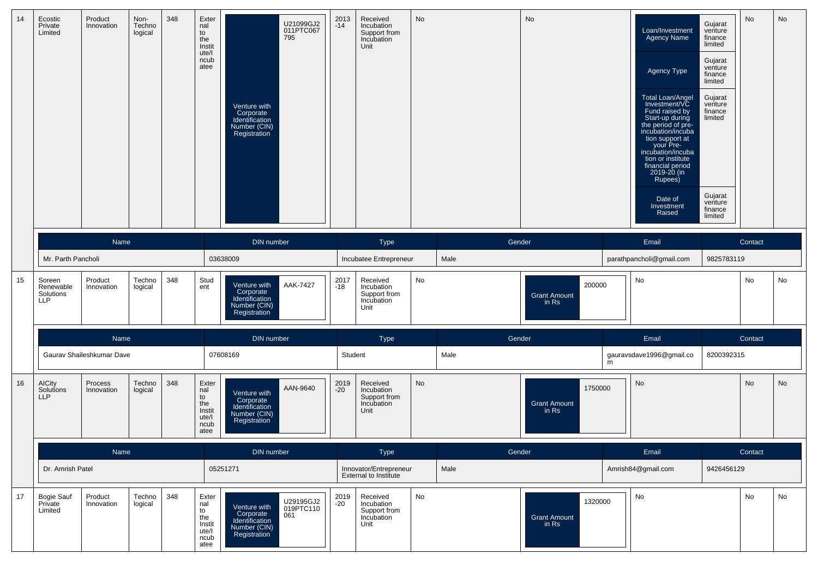| 14 | Ecostic<br>Private<br>Limited                  | Product<br>Innovation     | Non-<br>Techno<br>logical | 348 | Exter<br>nal<br>to<br>the<br>Instit<br>ute/l<br>ncub<br>atee | Venture with<br>Corporate<br>Identification<br>Number (CIN)<br>Registration | U21099GJ2<br>011PTC067<br>795 | 2013<br>-14   | Received<br>Incubation<br>Support from<br>Incubation<br>Unit | <b>No</b> |        | No                                      |   | Loan/Investment<br>Agency Name<br>Agency Type<br>Total Loan/Angel<br>Investment/VC<br>Fund raised by<br>Start-up during<br>the period of pre-<br>incubation/incuba<br>tion support at<br>your Pre-<br>incubation/incuba<br>tion or institute<br>financial period<br>2019-20 (in<br>Rupees)<br>Date of<br>Investment<br>Raised | Gujarat<br>venture<br>finance<br>limited<br>Gujarat<br>venture<br>finance<br>limited<br>Gujarat<br>venture<br>finance<br>limited<br>Gujarat<br>venture<br>finance<br>limited | No      | No |
|----|------------------------------------------------|---------------------------|---------------------------|-----|--------------------------------------------------------------|-----------------------------------------------------------------------------|-------------------------------|---------------|--------------------------------------------------------------|-----------|--------|-----------------------------------------|---|-------------------------------------------------------------------------------------------------------------------------------------------------------------------------------------------------------------------------------------------------------------------------------------------------------------------------------|------------------------------------------------------------------------------------------------------------------------------------------------------------------------------|---------|----|
|    |                                                | Name                      |                           |     |                                                              | DIN number                                                                  |                               |               | Type                                                         |           | Gender |                                         |   | Email                                                                                                                                                                                                                                                                                                                         |                                                                                                                                                                              | Contact |    |
|    | Mr. Parth Pancholi                             |                           |                           |     |                                                              | 03638009                                                                    |                               |               | Incubatee Entrepreneur                                       |           | Male   |                                         |   | parathpancholi@gmail.com                                                                                                                                                                                                                                                                                                      | 9825783119                                                                                                                                                                   |         |    |
| 15 | Soreen<br>Renewable<br>Solutions<br><b>LLP</b> | Product<br>Innovation     | Techno<br>logical         | 348 | Stud<br>ent                                                  | Venture with<br>Corporate<br>Identification<br>Number (CIN)<br>Registration | AAK-7427                      | 2017<br>$-18$ | Received<br>Incubation<br>Support from<br>Incubation<br>Unit | No        |        | 200000<br><b>Grant Amount</b><br>in Rs  |   | No                                                                                                                                                                                                                                                                                                                            |                                                                                                                                                                              | No      | No |
|    |                                                | <b>Name</b>               |                           |     |                                                              | DIN number                                                                  |                               |               | Type                                                         |           | Gender |                                         |   | Email                                                                                                                                                                                                                                                                                                                         |                                                                                                                                                                              | Contact |    |
|    |                                                | Gaurav Shaileshkumar Dave |                           |     |                                                              | 07608169                                                                    |                               | Student       |                                                              |           | Male   |                                         | m | gauravsdave1996@gmail.co                                                                                                                                                                                                                                                                                                      | 8200392315                                                                                                                                                                   |         |    |
| 16 | <b>AICity</b><br>Solutions<br>LLP              | Process<br>Innovation     | Techno<br>logical         | 348 | Exter<br>nal<br>to<br>the<br>Instit<br>ute/l<br>ncub<br>atee | Venture with<br>Corporate<br>Identification<br>Number (CIN)<br>Registration | AAN-9640                      | 2019<br>-20   | Received<br>Incubation<br>Support from<br>Incubation<br>Unit | <b>No</b> |        | 1750000<br><b>Grant Amount</b><br>in Rs |   | No                                                                                                                                                                                                                                                                                                                            |                                                                                                                                                                              | No      | No |
|    |                                                | Name                      |                           |     |                                                              | DIN number                                                                  |                               |               | <b>Type</b>                                                  |           | Gender |                                         |   | Email                                                                                                                                                                                                                                                                                                                         |                                                                                                                                                                              | Contact |    |
|    | Dr. Amrish Patel                               |                           |                           |     |                                                              | 05251271                                                                    |                               |               | Innovator/Entrepreneur<br><b>External to Institute</b>       |           | Male   |                                         |   | Amrish84@gmail.com                                                                                                                                                                                                                                                                                                            | 9426456129                                                                                                                                                                   |         |    |
| 17 | <b>Bogie Sauf</b><br>Private<br>Limited        | Product<br>Innovation     | Techno<br>logical         | 348 | Exter<br>nal<br>to<br>the<br>Instit<br>ute/l<br>ncub<br>atee | Venture with<br>Corporate<br>Identification<br>Number (CIN)<br>Registration | U29195GJ2<br>019PTC110<br>061 | 2019<br>-20   | Received<br>Incubation<br>Support from<br>Incubation<br>Unit | No        |        | 1320000<br>Grant Amount<br>in Rs        |   | No                                                                                                                                                                                                                                                                                                                            |                                                                                                                                                                              | No      | No |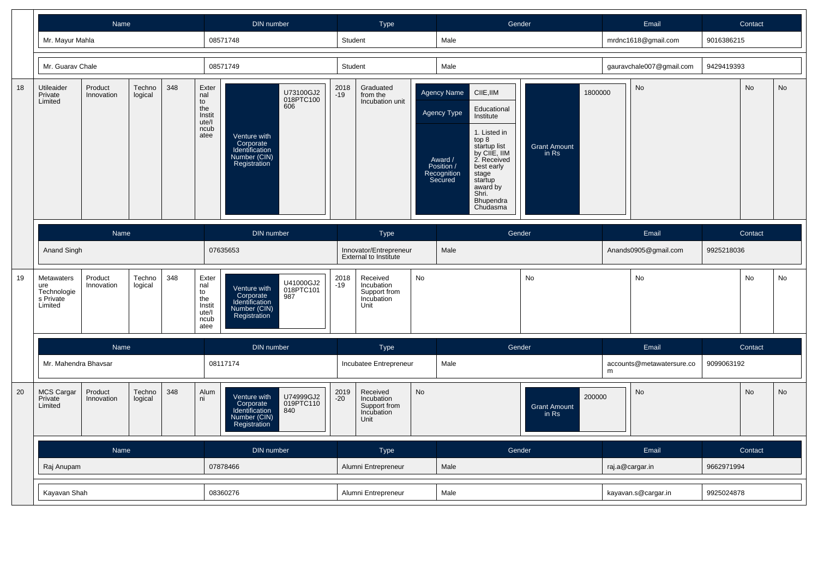|    |                                                                 | Name                                                      |                   |     |                                                              | <b>DIN</b> number                                                                                                   |               | <b>Type</b>                                                  |    |                                                                                      | Gender                                                                                                                                                                                        |                                         |   | Email                         |            | Contact |           |
|----|-----------------------------------------------------------------|-----------------------------------------------------------|-------------------|-----|--------------------------------------------------------------|---------------------------------------------------------------------------------------------------------------------|---------------|--------------------------------------------------------------|----|--------------------------------------------------------------------------------------|-----------------------------------------------------------------------------------------------------------------------------------------------------------------------------------------------|-----------------------------------------|---|-------------------------------|------------|---------|-----------|
|    | Mr. Mayur Mahla                                                 |                                                           |                   |     |                                                              | 08571748                                                                                                            |               | Student                                                      |    | Male                                                                                 |                                                                                                                                                                                               |                                         |   | mrdnc1618@gmail.com           | 9016386215 |         |           |
|    | Mr. Guarav Chale                                                |                                                           |                   |     |                                                              | 08571749                                                                                                            |               | Student                                                      |    | Male                                                                                 |                                                                                                                                                                                               |                                         |   | gauravchale007@gmail.com      | 9429419393 |         |           |
| 18 | Utileaider<br>Private<br>Limited                                | Product<br>Innovation                                     | Techno<br>logical | 348 | Exter<br>nal<br>to<br>the<br>Instit<br>ute/l<br>ncub<br>atee | U73100GJ2<br>018PTC100<br>606<br>Venture with<br>Corporate<br>Identification<br>Number (CIN)<br>Registration        | 2018<br>-19   | Graduated<br>from the<br>Incubation unit                     |    | Agency Name<br><b>Agency Type</b><br>Award /<br>Position /<br>Recognition<br>Secured | CIIE, IIM<br>Educational<br>Institute<br>1. Listed in<br>top 8<br>startup list<br>by CIIE, IIM<br>2. Received<br>best early<br>stage<br>startup<br>award by<br>Shri.<br>Bhupendra<br>Chudasma | 1800000<br><b>Grant Amount</b><br>in Rs |   | No                            |            | No      | <b>No</b> |
|    | Anand Singh                                                     | Name<br>348<br>Product<br>Techno<br>Innovation<br>logical |                   |     |                                                              | DIN number<br>07635653                                                                                              |               | Type<br>Innovator/Entrepreneur<br>External to Institute      |    | Male                                                                                 | Gender                                                                                                                                                                                        |                                         |   | Email<br>Anands0905@gmail.com | 9925218036 | Contact |           |
| 19 | <b>Metawaters</b><br>ure<br>Technologie<br>s Private<br>Limited |                                                           |                   |     | Exter<br>nal<br>to<br>the<br>Instit<br>ute/l<br>ncub<br>atee | U41000GJ2<br>018PTC101<br>987<br>Venture with<br>Corporate<br>Identification<br>Number (CIN)<br>Registration        | 2018<br>-19   | Received<br>Incubation<br>Support from<br>Incubation<br>Unit | No |                                                                                      |                                                                                                                                                                                               | No                                      |   | <b>No</b>                     |            | No      | No        |
|    |                                                                 | Name                                                      |                   |     |                                                              | <b>DIN</b> number                                                                                                   |               | Type                                                         |    |                                                                                      | Gender                                                                                                                                                                                        |                                         |   | Email                         |            | Contact |           |
|    | Mr. Mahendra Bhavsar                                            |                                                           |                   |     |                                                              | 08117174                                                                                                            |               | Incubatee Entrepreneur                                       |    | Male                                                                                 |                                                                                                                                                                                               |                                         | m | accounts@metawatersure.co     | 9099063192 |         |           |
| 20 | <b>MCS Cargar</b><br>Private<br>Limited                         | Product<br>Innovation                                     | Techno<br>logical | 348 | Alum<br>ni                                                   | U74999GJ2<br>Venture with<br>019PTC110<br>Corporate<br>Identification<br>840<br><b>Number (CIN)</b><br>Registration | 2019<br>$-20$ | Received<br>Incubation<br>Support from<br>Incubation<br>Unit | No |                                                                                      |                                                                                                                                                                                               | 200000<br><b>Grant Amount</b><br>in Rs  |   | <b>No</b>                     |            | No      | No        |
|    | Name                                                            |                                                           |                   |     |                                                              | <b>DIN</b> number                                                                                                   |               | Type                                                         |    |                                                                                      | Gender                                                                                                                                                                                        |                                         |   | Email                         |            | Contact |           |
|    | Raj Anupam                                                      |                                                           |                   |     |                                                              | 07878466                                                                                                            |               | Alumni Entrepreneur                                          |    | Male                                                                                 |                                                                                                                                                                                               |                                         |   | raj.a@cargar.in               | 9662971994 |         |           |
|    |                                                                 | Kayavan Shah                                              |                   |     |                                                              | 08360276                                                                                                            |               | Alumni Entrepreneur                                          |    | Male                                                                                 |                                                                                                                                                                                               |                                         |   | kayavan.s@cargar.in           | 9925024878 |         |           |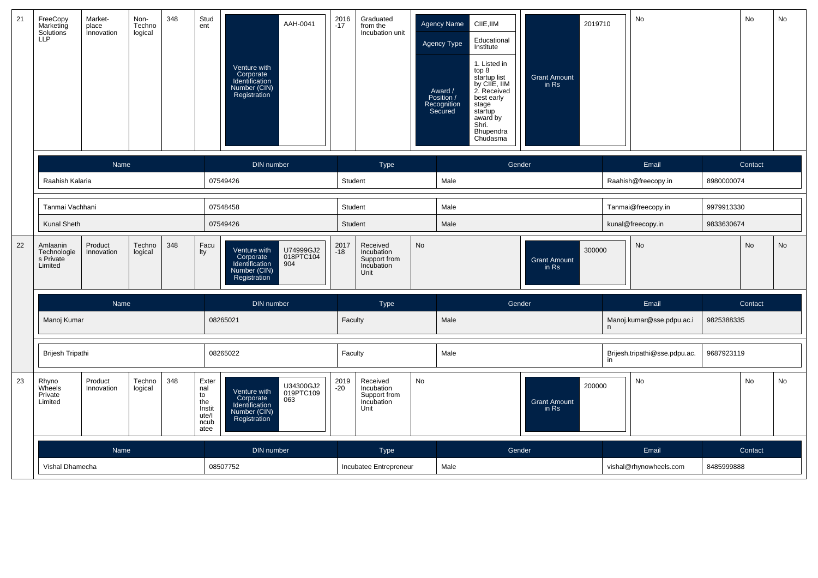| 21 | FreeCopy<br>Marketing<br>Solutions<br>LLP                                                  | Market-<br>place<br>Innovation                             | Non-<br>Techno<br>logical | 348                                                          | Stud<br>ent                                                                 | Venture with<br>Corporate<br>Identification<br>Number (CIN)<br>Registration | AAH-0041                      | 2016<br>$-17$                                                | Graduated<br>from the<br>Incubation unit                     |           | Agency Name<br>Agency Type<br>Award /<br>Position /<br>Recognition<br>Secured | CIIE, IIM<br>Educational<br>Institute<br>1. Listed in<br>top 8<br>startup list<br>by CIIE, IIM<br>2. Received<br>best early<br>stage<br>startup<br>award by<br>Shri.<br>Bhupendra<br>Chudasma | 2019710<br><b>Grant Amount</b><br>in Rs |       | No                            |            | No      | No        |
|----|--------------------------------------------------------------------------------------------|------------------------------------------------------------|---------------------------|--------------------------------------------------------------|-----------------------------------------------------------------------------|-----------------------------------------------------------------------------|-------------------------------|--------------------------------------------------------------|--------------------------------------------------------------|-----------|-------------------------------------------------------------------------------|-----------------------------------------------------------------------------------------------------------------------------------------------------------------------------------------------|-----------------------------------------|-------|-------------------------------|------------|---------|-----------|
|    |                                                                                            | Name                                                       |                           |                                                              |                                                                             | <b>DIN</b> number                                                           |                               |                                                              | Type                                                         |           |                                                                               | Gender                                                                                                                                                                                        |                                         |       | Email                         |            | Contact |           |
|    | Raahish Kalaria                                                                            |                                                            |                           |                                                              |                                                                             | 07549426                                                                    |                               | Student                                                      |                                                              |           | Male                                                                          |                                                                                                                                                                                               |                                         |       | Raahish@freecopy.in           | 8980000074 |         |           |
|    |                                                                                            | Tanmai Vachhani<br>Kunal Sheth<br>Product<br>Techno<br>348 |                           |                                                              |                                                                             | 07548458                                                                    |                               | Student                                                      |                                                              |           | Male                                                                          |                                                                                                                                                                                               |                                         |       | Tanmai@freecopy.in            | 9979913330 |         |           |
|    |                                                                                            |                                                            |                           |                                                              |                                                                             | 07549426                                                                    |                               | Student                                                      |                                                              |           | Male                                                                          |                                                                                                                                                                                               |                                         |       | kunal@freecopy.in             | 9833630674 |         |           |
| 22 | Amlaanin<br>Technologie<br>Innovation<br>logical<br>s Private<br>Limited<br>Name           |                                                            |                           |                                                              | Facu<br>Ity                                                                 | Venture with<br>Corporate<br>Identification<br>Number (CIN)<br>Registration | U74999GJ2<br>018PTC104<br>904 | 2017<br>$-18$                                                | Received<br>Incubation<br>Support from<br>Incubation<br>Unit | <b>No</b> |                                                                               |                                                                                                                                                                                               | 300000<br><b>Grant Amount</b><br>in Rs  |       | <b>No</b>                     |            | No      | <b>No</b> |
|    |                                                                                            |                                                            |                           |                                                              |                                                                             | <b>DIN</b> number                                                           |                               |                                                              | Type                                                         |           |                                                                               | Gender                                                                                                                                                                                        |                                         |       | Email                         |            | Contact |           |
|    | Manoj Kumar                                                                                |                                                            |                           |                                                              |                                                                             | 08265021                                                                    |                               | Faculty                                                      |                                                              |           | Male                                                                          |                                                                                                                                                                                               |                                         |       | Manoj.kumar@sse.pdpu.ac.i     | 9825388335 |         |           |
|    | <b>Brijesh Tripathi</b>                                                                    |                                                            |                           |                                                              |                                                                             | 08265022                                                                    |                               | Faculty                                                      |                                                              |           | Male                                                                          |                                                                                                                                                                                               |                                         | in    | Brijesh.tripathi@sse.pdpu.ac. | 9687923119 |         |           |
| 23 | 348<br>Rhyno<br>Product<br>Techno<br>Wheels<br>Innovation<br>logical<br>Private<br>Limited |                                                            |                           | Exter<br>nal<br>to<br>the<br>Instit<br>ute/l<br>ncub<br>atee | Venture with<br>Corporate<br>Identification<br>Number (CIN)<br>Registration | U34300GJ2<br>019PTC109<br>063                                               | 2019<br>$-20$                 | Received<br>Incubation<br>Support from<br>Incubation<br>Unit | <b>No</b>                                                    |           |                                                                               | 200000<br><b>Grant Amount</b><br>in Rs                                                                                                                                                        |                                         | No    |                               | <b>No</b>  | No      |           |
|    | Name                                                                                       |                                                            |                           |                                                              | <b>DIN</b> number                                                           |                                                                             |                               | Type                                                         |                                                              |           | Gender                                                                        |                                                                                                                                                                                               |                                         | Email |                               | Contact    |         |           |
|    | Vishal Dhamecha                                                                            |                                                            |                           |                                                              |                                                                             | 08507752                                                                    |                               |                                                              | Incubatee Entrepreneur                                       |           | Male                                                                          |                                                                                                                                                                                               |                                         |       | vishal@rhynowheels.com        | 8485999888 |         |           |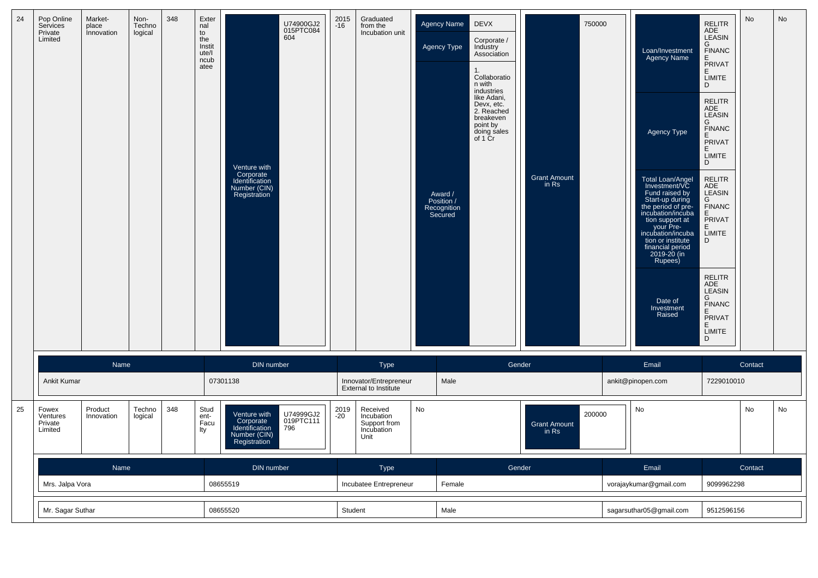| 24<br>Pop Online<br>Services<br>Private<br>Limited | Market-<br>place<br><i>innovation</i><br><b>Name</b> | Non-<br>Techno<br>logical | 348 | Exter<br>nal<br>to<br>the<br>Instit<br>ute/l<br>ncub<br>atee | Venture with<br>Corporate<br>Identification<br>Number (CIN)<br>Registration<br>DIN number | U74900GJ2<br>015PTC084<br>604 | 2015<br>$-16$ | Graduated<br>from the<br>Incubation unit<br>Tyne | <b>Agency Name</b><br>Agency Type<br>Award /<br>Position /<br>Recognition<br>Secured | <b>DEVX</b><br>Corporate /<br>Industry<br>Association<br>1.<br>Collaboratio<br>n with<br>industries<br>like Adani,<br>Devx, etc.<br>2. Reached<br>breakeven<br>point by<br>doing sales<br>of 1 Cr<br>Gender | <b>Grant Amount</b><br>in Rs | 750000 | Loan/Investment<br><b>Agency Name</b><br>Agency Type<br><b>Total Loan/Angel</b><br>Investment/VC<br>Fund raised by<br>Start-up during<br>the period of pre-<br>incubation/incuba<br>tion support at<br>your Pre-<br>incubation/incuba<br>tion or institute<br>financial period<br>2019-20 (in<br>Rupees)<br>Date of<br>Investment<br>Raised<br>Email | <b>RELITR</b><br>ADE<br>ADE<br>LEASIN<br>G<br>FINANC<br>E<br>PRIVAT<br>E<br><b>LIMITE</b><br>D<br><b>RELITR</b><br>ADE<br>LEASIN<br>G<br>FINANC<br>E<br>PRIVAT<br>E<br><b>LIMITE</b><br>D<br>RELITR<br>ADE<br>LEASIN<br>G<br><b>FINANC</b><br>E<br>PRIVAT<br>E.<br>LIMITE<br>D<br><b>RELITR</b><br>ADE<br>LEASIN<br>G<br>FINANC<br>E<br>PRIVAT<br>E<br>LIMITE<br>D | <b>No</b><br>Contact | No |
|----------------------------------------------------|------------------------------------------------------|---------------------------|-----|--------------------------------------------------------------|-------------------------------------------------------------------------------------------|-------------------------------|---------------|--------------------------------------------------|--------------------------------------------------------------------------------------|-------------------------------------------------------------------------------------------------------------------------------------------------------------------------------------------------------------|------------------------------|--------|------------------------------------------------------------------------------------------------------------------------------------------------------------------------------------------------------------------------------------------------------------------------------------------------------------------------------------------------------|--------------------------------------------------------------------------------------------------------------------------------------------------------------------------------------------------------------------------------------------------------------------------------------------------------------------------------------------------------------------|----------------------|----|
|----------------------------------------------------|------------------------------------------------------|---------------------------|-----|--------------------------------------------------------------|-------------------------------------------------------------------------------------------|-------------------------------|---------------|--------------------------------------------------|--------------------------------------------------------------------------------------|-------------------------------------------------------------------------------------------------------------------------------------------------------------------------------------------------------------|------------------------------|--------|------------------------------------------------------------------------------------------------------------------------------------------------------------------------------------------------------------------------------------------------------------------------------------------------------------------------------------------------------|--------------------------------------------------------------------------------------------------------------------------------------------------------------------------------------------------------------------------------------------------------------------------------------------------------------------------------------------------------------------|----------------------|----|

|    |                                         | Name                                                                                                                                                                                             |  |  |          | DIN number |         |             | Type                                                         |      | Gender |                                        | Email                  |            | Contact |    |
|----|-----------------------------------------|--------------------------------------------------------------------------------------------------------------------------------------------------------------------------------------------------|--|--|----------|------------|---------|-------------|--------------------------------------------------------------|------|--------|----------------------------------------|------------------------|------------|---------|----|
|    | <b>Ankit Kumar</b>                      |                                                                                                                                                                                                  |  |  |          | 07301138   |         |             | Innovator/Entrepreneur<br><b>External to Institute</b>       |      | Male   |                                        | ankit@pinopen.com      | 7229010010 |         |    |
| 25 | Fowex<br>Ventures<br>Private<br>Limited | 348<br>Techno<br>Stud<br>Product<br>U74999GJ2<br>Venture with<br>logical<br>Innovation<br>ent-<br>019PTC111<br>Corporate<br>Facu<br>796<br>Identification<br>lty<br>Number (CIN)<br>Registration |  |  |          |            |         | 2019<br>-20 | Received<br>Incubation<br>Support from<br>Incubation<br>Unit | No   |        | 200000<br><b>Grant Amount</b><br>in Rs | No                     |            | No      | No |
|    | Name                                    |                                                                                                                                                                                                  |  |  |          | DIN number |         |             | Type                                                         |      | Gender |                                        | Email                  |            | Contact |    |
|    |                                         | 08655519<br>Mrs. Jalpa Vora                                                                                                                                                                      |  |  |          |            |         |             | Incubatee Entrepreneur                                       |      | Female |                                        | vorajaykumar@gmail.com | 9099962298 |         |    |
|    | Mr. Sagar Suthar                        |                                                                                                                                                                                                  |  |  | 08655520 |            | Student |             |                                                              | Male |        | sagarsuthar05@gmail.com                | 9512596156             |            |         |    |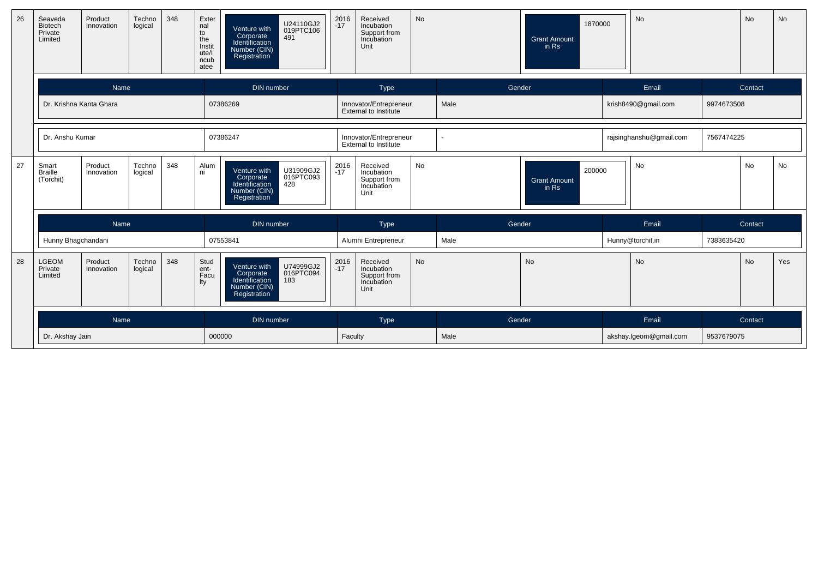| 26 | Seaveda<br><b>Biotech</b><br>Private<br>Limited | Product<br>Innovation | Techno<br>logical | 348 | Exter<br>nal<br>to<br>the<br>Instit<br>ute/l<br>ncub<br>atee | U24110GJ2<br>Venture with<br>019PTC106<br>Corporate<br>Identification<br>491<br>Number (CIN)<br>Registration | 2016<br>-17   | Received<br>Incubation<br>Support from<br>Incubation<br>Unit | No        |        | 1870000<br><b>Grant Amount</b><br>in Rs | No                      |            | No      | No  |
|----|-------------------------------------------------|-----------------------|-------------------|-----|--------------------------------------------------------------|--------------------------------------------------------------------------------------------------------------|---------------|--------------------------------------------------------------|-----------|--------|-----------------------------------------|-------------------------|------------|---------|-----|
|    |                                                 | Name                  |                   |     |                                                              | DIN number                                                                                                   |               | Type                                                         |           | Gender |                                         | Email                   |            | Contact |     |
|    | Dr. Krishna Kanta Ghara                         |                       |                   |     |                                                              | 07386269                                                                                                     |               | Innovator/Entrepreneur<br>External to Institute              |           | Male   |                                         | krish8490@gmail.com     | 9974673508 |         |     |
|    | Dr. Anshu Kumar                                 |                       |                   |     |                                                              | 07386247                                                                                                     |               | Innovator/Entrepreneur<br>External to Institute              |           |        |                                         | rajsinghanshu@gmail.com | 7567474225 |         |     |
| 27 | Smart<br><b>Braille</b><br>(Torchit)            | Product<br>Innovation | Techno<br>logical | 348 | Alum<br>ni                                                   | U31909GJ2<br>Venture with<br>016PTC093<br>Corporate<br>Identification<br>428<br>Number (CIN)<br>Registration | 2016<br>$-17$ | Received<br>Incubation<br>Support from<br>Incubation<br>Unit | <b>No</b> |        | 200000<br><b>Grant Amount</b><br>in Rs  | <b>No</b>               |            | No      | No  |
|    |                                                 | Name                  |                   |     |                                                              | DIN number                                                                                                   |               | Type                                                         |           | Gender |                                         | Email                   |            | Contact |     |
|    | Hunny Bhagchandani                              |                       |                   |     |                                                              | 07553841                                                                                                     |               | Alumni Entrepreneur                                          |           | Male   |                                         | Hunny@torchit.in        | 7383635420 |         |     |
| 28 | <b>LGEOM</b><br>Private<br>Limited              | Product<br>Innovation | Techno<br>logical | 348 | Stud<br>ent-<br>Facu<br>lty                                  | U74999GJ2<br>016PTC094<br>Venture with<br>Corporate<br>Identification<br>183<br>Number (CIN)<br>Registration | 2016<br>$-17$ | Received<br>Incubation<br>Support from<br>Incubation<br>Unit | No        |        | <b>No</b>                               | No                      |            | No      | Yes |
|    |                                                 | Name                  |                   |     |                                                              | DIN number                                                                                                   |               | Type                                                         |           | Gender |                                         | Email                   |            | Contact |     |
|    | Dr. Akshay Jain                                 |                       |                   |     |                                                              | 000000                                                                                                       | Faculty       |                                                              |           | Male   |                                         | akshay.lgeom@gmail.com  | 9537679075 |         |     |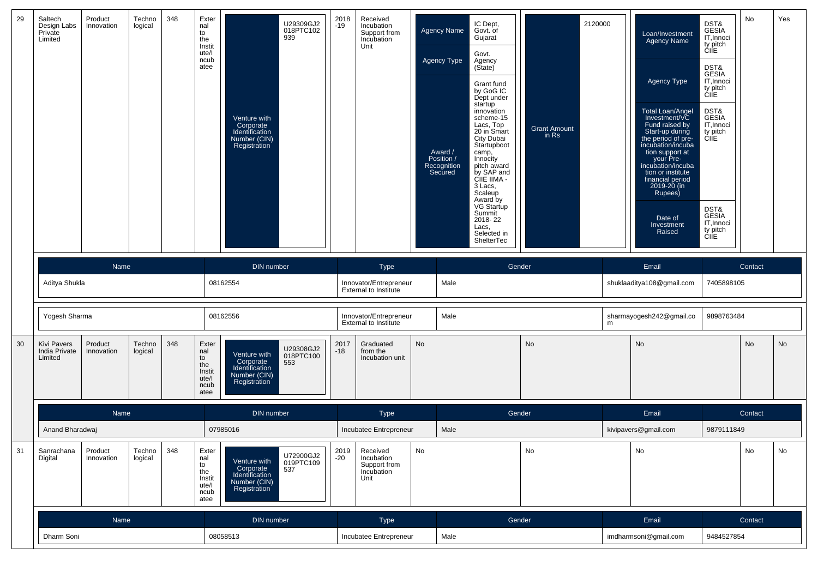| 29 | Saltech<br>Design Labs<br>Private<br>Limited   | Product<br>Innovation | Techno<br>logical | 348 | Exter<br>nal<br>to<br>the<br>Instit<br>ute/l<br>ncub<br>atee | Venture with<br>Corporate<br>Identification<br>Number (CIN)<br>Registration | U29309GJ2<br>018PTC102<br>939 | 2018<br>$-19$ | Received<br>Incubation<br>Support from<br>Incubation<br>Unit |           | <b>Agency Name</b><br>Agency Type<br>Award /<br>Position /<br>Recognition<br>Secured | IC Dept,<br>Govt. of<br>Gujarat<br>Govt.<br>Agency<br>(Sitate)<br>Grant fund<br>by GoG IC<br>Dept under<br>startup<br>innovation<br>scheme-15<br>Lacs, Top<br>20 in Smart<br>City Dubai<br>Startupboot<br>camp,<br>Innocity<br>pitch award<br>by SAP and<br>CIIE IIMA -<br>3 Lacs,<br>Scaleup<br>Award by<br>VG Startup<br>Summit<br>2018-22<br>Lacs,<br>Selected in<br>ShelterTec | <b>Grant Amount</b><br>in Rs | 2120000 | Loan/Investment<br><b>Agency Name</b><br>Agency Type<br><b>Total Loan/Angel</b><br>Investment/VC<br>Fund raised by<br>Start-up during<br>the period of pre-<br>incubation/incuba<br>tion support at<br>your Pre-<br>incubation/incuba<br>tion or institute<br>financial period<br>2019-20 (in<br>Rupees)<br>Date of<br>Investment<br>Raised | DST&<br>GESIA<br>IT, Innoci<br>ty pitch<br>CIIE<br>DST&<br>GESIA<br>IT, Innoci<br>ty pitch<br>CIIE<br>DST&<br>GESIA<br>IT, Innoci<br>ty pitch<br>ĆIİE<br>DST&<br>GESIA<br>IT, Innoci<br>ty pitch<br>CIIE | No        | Yes |
|----|------------------------------------------------|-----------------------|-------------------|-----|--------------------------------------------------------------|-----------------------------------------------------------------------------|-------------------------------|---------------|--------------------------------------------------------------|-----------|--------------------------------------------------------------------------------------|------------------------------------------------------------------------------------------------------------------------------------------------------------------------------------------------------------------------------------------------------------------------------------------------------------------------------------------------------------------------------------|------------------------------|---------|---------------------------------------------------------------------------------------------------------------------------------------------------------------------------------------------------------------------------------------------------------------------------------------------------------------------------------------------|----------------------------------------------------------------------------------------------------------------------------------------------------------------------------------------------------------|-----------|-----|
|    |                                                | Name                  |                   |     |                                                              | DIN number                                                                  |                               |               | <b>Type</b>                                                  |           |                                                                                      | Gender                                                                                                                                                                                                                                                                                                                                                                             |                              |         | Email                                                                                                                                                                                                                                                                                                                                       |                                                                                                                                                                                                          | Contact   |     |
|    | Aditya Shukla                                  |                       |                   |     |                                                              | 08162554                                                                    |                               |               | Innovator/Entrepreneur<br><b>External to Institute</b>       |           | Male                                                                                 |                                                                                                                                                                                                                                                                                                                                                                                    |                              |         | shuklaaditya108@gmail.com                                                                                                                                                                                                                                                                                                                   | 7405898105                                                                                                                                                                                               |           |     |
|    | Yogesh Sharma                                  |                       |                   |     |                                                              | 08162556                                                                    |                               |               | Innovator/Entrepreneur<br>External to Institute              |           | Male                                                                                 |                                                                                                                                                                                                                                                                                                                                                                                    |                              | m       | sharmayogesh242@gmail.co                                                                                                                                                                                                                                                                                                                    | 9898763484                                                                                                                                                                                               |           |     |
| 30 | <b>Kivi Pavers</b><br>India Private<br>Limited | Product<br>Innovation | Techno<br>logical | 348 | Exter<br>nal<br>to<br>the<br>Instit<br>ute/l<br>ncub<br>atee | Venture with<br>Corporate<br>Identification<br>Number (CIN)<br>Registration | U29308GJ2<br>018PTC100<br>553 | 2017<br>$-18$ | Graduated<br>from the<br>Incubation unit                     | <b>No</b> |                                                                                      |                                                                                                                                                                                                                                                                                                                                                                                    | No                           |         | No                                                                                                                                                                                                                                                                                                                                          |                                                                                                                                                                                                          | <b>No</b> | No  |
|    |                                                | Name                  |                   |     |                                                              | <b>DIN</b> number                                                           |                               |               | <b>Type</b>                                                  |           |                                                                                      | Gender                                                                                                                                                                                                                                                                                                                                                                             |                              |         | Email                                                                                                                                                                                                                                                                                                                                       |                                                                                                                                                                                                          | Contact   |     |
|    | Anand Bharadwaj                                |                       |                   |     |                                                              | 07985016                                                                    |                               |               | Incubatee Entrepreneur                                       |           | Male                                                                                 |                                                                                                                                                                                                                                                                                                                                                                                    |                              |         | kivipavers@gmail.com                                                                                                                                                                                                                                                                                                                        | 9879111849                                                                                                                                                                                               |           |     |
| 31 | Sanrachana<br>Digital                          | Product<br>Innovation | Techno<br>logical | 348 | Exter<br>nal<br>to<br>the<br>Instit<br>ute/l<br>ncub<br>atee | Venture with<br>Corporate<br>Identification<br>Number (CIN)<br>Registration | U72900GJ2<br>019PTC109<br>537 | 2019<br>$-20$ | Received<br>Incubation<br>Support from<br>Incubation<br>Unit | No        |                                                                                      |                                                                                                                                                                                                                                                                                                                                                                                    | $\mathsf{No}$                |         | $\mathsf{No}$                                                                                                                                                                                                                                                                                                                               |                                                                                                                                                                                                          | No        | No  |
|    |                                                | Name                  |                   |     |                                                              | DIN number                                                                  |                               |               | Type                                                         |           |                                                                                      | Gender                                                                                                                                                                                                                                                                                                                                                                             |                              |         | Email                                                                                                                                                                                                                                                                                                                                       |                                                                                                                                                                                                          | Contact   |     |
|    | Dharm Soni                                     |                       |                   |     |                                                              | 08058513                                                                    |                               |               | Incubatee Entrepreneur                                       |           | Male                                                                                 |                                                                                                                                                                                                                                                                                                                                                                                    |                              |         | imdharmsoni@gmail.com                                                                                                                                                                                                                                                                                                                       | 9484527854                                                                                                                                                                                               |           |     |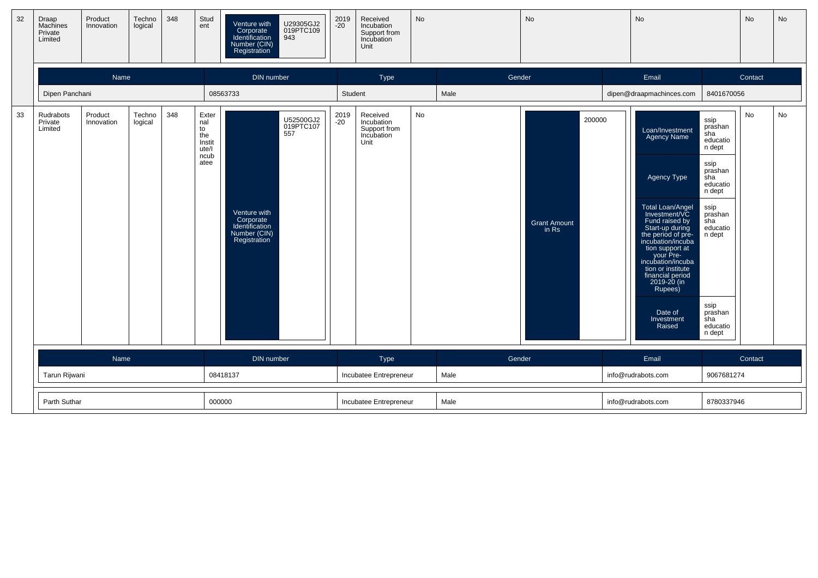| 32 | Draap<br>Machines<br>Private<br>Limited | Product<br>Innovation | Techno<br>logical | 348 | Stud<br>ent                                                  | Venture with<br>Corporate<br>Identification<br>Number (CIN)<br>Registration | U29305GJ2<br>019PTC109<br>943 | 2019<br>-20            | Received<br>Incubation<br>Support from<br>Incubation<br>Unit | No   |                | No                           |                    | No                                                                                                                                                                                                                                                                                                                            |                                                                                                                                                                                                 | No      | No |
|----|-----------------------------------------|-----------------------|-------------------|-----|--------------------------------------------------------------|-----------------------------------------------------------------------------|-------------------------------|------------------------|--------------------------------------------------------------|------|----------------|------------------------------|--------------------|-------------------------------------------------------------------------------------------------------------------------------------------------------------------------------------------------------------------------------------------------------------------------------------------------------------------------------|-------------------------------------------------------------------------------------------------------------------------------------------------------------------------------------------------|---------|----|
|    |                                         | Name                  |                   |     |                                                              | DIN number                                                                  |                               |                        | Type                                                         |      | Gender         |                              |                    | Email                                                                                                                                                                                                                                                                                                                         |                                                                                                                                                                                                 | Contact |    |
|    | Dipen Panchani                          |                       |                   |     |                                                              | 08563733                                                                    |                               | Student                |                                                              |      | Male           |                              |                    | dipen@draapmachinces.com                                                                                                                                                                                                                                                                                                      | 8401670056                                                                                                                                                                                      |         |    |
| 33 | Rudrabots<br>Private<br>Limited         | Product<br>Innovation | Techno<br>logical | 348 | Exter<br>nal<br>to<br>the<br>Instit<br>ute/l<br>ncub<br>atee | Venture with<br>Corporate<br>Identification<br>Number (CIN)<br>Registration | U52500GJ2<br>019PTC107<br>557 | 2019<br>-20            | Received<br>Incubation<br>Support from<br>Incubation<br>Unit | No   |                | <b>Grant Amount</b><br>in Rs | 200000             | Loan/Investment<br>Agency Name<br>Agency Type<br>Total Loan/Angel<br>Investment/VC<br>Fund raised by<br>Start-up during<br>the period of pre-<br>incubation/incuba<br>tion support at<br>your Pre-<br>incubation/incuba<br>tion or institute<br>financial period<br>2019-20 (in<br>Rupees)<br>Date of<br>Investment<br>Raised | ssip<br>prashan<br>$\sin$<br>educatio<br>n dept<br>ssip<br>prashan<br>sha<br>educatio<br>n dept<br>ssip<br>prashan<br>sha<br>educatio<br>n dept<br>ssip<br>prashan<br>sha<br>educatio<br>n dept | No      | No |
|    |                                         |                       |                   |     |                                                              |                                                                             |                               |                        |                                                              |      |                |                              |                    |                                                                                                                                                                                                                                                                                                                               |                                                                                                                                                                                                 |         |    |
|    |                                         | Name                  |                   |     |                                                              | DIN number<br>08418137                                                      |                               |                        | Type<br>Incubatee Entrepreneur                               |      | Gender<br>Male |                              |                    | Email<br>info@rudrabots.com                                                                                                                                                                                                                                                                                                   | 9067681274                                                                                                                                                                                      | Contact |    |
|    | Tarun Rijwani                           |                       |                   |     |                                                              |                                                                             |                               |                        |                                                              |      |                |                              |                    |                                                                                                                                                                                                                                                                                                                               |                                                                                                                                                                                                 |         |    |
|    | Parth Suthar                            |                       |                   |     | 000000                                                       |                                                                             |                               | Incubatee Entrepreneur |                                                              | Male |                |                              | info@rudrabots.com | 8780337946                                                                                                                                                                                                                                                                                                                    |                                                                                                                                                                                                 |         |    |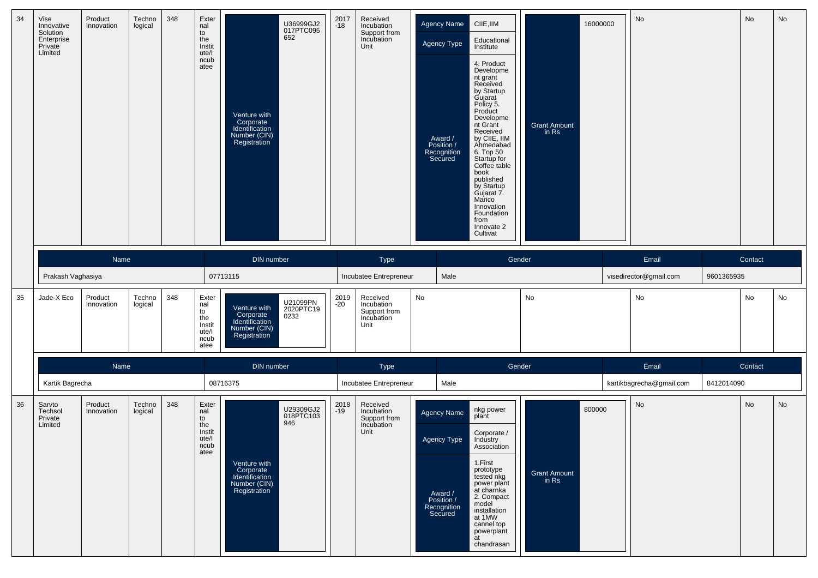| 34 | Vise<br>Innovative<br>Solution<br>Enterprise<br>Private<br>Limited | Product<br>Innovation | Techno<br>logical | 348 | Exter<br>nal<br>to<br>the<br>Instit<br>ute/l<br>ncub<br>atee | 652<br>Venture with<br>Corporate<br>Identification<br>Number (CIN)<br>Registration | U36999GJ2<br>017PTC095        | $2017 - 18$   | Received<br>Incubation<br>Support from<br>Incubation<br>Unit | Agency Name<br>Agency Type<br>Award /<br>Position /<br>Recognition<br>Secured        | CIIE, IIM<br>Educational<br>Institute<br>4. Product<br>Developme<br>nt grant<br>Received<br>by Startup<br>Gujarat<br>Policy 5.<br>Product<br>Developme<br>nt Grant<br>Received<br>by CIIE, IIM<br>Ahmedabad<br>6. Top 50<br>Startup for<br>Coffee table<br>book<br>published<br>by Startup<br>Gujarat 7.<br>Marico<br>Innovation<br>Foundation<br>from<br>Innovate 2<br>Cultivat | <b>Grant Amount</b><br>in Rs           | 16000000 | No                              |            | No      | No |
|----|--------------------------------------------------------------------|-----------------------|-------------------|-----|--------------------------------------------------------------|------------------------------------------------------------------------------------|-------------------------------|---------------|--------------------------------------------------------------|--------------------------------------------------------------------------------------|----------------------------------------------------------------------------------------------------------------------------------------------------------------------------------------------------------------------------------------------------------------------------------------------------------------------------------------------------------------------------------|----------------------------------------|----------|---------------------------------|------------|---------|----|
|    | Prakash Vaghasiya                                                  | Name                  |                   |     |                                                              | DIN number<br>07713115                                                             |                               |               | Type<br>Incubatee Entrepreneur                               | Male                                                                                 | Gender                                                                                                                                                                                                                                                                                                                                                                           |                                        |          | Email<br>visedirector@gmail.com | 9601365935 | Contact |    |
| 35 | Jade-X Eco                                                         | Product<br>Innovation | Techno<br>logical | 348 | Exter<br>nal<br>to<br>the<br>Instit<br>ute/l<br>ncub<br>atee | Venture with<br>Corporate<br>Identification<br>Number (CIN)<br>Registration        | U21099PN<br>2020PTC19<br>0232 | 2019<br>$-20$ | Received<br>Incubation<br>Support from<br>Incubation<br>Unit | No                                                                                   |                                                                                                                                                                                                                                                                                                                                                                                  | No                                     |          | No                              |            | No      | No |
|    |                                                                    | Name                  |                   |     |                                                              | DIN number                                                                         |                               |               | Type                                                         |                                                                                      | Gender                                                                                                                                                                                                                                                                                                                                                                           |                                        |          | Email                           |            | Contact |    |
|    | Kartik Bagrecha                                                    |                       |                   |     |                                                              | 08716375                                                                           |                               |               | Incubatee Entrepreneur                                       | Male                                                                                 |                                                                                                                                                                                                                                                                                                                                                                                  |                                        |          | kartikbagrecha@gmail.com        | 8412014090 |         |    |
| 36 | Sarvto<br>Techsol<br>Private<br>Limited                            | Product<br>Innovation | Techno<br>logical | 348 | Exter<br>nal<br>to<br>the<br>Instit<br>ute/l<br>ncub<br>atee | 946<br>Venture with<br>Corporate<br>Identification<br>Number (CIN)<br>Registration | U29309GJ2<br>018PTC103        | 2018<br>-19   | Received<br>Incubation<br>Support from<br>Incubation<br>Unit | <b>Agency Name</b><br>Agency Type<br>Award /<br>Position /<br>Recognition<br>Secured | nkg power<br>plant<br>Corporate /<br>Industry<br>Association<br>1.First<br>prototype<br>tested nkg<br>power plant<br>at charnka<br>2. Compact<br>model<br>installation<br>at 1MW<br>cannel top<br>powerplant<br>at<br>chandrasan                                                                                                                                                 | 800000<br><b>Grant Amount</b><br>in Rs |          | No                              |            | No      | No |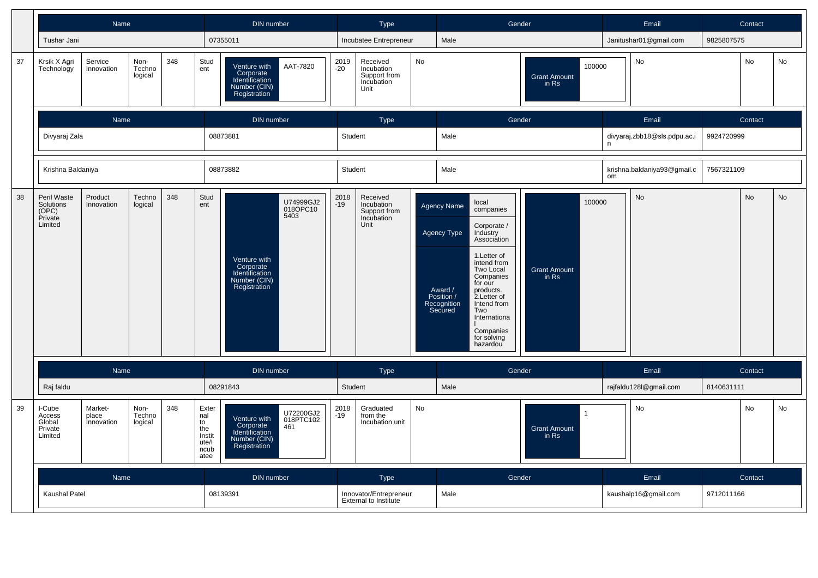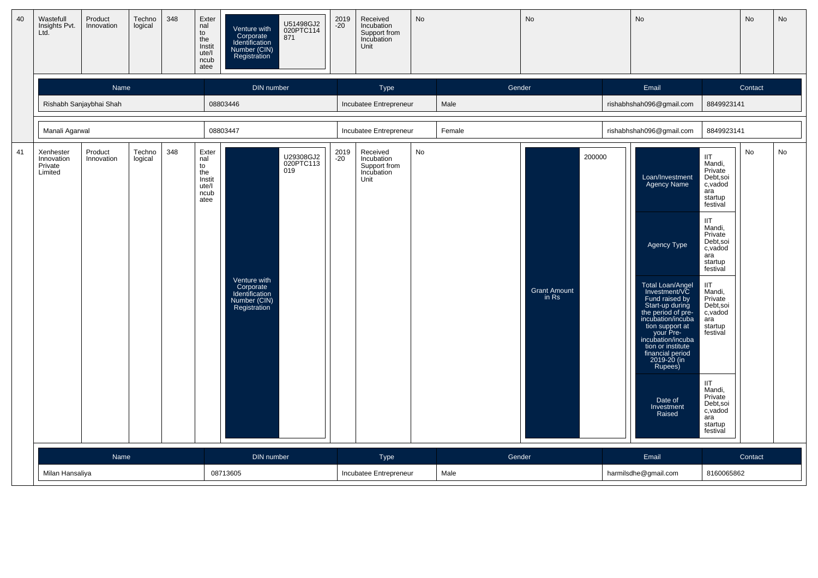| 40 | Wastefull<br>Insights Pvt.<br>Ltd.            | Product<br>Innovation   | Techno<br>logical | 348 | Exter<br>nal<br>to<br>the<br>Instit<br>ute/l<br>ncub<br>atee | Venture with<br>Corporate<br>Identification<br>Number (CIN)<br>Registration | U51498GJ2<br>020PTC114<br>871 | 2019<br>-20   | Received<br>Incubation<br>Support from<br>Incubation<br>Unit | <b>No</b> |        | <b>No</b>                              | No                                                                                                                                                                                                                                                                                                                            |                                                                                                                                                                                                                                                                                                                                                                 | No      | No |
|----|-----------------------------------------------|-------------------------|-------------------|-----|--------------------------------------------------------------|-----------------------------------------------------------------------------|-------------------------------|---------------|--------------------------------------------------------------|-----------|--------|----------------------------------------|-------------------------------------------------------------------------------------------------------------------------------------------------------------------------------------------------------------------------------------------------------------------------------------------------------------------------------|-----------------------------------------------------------------------------------------------------------------------------------------------------------------------------------------------------------------------------------------------------------------------------------------------------------------------------------------------------------------|---------|----|
|    |                                               | Name                    |                   |     |                                                              | DIN number                                                                  |                               |               | Type                                                         |           | Gender |                                        | Email                                                                                                                                                                                                                                                                                                                         |                                                                                                                                                                                                                                                                                                                                                                 | Contact |    |
|    |                                               | Rishabh Sanjaybhai Shah |                   |     |                                                              | 08803446                                                                    |                               |               | Incubatee Entrepreneur                                       |           | Male   |                                        | rishabhshah096@gmail.com                                                                                                                                                                                                                                                                                                      | 8849923141                                                                                                                                                                                                                                                                                                                                                      |         |    |
|    | Manali Agarwal                                |                         |                   |     |                                                              | 08803447                                                                    |                               |               | Incubatee Entrepreneur                                       |           | Female |                                        | rishabhshah096@gmail.com                                                                                                                                                                                                                                                                                                      | 8849923141                                                                                                                                                                                                                                                                                                                                                      |         |    |
| 41 | Xenhester<br>Innovation<br>Private<br>Limited | Product<br>Innovation   | Techno<br>logical | 348 | Exter<br>nal<br>to<br>the<br>Instit<br>ute/l<br>ncub<br>atee | Venture with<br>Corporate<br>Identification<br>Number (CIN)<br>Registration | U29308GJ2<br>020PTC113<br>019 | 2019<br>$-20$ | Received<br>Incubation<br>Support from<br>Incubation<br>Unit | No        |        | 200000<br><b>Grant Amount</b><br>in Rs | Loan/Investment<br>Agency Name<br>Agency Type<br>Total Loan/Angel<br>Investment/VC<br>Fund raised by<br>Start-up during<br>the period of pre-<br>incubation/incuba<br>tion support at<br>your Pre-<br>incubation/incuba<br>tion or institute<br>financial period<br>2019-20 (in<br>Rupees)<br>Date of<br>Investment<br>Raised | <b>IIT</b><br>Mandi,<br>Private<br>Debt,soi<br>c, vadod<br>ara<br>startup<br>festival<br><b>IIT</b><br>Mandi,<br>Private<br>Debt, soi<br>c,vadod<br>ara<br>startup<br>festival<br><b>IIT</b><br>Mandi,<br>Private<br>Debt, soi<br>c,vadod<br>ara<br>startup<br>festival<br><b>IIT</b><br>Mandi,<br>Private<br>Debt,soi<br>c,vadod<br>ara<br>startup<br>festival | No      | No |
|    |                                               | Name                    |                   |     |                                                              | DIN number                                                                  |                               |               | Type                                                         |           | Gender |                                        | Email                                                                                                                                                                                                                                                                                                                         |                                                                                                                                                                                                                                                                                                                                                                 | Contact |    |
|    | Milan Hansaliya                               |                         |                   |     |                                                              | 08713605                                                                    |                               |               | Incubatee Entrepreneur                                       |           | Male   |                                        | harmilsdhe@gmail.com                                                                                                                                                                                                                                                                                                          | 8160065862                                                                                                                                                                                                                                                                                                                                                      |         |    |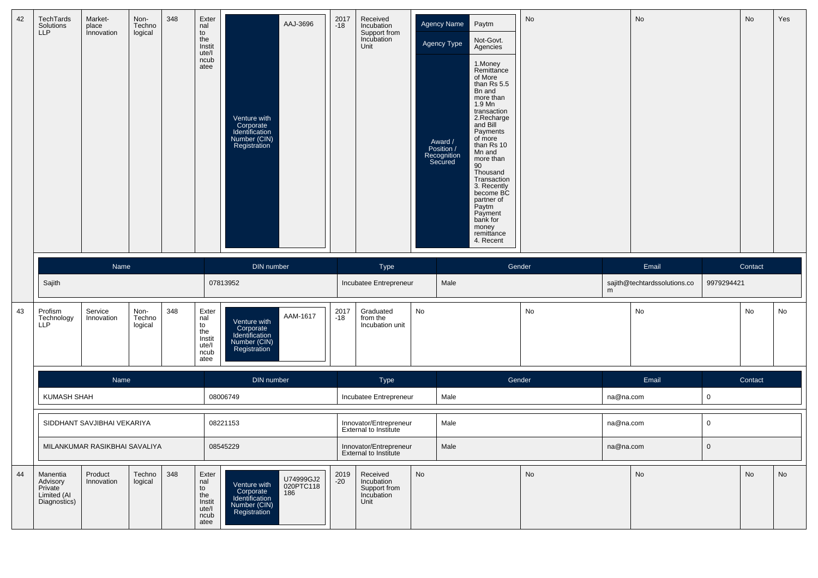| 42 | <b>TechTards</b><br>Solutions<br>LLP                           | Market-<br>place<br>Innovation | Non-<br>Techno<br>logical | 348 | Exter<br>nal<br>to<br>the<br>Instit<br>ute/l<br>ncub<br>atee | Venture with<br>Corporate<br>Identification<br>Number (CIN)<br>Registration | AAJ-3696                      | 2017<br>-18   | Received<br>Incubation<br>Support from<br>Incubation<br>Unit |    | Agency Name<br>Agency Type<br>Award /<br>Position /<br>Recognition<br>Secured | Paytm<br>Not-Govt.<br>Agencies<br>1.Money<br>Remittance<br>of More<br>than Rs 5.5<br>Bn and<br>more than<br>1.9 Mn<br>transaction<br>2.Recharge<br>and Bill<br>Payments<br>of more<br>than Rs 10<br>Mn and<br>more than<br>90<br>Thousand<br>Transaction<br>3. Recently<br>become BC<br>partner of<br>Paytm<br>Payment<br>bank for<br>money<br>remittance<br>4. Recent | No |           | No                           |             | No      | Yes |
|----|----------------------------------------------------------------|--------------------------------|---------------------------|-----|--------------------------------------------------------------|-----------------------------------------------------------------------------|-------------------------------|---------------|--------------------------------------------------------------|----|-------------------------------------------------------------------------------|------------------------------------------------------------------------------------------------------------------------------------------------------------------------------------------------------------------------------------------------------------------------------------------------------------------------------------------------------------------------|----|-----------|------------------------------|-------------|---------|-----|
|    |                                                                | Name                           |                           |     |                                                              | DIN number                                                                  |                               |               | Type                                                         |    |                                                                               | Gender                                                                                                                                                                                                                                                                                                                                                                 |    |           | Email                        |             | Contact |     |
|    | Sajith                                                         |                                |                           |     |                                                              | 07813952                                                                    |                               |               | Incubatee Entrepreneur                                       |    | Male                                                                          |                                                                                                                                                                                                                                                                                                                                                                        |    | m         | sajith@techtardssolutions.co | 9979294421  |         |     |
| 43 | Profism<br>Technology<br><b>LLP</b>                            | Service<br>Innovation          | Non-<br>Techno<br>logical | 348 | Exter<br>nal<br>to<br>the<br>Instit<br>ute/l<br>ncub<br>atee | Venture with<br>Corporate<br>Identification<br>Number (CIN)<br>Registration | AAM-1617                      | 2017<br>$-18$ | Graduated<br>from the<br>Incubation unit                     | No |                                                                               |                                                                                                                                                                                                                                                                                                                                                                        | No |           | No                           |             | No      | No  |
|    |                                                                | Name                           |                           |     |                                                              | DIN number                                                                  |                               |               | Type                                                         |    |                                                                               | Gender                                                                                                                                                                                                                                                                                                                                                                 |    |           | Email                        |             | Contact |     |
|    | KUMASH SHAH                                                    |                                |                           |     |                                                              | 08006749                                                                    |                               |               | Incubatee Entrepreneur                                       |    | Male                                                                          |                                                                                                                                                                                                                                                                                                                                                                        |    | na@na.com |                              | $\mathbf 0$ |         |     |
|    |                                                                | SIDDHANT SAVJIBHAI VEKARIYA    |                           |     |                                                              | 08221153                                                                    |                               |               | Innovator/Entrepreneur<br>External to Institute              |    | Male                                                                          |                                                                                                                                                                                                                                                                                                                                                                        |    | na@na.com |                              | $\mathbf 0$ |         |     |
|    |                                                                | MILANKUMAR RASIKBHAI SAVALIYA  |                           |     |                                                              | 08545229                                                                    |                               |               | Innovator/Entrepreneur<br><b>External to Institute</b>       |    | Male                                                                          |                                                                                                                                                                                                                                                                                                                                                                        |    | na@na.com |                              | $\mathbf 0$ |         |     |
| 44 | Manentia<br>Advisory<br>Private<br>Limited (AI<br>Diagnostics) | Product<br>Innovation          | Techno<br>logical         | 348 | Exter<br>nal<br>to<br>the<br>Instit<br>ute/l<br>ncub         | Venture with<br>Corporate<br>Identification<br>Number (CIN)<br>Registration | U74999GJ2<br>020PTC118<br>186 | 2019<br>$-20$ | Received<br>Incubation<br>Support from<br>Incubation<br>Unit | No |                                                                               |                                                                                                                                                                                                                                                                                                                                                                        | No |           | No                           |             | No      | No  |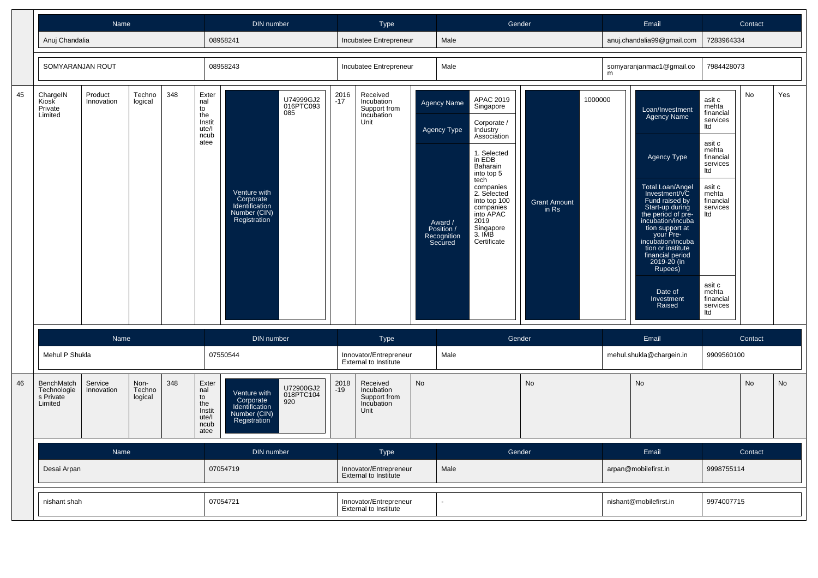|    |                                                   | Name                  |                           |     |                                                              | DIN number                                                                  |                               |               | <b>Type</b>                                                  |           |                                                                                             | Gender                                                                                                                                                                                                                                          |                              |         |   | Email                                                                                                                                                                                                                                                                                                                         |                                                                                                                                                                                                          | Contact   |     |
|----|---------------------------------------------------|-----------------------|---------------------------|-----|--------------------------------------------------------------|-----------------------------------------------------------------------------|-------------------------------|---------------|--------------------------------------------------------------|-----------|---------------------------------------------------------------------------------------------|-------------------------------------------------------------------------------------------------------------------------------------------------------------------------------------------------------------------------------------------------|------------------------------|---------|---|-------------------------------------------------------------------------------------------------------------------------------------------------------------------------------------------------------------------------------------------------------------------------------------------------------------------------------|----------------------------------------------------------------------------------------------------------------------------------------------------------------------------------------------------------|-----------|-----|
|    | Anuj Chandalia                                    |                       |                           |     |                                                              | 08958241                                                                    |                               |               | Incubatee Entrepreneur                                       |           | Male                                                                                        |                                                                                                                                                                                                                                                 |                              |         |   | anuj.chandalia99@gmail.com                                                                                                                                                                                                                                                                                                    | 7283964334                                                                                                                                                                                               |           |     |
|    | SOMYARANJAN ROUT                                  |                       |                           |     |                                                              | 08958243                                                                    |                               |               | Incubatee Entrepreneur                                       |           | Male                                                                                        |                                                                                                                                                                                                                                                 |                              |         | m | somyaranjanmac1@gmail.co                                                                                                                                                                                                                                                                                                      | 7984428073                                                                                                                                                                                               |           |     |
| 45 | ChargeIN<br>Kiosk<br>Private<br>Limited           | Product<br>Innovation | Techno<br>logical         | 348 | Exter<br>nal<br>to<br>the<br>Instit<br>ute/l<br>ncub<br>atee | Venture with<br>Corporate<br>Identification<br>Number (CIN)<br>Registration | U74999GJ2<br>016PTC093<br>085 | 2016<br>$-17$ | Received<br>Incubation<br>Support from<br>Incubation<br>Unit |           | <b>Agency Name</b><br><b>Agency Type</b><br>Award /<br>Position /<br>Recognition<br>Secured | APAC 2019<br>Singapore<br>Corporate /<br>Industry<br>Association<br>1. Selected<br>in EDB<br>Baharain<br>into top 5<br>tech<br>companies<br>2. Selected<br>into top 100<br>companies<br>into APAC<br>2019<br>Singapore<br>3. IMB<br>Certificate | <b>Grant Amount</b><br>in Rs | 1000000 |   | Loan/Investment<br>Agency Name<br>Agency Type<br>Total Loan/Angel<br>Investment/VC<br>Fund raised by<br>Start-up during<br>the period of pre-<br>incubation/incuba<br>tion support at<br>your Pre-<br>incubation/incuba<br>tion or institute<br>financial period<br>2019-20 (in<br>Rupees)<br>Date of<br>Investment<br>Raised | asit c<br>mehta<br>financial<br>services<br>Itd<br>asit c<br>mehta<br>financial<br>services<br>Itd<br>asit c<br>mehta<br>financial<br>services<br>ltd<br>asit c<br>mehta<br>financial<br>services<br>ltd | No        | Yes |
|    |                                                   | Name                  |                           |     |                                                              | DIN number                                                                  |                               |               | Type                                                         |           |                                                                                             | Gender                                                                                                                                                                                                                                          |                              |         |   | Email                                                                                                                                                                                                                                                                                                                         |                                                                                                                                                                                                          | Contact   |     |
|    | Mehul P Shukla                                    |                       |                           |     |                                                              | 07550544                                                                    |                               |               | Innovator/Entrepreneur<br>External to Institute              |           | Male                                                                                        |                                                                                                                                                                                                                                                 |                              |         |   | mehul.shukla@chargein.in                                                                                                                                                                                                                                                                                                      | 9909560100                                                                                                                                                                                               |           |     |
| 46 | BenchMatch<br>Technologie<br>s Private<br>Limited | Service<br>Innovation | Non-<br>Techno<br>logical | 348 | Exter<br>nal<br>to<br>the<br>Instit<br>ute/l<br>ncub<br>atee | Venture with<br>Corporate<br>Identification<br>Number (CIN)<br>Registration | U72900GJ2<br>018PTC104<br>920 | 2018<br>$-19$ | Received<br>Incubation<br>Support from<br>Incubation<br>Unit | <b>No</b> |                                                                                             |                                                                                                                                                                                                                                                 | <b>No</b>                    |         |   | <b>No</b>                                                                                                                                                                                                                                                                                                                     |                                                                                                                                                                                                          | <b>No</b> | No  |
|    |                                                   | Name                  |                           |     |                                                              | <b>DIN</b> number                                                           |                               |               | Type                                                         |           |                                                                                             | Gender                                                                                                                                                                                                                                          |                              |         |   | Email                                                                                                                                                                                                                                                                                                                         |                                                                                                                                                                                                          | Contact   |     |
|    | Desai Arpan                                       |                       |                           |     |                                                              | 07054719                                                                    |                               |               | Innovator/Entrepreneur<br><b>External to Institute</b>       |           | Male                                                                                        |                                                                                                                                                                                                                                                 |                              |         |   | arpan@mobilefirst.in                                                                                                                                                                                                                                                                                                          | 9998755114                                                                                                                                                                                               |           |     |
|    | nishant shah                                      |                       |                           |     |                                                              | 07054721                                                                    |                               |               | Innovator/Entrepreneur<br><b>External to Institute</b>       |           | $\sim$                                                                                      |                                                                                                                                                                                                                                                 |                              |         |   | nishant@mobilefirst.in                                                                                                                                                                                                                                                                                                        | 9974007715                                                                                                                                                                                               |           |     |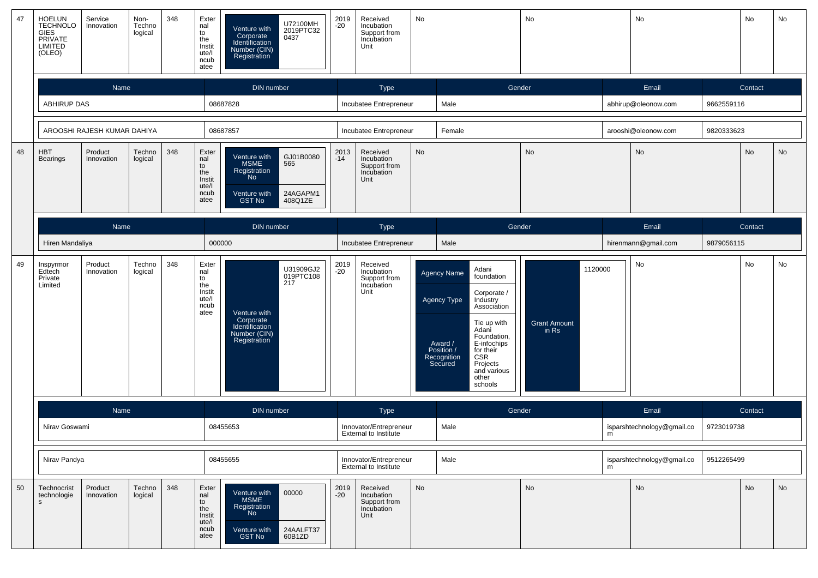| 47 | HOELUN<br>TECHNOLO<br><b>GIES</b><br>PRIVATE<br>LIMITED<br>(OLEO) | Service<br>Innovation       | Non-<br>Techno<br>logical | 348 | Exter<br>nal<br>to<br>the<br>Instit<br>ute/l<br>ncub<br>atee | Venture with<br>Corporate<br>Identification<br>Number (CIN)<br>Registration             | U72100MH<br>2019PTC32<br>0437           | 2019<br>$-20$ | Received<br>Incubation<br>Support from<br>Incubation<br>Unit | No        |                                                                                      |                                                                                                                                                                                        | No                           |         | No                         |            | No      | No |
|----|-------------------------------------------------------------------|-----------------------------|---------------------------|-----|--------------------------------------------------------------|-----------------------------------------------------------------------------------------|-----------------------------------------|---------------|--------------------------------------------------------------|-----------|--------------------------------------------------------------------------------------|----------------------------------------------------------------------------------------------------------------------------------------------------------------------------------------|------------------------------|---------|----------------------------|------------|---------|----|
|    |                                                                   | Name                        |                           |     |                                                              | <b>DIN</b> number                                                                       |                                         |               | Type                                                         |           |                                                                                      | Gender                                                                                                                                                                                 |                              |         | Email                      |            | Contact |    |
|    | <b>ABHIRUP DAS</b>                                                |                             |                           |     |                                                              | 08687828                                                                                |                                         |               | Incubatee Entrepreneur                                       |           | Male                                                                                 |                                                                                                                                                                                        |                              |         | abhirup@oleonow.com        | 9662559116 |         |    |
|    |                                                                   | AROOSHI RAJESH KUMAR DAHIYA |                           |     |                                                              | 08687857                                                                                |                                         |               | Incubatee Entrepreneur                                       |           | Female                                                                               |                                                                                                                                                                                        |                              |         | arooshi@oleonow.com        | 9820333623 |         |    |
| 48 | <b>HBT</b><br><b>Bearings</b>                                     | Product<br>Innovation       | Techno<br>logical         | 348 | Exter<br>nal<br>to<br>the<br>Instit<br>ute/l<br>ncub<br>atee | Venture with<br>MSME<br>Registration<br>N <sub>o</sub><br>Venture with<br><b>GST No</b> | GJ01B0080<br>565<br>24AGAPM1<br>408Q1ZE | 2013<br>$-14$ | Received<br>Incubation<br>Support from<br>Incubation<br>Unit | <b>No</b> |                                                                                      |                                                                                                                                                                                        | <b>No</b>                    |         | $\mathsf{No}$              |            | No      | No |
|    |                                                                   | Name                        |                           |     |                                                              | DIN number                                                                              |                                         |               | Type                                                         |           |                                                                                      | Gender                                                                                                                                                                                 |                              |         | Email                      |            | Contact |    |
|    | Hiren Mandaliya                                                   |                             |                           |     | 000000                                                       |                                                                                         |                                         |               | Incubatee Entrepreneur                                       |           | Male                                                                                 |                                                                                                                                                                                        |                              |         | hirenmann@gmail.com        | 9879056115 |         |    |
| 49 | Inspyrmor<br>Edtech<br>Private<br>Limited                         | Product<br>Innovation       | Techno<br>logical         | 348 | Exter<br>nal<br>to<br>the<br>Instit<br>ute/l<br>ncub<br>atee | Venture with<br>Corporate<br>Identification<br>Number (CIN)<br>Registration             | U31909GJ2<br>019PTC108<br>217           | 2019<br>$-20$ | Received<br>Incubation<br>Support from<br>Incubation<br>Unit |           | <b>Agency Name</b><br>Agency Type<br>Award /<br>Position /<br>Recognition<br>Secured | Adani<br>foundation<br>Corporate /<br>Industry<br>Association<br>Tie up with<br>Adani<br>Foundation,<br>E-infochips<br>for their<br>CSR<br>Projects<br>and various<br>other<br>schools | <b>Grant Amount</b><br>in Rs | 1120000 | No                         |            | No      | No |
|    |                                                                   | Name                        |                           |     |                                                              | <b>DIN</b> number                                                                       |                                         |               | <b>Type</b>                                                  |           |                                                                                      | Gender                                                                                                                                                                                 |                              |         | Email                      |            | Contact |    |
|    | Nirav Goswami                                                     |                             |                           |     |                                                              | 08455653                                                                                |                                         |               | Innovator/Entrepreneur<br><b>External to Institute</b>       |           | Male                                                                                 |                                                                                                                                                                                        |                              | m       | isparshtechnology@gmail.co | 9723019738 |         |    |
|    | Nirav Pandya                                                      |                             |                           |     |                                                              | 08455655                                                                                |                                         |               | Innovator/Entrepreneur<br>External to Institute              |           | Male                                                                                 |                                                                                                                                                                                        |                              | m       | isparshtechnology@gmail.co | 9512265499 |         |    |
| 50 | Technocrist<br>technologie<br>s                                   | Product<br>Innovation       | Techno<br>logical         | 348 | Exter<br>nal<br>to<br>the<br>Instit<br>ute/l<br>ncub<br>atee | Venture with<br><b>MSME</b><br>Registration<br>No<br>Venture with<br>GST No             | 00000<br>24AALFT37<br>60B1ZD            | 2019<br>$-20$ | Received<br>Incubation<br>Support from<br>Incubation<br>Unit | <b>No</b> |                                                                                      |                                                                                                                                                                                        | <b>No</b>                    |         | No                         |            | No      | No |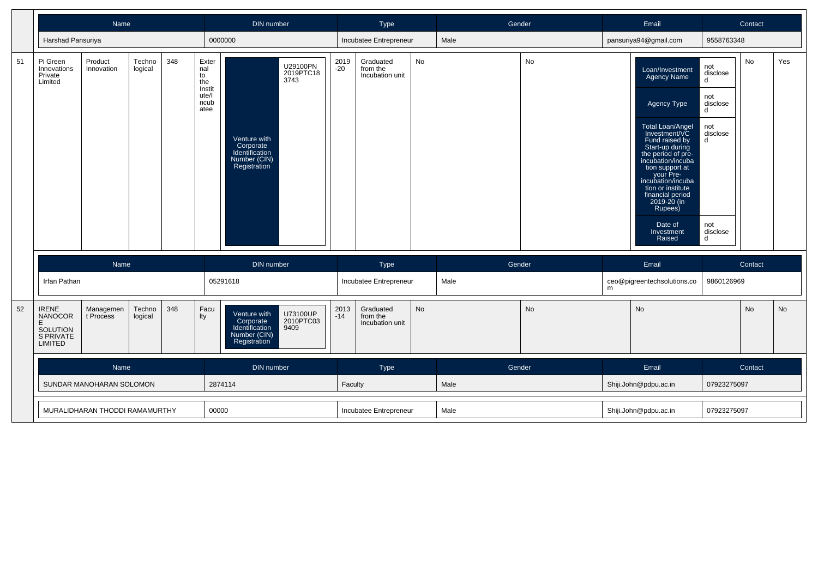|    |                                                                                 | Name                           |                   |     |                                                              | <b>DIN</b> number                                                           |                               |               | Type                                     |    | Gender |           |   | Email                                                                                                                                                                                                                                                                                                                                |                                                                                                         | Contact |           |
|----|---------------------------------------------------------------------------------|--------------------------------|-------------------|-----|--------------------------------------------------------------|-----------------------------------------------------------------------------|-------------------------------|---------------|------------------------------------------|----|--------|-----------|---|--------------------------------------------------------------------------------------------------------------------------------------------------------------------------------------------------------------------------------------------------------------------------------------------------------------------------------------|---------------------------------------------------------------------------------------------------------|---------|-----------|
|    | Harshad Pansuriya                                                               |                                |                   |     |                                                              | 0000000                                                                     |                               |               | Incubatee Entrepreneur                   |    | Male   |           |   | pansuriya94@gmail.com                                                                                                                                                                                                                                                                                                                | 9558763348                                                                                              |         |           |
| 51 | Pi Green<br>Innovations<br>Private<br>Limited                                   | Product<br>Innovation          | Techno<br>logical | 348 | Exter<br>nal<br>to<br>the<br>Instit<br>ute/l<br>ncub<br>atee | Venture with<br>Corporate<br>Identification<br>Number (CIN)<br>Registration | U29100PN<br>2019PTC18<br>3743 | 2019<br>$-20$ | Graduated<br>from the<br>Incubation unit | No |        | No        |   | Loan/Investment<br><b>Agency Name</b><br>Agency Type<br>Total Loan/Angel<br>Investment/VC<br>Fund raised by<br>Start-up during<br>the period of pre-<br>incubation/incuba<br>tion support at<br>your Pre-<br>incubation/incuba<br>tion or institute<br>financial period<br>2019-20 (in<br>Rupees)<br>Date of<br>Investment<br>Raised | not<br>disclose<br>d<br>not<br>disclose<br>d<br>not<br>disclose<br>$\mathsf{d}$<br>not<br>disclose<br>d | No      | Yes       |
|    |                                                                                 | Name                           |                   |     |                                                              | DIN number                                                                  |                               |               | Type                                     |    | Gender |           |   | Email                                                                                                                                                                                                                                                                                                                                |                                                                                                         | Contact |           |
|    | Irfan Pathan                                                                    |                                |                   |     |                                                              | 05291618                                                                    |                               |               | Incubatee Entrepreneur                   |    | Male   |           | m | ceo@pigreentechsolutions.co                                                                                                                                                                                                                                                                                                          | 9860126969                                                                                              |         |           |
| 52 | <b>IRENE</b><br><b>NANOCOR</b><br>E.<br>SOLUTION<br>S PRIVATE<br><b>LIMITED</b> | Managemen<br>t Process         | Techno<br>logical | 348 | Facu<br>lty                                                  | Venture with<br>Corporate<br>Identification<br>Number (CIN)<br>Registration | U73100UP<br>2010PTC03<br>9409 | 2013<br>$-14$ | Graduated<br>from the<br>Incubation unit | No |        | <b>No</b> |   | <b>No</b>                                                                                                                                                                                                                                                                                                                            |                                                                                                         | No      | <b>No</b> |
|    |                                                                                 | Name                           |                   |     |                                                              | DIN number                                                                  |                               |               | Type                                     |    | Gender |           |   | Email                                                                                                                                                                                                                                                                                                                                |                                                                                                         | Contact |           |
|    |                                                                                 | SUNDAR MANOHARAN SOLOMON       |                   |     |                                                              | 2874114                                                                     |                               | Faculty       |                                          |    | Male   |           |   | Shiji.John@pdpu.ac.in                                                                                                                                                                                                                                                                                                                | 07923275097                                                                                             |         |           |
|    |                                                                                 | MURALIDHARAN THODDI RAMAMURTHY |                   |     | 00000                                                        |                                                                             |                               |               | Incubatee Entrepreneur                   |    | Male   |           |   | Shiji.John@pdpu.ac.in                                                                                                                                                                                                                                                                                                                | 07923275097                                                                                             |         |           |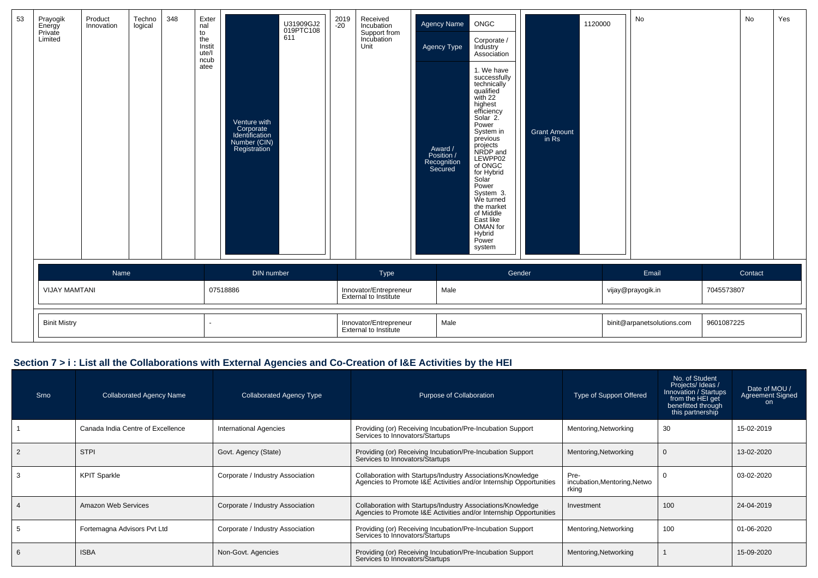| 53 | Prayogik<br>Energy<br>Private<br>Limited | Product<br>Innovation | Techno<br>logical | 348 | Exter<br>nal<br>to<br>the<br>Instit<br>ute/l |                                                                             | U31909GJ2<br>019PTC108<br>611 | 2019<br>-20 | Received<br>Incubation<br>Support from<br>Incubation<br>Unit | Agency Name<br><b>Agency Type</b>               | ONGC<br>Corporate /<br>Industry<br>Association                                                                                                                                                                                                                                                                                    |                              | 1120000 | No                         |            | No      | Yes |
|----|------------------------------------------|-----------------------|-------------------|-----|----------------------------------------------|-----------------------------------------------------------------------------|-------------------------------|-------------|--------------------------------------------------------------|-------------------------------------------------|-----------------------------------------------------------------------------------------------------------------------------------------------------------------------------------------------------------------------------------------------------------------------------------------------------------------------------------|------------------------------|---------|----------------------------|------------|---------|-----|
|    |                                          |                       |                   |     | ncub<br>atee                                 | Venture with<br>Corporate<br>Identification<br>Number (CIN)<br>Registration |                               |             |                                                              | Award /<br>Position /<br>Recognition<br>Secured | 1. We have<br>successfully<br>technically<br>qualified<br>with 22<br>highest<br>efficiency<br>Solar 2.<br>Power<br>System in<br>previous<br>projects<br>NRDP and<br>LEWPP02<br>of ONGC<br>for Hybrid<br>Solar<br>Power<br>System 3.<br>We turned<br>the market<br>of Middle<br>East like<br>OMAN for<br>Hybrid<br>Power<br>system | <b>Grant Amount</b><br>in Rs |         |                            |            |         |     |
|    |                                          | Name                  |                   |     |                                              | DIN number                                                                  |                               |             | Type                                                         |                                                 | Gender                                                                                                                                                                                                                                                                                                                            |                              |         | Email                      |            | Contact |     |
|    | <b>VIJAY MAMTANI</b>                     |                       |                   |     |                                              | 07518886                                                                    |                               |             | Innovator/Entrepreneur<br>External to Institute              | Male                                            |                                                                                                                                                                                                                                                                                                                                   |                              |         | vijay@prayogik.in          | 7045573807 |         |     |
|    | <b>Binit Mistry</b>                      |                       |                   |     |                                              |                                                                             |                               |             | Innovator/Entrepreneur<br>External to Institute              | Male                                            |                                                                                                                                                                                                                                                                                                                                   |                              |         | binit@arpanetsolutions.com | 9601087225 |         |     |

## **Section 7 > i : List all the Collaborations with External Agencies and Co-Creation of I&E Activities by the HEI**

| Srno | <b>Collaborated Agency Name</b>   | <b>Collaborated Agency Type</b>  | Purpose of Collaboration                                                                                                          | Type of Support Offered                       | No. of Student<br>Projects/ Ideas /<br>Innovation / Startups<br>from the HEI get<br>benefitted through<br>this partnership | Date of MOU /<br>Agreement Signed<br>on. |
|------|-----------------------------------|----------------------------------|-----------------------------------------------------------------------------------------------------------------------------------|-----------------------------------------------|----------------------------------------------------------------------------------------------------------------------------|------------------------------------------|
|      | Canada India Centre of Excellence | <b>International Agencies</b>    | Providing (or) Receiving Incubation/Pre-Incubation Support<br>Services to Innovators/Startups                                     | Mentoring, Networking                         | 30                                                                                                                         | 15-02-2019                               |
|      | <b>STPI</b>                       | Govt. Agency (State)             | Providing (or) Receiving Incubation/Pre-Incubation Support<br>Services to Innovators/Startups                                     | Mentoring, Networking                         |                                                                                                                            | 13-02-2020                               |
|      | <b>KPIT Sparkle</b>               | Corporate / Industry Association | Collaboration with Startups/Industry Associations/Knowledge<br>Agencies to Promote I&E Activities and/or Internship Opportunities | Pre-<br>incubation, Mentoring, Netwo<br>rking |                                                                                                                            | 03-02-2020                               |
|      | Amazon Web Services               | Corporate / Industry Association | Collaboration with Startups/Industry Associations/Knowledge<br>Agencies to Promote I&E Activities and/or Internship Opportunities | Investment                                    | 100                                                                                                                        | 24-04-2019                               |
|      | Fortemagna Advisors Pvt Ltd       | Corporate / Industry Association | Providing (or) Receiving Incubation/Pre-Incubation Support<br>Services to Innovators/Startups                                     | Mentoring, Networking                         | 100                                                                                                                        | 01-06-2020                               |
|      | <b>ISBA</b>                       | Non-Govt. Agencies               | Providing (or) Receiving Incubation/Pre-Incubation Support<br>Services to Innovators/Startups                                     | Mentoring, Networking                         |                                                                                                                            | 15-09-2020                               |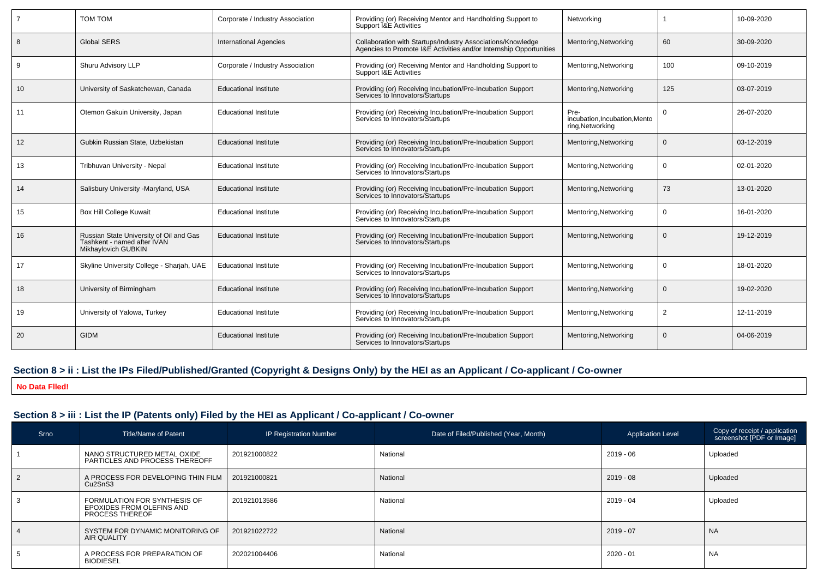|    | <b>TOM TOM</b>                                                                                | Corporate / Industry Association | Providing (or) Receiving Mentor and Handholding Support to<br>Support I&E Activities                                              | Networking                                              |          | 10-09-2020 |
|----|-----------------------------------------------------------------------------------------------|----------------------------------|-----------------------------------------------------------------------------------------------------------------------------------|---------------------------------------------------------|----------|------------|
|    | <b>Global SERS</b>                                                                            | <b>International Agencies</b>    | Collaboration with Startups/Industry Associations/Knowledge<br>Agencies to Promote I&E Activities and/or Internship Opportunities | Mentoring, Networking                                   | 60       | 30-09-2020 |
| 9  | Shuru Advisory LLP                                                                            | Corporate / Industry Association | Providing (or) Receiving Mentor and Handholding Support to<br>Support I&E Activities                                              | Mentoring, Networking                                   | 100      | 09-10-2019 |
| 10 | University of Saskatchewan, Canada                                                            | <b>Educational Institute</b>     | Providing (or) Receiving Incubation/Pre-Incubation Support<br>Services to Innovators/Startups                                     | Mentoring, Networking                                   | 125      | 03-07-2019 |
| 11 | Otemon Gakuin University, Japan                                                               | <b>Educational Institute</b>     | Providing (or) Receiving Incubation/Pre-Incubation Support<br>Services to Innovators/Startups                                     | Pre-<br>incubation.Incubation.Mento<br>ring, Networking | $\Omega$ | 26-07-2020 |
| 12 | Gubkin Russian State, Uzbekistan                                                              | <b>Educational Institute</b>     | Providing (or) Receiving Incubation/Pre-Incubation Support<br>Services to Innovators/Startups                                     | Mentoring, Networking                                   | $\Omega$ | 03-12-2019 |
| 13 | Tribhuvan University - Nepal                                                                  | <b>Educational Institute</b>     | Providing (or) Receiving Incubation/Pre-Incubation Support<br>Services to Innovators/Startups                                     | Mentoring, Networking                                   | $\Omega$ | 02-01-2020 |
| 14 | Salisbury University -Maryland, USA                                                           | <b>Educational Institute</b>     | Providing (or) Receiving Incubation/Pre-Incubation Support<br>Services to Innovators/Startups                                     | Mentoring, Networking                                   | 73       | 13-01-2020 |
| 15 | Box Hill College Kuwait                                                                       | <b>Educational Institute</b>     | Providing (or) Receiving Incubation/Pre-Incubation Support<br>Services to Innovators/Startups                                     | Mentoring, Networking                                   | $\Omega$ | 16-01-2020 |
| 16 | Russian State University of Oil and Gas<br>Tashkent - named after IVAN<br>Mikhaylovich GUBKIN | <b>Educational Institute</b>     | Providing (or) Receiving Incubation/Pre-Incubation Support<br>Services to Innovators/Startups                                     | Mentoring, Networking                                   | $\Omega$ | 19-12-2019 |
| 17 | Skyline University College - Sharjah, UAE                                                     | <b>Educational Institute</b>     | Providing (or) Receiving Incubation/Pre-Incubation Support<br>Services to Innovators/Startups                                     | Mentoring, Networking                                   | $\Omega$ | 18-01-2020 |
| 18 | University of Birmingham                                                                      | <b>Educational Institute</b>     | Providing (or) Receiving Incubation/Pre-Incubation Support<br>Services to Innovators/Startups                                     | Mentoring, Networking                                   | $\Omega$ | 19-02-2020 |
| 19 | University of Yalowa, Turkey                                                                  | <b>Educational Institute</b>     | Providing (or) Receiving Incubation/Pre-Incubation Support<br>Services to Innovators/Startups                                     | Mentoring, Networking                                   | 2        | 12-11-2019 |
| 20 | <b>GIDM</b>                                                                                   | <b>Educational Institute</b>     | Providing (or) Receiving Incubation/Pre-Incubation Support<br>Services to Innovators/Startups                                     | Mentoring, Networking                                   | $\Omega$ | 04-06-2019 |

## **Section 8 > ii : List the IPs Filed/Published/Granted (Copyright & Designs Only) by the HEI as an Applicant / Co-applicant / Co-owner**

**No Data Flled!**

## **Section 8 > iii : List the IP (Patents only) Filed by the HEI as Applicant / Co-applicant / Co-owner**

| Srno           | Title/Name of Patent                                                                | <b>IP Registration Number</b> | Date of Filed/Published (Year, Month) | <b>Application Level</b> | Copy of receipt / application<br>screenshot [PDF or Image] |
|----------------|-------------------------------------------------------------------------------------|-------------------------------|---------------------------------------|--------------------------|------------------------------------------------------------|
|                | NANO STRUCTURED METAL OXIDE<br>PARTICLES AND PROCESS THEREOFF                       | 201921000822                  | National                              | 2019 - 06                | Uploaded                                                   |
| $\overline{2}$ | A PROCESS FOR DEVELOPING THIN FILM<br>Cu <sub>2</sub> Sn <sub>S3</sub>              | 201921000821                  | National                              | $2019 - 08$              | Uploaded                                                   |
|                | FORMULATION FOR SYNTHESIS OF<br>EPOXIDES FROM OLEFINS AND<br><b>PROCESS THEREOF</b> | 201921013586                  | National                              | 2019 - 04                | Uploaded                                                   |
|                | SYSTEM FOR DYNAMIC MONITORING OF<br><b>AIR QUALITY</b>                              | 201921022722                  | National                              | $2019 - 07$              | <b>NA</b>                                                  |
|                | A PROCESS FOR PREPARATION OF<br><b>BIODIESEL</b>                                    | 202021004406                  | National                              | $2020 - 01$              | <b>NA</b>                                                  |